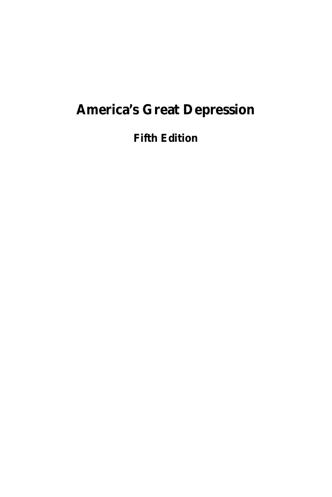# **America's Great Depression**

**Fifth Edition**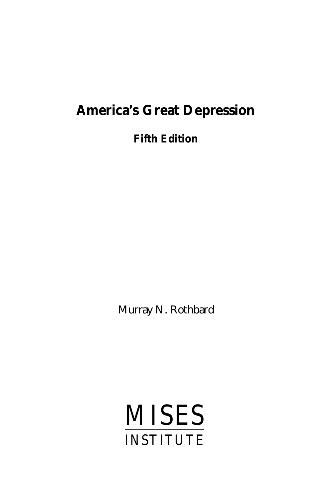# **America's Great Depression**

**Fifth Edition**

Murray N. Rothbard

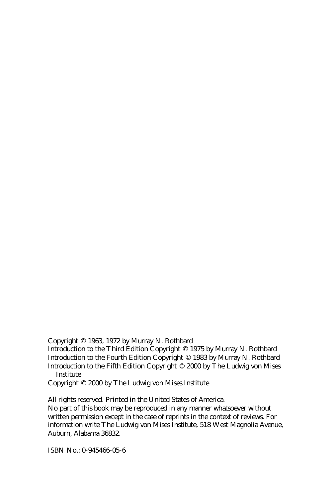Copyright © 1963, 1972 by Murray N. Rothbard

Introduction to the Third Edition Copyright © 1975 by Murray N. Rothbard Introduction to the Fourth Edition Copyright © 1983 by Murray N. Rothbard Introduction to the Fifth Edition Copyright © 2000 by The Ludwig von Mises Institute

Copyright © 2000 by The Ludwig von Mises Institute

All rights reserved. Printed in the United States of America.

No part of this book may be reproduced in any manner whatsoever without written permission except in the case of reprints in the context of reviews. For information write The Ludwig von Mises Institute, 518 West Magnolia Avenue, Auburn, Alabama 36832.

ISBN No.: 0-945466-05-6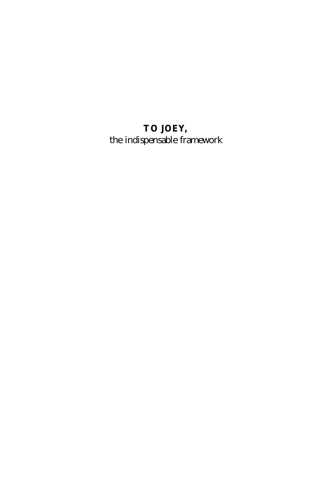### **TO JOEY,** the indispensable framework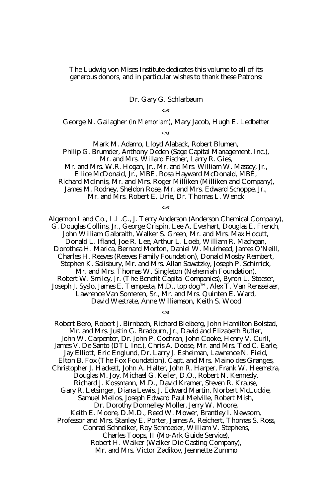The Ludwig von Mises Institute dedicates this volume to all of its generous donors, and in particular wishes to thank these Patrons:

Dr. Gary G. Schlarbaum

ñ

George N. Gallagher (*In Memoriam*), Mary Jacob, Hugh E. Ledbetter

ñ

Mark M. Adamo, Lloyd Alaback, Robert Blumen, Philip G. Brumder, Anthony Deden (Sage Capital Management, Inc.), Mr. and Mrs. Willard Fischer, Larry R. Gies, Mr. and Mrs. W.R. Hogan, Jr., Mr. and Mrs. William W. Massey, Jr., Ellice McDonald, Jr., MBE, Rosa Hayward McDonald, MBE, Richard McInnis, Mr. and Mrs. Roger Milliken (Milliken and Company), James M. Rodney, Sheldon Rose, Mr. and Mrs. Edward Schoppe, Jr.,

Mr. and Mrs. Robert E. Urie, Dr. Thomas L. Wenck

ñ

Algernon Land Co., L.L.C., J. Terry Anderson (Anderson Chemical Company), G. Douglas Collins, Jr., George Crispin, Lee A. Everhart, Douglas E. French, John William Galbraith, Walker S. Green, Mr. and Mrs. Max Hocutt, Donald L. Ifland, Joe R. Lee, Arthur L. Loeb, William R. Machgan, Dorothea H. Marica, Bernard Morton, Daniel W. Muirhead, James O'Neill, Charles H. Reeves (Reeves Family Foundation), Donald Mosby Rembert, Stephen K. Salisbury, Mr. and Mrs. Allan Sawatzky, Joseph P. Schirrick, Mr. and Mrs. Thomas W. Singleton (Nehemiah Foundation), Robert W. Smiley, Jr. (The Benefit Capital Companies), Byron L. Stoeser, Joseph J. Syslo, James E. Tempesta, M.D., top dog™, Alex T. Van Rensselaer, Lawrence Van Someren, Sr., Mr. and Mrs. Quinten E. Ward, David Westrate, Anne Williamson, Keith S. Wood

ñ

Robert Bero, Robert J. Birnbach, Richard Bleiberg, John Hamilton Bolstad, Mr. and Mrs. Justin G. Bradburn, Jr., David and Elizabeth Butler, John W. Carpenter, Dr. John P. Cochran, John Cooke, Henry V. Curll, James V. De Santo (DTL Inc.), Chris A. Doose, Mr. and Mrs. Ted C. Earle, Jay Elliott, Eric Englund, Dr. Larry J. Eshelman, Lawrence N. Field, Elton B. Fox (The Fox Foundation), Capt. and Mrs. Maino des Granges, Christopher J. Hackett, John A. Halter, John R. Harper, Frank W. Heemstra, Douglas M. Joy, Michael G. Keller, D.O., Robert N. Kennedy, Richard J. Kossmann, M.D., David Kramer, Steven R. Krause, Gary R. Letsinger, Diana Lewis, J. Edward Martin, Norbert McLuckie, Samuel Mellos, Joseph Edward Paul Melville, Robert Mish, Dr. Dorothy Donnelley Moller, Jerry W. Moore, Keith E. Moore, D.M.D., Reed W. Mower, Brantley I. Newsom, Professor and Mrs. Stanley E. Porter, James A. Reichert, Thomas S. Ross, Conrad Schneiker, Roy Schroeder, William V. Stephens, Charles Toops, II (Mo-Ark Guide Service), Robert H. Walker (Walker Die Casting Company), Mr. and Mrs. Victor Zadikov, Jeannette Zummo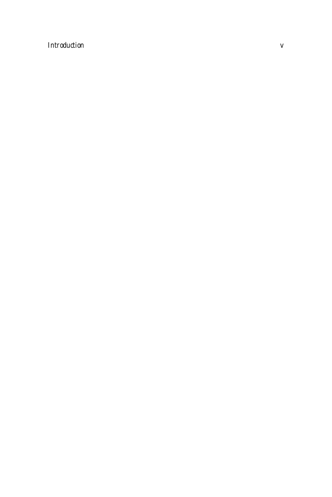#### *Introduction v*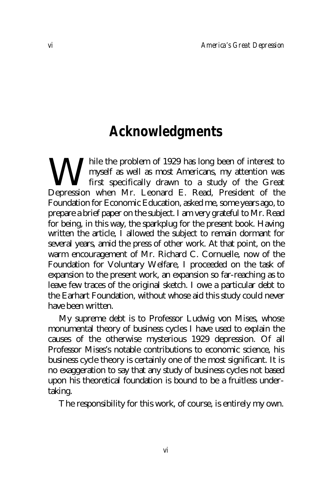### **Acknowledgments**

While the problem of 1929 has long been of interest to<br>myself as well as most Americans, my attention was<br>first specifically drawn to a study of the Great<br>Depression when Mr. Leonard E. Bead, President of the myself as well as most Americans, my attention was first specifically drawn to a study of the Great Depression when Mr. Leonard E. Read, President of the Foundation for Economic Education, asked me, some years ago, to prepare a brief paper on the subject. I am very grateful to Mr. Read for being, in this way, the sparkplug for the present book. Having written the article, I allowed the subject to remain dormant for several years, amid the press of other work. At that point, on the warm encouragement of Mr. Richard C. Cornuelle, now of the Foundation for Voluntary Welfare, I proceeded on the task of expansion to the present work, an expansion so far-reaching as to leave few traces of the original sketch. I owe a particular debt to the Earhart Foundation, without whose aid this study could never have been written.

My supreme debt is to Professor Ludwig von Mises, whose monumental theory of business cycles I have used to explain the causes of the otherwise mysterious 1929 depression. Of all Professor Mises's notable contributions to economic science, his business cycle theory is certainly one of the most significant. It is no exaggeration to say that any study of business cycles not based upon his theoretical foundation is bound to be a fruitless undertaking.

The responsibility for this work, of course, is entirely my own.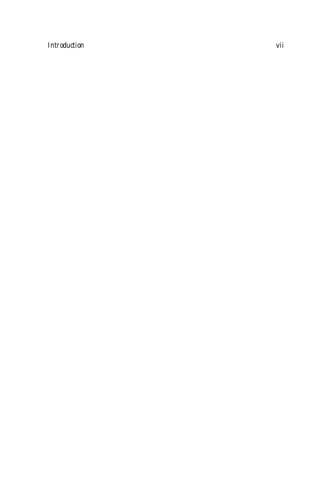#### *Introduction vii*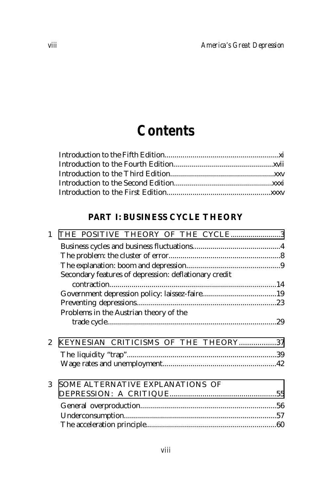# **Contents**

#### **PART I: BUSINESS CYCLE THEORY**

|                | THE POSITIVE THEORY OF THE CYCLE3                     |  |
|----------------|-------------------------------------------------------|--|
|                |                                                       |  |
|                |                                                       |  |
|                |                                                       |  |
|                | Secondary features of depression: deflationary credit |  |
|                |                                                       |  |
|                |                                                       |  |
|                |                                                       |  |
|                | Problems in the Austrian theory of the                |  |
|                |                                                       |  |
| $\overline{2}$ | KEYNESIAN CRITICISMS OF THE THEORY37                  |  |
|                |                                                       |  |
|                |                                                       |  |
| 3              | SOME ALTERNATIVE EXPLANATIONS OF                      |  |
|                |                                                       |  |
|                |                                                       |  |
|                |                                                       |  |
|                |                                                       |  |
|                |                                                       |  |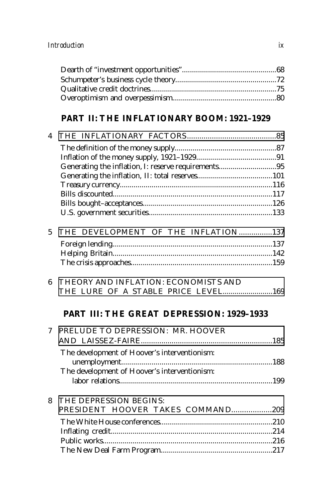#### **PART II: THE INFLATIONARY BOOM: 1921–1929**

| 4 |                                                     |  |
|---|-----------------------------------------------------|--|
|   |                                                     |  |
|   |                                                     |  |
|   | Generating the inflation, I: reserve requirements95 |  |
|   |                                                     |  |
|   |                                                     |  |
|   |                                                     |  |
|   |                                                     |  |
|   |                                                     |  |
| 5 | THE DEVELOPMENT OF THE INFLATION137                 |  |
|   |                                                     |  |
|   |                                                     |  |
|   |                                                     |  |
|   |                                                     |  |
| 6 | THEORY AND INFLATION: ECONOMISTS AND                |  |
|   | THE LURE OF A STABLE PRICE LEVEL169                 |  |
|   | <b>PART III: THE GREAT DEPRESSION: 1929-1933</b>    |  |
| 7 | PRELUDE TO DEPRESSION: MR. HOOVER                   |  |
|   |                                                     |  |
|   | The development of Hoover's interventionism:        |  |
|   |                                                     |  |
|   | The development of Hoover's interventionism:        |  |
|   |                                                     |  |
| 8 | THE DEPRESSION BEGINS:                              |  |
|   | PRESIDENT HOOVER TAKES COMMAND209                   |  |
|   |                                                     |  |
|   |                                                     |  |
|   |                                                     |  |
|   |                                                     |  |
|   |                                                     |  |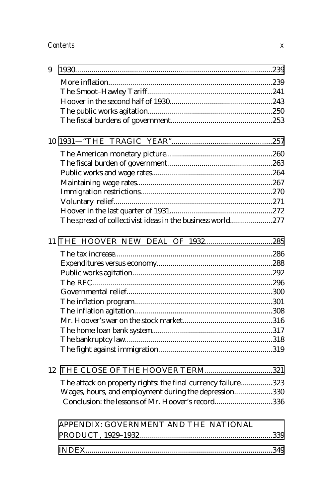#### *Contents x*

| 9  |                                                              |  |
|----|--------------------------------------------------------------|--|
|    |                                                              |  |
|    |                                                              |  |
|    |                                                              |  |
|    |                                                              |  |
|    |                                                              |  |
|    |                                                              |  |
|    |                                                              |  |
|    |                                                              |  |
|    |                                                              |  |
|    |                                                              |  |
|    |                                                              |  |
|    |                                                              |  |
|    |                                                              |  |
|    | The spread of collectivist ideas in the business world277    |  |
|    |                                                              |  |
|    |                                                              |  |
|    |                                                              |  |
|    |                                                              |  |
|    |                                                              |  |
|    |                                                              |  |
|    |                                                              |  |
|    |                                                              |  |
|    |                                                              |  |
|    |                                                              |  |
|    |                                                              |  |
|    |                                                              |  |
| 12 | THE CLOSE OF THE HOOVER TERM321                              |  |
|    | The attack on property rights: the final currency failure323 |  |
|    | Wages, hours, and employment during the depression330        |  |
|    | Conclusion: the lessons of Mr. Hoover's record336            |  |
|    |                                                              |  |
|    | APPENDIX: GOVERNMENT AND THE NATIONAL                        |  |
|    |                                                              |  |
|    |                                                              |  |
|    |                                                              |  |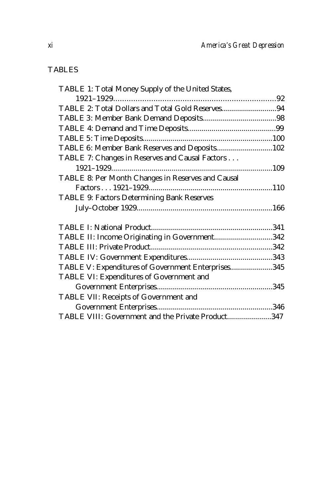#### TABLES

| TABLE 1: Total Money Supply of the United States,  |  |
|----------------------------------------------------|--|
|                                                    |  |
| TABLE 2: Total Dollars and Total Gold Reserves94   |  |
|                                                    |  |
|                                                    |  |
|                                                    |  |
| TABLE 6: Member Bank Reserves and Deposits102      |  |
| TABLE 7: Changes in Reserves and Causal Factors    |  |
|                                                    |  |
| TABLE 8: Per Month Changes in Reserves and Causal  |  |
|                                                    |  |
| <b>TABLE 9: Factors Determining Bank Reserves</b>  |  |
|                                                    |  |
|                                                    |  |
|                                                    |  |
| TABLE II: Income Originating in Government342      |  |
|                                                    |  |
|                                                    |  |
| TABLE V: Expenditures of Government Enterprises345 |  |
| TABLE VI: Expenditures of Government and           |  |
|                                                    |  |
| TABLE VII: Receipts of Government and              |  |
|                                                    |  |
| TABLE VIII: Government and the Private Product347  |  |
|                                                    |  |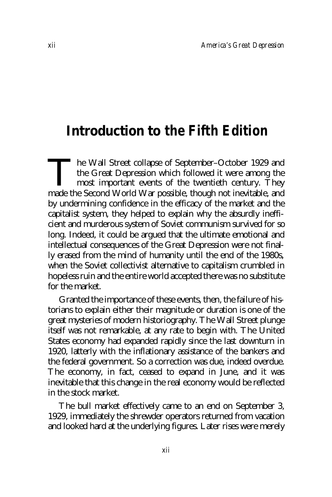### **Introduction to the Fifth Edition**

The Wall Street collapse of September-October 1929 and<br>the Great Depression which followed it were among the<br>most important events of the twentieth century. They<br>made the Second World War possible, though not inevitable, a he Wall Street collapse of September–October 1929 and the Great Depression which followed it were among the most important events of the twentieth century. They by undermining confidence in the efficacy of the market and the capitalist system, they helped to explain why the absurdly inefficient and murderous system of Soviet communism survived for so long. Indeed, it could be argued that the ultimate emotional and intellectual consequences of the Great Depression were not finally erased from the mind of humanity until the end of the 1980s, when the Soviet collectivist alternative to capitalism crumbled in hopeless ruin and the entire world accepted there was no substitute for the market.

Granted the importance of these events, then, the failure of historians to explain either their magnitude or duration is one of the great mysteries of modern historiography. The Wall Street plunge itself was not remarkable, at any rate to begin with. The United States economy had expanded rapidly since the last downturn in 1920, latterly with the inflationary assistance of the bankers and the federal government. So a correction was due, indeed overdue. The economy, in fact, ceased to expand in June, and it was inevitable that this change in the real economy would be reflected in the stock market.

The bull market effectively came to an end on September 3, 1929, immediately the shrewder operators returned from vacation and looked hard at the underlying figures. Later rises were merely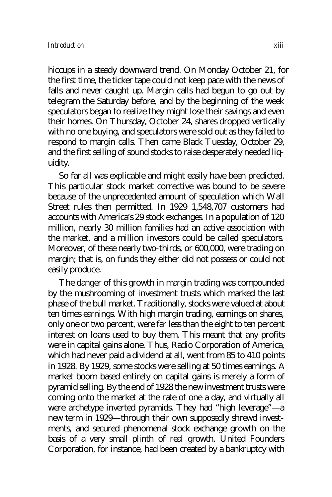hiccups in a steady downward trend. On Monday October 21, for the first time, the ticker tape could not keep pace with the news of falls and never caught up. Margin calls had begun to go out by telegram the Saturday before, and by the beginning of the week speculators began to realize they might lose their savings and even their homes. On Thursday, October 24, shares dropped vertically with no one buying, and speculators were sold out as they failed to respond to margin calls. Then came Black Tuesday, October 29, and the first selling of sound stocks to raise desperately needed liquidity.

So far all was explicable and might easily have been predicted. This particular stock market corrective was bound to be severe because of the unprecedented amount of speculation which Wall Street rules then permitted. In 1929 1,548,707 customers had accounts with America's 29 stock exchanges. In a population of 120 million, nearly 30 million families had an active association with the market, and a million investors could be called speculators. Moreover, of these nearly two-thirds, or 600,000, were trading on margin; that is, on funds they either did not possess or could not easily produce.

The danger of this growth in margin trading was compounded by the mushrooming of investment trusts which marked the last phase of the bull market. Traditionally, stocks were valued at about ten times earnings. With high margin trading, earnings on shares, only one or two percent, were far less than the eight to ten percent interest on loans used to buy them. This meant that any profits were in capital gains alone. Thus, Radio Corporation of America, which had never paid a dividend at all, went from 85 to 410 points in 1928. By 1929, some stocks were selling at 50 times earnings. A market boom based entirely on capital gains is merely a form of pyramid selling. By the end of 1928 the new investment trusts were coming onto the market at the rate of one a day, and virtually all were archetype inverted pyramids. They had "high leverage"—a new term in 1929—through their own supposedly shrewd investments, and secured phenomenal stock exchange growth on the basis of a very small plinth of real growth. United Founders Corporation, for instance, had been created by a bankruptcy with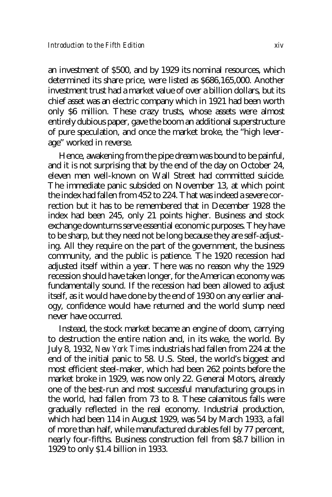an investment of \$500, and by 1929 its nominal resources, which determined its share price, were listed as \$686,165,000. Another investment trust had a market value of over a billion dollars, but its chief asset was an electric company which in 1921 had been worth only \$6 million. These crazy trusts, whose assets were almost entirely dubious paper, gave the boom an additional superstructure of pure speculation, and once the market broke, the "high leverage" worked in reverse.

Hence, awakening from the pipe dream was bound to be painful, and it is not surprising that by the end of the day on October 24, eleven men well-known on Wall Street had committed suicide. The immediate panic subsided on November 13, at which point the index had fallen from 452 to 224. That was indeed a severe correction but it has to be remembered that in December 1928 the index had been 245, only 21 points higher. Business and stock exchange downturns serve essential economic purposes. They have to be sharp, but they need not be long because they are self-adjusting. All they require on the part of the government, the business community, and the public is patience. The 1920 recession had adjusted itself within a year. There was no reason why the 1929 recession should have taken longer, for the American economy was fundamentally sound. If the recession had been allowed to adjust itself, as it would have done by the end of 1930 on any earlier analogy, confidence would have returned and the world slump need never have occurred.

Instead, the stock market became an engine of doom, carrying to destruction the entire nation and, in its wake, the world. By July 8, 1932, *New York Times* industrials had fallen from 224 at the end of the initial panic to 58. U.S. Steel, the world's biggest and most efficient steel-maker, which had been 262 points before the market broke in 1929, was now only 22. General Motors, already one of the best-run and most successful manufacturing groups in the world, had fallen from 73 to 8. These calamitous falls were gradually reflected in the real economy. Industrial production, which had been 114 in August 1929, was 54 by March 1933, a fall of more than half, while manufactured durables fell by 77 percent, nearly four-fifths. Business construction fell from \$8.7 billion in 1929 to only \$1.4 billion in 1933.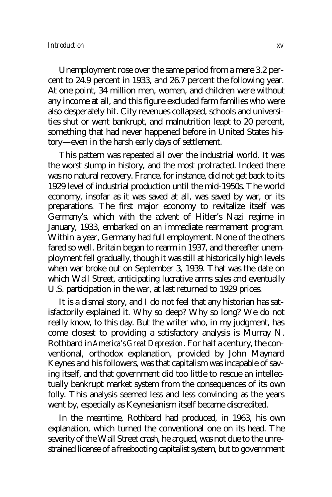Unemployment rose over the same period from a mere 3.2 percent to 24.9 percent in 1933, and 26.7 percent the following year. At one point, 34 million men, women, and children were without any income at all, and this figure excluded farm families who were also desperately hit. City revenues collapsed, schools and universities shut or went bankrupt, and malnutrition leapt to 20 percent, something that had never happened before in United States history—even in the harsh early days of settlement.

This pattern was repeated all over the industrial world. It was the worst slump in history, and the most protracted. Indeed there was no natural recovery. France, for instance, did not get back to its 1929 level of industrial production until the mid-1950s. The world economy, insofar as it was saved at all, was saved by war, or its preparations. The first major economy to revitalize itself was Germany's, which with the advent of Hitler's Nazi regime in January, 1933, embarked on an immediate rearmament program. Within a year, Germany had full employment. None of the others fared so well. Britain began to rearm in 1937, and thereafter unemployment fell gradually, though it was still at historically high levels when war broke out on September 3, 1939. That was the date on which Wall Street, anticipating lucrative arms sales and eventually U.S. participation in the war, at last returned to 1929 prices.

It is a dismal story, and I do not feel that any historian has satisfactorily explained it. Why so deep? Why so long? We do not really know, to this day. But the writer who, in my judgment, has come closest to providing a satisfactory analysis is Murray N. Rothbard in *America's Great Depression*. For half a century, the conventional, orthodox explanation, provided by John Maynard Keynes and his followers, was that capitalism was incapable of saving itself, and that government did too little to rescue an intellectually bankrupt market system from the consequences of its own folly. This analysis seemed less and less convincing as the years went by, especially as Keynesianism itself became discredited.

In the meantime, Rothbard had produced, in 1963, his own explanation, which turned the conventional one on its head. The severity of the Wall Street crash, he argued, was not due to the unrestrained license of a freebooting capitalist system, but to government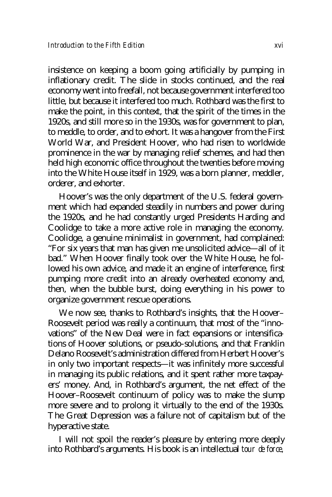insistence on keeping a boom going artificially by pumping in inflationary credit. The slide in stocks continued, and the real economy went into freefall, not because government interfered too little, but because it interfered too much. Rothbard was the first to make the point, in this context, that the spirit of the times in the 1920s, and still more so in the 1930s, was for government to plan, to meddle, to order, and to exhort. It was a hangover from the First World War, and President Hoover, who had risen to worldwide prominence in the war by managing relief schemes, and had then held high economic office throughout the twenties before moving into the White House itself in 1929, was a born planner, meddler, orderer, and exhorter.

Hoover's was the only department of the U.S. federal government which had expanded steadily in numbers and power during the 1920s, and he had constantly urged Presidents Harding and Coolidge to take a more active role in managing the economy. Coolidge, a genuine minimalist in government, had complained: "For six years that man has given me unsolicited advice—all of it bad." When Hoover finally took over the White House, he followed his own advice, and made it an engine of interference, first pumping more credit into an already overheated economy and, then, when the bubble burst, doing everything in his power to organize government rescue operations.

We now see, thanks to Rothbard's insights, that the Hoover– Roosevelt period was really a continuum, that most of the "innovations" of the New Deal were in fact expansions or intensifications of Hoover solutions, or pseudo-solutions, and that Franklin Delano Roosevelt's administration differed from Herbert Hoover's in only two important respects—it was infinitely more successful in managing its public relations, and it spent rather more taxpayers' money. And, in Rothbard's argument, the net effect of the Hoover–Roosevelt continuum of policy was to make the slump more severe and to prolong it virtually to the end of the 1930s. The Great Depression was a failure not of capitalism but of the hyperactive state.

I will not spoil the reader's pleasure by entering more deeply into Rothbard's arguments. His book is an intellectual *tour de force,*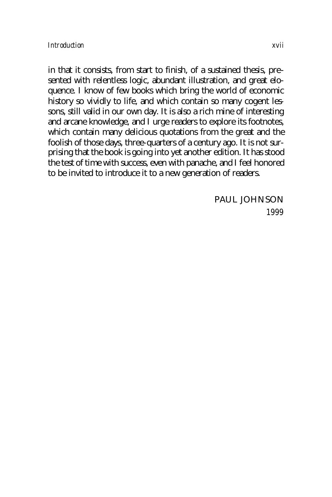in that it consists, from start to finish, of a sustained thesis, presented with relentless logic, abundant illustration, and great eloquence. I know of few books which bring the world of economic history so vividly to life, and which contain so many cogent lessons, still valid in our own day. It is also a rich mine of interesting and arcane knowledge, and I urge readers to explore its footnotes, which contain many delicious quotations from the great and the foolish of those days, three-quarters of a century ago. It is not surprising that the book is going into yet another edition. It has stood the test of time with success, even with panache, and I feel honored to be invited to introduce it to a new generation of readers.

> PAUL JOHNSON *1999*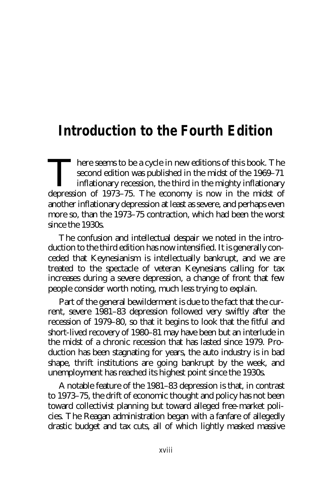# **Introduction to the Fourth Edition**

There seems to be a cycle in new editions of this book. The second edition was published in the midst of the 1969–71 inflationary recession, the third in the mighty inflationary depression of 1973–75. The economy is now in here seems to be a cycle in new editions of this book. The second edition was published in the midst of the 1969–71 inflationary recession, the third in the mighty inflationary another inflationary depression at least as severe, and perhaps even more so, than the 1973–75 contraction, which had been the worst since the 1930s.

The confusion and intellectual despair we noted in the introduction to the third edition has now intensified. It is generally conceded that Keynesianism is intellectually bankrupt, and we are treated to the spectacle of veteran Keynesians calling for tax increases during a severe depression, a change of front that few people consider worth noting, much less trying to explain.

Part of the general bewilderment is due to the fact that the current, severe 1981–83 depression followed very swiftly after the recession of 1979–80, so that it begins to look that the fitful and short-lived recovery of 1980–81 may have been but an interlude in the midst of a chronic recession that has lasted since 1979. Production has been stagnating for years, the auto industry is in bad shape, thrift institutions are going bankrupt by the week, and unemployment has reached its highest point since the 1930s.

A notable feature of the 1981–83 depression is that, in contrast to 1973–75, the drift of economic thought and policy has not been toward collectivist planning but toward alleged free-market policies. The Reagan administration began with a fanfare of allegedly drastic budget and tax cuts, all of which lightly masked massive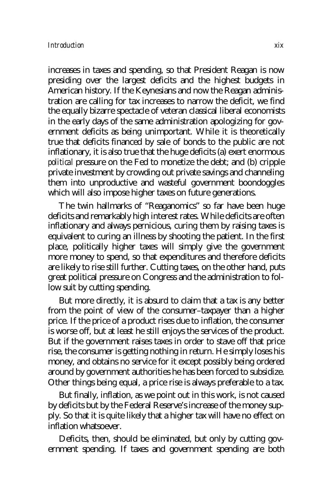increases in taxes and spending, so that President Reagan is now presiding over the largest deficits and the highest budgets in American history. If the Keynesians and now the Reagan administration are calling for tax increases to narrow the deficit, we find the equally bizarre spectacle of veteran classical liberal economists in the early days of the same administration apologizing for government deficits as being unimportant. While it is theoretically true that deficits financed by sale of bonds to the public are not inflationary, it is also true that the huge deficits (a) exert enormous *political* pressure on the Fed to monetize the debt; and (b) cripple private investment by crowding out private savings and channeling them into unproductive and wasteful government boondoggles which will also impose higher taxes on future generations.

The twin hallmarks of "Reaganomics" so far have been huge deficits and remarkably high interest rates. While deficits are often inflationary and always pernicious, curing them by raising taxes is equivalent to curing an illness by shooting the patient. In the first place, politically higher taxes will simply give the government more money to spend, so that expenditures and therefore deficits are likely to rise still further. Cutting taxes, on the other hand, puts great political pressure on Congress and the administration to follow suit by cutting spending.

But more directly, it is absurd to claim that a tax is any better from the point of view of the consumer–taxpayer than a higher price. If the price of a product rises due to inflation, the consumer is worse off, but at least he still enjoys the services of the product. But if the government raises taxes in order to stave off that price rise, the consumer is getting nothing in return. He simply loses his money, and obtains no service for it except possibly being ordered around by government authorities he has been forced to subsidize. Other things being equal, a price rise is always preferable to a tax.

But finally, inflation, as we point out in this work, is not caused by deficits but by the Federal Reserve's increase of the money supply. So that it is quite likely that a higher tax will have no effect on inflation whatsoever.

Deficits, then, should be eliminated, but only by cutting government spending. If taxes and government spending are both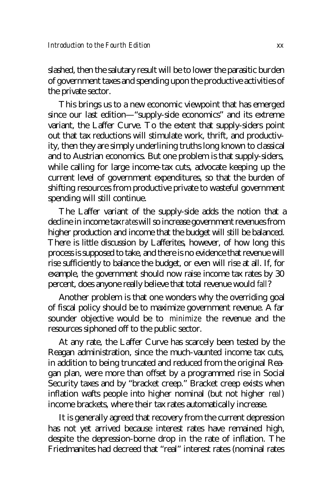slashed, then the salutary result will be to lower the parasitic burden of government taxes and spending upon the productive activities of the private sector.

This brings us to a new economic viewpoint that has emerged since our last edition—"supply-side economics" and its extreme variant, the Laffer Curve. To the extent that supply-siders point out that tax reductions will stimulate work, thrift, and productivity, then they are simply underlining truths long known to classical and to Austrian economics. But one problem is that supply-siders, while calling for large income-tax cuts, advocate keeping up the current level of government expenditures, so that the burden of shifting resources from productive private to wasteful government spending will still continue.

The Laffer variant of the supply-side adds the notion that a decline in income tax *rates*will so increase government revenues from higher production and income that the budget will still be balanced. There is little discussion by Lafferites, however, of how long this process is supposed to take, and there is no evidence that revenue will rise sufficiently to balance the budget, or even will rise at all. If, for example, the government should now raise income tax rates by 30 percent, does anyone really believe that total revenue would *fall*?

Another problem is that one wonders why the overriding goal of fiscal policy should be to maximize government revenue. A far sounder objective would be to *minimize* the revenue and the resources siphoned off to the public sector.

At any rate, the Laffer Curve has scarcely been tested by the Reagan administration, since the much-vaunted income tax cuts, in addition to being truncated and reduced from the original Reagan plan, were more than offset by a programmed rise in Social Security taxes and by "bracket creep." Bracket creep exists when inflation wafts people into higher nominal (but not higher *real*) income brackets, where their tax rates automatically increase.

It is generally agreed that recovery from the current depression has not yet arrived because interest rates have remained high, despite the depression-borne drop in the rate of inflation. The Friedmanites had decreed that "real" interest rates (nominal rates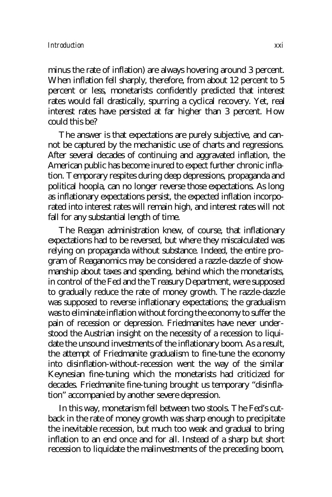minus the rate of inflation) are always hovering around 3 percent. When inflation fell sharply, therefore, from about 12 percent to 5 percent or less, monetarists confidently predicted that interest rates would fall drastically, spurring a cyclical recovery. Yet, real interest rates have persisted at far higher than 3 percent. How could this be?

The answer is that expectations are purely subjective, and cannot be captured by the mechanistic use of charts and regressions. After several decades of continuing and aggravated inflation, the American public has become inured to expect further chronic inflation. Temporary respites during deep depressions, propaganda and political hoopla, can no longer reverse those expectations. As long as inflationary expectations persist, the expected inflation incorporated into interest rates will remain high, and interest rates will not fall for any substantial length of time.

The Reagan administration knew, of course, that inflationary expectations had to be reversed, but where they miscalculated was relying on propaganda without substance. Indeed, the entire program of Reaganomics may be considered a razzle-dazzle of showmanship about taxes and spending, behind which the monetarists, in control of the Fed and the Treasury Department, were supposed to gradually reduce the rate of money growth. The razzle-dazzle was supposed to reverse inflationary expectations; the gradualism was to eliminate inflation without forcing the economy to suffer the pain of recession or depression. Friedmanites have never understood the Austrian insight on the necessity of a recession to liquidate the unsound investments of the inflationary boom. As a result, the attempt of Friedmanite gradualism to fine-tune the economy into disinflation-without-recession went the way of the similar Keynesian fine-tuning which the monetarists had criticized for decades. Friedmanite fine-tuning brought us temporary "disinflation" accompanied by another severe depression.

In this way, monetarism fell between two stools. The Fed's cutback in the rate of money growth was sharp enough to precipitate the inevitable recession, but much too weak and gradual to bring inflation to an end once and for all. Instead of a sharp but short recession to liquidate the malinvestments of the preceding boom,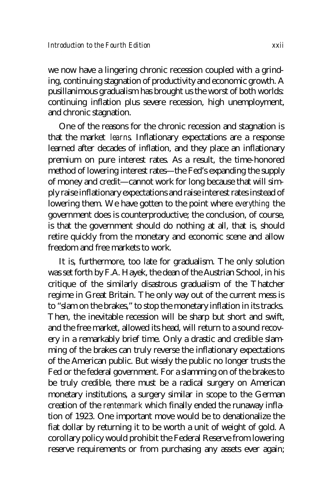we now have a lingering chronic recession coupled with a grinding, continuing stagnation of productivity and economic growth. A pusillanimous gradualism has brought us the worst of both worlds: continuing inflation plus severe recession, high unemployment, and chronic stagnation.

One of the reasons for the chronic recession and stagnation is that the market *learns*. Inflationary expectations are a response learned after decades of inflation, and they place an inflationary premium on pure interest rates. As a result, the time-honored method of lowering interest rates—the Fed's expanding the supply of money and credit—cannot work for long because that will simply raise inflationary expectations and raise interest rates instead of lowering them. We have gotten to the point where *everything* the government does is counterproductive; the conclusion, of course, is that the government should do nothing at all, that is, should retire quickly from the monetary and economic scene and allow freedom and free markets to work.

It is, furthermore, too late for gradualism. The only solution was set forth by F.A. Hayek, the dean of the Austrian School, in his critique of the similarly disastrous gradualism of the Thatcher regime in Great Britain. The only way out of the current mess is to "slam on the brakes," to stop the monetary inflation in its tracks. Then, the inevitable recession will be sharp but short and swift, and the free market, allowed its head, will return to a sound recovery in a remarkably brief time. Only a drastic and credible slamming of the brakes can truly reverse the inflationary expectations of the American public. But wisely the public no longer trusts the Fed or the federal government. For a slamming on of the brakes to be truly credible, there must be a radical surgery on American monetary institutions, a surgery similar in scope to the German creation of the *rentenmark* which finally ended the runaway inflation of 1923. One important move would be to denationalize the fiat dollar by returning it to be worth a unit of weight of gold. A corollary policy would prohibit the Federal Reserve from lowering reserve requirements or from purchasing any assets ever again;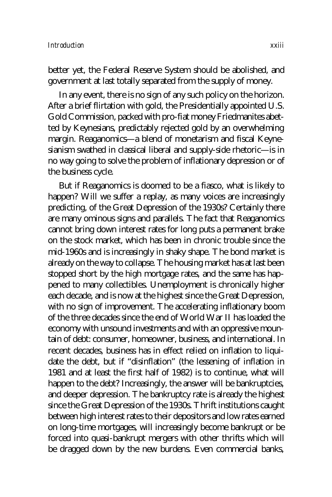better yet, the Federal Reserve System should be abolished, and government at last totally separated from the supply of money.

In any event, there is no sign of any such policy on the horizon. After a brief flirtation with gold, the Presidentially appointed U.S. Gold Commission, packed with pro-fiat money Friedmanites abetted by Keynesians, predictably rejected gold by an overwhelming margin. Reaganomics—a blend of monetarism and fiscal Keynesianism swathed in classical liberal and supply-side rhetoric—is in no way going to solve the problem of inflationary depression or of the business cycle.

But if Reaganomics is doomed to be a fiasco, what is likely to happen? Will we suffer a replay, as many voices are increasingly predicting, of the Great Depression of the 1930s? Certainly there are many ominous signs and parallels. The fact that Reaganomics cannot bring down interest rates for long puts a permanent brake on the stock market, which has been in chronic trouble since the mid-1960s and is increasingly in shaky shape. The bond market is already on the way to collapse. The housing market has at last been stopped short by the high mortgage rates, and the same has happened to many collectibles. Unemployment is chronically higher each decade, and is now at the highest since the Great Depression, with no sign of improvement. The accelerating inflationary boom of the three decades since the end of World War II has loaded the economy with unsound investments and with an oppressive mountain of debt: consumer, homeowner, business, and international. In recent decades, business has in effect relied on inflation to liquidate the debt, but if "disinflation" (the lessening of inflation in 1981 and at least the first half of 1982) is to continue, what will happen to the debt? Increasingly, the answer will be bankruptcies, and deeper depression. The bankruptcy rate is already the highest since the Great Depression of the 1930s. Thrift institutions caught between high interest rates to their depositors and low rates earned on long-time mortgages, will increasingly become bankrupt or be forced into quasi-bankrupt mergers with other thrifts which will be dragged down by the new burdens. Even commercial banks,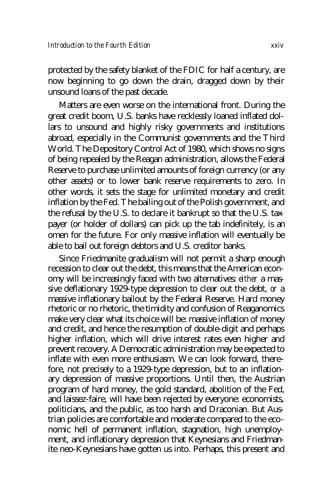protected by the safety blanket of the FDIC for half a century, are now beginning to go down the drain, dragged down by their unsound loans of the past decade.

Matters are even worse on the international front. During the great credit boom, U.S. banks have recklessly loaned inflated dollars to unsound and highly risky governments and institutions abroad, especially in the Communist governments and the Third World. The Depository Control Act of 1980, which shows no signs of being repealed by the Reagan administration, allows the Federal Reserve to purchase unlimited amounts of foreign currency (or any other assets) or to lower bank reserve requirements to zero. In other words, it sets the stage for unlimited monetary and credit inflation by the Fed. The bailing out of the Polish government, and the refusal by the U.S. to declare it bankrupt so that the U.S. taxpayer (or holder of dollars) can pick up the tab indefinitely, is an omen for the future. For only massive inflation will eventually be able to bail out foreign debtors and U.S. creditor banks.

Since Friedmanite gradualism will not permit a sharp enough recession to clear out the debt, this means that the American economy will be increasingly faced with two alternatives: *either* a massive deflationary 1929-type depression to clear out the debt, *or* a massive inflationary bailout by the Federal Reserve. Hard money rhetoric or no rhetoric, the timidity and confusion of Reaganomics make very clear what its choice will be: massive inflation of money and credit, and hence the resumption of double-digit and perhaps higher inflation, which will drive interest rates even higher and prevent recovery. A Democratic administration may be expected to inflate with even more enthusiasm. We can look forward, therefore, not precisely to a 1929-type depression, but to an inflationary depression of massive proportions. Until then, the Austrian program of hard money, the gold standard, abolition of the Fed, and laissez-faire, will have been rejected by everyone: economists, politicians, and the public, as too harsh and Draconian. But Austrian policies are comfortable and moderate compared to the economic hell of permanent inflation, stagnation, high unemployment, and inflationary depression that Keynesians and Friedmanite neo-Keynesians have gotten us into. Perhaps, this present and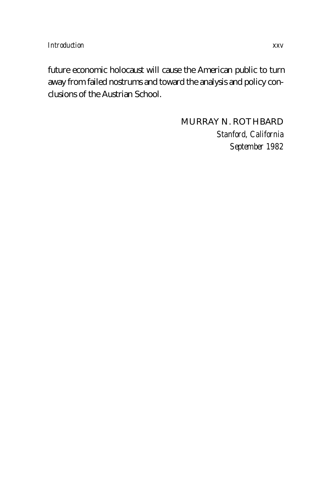*Introduction xxv*

future economic holocaust will cause the American public to turn away from failed nostrums and toward the analysis and policy conclusions of the Austrian School.

> MURRAY N. ROTHBARD *Stanford, California September 1982*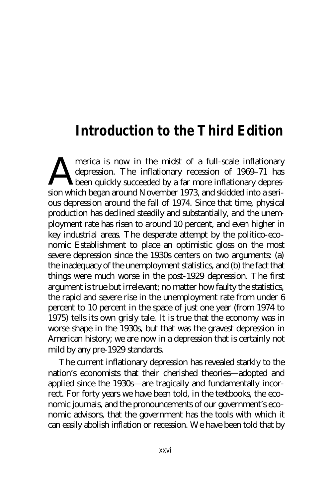# **Introduction to the Third Edition**

merica is now in the midst of a full-scale inflationary depression. The inflationary recession of 1969-71 has been quickly succeeded by a far more inflationary depression which began around November 1973, and skidded into merica is now in the midst of a full-scale inflationary depression. The inflationary recession of 1969–71 has been quickly succeeded by a far more inflationary depresous depression around the fall of 1974. Since that time, physical production has declined steadily and substantially, and the unemployment rate has risen to around 10 percent, and even higher in key industrial areas. The desperate attempt by the politico-economic Establishment to place an optimistic gloss on the most severe depression since the 1930s centers on two arguments: (a) the inadequacy of the unemployment statistics, and (b) the fact that things were much worse in the post-1929 depression. The first argument is true but irrelevant; no matter how faulty the statistics, the rapid and severe rise in the unemployment rate from under 6 percent to 10 percent in the space of just one year (from 1974 to 1975) tells its own grisly tale. It is true that the economy was in worse shape in the 1930s, but that was the gravest depression in American history; we are now in a depression that is certainly not mild by any pre-1929 standards.

The current inflationary depression has revealed starkly to the nation's economists that their cherished theories—adopted and applied since the 1930s—are tragically and fundamentally incorrect. For forty years we have been told, in the textbooks, the economic journals, and the pronouncements of our government's economic advisors, that the government has the tools with which it can easily abolish inflation or recession. We have been told that by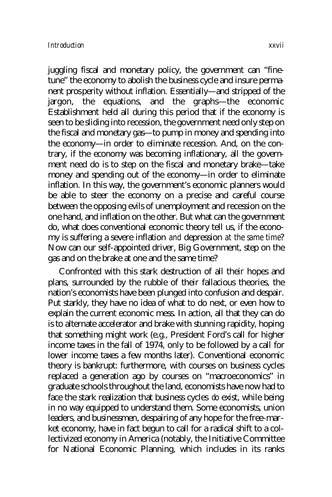juggling fiscal and monetary policy, the government can "finetune" the economy to abolish the business cycle and insure permanent prosperity without inflation. Essentially—and stripped of the jargon, the equations, and the graphs—the economic Establishment held all during this period that if the economy is seen to be sliding into recession, the government need only step on the fiscal and monetary gas—to pump in money and spending into the economy—in order to eliminate recession. And, on the contrary, if the economy was becoming inflationary, all the government need do is to step on the fiscal and monetary brake—take money and spending out of the economy—in order to eliminate inflation. In this way, the government's economic planners would be able to steer the economy on a precise and careful course between the opposing evils of unemployment and recession on the one hand, and inflation on the other. But what can the government do, what does conventional economic theory tell us, if the economy is suffering a severe inflation *and* depression *at the same time*? Now can our self-appointed driver, Big Government, step on the gas and on the brake at one and the same time?

Confronted with this stark destruction of all their hopes and plans, surrounded by the rubble of their fallacious theories, the nation's economists have been plunged into confusion and despair. Put starkly, they have no idea of what to do next, or even how to explain the current economic mess. In action, all that they can do is to alternate accelerator and brake with stunning rapidity, hoping that something might work (e.g., President Ford's call for higher income taxes in the fall of 1974, only to be followed by a call for lower income taxes a few months later). Conventional economic theory is bankrupt: furthermore, with courses on business cycles replaced a generation ago by courses on "macroeconomics" in graduate schools throughout the land, economists have now had to face the stark realization that business cycles *do* exist, while being in no way equipped to understand them. Some economists, union leaders, and businessmen, despairing of any hope for the free-market economy, have in fact begun to call for a radical shift to a collectivized economy in America (notably, the Initiative Committee for National Economic Planning, which includes in its ranks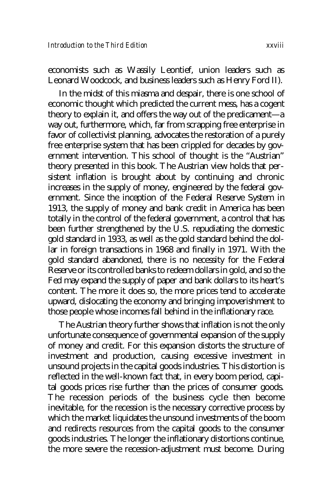economists such as Wassily Leontief, union leaders such as Leonard Woodcock, and business leaders such as Henry Ford II).

In the midst of this miasma and despair, there is one school of economic thought which predicted the current mess, has a cogent theory to explain it, and offers the way out of the predicament—a way out, furthermore, which, far from scrapping free enterprise in favor of collectivist planning, advocates the restoration of a purely free enterprise system that has been crippled for decades by government intervention. This school of thought is the "Austrian" theory presented in this book. The Austrian view holds that persistent inflation is brought about by continuing and chronic increases in the supply of money, engineered by the federal government. Since the inception of the Federal Reserve System in 1913, the supply of money and bank credit in America has been totally in the control of the federal government, a control that has been further strengthened by the U.S. repudiating the domestic gold standard in 1933, as well as the gold standard behind the dollar in foreign transactions in 1968 and finally in 1971. With the gold standard abandoned, there is no necessity for the Federal Reserve or its controlled banks to redeem dollars in gold, and so the Fed may expand the supply of paper and bank dollars to its heart's content. The more it does so, the more prices tend to accelerate upward, dislocating the economy and bringing impoverishment to those people whose incomes fall behind in the inflationary race.

The Austrian theory further shows that inflation is not the only unfortunate consequence of governmental expansion of the supply of money and credit. For this expansion distorts the structure of investment and production, causing excessive investment in unsound projects in the capital goods industries. This distortion is reflected in the well-known fact that, in every boom period, capital goods prices rise further than the prices of consumer goods. The recession periods of the business cycle then become inevitable, for the recession is the necessary corrective process by which the market liquidates the unsound investments of the boom and redirects resources from the capital goods to the consumer goods industries. The longer the inflationary distortions continue, the more severe the recession-adjustment must become. During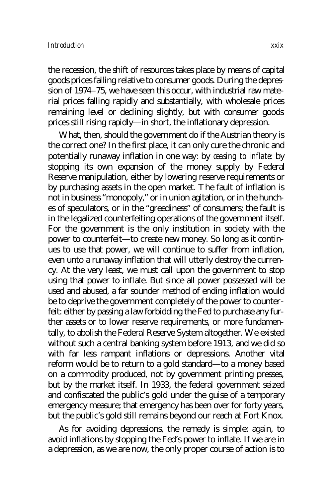the recession, the shift of resources takes place by means of capital goods prices falling relative to consumer goods. During the depression of 1974–75, we have seen this occur, with industrial raw material prices falling rapidly and substantially, with wholesale prices remaining level or declining slightly, but with consumer goods prices still rising rapidly—in short, the inflationary depression.

What, then, should the government do if the Austrian theory is the correct one? In the first place, it can only cure the chronic and potentially runaway inflation in one way: by *ceasing to inflate*: by stopping its own expansion of the money supply by Federal Reserve manipulation, either by lowering reserve requirements or by purchasing assets in the open market. The fault of inflation is not in business "monopoly," or in union agitation, or in the hunches of speculators, or in the "greediness" of consumers; the fault is in the legalized counterfeiting operations of the government itself. For the government is the only institution in society with the power to counterfeit—to create new money. So long as it continues to use that power, we will continue to suffer from inflation, even unto a runaway inflation that will utterly destroy the currency. At the very least, we must call upon the government to stop using that power to inflate. But since all power possessed will be used and abused, a far sounder method of ending inflation would be to deprive the government completely of the power to counterfeit: either by passing a law forbidding the Fed to purchase any further assets or to lower reserve requirements, or more fundamentally, to abolish the Federal Reserve System altogether. We existed without such a central banking system before 1913, and we did so with far less rampant inflations or depressions. Another vital reform would be to return to a gold standard—to a money based on a commodity produced, not by government printing presses, but by the market itself. In 1933, the federal government seized and confiscated the public's gold under the guise of a temporary emergency measure; that emergency has been over for forty years, but the public's gold still remains beyond our reach at Fort Knox.

As for avoiding depressions, the remedy is simple: again, to avoid inflations by stopping the Fed's power to inflate. If we are in a depression, as we are now, the only proper course of action is to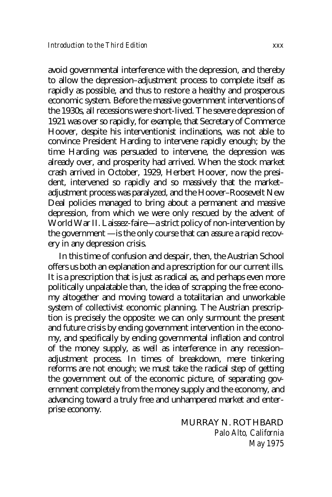avoid governmental interference with the depression, and thereby to allow the depression–adjustment process to complete itself as rapidly as possible, and thus to restore a healthy and prosperous economic system. Before the massive government interventions of the 1930s, all recessions were short-lived. The severe depression of 1921 was over so rapidly, for example, that Secretary of Commerce Hoover, despite his interventionist inclinations, was not able to convince President Harding to intervene rapidly enough; by the time Harding was persuaded to intervene, the depression was already over, and prosperity had arrived. When the stock market crash arrived in October, 1929, Herbert Hoover, now the president, intervened so rapidly and so massively that the market– adjustment process was paralyzed, and the Hoover–Roosevelt New Deal policies managed to bring about a permanent and massive depression, from which we were only rescued by the advent of World War II. Laissez-faire—a strict policy of non-intervention by the government —is the only course that can assure a rapid recovery in any depression crisis.

In this time of confusion and despair, then, the Austrian School offers us both an explanation and a prescription for our current ills. It is a prescription that is just as radical as, and perhaps even more politically unpalatable than, the idea of scrapping the free economy altogether and moving toward a totalitarian and unworkable system of collectivist economic planning. The Austrian prescription is precisely the opposite: we can only surmount the present and future crisis by ending government intervention in the economy, and specifically by ending governmental inflation and control of the money supply, as well as interference in any recession– adjustment process. In times of breakdown, mere tinkering reforms are not enough; we must take the radical step of getting the government out of the economic picture, of separating government completely from the money supply and the economy, and advancing toward a truly free and unhampered market and enterprise economy.

> MURRAY N. ROTHBARD *Palo Alto, California May 1975*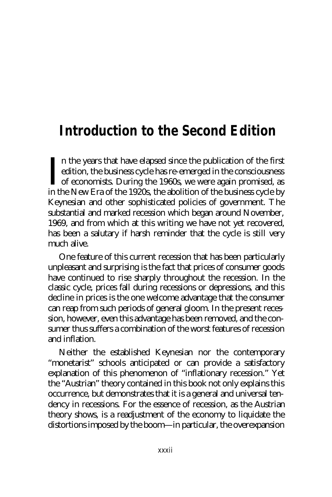# **Introduction to the Second Edition**

I n the years that have elapsed since the publication of the first edition, the business cycle has re-emerged in the consciousness of economists. During the 1960s, we were again promised, as in the New Era of the 1920s, the abolition of the business cycle by Keynesian and other sophisticated policies of government. The substantial and marked recession which began around November, 1969, and from which at this writing we have not yet recovered, has been a salutary if harsh reminder that the cycle is still very much alive.

One feature of this current recession that has been particularly unpleasant and surprising is the fact that prices of consumer goods have continued to rise sharply throughout the recession. In the classic cycle, prices fall during recessions or depressions, and this decline in prices is the one welcome advantage that the consumer can reap from such periods of general gloom. In the present recession, however, even this advantage has been removed, and the consumer thus suffers a combination of the worst features of recession and inflation.

Neither the established Keynesian nor the contemporary "monetarist" schools anticipated or can provide a satisfactory explanation of this phenomenon of "inflationary recession." Yet the "Austrian" theory contained in this book not only explains this occurrence, but demonstrates that it is a general and universal tendency in recessions. For the essence of recession, as the Austrian theory shows, is a readjustment of the economy to liquidate the distortions imposed by the boom—in particular, the overexpansion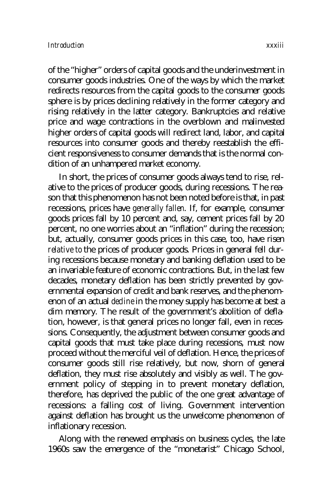of the "higher" orders of capital goods and the underinvestment in consumer goods industries. One of the ways by which the market redirects resources from the capital goods to the consumer goods sphere is by prices declining relatively in the former category and rising relatively in the latter category. Bankruptcies and relative price and wage contractions in the overblown and malinvested higher orders of capital goods will redirect land, labor, and capital resources into consumer goods and thereby reestablish the efficient responsiveness to consumer demands that is the normal condition of an unhampered market economy.

In short, the prices of consumer goods always tend to rise, relative to the prices of producer goods, during recessions. The reason that this phenomenon has not been noted before is that, in past recessions, prices have *generally fallen*. If, for example, consumer goods prices fall by 10 percent and, say, cement prices fall by 20 percent, no one worries about an "inflation" during the recession; but, actually, consumer goods prices in this case, too, have risen *relative to* the prices of producer goods. Prices in general fell during recessions because monetary and banking deflation used to be an invariable feature of economic contractions. But, in the last few decades, monetary deflation has been strictly prevented by governmental expansion of credit and bank reserves, and the phenomenon of an actual *decline* in the money supply has become at best a dim memory. The result of the government's abolition of deflation, however, is that general prices no longer fall, even in recessions. Consequently, the adjustment between consumer goods and capital goods that must take place during recessions, must now proceed without the merciful veil of deflation. Hence, the prices of consumer goods still rise relatively, but now, shorn of general deflation, they must rise absolutely and visibly as well. The government policy of stepping in to prevent monetary deflation, therefore, has deprived the public of the one great advantage of recessions: a falling cost of living. Government intervention against deflation has brought us the unwelcome phenomenon of inflationary recession.

Along with the renewed emphasis on business cycles, the late 1960s saw the emergence of the "monetarist" Chicago School,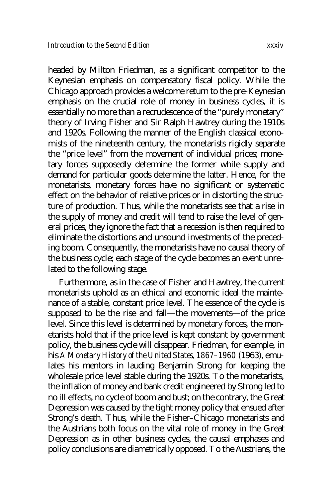headed by Milton Friedman, as a significant competitor to the Keynesian emphasis on compensatory fiscal policy. While the Chicago approach provides a welcome return to the pre-Keynesian emphasis on the crucial role of money in business cycles, it is essentially no more than a recrudescence of the "purely monetary" theory of Irving Fisher and Sir Ralph Hawtrey during the 1910s and 1920s. Following the manner of the English classical economists of the nineteenth century, the monetarists rigidly separate the "price level" from the movement of individual prices; monetary forces supposedly determine the former while supply and demand for particular goods determine the latter. Hence, for the monetarists, monetary forces have no significant or systematic effect on the behavior of relative prices or in distorting the structure of production. Thus, while the monetarists see that a rise in the supply of money and credit will tend to raise the level of general prices, they ignore the fact that a recession is then required to eliminate the distortions and unsound investments of the preceding boom. Consequently, the monetarists have no causal theory of the business cycle; each stage of the cycle becomes an event unrelated to the following stage.

Furthermore, as in the case of Fisher and Hawtrey, the current monetarists uphold as an ethical and economic ideal the maintenance of a stable, constant price level. The essence of the cycle is supposed to be the rise and fall—the movements—of the price level. Since this level is determined by monetary forces, the monetarists hold that if the price level is kept constant by government policy, the business cycle will disappear. Friedman, for example, in his *A Monetary History of the United States, 1867–1960* (1963), emulates his mentors in lauding Benjamin Strong for keeping the wholesale price level stable during the 1920s. To the monetarists, the inflation of money and bank credit engineered by Strong led to no ill effects, no cycle of boom and bust; on the contrary, the Great Depression was caused by the tight money policy that ensued after Strong's death. Thus, while the Fisher–Chicago monetarists and the Austrians both focus on the vital role of money in the Great Depression as in other business cycles, the causal emphases and policy conclusions are diametrically opposed. To the Austrians, the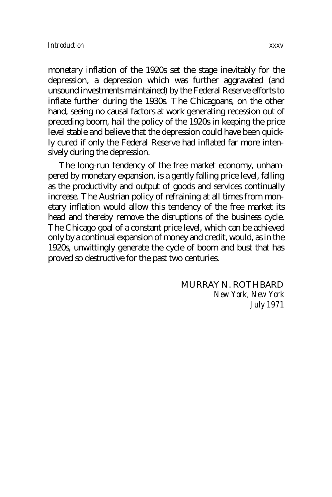monetary inflation of the 1920s set the stage inevitably for the depression, a depression which was further aggravated (and unsound investments maintained) by the Federal Reserve efforts to inflate further during the 1930s. The Chicagoans, on the other hand, seeing no causal factors at work generating recession out of preceding boom, hail the policy of the 1920s in keeping the price level stable and believe that the depression could have been quickly cured if only the Federal Reserve had inflated far more intensively during the depression.

The long-run tendency of the free market economy, unhampered by monetary expansion, is a gently falling price level, falling as the productivity and output of goods and services continually increase. The Austrian policy of refraining at all times from monetary inflation would allow this tendency of the free market its head and thereby remove the disruptions of the business cycle. The Chicago goal of a constant price level, which can be achieved only by a continual expansion of money and credit, would, as in the 1920s, unwittingly generate the cycle of boom and bust that has proved so destructive for the past two centuries.

> MURRAY N. ROTHBARD *New York, New York July 1971*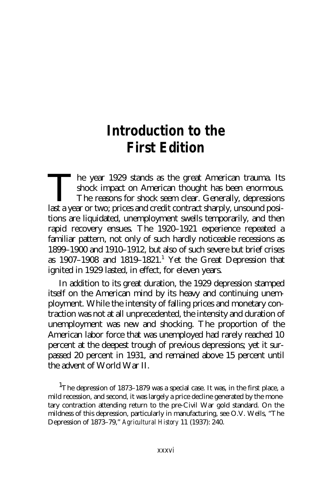### **Introduction to the First Edition**

The year 1929 stands as the great American trauma. Its<br>shock impact on American thought has been enormous.<br>The reasons for shock seem clear. Generally, depressions<br>last a year or two; prices and credit contract sharply, un **The year 1929 stands as the great American trauma. Its** shock impact on American thought has been enormous. The reasons for shock seem clear. Generally, depressions tions are liquidated, unemployment swells temporarily, and then rapid recovery ensues. The 1920–1921 experience repeated a familiar pattern, not only of such hardly noticeable recessions as 1899–1900 and 1910–1912, but also of such severe but brief crises as  $1907-1908$  and  $1819-1821$ .<sup>1</sup> Yet the Great Depression that ignited in 1929 lasted, in effect, for eleven years.

In addition to its great duration, the 1929 depression stamped itself on the American mind by its heavy and continuing unemployment. While the intensity of falling prices and monetary contraction was not at all unprecedented, the intensity and duration of unemployment was new and shocking. The proportion of the American labor force that was unemployed had rarely reached 10 percent at the deepest trough of previous depressions; yet it surpassed 20 percent in 1931, and remained above 15 percent until the advent of World War II.

<sup>1</sup>The depression of 1873-1879 was a special case. It was, in the first place, a mild recession, and second, it was largely a price decline generated by the monetary contraction attending return to the pre-Civil War gold standard. On the mildness of this depression, particularly in manufacturing, see O.V. Wells, "The Depression of 1873–79," *Agricultural History* 11 (1937): 240.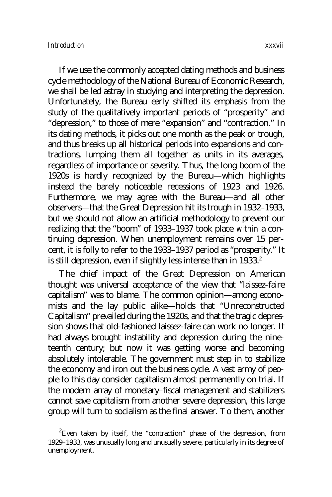If we use the commonly accepted dating methods and business cycle methodology of the National Bureau of Economic Research, we shall be led astray in studying and interpreting the depression. Unfortunately, the Bureau early shifted its emphasis from the study of the qualitatively important periods of "prosperity" and "depression," to those of mere "expansion" and "contraction." In its dating methods, it picks out one month as the peak or trough, and thus breaks up all historical periods into expansions and contractions, lumping them all together as units in its averages, regardless of importance or severity. Thus, the long boom of the 1920s is hardly recognized by the Bureau—which highlights instead the barely noticeable recessions of 1923 and 1926. Furthermore, we may agree with the Bureau—and all other observers—that the Great Depression hit its trough in 1932–1933, but we should not allow an artificial methodology to prevent our realizing that the "boom" of 1933–1937 took place *within* a continuing depression. When unemployment remains over 15 percent, it is folly to refer to the 1933–1937 period as "prosperity." It is still depression, even if slightly less intense than in 1933.<sup>2</sup>

The chief impact of the Great Depression on American thought was universal acceptance of the view that "laissez-faire capitalism" was to blame. The common opinion—among economists and the lay public alike—holds that "Unreconstructed Capitalism" prevailed during the 1920s, and that the tragic depression shows that old-fashioned laissez-faire can work no longer. It had always brought instability and depression during the nineteenth century; but now it was getting worse and becoming absolutely intolerable. The government must step in to stabilize the economy and iron out the business cycle. A vast army of people to this day consider capitalism almost permanently on trial. If the modern array of monetary–fiscal management and stabilizers cannot save capitalism from another severe depression, this large group will turn to socialism as the final answer. To them, another

 $2$ Even taken by itself, the "contraction" phase of the depression, from 1929–1933, was unusually long and unusually severe, particularly in its degree of unemployment.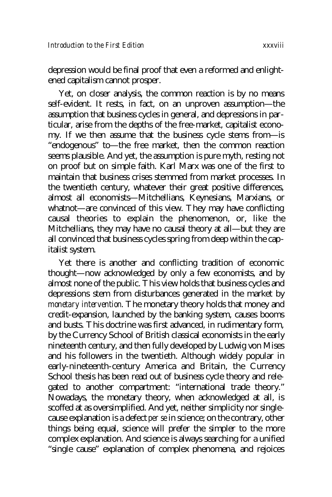depression would be final proof that even a reformed and enlightened capitalism cannot prosper.

Yet, on closer analysis, the common reaction is by no means self-evident. It rests, in fact, on an unproven assumption—the assumption that business cycles in general, and depressions in particular, arise from the depths of the free-market, capitalist economy. If we then assume that the business cycle stems from—is "endogenous" to—the free market, then the common reaction seems plausible. And yet, the assumption is pure myth, resting not on proof but on simple faith. Karl Marx was one of the first to maintain that business crises stemmed from market processes. In the twentieth century, whatever their great positive differences, almost all economists—Mitchellians, Keynesians, Marxians, or whatnot—are convinced of this view. They may have conflicting causal theories to explain the phenomenon, or, like the Mitchellians, they may have no causal theory at all—but they are all convinced that business cycles spring from deep within the capitalist system.

Yet there is another and conflicting tradition of economic thought—now acknowledged by only a few economists, and by almost none of the public. This view holds that business cycles and depressions stem from disturbances generated in the market by *monetary intervention*. The monetary theory holds that money and credit-expansion, launched by the banking system, causes booms and busts. This doctrine was first advanced, in rudimentary form, by the Currency School of British classical economists in the early nineteenth century, and then fully developed by Ludwig von Mises and his followers in the twentieth. Although widely popular in early-nineteenth-century America and Britain, the Currency School thesis has been read out of business cycle theory and relegated to another compartment: "international trade theory." Nowadays, the monetary theory, when acknowledged at all, is scoffed at as oversimplified. And yet, neither simplicity nor singlecause explanation is a defect *per se* in science; on the contrary, other things being equal, science will prefer the simpler to the more complex explanation. And science is always searching for a unified "single cause" explanation of complex phenomena, and rejoices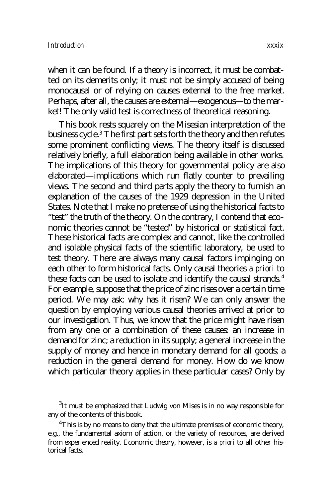when it can be found. If a theory is incorrect, it must be combatted on its demerits only; it must not be simply accused of being monocausal or of relying on causes external to the free market. Perhaps, after all, the causes are external—exogenous—to the market! The only valid test is correctness of theoretical reasoning.

This book rests squarely on the Misesian interpretation of the business cycle.<sup>3</sup> The first part sets forth the theory and then refutes some prominent conflicting views. The theory itself is discussed relatively briefly, a full elaboration being available in other works. The implications of this theory for governmental policy are also elaborated—implications which run flatly counter to prevailing views. The second and third parts apply the theory to furnish an explanation of the causes of the 1929 depression in the United States. Note that I make no pretense of using the historical facts to "test" the truth of the theory. On the contrary, I contend that economic theories cannot be "tested" by historical or statistical fact. These historical facts are complex and cannot, like the controlled and isolable physical facts of the scientific laboratory, be used to test theory. There are always many causal factors impinging on each other to form historical facts. Only causal theories *a priori* to these facts can be used to isolate and identify the causal strands.<sup>4</sup> For example, suppose that the price of zinc rises over a certain time period. We may ask: why has it risen? We can only answer the question by employing various causal theories arrived at prior to our investigation. Thus, we know that the price might have risen from any one or a combination of these causes: an increase in demand for zinc; a reduction in its supply; a general increase in the supply of money and hence in monetary demand for all goods; a reduction in the general demand for money. How do we know which particular theory applies in these particular cases? Only by

 ${\rm ^3H}$  must be emphasized that Ludwig von Mises is in no way responsible for any of the contents of this book.

 $4$ This is by no means to deny that the ultimate premises of economic theory, e.g., the fundamental axiom of action, or the variety of resources, are derived from experienced reality. Economic theory, however, is *a priori* to all other historical facts.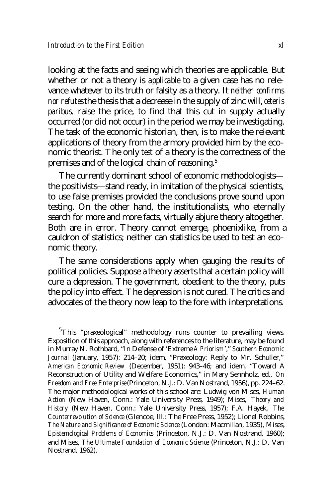looking at the facts and seeing which theories are applicable. But whether or not a theory is *applicable* to a given case has no relevance whatever to its truth or falsity as a theory. It *neither confirms nor refutes*the thesis that a decrease in the supply of zinc will, *ceteris paribus,* raise the price, to find that this cut in supply actually occurred (or did not occur) in the period we may be investigating. The task of the economic historian, then, is to make the relevant applications of theory from the armory provided him by the economic theorist. The only *test* of a theory is the correctness of the premises and of the logical chain of reasoning.<sup>5</sup>

The currently dominant school of economic methodologists the positivists—stand ready, in imitation of the physical scientists, to use false premises provided the conclusions prove sound upon testing. On the other hand, the institutionalists, who eternally search for more and more facts, virtually abjure theory altogether. Both are in error. Theory cannot emerge, phoenixlike, from a cauldron of statistics; neither can statistics be used to test an economic theory.

The same considerations apply when gauging the results of political policies. Suppose a theory asserts that a certain policy will cure a depression. The government, obedient to the theory, puts the policy into effect. The depression is not cured. The critics and advocates of the theory now leap to the fore with interpretations.

<sup>5</sup>This "praxeological" methodology runs counter to prevailing views. Exposition of this approach, along with references to the literature, may be found in Murray N. Rothbard, "In Defense of 'Extreme *A Priorism*'," *Southern Economic Journal* (January, 1957): 214–20; idem, "Praxeology: Reply to Mr. Schuller," *American Economic Review* (December, 1951): 943–46; and idem, "Toward A Reconstruction of Utility and Welfare Economics," in Mary Sennholz, ed., *On Freedom and Free Enterprise* (Princeton, N.J.: D. Van Nostrand, 1956), pp. 224–62. The major methodological works of this school are: Ludwig von Mises, *Human Action* (New Haven, Conn.: Yale University Press, 1949); Mises, *Theory and History* (New Haven, Conn.: Yale University Press, 1957); F.A. Hayek, *The Counterrevolution of Science* (Glencoe, Ill.: The Free Press, 1952); Lionel Robbins, *The Nature and Significance of Economic Science* (London: Macmillan, 1935), Mises, *Epistemological Problems of Economics* (Princeton, N.J.: D. Van Nostrand, 1960); and Mises, *The Ultimate Foundation of Economic Science* (Princeton, N.J.: D. Van Nostrand, 1962).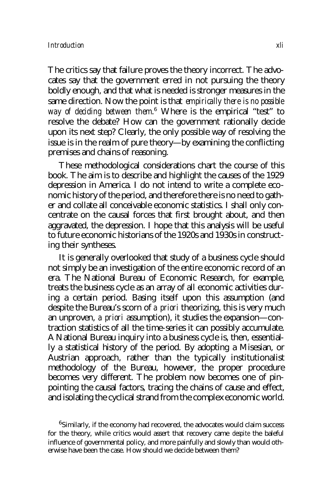The critics say that failure proves the theory incorrect. The advocates say that the government erred in not pursuing the theory boldly enough, and that what is needed is stronger measures in the same direction. Now the point is that *empirically there is no possible* way of deciding between them.<sup>6</sup> Where is the empirical "test" to resolve the debate? How can the government rationally decide upon its next step? Clearly, the only possible way of resolving the issue is in the realm of pure theory—by examining the conflicting premises and chains of reasoning.

These methodological considerations chart the course of this book. The aim is to describe and highlight the causes of the 1929 depression in America. I do not intend to write a complete economic history of the period, and therefore there is no need to gather and collate all conceivable economic statistics. I shall only concentrate on the causal forces that first brought about, and then aggravated, the depression. I hope that this analysis will be useful to future economic historians of the 1920s and 1930s in constructing their syntheses.

It is generally overlooked that study of a business cycle should not simply be an investigation of the entire economic record of an era. The National Bureau of Economic Research, for example, treats the business cycle as an array of all economic activities during a certain period. Basing itself upon this assumption (and despite the Bureau's scorn of *a priori* theorizing, this is very much an unproven, *a priori* assumption), it studies the expansion—contraction statistics of all the time-series it can possibly accumulate. A National Bureau inquiry into a business cycle is, then, essentially a statistical history of the period. By adopting a Misesian, or Austrian approach, rather than the typically institutionalist methodology of the Bureau, however, the proper procedure becomes very different. The problem now becomes one of pinpointing the causal factors, tracing the chains of cause and effect, and isolating the cyclical strand from the complex economic world.

 $6$ Similarly, if the economy had recovered, the advocates would claim success for the theory, while critics would assert that recovery came *despite* the baleful influence of governmental policy, and more painfully and slowly than would otherwise have been the case. How should we decide between them?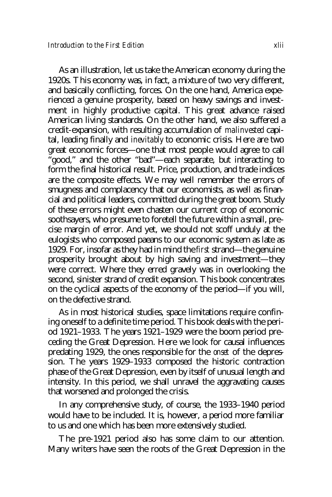As an illustration, let us take the American economy during the 1920s. This economy was, in fact, a mixture of two very different, and basically conflicting, forces. On the one hand, America experienced a genuine prosperity, based on heavy savings and investment in highly productive capital. This great advance raised American living standards. On the other hand, we also suffered a credit-expansion, with resulting accumulation of *malinvested* capital, leading finally and *inevitably* to economic crisis. Here are two great economic forces—one that most people would agree to call "good," and the other "bad"—each separate, but interacting to form the final historical result. Price, production, and trade indices are the composite effects. We may well remember the errors of smugness and complacency that our economists, as well as financial and political leaders, committed during the great boom. Study of these errors might even chasten our current crop of economic soothsayers, who presume to foretell the future within a small, precise margin of error. And yet, we should not scoff unduly at the eulogists who composed paeans to our economic system as late as 1929. For, insofar as they had in mind the *first* strand—the genuine prosperity brought about by high saving and investment—they were correct. Where they erred gravely was in overlooking the second, sinister strand of credit expansion. This book concentrates on the cyclical aspects of the economy of the period—if you will, on the defective strand.

As in most historical studies, space limitations require confining oneself to a definite time period. This book deals with the period 1921–1933. The years 1921–1929 were the boom period preceding the Great Depression. Here we look for causal influences predating 1929, the ones responsible for the *onset* of the depression. The years 1929–1933 composed the historic contraction phase of the Great Depression, even by itself of unusual length and intensity. In this period, we shall unravel the aggravating causes that worsened and prolonged the crisis.

In any comprehensive study, of course, the 1933–1940 period would have to be included. It is, however, a period more familiar to us and one which has been more extensively studied.

The pre-1921 period also has some claim to our attention. Many writers have seen the roots of the Great Depression in the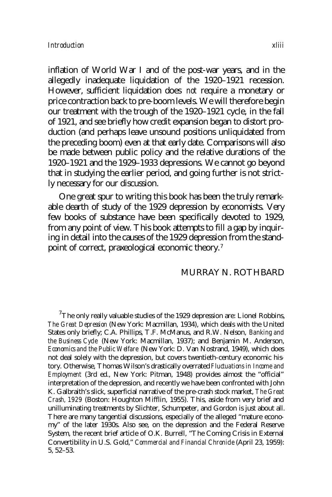inflation of World War I and of the post-war years, and in the allegedly inadequate liquidation of the 1920–1921 recession. However, sufficient liquidation does *not* require a monetary or price contraction back to pre-boom levels. We will therefore begin our treatment with the trough of the 1920–1921 cycle, in the fall of 1921, and see briefly how credit expansion began to distort production (and perhaps leave unsound positions unliquidated from the preceding boom) even at that early date. Comparisons will also be made between public policy and the relative durations of the 1920–1921 and the 1929–1933 depressions. We cannot go beyond that in studying the earlier period, and going further is not strictly necessary for our discussion.

One great spur to writing this book has been the truly remarkable dearth of study of the 1929 depression by economists. Very few books of substance have been specifically devoted to 1929, from any point of view. This book attempts to fill a gap by inquiring in detail into the causes of the 1929 depression from the standpoint of correct, praxeological economic theory.<sup>7</sup>

#### MURRAY N. ROTHBARD

 $7$ The only really valuable studies of the 1929 depression are: Lionel Robbins, *The Great Depression* (New York: Macmillan, 1934), which deals with the United States only briefly; C.A. Phillips, T.F. McManus, and R.W. Nelson, *Banking and the Business Cycle* (New York: Macmillan, 1937); and Benjamin M. Anderson, *Economics and the Public Welfare* (New York: D. Van Nostrand, 1949), which does not deal solely with the depression, but covers twentieth-century economic history. Otherwise, Thomas Wilson's drastically overrated *Fluctuations in Income and Employment* (3rd ed., New York: Pitman, 1948) provides almost the "official" interpretation of the depression, and recently we have been confronted with John K. Galbraith's slick, superficial narrative of the pre-crash stock market, *The Great Crash, 1929* (Boston: Houghton Mifflin, 1955). This, aside from very brief and unilluminating treatments by Slichter, Schumpeter, and Gordon is just about all. There are many tangential discussions, especially of the alleged "mature economy" of the later 1930s. Also see, on the depression and the Federal Reserve System, the recent brief article of O.K. Burrell, "The Coming Crisis in External Convertibility in U.S. Gold," *Commercial and Financial Chronicle* (April 23, 1959): 5, 52–53.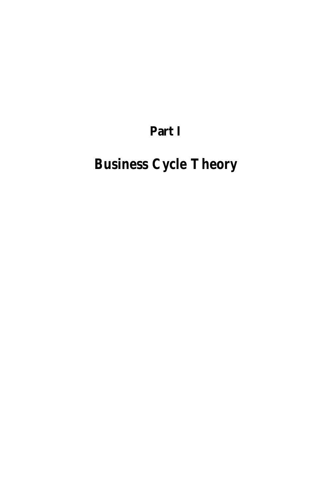**Part I**

# **Business Cycle Theory**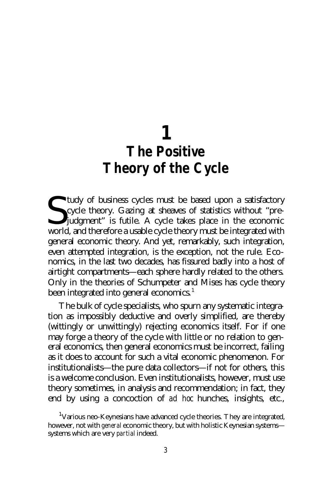## **1 The Positive Theory of the Cycle**

S tudy of business cycles must be based upon a satisfactory cycle theory. Gazing at sheaves of statistics without "prejudgment" is futile. A cycle takes place in the economic world, and therefore a usable cycle theory must be integrated with general economic theory. And yet, remarkably, such integration, even attempted integration, is the exception, not the rule. Economics, in the last two decades, has fissured badly into a host of airtight compartments—each sphere hardly related to the others. Only in the theories of Schumpeter and Mises has cycle theory been integrated into general economics.<sup>1</sup>

The bulk of cycle specialists, who spurn any systematic integration as impossibly deductive and overly simplified, are thereby (wittingly or unwittingly) rejecting economics itself. For if one may forge a theory of the cycle with little or no relation to general economics, then general economics must be incorrect, failing as it does to account for such a vital economic phenomenon. For institutionalists—the pure data collectors—if not for others, this is a welcome conclusion. Even institutionalists, however, must use theory sometimes, in analysis and recommendation; in fact, they end by using a concoction of *ad hoc* hunches, insights, etc.,

<sup>1</sup>Various neo-Keynesians have advanced cycle theories. They are integrated, however, not with *general* economic theory, but with holistic Keynesian systems systems which are very *partial* indeed.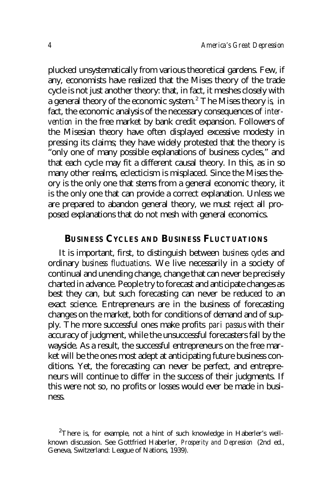plucked unsystematically from various theoretical gardens. Few, if any, economists have realized that the Mises theory of the trade cycle is not just another theory: that, in fact, it meshes closely with a general theory of the economic system.<sup>2</sup> The Mises theory *is,* in fact, the economic analysis of the necessary consequences of *intervention* in the free market by bank credit expansion. Followers of the Misesian theory have often displayed excessive modesty in pressing its claims; they have widely protested that the theory is "only one of many possible explanations of business cycles," and that each cycle may fit a different causal theory. In this, as in so many other realms, eclecticism is misplaced. Since the Mises theory is the only one that stems from a general economic theory, it is the only one that can provide a correct explanation. Unless we are prepared to abandon general theory, we must reject all proposed explanations that do not mesh with general economics.

#### **BUSINESS CYCLES AND BUSINESS FLUCTUATIONS**

It is important, first, to distinguish between *business cycles* and ordinary *business fluctuations*. We live necessarily in a society of continual and unending change, change that can never be precisely charted in advance. People try to forecast and anticipate changes as best they can, but such forecasting can never be reduced to an exact science. Entrepreneurs are in the business of forecasting changes on the market, both for conditions of demand and of supply. The more successful ones make profits *pari passus* with their accuracy of judgment, while the unsuccessful forecasters fall by the wayside. As a result, the successful entrepreneurs on the free market will be the ones most adept at anticipating future business conditions. Yet, the forecasting can never be perfect, and entrepreneurs will continue to differ in the success of their judgments. If this were not so, no profits or losses would ever be made in business.

<sup>&</sup>lt;sup>2</sup>There is, for example, not a hint of such knowledge in Haberler's wellknown discussion. See Gottfried Haberler, *Prosperity and Depression* (2nd ed., Geneva, Switzerland: League of Nations, 1939).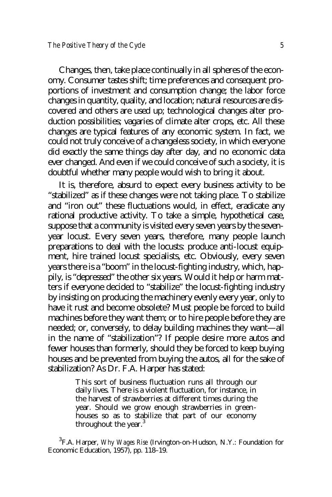Changes, then, take place continually in all spheres of the economy. Consumer tastes shift; time preferences and consequent proportions of investment and consumption change; the labor force changes in quantity, quality, and location; natural resources are discovered and others are used up; technological changes alter production possibilities; vagaries of climate alter crops, etc. All these changes are typical features of any economic system. In fact, we could not truly conceive of a changeless society, in which everyone did exactly the same things day after day, and no economic data ever changed. And even if we could conceive of such a society, it is doubtful whether many people would wish to bring it about.

It is, therefore, absurd to expect every business activity to be "stabilized" as if these changes were not taking place. To stabilize and "iron out" these fluctuations would, in effect, eradicate any rational productive activity. To take a simple, hypothetical case, suppose that a community is visited every seven years by the sevenyear locust. Every seven years, therefore, many people launch preparations to deal with the locusts: produce anti-locust equipment, hire trained locust specialists, etc. Obviously, every seven years there is a "boom" in the locust-fighting industry, which, happily, is "depressed" the other six years. Would it help or harm matters if everyone decided to "stabilize" the locust-fighting industry by insisting on producing the machinery evenly every year, only to have it rust and become obsolete? Must people be forced to build machines before they want them; or to hire people before they are needed; or, conversely, to delay building machines they want—all in the name of "stabilization"? If people desire more autos and fewer houses than formerly, should they be forced to keep buying houses and be prevented from buying the autos, all for the sake of stabilization? As Dr. F.A. Harper has stated:

> This sort of business fluctuation runs all through our daily lives. There is a violent fluctuation, for instance, in the harvest of strawberries at different times during the year. Should we grow enough strawberries in greenhouses so as to stabilize that part of our economy throughout the year. $3$

3 F.A. Harper, *Why Wages Rise* (Irvington-on-Hudson, N.Y.: Foundation for Economic Education, 1957), pp. 118–19.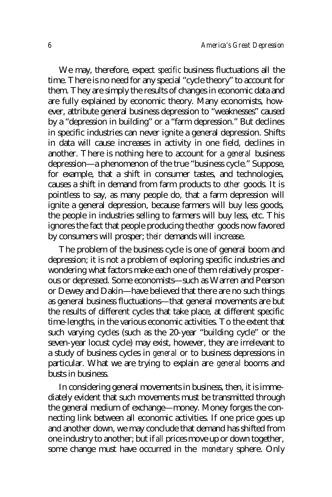We may, therefore, expect *specific* business fluctuations all the time. There is no need for any special "cycle theory" to account for them. They are simply the results of changes in economic data and are fully explained by economic theory. Many economists, however, attribute general business depression to "weaknesses" caused by a "depression in building" or a "farm depression." But declines in specific industries can never ignite a general depression. Shifts in data will cause increases in activity in one field, declines in another. There is nothing here to account for a *general* business depression—a phenomenon of the true "business cycle." Suppose, for example, that a shift in consumer tastes, and technologies, causes a shift in demand from farm products to *other* goods. It is pointless to say, as many people do, that a farm depression will ignite a general depression, because farmers will buy less goods, the people in industries selling to farmers will buy less, etc. This ignores the fact that people producing the *other* goods now favored by consumers will prosper; *their* demands will increase.

The problem of the business cycle is one of general boom and depression; it is not a problem of exploring specific industries and wondering what factors make each one of them relatively prosperous or depressed. Some economists—such as Warren and Pearson or Dewey and Dakin—have believed that there are no such things as general business fluctuations—that general movements are but the results of different cycles that take place, at different specific time-lengths, in the various economic activities. To the extent that such varying cycles (such as the 20-year "building cycle" or the seven-year locust cycle) may exist, however, they are irrelevant to a study of business cycles in *general* or to business depressions in particular. What we are trying to explain are *general* booms and busts in business.

In considering general movements in business, then, it is immediately evident that such movements must be transmitted through the general medium of exchange—money. Money forges the connecting link between all economic activities. If one price goes up and another down, we may conclude that demand has shifted from one industry to another; but if *all* prices move up or down together, some change must have occurred in the *monetary* sphere. Only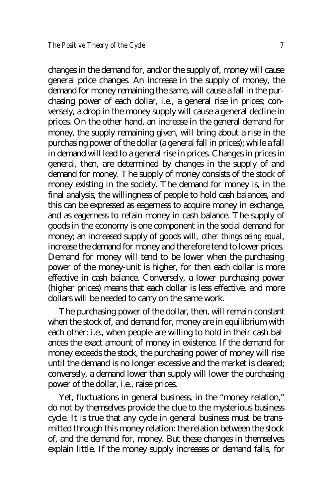changes in the demand for, and/or the supply of, money will cause general price changes. An increase in the supply of money, the demand for money remaining the same, will cause a fall in the purchasing power of each dollar, i.e., a general rise in prices; conversely, a drop in the money supply will cause a general decline in prices. On the other hand, an increase in the general demand for money, the supply remaining given, will bring about a rise in the purchasing power of the dollar (a general fall in prices); while a fall in demand will lead to a general rise in prices. Changes in prices in general, then, are determined by changes in the supply of and demand for money. The supply of money consists of the stock of money existing in the society. The demand for money is, in the final analysis, the willingness of people to hold cash balances, and this can be expressed as eagerness to acquire money in exchange, and as eagerness to retain money in cash balance. The supply of goods in the economy is one component in the social demand for money; an increased supply of goods will, *other things being equal*, increase the demand for money and therefore tend to lower prices. Demand for money will tend to be lower when the purchasing power of the money-unit is higher, for then each dollar is more effective in cash balance. Conversely, a lower purchasing power (higher prices) means that each dollar is less effective, and more dollars will be needed to carry on the same work.

The purchasing power of the dollar, then, will remain constant when the stock of, and demand for, money are in equilibrium with each other: i.e., when people are willing to hold in their cash balances the exact amount of money in existence. If the demand for money exceeds the stock, the purchasing power of money will rise until the demand is no longer excessive and the market is cleared; conversely, a demand lower than supply will lower the purchasing power of the dollar, i.e., raise prices.

Yet, fluctuations in general business, in the "money relation," do not by themselves provide the clue to the mysterious business cycle. It is true that any cycle in general business must be transmitted through this money relation: the relation between the stock of, and the demand for, money. But these changes in themselves explain little. If the money supply increases or demand falls, for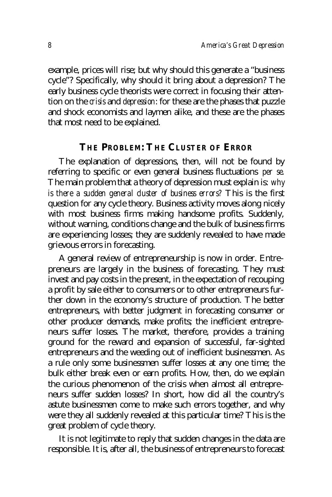example, prices will rise; but why should this generate a "business cycle"? Specifically, why should it bring about a depression? The early business cycle theorists were correct in focusing their attention on the *crisis* and *depression*: for these are the phases that puzzle and shock economists and laymen alike, and these are the phases that most need to be explained.

#### **THE PROBLEM: THE CLUSTER OF ERROR**

The explanation of depressions, then, will not be found by referring to specific or even general business fluctuations *per se*. The main problem that a theory of depression must explain is: *why is there a sudden general cluster of business errors?* This is the first question for any cycle theory. Business activity moves along nicely with most business firms making handsome profits. Suddenly, without warning, conditions change and the bulk of business firms are experiencing losses; they are suddenly revealed to have made grievous errors in forecasting.

A general review of entrepreneurship is now in order. Entrepreneurs are largely in the business of forecasting. They must invest and pay costs in the present, in the expectation of recouping a profit by sale either to consumers or to other entrepreneurs further down in the economy's structure of production. The better entrepreneurs, with better judgment in forecasting consumer or other producer demands, make profits; the inefficient entrepreneurs suffer losses. The market, therefore, provides a training ground for the reward and expansion of successful, far-sighted entrepreneurs and the weeding out of inefficient businessmen. As a rule only some businessmen suffer losses at any one time; the bulk either break even or earn profits. How, then, do we explain the curious phenomenon of the crisis when almost all entrepreneurs suffer sudden losses? In short, how did all the country's astute businessmen come to make such errors together, and why were they all suddenly revealed at this particular time? This is the great problem of cycle theory.

It is not legitimate to reply that sudden changes in the data are responsible. It is, after all, the business of entrepreneurs to forecast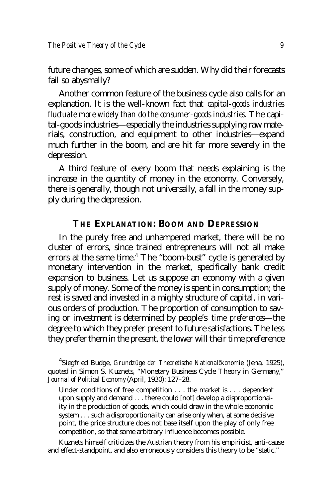future changes, some of which are sudden. Why did their forecasts fail so abysmally?

Another common feature of the business cycle also calls for an explanation. It is the well-known fact that *capital-goods industries fluctuate more widely than do the consumer-goods industries.* The capital-goods industries—especially the industries supplying raw materials, construction, and equipment to other industries—expand much further in the boom, and are hit far more severely in the depression.

A third feature of every boom that needs explaining is the increase in the quantity of money in the economy. Conversely, there is generally, though not universally, a fall in the money supply during the depression.

#### **THE EXPLANATION: BOOM AND DEPRESSION**

In the purely free and unhampered market, there will be no cluster of errors, since trained entrepreneurs will not all make errors at the same time.<sup>4</sup> The "boom-bust" cycle is generated by monetary intervention in the market, specifically bank credit expansion to business. Let us suppose an economy with a given supply of money. Some of the money is spent in consumption; the rest is saved and invested in a mighty structure of capital, in various orders of production. The proportion of consumption to saving or investment is determined by people's *time preferences*—the degree to which they prefer present to future satisfactions. The less they prefer them in the present, the lower will their time preference

4 Siegfried Budge, *Grundzüge der Theoretische Nationalökonomie* (Jena, 1925), quoted in Simon S. Kuznets, "Monetary Business Cycle Theory in Germany," *Journal of Political Economy* (April, 1930): 127–28.

Under conditions of free competition . . . the market is . . . dependent upon supply and demand . . . there could [not] develop a disproportionality in the production of goods, which could draw in the whole economic system . . . such a disproportionality can arise only when, at some decisive point, the price structure does not base itself upon the play of only free competition, so that some arbitrary influence becomes possible.

Kuznets himself criticizes the Austrian theory from his empiricist, anti-cause and effect-standpoint, and also erroneously considers this theory to be "static."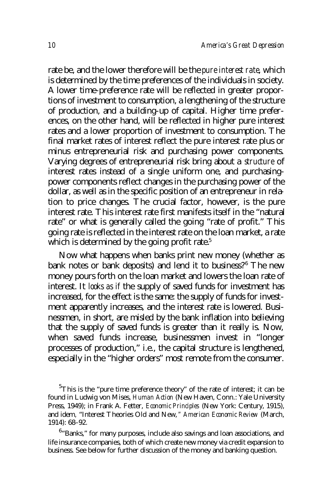rate be, and the lower therefore will be the *pure interest rate*, which is determined by the time preferences of the individuals in society. A lower time-preference rate will be reflected in greater proportions of investment to consumption, a lengthening of the structure of production, and a building-up of capital. Higher time preferences, on the other hand, will be reflected in higher pure interest rates and a lower proportion of investment to consumption. The final market rates of interest reflect the pure interest rate plus or minus entrepreneurial risk and purchasing power components. Varying degrees of entrepreneurial risk bring about a *structure* of interest rates instead of a single uniform one, and purchasingpower components reflect changes in the purchasing power of the dollar, as well as in the specific position of an entrepreneur in relation to price changes. The crucial factor, however, is the pure interest rate. This interest rate first manifests itself in the "natural rate" or what is generally called the going "rate of profit." This going rate is reflected in the interest rate on the loan market, a rate which is determined by the going profit rate.<sup>5</sup>

Now what happens when banks print new money (whether as bank notes or bank deposits) and lend it to business?<sup>6</sup> The new money pours forth on the loan market and lowers the loan rate of interest. It *looks as if* the supply of saved funds for investment has increased, for the effect is the same: the supply of funds for investment apparently increases, and the interest rate is lowered. Businessmen, in short, are misled by the bank inflation into believing that the supply of saved funds is greater than it really is. Now, when saved funds increase, businessmen invest in "longer processes of production," i.e., the capital structure is lengthened, especially in the "higher orders" most remote from the consumer.

 $5$ This is the "pure time preference theory" of the rate of interest; it can be found in Ludwig von Mises, *Human Action* (New Haven, Conn.: Yale University Press, 1949); in Frank A. Fetter, *Economic Principles* (New York: Century, 1915), and idem*,* "Interest Theories Old and New, *" American Economic Review* (March, 1914): 68–92.

 $^{6}$ "Banks," for many purposes, include also savings and loan associations, and life insurance companies, both of which create new money via credit expansion to business. See below for further discussion of the money and banking question.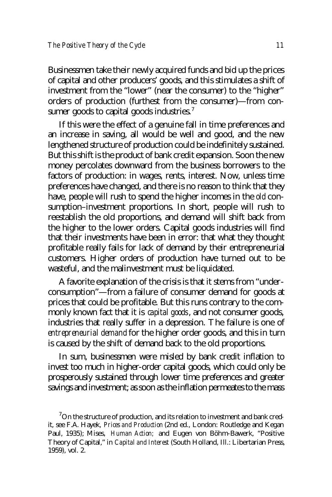Businessmen take their newly acquired funds and bid up the prices of capital and other producers' goods, and this stimulates a shift of investment from the "lower" (near the consumer) to the "higher" orders of production (furthest from the consumer)—from consumer goods to capital goods industries.<sup>7</sup>

If this were the effect of a genuine fall in time preferences and an increase in saving, all would be well and good, and the new lengthened structure of production could be indefinitely sustained. But this shift is the product of bank credit expansion. Soon the new money percolates downward from the business borrowers to the factors of production: in wages, rents, interest. Now, unless time preferences have changed, and there is no reason to think that they have, people will rush to spend the higher incomes in the *old* consumption–investment proportions. In short, people will rush to reestablish the old proportions, and demand will shift back from the higher to the lower orders. Capital goods industries will find that their investments have been in error: that what they thought profitable really fails for lack of demand by their entrepreneurial customers. Higher orders of production have turned out to be wasteful, and the malinvestment must be liquidated.

A favorite explanation of the crisis is that it stems from "underconsumption"—from a failure of consumer demand for goods at prices that could be profitable. But this runs contrary to the commonly known fact that it is *capital goods*, and not consumer goods, industries that really suffer in a depression. The failure is one of *entrepreneurial demand* for the higher order goods, and this in turn is caused by the shift of demand back to the old proportions.

In sum, businessmen were misled by bank credit inflation to invest too much in higher-order capital goods, which could only be prosperously sustained through lower time preferences and greater savings and investment; as soon as the inflation permeates to the mass

 $7$ On the structure of production, and its relation to investment and bank credit, see F.A. Hayek, *Prices and Production* (2nd ed., London: Routledge and Kegan Paul, 1935); Mises, *Human Action;* and Eugen von Böhm-Bawerk, "Positive Theory of Capital," in *Capital and Interest* (South Holland, Ill.: Libertarian Press, 1959), vol. 2.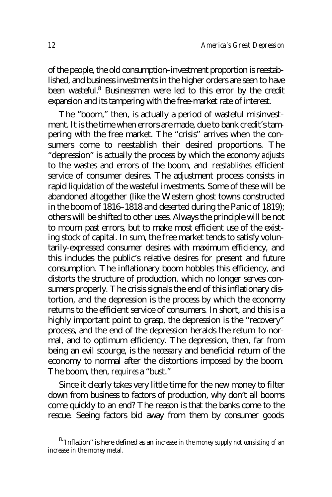of the people, the old consumption–investment proportion is reestablished, and business investments in the higher orders are seen to have been wasteful.<sup>8</sup> Businessmen were led to this error by the credit expansion and its tampering with the free-market rate of interest.

The "boom," then, is actually a period of wasteful misinvestment. It is the time when errors are made, due to bank credit's tampering with the free market. The "crisis" arrives when the consumers come to reestablish their desired proportions. The "depression" is actually the process by which the economy *adjusts* to the wastes and errors of the boom, and *reestablishes* efficient service of consumer desires. The adjustment process consists in rapid *liquidation* of the wasteful investments. Some of these will be abandoned altogether (like the Western ghost towns constructed in the boom of 1816–1818 and deserted during the Panic of 1819); others will be shifted to other uses. Always the principle will be not to mourn past errors, but to make most efficient use of the existing stock of capital. In sum, the free market tends to satisfy voluntarily-expressed consumer desires with maximum efficiency, and this includes the public's relative desires for present and future consumption. The inflationary boom hobbles this efficiency, and distorts the structure of production, which no longer serves consumers properly. The crisis signals the end of this inflationary distortion, and the depression is the process by which the economy returns to the efficient service of consumers. In short, and this is a highly important point to grasp, the depression is the "recovery" process, and the end of the depression heralds the return to normal, and to optimum efficiency. The depression, then, far from being an evil scourge, is the *necessary* and beneficial return of the economy to normal after the distortions imposed by the boom. The boom, then, *requires* a "bust."

Since it clearly takes very little time for the new money to filter down from business to factors of production, why don't all booms come quickly to an end? The reason is that the banks come to the rescue. Seeing factors bid away from them by consumer goods

<sup>8</sup> "Inflation" is here defined as an *increase in the money supply not consisting of an increase in the money metal.*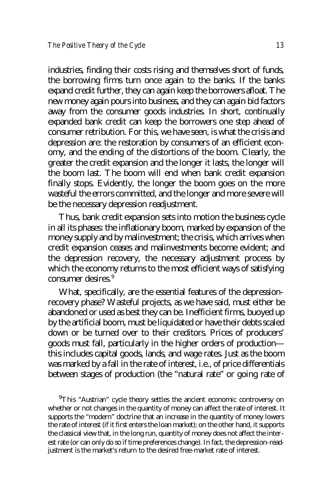industries, finding their costs rising and themselves short of funds, the borrowing firms turn once again to the banks. If the banks expand credit further, they can again keep the borrowers afloat. The new money again pours into business, and they can again bid factors away from the consumer goods industries. In short, continually expanded bank credit can keep the borrowers one step ahead of consumer retribution. For this, we have seen, is what the crisis and depression are: the restoration by consumers of an efficient economy, and the ending of the distortions of the boom. Clearly, the greater the credit expansion and the longer it lasts, the longer will the boom last. The boom will end when bank credit expansion finally stops. Evidently, the longer the boom goes on the more wasteful the errors committed, and the longer and more severe will be the necessary depression readjustment.

Thus, bank credit expansion sets into motion the business cycle in all its phases: the inflationary boom, marked by expansion of the money supply and by malinvestment; the crisis, which arrives when credit expansion ceases and malinvestments become evident; and the depression recovery, the necessary adjustment process by which the economy returns to the most efficient ways of satisfying consumer desires<sup>9</sup>

What, specifically, are the essential features of the depressionrecovery phase? Wasteful projects, as we have said, must either be abandoned or used as best they can be. Inefficient firms, buoyed up by the artificial boom, must be liquidated or have their debts scaled down or be turned over to their creditors. Prices of producers' goods must fall, particularly in the higher orders of production this includes capital goods, lands, and wage rates. Just as the boom was marked by a fall in the rate of interest, i.e., of price differentials between stages of production (the "natural rate" or going rate of

<sup>9</sup>This "Austrian" cycle theory settles the ancient economic controversy on whether or not changes in the quantity of money can affect the rate of interest. It supports the "modern" doctrine that an increase in the quantity of money lowers the rate of interest (if it first enters the loan market); on the other hand, it supports the classical view that, in the long run, quantity of money does not affect the interest rate (or can only do so if time preferences change). In fact, the depression-readjustment is the market's return to the desired free-market rate of interest.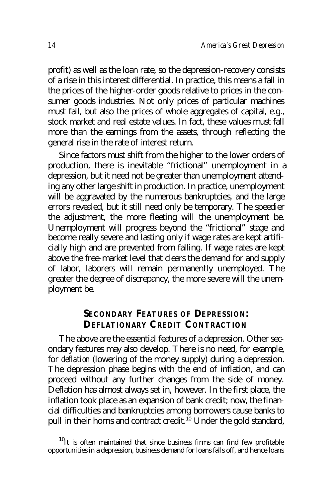profit) as well as the loan rate, so the depression-recovery consists of a rise in this interest differential. In practice, this means a fall in the prices of the higher-order goods relative to prices in the consumer goods industries. Not only prices of particular machines must fall, but also the prices of whole aggregates of capital, e.g., stock market and real estate values. In fact, these values must fall more than the earnings from the assets, through reflecting the general rise in the rate of interest return.

Since factors must shift from the higher to the lower orders of production, there is inevitable "frictional" unemployment in a depression, but it need not be greater than unemployment attending any other large shift in production. In practice, unemployment will be aggravated by the numerous bankruptcies, and the large errors revealed, but it still need only be temporary. The speedier the adjustment, the more fleeting will the unemployment be. Unemployment will progress beyond the "frictional" stage and become really severe and lasting only if wage rates are kept artificially high and are prevented from falling. If wage rates are kept above the free-market level that clears the demand for and supply of labor, laborers will remain permanently unemployed. The greater the degree of discrepancy, the more severe will the unemployment be.

#### **SECONDARY FEATURES OF DEPRESSION: DEFLATIONARY CREDIT CONTRACTION**

The above are the essential features of a depression. Other secondary features may also develop. There is no need, for example, for *deflation* (lowering of the money supply) during a depression. The depression phase begins with the end of inflation, and can proceed without any further changes from the side of money. Deflation has almost always set in, however. In the first place, the inflation took place as an expansion of bank credit; now, the financial difficulties and bankruptcies among borrowers cause banks to pull in their horns and contract credit.<sup>10</sup> Under the gold standard,

 $10$ <sup>10</sup>It is often maintained that since business firms can find few profitable opportunities in a depression, business demand for loans falls off, and hence loans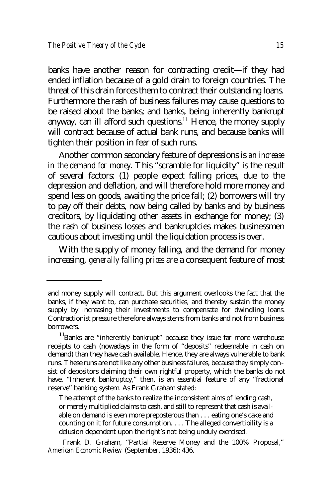banks have another reason for contracting credit—if they had ended inflation because of a gold drain to foreign countries. The threat of this drain forces them to contract their outstanding loans. Furthermore the rash of business failures may cause questions to be raised about the banks; and banks, being inherently bankrupt anyway, can ill afford such questions.<sup>11</sup> Hence, the money supply will contract because of actual bank runs, and because banks will tighten their position in fear of such runs.

Another common secondary feature of depressions is *an increase in the demand for money*. This "scramble for liquidity" is the result of several factors: (1) people expect falling prices, due to the depression and deflation, and will therefore hold more money and spend less on goods, awaiting the price fall; (2) borrowers will try to pay off their debts, now being called by banks and by business creditors, by liquidating other assets in exchange for money; (3) the rash of business losses and bankruptcies makes businessmen cautious about investing until the liquidation process is over.

With the supply of money falling, and the demand for money increasing, *generally falling prices* are a consequent feature of most

and money supply will contract. But this argument overlooks the fact that the banks, if they want to, can purchase securities, and thereby sustain the money supply by increasing their investments to compensate for dwindling loans. Contractionist pressure therefore always stems from banks and not from business borrowers.

<sup>&</sup>lt;sup>11</sup>Banks are "inherently bankrupt" because they issue far more warehouse receipts to cash (nowadays in the form of "deposits" redeemable in cash on demand) than they have cash available. Hence, they are always vulnerable to bank runs. These runs are not like any other business failures, because they simply consist of depositors claiming their own rightful property, which the banks do not have. "Inherent bankruptcy," then, is an essential feature of any "fractional reserve" banking system. As Frank Graham stated:

The attempt of the banks to realize the inconsistent aims of lending cash, or merely multiplied claims to cash, and still to represent that cash is available on demand is even more preposterous than . . . eating one's cake and counting on it for future consumption. . . . The alleged convertibility is a delusion dependent upon the right's not being unduly exercised.

Frank D. Graham, "Partial Reserve Money and the 100% Proposal," *American Economic Review* (September, 1936): 436.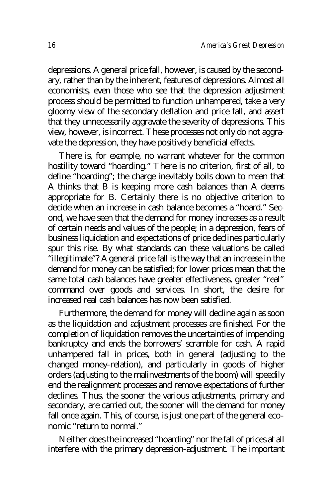depressions. A general price fall, however, is caused by the secondary, rather than by the inherent, features of depressions. Almost all economists, even those who see that the depression adjustment process should be permitted to function unhampered, take a very gloomy view of the secondary deflation and price fall, and assert that they unnecessarily aggravate the severity of depressions. This view, however, is incorrect. These processes not only do not aggravate the depression, they have positively beneficial effects.

There is, for example, no warrant whatever for the common hostility toward "hoarding." There is no criterion, first of all, to define "hoarding"; the charge inevitably boils down to mean that A thinks that B is keeping more cash balances than A deems appropriate for B. Certainly there is no objective criterion to decide when an increase in cash balance becomes a "hoard." Second, we have seen that the demand for money increases as a result of certain needs and values of the people; in a depression, fears of business liquidation and expectations of price declines particularly spur this rise. By what standards can these valuations be called "illegitimate"? A general price fall is the way that an increase in the demand for money can be satisfied; for lower prices mean that the same total cash balances have greater effectiveness, greater "real" command over goods and services. In short, the desire for increased real cash balances has now been satisfied.

Furthermore, the demand for money will decline again as soon as the liquidation and adjustment processes are finished. For the completion of liquidation removes the uncertainties of impending bankruptcy and ends the borrowers' scramble for cash. A rapid unhampered fall in prices, both in general (adjusting to the changed money-relation), and particularly in goods of higher orders (adjusting to the malinvestments of the boom) will speedily end the realignment processes and remove expectations of further declines. Thus, the sooner the various adjustments, primary and secondary, are carried out, the sooner will the demand for money fall once again. This, of course, is just one part of the general economic "return to normal."

Neither does the increased "hoarding" nor the fall of prices at all interfere with the primary depression-adjustment. The important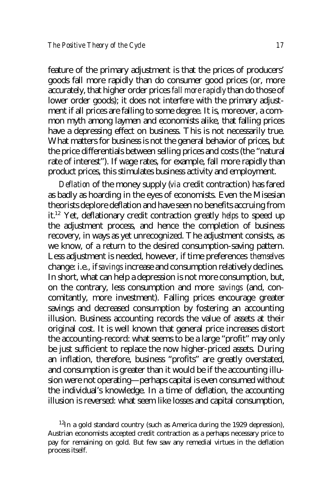feature of the primary adjustment is that the prices of producers' goods fall more rapidly than do consumer good prices (or, more accurately, that higher order prices *fall more rapidly* than do those of lower order goods); it does not interfere with the primary adjustment if all prices are falling to some degree. It is, moreover, a common myth among laymen and economists alike, that falling prices have a depressing effect on business. This is not necessarily true. What matters for business is not the general behavior of prices, but the price differentials between selling prices and costs (the "natural rate of interest"). If wage rates, for example, fall more rapidly than product prices, this stimulates business activity and employment.

*Deflation* of the money supply (*via* credit contraction) has fared as badly as hoarding in the eyes of economists. Even the Misesian theorists deplore deflation and have seen no benefits accruing from it.<sup>12</sup> Yet, deflationary credit contraction greatly *helps* to speed up the adjustment process, and hence the completion of business recovery, in ways as yet unrecognized. The adjustment consists, as we know, of a return to the desired consumption-saving pattern. Less adjustment is needed, however, if time preferences *themselves* change: i.e., if *savings* increase and consumption relatively declines. In short, what can help a depression is not more consumption, but, on the contrary, less consumption and more *savings* (and, concomitantly, more investment). Falling prices encourage greater savings and decreased consumption by fostering an accounting illusion. Business accounting records the value of assets at their original cost. It is well known that general price increases distort the accounting-record: what seems to be a large "profit" may only be just sufficient to replace the now higher-priced assets. During an inflation, therefore, business "profits" are greatly overstated, and consumption is greater than it would be if the accounting illusion were not operating—perhaps capital is even consumed without the individual's knowledge. In a time of deflation, the accounting illusion is reversed: what seem like losses and capital consumption,

 $12$ In a gold standard country (such as America during the 1929 depression), Austrian economists accepted credit contraction as a perhaps necessary price to pay for remaining on gold. But few saw any remedial virtues in the deflation process itself.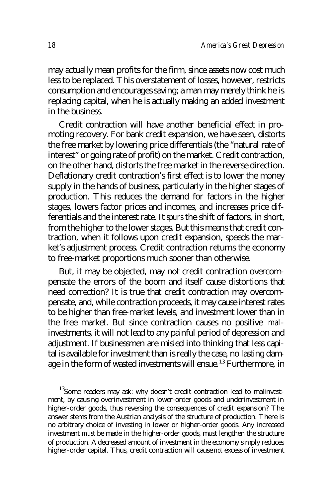may actually mean profits for the firm, since assets now cost much less to be replaced. This overstatement of losses, however, restricts consumption and encourages saving; a man may merely think he is replacing capital, when he is actually making an added investment in the business.

Credit contraction will have another beneficial effect in promoting recovery. For bank credit expansion, we have seen, distorts the free market by lowering price differentials (the "natural rate of interest" or going rate of profit) on the market. Credit contraction, on the other hand, distorts the free market in the reverse direction. Deflationary credit contraction's first effect is to lower the money supply in the hands of business, particularly in the higher stages of production. This reduces the demand for factors in the higher stages, lowers factor prices and incomes, and increases price differentials and the interest rate. It *spurs* the shift of factors, in short, from the higher to the lower stages. But this means that credit contraction, when it follows upon credit expansion, speeds the market's adjustment process. Credit contraction returns the economy to free-market proportions much sooner than otherwise.

But, it may be objected, may not credit contraction overcompensate the errors of the boom and itself cause distortions that need correction? It is true that credit contraction may overcompensate, and, while contraction proceeds, it may cause interest rates to be higher than free-market levels, and investment lower than in the free market. But since contraction causes no positive *mal*investments, it will not lead to any painful period of depression and adjustment. If businessmen are misled into thinking that less capital is available for investment than is really the case, no lasting damage in the form of wasted investments will ensue.<sup>13</sup> Furthermore, in

<sup>13</sup>Some readers may ask: why doesn't credit contraction lead to malinvestment, by causing overinvestment in lower-order goods and underinvestment in higher-order goods, thus reversing the consequences of credit expansion? The answer stems from the Austrian analysis of the structure of production. There is no arbitrary choice of investing in lower or higher-order goods. Any increased investment *must* be made in the higher-order goods, must lengthen the structure of production. A decreased amount of investment in the economy simply reduces higher-order capital. Thus, credit contraction will cause *not* excess of investment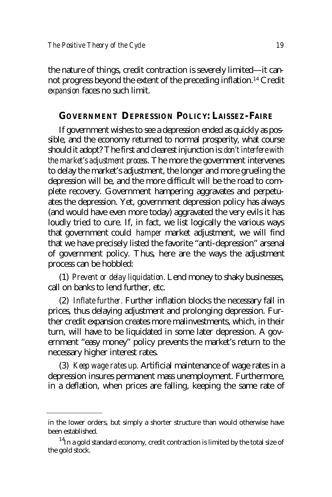the nature of things, credit contraction is severely limited—it cannot progress beyond the extent of the preceding inflation.<sup>14</sup> Credit *expansion* faces no such limit.

#### **GOVERNMENT DEPRESSION POLICY: LAISSEZ-FAIRE**

If government wishes to see a depression ended as quickly as possible, and the economy returned to normal prosperity, what course should it adopt? The first and clearest injunction is: *don't interfere with the market's adjustment process*. The more the government intervenes to delay the market's adjustment, the longer and more grueling the depression will be, and the more difficult will be the road to complete recovery. Government hampering aggravates and perpetuates the depression. Yet, government depression policy has always (and would have even more today) aggravated the very evils it has loudly tried to cure. If, in fact, we list logically the various ways that government could *hamper* market adjustment, we will find that we have precisely listed the favorite "anti-depression" arsenal of government policy. Thus, here are the ways the adjustment process can be hobbled:

(1) *Prevent or delay liquidation.* Lend money to shaky businesses, call on banks to lend further, etc.

(2) *Inflate further.* Further inflation blocks the necessary fall in prices, thus delaying adjustment and prolonging depression. Further credit expansion creates more malinvestments, which, in their turn, will have to be liquidated in some later depression. A government "easy money" policy prevents the market's return to the necessary higher interest rates.

(3) *Keep wage rates up.* Artificial maintenance of wage rates in a depression insures permanent mass unemployment. Furthermore, in a deflation, when prices are falling, keeping the same rate of

in the lower orders, but simply a shorter structure than would otherwise have been established.

<sup>&</sup>lt;sup>14</sup>In a gold standard economy, credit contraction is limited by the total size of the gold stock.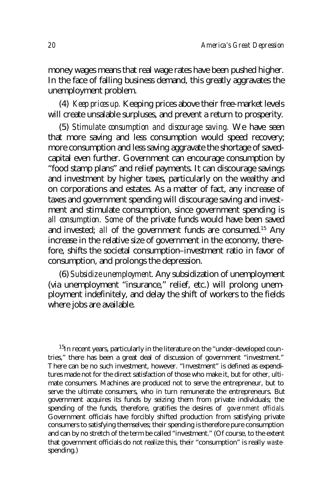money wages means that real wage rates have been pushed higher. In the face of falling business demand, this greatly aggravates the unemployment problem.

(4) *Keep prices up.* Keeping prices above their free-market levels will create unsalable surpluses, and prevent a return to prosperity.

(5) *Stimulate consumption and discourage saving.* We have seen that more saving and less consumption would speed recovery; more consumption and less saving aggravate the shortage of savedcapital even further. Government can encourage consumption by "food stamp plans" and relief payments. It can discourage savings and investment by higher taxes, particularly on the wealthy and on corporations and estates. As a matter of fact, any increase of taxes and government spending will discourage saving and investment and stimulate consumption, since government spending is *all consumption. Some* of the private funds would have been saved and invested; *all* of the government funds are consumed.<sup>15</sup> Any increase in the relative size of government in the economy, therefore, shifts the societal consumption–investment ratio in favor of consumption, and prolongs the depression.

(6) *Subsidize unemployment*. Any subsidization of unemployment (via unemployment "insurance," relief, etc.) will prolong unemployment indefinitely, and delay the shift of workers to the fields where jobs are available.

<sup>15</sup>In recent years, particularly in the literature on the "under-developed countries," there has been a great deal of discussion of government "investment." There can be no such investment, however. "Investment" is defined as expenditures made not for the direct satisfaction of those who make it, but for other, ultimate consumers. Machines are produced not to serve the entrepreneur, but to serve the ultimate consumers, who in turn remunerate the entrepreneurs. But government acquires its funds by seizing them from private individuals; the spending of the funds, therefore, gratifies the desires of *government officials.* Government officials have forcibly shifted production from satisfying private consumers to satisfying themselves; their spending is therefore pure consumption and can by no stretch of the term be called "investment." (Of course, to the extent that government officials do not realize this, their "consumption" is really *waste*spending.)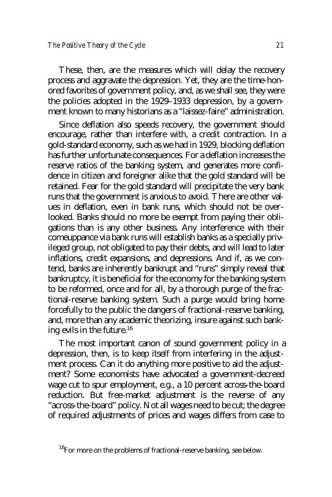These, then, are the measures which will delay the recovery process and aggravate the depression. Yet, they are the time-honored favorites of government policy, and, as we shall see, they were the policies adopted in the 1929–1933 depression, by a government known to many historians as a "laissez-faire" administration.

Since deflation also speeds recovery, the government should encourage, rather than interfere with, a credit contraction. In a gold-standard economy, such as we had in 1929, blocking deflation has further unfortunate consequences. For a deflation increases the reserve ratios of the banking system, and generates more confidence in citizen and foreigner alike that the gold standard will be retained. Fear for the gold standard will precipitate the very bank runs that the government is anxious to avoid. There are other values in deflation, even in bank runs, which should not be overlooked. Banks should no more be exempt from paying their obligations than is any other business. Any interference with their comeuppance via bank runs will establish banks as a specially privileged group, not obligated to pay their debts, and will lead to later inflations, credit expansions, and depressions. And if, as we contend, banks are inherently bankrupt and "runs" simply reveal that bankruptcy, it is beneficial for the economy for the banking system to be reformed, once and for all, by a thorough purge of the fractional-reserve banking system. Such a purge would bring home forcefully to the public the dangers of fractional-reserve banking, and, more than any academic theorizing, insure against such banking evils in the future.<sup>16</sup>

The most important canon of sound government policy in a depression, then, is to keep itself from interfering in the adjustment process. Can it do anything more positive to aid the adjustment? Some economists have advocated a government-decreed wage cut to spur employment, e.g., a 10 percent across-the-board reduction. But free-market adjustment is the reverse of any "across-the-board" policy. Not all wages need to be cut; the degree of required adjustments of prices and wages differs from case to

 $16$ For more on the problems of fractional-reserve banking, see below.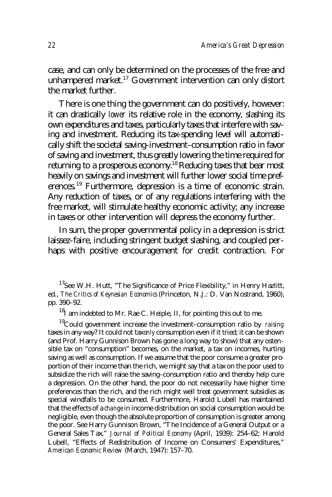case, and can only be determined on the processes of the free and unhampered market.<sup>17</sup> Government intervention can only distort the market further.

There is one thing the government can do positively, however: it can drastically *lower* its relative role in the economy, slashing its own expenditures and taxes, particularly taxes that interfere with saving and investment. Reducing its tax-spending level will automatically shift the societal saving-investment–consumption ratio in favor of saving and investment, thus greatly lowering the time required for returning to a prosperous economy.<sup>18</sup> Reducing taxes that bear most heavily on savings and investment will further lower social time preferences.<sup>19</sup> Furthermore, depression is a time of economic strain. Any reduction of taxes, or of any regulations interfering with the free market, will stimulate healthy economic activity; any increase in taxes or other intervention will depress the economy further.

In sum, the proper governmental policy in a depression is strict laissez-faire, including stringent budget slashing, and coupled perhaps with positive encouragement for credit contraction. For

 $17$ See W.H. Hutt, "The Significance of Price Flexibility," in Henry Hazlitt, ed., *The Critics of Keynesian Economics* (Princeton, N.J.: D. Van Nostrand, 1960), pp. 390–92.

 $^{18}$ I am indebted to Mr. Rae C. Heiple, II, for pointing this out to me.

<sup>19</sup>Could government increase the investment–consumption ratio by *raising* taxes in any way? It could not tax *only* consumption even if it tried; it can be shown (and Prof. Harry Gunnison Brown has gone a long way to show) that any ostensible tax on "consumption" becomes, on the market, a tax on incomes, hurting saving as well as consumption. If we assume that the poor consume a greater proportion of their income than the rich, we might say that a tax on the poor used to subsidize the rich will raise the saving–consumption ratio and thereby help cure a depression. On the other hand, the poor do not necessarily have higher time preferences than the rich, and the rich might well treat government subsidies as special windfalls to be consumed. Furthermore, Harold Lubell has maintained that the effects of a *change* in income distribution on social consumption would be negligible, even though the absolute proportion of consumption is greater among the poor. See Harry Gunnison Brown, "The Incidence of a General Output or a General Sales Tax," *Journal of Political Economy* (April, 1939): 254–62; Harold Lubell, "Effects of Redistribution of Income on Consumers' Expenditures," *American Economic Review* (March, 1947): 157–70.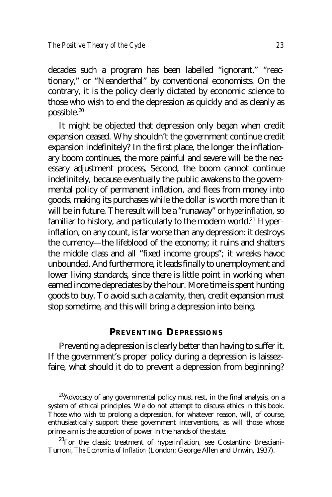decades such a program has been labelled "ignorant," "reactionary," or "Neanderthal" by conventional economists. On the contrary, it is the policy clearly dictated by economic science to those who wish to end the depression as quickly and as cleanly as possible.<sup>20</sup>

It might be objected that depression only began when credit expansion ceased. Why shouldn't the government continue credit expansion indefinitely? In the first place, the longer the inflationary boom continues, the more painful and severe will be the necessary adjustment process, Second, the boom cannot continue indefinitely, because eventually the public awakens to the governmental policy of permanent inflation, and flees from money into goods, making its purchases while the dollar is worth more than it will be in future. The result will be a "runaway" or *hyperinflation*, so familiar to history, and particularly to the modern world.<sup>21</sup> Hyperinflation, on any count, is far worse than any depression: it destroys the currency—the lifeblood of the economy; it ruins and shatters the middle class and all "fixed income groups"; it wreaks havoc unbounded. And furthermore, it leads finally to unemployment and lower living standards, since there is little point in working when earned income depreciates by the hour. More time is spent hunting goods to buy. To avoid such a calamity, then, credit expansion must stop sometime, and this will bring a depression into being.

#### **PREVENTING DEPRESSIONS**

Preventing a depression is clearly better than having to suffer it. If the government's proper policy during a depression is laissezfaire, what should it do to prevent a depression from beginning?

 $20$ Advocacy of any governmental policy must rest, in the final analysis, on a system of ethical principles. We do not attempt to discuss ethics in this book. Those who *wish* to prolong a depression, for whatever reason, will, of course, enthusiastically support these government interventions, as will those whose prime aim is the accretion of power in the hands of the state.

 $21$ For the classic treatment of hyperinflation, see Costantino Bresciani-Turroni, *The Economics of Inflation* (London: George Allen and Unwin, 1937).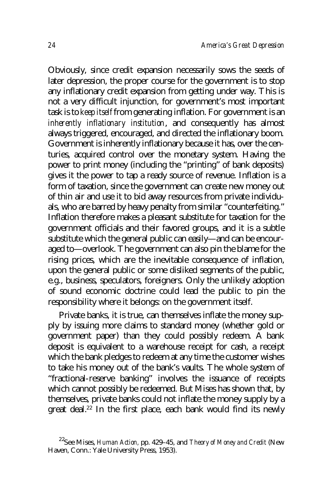Obviously, since credit expansion necessarily sows the seeds of later depression, the proper course for the government is to stop any inflationary credit expansion from getting under way. This is not a very difficult injunction, for government's most important task is to *keep itself*from generating inflation. For government is an *inherently inflationary institution*, and consequently has almost always triggered, encouraged, and directed the inflationary boom. Government is inherently inflationary because it has, over the centuries, acquired control over the monetary system. Having the power to print money (including the "printing" of bank deposits) gives it the power to tap a ready source of revenue. Inflation is a form of taxation, since the government can create new money out of thin air and use it to bid away resources from private individuals, who are barred by heavy penalty from similar "counterfeiting." Inflation therefore makes a pleasant substitute for taxation for the government officials and their favored groups, and it is a subtle substitute which the general public can easily—and can be encouraged to—overlook. The government can also pin the blame for the rising prices, which are the inevitable consequence of inflation, upon the general public or some disliked segments of the public, e.g., business, speculators, foreigners. Only the unlikely adoption of sound economic doctrine could lead the public to pin the responsibility where it belongs: on the government itself.

Private banks, it is true, can themselves inflate the money supply by issuing more claims to standard money (whether gold or government paper) than they could possibly redeem. A bank deposit is equivalent to a warehouse receipt for cash, a receipt which the bank pledges to redeem at any time the customer wishes to take his money out of the bank's vaults. The whole system of "fractional-reserve banking" involves the issuance of receipts which cannot possibly be redeemed. But Mises has shown that, by themselves, private banks could not inflate the money supply by a great deal.<sup>22</sup> In the first place, each bank would find its newly

<sup>22</sup>See Mises, *Human Action,* pp. 429–45, and *Theory of Money and Credit* (New Haven, Conn.: Yale University Press, 1953).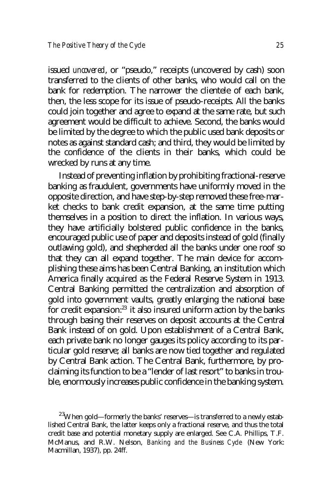issued *uncovered*, or "pseudo," receipts (uncovered by cash) soon transferred to the clients of other banks, who would call on the bank for redemption. The narrower the clientele of each bank, then, the less scope for its issue of pseudo-receipts. All the banks could join together and agree to expand at the same rate, but such agreement would be difficult to achieve. Second, the banks would be limited by the degree to which the public used bank deposits or notes as against standard cash; and third, they would be limited by the confidence of the clients in their banks, which could be wrecked by runs at any time.

Instead of preventing inflation by prohibiting fractional-reserve banking as fraudulent, governments have uniformly moved in the opposite direction, and have step-by-step removed these free-market checks to bank credit expansion, at the same time putting themselves in a position to direct the inflation. In various ways, they have artificially bolstered public confidence in the banks, encouraged public use of paper and deposits instead of gold (finally outlawing gold), and shepherded all the banks under one roof so that they can all expand together. The main device for accomplishing these aims has been Central Banking, an institution which America finally acquired as the Federal Reserve System in 1913. Central Banking permitted the centralization and absorption of gold into government vaults, greatly enlarging the national base for credit expansion:<sup>23</sup> it also insured uniform action by the banks through basing their reserves on deposit accounts at the Central Bank instead of on gold. Upon establishment of a Central Bank, each private bank no longer gauges its policy according to its particular gold reserve; all banks are now tied together and regulated by Central Bank action. The Central Bank, furthermore, by proclaiming its function to be a "lender of last resort" to banks in trouble, enormously increases public confidence in the banking system.

 $^{23}$ When gold—formerly the banks' reserves—is transferred to a newly established Central Bank, the latter keeps only a fractional reserve, and thus the total credit base and potential monetary supply are enlarged. See C.A. Phillips, T.F. McManus, and R.W. Nelson, *Banking and the Business Cycle* (New York: Macmillan, 1937), pp. 24ff.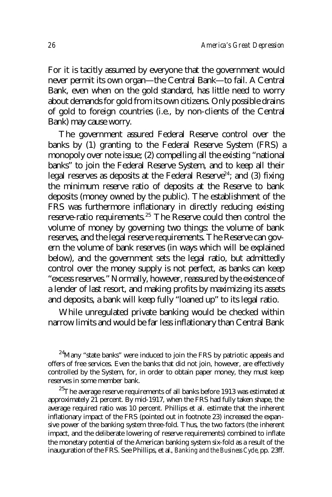For it is tacitly assumed by everyone that the government would never permit its own organ—the Central Bank—to fail. A Central Bank, even when on the gold standard, has little need to worry about demands for gold from its own citizens. Only possible drains of gold to foreign countries (i.e., by non-clients of the Central Bank) may cause worry.

The government assured Federal Reserve control over the banks by (1) granting to the Federal Reserve System (FRS) a monopoly over note issue; (2) compelling all the existing "national banks" to join the Federal Reserve System, and to keep all their legal reserves as deposits at the Federal Reserve<sup>24</sup>; and (3) fixing the minimum reserve ratio of deposits at the Reserve to bank deposits (money owned by the public). The establishment of the FRS was furthermore inflationary in directly reducing existing reserve-ratio requirements.<sup>25</sup> The Reserve could then control the volume of money by governing two things: the volume of bank reserves, and the legal reserve requirements. The Reserve can govern the volume of bank reserves (in ways which will be explained below), and the government sets the legal ratio, but admittedly control over the money supply is not perfect, as banks can keep "excess reserves." Normally, however, reassured by the existence of a lender of last resort, and making profits by maximizing its assets and deposits, a bank will keep fully "loaned up" to its legal ratio.

While unregulated private banking would be checked within narrow limits and would be far less inflationary than Central Bank

 $24$ Many "state banks" were induced to join the FRS by patriotic appeals and offers of free services. Even the banks that did not join, however, are effectively controlled by the System, for, in order to obtain paper money, they must keep reserves in some member bank.

 $^{25}$ The average reserve requirements of all banks before 1913 was estimated at approximately 21 percent. By mid-1917, when the FRS had fully taken shape, the average required ratio was 10 percent. Phillips et al. estimate that the inherent inflationary impact of the FRS (pointed out in footnote 23) increased the expansive power of the banking system three-fold. Thus, the two factors (the inherent impact, and the deliberate lowering of reserve requirements) combined to inflate the monetary potential of the American banking system six-fold as a result of the inauguration of the FRS. See Phillips, et al.*, Banking and the Business Cycle,* pp. 23ff.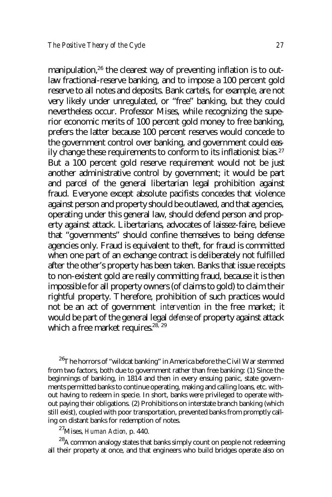manipulation,<sup>26</sup> the clearest way of preventing inflation is to outlaw fractional-reserve banking, and to impose a 100 percent gold reserve to all notes and deposits. Bank cartels, for example, are not very likely under unregulated, or "free" banking, but they could nevertheless occur. Professor Mises, while recognizing the superior economic merits of 100 percent gold money to free banking, prefers the latter because 100 percent reserves would concede to the government control over banking, and government could easily change these requirements to conform to its inflationist bias.<sup>27</sup> But a 100 percent gold reserve requirement would not be just another administrative control by government; it would be part and parcel of the general libertarian legal prohibition against fraud. Everyone except absolute pacifists concedes that violence against person and property should be outlawed, and that agencies, operating under this general law, should defend person and property against attack. Libertarians, advocates of laissez-faire, believe that "governments" should confine themselves to being defense agencies only. Fraud is equivalent to theft, for fraud is committed when one part of an exchange contract is deliberately not fulfilled after the other's property has been taken. Banks that issue receipts to non-existent gold are really committing fraud, because it is then impossible for all property owners (of claims to gold) to claim their rightful property. Therefore, prohibition of such practices would not be an act of government *intervention* in the free market; it would be part of the general legal *defense* of property against attack which a free market requires.<sup>28, 29</sup>

 $^{26}$ The horrors of "wildcat banking" in America before the Civil War stemmed from two factors, both due to government rather than free banking: (1) Since the beginnings of banking, in 1814 and then in every ensuing panic, state governments permitted banks to continue operating, making and calling loans, etc. without having to redeem in specie. In short, banks were privileged to operate without paying their obligations. (2) Prohibitions on interstate branch banking (which still exist), coupled with poor transportation, prevented banks from promptly calling on distant banks for redemption of notes.

<sup>27</sup>Mises, *Human Action,* p. 440.

<sup>28</sup>A common analogy states that banks simply count on people not redeeming all their property at once, and that engineers who build bridges operate also on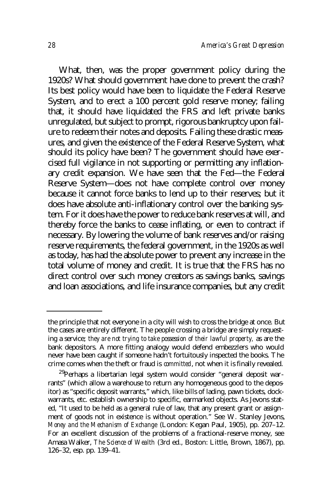What, then, was the proper government policy during the 1920s? What should government have done to prevent the crash? Its best policy would have been to liquidate the Federal Reserve System, and to erect a 100 percent gold reserve money; failing that, it should have liquidated the FRS and left private banks unregulated, but subject to prompt, rigorous bankruptcy upon failure to redeem their notes and deposits. Failing these drastic measures, and given the existence of the Federal Reserve System, what should its policy have been? The government should have exercised full vigilance in not supporting or permitting any inflationary credit expansion. We have seen that the Fed—the Federal Reserve System—does not have complete control over money because it cannot force banks to lend up to their reserves; but it does have absolute anti-inflationary control over the banking system. For it does have the power to reduce bank reserves at will, and thereby force the banks to cease inflating, or even to contract if necessary. By lowering the volume of bank reserves and/or raising reserve requirements, the federal government, in the 1920s as well as today, has had the absolute power to prevent any increase in the total volume of money and credit. It is true that the FRS has no direct control over such money creators as savings banks, savings and loan associations, and life insurance companies, but any credit

the principle that not everyone in a city will wish to cross the bridge at once. But the cases are entirely different. The people crossing a bridge are simply requesting a service; *they are not trying to take possession of their lawful property,* as are the bank depositors. A more fitting analogy would defend embezzlers who would never have been caught if someone hadn't fortuitously inspected the books. The crime comes when the theft or fraud is *committed*, not when it is finally revealed.

<sup>&</sup>lt;sup>29</sup>Perhaps a libertarian legal system would consider "general deposit warrants" (which allow a warehouse to return any homogeneous good to the depositor) as "specific deposit warrants," which, like bills of lading, pawn tickets, dockwarrants, etc. establish ownership to specific, earmarked objects. As Jevons stated, "It used to be held as a general rule of law, that any present grant or assignment of goods not in existence is without operation." See W. Stanley Jevons, *Money and the Mechanism of Exchange* (London: Kegan Paul, 1905), pp. 207–12. For an excellent discussion of the problems of a fractional-reserve money, see Amasa Walker, *The Science of Wealth* (3rd ed., Boston: Little, Brown, 1867), pp. 126–32, esp. pp. 139–41.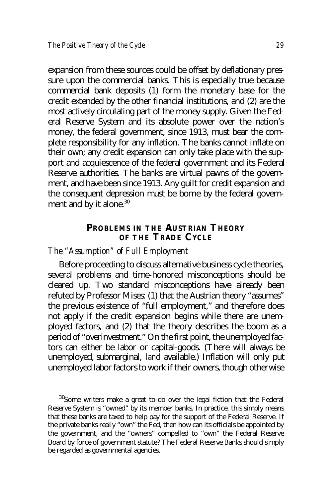expansion from these sources could be offset by deflationary pressure upon the commercial banks. This is especially true because commercial bank deposits (1) form the monetary base for the credit extended by the other financial institutions, and (2) are the most actively circulating part of the money supply. Given the Federal Reserve System and its absolute power over the nation's money, the federal government, since 1913, must bear the complete responsibility for any inflation. The banks cannot inflate on their own; any credit expansion can only take place with the support and acquiescence of the federal government and its Federal Reserve authorities. The banks are virtual pawns of the government, and have been since 1913. Any guilt for credit expansion and the consequent depression must be borne by the federal government and by it alone.<sup>30</sup>

### **PROBLEMS IN THE AUSTRIAN THEORY OF THE TRADE CYCLE**

### *The "Assumption" of Full Employment*

Before proceeding to discuss alternative business cycle theories, several problems and time-honored misconceptions should be cleared up. Two standard misconceptions have already been refuted by Professor Mises: (1) that the Austrian theory "assumes" the previous existence of "full employment," and therefore does not apply if the credit expansion begins while there are unemployed factors, and (2) that the theory describes the boom as a period of "overinvestment." On the first point, the unemployed factors can either be labor or capital-goods. (There will always be unemployed, submarginal, *land* available.) Inflation will only put unemployed labor factors to work if their owners, though otherwise

<sup>30</sup>Some writers make a great to-do over the legal fiction that the Federal Reserve System is "owned" by its member banks. In practice, this simply means that these banks are taxed to help pay for the support of the Federal Reserve. If the private banks really "own" the Fed, then how can its officials be appointed by the government, and the "owners" compelled to "own" the Federal Reserve Board by force of government statute? The Federal Reserve Banks should simply be regarded as governmental agencies.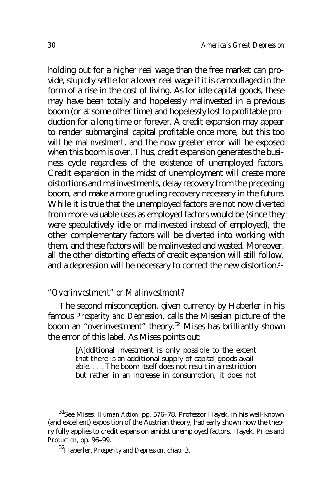holding out for a higher real wage than the free market can provide, stupidly settle for a lower real wage if it is camouflaged in the form of a rise in the cost of living. As for idle capital goods, these may have been totally and hopelessly malinvested in a previous boom (or at some other time) and hopelessly lost to profitable production for a long time or forever. A credit expansion may appear to render submarginal capital profitable once more, but this too will be *malinvestment*, and the now greater error will be exposed when this boom is over. Thus, credit expansion generates the business cycle regardless of the existence of unemployed factors. Credit expansion in the midst of unemployment will create more distortions and malinvestments, delay recovery from the preceding boom, and make a more grueling recovery necessary in the future. While it is true that the unemployed factors are not now diverted from more valuable uses as employed factors would be (since they were speculatively idle or malinvested instead of employed), the other complementary factors will be diverted into working with them, and these factors will be malinvested and wasted. Moreover, all the other distorting effects of credit expansion will still follow, and a depression will be necessary to correct the new distortion.<sup>31</sup>

### *"Overinvestment" or Malinvestment?*

The second misconception, given currency by Haberler in his famous *Prosperity and Depression*, calls the Misesian picture of the boom an "overinvestment" theory.<sup>32</sup> Mises has brilliantly shown the error of this label. As Mises points out:

> [A]dditional investment is only possible to the extent that there is an additional supply of capital goods available. . . . The boom itself does not result in a restriction but rather in an increase in consumption, it does not

<sup>31</sup>See Mises, *Human Action,* pp. 576–78. Professor Hayek, in his well-known (and excellent) exposition of the Austrian theory, had early shown how the theory fully applies to credit expansion amidst unemployed factors. Hayek, *Prices and Production,* pp. 96–99.

<sup>32</sup>Haberler, *Prosperity and Depression,* chap. 3.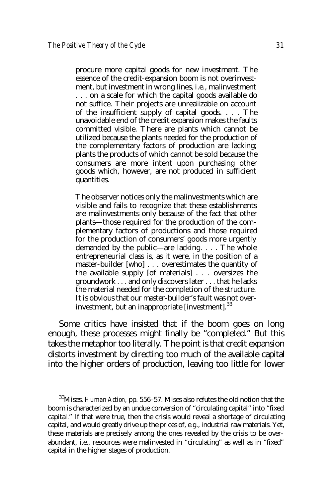procure more capital goods for new investment. The essence of the credit-expansion boom is not overinvestment, but investment in wrong lines, i.e., malinvestment . . . on a scale for which the capital goods available do not suffice. Their projects are unrealizable on account of the insufficient supply of capital goods. . . . The unavoidable end of the credit expansion makes the faults committed visible. There are plants which cannot be utilized because the plants needed for the production of the complementary factors of production are lacking; plants the products of which cannot be sold because the consumers are more intent upon purchasing other goods which, however, are not produced in sufficient quantities.

The observer notices only the malinvestments which are visible and fails to recognize that these establishments are malinvestments only because of the fact that other plants—those required for the production of the complementary factors of productions and those required for the production of consumers' goods more urgently demanded by the public—are lacking. . . . The whole entrepreneurial class is, as it were, in the position of a master-builder [who] . . . overestimates the quantity of the available supply [of materials] . . . oversizes the groundwork . . . and only discovers later . . . that he lacks the material needed for the completion of the structure. It is obvious that our master-builder's fault was not overinvestment, but an inappropriate [investment].<sup>33</sup>

Some critics have insisted that if the boom goes on long enough, these processes might finally be "completed." But this takes the metaphor too literally. The point is that credit expansion distorts investment by directing too much of the available capital into the higher orders of production, leaving too little for lower

<sup>33</sup>Mises, *Human Action,* pp. 556–57. Mises also refutes the old notion that the boom is characterized by an undue conversion of "circulating capital" into "fixed capital." If that were true, then the crisis would reveal a shortage of circulating capital, and would greatly drive up the prices of, e.g., industrial raw materials. Yet, these materials are precisely among the ones revealed by the crisis to be overabundant, i.e., resources were malinvested in "circulating" as well as in "fixed" capital in the higher stages of production.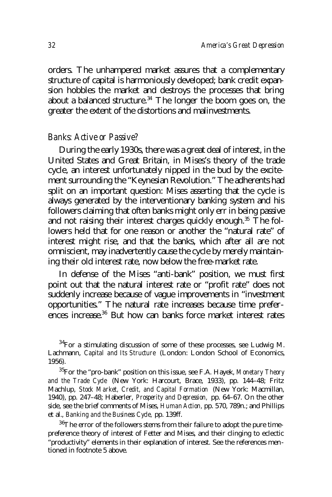orders. The unhampered market assures that a complementary structure of capital is harmoniously developed; bank credit expansion hobbles the market and destroys the processes that bring about a balanced structure. $34$  The longer the boom goes on, the greater the extent of the distortions and malinvestments.

### *Banks: Active or Passive?*

During the early 1930s, there was a great deal of interest, in the United States and Great Britain, in Mises's theory of the trade cycle, an interest unfortunately nipped in the bud by the excitement surrounding the "Keynesian Revolution." The adherents had split on an important question: Mises asserting that the cycle is always generated by the interventionary banking system and his followers claiming that often banks might only err in being passive and not raising their interest charges quickly enough.<sup>35</sup> The followers held that for one reason or another the "natural rate" of interest might rise, and that the banks, which after all are not omniscient, may inadvertently cause the cycle by merely maintaining their old interest rate, now below the free-market rate.

In defense of the Mises "anti-bank" position, we must first point out that the natural interest rate or "profit rate" does not suddenly increase because of vague improvements in "investment opportunities." The natural rate increases because time preferences increase.<sup>36</sup> But how can banks force market interest rates

 $34$ For a stimulating discussion of some of these processes, see Ludwig M. Lachmann, *Capital and Its Structure* (London: London School of Economics, 1956).

<sup>35</sup>For the "pro-bank" position on this issue, see F.A. Hayek, *Monetary Theory and the Trade Cycle* (New York: Harcourt, Brace, 1933), pp. 144–48; Fritz Machlup, *Stock Market, Credit, and Capital Formation* (New York: Macmillan, 1940), pp. 247–48; Haberler, *Prosperity and Depression,* pp. 64–67. On the other side, see the brief comments of Mises, *Human Action,* pp. 570, 789n.; and Phillips et al., *Banking and the Business Cycle,* pp. 139ff.

 $36$ The error of the followers stems from their failure to adopt the pure timepreference theory of interest of Fetter and Mises, and their clinging to eclectic "productivity" elements in their explanation of interest. See the references mentioned in footnote 5 above.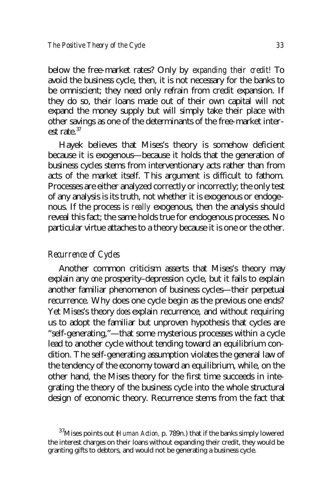below the free-market rates? Only by *expanding their credit!* To avoid the business cycle, then, it is not necessary for the banks to be omniscient; they need only refrain from credit expansion. If they do so, their loans made out of their own capital will not expand the money supply but will simply take their place with other savings as one of the determinants of the free-market interest rate.<sup>37</sup>

Hayek believes that Mises's theory is somehow deficient because it is exogenous—because it holds that the generation of business cycles stems from interventionary acts rather than from acts of the market itself. This argument is difficult to fathom. Processes are either analyzed correctly or incorrectly; the only test of any analysis is its truth, not whether it is exogenous or endogenous. If the process is *really* exogenous, then the analysis should reveal this fact; the same holds true for endogenous processes. No particular virtue attaches to a theory because it is one or the other.

### *Recurrence of Cycles*

Another common criticism asserts that Mises's theory may explain any *one* prosperity–depression cycle, but it fails to explain another familiar phenomenon of business cycles—their perpetual recurrence. Why does one cycle begin as the previous one ends? Yet Mises's theory *does* explain recurrence, and without requiring us to adopt the familiar but unproven hypothesis that cycles are "self-generating,"—that some mysterious processes within a cycle lead to another cycle without tending toward an equilibrium condition. The self-generating assumption violates the general law of the tendency of the economy toward an equilibrium, while, on the other hand, the Mises theory for the first time succeeds in integrating the theory of the business cycle into the whole structural design of economic theory. Recurrence stems from the fact that

<sup>37</sup>Mises points out (*Human Action,* p. 789n.) that if the banks simply lowered the interest charges on their loans without expanding their credit, they would be granting gifts to debtors, and would not be generating a business cycle.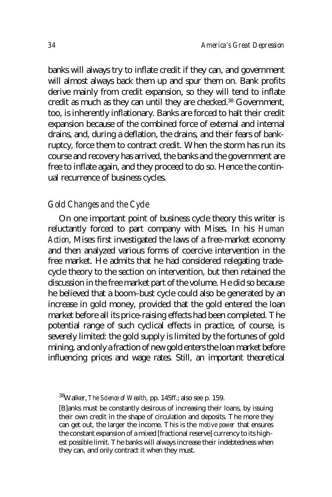banks will always try to inflate credit if they can, and government will almost always back them up and spur them on. Bank profits derive mainly from credit expansion, so they will tend to inflate credit as much as they can until they are checked.<sup>38</sup> Government, too, is inherently inflationary. Banks are forced to halt their credit expansion because of the combined force of external and internal drains, and, during a deflation, the drains, and their fears of bankruptcy, force them to contract credit. When the storm has run its course and recovery has arrived, the banks and the government are free to inflate again, and they proceed to do so. Hence the continual recurrence of business cycles.

### *Gold Changes and the Cycle*

On one important point of business cycle theory this writer is reluctantly forced to part company with Mises. In his *Human Action*, Mises first investigated the laws of a free-market economy and then analyzed various forms of coercive intervention in the free market. He admits that he had considered relegating tradecycle theory to the section on intervention, but then retained the discussion in the free market part of the volume. He did so because he believed that a boom–bust cycle could also be generated by an increase in gold money, provided that the gold entered the loan market before all its price-raising effects had been completed. The potential range of such cyclical effects in practice, of course, is severely limited: the gold supply is limited by the fortunes of gold mining, and only a fraction of new gold enters the loan market before influencing prices and wage rates. Still, an important theoretical

[B]anks must be constantly desirous of increasing their loans, by issuing their own credit in the shape of circulation and deposits. The more they can get out, the larger the income. This is the *motive power* that ensures the constant expansion of a mixed [fractional reserve] currency to its highest possible limit. The banks will always increase their indebtedness when they can, and only contract it when they must.

<sup>38</sup>Walker, *The Science of Wealth,* pp. 145ff.; also see p. 159.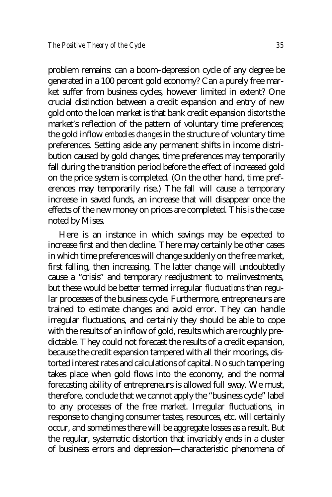problem remains: can a boom–depression cycle of any degree be generated in a 100 percent gold economy? Can a purely free market suffer from business cycles, however limited in extent? One crucial distinction between a credit expansion and entry of new gold onto the loan market is that bank credit expansion *distorts* the market's reflection of the pattern of voluntary time preferences; the gold inflow *embodies changes* in the structure of voluntary time preferences. Setting aside any permanent shifts in income distribution caused by gold changes, time preferences may temporarily fall during the transition period before the effect of increased gold on the price system is completed. (On the other hand, time preferences may temporarily rise.) The fall will cause a temporary increase in saved funds, an increase that will disappear once the effects of the new money on prices are completed. This is the case noted by Mises.

Here is an instance in which savings may be expected to increase first and then decline. There may certainly be other cases in which time preferences will change suddenly on the free market, first falling, then increasing. The latter change will undoubtedly cause a "crisis" and temporary readjustment to malinvestments, but these would be better termed irregular *fluctuations* than regular processes of the business cycle. Furthermore, entrepreneurs are trained to estimate changes and avoid error. They can handle irregular fluctuations, and certainly they should be able to cope with the results of an inflow of gold, results which are roughly predictable. They could not forecast the results of a credit expansion, because the credit expansion tampered with all their moorings, distorted interest rates and calculations of capital. No such tampering takes place when gold flows into the economy, and the normal forecasting ability of entrepreneurs is allowed full sway. We must, therefore, conclude that we cannot apply the "business cycle" label to any processes of the free market. Irregular fluctuations, in response to changing consumer tastes, resources, etc. will certainly occur, and sometimes there will be aggregate losses as a result. But the regular, systematic distortion that invariably ends in a cluster of business errors and depression—characteristic phenomena of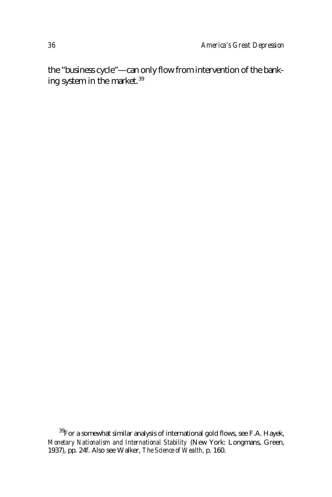the "business cycle"—can only flow from intervention of the banking system in the market.<sup>39</sup>

 $^{39}\!$  For a somewhat similar analysis of international gold flows, see F.A. Hayek, *Monetary Nationalism and International Stability* (New York: Longmans, Green, 1937), pp. 24f. Also see Walker, *The Science of Wealth,* p. 160.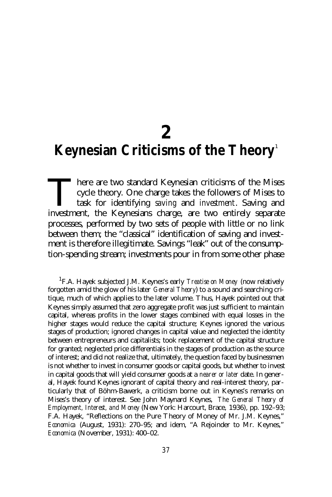# **2**

## **Keynesian Criticisms of the Theory** 1

**T** There are two standard Keynesian criticisms of the Mises cycle theory. One charge takes the followers of Mises to task for identifying *saving* and *investment*. Saving and investment, the Keynesians charge, are two entirely separate processes, performed by two sets of people with little or no link between them; the "classical" identification of saving and investment is therefore illegitimate. Savings "leak" out of the consumption-spending stream; investments pour in from some other phase

1 F.A. Hayek subjected J.M. Keynes's early *Treatise on Money* (now relatively forgotten amid the glow of his later *General Theory*) to a sound and searching critique, much of which applies to the later volume. Thus, Hayek pointed out that Keynes simply assumed that zero aggregate profit was just sufficient to maintain capital, whereas profits in the lower stages combined with equal losses in the higher stages would reduce the capital structure; Keynes ignored the various stages of production; ignored changes in capital value and neglected the identity between entrepreneurs and capitalists; took replacement of the capital structure for granted; neglected price differentials in the stages of production as the source of interest; and did not realize that, ultimately, the question faced by businessmen is not whether to invest in consumer goods or capital goods, but whether to invest in capital goods that will yield consumer goods at a *nearer or later* date. In general, Hayek found Keynes ignorant of capital theory and real-interest theory, particularly that of Böhm-Bawerk, a criticism borne out in Keynes's remarks on Mises's theory of interest. See John Maynard Keynes, *The General Theory of Employment, Interest, and Money* (New York: Harcourt, Brace, 1936), pp. 192–93; F.A. Hayek, "Reflections on the Pure Theory of Money of Mr. J.M. Keynes," *Economica* (August, 1931): 270–95; and idem, "A Rejoinder to Mr. Keynes," *Economica* (November, 1931): 400–02.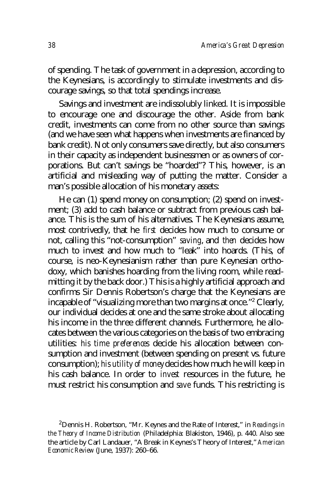of spending. The task of government in a depression, according to the Keynesians, is accordingly to stimulate investments and discourage savings, so that total spendings increase.

Savings and investment are indissolubly linked. It is impossible to encourage one and discourage the other. Aside from bank credit, investments can come from no other source than savings (and we have seen what happens when investments are financed by bank credit). Not only consumers save directly, but also consumers in their capacity as independent businessmen or as owners of corporations. But can't savings be "hoarded"? This, however, is an artificial and misleading way of putting the matter. Consider a man's possible allocation of his monetary assets:

He can (1) spend money on consumption; (2) spend on investment; (3) add to cash balance or subtract from previous cash balance. This is the sum of his alternatives. The Keynesians assume, most contrivedly, that he *first* decides how much to consume or not, calling this "not-consumption" *saving*, and *then* decides how much to invest and how much to "leak" into hoards. (This, of course, is neo-Keynesianism rather than pure Keynesian orthodoxy, which banishes hoarding from the living room, while readmitting it by the back door.) This is a highly artificial approach and confirms Sir Dennis Robertson's charge that the Keynesians are incapable of "visualizing more than two margins at once."<sup>2</sup> Clearly, our individual decides at one and the same stroke about allocating his income in the three different channels. Furthermore, he allocates between the various categories on the basis of two embracing utilities: *his time preferences* decide his allocation between consumption and investment (between spending on present vs. future consumption); *his utility of money*decides how much he will keep in his cash balance. In order to *invest* resources in the future, he must restrict his consumption and *save* funds. This restricting is

<sup>2</sup>Dennis H. Robertson, "Mr. Keynes and the Rate of Interest," in *Readings in the Theory of Income Distribution* (Philadelphia: Blakiston, 1946), p. 440. Also see the article by Carl Landauer, "A Break in Keynes's Theory of Interest," *American Economic Review* (June, 1937): 260–66.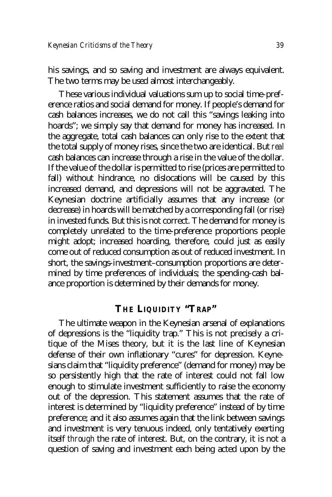his savings, and so saving and investment are always equivalent. The two terms may be used almost interchangeably.

These various individual valuations sum up to social time-preference ratios and social demand for money. If people's demand for cash balances increases, we do not call this "savings leaking into hoards"; we simply say that demand for money has increased. In the aggregate, total cash balances can only rise to the extent that the total supply of money rises, since the two are identical. But *real* cash balances can increase through a rise in the value of the dollar. If the value of the dollar is permitted to rise (prices are permitted to fall) without hindrance, no dislocations will be caused by this increased demand, and depressions will not be aggravated. The Keynesian doctrine artificially assumes that any increase (or decrease) in hoards will be matched by a corresponding fall (or rise) in invested funds. But this is not correct. The demand for money is completely unrelated to the time-preference proportions people might adopt; increased hoarding, therefore, could just as easily come out of reduced consumption as out of reduced investment. In short, the savings-investment–consumption proportions are determined by time preferences of individuals; the spending-cash balance proportion is determined by their demands for money.

### **THE LIQUIDITY "TRAP"**

The ultimate weapon in the Keynesian arsenal of explanations of depressions is the "liquidity trap." This is not precisely a critique of the Mises theory, but it is the last line of Keynesian defense of their own inflationary "cures" for depression. Keynesians claim that "liquidity preference" (demand for money) may be so persistently high that the rate of interest could not fall low enough to stimulate investment sufficiently to raise the economy out of the depression. This statement assumes that the rate of interest is determined by "liquidity preference" instead of by time preference; and it also assumes again that the link between savings and investment is very tenuous indeed, only tentatively exerting itself *through* the rate of interest. But, on the contrary, it is not a question of saving and investment each being acted upon by the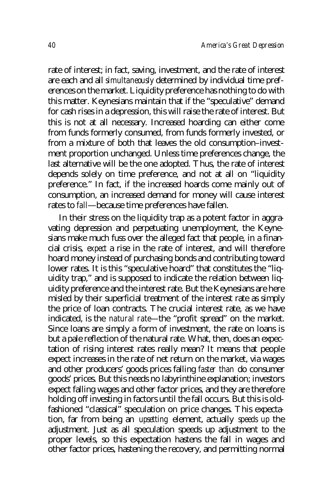rate of interest; in fact, saving, investment, and the rate of interest are each and all *simultaneously* determined by individual time preferences on the market. Liquidity preference has nothing to do with this matter. Keynesians maintain that if the "speculative" demand for cash rises in a depression, this will raise the rate of interest. But this is not at all necessary. Increased hoarding can either come from funds formerly consumed, from funds formerly invested, or from a mixture of both that leaves the old consumption–investment proportion unchanged. Unless time preferences change, the last alternative will be the one adopted. Thus, the rate of interest depends solely on time preference, and not at all on "liquidity preference." In fact, if the increased hoards come mainly out of consumption, an increased demand for money will cause interest rates to *fall*—because time preferences have fallen.

In their stress on the liquidity trap as a potent factor in aggravating depression and perpetuating unemployment, the Keynesians make much fuss over the alleged fact that people, in a financial crisis, *expect* a rise in the rate of interest, and will therefore hoard money instead of purchasing bonds and contributing toward lower rates. It is this "speculative hoard" that constitutes the "liquidity trap," and is supposed to indicate the relation between liquidity preference and the interest rate. But the Keynesians are here misled by their superficial treatment of the interest rate as simply the price of loan contracts. The crucial interest rate, as we have indicated, is the *natural rate*—the "profit spread" on the market. Since loans are simply a form of investment, the rate on loans is but a pale reflection of the natural rate. What, then, does an expectation of rising interest rates really mean? It means that people expect increases in the rate of net return on the market, via wages and other producers' goods prices falling *faster than* do consumer goods' prices. But this needs no labyrinthine explanation; investors expect falling wages and other factor prices, and they are therefore holding off investing in factors until the fall occurs. But this is oldfashioned "classical" speculation on price changes. This expectation, far from being an *upsetting* element, actually *speeds up* the adjustment. Just as all speculation speeds up adjustment to the proper levels, so this expectation hastens the fall in wages and other factor prices, hastening the recovery, and permitting normal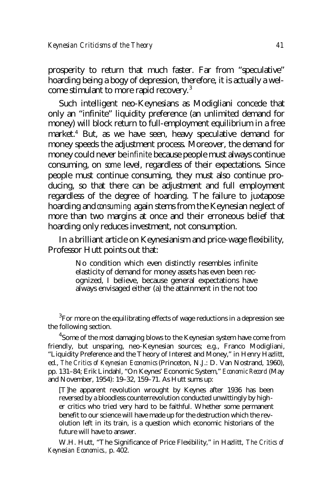prosperity to return that much faster. Far from "speculative" hoarding being a bogy of depression, therefore, it is actually a welcome stimulant to more rapid recovery.<sup>3</sup>

Such intelligent neo-Keynesians as Modigliani concede that only an "infinite" liquidity preference (an unlimited demand for money) will block return to full-employment equilibrium in a free market.<sup>4</sup> But, as we have seen, heavy speculative demand for money speeds the adjustment process. Moreover, the demand for money could never be *infinite* because people must always continue consuming, on *some* level, regardless of their expectations. Since people must continue consuming, they must also continue producing, so that there can be adjustment and full employment regardless of the degree of hoarding. The failure to juxtapose hoarding and *consuming* again stems from the Keynesian neglect of more than two margins at once and their erroneous belief that hoarding only reduces investment, not consumption.

In a brilliant article on Keynesianism and price-wage flexibility, Professor Hutt points out that:

> No condition which even distinctly resembles infinite elasticity of demand for money assets has even been recognized, I believe, because general expectations have always envisaged either (a) the attainment in the not too

 ${\rm ^3}$ For more on the equilibrating effects of wage reductions in a depression see the following section.

 ${\rm ^4}$ Some of the most damaging blows to the Keynesian system have come from friendly, but unsparing, neo-Keynesian sources; e.g., Franco Modigliani, "Liquidity Preference and the Theory of Interest and Money," in Henry Hazlitt, ed., *The Critics of Keynesian Economics* (Princeton, N.J.: D. Van Nostrand, 1960), pp. 131–84; Erik Lindahl, "On Keynes' Economic System," *Economic Record* (May and November, 1954): 19–32, 159–71. As Hutt sums up:

[T]he apparent revolution wrought by Keynes after 1936 has been reversed by a bloodless counterrevolution conducted unwittingly by higher critics who tried very hard to be faithful. Whether some permanent benefit to our science will have made up for the destruction which the revolution left in its train, is a question which economic historians of the future will have to answer.

W.H. Hutt, "The Significance of Price Flexibility," in Hazlitt, *The Critics of Keynesian Economics.,* p. 402.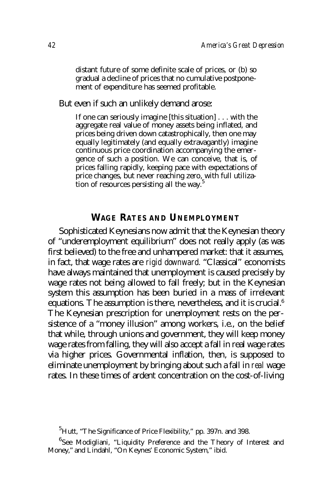distant future of some definite scale of prices, or (b) so gradual a decline of prices that no cumulative postponement of expenditure has seemed profitable.

But even if such an unlikely demand arose:

If one can seriously imagine [this situation] . . . with the aggregate real value of money assets being inflated, and prices being driven down catastrophically, then one may equally legitimately (and equally extravagantly) imagine continuous price coordination accompanying the emergence of such a position. We can conceive, that is, of prices falling rapidly, keeping pace with expectations of price changes, but never reaching zero, with full utilization of resources persisting all the way.<sup>5</sup>

### **WAGE RATES AND UNEMPLOYMENT**

Sophisticated Keynesians now admit that the Keynesian theory of "underemployment equilibrium" does not really apply (as was first believed) to the free and unhampered market: that it assumes, in fact, that wage rates are *rigid downward.* "Classical" economists have always maintained that unemployment is caused precisely by wage rates not being allowed to fall freely; but in the Keynesian system this assumption has been buried in a mass of irrelevant equations. The assumption is there, nevertheless, and it is crucial.<sup>6</sup> The Keynesian prescription for unemployment rests on the persistence of a "money illusion" among workers, i.e., on the belief that while, through unions and government, they will keep money wage rates from falling, they will also accept a fall in real wage rates via higher prices. Governmental inflation, then, is supposed to eliminate unemployment by bringing about such a fall in *real* wage rates. In these times of ardent concentration on the cost-of-living

 ${}^{5}$ Hutt, "The Significance of Price Flexibility," pp. 397n. and 398.

 $^6$ See Modigliani, "Liquidity Preference and the Theory of Interest and Money," and Lindahl, "On Keynes' Economic System," ibid.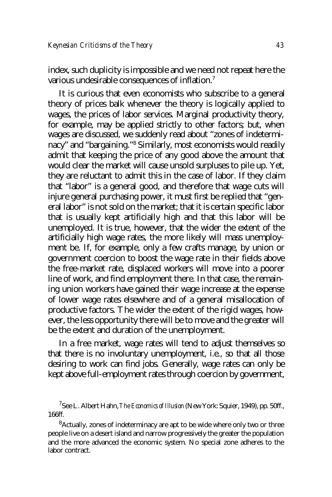index, such duplicity is impossible and we need not repeat here the various undesirable consequences of inflation.<sup>7</sup>

It is curious that even economists who subscribe to a general theory of prices balk whenever the theory is logically applied to wages, the prices of labor services. Marginal productivity theory, for example, may be applied strictly to other factors; but, when wages are discussed, we suddenly read about "zones of indeterminacy" and "bargaining."<sup>8</sup> Similarly, most economists would readily admit that keeping the price of any good above the amount that would clear the market will cause unsold surpluses to pile up. Yet, they are reluctant to admit this in the case of labor. If they claim that "labor" is a general good, and therefore that wage cuts will injure general purchasing power, it must first be replied that "general labor" is not sold on the market; that it is certain specific labor that is usually kept artificially high and that this labor will be unemployed. It is true, however, that the wider the extent of the artificially high wage rates, the more likely will mass unemployment be. If, for example, only a few crafts manage, by union or government coercion to boost the wage rate in their fields above the free-market rate, displaced workers will move into a poorer line of work, and find employment there. In that case, the remaining union workers have gained their wage increase at the expense of lower wage rates elsewhere and of a general misallocation of productive factors. The wider the extent of the rigid wages, however, the less opportunity there will be to move and the greater will be the extent and duration of the unemployment.

In a free market, wage rates will tend to adjust themselves so that there is no involuntary unemployment, i.e., so that all those desiring to work can find jobs. Generally, wage rates can only be kept above full-employment rates through coercion by government,

7 See L. Albert Hahn, *The Economics of Illusion* (New York: Squier, 1949), pp. 50ff., 166ff.

<sup>8</sup>Actually, zones of indeterminacy are apt to be wide where only two or three people live on a desert island and narrow progressively the greater the population and the more advanced the economic system. No special zone adheres to the labor contract.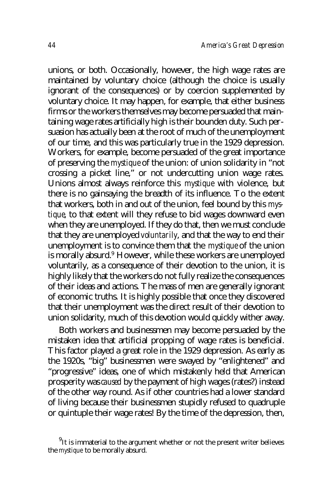unions, or both. Occasionally, however, the high wage rates are maintained by voluntary choice (although the choice is usually ignorant of the consequences) or by coercion supplemented by voluntary choice. It may happen, for example, that either business firms or the workers themselves may become persuaded that maintaining wage rates artificially high is their bounden duty. Such persuasion has actually been at the root of much of the unemployment of our time, and this was particularly true in the 1929 depression. Workers, for example, become persuaded of the great importance of preserving the *mystique* of the union: of union solidarity in "not crossing a picket line," or not undercutting union wage rates. Unions almost always reinforce this *mystique* with violence, but there is no gainsaying the breadth of its influence. To the extent that workers, both in and out of the union, feel bound by this *mystique*, to that extent will they refuse to bid wages downward even when they are unemployed. If they do that, then we must conclude that they are unemployed *voluntarily*, and that the way to end their unemployment is to convince them that the *mystique* of the union is morally absurd.<sup>9</sup> However, while these workers are unemployed voluntarily, as a consequence of their devotion to the union, it is highly likely that the workers do not fully realize the consequences of their ideas and actions. The mass of men are generally ignorant of economic truths. It is highly possible that once they discovered that their unemployment was the direct result of their devotion to union solidarity, much of this devotion would quickly wither away.

Both workers and businessmen may become persuaded by the mistaken idea that artificial propping of wage rates is beneficial. This factor played a great role in the 1929 depression. As early as the 1920s, "big" businessmen were swayed by "enlightened" and "progressive" ideas, one of which mistakenly held that American prosperity was *caused* by the payment of high wages (rates?) instead of the other way round. As if other countries had a lower standard of living because their businessmen stupidly refused to quadruple or quintuple their wage rates! By the time of the depression, then,

 $^9$ It is immaterial to the argument whether or not the present writer believes the *mystique* to be morally absurd.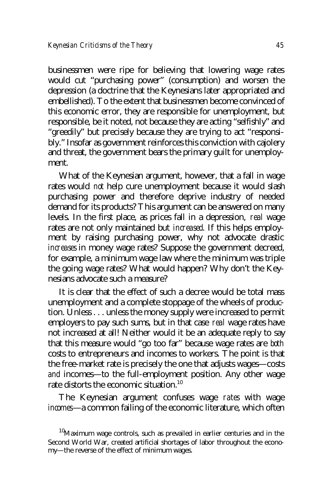businessmen were ripe for believing that lowering wage rates would cut "purchasing power" (consumption) and worsen the depression (a doctrine that the Keynesians later appropriated and embellished). To the extent that businessmen become convinced of this economic error, they are responsible for unemployment, but responsible, be it noted, not because they are acting "selfishly" and "greedily" but precisely because they are trying to act "responsibly." Insofar as government reinforces this conviction with cajolery and threat, the government bears the primary guilt for unemployment.

What of the Keynesian argument, however, that a fall in wage rates would *not* help cure unemployment because it would slash purchasing power and therefore deprive industry of needed demand for its products? This argument can be answered on many levels. In the first place, as prices fall in a depression, *real* wage rates are not only maintained but *increased*. If this helps employment by raising purchasing power, why not advocate drastic *increases* in money wage rates? Suppose the government decreed, for example, a minimum wage law where the minimum was triple the going wage rates? What would happen? Why don't the Keynesians advocate such a measure?

It is clear that the effect of such a decree would be total mass unemployment and a complete stoppage of the wheels of production. Unless . . . unless the money supply were increased to permit employers to pay such sums, but in that case *real* wage rates have not increased at all! Neither would it be an adequate reply to say that this measure would "go too far" because wage rates are *both* costs to entrepreneurs and incomes to workers. The point is that the free-market rate is precisely the one that adjusts wages—costs *and* incomes—to the full-employment position. Any other wage rate distorts the economic situation. $10$ 

The Keynesian argument confuses wage *rates* with wage *incomes*—a common failing of the economic literature, which often

<sup>&</sup>lt;sup>10</sup>Maximum wage controls, such as prevailed in earlier centuries and in the Second World War, created artificial shortages of labor throughout the economy—the reverse of the effect of minimum wages.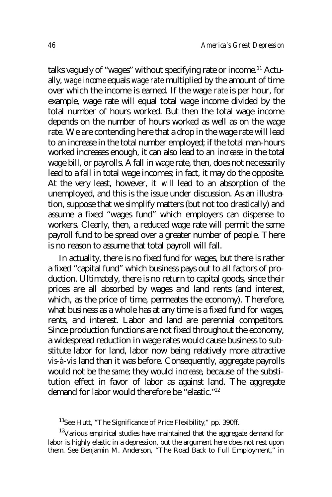talks vaguely of "wages" without specifying rate or income.<sup>11</sup> Actually, *wage income* equals *wage rate* multiplied by the amount of time over which the income is earned. If the wage *rate* is per hour, for example, wage rate will equal total wage income divided by the total number of hours worked. But then the total wage income depends on the number of hours worked as well as on the wage rate. We are contending here that a drop in the wage rate will lead to an increase in the total number employed; if the total man-hours worked increases enough, it can also lead to an *increase* in the total wage bill, or payrolls. A fall in wage rate, then, does not necessarily lead to a fall in total wage incomes; in fact, it may do the opposite. At the very least, however, it *will* lead to an absorption of the unemployed, and this is the issue under discussion. As an illustration, suppose that we simplify matters (but not too drastically) and assume a fixed "wages fund" which employers can dispense to workers. Clearly, then, a reduced wage rate will permit the same payroll fund to be spread over a greater number of people. There is no reason to assume that total payroll will fall.

In actuality, there is no fixed fund for wages, but there is rather a fixed "capital fund" which business pays out to all factors of production. Ultimately, there is no return to capital goods, since their prices are all absorbed by wages and land rents (and interest, which, as the price of time, permeates the economy). Therefore, what business as a whole has at any time is a fixed fund for wages, rents, and interest. Labor and land are perennial competitors. Since production functions are not fixed throughout the economy, a widespread reduction in wage rates would cause business to substitute labor for land, labor now being relatively more attractive *vis-à-vis* land than it was before. Consequently, aggregate payrolls would not be the *same*; they would *increase*, because of the substitution effect in favor of labor as against land. The aggregate demand for labor would therefore be "elastic."<sup>12</sup>

<sup>11</sup>See Hutt, "The Significance of Price Flexibility*,"* pp. 390ff.

 $12$ Various empirical studies have maintained that the aggregate demand for labor is highly elastic in a depression, but the argument here does not rest upon them. See Benjamin M. Anderson, "The Road Back to Full Employment," in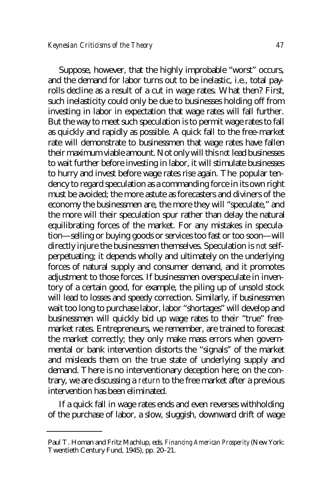Suppose, however, that the highly improbable "worst" occurs, and the demand for labor turns out to be inelastic, i.e., total payrolls decline as a result of a cut in wage rates. What then? First, such inelasticity could only be due to businesses holding off from investing in labor in expectation that wage rates will fall further. But the way to meet such speculation is to permit wage rates to fall as quickly and rapidly as possible. A quick fall to the free-market rate will demonstrate to businessmen that wage rates have fallen their maximum viable amount. Not only will this *not* lead businesses to wait further before investing in labor, it will stimulate businesses to hurry and invest before wage rates rise again. The popular tendency to regard speculation as a commanding force in its own right must be avoided; the more astute as forecasters and diviners of the economy the businessmen are, the more they will "speculate," and the more will their speculation spur rather than delay the natural equilibrating forces of the market. For any mistakes in speculation—selling or buying goods or services too fast or too soon—will directly injure the businessmen themselves. Speculation is *not* selfperpetuating; it depends wholly and ultimately on the underlying forces of natural supply and consumer demand, and it promotes adjustment to those forces. If businessmen overspeculate in inventory of a certain good, for example, the piling up of unsold stock will lead to losses and speedy correction. Similarly, if businessmen wait too long to purchase labor, labor "shortages" will develop and businessmen will quickly bid up wage rates to their "true" freemarket rates. Entrepreneurs, we remember, are trained to forecast the market correctly; they only make mass errors when governmental or bank intervention distorts the "signals" of the market and misleads them on the true state of underlying supply and demand. There is no interventionary deception here; on the contrary, we are discussing a *return* to the free market after a previous intervention has been eliminated.

If a quick fall in wage rates ends and even reverses withholding of the purchase of labor, a slow, sluggish, downward drift of wage

Paul T. Homan and Fritz Machlup, eds. *Financing American Prosperity* (New York: Twentieth Century Fund, 1945), pp. 20–21.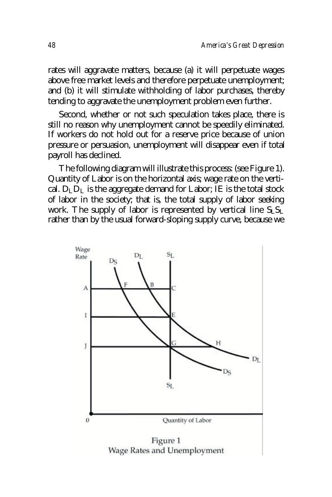rates will aggravate matters, because (a) it will perpetuate wages above free market levels and therefore perpetuate unemployment; and (b) it will stimulate withholding of labor purchases, thereby tending to aggravate the unemployment problem even further.

Second, whether or not such speculation takes place, there is still no reason why unemployment cannot be speedily eliminated. If workers do not hold out for a reserve price because of union pressure or persuasion, unemployment will disappear even if total payroll has declined.

The following diagram will illustrate this process: (see Figure 1). Quantity of Labor is on the horizontal axis; wage rate on the vertical.  $D_L D_L$  is the aggregate demand for Labor; IE is the total stock of labor in the society; that is, the total supply of labor seeking work. The supply of labor is represented by vertical line  $S_{\text{I}}S_{\text{I}}$ rather than by the usual forward-sloping supply curve, because we



Figure 1 Wage Rates and Unemployment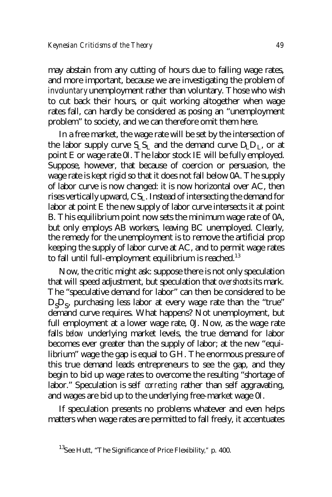may abstain from any cutting of hours due to falling wage rates, and more important, because we are investigating the problem of *involuntary* unemployment rather than voluntary. Those who wish to cut back their hours, or quit working altogether when wage rates fall, can hardly be considered as posing an "unemployment problem" to society, and we can therefore omit them here.

In a free market, the wage rate will be set by the intersection of the labor supply curve  $S_1 S_1$  and the demand curve  $D_1 D_1$ , or at point E or wage rate 0I. The labor stock IE will be fully employed. Suppose, however, that because of coercion or persuasion, the wage rate is kept rigid so that it does not fall below 0A. The supply of labor curve is now changed: it is now horizontal over AC, then rises vertically upward, CSL. Instead of intersecting the demand for labor at point E the new supply of labor curve intersects it at point B. This equilibrium point now sets the minimum wage rate of 0A, but only employs AB workers, leaving BC unemployed. Clearly, the remedy for the unemployment is to remove the artificial prop keeping the supply of labor curve at AC, and to permit wage rates to fall until full-employment equilibrium is reached.<sup>13</sup>

Now, the critic might ask: suppose there is not only speculation that will speed adjustment, but speculation that *overshoots* its mark. The "speculative demand for labor" can then be considered to be  $D_{s}D_{s}$ , purchasing less labor at every wage rate than the "true" demand curve requires. What happens? Not unemployment, but full employment at a lower wage rate, 0J. Now, as the wage rate falls *below* underlying market levels, the true demand for labor becomes ever greater than the supply of labor; at the new "equilibrium" wage the gap is equal to GH. The enormous pressure of this true demand leads entrepreneurs to see the gap, and they begin to bid up wage rates to overcome the resulting "shortage of labor." Speculation is self *correcting* rather than self aggravating, and wages are bid up to the underlying free-market wage 0I.

If speculation presents no problems whatever and even helps matters when wage rates are permitted to fall freely, it accentuates

<sup>13</sup>See Hutt, "The Significance of Price Flexibility*,"* p. 400.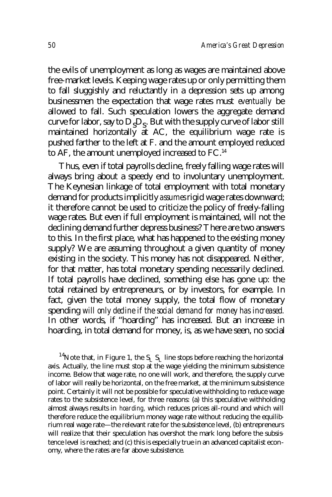the evils of unemployment as long as wages are maintained above free-market levels. Keeping wage rates up or only permitting them to fall sluggishly and reluctantly in a depression sets up among businessmen the expectation that wage rates must *eventually* be allowed to fall. Such speculation lowers the aggregate demand curve for labor, say to  $D_{\mathcal{S}}D_{\mathcal{S}}$ . But with the supply curve of labor still maintained horizontally at AC, the equilibrium wage rate is pushed farther to the left at F. and the amount employed reduced to AF, the amount unemployed increased to FC.<sup>14</sup>

Thus, even if total payrolls decline, freely falling wage rates will always bring about a speedy end to involuntary unemployment. The Keynesian linkage of total employment with total monetary demand for products implicitly *assumes*rigid wage rates downward; it therefore cannot be used to criticize the policy of freely-falling wage rates. But even if full employment is maintained, will not the declining demand further depress business? There are two answers to this. In the first place, what has happened to the existing money supply? We are assuming throughout a given quantity of money existing in the society. This money has not disappeared. Neither, for that matter, has total monetary spending necessarily declined. If total payrolls have declined, something else has gone up: the total retained by entrepreneurs, or by investors, for example. In fact, given the total money supply, the total flow of monetary spending *will only decline if the social demand for money has increased.* In other words, if "hoarding" has increased. But an increase in hoarding, in total demand for money, is, as we have seen, no social

<sup>14</sup>Note that, in Figure 1, the  $S_L S_L$  line stops before reaching the horizontal axis. Actually, the line must stop at the wage yielding the minimum subsistence income. Below that wage rate, no one will work, and therefore, the supply curve of labor will really be horizontal, on the free market, at the minimum subsistence point. Certainly it will not be possible for speculative withholding to reduce wage rates to the subsistence level, for three reasons: (a) this speculative withholding almost always results in *hoarding,* which reduces prices all-round and which will therefore reduce the equilibrium money wage rate without reducing the equilibrium real wage rate—the relevant rate for the subsistence level, (b) entrepreneurs will realize that their speculation has overshot the mark long before the subsistence level is reached; and (c) this is especially true in an advanced capitalist economy, where the rates are far above subsistence.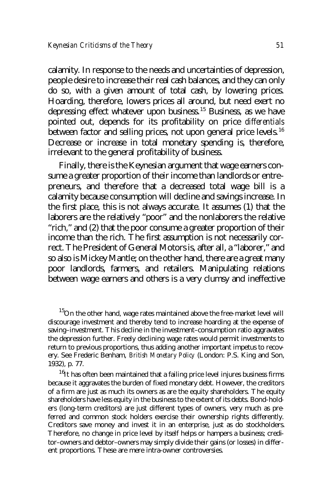calamity. In response to the needs and uncertainties of depression, people desire to increase their real cash balances, and they can only do so, with a given amount of total cash, by lowering prices. Hoarding, therefore, lowers prices all around, but need exert no depressing effect whatever upon business.<sup>15</sup> Business, as we have pointed out, depends for its profitability on price *differentials* between factor and selling prices, not upon general price levels.<sup>16</sup> Decrease or increase in total monetary spending is, therefore, irrelevant to the general profitability of business.

Finally, there is the Keynesian argument that wage earners consume a greater proportion of their income than landlords or entrepreneurs, and therefore that a decreased total wage bill is a calamity because consumption will decline and savings increase. In the first place, this is not always accurate. It assumes (1) that the laborers are the relatively "poor" and the nonlaborers the relative "rich," and (2) that the poor consume a greater proportion of their income than the rich. The first assumption is not necessarily correct. The President of General Motors is, after all, a "laborer," and so also is Mickey Mantle; on the other hand, there are a great many poor landlords, farmers, and retailers. Manipulating relations between wage earners and others is a very clumsy and ineffective

 $15$ On the other hand, wage rates maintained above the free-market level will discourage investment and thereby tend to increase hoarding at the expense of saving–investment. This decline in the investment–consumption ratio aggravates the depression further. Freely declining wage rates would permit investments to return to previous proportions, thus adding another important impetus to recovery. See Frederic Benham, *British Monetary Policy* (London: P.S. King and Son, 1932), p. 77.

 $16$ It has often been maintained that a failing price level injures business firms because it aggravates the burden of fixed monetary debt. However, the creditors of a firm are just as much its owners as are the equity shareholders. The equity shareholders have less equity in the business to the extent of its debts. Bond-holders (long-term creditors) are just different types of owners, very much as preferred and common stock holders exercise their ownership rights differently. Creditors save money and invest it in an enterprise, just as do stockholders. Therefore, no change in price level by itself helps or hampers a business; creditor–owners and debtor–owners may simply divide their gains (or losses) in different proportions. These are mere intra-owner controversies.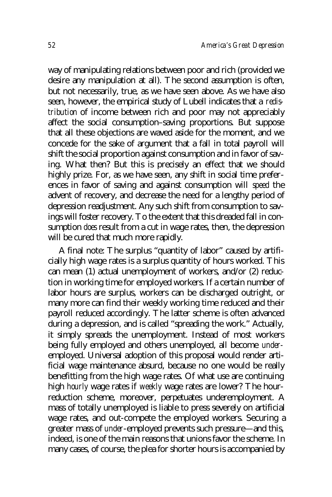way of manipulating relations between poor and rich (provided we desire any manipulation at all). The second assumption is often, but not necessarily, true, as we have seen above. As we have also seen, however, the empirical study of Lubell indicates that a *redistribution* of income between rich and poor may not appreciably affect the social consumption–saving proportions. But suppose that all these objections are waved aside for the moment, and we concede for the sake of argument that a fall in total payroll will shift the social proportion against consumption and in favor of saving. What then? But this is precisely an effect that we should highly prize. For, as we have seen, any shift in social time preferences in favor of saving and against consumption will *speed* the advent of recovery, and decrease the need for a lengthy period of depression readjustment. Any such shift from consumption to savings will foster recovery. To the extent that this dreaded fall in consumption *does* result from a cut in wage rates, then, the depression will be cured that much more rapidly.

A final note: The surplus "quantity of labor" caused by artificially high wage rates is a surplus quantity of hours worked. This can mean (1) actual unemployment of workers, and/or (2) reduction in working time for employed workers. If a certain number of labor hours are surplus, workers can be discharged outright, or many more can find their weekly working time reduced and their payroll reduced accordingly. The latter scheme is often advanced during a depression, and is called "spreading the work." Actually, it simply spreads the unemployment. Instead of most workers being fully employed and others unemployed, all become *under*employed. Universal adoption of this proposal would render artificial wage maintenance absurd, because no one would be really benefitting from the high wage rates. Of what use are continuing high *hourly* wage rates if *weekly* wage rates are lower? The hourreduction scheme, moreover, perpetuates underemployment. A mass of totally unemployed is liable to press severely on artificial wage rates, and out-compete the employed workers. Securing a greater mass of *under*-employed prevents such pressure—and this, indeed, is one of the main reasons that unions favor the scheme. In many cases, of course, the plea for shorter hours is accompanied by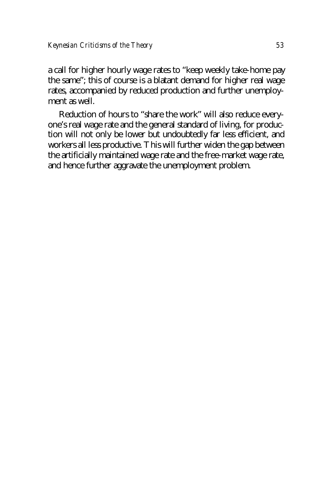a call for higher hourly wage rates to "keep weekly take-home pay the same"; this of course is a blatant demand for higher real wage rates, accompanied by reduced production and further unemployment as well.

Reduction of hours to "share the work" will also reduce everyone's real wage rate and the general standard of living, for production will not only be lower but undoubtedly far less efficient, and workers all less productive. This will further widen the gap between the artificially maintained wage rate and the free-market wage rate, and hence further aggravate the unemployment problem.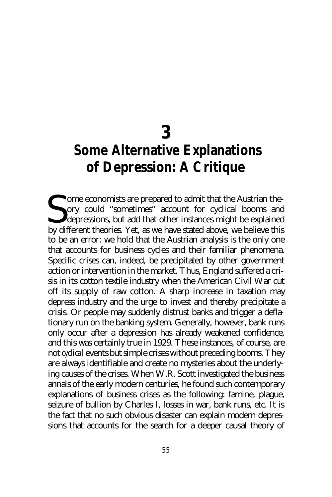**3**

# **Some Alternative Explanations of Depression: A Critique**

Some economists are prepared to admit that the Austrian the-<br>
ory could "sometimes" account for cyclical booms and<br>
depressions, but add that other instances might be explained<br>
by different theories. Yet as we have stated ory could "sometimes" account for cyclical booms and depressions, but add that other instances might be explained by different theories. Yet, as we have stated above, we believe this to be an error: we hold that the Austrian analysis is the only one that accounts for business cycles and their familiar phenomena. Specific crises can, indeed, be precipitated by other government action or intervention in the market. Thus, England suffered a crisis in its cotton textile industry when the American Civil War cut off its supply of raw cotton. A sharp increase in taxation may depress industry and the urge to invest and thereby precipitate a crisis. Or people may suddenly distrust banks and trigger a deflationary run on the banking system. Generally, however, bank runs only occur after a depression has already weakened confidence, and this was certainly true in 1929. These instances, of course, are not *cyclical* events but simple crises without preceding booms. They are always identifiable and create no mysteries about the underlying causes of the crises. When W.R. Scott investigated the business annals of the early modern centuries, he found such contemporary explanations of business crises as the following: famine, plague, seizure of bullion by Charles I, losses in war, bank runs, etc. It is the fact that no such obvious disaster can explain modern depressions that accounts for the search for a deeper causal theory of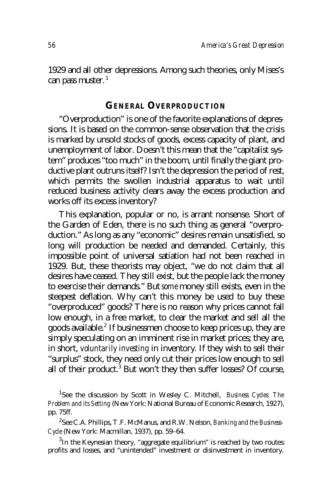1929 and all other depressions. Among such theories, only Mises's can pass muster.<sup>1</sup>

#### **GENERAL OVERPRODUCTION**

"Overproduction" is one of the favorite explanations of depressions. It is based on the common-sense observation that the crisis is marked by unsold stocks of goods, excess capacity of plant, and unemployment of labor. Doesn't this mean that the "capitalist system" produces "too much" in the boom, until finally the giant productive plant outruns itself? Isn't the depression the period of rest, which permits the swollen industrial apparatus to wait until reduced business activity clears away the excess production and works off its excess inventory?

This explanation, popular or no, is arrant nonsense. Short of the Garden of Eden, there is no such thing as general "overproduction." As long as any "economic" desires remain unsatisfied, so long will production be needed and demanded. Certainly, this impossible point of universal satiation had not been reached in 1929. But, these theorists may object, "we do not claim that all desires have ceased. They still exist, but the people lack the money to exercise their demands." But *some* money still exists, even in the steepest deflation. Why can't this money be used to buy these "overproduced" goods? There is no reason why prices cannot fall low enough, in a free market, to clear the market and sell all the goods available.<sup>2</sup> If businessmen choose to keep prices up, they are simply speculating on an imminent rise in market prices; they are, in short, *voluntarily investing* in inventory. If they wish to sell their "surplus" stock, they need only cut their prices low enough to sell all of their product.<sup>3</sup> But won't they then suffer losses? Of course,

<sup>1</sup>See the discussion by Scott in Wesley C. Mitchell, *Business Cycles: The Problem and its Setting* (New York: National Bureau of Economic Research, 1927), pp. 75ff.

<sup>2</sup>See C.A. Phillips, T.F. McManus, and R.W. Nelson, *Banking and the Business-Cycle* (New York: Macmillan, 1937), pp. 59–64.

 $^3{\rm In}$  the Keynesian theory, "aggregate equilibrium" is reached by two routes: profits and losses, and "unintended" investment or disinvestment in inventory.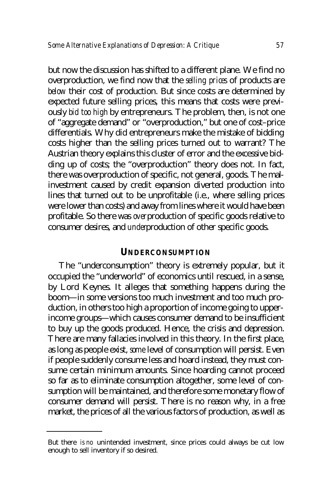but now the discussion has shifted to a different plane. We find no overproduction, we find now that the *selling prices* of products are *below* their cost of production. But since costs are determined by expected future selling prices, this means that costs were previously *bid too high* by entrepreneurs. The problem, then, is not one of "aggregate demand" or "overproduction," but one of cost–price differentials. Why did entrepreneurs make the mistake of bidding costs higher than the selling prices turned out to warrant? The Austrian theory explains this cluster of error and the excessive bidding up of costs; the "overproduction" theory does not. In fact, there was overproduction of specific, not general, goods. The malinvestment caused by credit expansion diverted production into lines that turned out to be unprofitable (i.e., where selling prices were lower than costs) and away from lines where it would have been profitable. So there was *over*production of specific goods relative to consumer desires, and *under*production of other specific goods.

### **UNDERCONSUMPTION**

The "underconsumption" theory is extremely popular, but it occupied the "underworld" of economics until rescued, in a sense, by Lord Keynes. It alleges that something happens during the boom—in some versions too much investment and too much production, in others too high a proportion of income going to upperincome groups—which causes consumer demand to be insufficient to buy up the goods produced. Hence, the crisis and depression. There are many fallacies involved in this theory. In the first place, as long as people exist, *some* level of consumption will persist. Even if people suddenly consume less and hoard instead, they must consume certain minimum amounts. Since hoarding cannot proceed so far as to eliminate consumption altogether, some level of consumption will be maintained, and therefore some monetary flow of consumer demand will persist. There is no reason why, in a free market, the prices of all the various factors of production, as well as

But there *is no* unintended investment, since prices could always be cut low enough to sell inventory if so desired.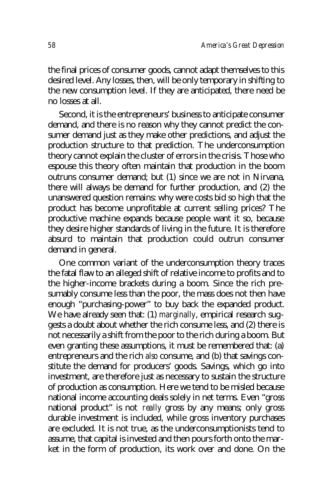the final prices of consumer goods, cannot adapt themselves to this desired level. Any losses, then, will be only temporary in shifting to the new consumption level. If they are anticipated, there need be no losses at all.

Second, it is the entrepreneurs' business to anticipate consumer demand, and there is no reason why they cannot predict the consumer demand just as they make other predictions, and adjust the production structure to that prediction. The underconsumption theory cannot explain the cluster of errors in the crisis. Those who espouse this theory often maintain that production in the boom outruns consumer demand; but (1) since we are not in Nirvana, there will always be demand for further production, and (2) the unanswered question remains: why were costs bid so high that the product has become unprofitable at current selling prices? The productive machine expands because people want it so, because they desire higher standards of living in the future. It is therefore absurd to maintain that production could outrun consumer demand in general.

One common variant of the underconsumption theory traces the fatal flaw to an alleged shift of relative income to profits and to the higher-income brackets during a boom. Since the rich presumably consume less than the poor, the mass does not then have enough "purchasing-power" to buy back the expanded product. We have already seen that: (1) *marginally*, empirical research suggests a doubt about whether the rich consume less, and (2) there is not necessarily a shift from the poor to the rich during a boom. But even granting these assumptions, it must be remembered that: (a) entrepreneurs and the rich *also* consume, and (b) that savings constitute the demand for producers' goods. Savings, which go into investment, are therefore just as necessary to sustain the structure of production as consumption. Here we tend to be misled because national income accounting deals solely in net terms. Even "gross national product" is not *really* gross by any means; only gross durable investment is included, while gross inventory purchases are excluded. It is not true, as the underconsumptionists tend to assume, that capital is invested and then pours forth onto the market in the form of production, its work over and done. On the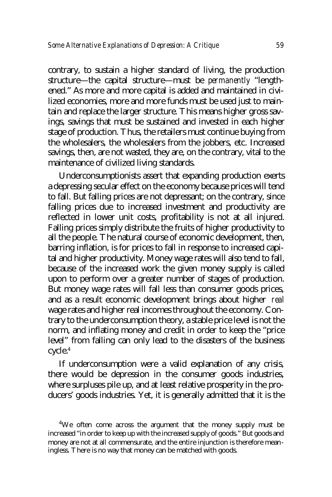contrary, to sustain a higher standard of living, the production structure—the capital structure—must be *permanently* "lengthened." As more and more capital is added and maintained in civilized economies, more and more funds must be used just to maintain and replace the larger structure. This means higher gross savings, savings that must be sustained and invested in each higher stage of production. Thus, the retailers must continue buying from the wholesalers, the wholesalers from the jobbers, etc. Increased savings, then, are not wasted, they are, on the contrary, vital to the maintenance of civilized living standards.

Underconsumptionists assert that expanding production exerts a depressing secular effect on the economy because prices will tend to fall. But falling prices are not depressant; on the contrary, since falling prices due to increased investment and productivity are reflected in lower unit costs, profitability is not at all injured. Falling prices simply distribute the fruits of higher productivity to all the people. The natural course of economic development, then, barring inflation, is for prices to fall in response to increased capital and higher productivity. Money wage rates will also tend to fall, because of the increased work the given money supply is called upon to perform over a greater number of stages of production. But money wage rates will fall less than consumer goods prices, and as a result economic development brings about higher *real* wage rates and higher real incomes throughout the economy. Contrary to the underconsumption theory, a stable price level is not the norm, and inflating money and credit in order to keep the "price level" from falling can only lead to the disasters of the business cycle.<sup>4</sup>

If underconsumption were a valid explanation of any crisis, there would be depression in the consumer goods industries, where surpluses pile up, and at least relative prosperity in the producers' goods industries. Yet, it is generally admitted that it is the

 $4$ We often come across the argument that the money supply must be increased "in order to keep up with the increased supply of goods." But goods and money are not at all commensurate, and the entire injunction is therefore meaningless. There is no way that money can be matched with goods.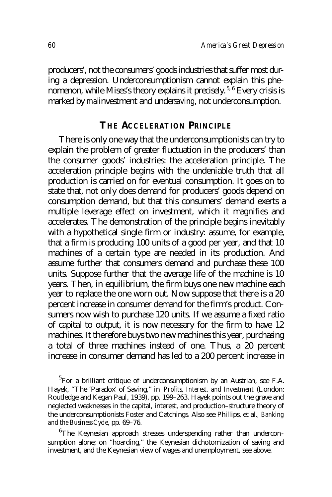producers', not the consumers' goods industries that suffer most during a depression. Underconsumptionism cannot explain this phenomenon, while Mises's theory explains it precisely. 5, 6 Every crisis is marked by *mal*investment and under*saving*, not underconsumption.

### **THE ACCELERATION PRINCIPLE**

There is only one way that the underconsumptionists can try to explain the problem of greater fluctuation in the producers' than the consumer goods' industries: the acceleration principle. The acceleration principle begins with the undeniable truth that all production is carried on for eventual consumption. It goes on to state that, not only does demand for producers' goods depend on consumption demand, but that this consumers' demand exerts a multiple leverage effect on investment, which it magnifies and accelerates. The demonstration of the principle begins inevitably with a hypothetical single firm or industry: assume, for example, that a firm is producing 100 units of a good per year, and that 10 machines of a certain type are needed in its production. And assume further that consumers demand and purchase these 100 units. Suppose further that the average life of the machine is 10 years. Then, in equilibrium, the firm buys one new machine each year to replace the one worn out. Now suppose that there is a 20 percent increase in consumer demand for the firm's product. Consumers now wish to purchase 120 units. If we assume a fixed ratio of capital to output, it is now necessary for the firm to have 12 machines. It therefore buys two new machines this year, purchasing a total of three machines instead of one. Thus, a 20 percent increase in consumer demand has led to a 200 percent increase in

 $^{5}$ For a brilliant critique of underconsumptionism by an Austrian, see F.A. Hayek, "The 'Paradox' of Saving," in *Profits, Interest, and Investment* (London: Routledge and Kegan Paul, 1939), pp. 199–263. Hayek points out the grave and neglected weaknesses in the capital, interest, and production–structure theory of the underconsumptionists Foster and Catchings. Also see Phillips, et al.*, Banking and the Business Cycle,* pp. 69–76.

 ${}^{6}$ The Keynesian approach stresses underspending rather than underconsumption alone; on "hoarding," the Keynesian dichotomization of saving and investment, and the Keynesian view of wages and unemployment, see above.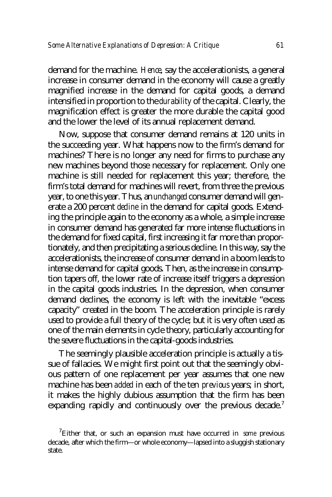demand for the machine. *Hence*, say the accelerationists, a general increase in consumer demand in the economy will cause a greatly magnified increase in the demand for capital goods, a demand intensified in proportion to the *durability* of the capital. Clearly, the magnification effect is greater the more durable the capital good and the lower the level of its annual replacement demand.

Now, suppose that consumer demand remains at 120 units in the succeeding year. What happens now to the firm's demand for machines? There is no longer any need for firms to purchase any new machines beyond those necessary for replacement. Only one machine is still needed for replacement this year; therefore, the firm's total demand for machines will revert, from three the previous year, to one this year. Thus, an *unchanged* consumer demand will generate a 200 percent *decline* in the demand for capital goods. Extending the principle again to the economy as a whole, a simple increase in consumer demand has generated far more intense fluctuations in the demand for fixed capital, first increasing it far more than proportionately, and then precipitating a serious decline. In this way, say the accelerationists, the increase of consumer demand in a boom leads to intense demand for capital goods. Then, as the increase in consumption tapers off, the lower rate of increase itself triggers a depression in the capital goods industries. In the depression, when consumer demand declines, the economy is left with the inevitable "excess capacity" created in the boom. The acceleration principle is rarely used to provide a full theory of the cycle; but it is very often used as one of the main elements in cycle theory, particularly accounting for the severe fluctuations in the capital-goods industries.

The seemingly plausible acceleration principle is actually a tissue of fallacies. We might first point out that the seemingly obvious pattern of one replacement per year assumes that one new machine has been *added* in each of the ten *previous* years; in short, it makes the highly dubious assumption that the firm has been expanding rapidly and continuously over the previous decade.<sup>7</sup>

<sup>7</sup>Either that, or such an expansion must have occurred in *some* previous decade, after which the firm—or whole economy—lapsed into a sluggish stationary state.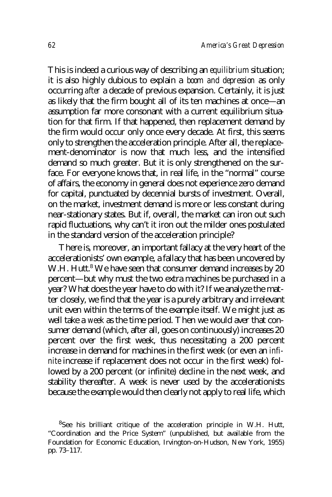This is indeed a curious way of describing an *equilibrium* situation; it is also highly dubious to explain a *boom and depression* as only occurring *after* a decade of previous expansion. Certainly, it is just as likely that the firm bought all of its ten machines at once—an assumption far more consonant with a current equilibrium situation for that firm. If that happened, then replacement demand by the firm would occur only once every decade. At first, this seems only to strengthen the acceleration principle. After all, the replacement-denominator is now that much less, and the intensified demand so much greater. But it is only strengthened on the surface. For everyone knows that, in real life, in the "normal" course of affairs, the economy in general does not experience zero demand for capital, punctuated by decennial bursts of investment. Overall, on the market, investment demand is more or less constant during near-stationary states. But if, overall, the market can iron out such rapid fluctuations, why can't it iron out the milder ones postulated in the standard version of the acceleration principle?

There is, moreover, an important fallacy at the very heart of the accelerationists' own example, a fallacy that has been uncovered by W.H. Hutt.<sup>8</sup> We have seen that consumer demand increases by 20 percent—but why must the two extra machines be purchased in a year? What does the year have to do with it? If we analyze the matter closely, we find that the year is a purely arbitrary and irrelevant unit even within the terms of the example itself. We might just as well take a *week* as the time period. Then we would aver that consumer demand (which, after all, goes on continuously) increases 20 percent over the first week, thus necessitating a 200 percent increase in demand for machines in the first week (or even an *infinite* increase if replacement does not occur in the first week) followed by a 200 percent (or infinite) decline in the next week, and stability thereafter. A week is never used by the accelerationists because the example would then clearly not apply to real life, which

<sup>8</sup>See his brilliant critique of the acceleration principle in W.H. Hutt, "Coordination and the Price System" (unpublished, but available from the Foundation for Economic Education, Irvington-on-Hudson, New York, 1955) pp. 73–117.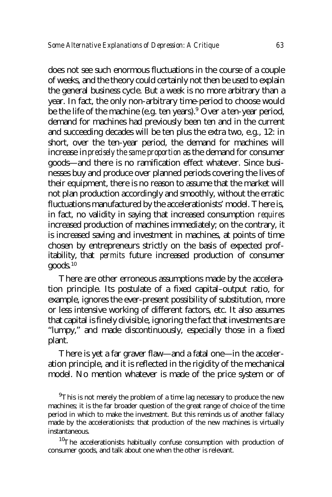does not see such enormous fluctuations in the course of a couple of weeks, and the theory could certainly not then be used to explain the general business cycle. But a week is no more arbitrary than a year. In fact, the only non-arbitrary time-period to choose would be the life of the machine (e.g. ten years).<sup>9</sup> Over a ten-year period, demand for machines had previously been ten and in the current and succeeding decades will be ten plus the extra two, e.g., 12: in short, over the ten-year period, the demand for machines will increase in *precisely the same proportion* as the demand for consumer goods—and there is no ramification effect whatever. Since businesses buy and produce over planned periods covering the lives of their equipment, there is no reason to assume that the market will not plan production accordingly and smoothly, without the erratic fluctuations manufactured by the accelerationists' model. There is, in fact, no validity in saying that increased consumption *requires* increased production of machines immediately; on the contrary, it is increased saving and investment in machines, at points of time chosen by entrepreneurs strictly on the basis of expected profitability, that *permits* future increased production of consumer goods.<sup>10</sup>

There are other erroneous assumptions made by the acceleration principle. Its postulate of a fixed capital–output ratio, for example, ignores the ever-present possibility of substitution, more or less intensive working of different factors, etc. It also assumes that capital is finely divisible, ignoring the fact that investments are "lumpy," and made discontinuously, especially those in a fixed plant.

There is yet a far graver flaw—and a fatal one—in the acceleration principle, and it is reflected in the rigidity of the mechanical model. No mention whatever is made of the price system or of

 $9$ This is not merely the problem of a time lag necessary to produce the new machines; it is the far broader question of the great range of choice of the time period in which to make the investment. But this reminds us of another fallacy made by the accelerationists: that production of the new machines is virtually instantaneous.

<sup>10</sup>The accelerationists habitually confuse consumption with production of consumer goods, and talk about one when the other is relevant.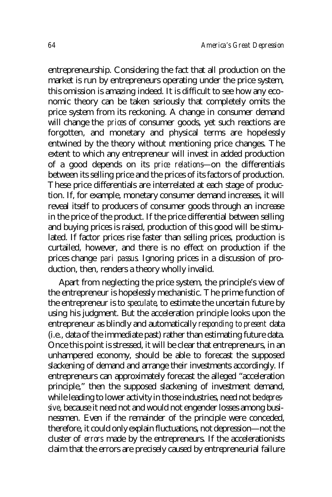entrepreneurship. Considering the fact that all production on the market is run by entrepreneurs operating under the price system, this omission is amazing indeed. It is difficult to see how any economic theory can be taken seriously that completely omits the price system from its reckoning. A change in consumer demand will change the *prices* of consumer goods, yet such reactions are forgotten, and monetary and physical terms are hopelessly entwined by the theory without mentioning price changes. The extent to which any entrepreneur will invest in added production of a good depends on its *price relations*—on the differentials between its selling price and the prices of its factors of production. These price differentials are interrelated at each stage of production. If, for example, monetary consumer demand increases, it will reveal itself to producers of consumer goods through an increase in the price of the product. If the price differential between selling and buying prices is raised, production of this good will be stimulated. If factor prices rise faster than selling prices, production is curtailed, however, and there is no effect on production if the prices change *pari passus*. Ignoring prices in a discussion of production, then, renders a theory wholly invalid.

Apart from neglecting the price system, the principle's view of the entrepreneur is hopelessly mechanistic. The prime function of the entrepreneur is to *speculate*, to estimate the uncertain future by using his judgment. But the acceleration principle looks upon the entrepreneur as blindly and automatically *responding to present* data (i.e., data of the immediate past) rather than estimating future data. Once this point is stressed, it will be clear that entrepreneurs, in an unhampered economy, should be able to forecast the supposed slackening of demand and arrange their investments accordingly. If entrepreneurs can approximately forecast the alleged "acceleration principle," then the supposed slackening of investment demand, while leading to lower activity in those industries, need not be *depressive*, because it need not and would not engender losses among businessmen. Even if the remainder of the principle were conceded, therefore, it could only explain fluctuations, not depression—not the cluster of *errors* made by the entrepreneurs. If the accelerationists claim that the errors are precisely caused by entrepreneurial failure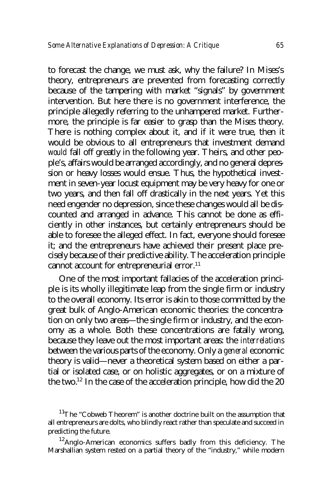to forecast the change, we must ask, why the failure? In Mises's theory, entrepreneurs are prevented from forecasting correctly because of the tampering with market "signals" by government intervention. But here there is no government interference, the principle allegedly referring to the unhampered market. Furthermore, the principle is far easier to grasp than the Mises theory. There is nothing complex about it, and if it were true, then it would be obvious to all entrepreneurs that investment demand *would* fall off greatly in the following year. Theirs, and other people's, affairs would be arranged accordingly, and no general depression or heavy losses would ensue. Thus, the hypothetical investment in seven-year locust equipment may be very heavy for one or two years, and then fall off drastically in the next years. Yet this need engender no depression, since these changes would all be discounted and arranged in advance. This cannot be done as efficiently in other instances, but certainly entrepreneurs should be able to foresee the alleged effect. In fact, everyone should foresee it; and the entrepreneurs have achieved their present place precisely because of their predictive ability. The acceleration principle cannot account for entrepreneurial error.<sup>11</sup>

One of the most important fallacies of the acceleration principle is its wholly illegitimate leap from the single firm or industry to the overall economy. Its error is akin to those committed by the great bulk of Anglo-American economic theories: the concentration on only two areas—the single firm or industry, and the economy as a whole. Both these concentrations are fatally wrong, because they leave out the most important areas: the *interrelations* between the various parts of the economy. Only a *general* economic theory is valid—never a theoretical system based on either a partial or isolated case, or on holistic aggregates, or on a mixture of the two. $^{12}$  In the case of the acceleration principle, how did the 20

 $11$ <sup>11</sup>The "Cobweb Theorem" is another doctrine built on the assumption that all entrepreneurs are dolts, who blindly react rather than speculate and succeed in predicting the future.

 $12$ Anglo-American economics suffers badly from this deficiency. The Marshallian system rested on a partial theory of the "industry," while modern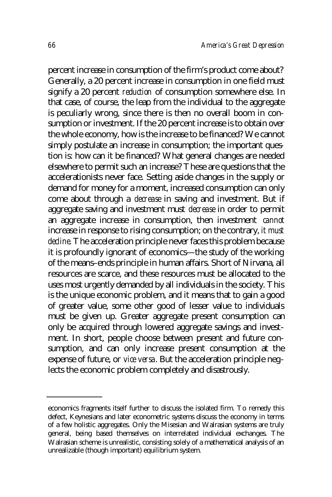percent increase in consumption of the firm's product come about? Generally, a 20 percent increase in consumption in one field must signify a 20 percent *reduction* of consumption somewhere else. In that case, of course, the leap from the individual to the aggregate is peculiarly wrong, since there is then no overall boom in consumption or investment. If the 20 percent increase is to obtain over the whole economy, how is the increase to be financed? We cannot simply postulate an increase in consumption; the important question is: how can it be financed? What general changes are needed elsewhere to permit such an increase? These are questions that the accelerationists never face. Setting aside changes in the supply or demand for money for a moment, increased consumption can only come about through a *decrease* in saving and investment. But if aggregate saving and investment must *decrease* in order to permit an aggregate increase in consumption, then investment *cannot* increase in response to rising consumption; on the contrary, *it must decline*. The acceleration principle never faces this problem because it is profoundly ignorant of economics—the study of the working of the means–ends principle in human affairs. Short of Nirvana, all resources are scarce, and these resources must be allocated to the uses most urgently demanded by all individuals in the society. This is the unique economic problem, and it means that to gain a good of greater value, some other good of lesser value to individuals must be given up. Greater aggregate present consumption can only be acquired through lowered aggregate savings and investment. In short, people choose between present and future consumption, and can only increase present consumption at the expense of future, or *vice versa*. But the acceleration principle neglects the economic problem completely and disastrously.

economics fragments itself further to discuss the isolated firm. To remedy this defect, Keynesians and later econometric systems discuss the economy in terms of a few holistic aggregates. Only the Misesian and Walrasian systems are truly general, being based themselves on interrelated individual exchanges. The Walrasian scheme is unrealistic, consisting solely of a mathematical analysis of an unrealizable (though important) equilibrium system.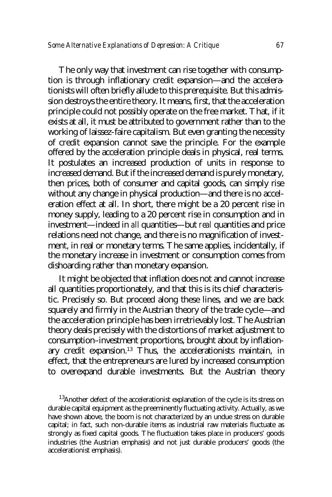The only way that investment can rise together with consumption is through inflationary credit expansion—and the accelerationists will often briefly allude to this prerequisite. But this admission destroys the entire theory. It means, first, that the acceleration principle could not possibly operate on the free market. That, if it exists at all, it must be attributed to government rather than to the working of laissez-faire capitalism. But even granting the necessity of credit expansion cannot save the principle. For the example offered by the acceleration principle deals in physical, real terms. It postulates an increased production of units in response to increased demand. But if the increased demand is purely monetary, then prices, both of consumer and capital goods, can simply rise without any change in physical production—and there is no acceleration effect at all. In short, there might be a 20 percent rise in money supply, leading to a 20 percent rise in consumption and in investment—indeed in *all* quantities—but *real* quantities and price relations need not change, and there is no magnification of investment, in real or monetary terms. The same applies, incidentally, if the monetary increase in investment or consumption comes from dishoarding rather than monetary expansion.

It might be objected that inflation does not and cannot increase all quantities proportionately, and that this is its chief characteristic. Precisely so. But proceed along these lines, and we are back squarely and firmly in the Austrian theory of the trade cycle—and the acceleration principle has been irretrievably lost. The Austrian theory deals precisely with the distortions of market adjustment to consumption–investment proportions, brought about by inflationary credit expansion.<sup>13</sup> Thus, the accelerationists maintain, in effect, that the entrepreneurs are lured by increased consumption to overexpand durable investments. But the Austrian theory

 $13$ Another defect of the accelerationist explanation of the cycle is its stress on durable capital equipment as the preeminently fluctuating activity. Actually, as we have shown above, the boom is not characterized by an undue stress on durable capital; in fact, such non-durable items as industrial raw materials fluctuate as strongly as fixed capital goods. The fluctuation takes place in producers' goods industries (the Austrian emphasis) and not just durable producers' goods (the accelerationist emphasis).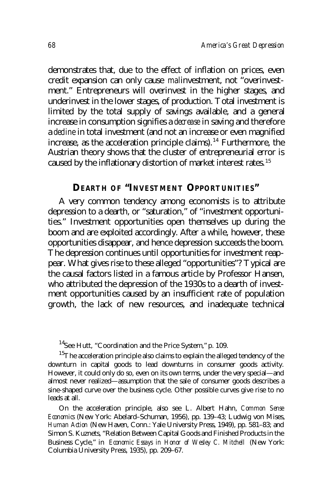demonstrates that, due to the effect of inflation on prices, even credit expansion can only cause *mal*investment, not "overinvestment." Entrepreneurs will overinvest in the higher stages, and underinvest in the lower stages, of production. Total investment is limited by the total supply of savings available, and a general increase in consumption signifies a *decrease* in saving and therefore a *decline* in total investment (and not an increase or even magnified increase, as the acceleration principle claims).<sup>14</sup> Furthermore, the Austrian theory shows that the cluster of entrepreneurial error is caused by the inflationary distortion of market interest rates.<sup>15</sup>

# **DEARTH OF "INVESTMENT OPPORTUNITIES"**

A very common tendency among economists is to attribute depression to a dearth, or "saturation," of "investment opportunities." Investment opportunities open themselves up during the boom and are exploited accordingly. After a while, however, these opportunities disappear, and hence depression succeeds the boom. The depression continues until opportunities for investment reappear. What gives rise to these alleged "opportunities"? Typical are the causal factors listed in a famous article by Professor Hansen, who attributed the depression of the 1930s to a dearth of investment opportunities caused by an insufficient rate of population growth, the lack of new resources, and inadequate technical

<sup>14</sup>See Hutt, "Coordination and the Price System," p. 109.

 $15$ The acceleration principle also claims to explain the alleged tendency of the downturn in capital goods to lead downturns in consumer goods activity. However, it could only do so, even on its own terms, under the very special—and almost never realized—assumption that the sale of consumer goods describes a sine-shaped curve over the business cycle. Other possible curves give rise to no leads at all.

On the acceleration principle, also see L. Albert Hahn, *Common Sense Economics* (New York: Abelard–Schuman, 1956), pp. 139–43; Ludwig von Mises, *Human Action* (New Haven, Conn.: Yale University Press, 1949), pp. 581–83; and Simon S. Kuznets, "Relation Between Capital Goods and Finished Products in the Business Cycle," in *Economic Essays in Honor of Wesley C. Mitchell* (New York: Columbia University Press, 1935), pp. 209–67.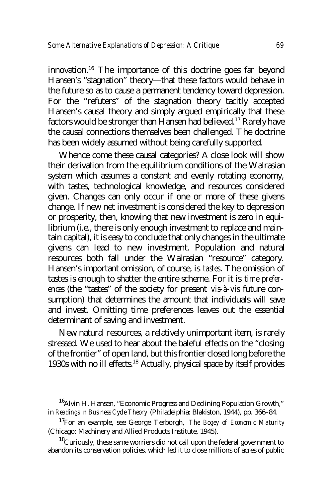innovation.<sup>16</sup> The importance of this doctrine goes far beyond Hansen's "stagnation" theory—that these factors would behave in the future so as to cause a permanent tendency toward depression. For the "refuters" of the stagnation theory tacitly accepted Hansen's causal theory and simply argued empirically that these factors would be stronger than Hansen had believed.<sup>17</sup> Rarely have the causal connections themselves been challenged. The doctrine has been widely assumed without being carefully supported.

Whence come these causal categories? A close look will show their derivation from the equilibrium conditions of the Walrasian system which assumes a constant and evenly rotating economy, with tastes, technological knowledge, and resources considered given. Changes can only occur if one or more of these givens change. If new net investment is considered the key to depression or prosperity, then, knowing that new investment is zero in equilibrium (i.e., there is only enough investment to replace and maintain capital), it is easy to conclude that only changes in the ultimate givens can lead to new investment. Population and natural resources both fall under the Walrasian "resource" category. Hansen's important omission, of course, is *tastes*. The omission of tastes is enough to shatter the entire scheme. For it is *time preferences* (the "tastes" of the society for present *vis-à-vis* future consumption) that determines the amount that individuals will save and invest. Omitting time preferences leaves out the essential determinant of saving and investment.

New natural resources, a relatively unimportant item, is rarely stressed. We used to hear about the baleful effects on the "closing of the frontier" of open land, but this frontier closed long before the 1930s with no ill effects.<sup>18</sup> Actually, physical space by itself provides

 $18$ Curiously, these same worriers did not call upon the federal government to abandon its conservation policies, which led it to close millions of acres of public

<sup>&</sup>lt;sup>16</sup>Alvin H. Hansen, "Economic Progress and Declining Population Growth," in *Readings in Business Cycle Theory* (Philadelphia: Blakiston, 1944), pp. 366–84.

<sup>17</sup>For an example, see George Terborgh, *The Bogey of Economic Maturity* (Chicago: Machinery and Allied Products Institute, 1945).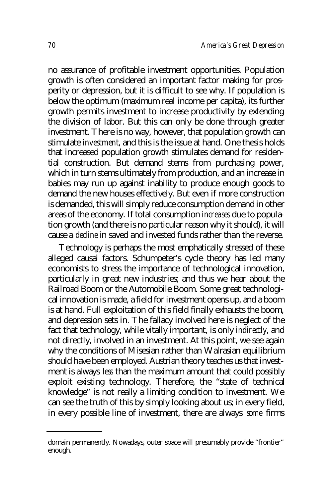no assurance of profitable investment opportunities. Population growth is often considered an important factor making for prosperity or depression, but it is difficult to see why. If population is below the optimum (maximum real income per capita), its further growth permits investment to increase productivity by extending the division of labor. But this can only be done through greater investment. There is no way, however, that population growth can stimulate *investment*, and this is the issue at hand. One thesis holds that increased population growth stimulates demand for residential construction. But demand stems from purchasing power, which in turn stems ultimately from production, and an increase in babies may run up against inability to produce enough goods to demand the new houses effectively. But even if more construction is demanded, this will simply reduce consumption demand in other areas of the economy. If total consumption *increases* due to population growth (and there is no particular reason why it should), it will cause a *decline* in saved and invested funds rather than the reverse.

Technology is perhaps the most emphatically stressed of these alleged causal factors. Schumpeter's cycle theory has led many economists to stress the importance of technological innovation, particularly in great new industries; and thus we hear about the Railroad Boom or the Automobile Boom. Some great technological innovation is made, a field for investment opens up, and a boom is at hand. Full exploitation of this field finally exhausts the boom, and depression sets in. The fallacy involved here is neglect of the fact that technology, while vitally important, is only *indirectly*, and not directly, involved in an investment. At this point, we see again why the conditions of Misesian rather than Walrasian equilibrium should have been employed. Austrian theory teaches us that investment is always *less* than the maximum amount that could possibly exploit existing technology. Therefore, the "state of technical knowledge" is not really a limiting condition to investment. We can see the truth of this by simply looking about us; in every field, in every possible line of investment, there are always *some* firms

domain permanently. Nowadays, outer space will presumably provide "frontier" enough.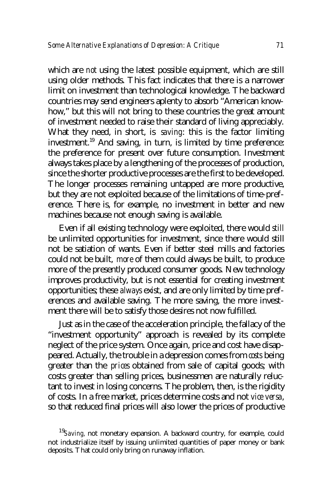which are *not* using the latest possible equipment, which are still using older methods. This fact indicates that there is a narrower limit on investment than technological knowledge. The backward countries may send engineers aplenty to absorb "American knowhow," but this will not bring to these countries the great amount of investment needed to raise their standard of living appreciably. What they need, in short, is *saving*: this is the factor limiting investment.<sup>19</sup> And saving, in turn, is limited by time preference: the preference for present over future consumption. Investment always takes place by a lengthening of the processes of production, since the shorter productive processes are the first to be developed. The longer processes remaining untapped are more productive, but they are not exploited because of the limitations of time-preference. There is, for example, no investment in better and new machines because not enough saving is available.

Even if all existing technology were exploited, there would *still* be unlimited opportunities for investment, since there would still not be satiation of wants. Even if better steel mills and factories could not be built, *more* of them could always be built, to produce more of the presently produced consumer goods. New technology improves productivity, but is not essential for creating investment opportunities; these *always* exist, and are only limited by time preferences and available saving. The more saving, the more investment there will be to satisfy those desires not now fulfilled.

Just as in the case of the acceleration principle, the fallacy of the "investment opportunity" approach is revealed by its complete neglect of the price system. Once again, price and cost have disappeared. Actually, the trouble in a depression comes from *costs* being greater than the *prices* obtained from sale of capital goods; with costs greater than selling prices, businessmen are naturally reluctant to invest in losing concerns. The problem, then, is the rigidity of costs. In a free market, prices determine costs and not *vice versa*, so that reduced final prices will also lower the prices of productive

<sup>19</sup>*Saving,* not monetary expansion. A backward country, for example, could not industrialize itself by issuing unlimited quantities of paper money or bank deposits. That could only bring on runaway inflation.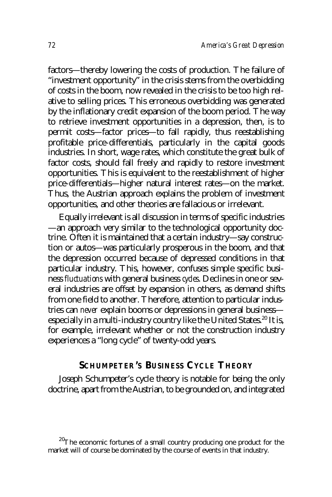factors—thereby lowering the costs of production. The failure of "investment opportunity" in the crisis stems from the overbidding of costs in the boom, now revealed in the crisis to be too high relative to selling prices. This erroneous overbidding was generated by the inflationary credit expansion of the boom period. The way to retrieve investment opportunities in a depression, then, is to permit costs—factor prices—to fall rapidly, thus reestablishing profitable price-differentials, particularly in the capital goods industries. In short, wage rates, which constitute the great bulk of factor costs, should fall freely and rapidly to restore investment opportunities. This is equivalent to the reestablishment of higher price-differentials—higher natural interest rates—on the market. Thus, the Austrian approach explains the problem of investment opportunities, and other theories are fallacious or irrelevant.

Equally irrelevant is all discussion in terms of specific industries —an approach very similar to the technological opportunity doctrine. Often it is maintained that a certain industry—say construction or autos—was particularly prosperous in the boom, and that the depression occurred because of depressed conditions in that particular industry. This, however, confuses simple specific business *fluctuations* with general business *cycles*. Declines in one or several industries are offset by expansion in others, as demand shifts from one field to another. Therefore, attention to particular industries can *never* explain booms or depressions in general business especially in a multi-industry country like the United States.<sup>20</sup> It is, for example, irrelevant whether or not the construction industry experiences a "long cycle" of twenty-odd years.

## **SCHUMPETER 'S BUSINESS CYCLE THEORY**

Joseph Schumpeter's cycle theory is notable for being the only doctrine, apart from the Austrian, to be grounded on, and integrated

<sup>&</sup>lt;sup>20</sup>The economic fortunes of a small country producing one product for the market will of course be dominated by the course of events in that industry.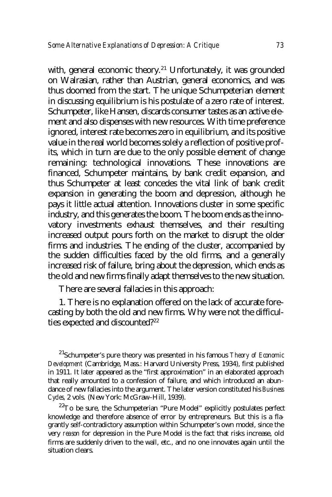with, general economic theory.<sup>21</sup> Unfortunately, it was grounded on Walrasian, rather than Austrian, general economics, and was thus doomed from the start. The unique Schumpeterian element in discussing equilibrium is his postulate of a zero rate of interest. Schumpeter, like Hansen, discards consumer tastes as an active element and also dispenses with new resources. With time preference ignored, interest rate becomes zero in equilibrium, and its positive value in the real world becomes solely a reflection of positive profits, which in turn are due to the only possible element of change remaining: technological innovations. These innovations are financed, Schumpeter maintains, by bank credit expansion, and thus Schumpeter at least concedes the vital link of bank credit expansion in generating the boom and depression, although he pays it little actual attention. Innovations cluster in some specific industry, and this generates the boom. The boom ends as the innovatory investments exhaust themselves, and their resulting increased output pours forth on the market to disrupt the older firms and industries. The ending of the cluster, accompanied by the sudden difficulties faced by the old firms, and a generally increased risk of failure, bring about the depression, which ends as the old and new firms finally adapt themselves to the new situation.

There are several fallacies in this approach:

1. There is no explanation offered on the lack of accurate forecasting by both the old and new firms. Why were not the difficulties expected and discounted?<sup>22</sup>

<sup>21</sup>Schumpeter's pure theory was presented in his famous *Theory of Economic Development* (Cambridge, Mass.: Harvard University Press, 1934), first published in 1911. It later appeared as the "first approximation" in an elaborated approach that really amounted to a confession of failure, and which introduced an abundance of new fallacies into the argument. The later version constituted his *Business Cycles,* 2 vols. (New York: McGraw–Hill, 1939).

 $22$ To be sure, the Schumpeterian "Pure Model" explicitly postulates perfect knowledge and therefore absence of error by entrepreneurs. But this is a flagrantly self-contradictory assumption within Schumpeter's own model, since the very *reason* for depression in the Pure Model is the fact that risks increase, old firms are suddenly driven to the wall, etc., and no one innovates again until the situation clears.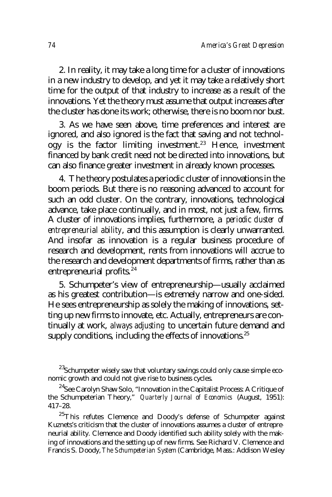2. In reality, it may take a long time for a cluster of innovations in a new industry to develop, and yet it may take a relatively short time for the output of that industry to increase as a result of the innovations. Yet the theory must assume that output increases after the cluster has done its work; otherwise, there is no boom nor bust.

3. As we have seen above, time preferences and interest are ignored, and also ignored is the fact that saving and not technology is the factor limiting investment.<sup>23</sup> Hence, investment financed by bank credit need not be directed into innovations, but can also finance greater investment in already known processes.

4. The theory postulates a periodic cluster of innovations in the boom periods. But there is no reasoning advanced to account for such an odd cluster. On the contrary, innovations, technological advance, take place continually, and in most, not just a few, firms. A cluster of innovations implies, furthermore, a *periodic cluster of entrepreneurial ability*, and this assumption is clearly unwarranted. And insofar as innovation is a regular business procedure of research and development, rents from innovations will accrue to the research and development departments of firms, rather than as entrepreneurial profits. $24$ 

5. Schumpeter's view of entrepreneurship—usually acclaimed as his greatest contribution—is extremely narrow and one-sided. He sees entrepreneurship as solely the making of innovations, setting up new firms to innovate, etc. Actually, entrepreneurs are continually at work, *always adjusting* to uncertain future demand and supply conditions, including the effects of innovations. $25$ 

<sup>23</sup>Schumpeter wisely saw that voluntary savings could only cause simple economic growth and could not give rise to business cycles.

<sup>25</sup>This refutes Clemence and Doody's defense of Schumpeter against Kuznets's criticism that the cluster of innovations assumes a cluster of entrepreneurial ability. Clemence and Doody identified such ability solely with the making of innovations and the setting up of new firms. See Richard V. Clemence and Francis S. Doody, *The Schumpeterian System* (Cambridge, Mass.: Addison Wesley

<sup>&</sup>lt;sup>24</sup>See Carolyn Shaw Solo, "Innovation in the Capitalist Process: A Critique of the Schumpeterian Theory," *Quarterly Journal of Economics* (August, 1951): 417–28.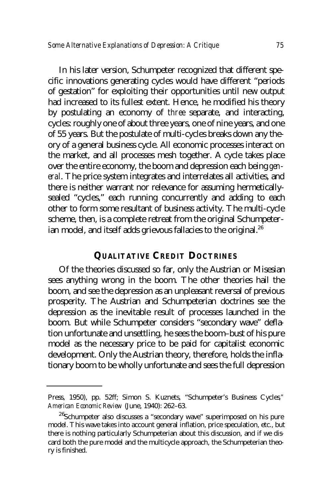In his later version, Schumpeter recognized that different specific innovations generating cycles would have different "periods of gestation" for exploiting their opportunities until new output had increased to its fullest extent. Hence, he modified his theory by postulating an economy of *three* separate, and interacting, cycles: roughly one of about three years, one of nine years, and one of 55 years. But the postulate of multi-cycles breaks down any theory of a general business cycle. All economic processes interact on the market, and all processes mesh together. A cycle takes place over the entire economy, the boom and depression each being *general*. The price system integrates and interrelates all activities, and there is neither warrant nor relevance for assuming hermeticallysealed "cycles," each running concurrently and adding to each other to form some resultant of business activity. The multi-cycle scheme, then, is a complete retreat from the original Schumpeterian model, and itself adds grievous fallacies to the original. $26$ 

## **QUALITATIVE CREDIT DOCTRINES**

Of the theories discussed so far, only the Austrian or Misesian sees anything wrong in the boom. The other theories hail the boom, and see the depression as an unpleasant reversal of previous prosperity. The Austrian and Schumpeterian doctrines see the depression as the inevitable result of processes launched in the boom. But while Schumpeter considers "secondary wave" deflation unfortunate and unsettling, he sees the boom–bust of his pure model as the necessary price to be paid for capitalist economic development. Only the Austrian theory, therefore, holds the inflationary boom to be wholly unfortunate and sees the full depression

Press, 1950), pp. 52ff; Simon S. Kuznets, "Schumpeter's Business Cycles*," American Economic Review* (June, 1940): 262–63.

 $26$ Schumpeter also discusses a "secondary wave" superimposed on his pure model. This wave takes into account general inflation, price speculation, etc., but there is nothing particularly Schumpeterian about this discussion, and if we discard both the pure model and the multicycle approach, the Schumpeterian theory is finished.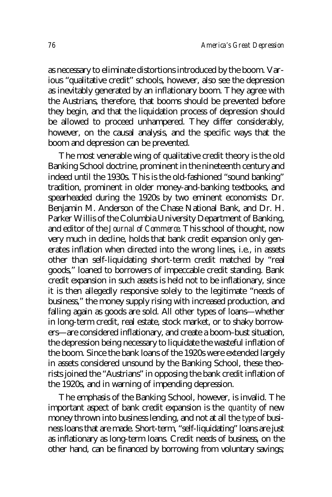as necessary to eliminate distortions introduced by the boom. Various "qualitative credit" schools, however, also see the depression as inevitably generated by an inflationary boom. They agree with the Austrians, therefore, that booms should be prevented before they begin, and that the liquidation process of depression should be allowed to proceed unhampered. They differ considerably, however, on the causal analysis, and the specific ways that the boom and depression can be prevented.

The most venerable wing of qualitative credit theory is the old Banking School doctrine, prominent in the nineteenth century and indeed until the 1930s. This is the old-fashioned "sound banking" tradition, prominent in older money-and-banking textbooks, and spearheaded during the 1920s by two eminent economists: Dr. Benjamin M. Anderson of the Chase National Bank, and Dr. H. Parker Willis of the Columbia University Department of Banking, and editor of the *Journal of Commerce*. This school of thought, now very much in decline, holds that bank credit expansion only generates inflation when directed into the wrong lines, i.e., in assets other than self-liquidating short-term credit matched by "real goods," loaned to borrowers of impeccable credit standing. Bank credit expansion in such assets is held not to be inflationary, since it is then allegedly responsive solely to the legitimate "needs of business," the money supply rising with increased production, and falling again as goods are sold. All other types of loans—whether in long-term credit, real estate, stock market, or to shaky borrowers—are considered inflationary, and create a boom–bust situation, the depression being necessary to liquidate the wasteful inflation of the boom. Since the bank loans of the 1920s were extended largely in assets considered unsound by the Banking School, these theorists joined the "Austrians" in opposing the bank credit inflation of the 1920s, and in warning of impending depression.

The emphasis of the Banking School, however, is invalid. The important aspect of bank credit expansion is the *quantity* of new money thrown into business lending, and not at all the *type* of business loans that are made. Short-term, "self-liquidating" loans are just as inflationary as long-term loans. Credit needs of business, on the other hand, can be financed by borrowing from voluntary savings;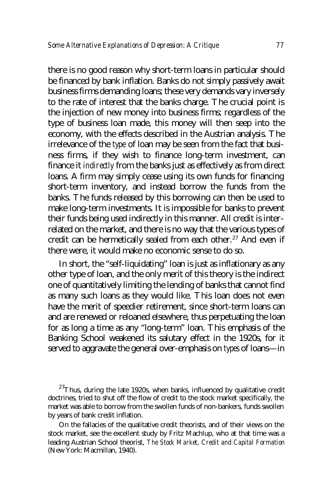there is no good reason why short-term loans in particular should be financed by bank inflation. Banks do not simply passively await business firms demanding loans; these very demands vary inversely to the rate of interest that the banks charge. The crucial point is the injection of new money into business firms; regardless of the type of business loan made, this money will then seep into the economy, with the effects described in the Austrian analysis. The irrelevance of the *type* of loan may be seen from the fact that business firms, if they wish to finance long-term investment, can finance it *indirectly* from the banks just as effectively as from direct loans. A firm may simply cease using its own funds for financing short-term inventory, and instead borrow the funds from the banks. The funds released by this borrowing can then be used to make long-term investments. It is impossible for banks to prevent their funds being used indirectly in this manner. All credit is interrelated on the market, and there is no way that the various types of credit can be hermetically sealed from each other.<sup>27</sup> And even if there were, it would make no economic sense to do so.

In short, the "self-liquidating" loan is just as inflationary as any other type of loan, and the only merit of this theory is the indirect one of quantitatively limiting the lending of banks that cannot find as many such loans as they would like. This loan does not even have the merit of speedier retirement, since short-term loans can and are renewed or reloaned elsewhere, thus perpetuating the loan for as long a time as any "long-term" loan. This emphasis of the Banking School weakened its salutary effect in the 1920s, for it served to aggravate the general over-emphasis on *types* of loans—in

 $27$ Thus, during the late 1920s, when banks, influenced by qualitative credit doctrines, tried to shut off the flow of credit to the stock market specifically, the market was able to borrow from the swollen funds of non-bankers, funds swollen by years of bank credit inflation.

On the fallacies of the qualitative credit theorists, and of their views on the stock market, see the excellent study by Fritz Machlup, who at that time was a leading Austrian School theorist, *The Stock Market, Credit and Capital Formation* (New York: Macmillan, 1940).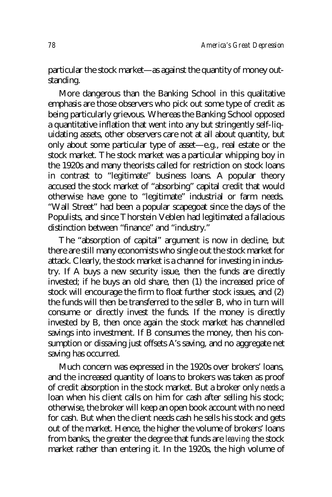particular the stock market—as against the quantity of money outstanding.

More dangerous than the Banking School in this qualitative emphasis are those observers who pick out some type of credit as being particularly grievous. Whereas the Banking School opposed a quantitative inflation that went into any but stringently self-liquidating assets, other observers care not at all about quantity, but only about some particular type of asset—e.g., real estate or the stock market. The stock market was a particular whipping boy in the 1920s and many theorists called for restriction on stock loans in contrast to "legitimate" business loans. A popular theory accused the stock market of "absorbing" capital credit that would otherwise have gone to "legitimate" industrial or farm needs. "Wall Street" had been a popular scapegoat since the days of the Populists, and since Thorstein Veblen had legitimated a fallacious distinction between "finance" and "industry."

The "absorption of capital" argument is now in decline, but there are still many economists who single out the stock market for attack. Clearly, the stock market is a channel for investing in industry. If A buys a new security issue, then the funds are directly invested; if he buys an old share, then (1) the increased price of stock will encourage the firm to float further stock issues, and (2) the funds will then be transferred to the seller B, who in turn will consume or directly invest the funds. If the money is directly invested by B, then once again the stock market has channelled savings into investment. If B consumes the money, then his consumption or dissaving just offsets A's saving, and no aggregate net saving has occurred.

Much concern was expressed in the 1920s over brokers' loans, and the increased quantity of loans to brokers was taken as proof of credit absorption in the stock market. But a broker only *needs* a loan when his client calls on him for cash after selling his stock; otherwise, the broker will keep an open book account with no need for cash. But when the client needs cash he sells his stock and gets out of the market. Hence, the higher the volume of brokers' loans from banks, the greater the degree that funds are *leaving* the stock market rather than entering it. In the 1920s, the high volume of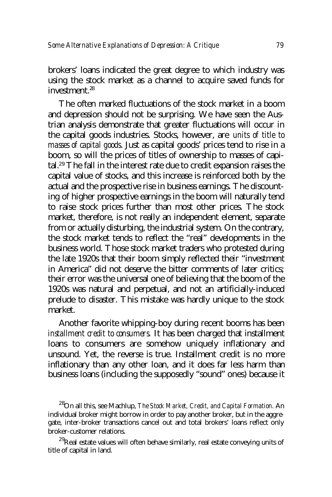brokers' loans indicated the great degree to which industry was using the stock market as a channel to acquire saved funds for investment.<sup>28</sup>

The often marked fluctuations of the stock market in a boom and depression should not be surprising. We have seen the Austrian analysis demonstrate that greater fluctuations will occur in the capital goods industries. Stocks, however, are *units of title to masses of capital goods*. Just as capital goods' prices tend to rise in a boom, so will the prices of titles of ownership to masses of capital.<sup>29</sup> The fall in the interest rate due to credit expansion raises the capital value of stocks, and this increase is reinforced both by the actual and the prospective rise in business earnings. The discounting of higher prospective earnings in the boom will naturally tend to raise stock prices further than most other prices. The stock market, therefore, is not really an independent element, separate from or actually disturbing, the industrial system. On the contrary, the stock market tends to reflect the "real" developments in the business world. Those stock market traders who protested during the late 1920s that their boom simply reflected their "investment in America" did not deserve the bitter comments of later critics; their error was the universal one of believing that the boom of the 1920s was natural and perpetual, and not an artificially-induced prelude to disaster. This mistake was hardly unique to the stock market.

Another favorite whipping-boy during recent booms has been *installment credit to consumers.* It has been charged that installment loans to consumers are somehow uniquely inflationary and unsound. Yet, the reverse is true. Installment credit is no more inflationary than any other loan, and it does far less harm than business loans (including the supposedly "sound" ones) because it

<sup>28</sup>On all this, see Machlup, *The Stock Market, Credit, and Capital Formation.* An individual broker might borrow in order to pay another broker, but in the aggregate, inter-broker transactions cancel out and total brokers' loans reflect only broker-customer relations.

<sup>29</sup>Real estate values will often behave similarly, real estate conveying units of title of capital in land.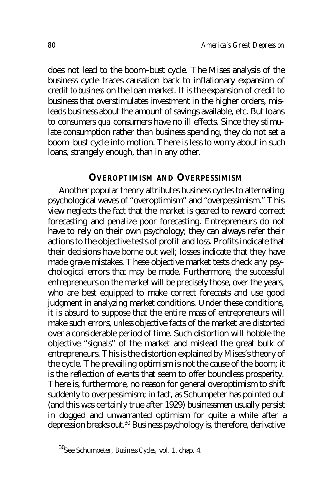does not lead to the boom–bust cycle. The Mises analysis of the business cycle traces causation back to inflationary expansion of credit *to business* on the loan market. It is the expansion of credit to business that overstimulates investment in the higher orders, misleads business about the amount of savings available, etc. But loans to consumers *qua* consumers have no ill effects. Since they stimulate consumption rather than business spending, they do not set a boom–bust cycle into motion. There is less to worry about in such loans, strangely enough, than in any other.

#### **OVEROPTIMISM AND OVERPESSIMISM**

Another popular theory attributes business cycles to alternating psychological waves of "overoptimism" and "overpessimism." This view neglects the fact that the market is geared to reward correct forecasting and penalize poor forecasting. Entrepreneurs do not have to rely on their own psychology; they can always refer their actions to the objective tests of profit and loss. Profits indicate that their decisions have borne out well; losses indicate that they have made grave mistakes. These objective market tests check any psychological errors that may be made. Furthermore, the successful entrepreneurs on the market will be precisely those, over the years, who are best equipped to make correct forecasts and use good judgment in analyzing market conditions. Under these conditions, it is absurd to suppose that the entire mass of entrepreneurs will make such errors, *unless* objective facts of the market are distorted over a considerable period of time. Such distortion will hobble the objective "signals" of the market and mislead the great bulk of entrepreneurs. This is the distortion explained by Mises's theory of the cycle. The prevailing optimism is not the cause of the boom; it is the reflection of events that seem to offer boundless prosperity. There is, furthermore, no reason for general overoptimism to shift suddenly to overpessimism; in fact, as Schumpeter has pointed out (and this was certainly true after 1929) businessmen usually persist in dogged and unwarranted optimism for quite a while after a depression breaks out.<sup>30</sup> Business psychology is, therefore, derivative

<sup>30</sup>See Schumpeter, *Business Cycles,* vol. 1, chap. 4.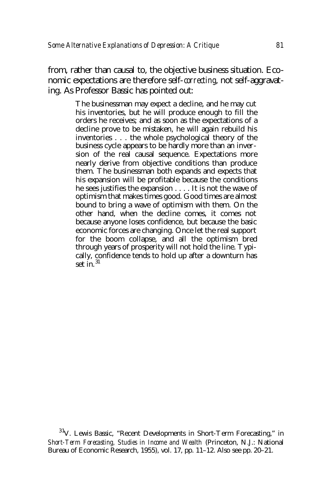from, rather than causal to, the objective business situation. Economic expectations are therefore self-*correcting*, not self-aggravating. As Professor Bassic has pointed out:

> The businessman may expect a decline, and he may cut his inventories, but he will produce enough to fill the orders he receives; and as soon as the expectations of a decline prove to be mistaken, he will again rebuild his inventories . . . the whole psychological theory of the business cycle appears to be hardly more than an inversion of the real causal sequence. Expectations more nearly derive from objective conditions than produce them. The businessman both expands and expects that his expansion will be profitable because the conditions he sees justifies the expansion . . . . It is not the wave of optimism that makes times good. Good times are almost bound to bring a wave of optimism with them. On the other hand, when the decline comes, it comes not because anyone loses confidence, but because the basic economic forces are changing. Once let the real support for the boom collapse, and all the optimism bred through years of prosperity will not hold the line. Typically, confidence tends to hold up after a downturn has set in.<sup>31</sup>

<sup>31</sup>V. Lewis Bassic, "Recent Developments in Short-Term Forecasting," in *Short-Term Forecasting, Studies in Income and Wealth* (Princeton, N.J.: National Bureau of Economic Research, 1955), vol. 17, pp. 11–12. Also see pp. 20–21.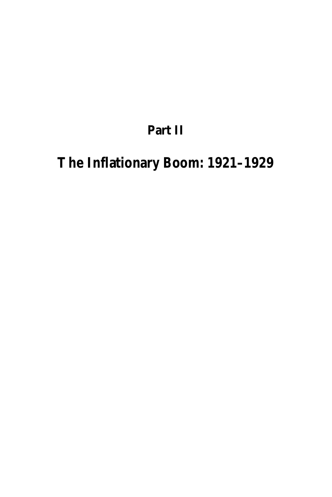# **Part II**

# **The Inflationary Boom: 1921–1929**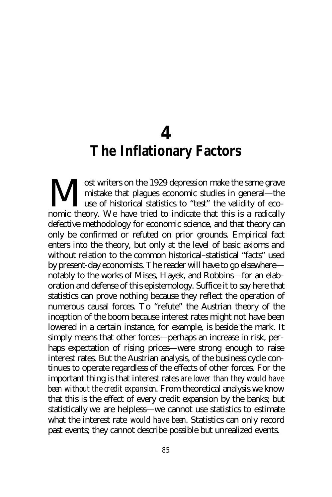# **4 The Inflationary Factors**

M ost writers on the 1929 depression make the same grave mistake that plagues economic studies in general—the use of historical statistics to "test" the validity of economic theory. We have tried to indicate that this is a radically defective methodology for economic science, and that theory can only be confirmed or refuted on prior grounds. Empirical fact enters into the theory, but only at the level of basic axioms and without relation to the common historical–statistical "facts" used by present-day economists. The reader will have to go elsewhere notably to the works of Mises, Hayek, and Robbins—for an elaboration and defense of this epistemology. Suffice it to say here that statistics can prove nothing because they reflect the operation of numerous causal forces. To "refute" the Austrian theory of the inception of the boom because interest rates might not have been lowered in a certain instance, for example, is beside the mark. It simply means that other forces—perhaps an increase in risk, perhaps expectation of rising prices—were strong enough to raise interest rates. But the Austrian analysis, of the business cycle continues to operate regardless of the effects of other forces. For the important thing is that interest rates *are lower than they would have been without the credit expansion*. From theoretical analysis we know that this is the effect of every credit expansion by the banks; but statistically we are helpless—we cannot use statistics to estimate what the interest rate *would have been*. Statistics can only record past events; they cannot describe possible but unrealized events.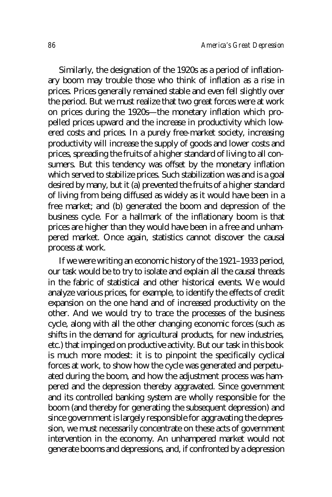Similarly, the designation of the 1920s as a period of inflationary boom may trouble those who think of inflation as a rise in prices. Prices generally remained stable and even fell slightly over the period. But we must realize that two great forces were at work on prices during the 1920s—the monetary inflation which propelled prices upward and the increase in productivity which lowered costs and prices. In a purely free-market society, increasing productivity will increase the supply of goods and lower costs and prices, spreading the fruits of a higher standard of living to all consumers. But this tendency was offset by the monetary inflation which served to stabilize prices. Such stabilization was and is a goal desired by many, but it (a) prevented the fruits of a higher standard of living from being diffused as widely as it would have been in a free market; and (b) generated the boom and depression of the business cycle. For a hallmark of the inflationary boom is that prices are higher than they would have been in a free and unhampered market. Once again, statistics cannot discover the causal process at work.

If we were writing an economic history of the 1921–1933 period, our task would be to try to isolate and explain all the causal threads in the fabric of statistical and other historical events. We would analyze various prices, for example, to identify the effects of credit expansion on the one hand and of increased productivity on the other. And we would try to trace the processes of the business cycle, along with all the other changing economic forces (such as shifts in the demand for agricultural products, for new industries, etc.) that impinged on productive activity. But our task in this book is much more modest: it is to pinpoint the specifically cyclical forces at work, to show how the cycle was generated and perpetuated during the boom, and how the adjustment process was hampered and the depression thereby aggravated. Since government and its controlled banking system are wholly responsible for the boom (and thereby for generating the subsequent depression) and since government is largely responsible for aggravating the depression, we must necessarily concentrate on these acts of government intervention in the economy. An unhampered market would not generate booms and depressions, and, if confronted by a depression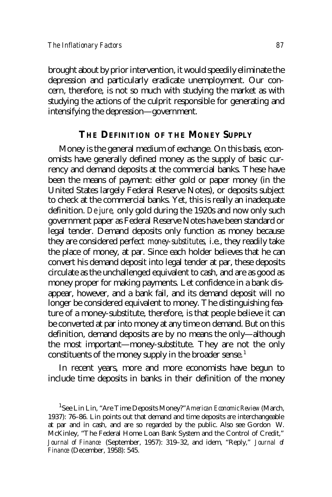brought about by prior intervention, it would speedily eliminate the depression and particularly eradicate unemployment. Our concern, therefore, is not so much with studying the market as with studying the actions of the culprit responsible for generating and intensifying the depression—government.

#### **THE DEFINITION OF THE MONEY SUPPLY**

Money is the general medium of exchange. On this basis, economists have generally defined money as the supply of basic currency and demand deposits at the commercial banks. These have been the means of payment: either gold or paper money (in the United States largely Federal Reserve Notes), or deposits subject to check at the commercial banks. Yet, this is really an inadequate definition. *De jure,* only gold during the 1920s and now only such government paper as Federal Reserve Notes have been standard or legal tender. Demand deposits only function as money because they are considered perfect *money-substitutes,* i.e., they readily take the place of money, at par. Since each holder believes that he can convert his demand deposit into legal tender at par, these deposits circulate as the unchallenged equivalent to cash, and are as good as money proper for making payments. Let confidence in a bank disappear, however, and a bank fail, and its demand deposit will no longer be considered equivalent to money. The distinguishing feature of a money-substitute, therefore, is that people believe it can be converted at par into money at any time on demand. But on this definition, demand deposits are by no means the only—although the most important—money-substitute. They are not the only constituents of the money supply in the broader sense.<sup>1</sup>

In recent years, more and more economists have begun to include time deposits in banks in their definition of the money

<sup>1</sup> See Lin Lin, "Are Time Deposits Money?" *American Economic Review* (March, 1937): 76–86. Lin points out that demand and time deposits are interchangeable at par and in cash, and are so regarded by the public. Also see Gordon W. McKinley, "The Federal Home Loan Bank System and the Control of Credit," *Journal of Finance* (September, 1957): 319–32, and idem, "Reply," *Journal of Finance* (December, 1958): 545.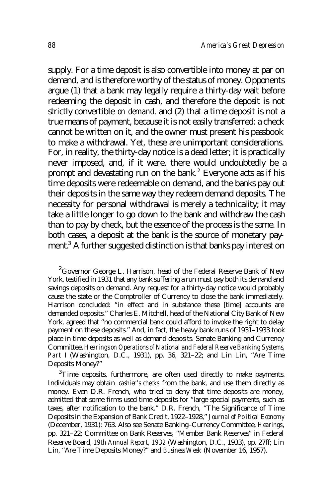supply. For a time deposit is also convertible into money at par on demand, and is therefore worthy of the status of money. Opponents argue (1) that a bank may legally require a thirty-day wait before redeeming the deposit in cash, and therefore the deposit is not strictly convertible *on demand,* and (2) that a time deposit is not a true means of payment, because it is not easily transferred: a check cannot be written on it, and the owner must present his passbook to make a withdrawal. Yet, these are unimportant considerations. For, in reality, the thirty-day notice is a dead letter; it is practically never imposed, and, if it were, there would undoubtedly be a prompt and devastating run on the bank.<sup>2</sup> Everyone acts as if his time deposits were redeemable on demand, and the banks pay out their deposits in the same way they redeem demand deposits. The necessity for personal withdrawal is merely a technicality; it may take a little longer to go down to the bank and withdraw the cash than to pay by check, but the essence of the process is the same. In both cases, a deposit at the bank is the source of monetary payment.<sup>3</sup> A further suggested distinction is that banks pay interest on

<sup>2</sup> Governor George L. Harrison, head of the Federal Reserve Bank of New York, testified in 1931 that any bank suffering a run must pay both its demand and savings deposits on demand. Any request for a thirty-day notice would probably cause the state or the Comptroller of Currency to close the bank immediately. Harrison concluded: "in effect and in substance these [time] accounts are demanded deposits." Charles E. Mitchell, head of the National City Bank of New York, agreed that "no commercial bank could afford to invoke the right to delay payment on these deposits." And, in fact, the heavy bank runs of 1931–1933 took place in time deposits as well as demand deposits. Senate Banking and Currency Committee, *Hearingson Operations of National and Federal Reserve Banking Systems, Part I* (Washington, D.C., 1931), pp. 36, 321–22; and Lin Lin, "Are Time Deposits Money?"

 $3$ Time deposits, furthermore, are often used directly to make payments. Individuals may obtain *cashier's checks* from the bank, and use them directly as money. Even D.R. French, who tried to deny that time deposits are money, admitted that some firms used time deposits for "large special payments, such as taxes, after notification to the bank." D.R. French, "The Significance of Time Deposits in the Expansion of Bank Credit, 1922–1928," *Journal of Political Economy* (December, 1931): 763. Also see Senate Banking–Currency Committee, *Hearings*, pp. 321–22; Committee on Bank Reserves, "Member Bank Reserves" in Federal Reserve Board, *19th Annual Report, 1932* (Washington, D.C., 1933), pp. 27ff; Lin Lin, "Are Time Deposits Money?" and *Business Week* (November 16, 1957).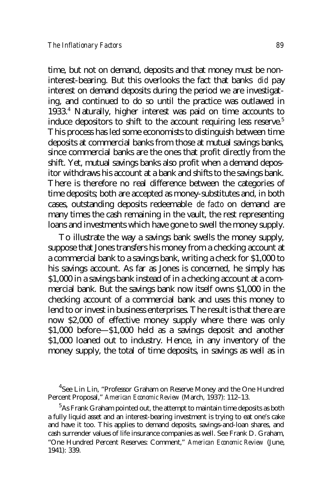time, but not on demand, deposits and that money must be noninterest-bearing. But this overlooks the fact that banks *did* pay interest on demand deposits during the period we are investigating, and continued to do so until the practice was outlawed in 1933.<sup>4</sup> Naturally, higher interest was paid on time accounts to induce depositors to shift to the account requiring less reserve.<sup>5</sup> This process has led some economists to distinguish between time deposits at commercial banks from those at mutual savings banks, since commercial banks are the ones that profit directly from the shift. Yet, mutual savings banks also profit when a demand depositor withdraws his account at a bank and shifts to the savings bank. There is therefore no real difference between the categories of time deposits; both are accepted as money-substitutes and, in both cases, outstanding deposits redeemable *de facto* on demand are many times the cash remaining in the vault, the rest representing loans and investments which have gone to swell the money supply.

To illustrate the way a savings bank swells the money supply, suppose that Jones transfers his money from a checking account at a commercial bank to a savings bank, writing a check for \$1,000 to his savings account. As far as Jones is concerned, he simply has \$1,000 in a savings bank instead of in a checking account at a commercial bank. But the savings bank now itself owns \$1,000 in the checking account of a commercial bank and uses this money to lend to or invest in business enterprises. The result is that there are now \$2,000 of effective money supply where there was only \$1,000 before—\$1,000 held as a savings deposit and another \$1,000 loaned out to industry. Hence, in any inventory of the money supply, the total of time deposits, in savings as well as in

 $^4$ See Lin Lin, "Professor Graham on Reserve Money and the One Hundred Percent Proposal," *American Economic Review* (March, 1937): 112–13.

<sup>&</sup>lt;sup>5</sup>As Frank Graham pointed out, the attempt to maintain time deposits as both a fully liquid asset and an interest-bearing investment is trying to eat one's cake and have it too. This applies to demand deposits, savings-and-loan shares, and cash surrender values of life insurance companies as well. See Frank D. Graham, "One Hundred Percent Reserves: Comment," *American Economic Review* (June, 1941): 339.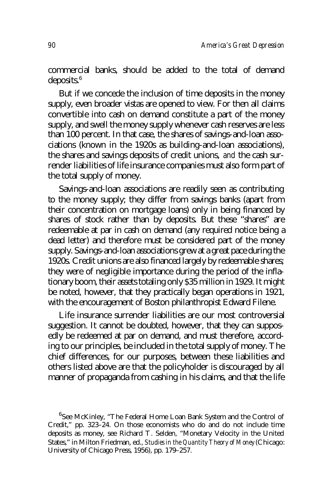commercial banks, should be added to the total of demand deposits.<sup>6</sup>

But if we concede the inclusion of time deposits in the money supply, even broader vistas are opened to view. For then all claims convertible into cash on demand constitute a part of the money supply, and swell the money supply whenever cash reserves are less than 100 percent. In that case, the shares of savings-and-loan associations (known in the 1920s as building-and-loan associations), the shares and savings deposits of credit unions, *and* the cash surrender liabilities of life insurance companies must also form part of the total supply of money.

Savings-and-loan associations are readily seen as contributing to the money supply; they differ from savings banks (apart from their concentration on mortgage loans) only in being financed by shares of stock rather than by deposits. But these "shares" are redeemable at par in cash on demand (any required notice being a dead letter) and therefore must be considered part of the money supply. Savings-and-loan associations grew at a great pace during the 1920s. Credit unions are also financed largely by redeemable shares; they were of negligible importance during the period of the inflationary boom, their assets totaling only \$35 million in 1929. It might be noted, however, that they practically began operations in 1921, with the encouragement of Boston philanthropist Edward Filene.

Life insurance surrender liabilities are our most controversial suggestion. It cannot be doubted, however, that they can supposedly be redeemed at par on demand, and must therefore, according to our principles, be included in the total supply of money. The chief differences, for our purposes, between these liabilities and others listed above are that the policyholder is discouraged by all manner of propaganda from cashing in his claims, and that the life

 $^6$ See McKinley, "The Federal Home Loan Bank System and the Control of Credit," pp. 323–24. On those economists who do and do not include time deposits as money, see Richard T. Selden, "Monetary Velocity in the United States," in Milton Friedman, ed., *Studies in the Quantity Theory of Money* (Chicago: University of Chicago Press, 1956), pp. 179–257.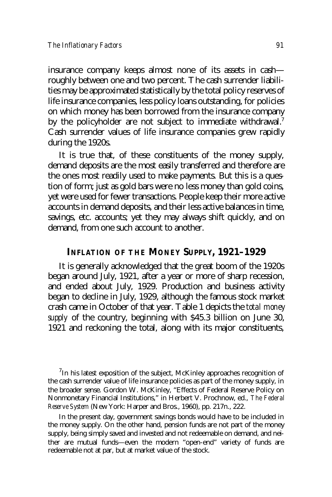insurance company keeps almost none of its assets in cash roughly between one and two percent. The cash surrender liabilities may be approximated statistically by the total policy reserves of life insurance companies, less policy loans outstanding, for policies on which money has been borrowed from the insurance company by the policyholder are not subject to immediate withdrawal.<sup>7</sup> Cash surrender values of life insurance companies grew rapidly during the 1920s.

It is true that, of these constituents of the money supply, demand deposits are the most easily transferred and therefore are the ones most readily used to make payments. But this is a question of form; just as gold bars were no less money than gold coins, yet were used for fewer transactions. People keep their more active accounts in demand deposits, and their less active balances in time, savings, etc. accounts; yet they may always shift quickly, and on demand, from one such account to another.

#### **INFLATION OF THE MONEY SUPPLY, 1921–1929**

It is generally acknowledged that the great boom of the 1920s began around July, 1921, after a year or more of sharp recession, and ended about July, 1929. Production and business activity began to decline in July, 1929, although the famous stock market crash came in October of that year. Table 1 depicts the *total money supply* of the country, beginning with \$45.3 billion on June 30, 1921 and reckoning the total, along with its major constituents,

 ${\rm ^7In}$  his latest exposition of the subject, McKinley approaches recognition of the cash surrender value of life insurance policies as part of the money supply, in the broader sense. Gordon W. McKinley, "Effects of Federal Reserve Policy on Nonmonetary Financial Institutions," in Herbert V. Prochnow, ed., *The Federal Reserve System* (New York: Harper and Bros., 1960), pp. 217n., 222.

In the present day, government savings bonds would have to be included in the money supply. On the other hand, pension funds are not part of the money supply, being simply saved and invested and not redeemable on demand, and neither are mutual funds—even the modern "open-end" variety of funds are redeemable not at par, but at market value of the stock.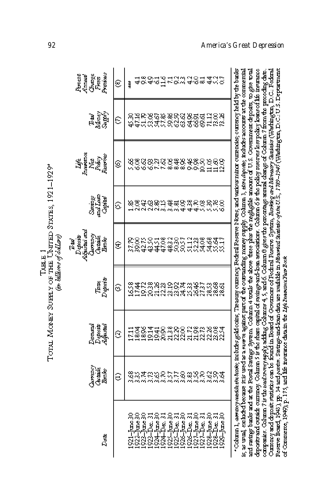| $_{\text{Data}}$                                                                                                                                                                                                                                                                                                                                                                                                                                                              | Cirrezo<br>Cutode<br>Benke                  | Demand<br>Deposito<br>Adjusted | Time<br>Deposto                               | Total<br>Deposito<br>Adjusted and<br>Currency<br>Outside<br>Banke | Savings<br>and Loan<br>Capital       | Life<br>Instance<br>Pokicy<br>Reserves | รีน<br>ประชุม<br>ประชุม | Reveal<br>Armad<br>Arman<br>Reviews |
|-------------------------------------------------------------------------------------------------------------------------------------------------------------------------------------------------------------------------------------------------------------------------------------------------------------------------------------------------------------------------------------------------------------------------------------------------------------------------------|---------------------------------------------|--------------------------------|-----------------------------------------------|-------------------------------------------------------------------|--------------------------------------|----------------------------------------|-------------------------|-------------------------------------|
|                                                                                                                                                                                                                                                                                                                                                                                                                                                                               | Θ                                           | 3                              | ଛ                                             | E                                                                 | ର                                    | T                                      | S                       | ⊛                                   |
| $921 - \frac{1}{2}$ une 30                                                                                                                                                                                                                                                                                                                                                                                                                                                    |                                             |                                |                                               |                                                                   |                                      |                                        |                         |                                     |
|                                                                                                                                                                                                                                                                                                                                                                                                                                                                               | るとはなどのででのさえで<br>あえているいことのあえて<br>あくはなどのでいのとう |                                | 8428883224385<br>94233334343<br>9443434884888 |                                                                   | sedaen#sessesses<br>Sedaen#sessesses | るのではだいのかなかない。<br>88888だののまたます。         | anega<br>Shekar         |                                     |
| $(922 - \frac{1}{2}$ une 30<br>$(923 - \frac{1}{2} \text{me } 30$                                                                                                                                                                                                                                                                                                                                                                                                             |                                             | ∞∞ರಸ್ವರ<br>20140<br>20140      |                                               |                                                                   |                                      |                                        |                         |                                     |
|                                                                                                                                                                                                                                                                                                                                                                                                                                                                               |                                             |                                |                                               |                                                                   |                                      |                                        |                         |                                     |
| 1923-Dec.31<br>1924-June 30<br>1924-Dec.31                                                                                                                                                                                                                                                                                                                                                                                                                                    |                                             |                                |                                               |                                                                   |                                      |                                        |                         | 3                                   |
|                                                                                                                                                                                                                                                                                                                                                                                                                                                                               |                                             |                                |                                               |                                                                   |                                      |                                        |                         | ್ಷಿದ                                |
| $(925 - ]$ une 30<br>$(925 - ]$ ue. 31                                                                                                                                                                                                                                                                                                                                                                                                                                        |                                             |                                |                                               |                                                                   |                                      |                                        |                         |                                     |
|                                                                                                                                                                                                                                                                                                                                                                                                                                                                               |                                             |                                |                                               |                                                                   |                                      |                                        |                         |                                     |
| 926-June 30                                                                                                                                                                                                                                                                                                                                                                                                                                                                   |                                             |                                |                                               |                                                                   |                                      |                                        |                         |                                     |
| $\begin{array}{l} 1926\text{-}\text{Dec.}31\\ 1927\text{-}\text{Jmc.}30\\ 1927\text{-}\text{Jac.}31 \end{array}$                                                                                                                                                                                                                                                                                                                                                              |                                             | aaseesa<br>aaaaaa              |                                               |                                                                   |                                      |                                        | 883853<br>88385         |                                     |
|                                                                                                                                                                                                                                                                                                                                                                                                                                                                               |                                             |                                |                                               |                                                                   |                                      |                                        |                         | ۹۰ مهر کې<br>د ۱۳۵۳ ک               |
|                                                                                                                                                                                                                                                                                                                                                                                                                                                                               |                                             |                                |                                               |                                                                   |                                      |                                        |                         |                                     |
| $1928 - \frac{1}{2}$ une 30<br>1928–Dec. 31                                                                                                                                                                                                                                                                                                                                                                                                                                   | ಜ್ಞಾನ<br>ಇಂದ                                |                                | 38.65<br>28.65                                |                                                                   |                                      |                                        | 1188<br>1122            |                                     |
|                                                                                                                                                                                                                                                                                                                                                                                                                                                                               |                                             |                                |                                               |                                                                   |                                      |                                        |                         |                                     |
| 929–June 30                                                                                                                                                                                                                                                                                                                                                                                                                                                                   |                                             | 2222<br>2222                   |                                               |                                                                   |                                      |                                        |                         |                                     |
| * Column 1, www.wy werde the healty includes gold coins, Treasury currency, Federal Reserve Notes, and various minor currency secure the banks<br>is, as usual, excluded because it is used as a vew re-against part of the outstanding monoty supply. Columns, since degones includes accounts at the connectual<br>and swings banks and at the Postal Savings System. Column 4 totals the above three plus the negligible amount of U.S. Government deposits, to give total |                                             |                                |                                               |                                                                   |                                      |                                        |                         |                                     |

Тотяд Момых Supery он тны Uмтыр States, 1921-1929\* (in billions of dollars) TABLE 1

#### *92 America's Great Depression*

companies. Column 7 is the *tend mency rapply,* adding Columne 4, 5, and 6. Columne gives the percentage annual shange of Column 7 from the preceding date.<br>Currency and deposit statistics can be found in Board of Governors

of Commerce, 1949), p. 175, and life insurance data in the Loje Inverse Pear Book

deposts and outside ourrency. Column 5 is the share expired rest ange-and-bean essencies, Column 6 is the policy reserves less policy bene of life insurance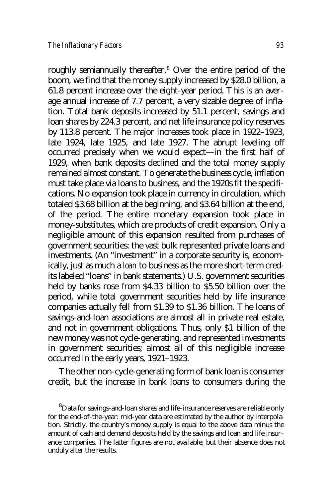roughly semiannually thereafter.<sup>8</sup> Over the entire period of the boom, we find that the money supply increased by \$28.0 billion, a 61.8 percent increase over the eight-year period. This is an average annual increase of 7.7 percent, a very sizable degree of inflation. Total bank deposits increased by 51.1 percent, savings and loan shares by 224.3 percent, and net life insurance policy reserves by 113.8 percent. The major increases took place in 1922–1923, late 1924, late 1925, and late 1927. The abrupt leveling off occurred precisely when we would expect—in the first half of 1929, when bank deposits declined and the total money supply remained almost constant. To generate the business cycle, inflation must take place via loans to business, and the 1920s fit the specifications. No expansion took place in currency in circulation, which totaled \$3.68 billion at the beginning, and \$3.64 billion at the end, of the period. The entire monetary expansion took place in money-substitutes, which are products of credit expansion. Only a negligible amount of this expansion resulted from purchases of government securities: the vast bulk represented private loans and investments. (An "investment" in a corporate security is, economically, just as much a *loan* to business as the more short-term credits labeled "loans" in bank statements.) U.S. government securities held by banks rose from \$4.33 billion to \$5.50 billion over the period, while total government securities held by life insurance companies actually fell from \$1.39 to \$1.36 billion. The loans of savings-and-loan associations are almost all in private real estate, and not in government obligations. Thus, only \$1 billion of the new money was not cycle-generating, and represented investments in government securities; almost all of this negligible increase occurred in the early years, 1921–1923.

The other non-cycle-generating form of bank loan is consumer credit, but the increase in bank loans to consumers during the

 ${}^{8}$ Data for savings-and-loan shares and life-insurance reserves are reliable only for the end-of-the-year: mid-year data are estimated by the author by interpolation. Strictly, the country's money supply is equal to the above data minus the amount of cash and demand deposits held by the savings and loan and life insurance companies. The latter figures are not available, but their absence does not unduly alter the results.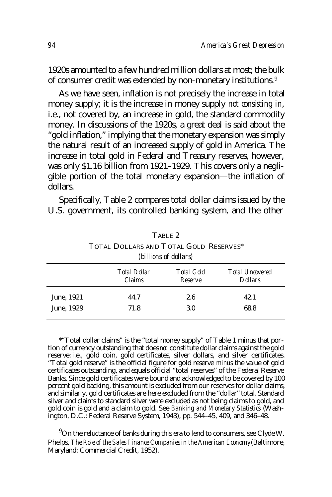1920s amounted to a few hundred million dollars at most; the bulk of consumer credit was extended by non-monetary institutions.<sup>9</sup>

As we have seen, inflation is not precisely the increase in total money supply; it is the increase in money supply *not consisting in*, i.e., not covered by, an increase in gold, the standard commodity money. In discussions of the 1920s, a great deal is said about the "gold inflation," implying that the monetary expansion was simply the natural result of an increased supply of gold in America. The increase in total gold in Federal and Treasury reserves, however, was only \$1.16 billion from 1921–1929. This covers only a negligible portion of the total monetary expansion—the inflation of dollars.

Specifically, Table 2 compares total dollar claims issued by the U.S. government, its controlled banking system, and the other

| TOTAL DOLLARS AND TOTAL GOLD RESERVES*<br>(billions of dollars) |                                      |                       |                                          |  |
|-----------------------------------------------------------------|--------------------------------------|-----------------------|------------------------------------------|--|
|                                                                 | <b>Total Dollar</b><br><b>Claims</b> | Total Gold<br>Reserve | <b>Total Uncovered</b><br><b>Dollars</b> |  |
| <b>June, 1921</b>                                               | 44.7                                 | 2.6                   | 42.1                                     |  |
| <b>June, 1929</b>                                               | 71.8                                 | 3.0                   | 68.8                                     |  |

TABLE 2

\*"Total dollar claims" is the "total money supply" of Table 1 minus that portion of currency outstanding that does *not* constitute dollar claims against the gold reserve: i.e., gold coin, gold certificates, silver dollars, and silver certificates. "Total gold reserve" is the official figure for gold reserve *minus* the value of gold certificates outstanding, and equals official "total reserves" of the Federal Reserve Banks. Since gold certificates were bound and acknowledged to be covered by 100 percent gold backing, this amount is excluded from our reserves for dollar claims, and similarly, gold certificates are here excluded from the "dollar" total. Standard silver and claims to standard silver were excluded as not being claims to gold, and gold coin is gold and a claim to gold. See *Banking and Monetary Statistics* (Washington, D.C.: Federal Reserve System, 1943), pp. 544–45, 409, and 346–48.

<sup>9</sup>On the reluctance of banks during this era to lend to consumers, see Clyde W. Phelps, *The Role of the Sales Finance Companies in the American Economy*(Baltimore, Maryland: Commercial Credit, 1952).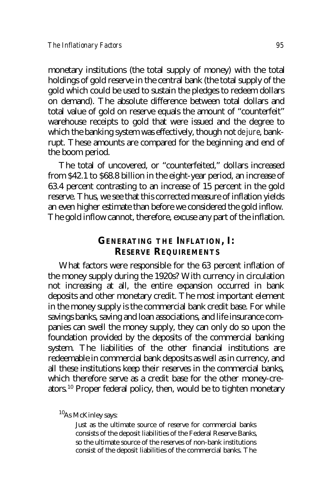monetary institutions (the total supply of money) with the total holdings of gold reserve in the central bank (the total supply of the gold which could be used to sustain the pledges to redeem dollars on demand). The absolute difference between total dollars and total value of gold on reserve equals the amount of "counterfeit" warehouse receipts to gold that were issued and the degree to which the banking system was effectively, though not *de jure*, bankrupt. These amounts are compared for the beginning and end of the boom period.

The total of uncovered, or "counterfeited," dollars increased from \$42.1 to \$68.8 billion in the eight-year period, an increase of 63.4 percent contrasting to an increase of 15 percent in the gold reserve. Thus, we see that this corrected measure of inflation yields an even higher estimate than before we considered the gold inflow. The gold inflow cannot, therefore, excuse any part of the inflation.

# **GENERATING THE INFLATION, I: RESERVE REQUIREMENTS**

What factors were responsible for the 63 percent inflation of the money supply during the 1920s? With currency in circulation not increasing at all, the entire expansion occurred in bank deposits and other monetary credit. The most important element in the money supply is the commercial bank credit base. For while savings banks, saving and loan associations, and life insurance companies can swell the money supply, they can only do so upon the foundation provided by the deposits of the commercial banking system. The liabilities of the other financial institutions are redeemable in commercial bank deposits as well as in currency, and all these institutions keep their reserves in the commercial banks, which therefore serve as a credit base for the other money-creators.<sup>10</sup> Proper federal policy, then, would be to tighten monetary

<sup>10</sup>As McKinley says:

Just as the ultimate source of reserve for commercial banks consists of the deposit liabilities of the Federal Reserve Banks, so the ultimate source of the reserves of non-bank institutions consist of the deposit liabilities of the commercial banks. The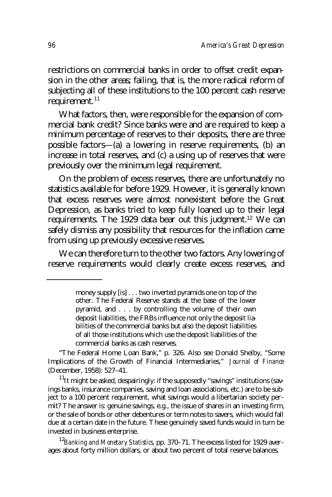restrictions on commercial banks in order to offset credit expansion in the other areas; failing, that is, the more radical reform of subjecting all of these institutions to the 100 percent cash reserve requirement.<sup>11</sup>

What factors, then, were responsible for the expansion of commercial bank credit? Since banks were and are required to keep a minimum percentage of reserves to their deposits, there are three possible factors—(a) a lowering in reserve requirements, (b) an increase in total reserves, and (c) a using up of reserves that were previously over the minimum legal requirement.

On the problem of excess reserves, there are unfortunately no statistics available for before 1929. However, it is generally known that excess reserves were almost nonexistent before the Great Depression, as banks tried to keep fully loaned up to their legal requirements. The 1929 data bear out this judgment.<sup>12</sup> We can safely dismiss any possibility that resources for the inflation came from using up previously excessive reserves.

We can therefore turn to the other two factors. Any lowering of reserve requirements would clearly create excess reserves, and

"The Federal Home Loan Bank," p. 326. Also see Donald Shelby, "Some Implications of the Growth of Financial Intermediaries," *Journal of Finance* (December, 1958): 527–41.

 $11$ It might be asked, despairingly: if the supposedly "savings" institutions (savings banks, insurance companies, saving and loan associations, etc.) are to be subject to a 100 percent requirement, what savings would a libertarian society permit? The answer is: genuine savings, e.g., the issue of shares in an investing firm, or the sale of bonds or other debentures or term notes to savers, which would fall due at a certain date in the future. These genuinely saved funds would in turn be invested in business enterprise.

<sup>12</sup>*Banking and Monetary Statistics,* pp. 370–71. The excess listed for 1929 averages about forty million dollars, or about two percent of total reserve balances.

money supply [is] . . . two inverted pyramids one on top of the other. The Federal Reserve stands at the base of the lower pyramid, and . . . by controlling the volume of their own deposit liabilities, the FRBs influence not only the deposit liabilities of the commercial banks but also the deposit liabilities of all those institutions which use the deposit liabilities of the commercial banks as cash reserves.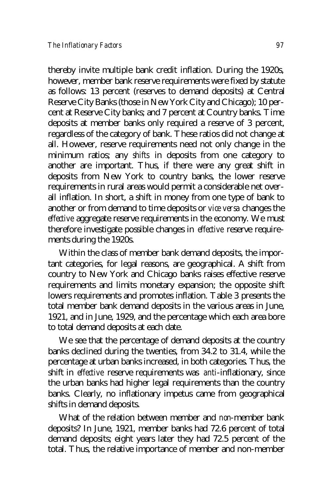thereby invite multiple bank credit inflation. During the 1920s, however, member bank reserve requirements were fixed by statute as follows: 13 percent (reserves to demand deposits) at Central Reserve City Banks (those in New York City and Chicago); 10 percent at Reserve City banks; and 7 percent at Country banks. Time deposits at member banks only required a reserve of 3 percent, regardless of the category of bank. These ratios did not change at all. However, reserve requirements need not only change in the minimum ratios; any *shifts* in deposits from one category to another are important. Thus, if there were any great shift in deposits from New York to country banks, the lower reserve requirements in rural areas would permit a considerable net overall inflation. In short, a shift in money from one type of bank to another or from demand to time deposits or *vice versa* changes the *effective* aggregate reserve requirements in the economy. We must therefore investigate possible changes in *effective* reserve requirements during the 1920s.

Within the class of member bank demand deposits, the important categories, for legal reasons, are geographical. A shift from country to New York and Chicago banks raises effective reserve requirements and limits monetary expansion; the opposite shift lowers requirements and promotes inflation. Table 3 presents the total member bank demand deposits in the various areas in June, 1921, and in June, 1929, and the percentage which each area bore to total demand deposits at each date.

We see that the percentage of demand deposits at the country banks declined during the twenties, from 34.2 to 31.4, while the percentage at urban banks increased, in both categories. Thus, the shift in *effective* reserve requirements was *anti*-inflationary, since the urban banks had higher legal requirements than the country banks. Clearly, no inflationary impetus came from geographical shifts in demand deposits.

What of the relation between member and *non*-member bank deposits? In June, 1921, member banks had 72.6 percent of total demand deposits; eight years later they had 72.5 percent of the total. Thus, the relative importance of member and non-member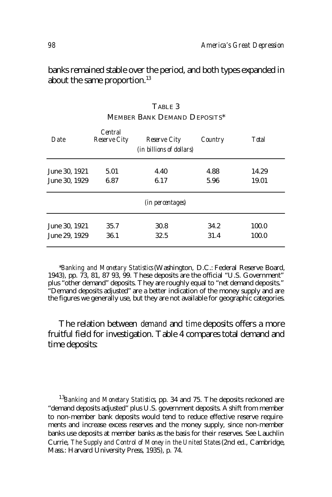## banks remained stable over the period, and both types expanded in about the same proportion.<sup>13</sup>

| <b>Date</b>   | <b>Central</b><br><b>Reserve City</b> | <b>Reserve City</b><br><i>(in billions of dollars)</i> | <b>Country</b> | <b>Total</b> |
|---------------|---------------------------------------|--------------------------------------------------------|----------------|--------------|
| June 30, 1921 | 5.01                                  | 4.40                                                   | 4.88           | 14.29        |
| June 30, 1929 | 6.87                                  | 6.17                                                   | 5.96           | 19.01        |
|               |                                       | <i>(in percentages)</i>                                |                |              |
| June 30, 1921 | 35.7                                  | 30.8                                                   | 34.2           | 100.0        |
| June 29, 1929 | 36.1                                  | 32.5                                                   | 31.4           | 100.0        |

| TABLE 3                      |  |
|------------------------------|--|
| Member Bank Demand Deposits* |  |

\**Banking and Monetary Statistics* (Washington, D.C.: Federal Reserve Board, 1943), pp. 73, 81, 87 93, 99. These deposits are the official "U.S. Government" plus "other demand" deposits. They are roughly equal to "net demand deposits." "Demand deposits adjusted" are a better indication of the money supply and are the figures we generally use, but they are not available for geographic categories.

The relation between *demand* and *time* deposits offers a more fruitful field for investigation. Table 4 compares total demand and time deposits:

<sup>13</sup>*Banking and Monetary Statistics*, pp. 34 and 75. The deposits reckoned are "demand deposits adjusted" plus U.S. government deposits. A shift from member to non-member bank deposits would tend to reduce effective reserve requirements and increase excess reserves and the money supply, since non-member banks use deposits at member banks as the basis for their reserves. See Lauchlin Currie, *The Supply and Control of Money in the United States* (2nd ed., Cambridge, Mass.: Harvard University Press, 1935), p. 74.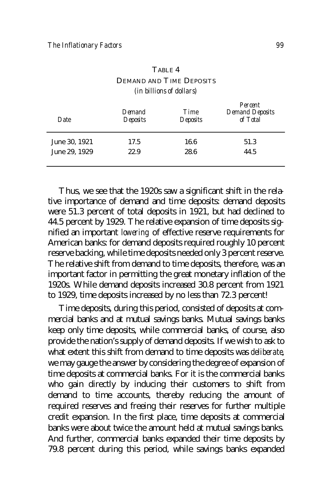| <i>(in billions of dollars)</i> |                                  |                                |                                                      |  |  |  |
|---------------------------------|----------------------------------|--------------------------------|------------------------------------------------------|--|--|--|
| Date                            | <b>Demand</b><br><b>Deposits</b> | <b>Time</b><br><b>Deposits</b> | <b>Percent</b><br><b>Demand Deposits</b><br>of Total |  |  |  |
| June 30, 1921                   | 17.5                             | 16.6                           | 51.3                                                 |  |  |  |
| June 29, 1929                   | 22.9                             | 28.6                           | 44.5                                                 |  |  |  |

# TABLE 4 DEMAND AND TIME DEPOSITS

Thus, we see that the 1920s saw a significant shift in the relative importance of demand and time deposits: demand deposits were 51.3 percent of total deposits in 1921, but had declined to 44.5 percent by 1929. The relative expansion of time deposits signified an important *lowering* of effective reserve requirements for American banks: for demand deposits required roughly 10 percent reserve backing, while time deposits needed only 3 percent reserve. The relative shift from demand to time deposits, therefore, was an important factor in permitting the great monetary inflation of the 1920s. While demand deposits increased 30.8 percent from 1921 to 1929, time deposits increased by no less than 72.3 percent!

Time deposits, during this period, consisted of deposits at commercial banks and at mutual savings banks. Mutual savings banks keep only time deposits, while commercial banks, of course, also provide the nation's supply of demand deposits. If we wish to ask to what extent this shift from demand to time deposits was *deliberate*, we may gauge the answer by considering the degree of expansion of time deposits at commercial banks. For it is the commercial banks who gain directly by inducing their customers to shift from demand to time accounts, thereby reducing the amount of required reserves and freeing their reserves for further multiple credit expansion. In the first place, time deposits at commercial banks were about twice the amount held at mutual savings banks. And further, commercial banks expanded their time deposits by 79.8 percent during this period, while savings banks expanded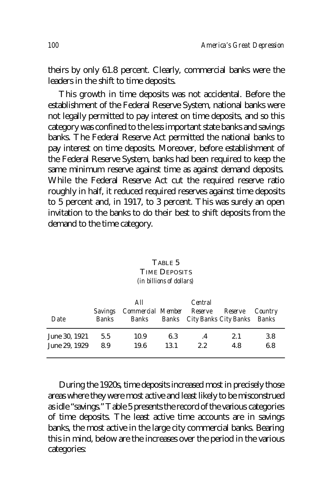theirs by only 61.8 percent. Clearly, commercial banks were the leaders in the shift to time deposits.

This growth in time deposits was not accidental. Before the establishment of the Federal Reserve System, national banks were not legally permitted to pay interest on time deposits, and so this category was confined to the less important state banks and savings banks. The Federal Reserve Act permitted the national banks to pay interest on time deposits. Moreover, before establishment of the Federal Reserve System, banks had been required to keep the same minimum reserve against time as against demand deposits. While the Federal Reserve Act cut the required reserve ratio roughly in half, it reduced required reserves against time deposits to 5 percent and, in 1917, to 3 percent. This was surely an open invitation to the banks to do their best to shift deposits from the demand to the time category.

#### TABLE 5 TIME DEPOSITS *(in billions of dollars)*

| Date                 | <b>Savings</b><br>Banks | All<br><b>Commercial Member Reserve</b><br>Banks |      | <b>Central</b> | Reserve<br><b>Banks</b> City Banks City Banks Banks | <b>Country</b> |
|----------------------|-------------------------|--------------------------------------------------|------|----------------|-----------------------------------------------------|----------------|
| <b>June 30, 1921</b> | 5.5                     | 10.9                                             | 6.3  | $\cdot$ 4      | 2.1                                                 | 3.8            |
| June 29, 1929        | 89                      | 19.6                                             | 13.1 | 2.2            | 4.8                                                 | 6.8            |

During the 1920s, time deposits increased most in precisely those areas where they were most active and least likely to be misconstrued as idle "savings." Table 5 presents the record of the various categories of time deposits. The least active time accounts are in savings banks, the most active in the large city commercial banks. Bearing this in mind, below are the increases over the period in the various categories: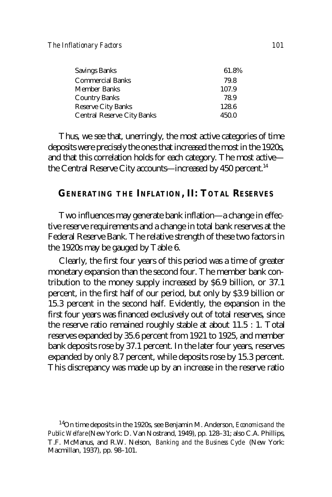| Savings Banks                     | 61.8% |
|-----------------------------------|-------|
| <b>Commercial Banks</b>           | 79.8  |
| <b>Member Banks</b>               | 107.9 |
| <b>Country Banks</b>              | 78.9  |
| <b>Reserve City Banks</b>         | 128.6 |
| <b>Central Reserve City Banks</b> | 450.0 |

Thus, we see that, unerringly, the most active categories of time deposits were precisely the ones that increased the most in the 1920s, and that this correlation holds for each category. The most active the Central Reserve City accounts—increased by 450 percent.<sup>14</sup>

## **GENERATING THE INFLATION, II: TOTAL RESERVES**

Two influences may generate bank inflation—a change in effective reserve requirements and a change in total bank reserves at the Federal Reserve Bank. The relative strength of these two factors in the 1920s may be gauged by Table 6.

Clearly, the first four years of this period was a time of greater monetary expansion than the second four. The member bank contribution to the money supply increased by \$6.9 billion, or 37.1 percent, in the first half of our period, but only by \$3.9 billion or 15.3 percent in the second half. Evidently, the expansion in the first four years was financed exclusively out of total reserves, since the reserve ratio remained roughly stable at about 11.5 : 1. Total reserves expanded by 35.6 percent from 1921 to 1925, and member bank deposits rose by 37.1 percent. In the later four years, reserves expanded by only 8.7 percent, while deposits rose by 15.3 percent. This discrepancy was made up by an increase in the reserve ratio

<sup>14</sup>On time deposits in the 1920s, see Benjamin M. Anderson, *Economics and the Public Welfare* (New York: D. Van Nostrand, 1949), pp. 128–31; also C.A. Phillips, T.F. McManus, and R.W. Nelson, *Banking and the Business Cycle* (New York: Macmillan, 1937), pp. 98–101.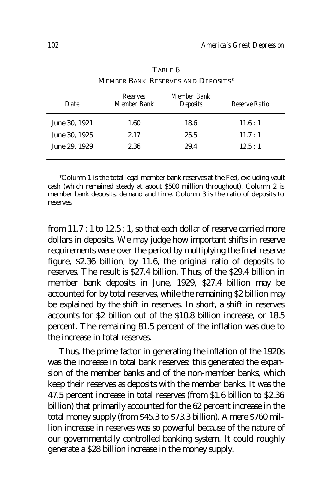| <b>Date</b>   | <b>Reserves</b><br><b>Member Bank</b> | Member Bank<br><b>Deposits</b> | Reserve Ratio |
|---------------|---------------------------------------|--------------------------------|---------------|
| June 30, 1921 | 1.60                                  | 18.6                           | 11.6:1        |
| June 30, 1925 | 2.17                                  | 25.5                           | 11.7:1        |
| June 29, 1929 | 2.36                                  | 29.4                           | 12.5:1        |
|               |                                       |                                |               |

#### TABLE 6 MEMBER BANK RESERVES AND DEPOSITS\*

\*Column 1 is the total legal member bank reserves at the Fed, excluding vault cash (which remained steady at about \$500 million throughout). Column 2 is member bank deposits, demand and time. Column 3 is the ratio of deposits to reserves.

from 11.7 : 1 to 12.5 : 1, so that each dollar of reserve carried more dollars in deposits. We may judge how important shifts in reserve requirements were over the period by multiplying the final reserve figure, \$2.36 billion, by 11.6, the original ratio of deposits to reserves. The result is \$27.4 billion. Thus, of the \$29.4 billion in member bank deposits in June, 1929, \$27.4 billion may be accounted for by total reserves, while the remaining \$2 billion may be explained by the shift in reserves. In short, a shift in reserves accounts for \$2 billion out of the \$10.8 billion increase, or 18.5 percent. The remaining 81.5 percent of the inflation was due to the increase in total reserves.

Thus, the prime factor in generating the inflation of the 1920s was the increase in total bank reserves: this generated the expansion of the member banks and of the non-member banks, which keep their reserves as deposits with the member banks. It was the 47.5 percent increase in total reserves (from \$1.6 billion to \$2.36 billion) that primarily accounted for the 62 percent increase in the total money supply (from \$45.3 to \$73.3 billion). A mere \$760 million increase in reserves was so powerful because of the nature of our governmentally controlled banking system. It could roughly generate a \$28 billion increase in the money supply.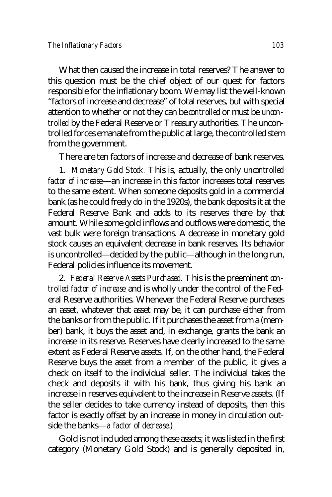What then caused the increase in total reserves? The answer to this question must be the chief object of our quest for factors responsible for the inflationary boom. We may list the well-known "factors of increase and decrease" of total reserves, but with special attention to whether or not they can be *controlled* or must be *uncontrolled* by the Federal Reserve or Treasury authorities. The uncontrolled forces emanate from the public at large, the controlled stem from the government.

There are ten factors of increase and decrease of bank reserves.

1. *Monetary Gold Stock.* This is, actually, the only *uncontrolled factor of increase*—an increase in this factor increases total reserves to the same extent. When someone deposits gold in a commercial bank (as he could freely do in the 1920s), the bank deposits it at the Federal Reserve Bank and adds to its reserves there by that amount. While some gold inflows and outflows were domestic, the vast bulk were foreign transactions. A decrease in monetary gold stock causes an equivalent decrease in bank reserves. Its behavior is uncontrolled—decided by the public—although in the long run, Federal policies influence its movement.

2. *Federal Reserve Assets Purchased.* This is the preeminent *controlled factor of increase* and is wholly under the control of the Federal Reserve authorities. Whenever the Federal Reserve purchases an asset, whatever that asset may be, it can purchase either from the banks or from the public. If it purchases the asset from a (member) bank, it buys the asset and, in exchange, grants the bank an increase in its reserve. Reserves have clearly increased to the same extent as Federal Reserve assets. If, on the other hand, the Federal Reserve buys the asset from a member of the public, it gives a check on itself to the individual seller. The individual takes the check and deposits it with his bank, thus giving his bank an increase in reserves equivalent to the increase in Reserve assets. (If the seller decides to take currency instead of deposits, then this factor is exactly offset by an increase in money in circulation outside the banks—*a factor of decrease*.)

Gold is not included among these assets; it was listed in the first category (Monetary Gold Stock) and is generally deposited in,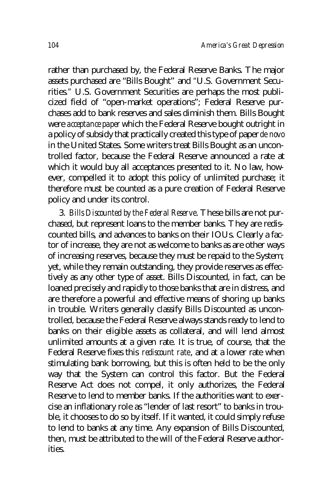rather than purchased by, the Federal Reserve Banks. The major assets purchased are "Bills Bought" and *"*U.S. Government Securities*."* U.S. Government Securities are perhaps the most publicized field of "open-market operations"; Federal Reserve purchases add to bank reserves and sales diminish them. Bills Bought were *acceptance paper*which the Federal Reserve bought outright in a policy of subsidy that practically created this type of paper *de novo* in the United States. Some writers treat Bills Bought as an uncontrolled factor, because the Federal Reserve announced a rate at which it would buy all acceptances presented to it. No law, however, compelled it to adopt this policy of unlimited purchase; it therefore must be counted as a pure creation of Federal Reserve policy and under its control.

3. *Bills Discounted by the Federal Reserve*. These bills are not purchased, but represent loans to the member banks. They are rediscounted bills, and advances to banks on their IOUs. Clearly a factor of increase, they are not as welcome to banks as are other ways of increasing reserves, because they must be repaid to the System; yet, while they remain outstanding, they provide reserves as effectively as any other type of asset. Bills Discounted, in fact, can be loaned precisely and rapidly to those banks that are in distress, and are therefore a powerful and effective means of shoring up banks in trouble. Writers generally classify Bills Discounted as uncontrolled, because the Federal Reserve always stands ready to lend to banks on their eligible assets as collateral, and will lend almost unlimited amounts at a given rate. It is true, of course, that the Federal Reserve fixes this *rediscount rate*, and at a lower rate when stimulating bank borrowing, but this is often held to be the only way that the System can control this factor. But the Federal Reserve Act does not compel, it only authorizes, the Federal Reserve to lend to member banks. If the authorities want to exercise an inflationary role as "lender of last resort" to banks in trouble, it chooses to do so by itself. If it wanted, it could simply refuse to lend to banks at any time. Any expansion of Bills Discounted, then, must be attributed to the will of the Federal Reserve authorities.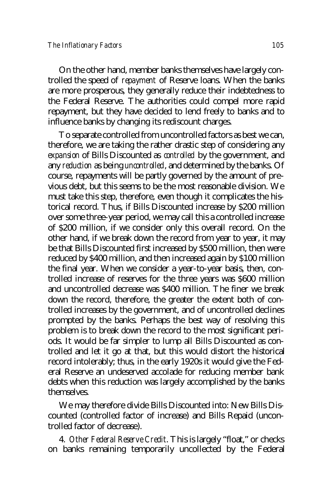On the other hand, member banks themselves have largely controlled the speed of *repayment* of Reserve loans. When the banks are more prosperous, they generally reduce their indebtedness to the Federal Reserve. The authorities could compel more rapid repayment, but they have decided to lend freely to banks and to influence banks by changing its rediscount charges.

To separate controlled from uncontrolled factors as best we can, therefore, we are taking the rather drastic step of considering any *expansion* of Bills Discounted as *controlled* by the government, and any *reduction* as being *uncontrolled*, and determined by the banks. Of course, repayments will be partly governed by the amount of previous debt, but this seems to be the most reasonable division. We must take this step, therefore, even though it complicates the historical record. Thus, if Bills Discounted increase by \$200 million over some three-year period, we may call this a controlled increase of \$200 million, if we consider only this overall record. On the other hand, if we break down the record from year to year, it may be that Bills Discounted first increased by \$500 million, then were reduced by \$400 million, and then increased again by \$100 million the final year. When we consider a year-to-year basis, then, controlled increase of reserves for the three years was \$600 million and uncontrolled decrease was \$400 million. The finer we break down the record, therefore, the greater the extent both of controlled increases by the government, and of uncontrolled declines prompted by the banks. Perhaps the best way of resolving this problem is to break down the record to the most significant periods. It would be far simpler to lump all Bills Discounted as controlled and let it go at that, but this would distort the historical record intolerably; thus, in the early 1920s it would give the Federal Reserve an undeserved accolade for reducing member bank debts when this reduction was largely accomplished by the banks themselves.

We may therefore divide Bills Discounted into: New Bills Discounted (controlled factor of increase) and Bills Repaid (uncontrolled factor of decrease).

4. *Other Federal Reserve Credit*. This is largely "float," or checks on banks remaining temporarily uncollected by the Federal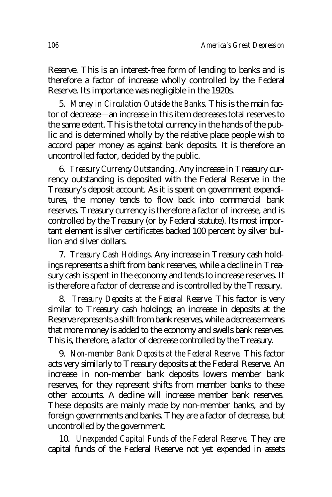Reserve. This is an interest-free form of lending to banks and is therefore a factor of increase wholly controlled by the Federal Reserve. Its importance was negligible in the 1920s.

5. *Money in Circulation Outside the Banks*. This is the main factor of decrease—an increase in this item decreases total reserves to the same extent. This is the total currency in the hands of the public and is determined wholly by the relative place people wish to accord paper money as against bank deposits. It is therefore an uncontrolled factor, decided by the public.

6. *Treasury Currency Outstanding*. Any increase in Treasury currency outstanding is deposited with the Federal Reserve in the Treasury's deposit account. As it is spent on government expenditures, the money tends to flow back into commercial bank reserves. Treasury currency is therefore a factor of increase, and is controlled by the Treasury (or by Federal statute). Its most important element is silver certificates backed 100 percent by silver bullion and silver dollars.

7. *Treasury Cash Holdings*. Any increase in Treasury cash holdings represents a shift from bank reserves, while a decline in Treasury cash is spent in the economy and tends to increase reserves. It is therefore a factor of decrease and is controlled by the Treasury.

8. *Treasury Deposits at the Federal Reserve*. This factor is very similar to Treasury cash holdings; an increase in deposits at the Reserve represents a shift from bank reserves, while a decrease means that more money is added to the economy and swells bank reserves. This is, therefore, a factor of decrease controlled by the Treasury.

9. *Non-member Bank Deposits at the Federal Reserve.* This factor acts very similarly to Treasury deposits at the Federal Reserve. An increase in non-member bank deposits lowers member bank reserves, for they represent shifts from member banks to these other accounts. A decline will increase member bank reserves. These deposits are mainly made by non-member banks, and by foreign governments and banks. They are a factor of decrease, but uncontrolled by the government.

10. *Unexpended Capital Funds of the Federal Reserve.* They are capital funds of the Federal Reserve not yet expended in assets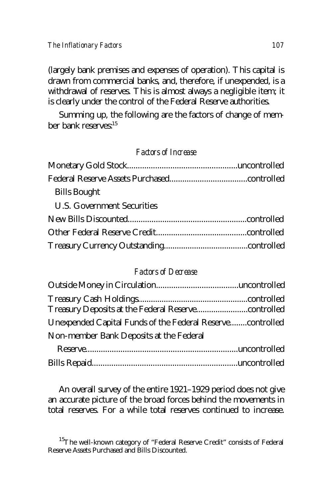(largely bank premises and expenses of operation). This capital is drawn from commercial banks, and, therefore, if unexpended, is a withdrawal of reserves. This is almost always a negligible item; it is clearly under the control of the Federal Reserve authorities.

Summing up, the following are the factors of change of member bank reserves:<sup>15</sup>

# *Factors of Increase*

| <b>Bills Bought</b>               |  |
|-----------------------------------|--|
| <b>U.S. Government Securities</b> |  |
|                                   |  |
|                                   |  |
|                                   |  |

# *Factors of Decrease*

| Unexpended Capital Funds of the Federal Reservecontrolled |  |
|-----------------------------------------------------------|--|
| Non-member Bank Deposits at the Federal                   |  |
|                                                           |  |
|                                                           |  |

An overall survey of the entire 1921–1929 period does not give an accurate picture of the broad forces behind the movements in total reserves. For a while total reserves continued to increase.

<sup>&</sup>lt;sup>15</sup>The well-known category of "Federal Reserve Credit" consists of Federal Reserve Assets Purchased and Bills Discounted.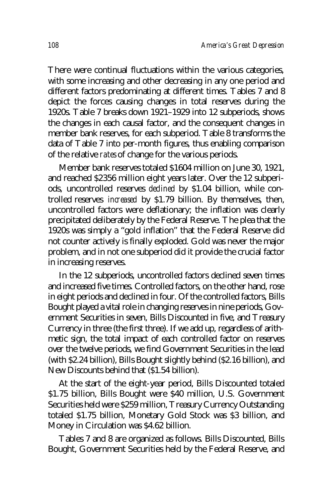There were continual fluctuations within the various categories, with some increasing and other decreasing in any one period and different factors predominating at different times. Tables 7 and 8 depict the forces causing changes in total reserves during the 1920s. Table 7 breaks down 1921–1929 into 12 subperiods, shows the changes in each causal factor, and the consequent changes in member bank reserves, for each subperiod. Table 8 transforms the data of Table 7 into per-month figures, thus enabling comparison of the relative *rates* of change for the various periods.

Member bank reserves totaled \$1604 million on June 30, 1921, and reached \$2356 million eight years later. Over the 12 subperiods, uncontrolled reserves *declined* by \$1.04 billion, while controlled reserves *increased* by \$1.79 billion. By themselves, then, uncontrolled factors were deflationary; the inflation was clearly precipitated deliberately by the Federal Reserve. The plea that the 1920s was simply a "gold inflation" that the Federal Reserve did not counter actively is finally exploded. Gold was never the major problem, and in not one subperiod did it provide the crucial factor in increasing reserves.

In the 12 subperiods, uncontrolled factors declined seven times and increased five times. Controlled factors, on the other hand, rose in eight periods and declined in four. Of the controlled factors, Bills Bought played a vital role in changing reserves in nine periods, Government Securities in seven, Bills Discounted in five, and Treasury Currency in three (the first three). If we add up, regardless of arithmetic sign, the total impact of each controlled factor on reserves over the twelve periods, we find Government Securities in the lead (with \$2.24 billion), Bills Bought slightly behind (\$2.16 billion), and New Discounts behind that (\$1.54 billion).

At the start of the eight-year period, Bills Discounted totaled \$1.75 billion, Bills Bought were \$40 million, U.S. Government Securities held were \$259 million, Treasury Currency Outstanding totaled \$1.75 billion, Monetary Gold Stock was \$3 billion, and Money in Circulation was \$4.62 billion.

Tables 7 and 8 are organized as follows. Bills Discounted, Bills Bought, Government Securities held by the Federal Reserve, and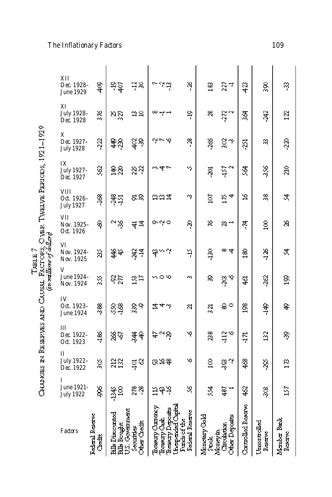|                                                   |                                     |                                     |                              | CHANGES IN RESERVES AND CAUSAL FACTORS, OVER TWELVE PERIODS, $1921-1929$ |                              | (in millions of dollars)<br>$T$ ABLE $7$ |                                |                                               |                                      |                                                    |                                      |                                              |
|---------------------------------------------------|-------------------------------------|-------------------------------------|------------------------------|--------------------------------------------------------------------------|------------------------------|------------------------------------------|--------------------------------|-----------------------------------------------|--------------------------------------|----------------------------------------------------|--------------------------------------|----------------------------------------------|
| <b>Factors</b>                                    | Ι<br>June 1921-<br><b>July 1922</b> | П<br><b>July 1922-</b><br>Dec. 1922 | Ш<br>Dec. 1922-<br>Oct. 1923 | IV<br>Oct. 1923-<br><b>June 1924</b>                                     | V<br>June 1924-<br>Nov. 1924 | VI<br>Nov. 1924-<br>Nov. 1925            | VII<br>Nov. 1925-<br>Oct. 1926 | <b>VIII</b><br>Oct. 1926-<br><b>July 1927</b> | IX<br><b>July 1927-</b><br>Dec. 1927 | $\boldsymbol{X}$<br>Dec. 1927-<br><b>July 1928</b> | XI<br><b>July 1928-</b><br>Dec. 1928 | <b>XII</b><br>Dec. 1928-<br><b>June 1929</b> |
| <b>Federal Reserve</b><br>もき                      | 8ę                                  | š                                   | $-1.86$                      | 38<br>7                                                                  | ă                            | ă                                        | Ş                              | 368                                           | 562                                  | 222                                                | 376                                  | ş<br>T                                       |
| Discounted<br>Bought<br>Bills<br>誯<br>βŚ,         | $38$<br>$78$                        | 212<br>132                          | శ్ల                          | 8S                                                                       | 8E                           | 충승                                       | ಇ×್ಲಿ                          | #S                                            | ទីខ្                                 | 육<br>영                                             | ನ್ನ                                  | 능층                                           |
| Government<br>Other Credit<br>Securities          | 278<br>នុ                           | 후영<br>구                             | इ ङ<br>∾                     | ಜ್ಞೆ                                                                     | $\mathbb{S}^n$               | 342<br>부                                 | 부호                             | まる                                            | ង្គុង                                | ដុក                                                | 22                                   | ុ×                                           |
| Treamy Currency<br>Treamy Cash<br>Treamy Deposits | 음우유                                 | ಜಿಸಹ                                | ភ្ន                          | 복수사                                                                      | ∽o                           | みっよ                                      | 어언어                            | ឌឌឌ                                           | いすい                                  | ウーカ                                                | ∞⊣                                   | بن ب                                         |
| Unexpended Capital                                |                                     |                                     |                              |                                                                          | ю                            |                                          |                                |                                               |                                      |                                                    |                                      | ą                                            |
| Federal Reserve<br>Funds of the                   | X                                   | ю                                   | φ                            | ಷ                                                                        | œ.                           | Ą                                        | 8                              | φ                                             | n,                                   | Į                                                  | 유                                    | ş                                            |
| Monetary Gold<br>Stock                            | ડ્રૅ                                | $\overline{\mathbf{S}}$             | 28                           | $\frac{21}{2}$                                                           | g,                           | $\frac{8}{1}$                            | x                              | $\frac{5}{2}$                                 | žġ.                                  | 366                                                | æ,                                   | $\frac{2}{1}$                                |
| Other Deposits<br>Circulation<br>Moneyin          | $\frac{2}{4}$                       | ۹٩<br>م                             | ដូ×<br>ក្                    | ⊗ ∘                                                                      | ಜ್ಞೆ ಇ                       | ∞प                                       | ಇ –                            | ದೆ<br>ಸ                                       | $\frac{57}{2}$                       | ಜ್ಞ                                                | $\frac{2}{3}$                        | ត្តក                                         |
| Controlled Reserve                                | Ş                                   | Ş                                   | $\frac{1}{2}$                | ğ                                                                        | তু<br><del>ব</del>           | $\frac{8}{180}$                          | ਣ੍                             | 51                                            | 2g                                   | -251                                               | डू                                   | a<br>구                                       |
| Uncontrolled<br>Reserve                           | ž                                   | Ş                                   | 132                          | 孚                                                                        | 362                          | 426                                      | ğ                              | ≋                                             | ž                                    | R)                                                 | 342                                  | š.                                           |
| Member Bank<br>Reserve                            | 157                                 | 1/3                                 | ş                            | ¥,                                                                       | ĝ                            | ₹                                        | 8                              | ₹                                             | 210                                  | 220                                                | 122                                  | ş                                            |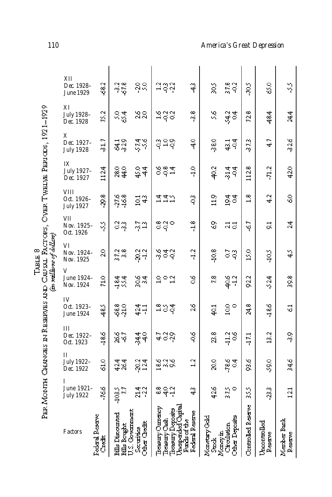|                                                                              |                                     |                                     |                               |                                      |                                             | (on millions of dollars)<br>TABLE 8 |                                |                                               |                                          | PER MONTH CHANGES IN RESERVES AND CAUSAL PACTORS, OVER TWELVE PERIODS, 1921-1929 |                                      |                                              |
|------------------------------------------------------------------------------|-------------------------------------|-------------------------------------|-------------------------------|--------------------------------------|---------------------------------------------|-------------------------------------|--------------------------------|-----------------------------------------------|------------------------------------------|----------------------------------------------------------------------------------|--------------------------------------|----------------------------------------------|
| <b>Factors</b>                                                               | I<br>June 1921-<br><b>July 1922</b> | I<br><b>July 1922-</b><br>Dec. 1922 | Ш<br>Dec. 1922-<br>Oct. 1923  | IV<br>Oct. 1923-<br><b>June 1924</b> | $\boldsymbol{V}$<br>June 1924-<br>Nov. 1924 | VI<br>Nov. 1924-<br>Nov. 1925       | VII<br>Nov. 1925-<br>Oct. 1926 | <b>VIII</b><br>Oct. 1926-<br><b>July 1927</b> | $I\!X$<br><b>July 1927-</b><br>Dec. 1927 | $\boldsymbol{X}$<br>Dec. 1927-<br><b>July 1928</b>                               | XI<br><b>July 1928-</b><br>Dec. 1928 | <b>XII</b><br>Dec. 1928-<br><b>June 1929</b> |
| Federal Reserve<br><b>Öredi</b>                                              | $-76.6$                             | $\frac{6}{5}$                       | $-18.6$                       | 48.5                                 | $\frac{8}{210}$                             | $\frac{6}{2}$                       | Ş                              | -29.8                                         | 1124                                     | 31.7                                                                             | $\approx$                            | -682                                         |
| U.S. Government<br><b>Bills</b> Discounted<br><b>Bills Bought</b>            | 27<br>$-103.5$                      | 424<br>42                           | 26.7<br>29.7                  | $\frac{88}{97}$                      | 호<br>구<br>구 오                               | $\frac{22}{36}$                     | ဒိုက္                          | $37.6$<br>$7.5$                               | $\frac{80}{440}$                         | 54.1<br>329                                                                      | ँ इ                                  | က်<br>၁၄<br>၁၄                               |
| Other Credit<br>Securities                                                   | 214                                 | 2014<br>21                          | यं पं<br>यू पं                | 424                                  | $\frac{364}{34}$                            | 20.2<br>ă                           | ង្គុង                          | $\frac{101}{43}$                              | $\frac{84}{1}$                           | 57.9<br>7                                                                        | 28                                   | 200                                          |
| Unexpended Capita<br>Treasury Currency<br>Treasury Deposits<br>Treasury Cash | ∞ ♀ ~!<br>∞ ┭ ㅜ                     | erio<br>Sino                        | ႕<br>႕၀၀                      | es 24<br>- 20                        | ಼಼್                                         | က်မည်<br>ကိုဇွဲဇွဲ                  | ∞း∼ု                           |                                               | ပေး<br>ပြိမ် –                           | ass                                                                              | ean<br>Ago                           | 232                                          |
| Federal Reserve<br>Funds of the                                              | ្នុ                                 | 1.2                                 | š                             | 2.6                                  | Ğ,                                          | $\frac{2}{1}$                       | $\frac{8}{1}$                  | ុំ                                            | Ş                                        | ू                                                                                | ွိ                                   | 우                                            |
| Monetary Gold<br>Moneyin<br>Stock                                            | 42.6                                | $\frac{8}{6}$                       | 23.8                          | $\frac{1}{3}$                        | e.                                          | 10.8                                | 3                              | 11.9                                          | 40.2                                     | 380                                                                              | š                                    | $\frac{305}{500}$                            |
| Other Deposits<br>Circulation                                                | $\frac{375}{6}$                     | 48.94<br>28.7                       | 11.2<br>$\stackrel{6}{\circ}$ | $\frac{8}{9}$                        | 9억<br>우구                                    | ៊ីម៉ុ                               | ಸತ                             | ्य<br>पु                                      | 부분<br>교우                                 | $\frac{13}{9}$                                                                   | ्यू<br>पू०                           | 37.8                                         |
| Controlled Reserve                                                           | ă                                   | $\frac{8}{28}$                      | $\frac{171}{2}$               | 24.8                                 | 92.2                                        | $^{5.0}_{-0.0}$                     | Ş                              | $\frac{8}{11}$                                | 1128                                     | 373                                                                              | 72.8                                 | -703                                         |
| Uncontrolled<br>Reserve                                                      | Į                                   | 500                                 | 13.2                          | $-18.6$                              | 524                                         | $\frac{5}{2}$                       | 륁                              | $\frac{6}{4}$                                 | $-71.2$                                  | ្នុ                                                                              | 484                                  | SS<br>SS                                     |
| Member Bank<br>Reserve                                                       | 121                                 | 34.6                                | ာ့<br>ကို                     | 3                                    | 39.8                                        | ္                                   | 乌                              | S                                             | 420                                      | $-32.6$                                                                          | 24.4                                 | Ş                                            |

# *110 America's Great Depression*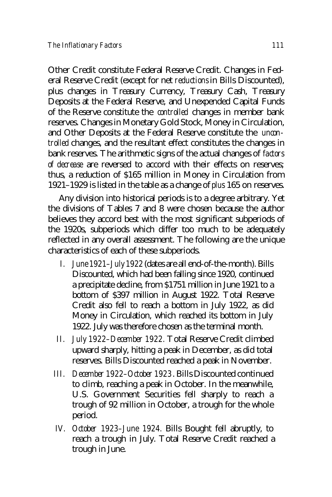Other Credit constitute Federal Reserve Credit. Changes in Federal Reserve Credit (except for net *reductions* in Bills Discounted), plus changes in Treasury Currency, Treasury Cash, Treasury Deposits at the Federal Reserve, and Unexpended Capital Funds of the Reserve constitute the *controlled* changes in member bank reserves. Changes in Monetary Gold Stock, Money in Circulation, and Other Deposits at the Federal Reserve constitute the *uncontrolled* changes, and the resultant effect constitutes the changes in bank reserves. The arithmetic signs of the actual changes of *factors of decrease* are reversed to accord with their effects on reserves; thus, a reduction of \$165 million in Money in Circulation from 1921–1929 is listed in the table as a change of *plus* 165 on reserves.

Any division into historical periods is to a degree arbitrary. Yet the divisions of Tables 7 and 8 were chosen because the author believes they accord best with the most significant subperiods of the 1920s, subperiods which differ too much to be adequately reflected in any overall assessment. The following are the unique characteristics of each of these subperiods.

- *I. June 1921–July 1922*(dates are all end-of-the-month). Bills Discounted, which had been falling since 1920, continued a precipitate decline, from \$1751 million in June 1921 to a bottom of \$397 million in August 1922. Total Reserve Credit also fell to reach a bottom in July 1922, as did Money in Circulation, which reached its bottom in July 1922. July was therefore chosen as the terminal month.
- *II. July 1922–December 1922.* Total Reserve Credit climbed upward sharply, hitting a peak in December, as did total reserves. Bills Discounted reached a peak in November.
- *III. December 1922–October 1923*. Bills Discounted continued to climb, reaching a peak in October. In the meanwhile, U.S. Government Securities fell sharply to reach a trough of 92 million in October, a trough for the whole period.
- *IV. October 1923–June 1924.* Bills Bought fell abruptly, to reach a trough in July. Total Reserve Credit reached a trough in June.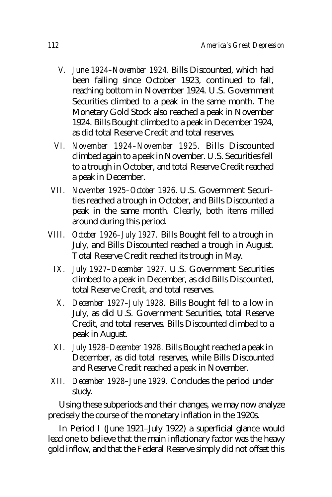- *V. June 1924–November 1924.* Bills Discounted, which had been falling since October 1923, continued to fall, reaching bottom in November 1924. U.S. Government Securities climbed to a peak in the same month. The Monetary Gold Stock also reached a peak in November 1924. Bills Bought climbed to a peak in December 1924, as did total Reserve Credit and total reserves.
- *VI. November 1924–November 1925.* Bills Discounted climbed again to a peak in November. U.S. Securities fell to a trough in October, and total Reserve Credit reached a peak in December.
- *VII. November 1925–October 1926.* U.S. Government Securities reached a trough in October, and Bills Discounted a peak in the same month. Clearly, both items milled around during this period.
- *VIII. October 1926–July 1927.* Bills Bought fell to a trough in July, and Bills Discounted reached a trough in August. Total Reserve Credit reached its trough in May.
	- *IX. July 1927–December 1927*. U.S. Government Securities climbed to a peak in December, as did Bills Discounted, total Reserve Credit, and total reserves.
	- *X. December 1927–July 1928.* Bills Bought fell to a low in July, as did U.S. Government Securities, total Reserve Credit, and total reserves. Bills Discounted climbed to a peak in August.
	- *XI. July 1928–December 1928.* Bills Bought reached a peak in December, as did total reserves, while Bills Discounted and Reserve Credit reached a peak in November.
- *XII. December 1928–June 1929.* Concludes the period under study.

Using these subperiods and their changes, we may now analyze precisely the course of the monetary inflation in the 1920s.

In Period I (June 1921–July 1922) a superficial glance would lead one to believe that the main inflationary factor was the heavy gold inflow, and that the Federal Reserve simply did not offset this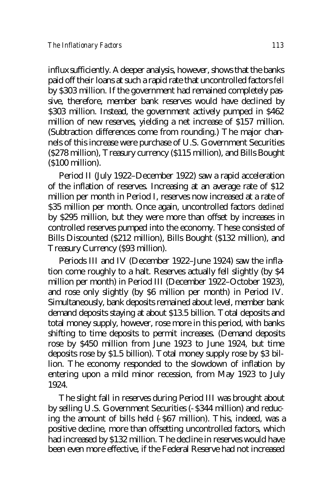influx sufficiently. A deeper analysis, however, shows that the banks paid off their loans at such a rapid rate that uncontrolled factors *fell* by \$303 million. If the government had remained completely passive, therefore, member bank reserves would have declined by \$303 million. Instead, the government actively pumped in \$462 million of new reserves, yielding a net increase of \$157 million. (Subtraction differences come from rounding.) The major channels of this increase were purchase of U.S. Government Securities (\$278 million), Treasury currency (\$115 million), and Bills Bought (\$100 million).

Period II (July 1922–December 1922) saw a rapid acceleration of the inflation of reserves. Increasing at an average rate of \$12 million per month in Period I, reserves now increased at a rate of \$35 million per month. Once again, uncontrolled factors *declined* by \$295 million, but they were more than offset by increases in controlled reserves pumped into the economy. These consisted of Bills Discounted (\$212 million), Bills Bought (\$132 million), and Treasury Currency (\$93 million).

Periods III and IV (December 1922–June 1924) saw the inflation come roughly to a halt. Reserves actually fell slightly (by \$4 million per month) in Period III (December 1922–October 1923), and rose only slightly (by \$6 million per month) in Period IV. Simultaneously, bank deposits remained about level, member bank demand deposits staying at about \$13.5 billion. Total deposits and total money supply, however, rose more in this period, with banks shifting to time deposits to permit increases. (Demand deposits rose by \$450 million from June 1923 to June 1924, but time deposits rose by \$1.5 billion). Total money supply rose by \$3 billion. The economy responded to the slowdown of inflation by entering upon a mild minor recession, from May 1923 to July 1924.

The slight fall in reserves during Period III was brought about by selling U.S. Government Securities (-\$344 million) and reducing the amount of bills held (-\$67 million). This, indeed, was a positive decline, more than offsetting uncontrolled factors, which had increased by \$132 million. The decline in reserves would have been even more effective, if the Federal Reserve had not increased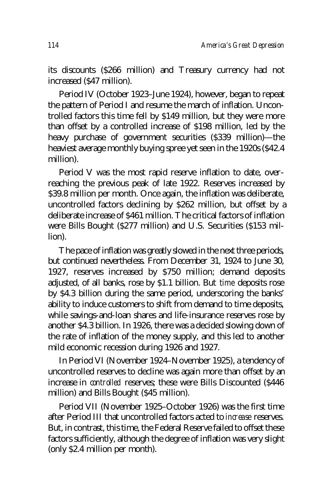its discounts (\$266 million) and Treasury currency had not increased (\$47 million).

Period IV (October 1923–June 1924), however, began to repeat the pattern of Period I and resume the march of inflation. Uncontrolled factors this time fell by \$149 million, but they were more than offset by a controlled increase of \$198 million, led by the heavy purchase of government securities (\$339 million)—the heaviest average monthly buying spree yet seen in the 1920s (\$42.4 million).

Period V was the most rapid reserve inflation to date, overreaching the previous peak of late 1922. Reserves increased by \$39.8 million per month. Once again, the inflation was deliberate, uncontrolled factors declining by \$262 million, but offset by a deliberate increase of \$461 million. The critical factors of inflation were Bills Bought (\$277 million) and U.S. Securities (\$153 million).

The pace of inflation was greatly slowed in the next three periods, but continued nevertheless. From December 31, 1924 to June 30, 1927, reserves increased by \$750 million; demand deposits adjusted, of all banks, rose by \$1.1 billion. But *time* deposits rose by \$4.3 billion during the same period, underscoring the banks' ability to induce customers to shift from demand to time deposits, while savings-and-loan shares and life-insurance reserves rose by another \$4.3 billion. In 1926, there was a decided slowing down of the rate of inflation of the money supply, and this led to another mild economic recession during 1926 and 1927.

In Period VI (November 1924–November 1925), a tendency of uncontrolled reserves to decline was again more than offset by an increase in *controlled* reserves; these were Bills Discounted (\$446 million) and Bills Bought (\$45 million).

Period VII (November 1925–October 1926) was the first time after Period III that uncontrolled factors acted to *increase* reserves. But, in contrast, this time, the Federal Reserve failed to offset these factors sufficiently, although the degree of inflation was very slight (only \$2.4 million per month).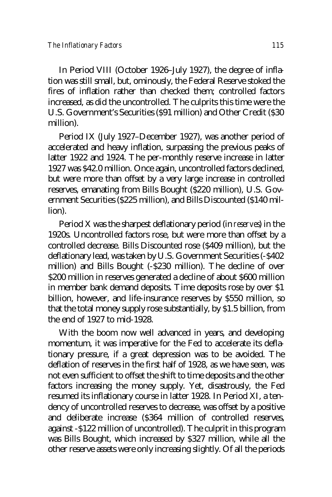In Period VIII (October 1926–July 1927), the degree of inflation was still small, but, ominously, the Federal Reserve stoked the fires of inflation rather than checked them; controlled factors increased, as did the uncontrolled. The culprits this time were the U.S. Government's Securities (\$91 million) and Other Credit (\$30 million).

Period IX (July 1927–December 1927), was another period of accelerated and heavy inflation, surpassing the previous peaks of latter 1922 and 1924. The per-monthly reserve increase in latter 1927 was \$42.0 million. Once again, uncontrolled factors declined, but were more than offset by a very large increase in controlled reserves, emanating from Bills Bought (\$220 million), U.S. Government Securities (\$225 million), and Bills Discounted (\$140 million).

Period X was the sharpest deflationary period (in *reserves*) in the 1920s. Uncontrolled factors rose, but were more than offset by a controlled decrease. Bills Discounted rose (\$409 million), but the deflationary lead, was taken by U.S. Government Securities (-\$402 million) and Bills Bought (-\$230 million). The decline of over \$200 million in reserves generated a decline of about \$600 million in member bank demand deposits. Time deposits rose by over \$1 billion, however, and life-insurance reserves by \$550 million, so that the total money supply rose substantially, by \$1.5 billion, from the end of 1927 to mid-1928.

With the boom now well advanced in years, and developing momentum, it was imperative for the Fed to accelerate its deflationary pressure, if a great depression was to be avoided. The deflation of reserves in the first half of 1928, as we have seen, was not even sufficient to offset the shift to time deposits and the other factors increasing the money supply. Yet, disastrously, the Fed resumed its inflationary course in latter 1928. In Period XI, a tendency of uncontrolled reserves to decrease, was offset by a positive and deliberate increase (\$364 million of controlled reserves, against -\$122 million of uncontrolled). The culprit in this program was Bills Bought, which increased by \$327 million, while all the other reserve assets were only increasing slightly. Of all the periods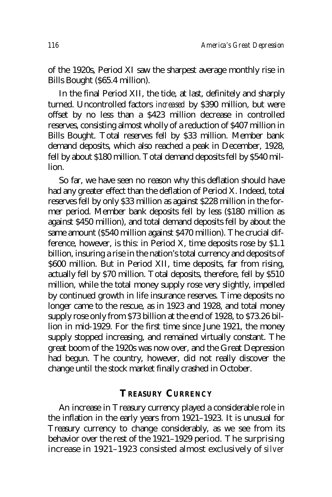of the 1920s, Period XI saw the sharpest average monthly rise in Bills Bought (\$65.4 million).

In the final Period XII, the tide, at last, definitely and sharply turned. Uncontrolled factors *increased* by \$390 million, but were offset by no less than a \$423 million decrease in controlled reserves, consisting almost wholly of a reduction of \$407 million in Bills Bought. Total reserves fell by \$33 million. Member bank demand deposits, which also reached a peak in December, 1928, fell by about \$180 million. Total demand deposits fell by \$540 million.

So far, we have seen no reason why this deflation should have had any greater effect than the deflation of Period X. Indeed, total reserves fell by only \$33 million as against \$228 million in the former period. Member bank deposits fell by less (\$180 million as against \$450 million), and total demand deposits fell by about the same amount (\$540 million against \$470 million). The crucial difference, however, is this: in Period X, time deposits rose by \$1.1 billion, insuring a rise in the nation's total currency and deposits of \$600 million. But in Period XII, time deposits, far from rising, actually fell by \$70 million. Total deposits, therefore, fell by \$510 million, while the total money supply rose very slightly, impelled by continued growth in life insurance reserves. Time deposits no longer came to the rescue, as in 1923 and 1928, and total money supply rose only from \$73 billion at the end of 1928, to \$73.26 billion in mid-1929. For the first time since June 1921, the money supply stopped increasing, and remained virtually constant. The great boom of the 1920s was now over, and the Great Depression had begun. The country, however, did not really discover the change until the stock market finally crashed in October.

### **TREASURY CURRENCY**

An increase in Treasury currency played a considerable role in the inflation in the early years from 1921–1923. It is unusual for Treasury currency to change considerably, as we see from its behavior over the rest of the 1921–1929 period. The surprising increase in 1921–1923 consisted almost exclusively of *silver*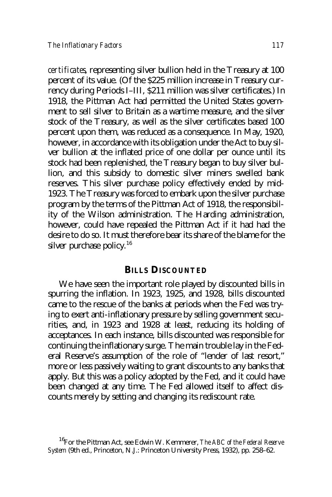*certificates*, representing silver bullion held in the Treasury at 100 percent of its value. (Of the \$225 million increase in Treasury currency during Periods I–III, \$211 million was silver certificates.) In 1918, the Pittman Act had permitted the United States government to sell silver to Britain as a wartime measure, and the silver stock of the Treasury, as well as the silver certificates based 100 percent upon them, was reduced as a consequence. In May, 1920, however, in accordance with its obligation under the Act to buy silver bullion at the inflated price of one dollar per ounce until its stock had been replenished, the Treasury began to buy silver bullion, and this subsidy to domestic silver miners swelled bank reserves. This silver purchase policy effectively ended by mid-1923. The Treasury was forced to embark upon the silver purchase program by the terms of the Pittman Act of 1918, the responsibility of the Wilson administration. The Harding administration, however, could have repealed the Pittman Act if it had had the desire to do so. It must therefore bear its share of the blame for the silver purchase policy. $16$ 

# **BILLS DISCOUNTED**

We have seen the important role played by discounted bills in spurring the inflation. In 1923, 1925, and 1928, bills discounted came to the rescue of the banks at periods when the Fed was trying to exert anti-inflationary pressure by selling government securities, and, in 1923 and 1928 at least, reducing its holding of acceptances. In each instance, bills discounted was responsible for continuing the inflationary surge. The main trouble lay in the Federal Reserve's assumption of the role of "lender of last resort," more or less passively waiting to grant discounts to any banks that apply. But this was a policy adopted by the Fed, and it could have been changed at any time. The Fed allowed itself to affect discounts merely by setting and changing its rediscount rate.

<sup>16</sup>For the Pittman Act, see Edwin W. Kemmerer, *The ABC of the Federal Reserve System* (9th ed., Princeton, N.J.: Princeton University Press, 1932), pp. 258–62.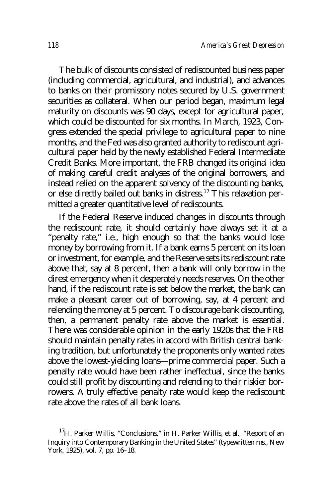The bulk of discounts consisted of rediscounted business paper (including commercial, agricultural, and industrial), and advances to banks on their promissory notes secured by U.S. government securities as collateral. When our period began, maximum legal maturity on discounts was 90 days, except for agricultural paper, which could be discounted for six months. In March, 1923, Congress extended the special privilege to agricultural paper to nine months, and the Fed was also granted authority to rediscount agricultural paper held by the newly established Federal Intermediate Credit Banks. More important, the FRB changed its original idea of making careful credit analyses of the original borrowers, and instead relied on the apparent solvency of the discounting banks, or else directly bailed out banks in distress.<sup>17</sup> This relaxation permitted a greater quantitative level of rediscounts.

If the Federal Reserve induced changes in discounts through the rediscount rate, it should certainly have always set it at a "penalty rate," i.e., high enough so that the banks would lose money by borrowing from it. If a bank earns 5 percent on its loan or investment, for example, and the Reserve sets its rediscount rate above that, say at 8 percent, then a bank will only borrow in the direst emergency when it desperately needs reserves. On the other hand, if the rediscount rate is set below the market, the bank can make a pleasant career out of borrowing, say, at 4 percent and relending the money at 5 percent. To discourage bank discounting, then, a permanent penalty rate above the market is essential. There was considerable opinion in the early 1920s that the FRB should maintain penalty rates in accord with British central banking tradition, but unfortunately the proponents only wanted rates above the lowest-yielding loans—prime commercial paper. Such a penalty rate would have been rather ineffectual, since the banks could still profit by discounting and relending to their riskier borrowers. A truly effective penalty rate would keep the rediscount rate above the rates of all bank loans.

<sup>17</sup>H. Parker Willis, "Conclusions," in H. Parker Willis, et al.*,* "Report of an Inquiry into Contemporary Banking in the United States" (typewritten ms., New York, 1925), vol. 7, pp. 16–18.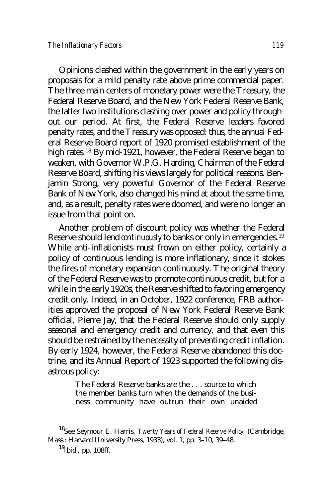Opinions clashed within the government in the early years on proposals for a mild penalty rate above prime commercial paper. The three main centers of monetary power were the Treasury, the Federal Reserve Board, and the New York Federal Reserve Bank, the latter two institutions clashing over power and policy throughout our period. At first, the Federal Reserve leaders favored penalty rates, and the Treasury was opposed: thus, the annual Federal Reserve Board report of 1920 promised establishment of the high rates.<sup>18</sup> By mid-1921, however, the Federal Reserve began to weaken, with Governor W.P.G. Harding, Chairman of the Federal Reserve Board, shifting his views largely for political reasons. Benjamin Strong, very powerful Governor of the Federal Reserve Bank of New York, also changed his mind at about the same time, and, as a result, penalty rates were doomed, and were no longer an issue from that point on.

Another problem of discount policy was whether the Federal Reserve should lend *continuously* to banks or only in emergencies.<sup>19</sup> While anti-inflationists must frown on either policy, certainly a policy of continuous lending is more inflationary, since it stokes the fires of monetary expansion continuously. The original theory of the Federal Reserve was to promote continuous credit, but for a while in the early 1920s, the Reserve shifted to favoring emergency credit only. Indeed, in an October, 1922 conference, FRB authorities approved the proposal of New York Federal Reserve Bank official, Pierre Jay, that the Federal Reserve should only supply seasonal and emergency credit and currency, and that even this should be restrained by the necessity of preventing credit inflation. By early 1924, however, the Federal Reserve abandoned this doctrine, and its Annual Report of 1923 supported the following disastrous policy:

> The Federal Reserve banks are the . . . source to which the member banks turn when the demands of the business community have outrun their own unaided

<sup>18</sup>See Seymour E. Harris, *Twenty Years of Federal Reserve Policy* (Cambridge, Mass.: Harvard University Press, 1933), vol. 1, pp. 3–10, 39–48.

<sup>19</sup>Ibid.*,* pp. 108ff.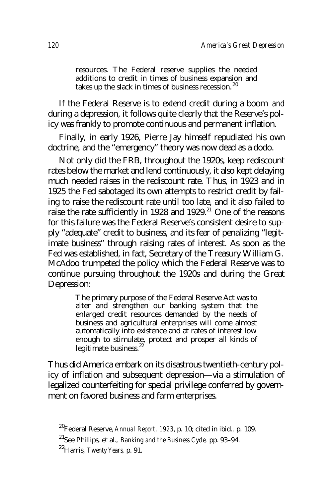resources. The Federal reserve supplies the needed additions to credit in times of business expansion and takes up the slack in times of business recession.<sup>20</sup>

If the Federal Reserve is to extend credit during a boom *and* during a depression, it follows quite clearly that the Reserve's policy was frankly to promote continuous and permanent inflation.

Finally, in early 1926, Pierre Jay himself repudiated his own doctrine, and the "emergency" theory was now dead as a dodo.

Not only did the FRB, throughout the 1920s, keep rediscount rates below the market and lend continuously, it also kept delaying much needed raises in the rediscount rate. Thus, in 1923 and in 1925 the Fed sabotaged its own attempts to restrict credit by failing to raise the rediscount rate until too late, and it also failed to raise the rate sufficiently in 1928 and 1929.<sup>21</sup> One of the reasons for this failure was the Federal Reserve's consistent desire to supply "adequate" credit to business, and its fear of penalizing "legitimate business" through raising rates of interest. As soon as the Fed was established, in fact, Secretary of the Treasury William G. McAdoo trumpeted the policy which the Federal Reserve was to continue pursuing throughout the 1920s and during the Great Depression:

> The primary purpose of the Federal Reserve Act was to alter and strengthen our banking system that the enlarged credit resources demanded by the needs of business and agricultural enterprises will come almost automatically into existence and at rates of interest low enough to stimulate, protect and prosper all kinds of legitimate business.<sup>22</sup>

Thus did America embark on its disastrous twentieth-century policy of inflation and subsequent depression—via a stimulation of legalized counterfeiting for special privilege conferred by government on favored business and farm enterprises.

<sup>20</sup>Federal Reserve, *Annual Report, 1923,* p. 10; cited in ibid.*,* p. 109.

<sup>21</sup>See Phillips, et al., *Banking and the Business Cycle,* pp. 93–94.

<sup>22</sup>Harris, *Twenty Years,* p. 91.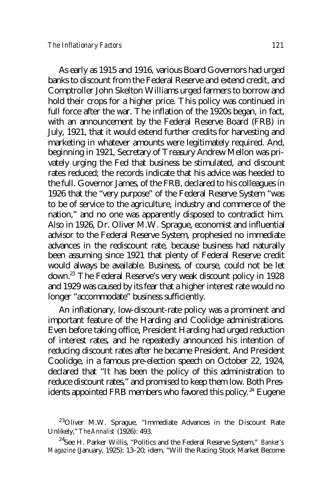As early as 1915 and 1916, various Board Governors had urged banks to discount from the Federal Reserve and extend credit, and Comptroller John Skelton Williams urged farmers to borrow and hold their crops for a higher price. This policy was continued in full force after the war. The inflation of the 1920s began, in fact, with an announcement by the Federal Reserve Board (FRB) in July, 1921, that it would extend further credits for harvesting and marketing in whatever amounts were legitimately required. And, beginning in 1921, Secretary of Treasury Andrew Mellon was privately urging the Fed that business be stimulated, and discount rates reduced; the records indicate that his advice was heeded to the full. Governor James, of the FRB, declared to his colleagues in 1926 that the "very purpose" of the Federal Reserve System "was to be of service to the agriculture, industry and commerce of the nation," and no one was apparently disposed to contradict him. Also in 1926, Dr. Oliver M.W. Sprague, economist and influential advisor to the Federal Reserve System, prophesied no immediate advances in the rediscount rate, because business had naturally been assuming since 1921 that plenty of Federal Reserve credit would always be available. Business, of course, could not be let down.<sup>23</sup> The Federal Reserve's very weak discount policy in 1928 and 1929 was caused by its fear that a higher interest rate would no longer "accommodate" business sufficiently.

An inflationary, low-discount-rate policy was a prominent and important feature of the Harding and Coolidge administrations. Even before taking office, President Harding had urged reduction of interest rates, and he repeatedly announced his intention of reducing discount rates after he became President. And President Coolidge, in a famous pre-election speech on October 22, 1924, declared that "It has been the policy of this administration to reduce discount rates," and promised to keep them low. Both Presidents appointed FRB members who favored this policy.<sup>24</sup> Eugene

<sup>&</sup>lt;sup>23</sup>Oliver M.W. Sprague, "Immediate Advances in the Discount Rate Unlikely," *The Annalist* (1926): 493.

<sup>24</sup>See H. Parker Willis, "Politics and the Federal Reserve System," *Banker's Magazine* (January, 1925): 13–20; idem, "Will the Racing Stock Market Become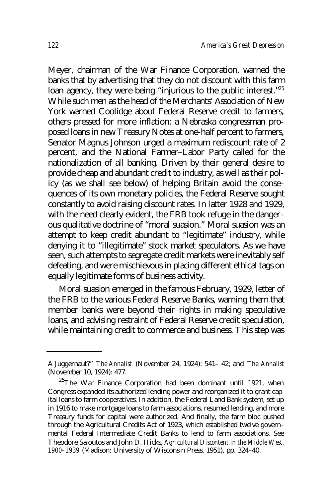Meyer, chairman of the War Finance Corporation, warned the banks that by advertising that they do not discount with this farm loan agency, they were being "injurious to the public interest."<sup>25</sup> While such men as the head of the Merchants' Association of New York warned Coolidge about Federal Reserve credit to farmers, others pressed for more inflation: a Nebraska congressman proposed loans in new Treasury Notes at one-half percent to farmers, Senator Magnus Johnson urged a maximum rediscount rate of 2 percent, and the National Farmer–Labor Party called for the nationalization of all banking. Driven by their general desire to provide cheap and abundant credit to industry, as well as their policy (as we shall see below) of helping Britain avoid the consequences of its own monetary policies, the Federal Reserve sought constantly to avoid raising discount rates. In latter 1928 and 1929, with the need clearly evident, the FRB took refuge in the dangerous qualitative doctrine of "moral suasion." Moral suasion was an attempt to keep credit abundant to "legitimate" industry, while denying it to "illegitimate" stock market speculators. As we have seen, such attempts to segregate credit markets were inevitably self defeating, and were mischievous in placing different ethical tags on equally legitimate forms of business activity.

Moral suasion emerged in the famous February, 1929, letter of the FRB to the various Federal Reserve Banks, warning them that member banks were beyond their rights in making speculative loans, and advising restraint of Federal Reserve credit speculation, while maintaining credit to commerce and business. This step was

A Juggernaut?" *The Annalist* (November 24, 1924): 541– 42; and *The Annalist* (November 10, 1924): 477.

<sup>&</sup>lt;sup>25</sup>The War Finance Corporation had been dominant until 1921, when Congress expanded its authorized lending power and reorganized it to grant capital loans to farm cooperatives. In addition, the Federal Land Bank system, set up in 1916 to make mortgage loans to farm associations, resumed lending, and more Treasury funds for capital were authorized. And finally, the farm bloc pushed through the Agricultural Credits Act of 1923, which established twelve governmental Federal Intermediate Credit Banks to lend to farm associations. See Theodore Saloutos and John D. Hicks, *Agricultural Discontent in the Middle West, 1900–1939* (Madison: University of Wisconsin Press, 1951), pp. 324–40.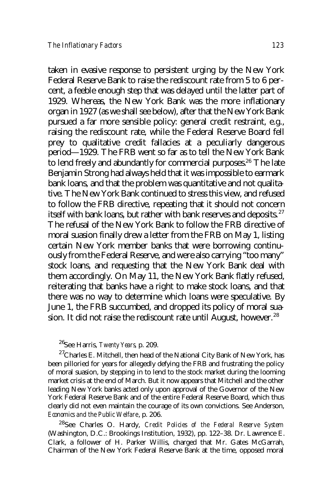taken in evasive response to persistent urging by the New York Federal Reserve Bank to raise the rediscount rate from 5 to 6 percent, a feeble enough step that was delayed until the latter part of 1929. Whereas, the New York Bank was the more inflationary organ in 1927 (as we shall see below), after that the New York Bank pursued a far more sensible policy: general credit restraint, e.g., raising the rediscount rate, while the Federal Reserve Board fell prey to qualitative credit fallacies at a peculiarly dangerous period—1929. The FRB went so far as to tell the New York Bank to lend freely and abundantly for commercial purposes.<sup>26</sup> The late Benjamin Strong had always held that it was impossible to earmark bank loans, and that the problem was quantitative and not qualitative. The New York Bank continued to stress this view, and refused to follow the FRB directive, repeating that it should not concern itself with bank loans, but rather with bank reserves and deposits.<sup>27</sup> The refusal of the New York Bank to follow the FRB directive of moral suasion finally drew a letter from the FRB on May 1, listing certain New York member banks that were borrowing continuously from the Federal Reserve, and were also carrying "too many" stock loans, and requesting that the New York Bank deal with them accordingly. On May 11, the New York Bank flatly refused, reiterating that banks have a right to make stock loans, and that there was no way to determine which loans were speculative. By June 1, the FRB succumbed, and dropped its policy of moral suasion. It did not raise the rediscount rate until August, however.<sup>28</sup>

# <sup>26</sup>See Harris, *Twenty Years,* p. 209.

 $27$ Charles E. Mitchell, then head of the National City Bank of New York, has been pilloried for years for allegedly defying the FRB and frustrating the policy of moral suasion, by stepping in to lend to the stock market during the looming market crisis at the end of March. But it now appears that Mitchell and the other leading New York banks acted only upon approval of the Governor of the New York Federal Reserve Bank and of the entire Federal Reserve Board, which thus clearly did not even maintain the courage of its own convictions. See Anderson, *Economics and the Public Welfare*, p. 206.

<sup>28</sup>See Charles O. Hardy, *Credit Policies of the Federal Reserve System* (Washington, D.C.: Brookings Institution, 1932), pp. 122–38. Dr. Lawrence E. Clark, a follower of H. Parker Willis, charged that Mr. Gates McGarrah, Chairman of the New York Federal Reserve Bank at the time, opposed moral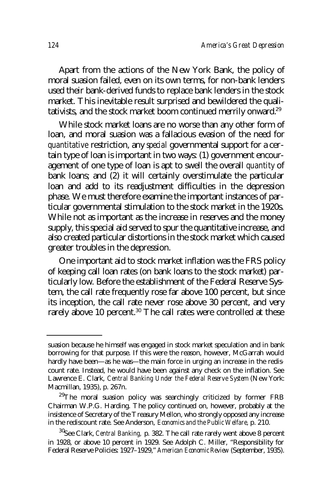Apart from the actions of the New York Bank, the policy of moral suasion failed, even on its own terms, for non-bank lenders used their bank-derived funds to replace bank lenders in the stock market. This inevitable result surprised and bewildered the qualitativists, and the stock market boom continued merrily onward.<sup>29</sup>

While stock market loans are no worse than any other form of loan, and moral suasion was a fallacious evasion of the need for *quantitative* restriction, any *special* governmental support for a certain type of loan is important in two ways: (1) government encouragement of one type of loan is apt to swell the overall *quantity* of bank loans; and (2) it will certainly overstimulate the particular loan and add to its readjustment difficulties in the depression phase. We must therefore examine the important instances of particular governmental stimulation to the stock market in the 1920s. While not as important as the increase in reserves and the money supply, this special aid served to spur the quantitative increase, and also created particular distortions in the stock market which caused greater troubles in the depression.

One important aid to stock market inflation was the FRS policy of keeping call loan rates (on bank loans to the stock market) particularly low. Before the establishment of the Federal Reserve System, the call rate frequently rose far above 100 percent, but since its inception, the call rate never rose above 30 percent, and very rarely above 10 percent.<sup>30</sup> The call rates were controlled at these

suasion because he himself was engaged in stock market speculation and in bank borrowing for that purpose. If this were the reason, however, McGarrah would hardly have been—as he was—the main force in urging an increase in the rediscount rate. Instead, he would have been against any check on the inflation. See Lawrence E. Clark, *Central Banking Under the Federal Reserve System* (New York: Macmillan, 1935), p. 267n.

<sup>&</sup>lt;sup>29</sup>The moral suasion policy was searchingly criticized by former FRB Chairman W.P.G. Harding. The policy continued on, however, probably at the insistence of Secretary of the Treasury Mellon, who strongly opposed any increase in the rediscount rate. See Anderson, *Economics and the Public Welfare,* p. 210.

<sup>30</sup>See Clark, *Central Banking,* p. 382. The call rate rarely went above 8 percent in 1928, or above 10 percent in 1929. See Adolph C. Miller, "Responsibility for Federal Reserve Policies: 1927–1929," *American Economic Review* (September, 1935).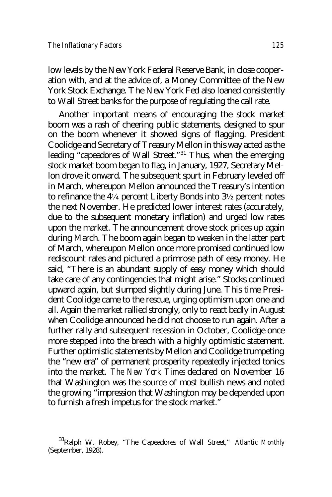low levels by the New York Federal Reserve Bank, in close cooperation with, and at the advice of, a Money Committee of the New York Stock Exchange. The New York Fed also loaned consistently to Wall Street banks for the purpose of regulating the call rate.

Another important means of encouraging the stock market boom was a rash of cheering public statements, designed to spur on the boom whenever it showed signs of flagging. President Coolidge and Secretary of Treasury Mellon in this way acted as the leading "capeadores of Wall Street."<sup>31</sup> Thus, when the emerging stock market boom began to flag, in January, 1927, Secretary Mellon drove it onward. The subsequent spurt in February leveled off in March, whereupon Mellon announced the Treasury's intention to refinance the  $4\frac{1}{4}$  percent Liberty Bonds into  $3\frac{1}{2}$  percent notes the next November. He predicted lower interest rates (accurately, due to the subsequent monetary inflation) and urged low rates upon the market. The announcement drove stock prices up again during March. The boom again began to weaken in the latter part of March, whereupon Mellon once more promised continued low rediscount rates and pictured a primrose path of easy money. He said, "There is an abundant supply of easy money which should take care of any contingencies that might arise." Stocks continued upward again, but slumped slightly during June. This time President Coolidge came to the rescue, urging optimism upon one and all. Again the market rallied strongly, only to react badly in August when Coolidge announced he did not choose to run again. After a further rally and subsequent recession in October, Coolidge once more stepped into the breach with a highly optimistic statement. Further optimistic statements by Mellon and Coolidge trumpeting the "new era" of permanent prosperity repeatedly injected tonics into the market. *The New York Times* declared on November 16 that Washington was the source of most bullish news and noted the growing "impression that Washington may be depended upon to furnish a fresh impetus for the stock market."

<sup>31</sup>Ralph W. Robey, "The Capeadores of Wall Street," *Atlantic Monthly* (September, 1928).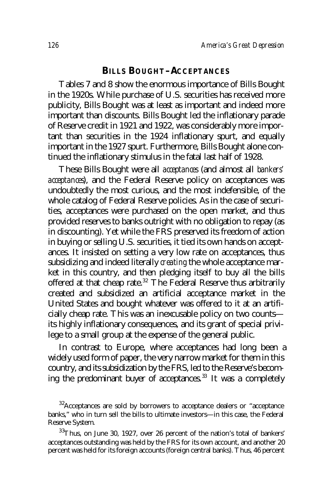### **BILLS BOUGHT–ACCEPTANCES**

Tables 7 and 8 show the enormous importance of Bills Bought in the 1920s. While purchase of U.S. securities has received more publicity, Bills Bought was at least as important and indeed more important than discounts. Bills Bought led the inflationary parade of Reserve credit in 1921 and 1922, was considerably more important than securities in the 1924 inflationary spurt, and equally important in the 1927 spurt. Furthermore, Bills Bought alone continued the inflationary stimulus in the fatal last half of 1928.

These Bills Bought were all *acceptances* (and almost all *bankers' acceptances*), and the Federal Reserve policy on acceptances was undoubtedly the most curious, and the most indefensible, of the whole catalog of Federal Reserve policies. As in the case of securities, acceptances were purchased on the open market, and thus provided reserves to banks outright with no obligation to repay (as in discounting). Yet while the FRS preserved its freedom of action in buying or selling U.S. securities, it tied its own hands on acceptances. It insisted on setting a very low rate on acceptances, thus subsidizing and indeed literally *creating* the whole acceptance market in this country, and then pledging itself to buy all the bills offered at that cheap rate.<sup>32</sup> The Federal Reserve thus arbitrarily created and subsidized an artificial acceptance market in the United States and bought whatever was offered to it at an artificially cheap rate. This was an inexcusable policy on two counts its highly inflationary consequences, and its grant of special privilege to a small group at the expense of the general public.

In contrast to Europe, where acceptances had long been a widely used form of paper, the very narrow market for them in this country, and its subsidization by the FRS, led to the Reserve's becoming the predominant buyer of acceptances.<sup>33</sup> It was a completely

<sup>33</sup>Thus, on June 30, 1927, over 26 percent of the nation's total of bankers' acceptances outstanding was held by the FRS for its own account, and another 20 percent was held for its foreign accounts (foreign central banks). Thus, 46 percent

<sup>32</sup>Acceptances are sold by borrowers to acceptance dealers or "acceptance banks," who in turn sell the bills to ultimate investors—in this case, the Federal Reserve System.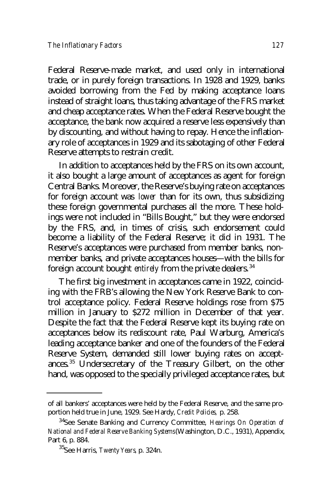Federal Reserve-made market, and used only in international trade, or in purely foreign transactions. In 1928 and 1929, banks avoided borrowing from the Fed by making acceptance loans instead of straight loans, thus taking advantage of the FRS market and cheap acceptance rates. When the Federal Reserve bought the acceptance, the bank now acquired a reserve less expensively than by discounting, and without having to repay. Hence the inflationary role of acceptances in 1929 and its sabotaging of other Federal Reserve attempts to restrain credit.

In addition to acceptances held by the FRS on its own account, it also bought a large amount of acceptances as agent for foreign Central Banks. Moreover, the Reserve's buying rate on acceptances for foreign account was *lower* than for its own, thus subsidizing these foreign governmental purchases all the more. These holdings were not included in "Bills Bought," but they were endorsed by the FRS, and, in times of crisis, such endorsement could become a liability of the Federal Reserve; it did in 1931. The Reserve's acceptances were purchased from member banks, nonmember banks, and private acceptances houses—with the bills for foreign account bought *entirely* from the private dealers.<sup>34</sup>

The first big investment in acceptances came in 1922, coinciding with the FRB's allowing the New York Reserve Bank to control acceptance policy. Federal Reserve holdings rose from \$75 million in January to \$272 million in December of that year. Despite the fact that the Federal Reserve kept its buying rate on acceptances below its rediscount rate, Paul Warburg, America's leading acceptance banker and one of the founders of the Federal Reserve System, demanded still lower buying rates on acceptances.<sup>35</sup> Undersecretary of the Treasury Gilbert, on the other hand, was opposed to the specially privileged acceptance rates, but

of all bankers' acceptances were held by the Federal Reserve, and the same proportion held true in June, 1929. See Hardy, *Credit Policies,* p. 258.

<sup>34</sup>See Senate Banking and Currency Committee, *Hearings On Operation of National and Federal Reserve Banking Systems* (Washington, D.C., 1931), Appendix, Part 6, p. 884.

<sup>35</sup>See Harris, *Twenty Years,* p. 324n.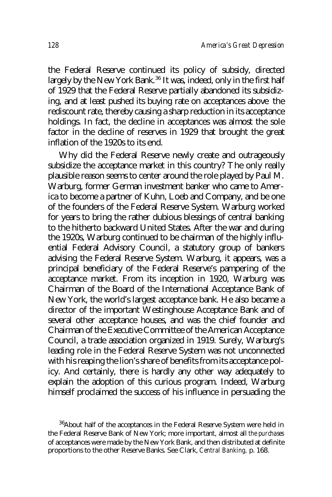the Federal Reserve continued its policy of subsidy, directed largely by the New York Bank.<sup>36</sup> It was, indeed, only in the first half of 1929 that the Federal Reserve partially abandoned its subsidizing, and at least pushed its buying rate on acceptances above the rediscount rate, thereby causing a sharp reduction in its acceptance holdings. In fact, the decline in acceptances was almost the sole factor in the decline of reserves in 1929 that brought the great inflation of the 1920s to its end.

Why did the Federal Reserve newly create and outrageously subsidize the acceptance market in this country? The only really plausible reason seems to center around the role played by Paul M. Warburg, former German investment banker who came to America to become a partner of Kuhn, Loeb and Company, and be one of the founders of the Federal Reserve System. Warburg worked for years to bring the rather dubious blessings of central banking to the hitherto backward United States. After the war and during the 1920s, Warburg continued to be chairman of the highly influential Federal Advisory Council, a statutory group of bankers advising the Federal Reserve System. Warburg, it appears, was a principal beneficiary of the Federal Reserve's pampering of the acceptance market. From its inception in 1920, Warburg was Chairman of the Board of the International Acceptance Bank of New York, the world's largest acceptance bank. He also became a director of the important Westinghouse Acceptance Bank and of several other acceptance houses, and was the chief founder and Chairman of the Executive Committee of the American Acceptance Council, a trade association organized in 1919. Surely, Warburg's leading role in the Federal Reserve System was not unconnected with his reaping the lion's share of benefits from its acceptance policy. And certainly, there is hardly any other way adequately to explain the adoption of this curious program. Indeed, Warburg himself proclaimed the success of his influence in persuading the

<sup>36</sup>About half of the acceptances in the Federal Reserve System were held in the Federal Reserve Bank of New York; more important, almost all *the purchases* of acceptances were made by the New York Bank, and then distributed at definite proportions to the other Reserve Banks. See Clark, *Central Banking,* p. 168.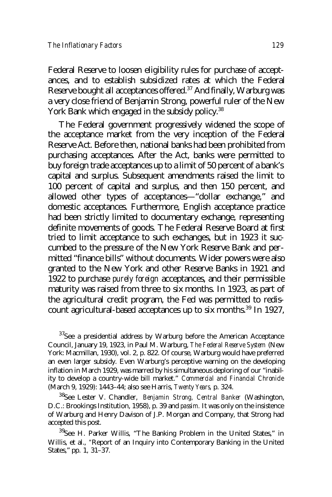Federal Reserve to loosen eligibility rules for purchase of acceptances, and to establish subsidized rates at which the Federal Reserve bought all acceptances offered.<sup>37</sup> And finally, Warburg was a very close friend of Benjamin Strong, powerful ruler of the New York Bank which engaged in the subsidy policy.<sup>38</sup>

The Federal government progressively widened the scope of the acceptance market from the very inception of the Federal Reserve Act. Before then, national banks had been prohibited from purchasing acceptances. After the Act, banks were permitted to buy foreign trade acceptances up to a limit of 50 percent of a bank's capital and surplus. Subsequent amendments raised the limit to 100 percent of capital and surplus, and then 150 percent, and allowed other types of acceptances—"dollar exchange," and domestic acceptances. Furthermore, English acceptance practice had been strictly limited to documentary exchange, representing definite movements of goods. The Federal Reserve Board at first tried to limit acceptance to such exchanges, but in 1923 it succumbed to the pressure of the New York Reserve Bank and permitted "finance bills" without documents. Wider powers were also granted to the New York and other Reserve Banks in 1921 and 1922 to purchase *purely foreign* acceptances, and their permissible maturity was raised from three to six months. In 1923, as part of the agricultural credit program, the Fed was permitted to rediscount agricultural-based acceptances up to six months.<sup>39</sup> In 1927,

<sup>37</sup>See a presidential address by Warburg before the American Acceptance Council, January 19, 1923, in Paul M. Warburg, *The Federal Reserve System* (New York: Macmillan, 1930), vol. 2, p. 822. Of course, Warburg would have preferred an even larger subsidy. Even Warburg's perceptive warning on the developing inflation in March 1929, was marred by his simultaneous deploring of our "inability to develop a country-wide bill market." *Commercial and Financial Chronicle* (March 9, 1929): 1443–44; also see Harris, *Twenty Years,* p. 324.

<sup>38</sup>See Lester V. Chandler, *Benjamin Strong, Central Banker* (Washington, D.C.: Brookings Institution, 1958), p. 39 and *passim.* It was only on the insistence of Warburg and Henry Davison of J.P. Morgan and Company, that Strong had accepted this post.

<sup>39</sup>See H. Parker Willis, "The Banking Problem in the United States," in Willis, et al., *"*Report of an Inquiry into Contemporary Banking in the United States," pp. 1, 31–37.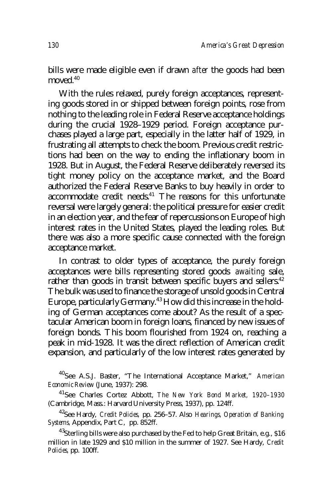bills were made eligible even if drawn *after* the goods had been moved.<sup>40</sup>

With the rules relaxed, purely foreign acceptances, representing goods stored in or shipped between foreign points, rose from nothing to the leading role in Federal Reserve acceptance holdings during the crucial 1928–1929 period. Foreign acceptance purchases played a large part, especially in the latter half of 1929, in frustrating all attempts to check the boom. Previous credit restrictions had been on the way to ending the inflationary boom in 1928. But in August, the Federal Reserve deliberately reversed its tight money policy on the acceptance market, and the Board authorized the Federal Reserve Banks to buy heavily in order to  $accommodate\ credit\ needs.<sup>41</sup>$  The reasons for this unfortunate reversal were largely general: the political pressure for easier credit in an election year, and the fear of repercussions on Europe of high interest rates in the United States, played the leading roles. But there was also a more specific cause connected with the foreign acceptance market.

In contrast to older types of acceptance, the purely foreign acceptances were bills representing stored goods *awaiting* sale, rather than goods in transit between specific buyers and sellers.<sup>42</sup> The bulk was used to finance the storage of unsold goods in Central Europe, particularly Germany.<sup>43</sup> How did this increase in the holding of German acceptances come about? As the result of a spectacular American boom in foreign loans, financed by new issues of foreign bonds. This boom flourished from 1924 on, reaching a peak in mid-1928. It was the direct reflection of American credit expansion, and particularly of the low interest rates generated by

<sup>40</sup>See A.S.J. Baster, "The International Acceptance Market," *American Economic Review* (June, 1937): 298.

<sup>41</sup>See Charles Cortez Abbott, *The New York Bond Market, 1920–1930* (Cambridge, Mass.: Harvard University Press, 1937), pp. 124ff.

<sup>42</sup>See Hardy, *Credit Policies,* pp. 256–57. Also *Hearings, Operation of Banking Systems,* Appendix, Part C, pp. 852ff.

 $^{43}$ Sterling bills were also purchased by the Fed to help Great Britain, e.g., \$16 million in late 1929 and \$10 million in the summer of 1927. See Hardy, *Credit Policies,* pp. 100ff.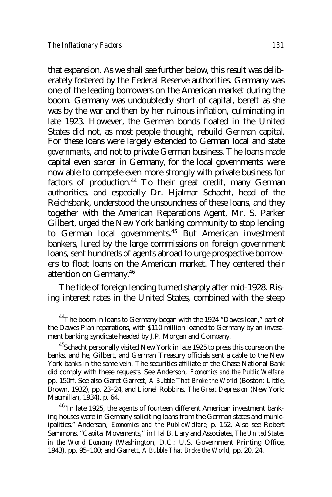that expansion. As we shall see further below, this result was deliberately fostered by the Federal Reserve authorities. Germany was one of the leading borrowers on the American market during the boom. Germany was undoubtedly short of capital, bereft as she was by the war and then by her ruinous inflation, culminating in late 1923. However, the German bonds floated in the United States did not, as most people thought, rebuild German capital. For these loans were largely extended to German local and state *governments*, and not to private German business. The loans made capital even *scarcer* in Germany, for the local governments were now able to compete even more strongly with private business for factors of production.<sup>44</sup> To their great credit, many German authorities, and especially Dr. Hjalmar Schacht, head of the Reichsbank, understood the unsoundness of these loans, and they together with the American Reparations Agent, Mr. S. Parker Gilbert, urged the New York banking community to stop lending to German local governments.<sup>45</sup> But American investment bankers, lured by the large commissions on foreign government loans, sent hundreds of agents abroad to urge prospective borrowers to float loans on the American market. They centered their attention on Germany.<sup>46</sup>

The tide of foreign lending turned sharply after mid-1928. Rising interest rates in the United States, combined with the steep

 $^{44}$ The boom in loans to Germany began with the 1924 "Dawes loan." part of the Dawes Plan reparations, with \$110 million loaned to Germany by an investment banking syndicate headed by J.P. Morgan and Company.

<sup>45</sup>Schacht personally visited New York in late 1925 to press this course on the banks, and he, Gilbert, and German Treasury officials sent a cable to the New York banks in the same vein. The securities affiliate of the Chase National Bank did comply with these requests. See Anderson, *Economics and the Public Welfare,* pp. 150ff. See also Garet Garrett, *A Bubble That Broke the World* (Boston: Little, Brown, 1932), pp. 23–24, and Lionel Robbins, *The Great Depression* (New York: Macmillan, 1934), p. 64.

 $46$ "In late 1925, the agents of fourteen different American investment banking houses were in Germany soliciting loans from the German states and municipalities." Anderson, *Economics and the PublicWelfare,* p. 152. Also see Robert Sammons, "Capital Movements," in Hal B. Lary and Associates, *The United States in the World Economy* (Washington, D.C.: U.S. Government Printing Office, 1943), pp. 95–100; and Garrett, *A Bubble That Broke the World,* pp. 20, 24.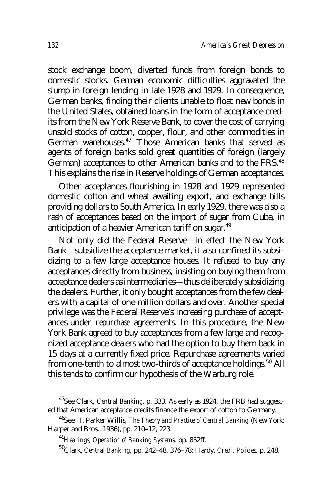stock exchange boom, diverted funds from foreign bonds to domestic stocks. German economic difficulties aggravated the slump in foreign lending in late 1928 and 1929. In consequence, German banks, finding their clients unable to float new bonds in the United States, obtained loans in the form of acceptance credits from the New York Reserve Bank, to cover the cost of carrying unsold stocks of cotton, copper, flour, and other commodities in German warehouses.<sup>47</sup> Those American banks that served as agents of foreign banks sold great quantities of foreign (largely German) acceptances to other American banks and to the FRS.<sup>48</sup> This explains the rise in Reserve holdings of German acceptances.

Other acceptances flourishing in 1928 and 1929 represented domestic cotton and wheat awaiting export, and exchange bills providing dollars to South America. In early 1929, there was also a rash of acceptances based on the import of sugar from Cuba, in anticipation of a heavier American tariff on sugar.<sup>49</sup>

Not only did the Federal Reserve—in effect the New York Bank—subsidize the acceptance market, it also confined its subsidizing to a few large acceptance houses. It refused to buy any acceptances directly from business, insisting on buying them from acceptance dealers as intermediaries—thus deliberately subsidizing the dealers. Further, it only bought acceptances from the few dealers with a capital of one million dollars and over. Another special privilege was the Federal Reserve's increasing purchase of acceptances under *repurchase* agreements. In this procedure, the New York Bank agreed to buy acceptances from a few large and recognized acceptance dealers who had the option to buy them back in 15 days at a currently fixed price. Repurchase agreements varied from one-tenth to almost two-thirds of acceptance holdings.<sup>50</sup> All this tends to confirm our hypothesis of the Warburg role.

<sup>47</sup>See Clark, *Central Banking*, p. 333. As early as 1924, the FRB had suggested that American acceptance credits finance the export of cotton to Germany.

<sup>48</sup>See H. Parker Willis, *The Theory and Practice of Central Banking* (New York: Harper and Bros., 1936), pp. 210–12, 223.

<sup>49</sup>*Hearings, Operation of Banking Systems,* pp. 852ff.

<sup>50</sup>Clark, *Central Banking,* pp. 242–48, 376–78; Hardy, *Credit Policies,* p. 248.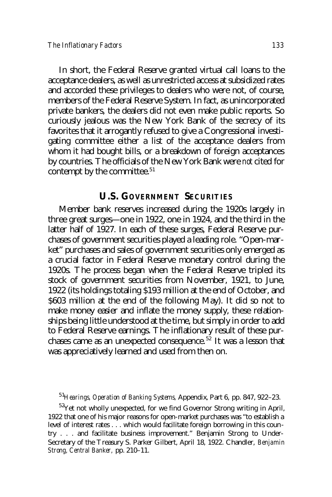In short, the Federal Reserve granted virtual call loans to the acceptance dealers, as well as unrestricted access at subsidized rates and accorded these privileges to dealers who were not, of course, members of the Federal Reserve System. In fact, as unincorporated private bankers, the dealers did not even make public reports. So curiously jealous was the New York Bank of the secrecy of its favorites that it arrogantly refused to give a Congressional investigating committee either a list of the acceptance dealers from whom it had bought bills, or a breakdown of foreign acceptances by countries. The officials of the New York Bank were *not* cited for contempt by the committee.<sup>51</sup>

#### **U.S. GOVERNMENT SECURITIES**

Member bank reserves increased during the 1920s largely in three great surges—one in 1922, one in 1924, and the third in the latter half of 1927. In each of these surges, Federal Reserve purchases of government securities played a leading role. "Open-market" purchases and sales of government securities only emerged as a crucial factor in Federal Reserve monetary control during the 1920s. The process began when the Federal Reserve tripled its stock of government securities from November, 1921, to June, 1922 (its holdings totaling \$193 million at the end of October, and \$603 million at the end of the following May). It did so not to make money easier and inflate the money supply, these relationships being little understood at the time, but simply in order to add to Federal Reserve earnings. The inflationary result of these purchases came as an unexpected consequence.<sup>52</sup> It was a lesson that was appreciatively learned and used from then on.

<sup>51</sup>*Hearings, Operation of Banking Systems,* Appendix, Part 6, pp. 847, 922–23.

 $52$ Yet not wholly unexpected, for we find Governor Strong writing in April, 1922 that one of his major reasons for open-market purchases was "to establish a level of interest rates . . . which would facilitate foreign borrowing in this country . . . and facilitate business improvement." Benjamin Strong to Under-Secretary of the Treasury S. Parker Gilbert, April 18, 1922. Chandler, *Benjamin Strong, Central Banker,* pp. 210–11.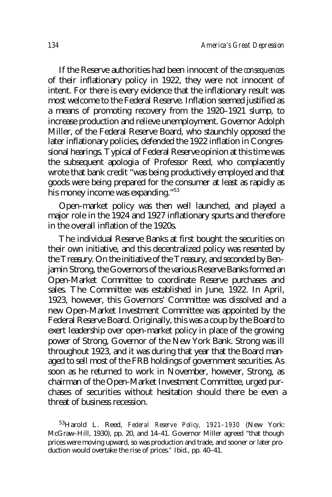If the Reserve authorities had been innocent of the *consequences* of their inflationary policy in 1922, they were not innocent of intent. For there is every evidence that the inflationary result was most welcome to the Federal Reserve. Inflation seemed justified as a means of promoting recovery from the 1920–1921 slump, to increase production and relieve unemployment. Governor Adolph Miller, of the Federal Reserve Board, who staunchly opposed the later inflationary policies, defended the 1922 inflation in Congressional hearings. Typical of Federal Reserve opinion at this time was the subsequent apologia of Professor Reed, who complacently wrote that bank credit "was being productively employed and that goods were being prepared for the consumer at least as rapidly as his money income was expanding."<sup>53</sup>

Open-market policy was then well launched, and played a major role in the 1924 and 1927 inflationary spurts and therefore in the overall inflation of the 1920s.

The individual Reserve Banks at first bought the securities on their own initiative, and this decentralized policy was resented by the Treasury. On the initiative of the Treasury, and seconded by Benjamin Strong, the Governors of the various Reserve Banks formed an Open-Market Committee to coordinate Reserve purchases and sales. The Committee was established in June, 1922. In April, 1923, however, this Governors' Committee was dissolved and a new Open-Market Investment Committee was appointed by the Federal Reserve Board. Originally, this was a coup by the Board to exert leadership over open-market policy in place of the growing power of Strong, Governor of the New York Bank. Strong was ill throughout 1923, and it was during that year that the Board managed to sell most of the FRB holdings of government securities. As soon as he returned to work in November, however, Strong, as chairman of the Open-Market Investment Committee, urged purchases of securities without hesitation should there be even a threat of business recession.

<sup>53</sup>Harold L. Reed, *Federal Reserve Policy, 1921–1930* (New York: McGraw–Hill, 1930), pp. 20, and 14–41. Governor Miller agreed "that though prices were moving upward, so was production and trade, and sooner or later production would overtake the rise of prices.*"* Ibid., pp. 40–41.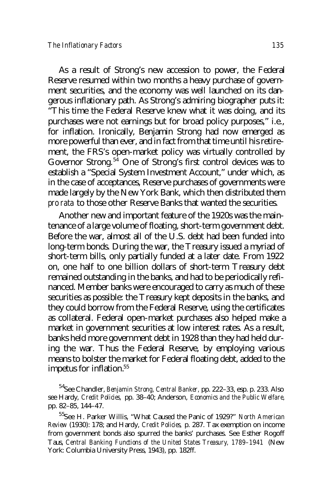As a result of Strong's new accession to power, the Federal Reserve resumed within two months a heavy purchase of government securities, and the economy was well launched on its dangerous inflationary path. As Strong's admiring biographer puts it: "This time the Federal Reserve knew what it was doing, and its purchases were not earnings but for broad policy purposes," i.e., for inflation. Ironically, Benjamin Strong had now emerged as more powerful than ever, and in fact from that time until his retirement, the FRS's open-market policy was virtually controlled by Governor Strong.<sup>54</sup> One of Strong's first control devices was to establish a "Special System Investment Account," under which, as in the case of acceptances, Reserve purchases of governments were made largely by the New York Bank, which then distributed them *pro rata* to those other Reserve Banks that wanted the securities.

Another new and important feature of the 1920s was the maintenance of a large volume of floating, short-term government debt. Before the war, almost all of the U.S. debt had been funded into long-term bonds. During the war, the Treasury issued a myriad of short-term bills, only partially funded at a later date. From 1922 on, one half to one billion dollars of short-term Treasury debt remained outstanding in the banks, and had to be periodically refinanced. Member banks were encouraged to carry as much of these securities as possible: the Treasury kept deposits in the banks, and they could borrow from the Federal Reserve, using the certificates as collateral. Federal open-market purchases also helped make a market in government securities at low interest rates. As a result, banks held more government debt in 1928 than they had held during the war. Thus the Federal Reserve, by employing various means to bolster the market for Federal floating debt, added to the impetus for inflation.<sup>55</sup>

<sup>54</sup>See Chandler, *Benjamin Strong, Central Banker,* pp. 222–33, esp. p. 233. Also see Hardy, *Credit Policies,* pp. 38–40; Anderson, *Economics and the Public Welfare,* pp. 82–85, 144–47.

<sup>55</sup>See H. Parker Willis, "What Caused the Panic of 1929?" *North American Review* (1930): 178; and Hardy, *Credit Policies,* p. 287. Tax exemption on income from government bonds also spurred the banks' purchases. See Esther Rogoff Taus, *Central Banking Functions of the United States Treasury, 1789–1941* (New York: Columbia University Press, 1943), pp. 182ff.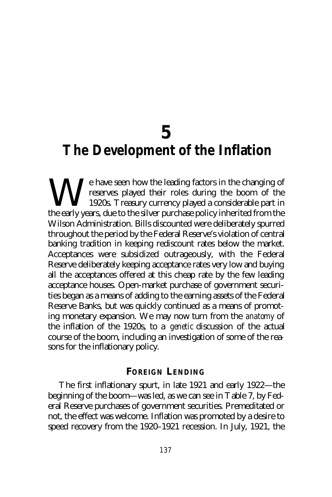**5**

# **The Development of the Inflation**

We have seen how the leading factors in the changing of reserves played their roles during the boom of the 1920s. Treasury currency played a considerable part in the early years, due to the silver purchase policy inherited **e have seen how the leading factors in the changing of** reserves played their roles during the boom of the 1920s. Treasury currency played a considerable part in Wilson Administration. Bills discounted were deliberately spurred throughout the period by the Federal Reserve's violation of central banking tradition in keeping rediscount rates below the market. Acceptances were subsidized outrageously, with the Federal Reserve deliberately keeping acceptance rates very low and buying all the acceptances offered at this cheap rate by the few leading acceptance houses. Open-market purchase of government securities began as a means of adding to the earning assets of the Federal Reserve Banks, but was quickly continued as a means of promoting monetary expansion. We may now turn from the *anatomy* of the inflation of the 1920s, to a *genetic* discussion of the actual course of the boom, including an investigation of some of the reasons for the inflationary policy.

### **FOREIGN LENDING**

The first inflationary spurt, in late 1921 and early 1922—the beginning of the boom—was led, as we can see in Table 7, by Federal Reserve purchases of government securities. Premeditated or not, the effect was welcome. Inflation was promoted by a desire to speed recovery from the 1920–1921 recession. In July, 1921, the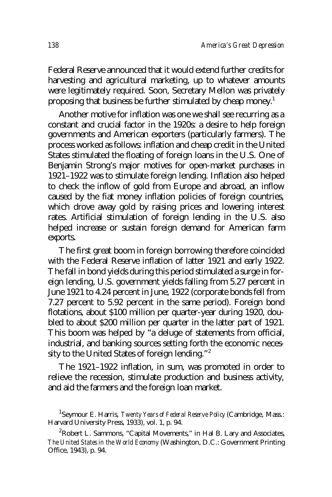Federal Reserve announced that it would extend further credits for harvesting and agricultural marketing, up to whatever amounts were legitimately required. Soon, Secretary Mellon was privately proposing that business be further stimulated by cheap money.<sup>1</sup>

Another motive for inflation was one we shall see recurring as a constant and crucial factor in the 1920s: a desire to help foreign governments and American exporters (particularly farmers). The process worked as follows: inflation and cheap credit in the United States stimulated the floating of foreign loans in the U.S. One of Benjamin Strong's major motives for open-market purchases in 1921–1922 was to stimulate foreign lending. Inflation also helped to check the inflow of gold from Europe and abroad, an inflow caused by the fiat money inflation policies of foreign countries, which drove away gold by raising prices and lowering interest rates. Artificial stimulation of foreign lending in the U.S. also helped increase or sustain foreign demand for American farm exports.

The first great boom in foreign borrowing therefore coincided with the Federal Reserve inflation of latter 1921 and early 1922. The fall in bond yields during this period stimulated a surge in foreign lending, U.S. government yields falling from 5.27 percent in June 1921 to 4.24 percent in June, 1922 (corporate bonds fell from 7.27 percent to 5.92 percent in the same period). Foreign bond flotations, about \$100 million per quarter-year during 1920, doubled to about \$200 million per quarter in the latter part of 1921. This boom was helped by "a deluge of statements from official, industrial, and banking sources setting forth the economic necessity to the United States of foreign lending."<sup>2</sup>

The 1921–1922 inflation, in sum, was promoted in order to relieve the recession, stimulate production and business activity, and aid the farmers and the foreign loan market.

<sup>1</sup> Seymour E. Harris, *Twenty Years of Federal Reserve Policy* (Cambridge, Mass.: Harvard University Press, 1933), vol. 1, p. 94.

 $2R$ Obert L. Sammons, "Capital Movements," in Hal B. Lary and Associates, *The United States in the World Economy* (Washington, D.C.: Government Printing Office, 1943), p. 94.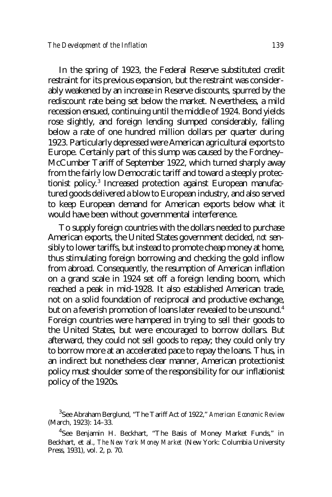In the spring of 1923, the Federal Reserve substituted credit restraint for its previous expansion, but the restraint was considerably weakened by an increase in Reserve discounts, spurred by the rediscount rate being set below the market. Nevertheless, a mild recession ensued, continuing until the middle of 1924. Bond yields rose slightly, and foreign lending slumped considerably, falling below a rate of one hundred million dollars per quarter during 1923. Particularly depressed were American agricultural exports to Europe. Certainly part of this slump was caused by the Fordney– McCumber Tariff of September 1922, which turned sharply away from the fairly low Democratic tariff and toward a steeply protectionist policy.<sup>3</sup> Increased protection against European manufactured goods delivered a blow to European industry, and also served to keep European demand for American exports below what it would have been without governmental interference.

To supply foreign countries with the dollars needed to purchase American exports, the United States government decided, *not* sensibly to lower tariffs, but instead to promote cheap money at home, thus stimulating foreign borrowing and checking the gold inflow from abroad. Consequently, the resumption of American inflation on a grand scale in 1924 set off a foreign lending boom, which reached a peak in mid-1928. It also established American trade, not on a solid foundation of reciprocal and productive exchange, but on a feverish promotion of loans later revealed to be unsound.<sup>4</sup> Foreign countries were hampered in trying to sell their goods to the United States, but were encouraged to borrow dollars. But afterward, they could not sell goods to repay; they could only try to borrow more at an accelerated pace to repay the loans. Thus, in an indirect but nonetheless clear manner, American protectionist policy must shoulder some of the responsibility for our inflationist policy of the 1920s.

<sup>3</sup> See Abraham Berglund, "The Tariff Act of 1922," *American Economic Review* (March, 1923): 14–33.

<sup>&</sup>lt;sup>4</sup>See Benjamin H. Beckhart, "The Basis of Money Market Funds," in Beckhart, et al., *The New York Money Market* (New York: Columbia University Press, 1931), vol. 2, p. 70.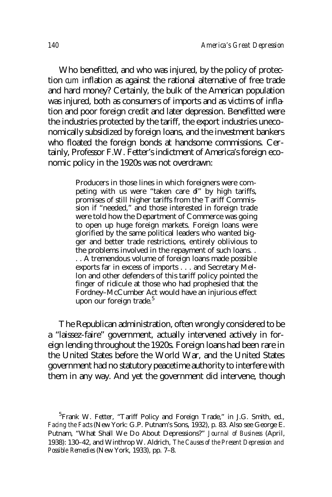Who benefitted, and who was injured, by the policy of protection *cum* inflation as against the rational alternative of free trade and hard money? Certainly, the bulk of the American population was injured, both as consumers of imports and as victims of inflation and poor foreign credit and later depression. Benefitted were the industries protected by the tariff, the export industries uneconomically subsidized by foreign loans, and the investment bankers who floated the foreign bonds at handsome commissions. Certainly, Professor F.W. Fetter's indictment of America's foreign economic policy in the 1920s was not overdrawn:

> Producers in those lines in which foreigners were competing with us were "taken care  $d''$  by high tariffs, promises of still higher tariffs from the Tariff Commission if "needed," and those interested in foreign trade were told how the Department of Commerce was going to open up huge foreign markets. Foreign loans were glorified by the same political leaders who wanted bigger and better trade restrictions, entirely oblivious to the problems involved in the repayment of such loans. . . . A tremendous volume of foreign loans made possible exports far in excess of imports . . . and Secretary Mellon and other defenders of this tariff policy pointed the finger of ridicule at those who had prophesied that the Fordney–McCumber Act would have an injurious effect upon our foreign trade.<sup>5</sup>

The Republican administration, often wrongly considered to be a "laissez-faire" government, actually intervened actively in foreign lending throughout the 1920s. Foreign loans had been rare in the United States before the World War, and the United States government had no statutory peacetime authority to interfere with them in any way. And yet the government did intervene, though

<sup>5</sup>Frank W. Fetter, "Tariff Policy and Foreign Trade," in J.G. Smith, ed., *Facing the Facts* (New York: G.P. Putnam's Sons, 1932), p. 83. Also see George E. Putnam, "What Shall We Do About Depressions?" *Journal of Business* (April, 1938): 130–42, and Winthrop W. Aldrich, *The Causes of the Present Depression and Possible Remedies* (New York, 1933), pp. 7–8.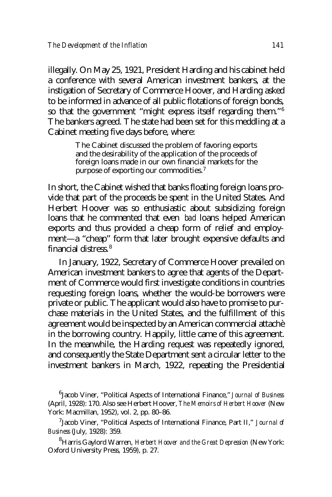illegally. On May 25, 1921, President Harding and his cabinet held a conference with several American investment bankers, at the instigation of Secretary of Commerce Hoover, and Harding asked to be informed in advance of all public flotations of foreign bonds, so that the government "might express itself regarding them."<sup>6</sup> The bankers agreed. The state had been set for this meddling at a Cabinet meeting five days before, where:

> The Cabinet discussed the problem of favoring exports and the desirability of the application of the proceeds of foreign loans made in our own financial markets for the purpose of exporting our commodities.<sup>7</sup>

In short, the Cabinet wished that banks floating foreign loans provide that part of the proceeds be spent in the United States. And Herbert Hoover was so enthusiastic about subsidizing foreign loans that he commented that even *bad* loans helped American exports and thus provided a cheap form of relief and employment—a "cheap" form that later brought expensive defaults and financial distress.<sup>8</sup>

In January, 1922, Secretary of Commerce Hoover prevailed on American investment bankers to agree that agents of the Department of Commerce would first investigate conditions in countries requesting foreign loans, whether the would-be borrowers were private or public. The applicant would also have to promise to purchase materials in the United States, and the fulfillment of this agreement would be inspected by an American commercial attachè in the borrowing country. Happily, little came of this agreement. In the meanwhile, the Harding request was repeatedly ignored, and consequently the State Department sent a circular letter to the investment bankers in March, 1922, repeating the Presidential

6 Jacob Viner, "Political Aspects of International Finance," *Journal of Business* (April, 1928): 170. Also see Herbert Hoover, *The Memoirs of Herbert Hoover* (New York: Macmillan, 1952), vol. 2, pp. 80–86.

7 Jacob Viner, "Political Aspects of International Finance, Part II," *Journal of Business* (July, 1928): 359.

<sup>8</sup>Harris Gaylord Warren, *Herbert Hoover and the Great Depression* (New York: Oxford University Press, 1959), p. 27.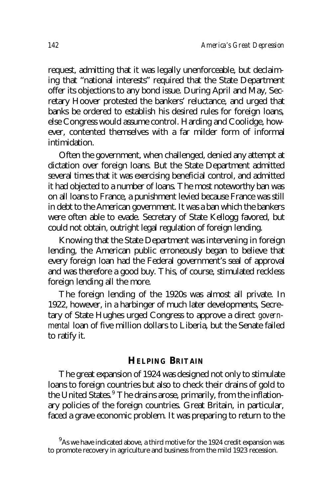request, admitting that it was legally unenforceable, but declaiming that "national interests" required that the State Department offer its objections to any bond issue. During April and May, Secretary Hoover protested the bankers' reluctance, and urged that banks be ordered to establish his desired rules for foreign loans, else Congress would assume control. Harding and Coolidge, however, contented themselves with a far milder form of informal intimidation.

Often the government, when challenged, denied any attempt at dictation over foreign loans. But the State Department admitted several times that it was exercising beneficial control, and admitted it had objected to a number of loans. The most noteworthy ban was on all loans to France, a punishment levied because France was still in debt to the American government. It was a ban which the bankers were often able to evade. Secretary of State Kellogg favored, but could not obtain, outright legal regulation of foreign lending.

Knowing that the State Department was intervening in foreign lending, the American public erroneously began to believe that every foreign loan had the Federal government's seal of approval and was therefore a good buy. This, of course, stimulated reckless foreign lending all the more.

The foreign lending of the 1920s was almost all private. In 1922, however, in a harbinger of much later developments, Secretary of State Hughes urged Congress to approve a direct *governmental* loan of five million dollars to Liberia, but the Senate failed to ratify it.

## **HELPING BRITAIN**

The great expansion of 1924 was designed not only to stimulate loans to foreign countries but also to check their drains of gold to the United States.<sup>9</sup> The drains arose, primarily, from the inflationary policies of the foreign countries. Great Britain, in particular, faced a grave economic problem. It was preparing to return to the

 $<sup>9</sup>$ As we have indicated above, a third motive for the 1924 credit expansion was</sup> to promote recovery in agriculture and business from the mild 1923 recession.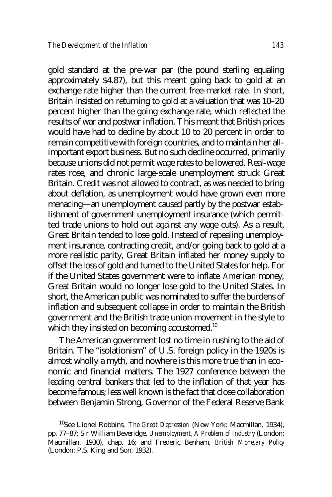gold standard at the pre-war par (the pound sterling equaling approximately \$4.87), but this meant going back to gold at an exchange rate higher than the current free-market rate. In short, Britain insisted on returning to gold at a valuation that was 10–20 percent higher than the going exchange rate, which reflected the results of war and postwar inflation. This meant that British prices would have had to decline by about 10 to 20 percent in order to remain competitive with foreign countries, and to maintain her allimportant export business. But no such decline occurred, primarily because unions did not permit wage rates to be lowered. Real-wage rates rose, and chronic large-scale unemployment struck Great Britain. Credit was not allowed to contract, as was needed to bring about deflation, as unemployment would have grown even more menacing—an unemployment caused partly by the postwar establishment of government unemployment insurance (which permitted trade unions to hold out against any wage cuts). As a result, Great Britain tended to lose gold. Instead of repealing unemployment insurance, contracting credit, and/or going back to gold at a more realistic parity, Great Britain inflated her money supply to offset the loss of gold and turned to the United States for help. For if the United States government were to inflate *American* money, Great Britain would no longer lose gold to the United States. In short, the American public was nominated to suffer the burdens of inflation and subsequent collapse in order to maintain the British government and the British trade union movement in the style to which they insisted on becoming accustomed.<sup>10</sup>

The American government lost no time in rushing to the aid of Britain. The "isolationism" of U.S. foreign policy in the 1920s is almost wholly a myth, and nowhere is this more true than in economic and financial matters. The 1927 conference between the leading central bankers that led to the inflation of that year has become famous; less well known is the fact that close collaboration between Benjamin Strong, Governor of the Federal Reserve Bank

<sup>10</sup>See Lionel Robbins, *The Great Depression* (New York: Macmillan, 1934), pp. 77–87; Sir William Beveridge, *Unemployment*, *A Problem of Industry* (London: Macmillan, 1930), chap. 16; and Frederic Benham, *British Monetary Policy* (London: P.S. King and Son, 1932).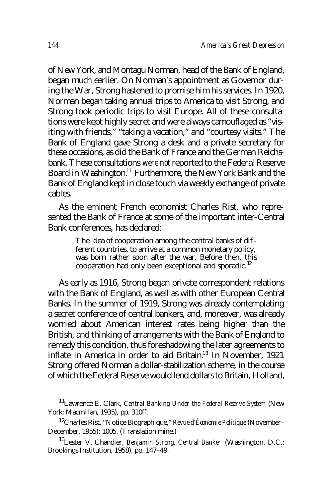of New York, and Montagu Norman, head of the Bank of England, began much earlier. On Norman's appointment as Governor during the War, Strong hastened to promise him his services. In 1920, Norman began taking annual trips to America to visit Strong, and Strong took periodic trips to visit Europe. All of these consultations were kept highly secret and were always camouflaged as "visiting with friends," "taking a vacation," and "courtesy visits." The Bank of England gave Strong a desk and a private secretary for these occasions, as did the Bank of France and the German Reichsbank. These consultations *were not*reported to the Federal Reserve Board in Washington.<sup>11</sup> Furthermore, the New York Bank and the Bank of England kept in close touch via weekly exchange of private cables.

As the eminent French economist Charles Rist, who represented the Bank of France at some of the important inter-Central Bank conferences, has declared:

> The idea of cooperation among the central banks of different countries, to arrive at a common monetary policy, was born rather soon after the war. Before then, this cooperation had only been exceptional and sporadic. $12$

As early as 1916, Strong began private correspondent relations with the Bank of England, as well as with other European Central Banks. In the summer of 1919, Strong was already contemplating a secret conference of central bankers, and, moreover, was already worried about American interest rates being higher than the British, and thinking of arrangements with the Bank of England to remedy this condition, thus foreshadowing the later agreements to inflate in America in order to aid Britain.<sup>13</sup> In November, 1921 Strong offered Norman a dollar-stabilization scheme, in the course of which the Federal Reserve would lend dollars to Britain, Holland,

<sup>11</sup>Lawrence E. Clark, *Central Banking Under the Federal Reserve System* (New York: Macmillan, 1935), pp. 310ff.

<sup>12</sup>Charles Rist, "Notice Biographique," *Revue d'Économie Politique* (November– December, 1955): 1005. (Translation mine.)

<sup>13</sup>Lester V. Chandler, *Benjamin Strong, Central Banker* (Washington, D.C.: Brookings Institution, 1958), pp. 147–49.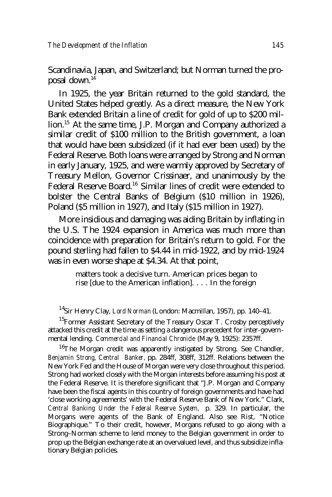Scandinavia, Japan, and Switzerland; but Norman turned the proposal down.<sup>14</sup>

In 1925, the year Britain returned to the gold standard, the United States helped greatly. As a direct measure, the New York Bank extended Britain a line of credit for gold of up to \$200 million.<sup>15</sup> At the same time, J.P. Morgan and Company authorized a similar credit of \$100 million to the British government, a loan that would have been subsidized (if it had ever been used) by the Federal Reserve. Both loans were arranged by Strong and Norman in early January, 1925, and were warmly approved by Secretary of Treasury Mellon, Governor Crissinaer, and unanimously by the Federal Reserve Board.<sup>16</sup> Similar lines of credit were extended to bolster the Central Banks of Belgium (\$10 million in 1926), Poland (\$5 million in 1927), and Italy (\$15 million in 1927).

More insidious and damaging was aiding Britain by inflating in the U.S. The 1924 expansion in America was much more than coincidence with preparation for Britain's return to gold. For the pound sterling had fallen to \$4.44 in mid-1922, and by mid-1924 was in even worse shape at \$4.34. At that point,

> matters took a decisive turn. American prices began to rise [due to the American inflation]. . . . In the foreign

<sup>14</sup>Sir Henry Clay, *Lord Norman* (London: Macmillan, 1957), pp. 140–41.

 $15$ Former Assistant Secretary of the Treasury Oscar T. Crosby perceptively attacked this credit at the time as setting a dangerous precedent for inter-governmental lending. *Commercial and Financial Chronicle* (May 9, 1925): 2357ff.

<sup>16</sup>The Morgan credit was apparently instigated by Strong. See Chandler, *Benjamin Strong, Central Banker,* pp. 284ff, 308ff, 312ff. Relations between the New York Fed and the House of Morgan were very close throughout this period. Strong had worked closely with the Morgan interests before assuming his post at the Federal Reserve. It is therefore significant that "J.P. Morgan and Company have been the fiscal agents in this country of foreign governments and have had 'close working agreements' with the Federal Reserve Bank of New York." Clark, *Central Banking Under the Federal Reserve System,* p. 329. In particular, the Morgans were agents of the Bank of England. Also see Rist, "Notice Biographique." To their credit, however, Morgans refused to go along with a Strong–Norman scheme to lend money to the Belgian government in order to prop up the Belgian exchange rate at an overvalued level, and thus subsidize inflationary Belgian policies.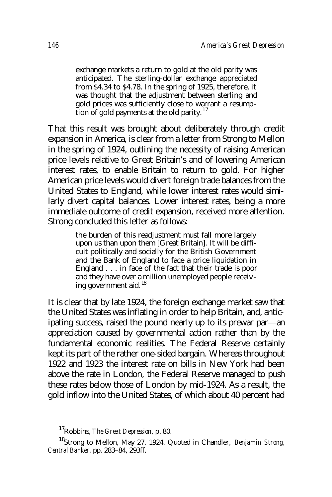exchange markets a return to gold at the old parity was anticipated. The sterling-dollar exchange appreciated from \$4.34 to \$4.78. In the spring of 1925, therefore, it was thought that the adjustment between sterling and gold prices was sufficiently close to warrant a resumption of gold payments at the old parity.<sup>17</sup>

That this result was brought about deliberately through credit expansion in America, is clear from a letter from Strong to Mellon in the spring of 1924, outlining the necessity of raising American price levels relative to Great Britain's and of lowering American interest rates, to enable Britain to return to gold. For higher American price levels would divert foreign trade balances from the United States to England, while lower interest rates would similarly divert capital balances. Lower interest rates, being a more immediate outcome of credit expansion, received more attention. Strong concluded this letter as follows:

> the burden of this readjustment must fall more largely upon us than upon them [Great Britain]. It will be difficult politically and socially for the British Government and the Bank of England to face a price liquidation in England . . . in face of the fact that their trade is poor and they have over a million unemployed people receiv ing government aid. <sup>18</sup>

It is clear that by late 1924, the foreign exchange market saw that the United States was inflating in order to help Britain, and, anticipating success, raised the pound nearly up to its prewar par—an appreciation caused by governmental action rather than by the fundamental economic realities. The Federal Reserve certainly kept its part of the rather one-sided bargain. Whereas throughout 1922 and 1923 the interest rate on bills in New York had been above the rate in London, the Federal Reserve managed to push these rates below those of London by mid-1924. As a result, the gold inflow into the United States, of which about 40 percent had

<sup>17</sup>Robbins, *The Great Depression,* p. 80.

<sup>18</sup>Strong to Mellon, May 27, 1924. Quoted in Chandler, *Benjamin Strong, Central Banker,* pp. 283–84, 293ff.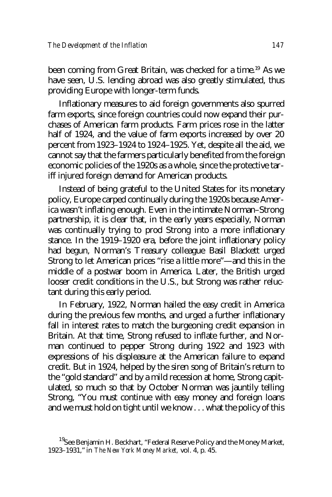been coming from Great Britain, was checked for a time.<sup>19</sup> As we have seen, U.S. lending abroad was also greatly stimulated, thus providing Europe with longer-term funds.

Inflationary measures to aid foreign governments also spurred farm exports, since foreign countries could now expand their purchases of American farm products. Farm prices rose in the latter half of 1924, and the value of farm exports increased by over 20 percent from 1923–1924 to 1924–1925. Yet, despite all the aid, we cannot say that the farmers particularly benefited from the foreign economic policies of the 1920s as a whole, since the protective tariff injured foreign demand for American products.

Instead of being grateful to the United States for its monetary policy, Europe carped continually during the 1920s because America wasn't inflating enough. Even in the intimate Norman–Strong partnership, it is clear that, in the early years especially, Norman was continually trying to prod Strong into a more inflationary stance. In the 1919–1920 era, before the joint inflationary policy had begun, Norman's Treasury colleague Basil Blackett urged Strong to let American prices "rise a little more"—and this in the middle of a postwar boom in America. Later, the British urged looser credit conditions in the U.S., but Strong was rather reluctant during this early period.

In February, 1922, Norman hailed the easy credit in America during the previous few months, and urged a further inflationary fall in interest rates to match the burgeoning credit expansion in Britain. At that time, Strong refused to inflate further, and Norman continued to pepper Strong during 1922 and 1923 with expressions of his displeasure at the American failure to expand credit. But in 1924, helped by the siren song of Britain's return to the "gold standard" and by a mild recession at home, Strong capitulated, so much so that by October Norman was jauntily telling Strong, "You must continue with easy money and foreign loans and we must hold on tight until we know . . . what the policy of this

<sup>&</sup>lt;sup>19</sup>See Benjamin H. Beckhart, "Federal Reserve Policy and the Money Market, 1923–1931," in *The New York Money Market,* vol. 4, p. 45.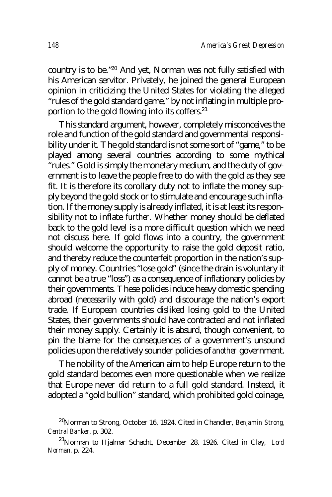country is to be."<sup>20</sup> And yet, Norman was not fully satisfied with his American servitor. Privately, he joined the general European opinion in criticizing the United States for violating the alleged "rules of the gold standard game," by not inflating in multiple proportion to the gold flowing into its coffers. $21$ 

This standard argument, however, completely misconceives the role and function of the gold standard and governmental responsibility under it. The gold standard is not some sort of "game," to be played among several countries according to some mythical "rules." Gold is simply the monetary medium, and the duty of government is to leave the people free to do with the gold as they see fit. It is therefore its corollary duty not to inflate the money supply beyond the gold stock or to stimulate and encourage such inflation. If the money supply is already inflated, it is at least its responsibility not to inflate *further*. Whether money should be deflated back to the gold level is a more difficult question which we need not discuss here. If gold flows into a country, the government should welcome the opportunity to raise the gold deposit ratio, and thereby reduce the counterfeit proportion in the nation's supply of money. Countries "lose gold" (since the drain is voluntary it cannot be a true "loss") as a consequence of inflationary policies by their governments. These policies induce heavy domestic spending abroad (necessarily with gold) and discourage the nation's export trade. If European countries disliked losing gold to the United States, their governments should have contracted and not inflated their money supply. Certainly it is absurd, though convenient, to pin the blame for the consequences of a government's unsound policies upon the relatively sounder policies of *another* government.

The nobility of the American aim to help Europe return to the gold standard becomes even more questionable when we realize that Europe never *did* return to a full gold standard. Instead, it adopted a "gold bullion" standard, which prohibited gold coinage,

<sup>20</sup>Norman to Strong, October 16, 1924. Cited in Chandler, *Benjamin Strong, Central Banker,* p. 302.

<sup>21</sup>Norman to Hjalmar Schacht, December 28, 1926. Cited in Clay, *Lord Norman,* p. 224.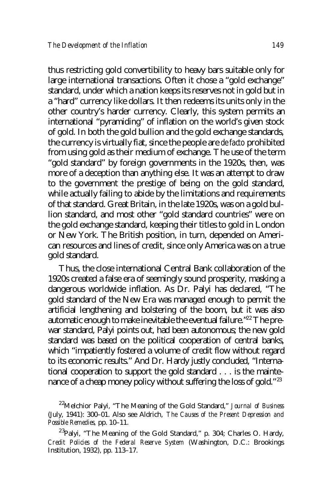thus restricting gold convertibility to heavy bars suitable only for large international transactions. Often it chose a "gold exchange" standard, under which a nation keeps its reserves not in gold but in a "hard" currency like dollars. It then redeems its units only in the other country's harder currency. Clearly, this system permits an international "pyramiding" of inflation on the world's given stock of gold. In both the gold bullion and the gold exchange standards, the currency is virtually fiat, since the people are *de facto* prohibited from using gold as their medium of exchange. The use of the term "gold standard" by foreign governments in the 1920s, then, was more of a deception than anything else. It was an attempt to draw to the government the prestige of being on the gold standard, while actually failing to abide by the limitations and requirements of that standard. Great Britain, in the late 1920s, was on a gold bullion standard, and most other "gold standard countries" were on the gold exchange standard, keeping their titles to gold in London or New York. The British position, in turn, depended on American resources and lines of credit, since only America was on a true gold standard.

Thus, the close international Central Bank collaboration of the 1920s created a false era of seemingly sound prosperity, masking a dangerous worldwide inflation. As Dr. Palyi has declared, "The gold standard of the New Era was managed enough to permit the artificial lengthening and bolstering of the boom, but it was also automatic enough to make inevitable the eventual failure."<sup>22</sup> The prewar standard, Palyi points out, had been autonomous; the new gold standard was based on the political cooperation of central banks, which "impatiently fostered a volume of credit flow without regard to its economic results." And Dr. Hardy justly concluded, "International cooperation to support the gold standard . . . is the maintenance of a cheap money policy without suffering the loss of gold."<sup>23</sup>

<sup>22</sup>Melchior Palyi, "The Meaning of the Gold Standard," *Journal of Business* (July, 1941): 300–01. Also see Aldrich, *The Causes of the Present Depression and Possible Remedies,* pp. 10–11.

<sup>23</sup>Palyi, "The Meaning of the Gold Standard," p. 304; Charles O. Hardy, *Credit Policies of the Federal Reserve System* (Washington, D.C.: Brookings Institution, 1932), pp. 113–17.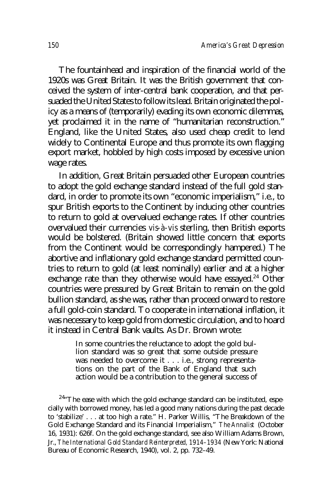The fountainhead and inspiration of the financial world of the 1920s was Great Britain. It was the British government that conceived the system of inter-central bank cooperation, and that persuaded the United States to follow its lead. Britain originated the policy as a means of (temporarily) evading its own economic dilemmas, yet proclaimed it in the name of "humanitarian reconstruction." England, like the United States, also used cheap credit to lend widely to Continental Europe and thus promote its own flagging export market, hobbled by high costs imposed by excessive union wage rates.

In addition, Great Britain persuaded other European countries to adopt the gold exchange standard instead of the full gold standard, in order to promote its own "economic imperialism," i.e., to spur British exports to the Continent by inducing other countries to return to gold at overvalued exchange rates. If other countries overvalued their currencies *vis-à-vis* sterling, then British exports would be bolstered. (Britain showed little concern that exports from the Continent would be correspondingly hampered.) The abortive and inflationary gold exchange standard permitted countries to return to gold (at least nominally) earlier and at a higher exchange rate than they otherwise would have essayed.<sup>24</sup> Other countries were pressured by Great Britain to remain on the gold bullion standard, as she was, rather than proceed onward to restore a full gold-coin standard. To cooperate in international inflation, it was necessary to keep gold from domestic circulation, and to hoard it instead in Central Bank vaults. As Dr. Brown wrote:

> In some countries the reluctance to adopt the gold bullion standard was so great that some outside pressure was needed to overcome it . . . i.e., strong representations on the part of the Bank of England that such action would be a contribution to the general success of

 $24$ "The ease with which the gold exchange standard can be instituted, especially with borrowed money, has led a good many nations during the past decade to 'stabilize' . . . at too high a rate." H. Parker Willis, "The Breakdown of the Gold Exchange Standard and its Financial Imperialism," *The Annalist* (October 16, 1931): 626f. On the gold exchange standard, see also William Adams Brown, Jr., *The International Gold Standard Reinterpreted, 1914–1934* (New York: National Bureau of Economic Research, 1940), vol. 2, pp. 732–49.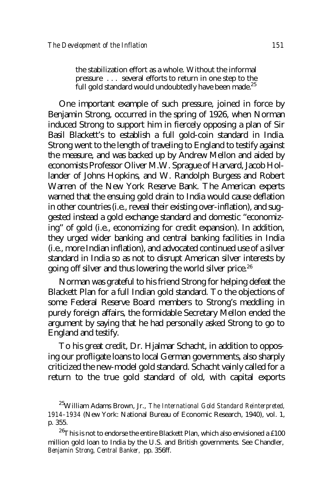the stabilization effort as a whole. Without the informal pressure . . . several efforts to return in one step to the full gold standard would undoubtedly have been made.<sup>25</sup>

One important example of such pressure, joined in force by Benjamin Strong, occurred in the spring of 1926, when Norman induced Strong to support him in fiercely opposing a plan of Sir Basil Blackett's to establish a full gold-coin standard in India. Strong went to the length of traveling to England to testify against the measure, and was backed up by Andrew Mellon and aided by economists Professor Oliver M.W. Sprague of Harvard, Jacob Hollander of Johns Hopkins, and W. Randolph Burgess and Robert Warren of the New York Reserve Bank. The American experts warned that the ensuing gold drain to India would cause deflation in other countries (i.e., reveal their existing over-inflation), and suggested instead a gold exchange standard and domestic "economizing" of gold (i.e., economizing for credit expansion). In addition, they urged wider banking and central banking facilities in India (i.e., more Indian inflation), and advocated continued use of a silver standard in India so as not to disrupt American silver interests by going off silver and thus lowering the world silver price.<sup>26</sup>

Norman was grateful to his friend Strong for helping defeat the Blackett Plan for a full Indian gold standard. To the objections of some Federal Reserve Board members to Strong's meddling in purely foreign affairs, the formidable Secretary Mellon ended the argument by saying that he had personally asked Strong to go to England and testify.

To his great credit, Dr. Hjalmar Schacht, in addition to opposing our profligate loans to local German governments, also sharply criticized the new-model gold standard. Schacht vainly called for a return to the true gold standard of old, with capital exports

<sup>25</sup>William Adams Brown, Jr., *The International Gold Standard Reinterpreted, 1914–1934* (New York: National Bureau of Economic Research, 1940), vol. 1, p. 355.

 $^{26}$ This is not to endorse the entire Blackett Plan, which also envisioned a £100 million gold loan to India by the U.S. and British governments. See Chandler, *Benjamin Strong, Central Banker,* pp. 356ff.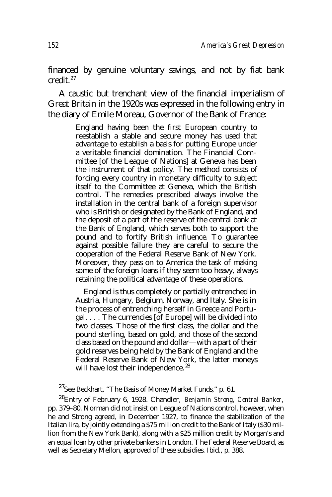financed by genuine voluntary savings, and not by fiat bank credit. $27$ 

A caustic but trenchant view of the financial imperialism of Great Britain in the 1920s was expressed in the following entry in the diary of Emile Moreau, Governor of the Bank of France:

> England having been the first European country to reestablish a stable and secure money has used that advantage to establish a basis for putting Europe under a veritable financial domination. The Financial Committee [of the League of Nations] at Geneva has been the instrument of that policy. The method consists of forcing every country in monetary difficulty to subject itself to the Committee at Geneva, which the British control. The remedies prescribed always involve the installation in the central bank of a foreign supervisor who is British or designated by the Bank of England, and the deposit of a part of the reserve of the central bank at the Bank of England, which serves both to support the pound and to fortify British influence. To guarantee against possible failure they are careful to secure the cooperation of the Federal Reserve Bank of New York. Moreover, they pass on to America the task of making some of the foreign loans if they seem too heavy, always retaining the political advantage of these operations.

> England is thus completely or partially entrenched in Austria, Hungary, Belgium, Norway, and Italy. She is in the process of entrenching herself in Greece and Portugal. . . . The currencies [of Europe] will be divided into two classes. Those of the first class, the dollar and the pound sterling, based on gold, and those of the second class based on the pound and dollar—with a part of their gold reserves being held by the Bank of England and the Federal Reserve Bank of New York, the latter moneys will have lost their independence.<sup>28</sup>

<sup>27</sup>See Beckhart, "The Basis of Money Market Funds," p. 61.

<sup>28</sup>Entry of February 6, 1928. Chandler, *Benjamin Strong, Central Banker,* pp. 379–80. Norman did not insist on League of Nations control, however, when he and Strong agreed, in December 1927, to finance the stabilization of the Italian lira, by jointly extending a \$75 million credit to the Bank of Italy (\$30 million from the New York Bank), along with a \$25 million credit by Morgan's and an equal loan by other private bankers in London. The Federal Reserve Board, as well as Secretary Mellon, approved of these subsidies. Ibid., p. 388.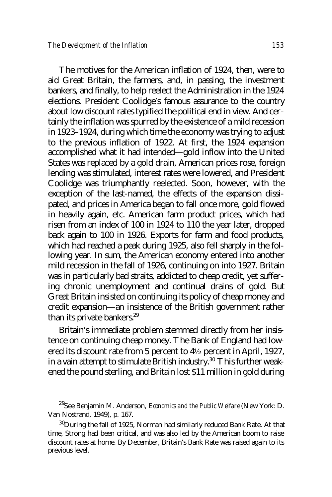The motives for the American inflation of 1924, then, were to aid Great Britain, the farmers, and, in passing, the investment bankers, and finally, to help reelect the Administration in the 1924 elections. President Coolidge's famous assurance to the country about low discount rates typified the political end in view. And certainly the inflation was spurred by the existence of a mild recession in 1923–1924, during which time the economy was trying to adjust to the previous inflation of 1922. At first, the 1924 expansion accomplished what it had intended—gold inflow into the United States was replaced by a gold drain, American prices rose, foreign lending was stimulated, interest rates were lowered, and President Coolidge was triumphantly reelected. Soon, however, with the exception of the last-named, the effects of the expansion dissipated, and prices in America began to fall once more, gold flowed in heavily again, etc. American farm product prices, which had risen from an index of 100 in 1924 to 110 the year later, dropped back again to 100 in 1926. Exports for farm and food products, which had reached a peak during 1925, also fell sharply in the following year. In sum, the American economy entered into another mild recession in the fall of 1926, continuing on into 1927. Britain was in particularly bad straits, addicted to cheap credit, yet suffering chronic unemployment and continual drains of gold. But Great Britain insisted on continuing its policy of cheap money and credit expansion—an insistence of the British government rather than its private bankers.<sup>29</sup>

Britain's immediate problem stemmed directly from her insistence on continuing cheap money. The Bank of England had lowered its discount rate from 5 percent to  $4\frac{1}{2}$  percent in April, 1927, in a vain attempt to stimulate British industry.<sup>30</sup> This further weakened the pound sterling, and Britain lost \$11 million in gold during

<sup>29</sup>See Benjamin M. Anderson, *Economics and the Public Welfare* (New York: D. Van Nostrand, 1949), p. 167.

 $30$ During the fall of 1925, Norman had similarly reduced Bank Rate. At that time, Strong had been critical, and was also led by the American boom to raise discount rates at home. By December, Britain's Bank Rate was raised again to its previous level.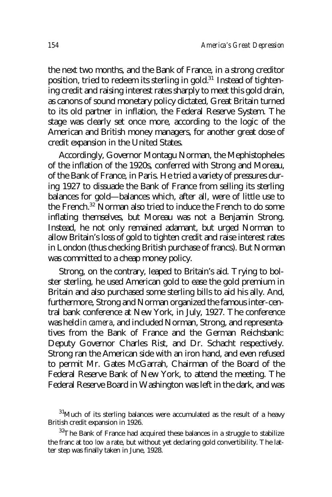the next two months, and the Bank of France, in a strong creditor position, tried to redeem its sterling in gold. $31$  Instead of tightening credit and raising interest rates sharply to meet this gold drain, as canons of sound monetary policy dictated, Great Britain turned to its old partner in inflation, the Federal Reserve System. The stage was clearly set once more, according to the logic of the American and British money managers, for another great dose of credit expansion in the United States.

Accordingly, Governor Montagu Norman, the Mephistopheles of the inflation of the 1920s, conferred with Strong and Moreau, of the Bank of France, in Paris. He tried a variety of pressures during 1927 to dissuade the Bank of France from selling its sterling balances for gold—balances which, after all, were of little use to the French.<sup>32</sup> Norman also tried to induce the French to do some inflating themselves, but Moreau was not a Benjamin Strong. Instead, he not only remained adamant, but urged Norman to allow Britain's loss of gold to tighten credit and raise interest rates in London (thus checking British purchase of francs). But Norman was committed to a cheap money policy.

Strong, on the contrary, leaped to Britain's aid. Trying to bolster sterling, he used American gold to ease the gold premium in Britain and also purchased some sterling bills to aid his ally. And, furthermore, Strong and Norman organized the famous inter-central bank conference at New York, in July, 1927. The conference was held *in camera*, and included Norman, Strong, and representatives from the Bank of France and the German Reichsbank: Deputy Governor Charles Rist, and Dr. Schacht respectively. Strong ran the American side with an iron hand, and even refused to permit Mr. Gates McGarrah, Chairman of the Board of the Federal Reserve Bank of New York, to attend the meeting. The Federal Reserve Board in Washington was left in the dark, and was

 $31$ Much of its sterling balances were accumulated as the result of a heavy British credit expansion in 1926.

 $32$ The Bank of France had acquired these balances in a struggle to stabilize the franc at too *low* a rate, but without yet declaring gold convertibility. The latter step was finally taken in June, 1928.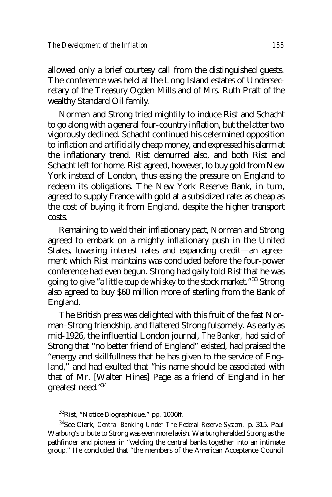allowed only a brief courtesy call from the distinguished guests. The conference was held at the Long Island estates of Undersecretary of the Treasury Ogden Mills and of Mrs. Ruth Pratt of the wealthy Standard Oil family.

Norman and Strong tried mightily to induce Rist and Schacht to go along with a general four-country inflation, but the latter two vigorously declined. Schacht continued his determined opposition to inflation and artificially cheap money, and expressed his alarm at the inflationary trend. Rist demurred also, and both Rist and Schacht left for home. Rist agreed, however, to buy gold from New York instead of London, thus easing the pressure on England to redeem its obligations. The New York Reserve Bank, in turn, agreed to supply France with gold at a subsidized rate: as cheap as the cost of buying it from England, despite the higher transport costs.

Remaining to weld their inflationary pact, Norman and Strong agreed to embark on a mighty inflationary push in the United States, lowering interest rates and expanding credit—an agreement which Rist maintains was concluded before the four-power conference had even begun. Strong had gaily told Rist that he was going to give "a little *coup de whiskey* to the stock market."<sup>33</sup> Strong also agreed to buy \$60 million more of sterling from the Bank of England.

The British press was delighted with this fruit of the fast Norman–Strong friendship, and flattered Strong fulsomely. As early as mid-1926, the influential London journal, *The Banker,* had said of Strong that "no better friend of England" existed, had praised the "energy and skillfullness that he has given to the service of England," and had exulted that "his name should be associated with that of Mr. [Walter Hines] Page as a friend of England in her greatest need."<sup>34</sup>

<sup>33</sup>Rist, "Notice Biographique," pp. 1006ff.

<sup>34</sup>See Clark, *Central Banking Under The Federal Reserve System,* p. 315. Paul Warburg's tribute to Strong was even more lavish. Warburg heralded Strong as the pathfinder and pioneer in "welding the central banks together into an intimate group." He concluded that "the members of the American Acceptance Council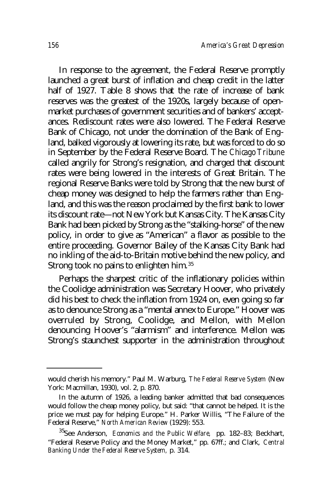In response to the agreement, the Federal Reserve promptly launched a great burst of inflation and cheap credit in the latter half of 1927. Table 8 shows that the rate of increase of bank reserves was the greatest of the 1920s, largely because of openmarket purchases of government securities and of bankers' acceptances. Rediscount rates were also lowered. The Federal Reserve Bank of Chicago, not under the domination of the Bank of England, balked vigorously at lowering its rate, but was forced to do so in September by the Federal Reserve Board. The *Chicago Tribune* called angrily for Strong's resignation, and charged that discount rates were being lowered in the interests of Great Britain. The regional Reserve Banks were told by Strong that the new burst of cheap money was designed to help the farmers rather than England, and this was the reason proclaimed by the first bank to lower its discount rate—not New York but Kansas City. The Kansas City Bank had been picked by Strong as the "stalking-horse" of the new policy, in order to give as "American" a flavor as possible to the entire proceeding. Governor Bailey of the Kansas City Bank had no inkling of the aid-to-Britain motive behind the new policy, and Strong took no pains to enlighten him.<sup>35</sup>

Perhaps the sharpest critic of the inflationary policies within the Coolidge administration was Secretary Hoover, who privately did his best to check the inflation from 1924 on, even going so far as to denounce Strong as a "mental annex to Europe." Hoover was overruled by Strong, Coolidge, and Mellon, with Mellon denouncing Hoover's "alarmism" and interference. Mellon was Strong's staunchest supporter in the administration throughout

would cherish his memory." Paul M. Warburg, *The Federal Reserve System* (New York: Macmillan, 1930), vol. 2, p. 870.

In the autumn of 1926, a leading banker admitted that bad consequences would follow the cheap money policy, but said: "that cannot be helped. It is the price we must pay for helping Europe." H. Parker Willis, "The Failure of the Federal Reserve," *North American Review* (1929): 553.

<sup>35</sup>See Anderson, *Economics and the Public Welfare,* pp. 182–83; Beckhart, "Federal Reserve Policy and the Money Market," pp. 67ff.; and Clark, *Central Banking Under the Federal Reserve System,* p. 314.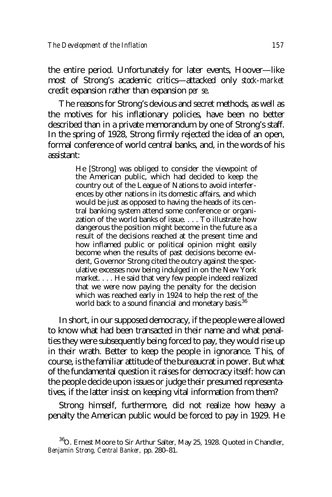the entire period. Unfortunately for later events, Hoover—like most of Strong's academic critics—attacked only *stock-market* credit expansion rather than expansion *per se*.

The reasons for Strong's devious and secret methods, as well as the motives for his inflationary policies, have been no better described than in a private memorandum by one of Strong's staff. In the spring of 1928, Strong firmly rejected the idea of an open, formal conference of world central banks, and, in the words of his assistant:

> He [Strong] was obliged to consider the viewpoint of the American public, which had decided to keep the country out of the League of Nations to avoid interferences by other nations in its domestic affairs, and which would be just as opposed to having the heads of its central banking system attend some conference or organization of the world banks of issue. . . . To illustrate how dangerous the position might become in the future as a result of the decisions reached at the present time and how inflamed public or political opinion might easily become when the results of past decisions become evident, Governor Strong cited the outcry against the speculative excesses now being indulged in on the New York market. . . . He said that very few people indeed realized that we were now paying the penalty for the decision which was reached early in 1924 to help the rest of the world back to a sound financial and monetary basis.<sup>36</sup>

In short, in our supposed democracy, if the people were allowed to know what had been transacted in their name and what penalties they were subsequently being forced to pay, they would rise up in their wrath. Better to keep the people in ignorance. This, of course, is the familiar attitude of the bureaucrat in power. But what of the fundamental question it raises for democracy itself: how can the people decide upon issues or judge their presumed representatives, if the latter insist on keeping vital information from them?

Strong himself, furthermore, did not realize how heavy a penalty the American public would be forced to pay in 1929. He

<sup>&</sup>lt;sup>36</sup>O. Ernest Moore to Sir Arthur Salter, May 25, 1928. Quoted in Chandler, *Benjamin Strong, Central Banker,* pp. 280–81.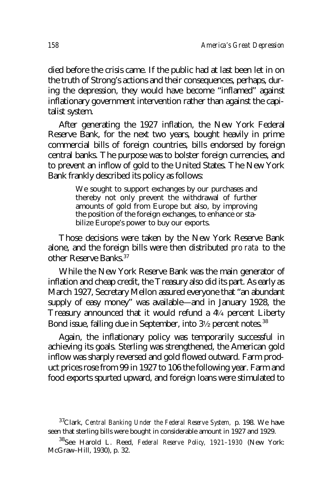died before the crisis came. If the public had at last been let in on the truth of Strong's actions and their consequences, perhaps, during the depression, they would have become "inflamed" against inflationary government intervention rather than against the capitalist system.

After generating the 1927 inflation, the New York Federal Reserve Bank, for the next two years, bought heavily in prime commercial bills of foreign countries, bills endorsed by foreign central banks. The purpose was to bolster foreign currencies, and to prevent an inflow of gold to the United States. The New York Bank frankly described its policy as follows:

> We sought to support exchanges by our purchases and thereby not only prevent the withdrawal of further amounts of gold from Europe but also, by improving the position of the foreign exchanges, to enhance or stabilize Europe's power to buy our exports.

Those decisions were taken by the New York Reserve Bank alone, and the foreign bills were then distributed *pro rata* to the other Reserve Banks.<sup>37</sup>

While the New York Reserve Bank was the main generator of inflation and cheap credit, the Treasury also did its part. As early as March 1927, Secretary Mellon assured everyone that "an abundant supply of easy money" was available—and in January 1928, the Treasury announced that it would refund a 4¼ percent Liberty Bond issue, falling due in September, into  $3\frac{1}{2}$  percent notes.<sup>38</sup>

Again, the inflationary policy was temporarily successful in achieving its goals. Sterling was strengthened, the American gold inflow was sharply reversed and gold flowed outward. Farm product prices rose from 99 in 1927 to 106 the following year. Farm and food exports spurted upward, and foreign loans were stimulated to

<sup>37</sup>Clark, *Central Banking Under the Federal Reserve System,* p. 198. We have seen that sterling bills were bought in considerable amount in 1927 and 1929.

<sup>38</sup>See Harold L. Reed, *Federal Reserve Policy, 1921–1930* (New York: McGraw–Hill, 1930), p. 32.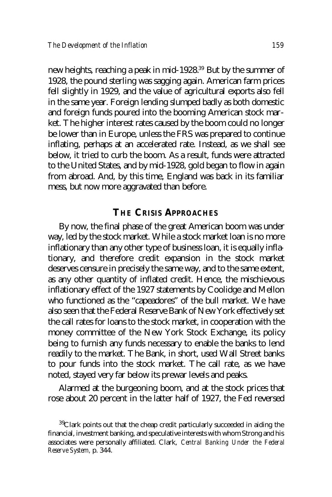new heights, reaching a peak in mid-1928.<sup>39</sup> But by the summer of 1928, the pound sterling was sagging again. American farm prices fell slightly in 1929, and the value of agricultural exports also fell in the same year. Foreign lending slumped badly as both domestic and foreign funds poured into the booming American stock market. The higher interest rates caused by the boom could no longer be lower than in Europe, unless the FRS was prepared to continue inflating, perhaps at an accelerated rate. Instead, as we shall see below, it tried to curb the boom. As a result, funds were attracted to the United States, and by mid-1928, gold began to flow in again from abroad. And, by this time, England was back in its familiar mess, but now more aggravated than before.

## **THE CRISIS APPROACHES**

By now, the final phase of the great American boom was under way, led by the stock market. While a stock market loan is no more inflationary than any other type of business loan, it is equally inflationary, and therefore credit expansion in the stock market deserves censure in precisely the same way, and to the same extent, as any other quantity of inflated credit. Hence, the mischievous inflationary effect of the 1927 statements by Coolidge and Mellon who functioned as the "capeadores" of the bull market. We have also seen that the Federal Reserve Bank of New York effectively set the call rates for loans to the stock market, in cooperation with the money committee of the New York Stock Exchange, its policy being to furnish any funds necessary to enable the banks to lend readily to the market. The Bank, in short, used Wall Street banks to pour funds into the stock market. The call rate, as we have noted, stayed very far below its prewar levels and peaks.

Alarmed at the burgeoning boom, and at the stock prices that rose about 20 percent in the latter half of 1927, the Fed reversed

 $39$ Clark points out that the cheap credit particularly succeeded in aiding the financial, investment banking, and speculative interests with whom Strong and his associates were personally affiliated. Clark, *Central Banking Under the Federal Reserve System,* p. 344.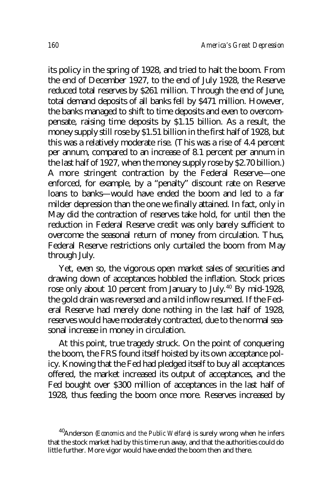its policy in the spring of 1928, and tried to halt the boom. From the end of December 1927, to the end of July 1928, the Reserve reduced total reserves by \$261 million. Through the end of June, total demand deposits of all banks fell by \$471 million. However, the banks managed to shift to time deposits and even to overcompensate, raising time deposits by \$1.15 billion. As a result, the money supply still rose by \$1.51 billion in the first half of 1928, but this was a relatively moderate rise. (This was a rise of 4.4 percent per annum, compared to an increase of 8.1 percent per annum in the last half of 1927, when the money supply rose by \$2.70 billion.) A more stringent contraction by the Federal Reserve—one enforced, for example, by a "penalty" discount rate on Reserve loans to banks—would have ended the boom and led to a far milder depression than the one we finally attained. In fact, only in May did the contraction of reserves take hold, for until then the reduction in Federal Reserve credit was only barely sufficient to overcome the seasonal return of money from circulation. Thus, Federal Reserve restrictions only curtailed the boom from May through July.

Yet, even so, the vigorous open market sales of securities and drawing down of acceptances hobbled the inflation. Stock prices rose only about 10 percent from January to July.<sup>40</sup> By mid-1928, the gold drain was reversed and a mild inflow resumed. If the Federal Reserve had merely done nothing in the last half of 1928, reserves would have moderately contracted, due to the normal seasonal increase in money in circulation.

At this point, true tragedy struck. On the point of conquering the boom, the FRS found itself hoisted by its own acceptance policy. Knowing that the Fed had pledged itself to buy all acceptances offered, the market increased its output of acceptances, and the Fed bought over \$300 million of acceptances in the last half of 1928, thus feeding the boom once more. Reserves increased by

<sup>40</sup>Anderson (*Economics and the Public Welfare*) is surely wrong when he infers that the stock market had by this time run away, and that the authorities could do little further. More vigor would have ended the boom then and there.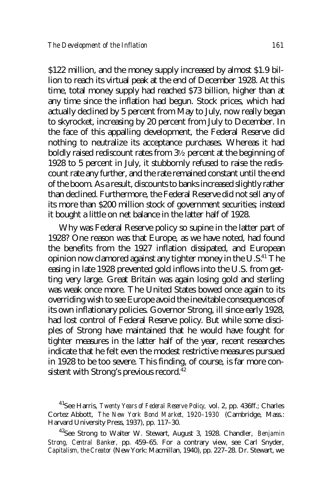\$122 million, and the money supply increased by almost \$1.9 billion to reach its virtual peak at the end of December 1928. At this time, total money supply had reached \$73 billion, higher than at any time since the inflation had begun. Stock prices, which had actually declined by 5 percent from May to July, now really began to skyrocket, increasing by 20 percent from July to December. In the face of this appalling development, the Federal Reserve did nothing to neutralize its acceptance purchases. Whereas it had boldly raised rediscount rates from  $3\frac{1}{2}$  percent at the beginning of 1928 to 5 percent in July, it stubbornly refused to raise the rediscount rate any further, and the rate remained constant until the end of the boom. As a result, discounts to banks increased slightly rather than declined. Furthermore, the Federal Reserve did not sell any of its more than \$200 million stock of government securities; instead it bought a little on net balance in the latter half of 1928.

Why was Federal Reserve policy so supine in the latter part of 1928? One reason was that Europe, as we have noted, had found the benefits from the 1927 inflation dissipated, and European opinion now clamored against any tighter money in the U.S.<sup>41</sup> The easing in late 1928 prevented gold inflows into the U.S. from getting very large. Great Britain was again losing gold and sterling was weak once more. The United States bowed once again to its overriding wish to see Europe avoid the inevitable consequences of its own inflationary policies. Governor Strong, ill since early 1928, had lost control of Federal Reserve policy. But while some disciples of Strong have maintained that he would have fought for tighter measures in the latter half of the year, recent researches indicate that he felt even the modest restrictive measures pursued in 1928 to be too severe. This finding, of course, is far more consistent with Strong's previous record. $42$ 

<sup>41</sup>See Harris, *Twenty Years of Federal Reserve Policy,* vol. 2, pp. 436ff.; Charles Cortez Abbott, *The New York Bond Market, 1920–1930* (Cambridge, Mass.: Harvard University Press, 1937), pp. 117–30.

<sup>42</sup>See Strong to Walter W. Stewart, August 3, 1928. Chandler, *Benjamin Strong, Central Banker,* pp. 459–65. For a contrary view, see Carl Snyder, *Capitalism, the Creator* (New York: Macmillan, 1940), pp. 227–28. Dr. Stewart, we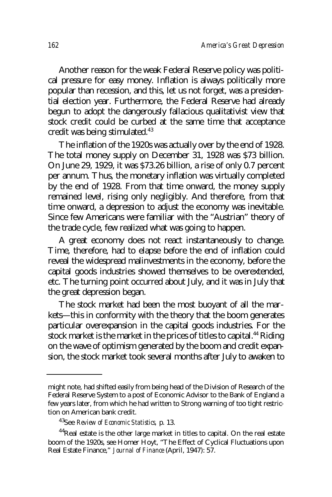Another reason for the weak Federal Reserve policy was political pressure for easy money. Inflation is always politically more popular than recession, and this, let us not forget, was a presidential election year. Furthermore, the Federal Reserve had already begun to adopt the dangerously fallacious qualitativist view that stock credit could be curbed at the same time that acceptance credit was being stimulated.<sup>43</sup>

The inflation of the 1920s was actually over by the end of 1928. The total money supply on December 31, 1928 was \$73 billion. On June 29, 1929, it was \$73.26 billion, a rise of only 0.7 percent per annum. Thus, the monetary inflation was virtually completed by the end of 1928. From that time onward, the money supply remained level, rising only negligibly. And therefore, from that time onward, a depression to adjust the economy was inevitable. Since few Americans were familiar with the "Austrian" theory of the trade cycle, few realized what was going to happen.

A great economy does not react instantaneously to change. Time, therefore, had to elapse before the end of inflation could reveal the widespread malinvestments in the economy, before the capital goods industries showed themselves to be overextended, etc. The turning point occurred about July, and it was in July that the great depression began.

The stock market had been the most buoyant of all the markets—this in conformity with the theory that the boom generates particular overexpansion in the capital goods industries. For the stock market is the market in the prices of titles to capital.<sup>44</sup> Riding on the wave of optimism generated by the boom and credit expansion, the stock market took several months after July to awaken to

might note, had shifted easily from being head of the Division of Research of the Federal Reserve System to a post of Economic Advisor to the Bank of England a few years later, from which he had written to Strong warning of too tight restriction on American bank credit.

<sup>43</sup>See *Review of Economic Statistics,* p. 13.

 $44$ Real estate is the other large market in titles to capital. On the real estate boom of the 1920s, see Homer Hoyt, "The Effect of Cyclical Fluctuations upon Real Estate Finance," *Journal of Finance* (April, 1947): 57.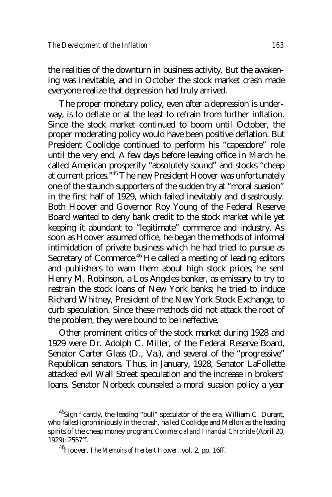the realities of the downturn in business activity. But the awakening was inevitable, and in October the stock market crash made everyone realize that depression had truly arrived.

The proper monetary policy, even after a depression is underway, is to deflate or at the least to refrain from further inflation. Since the stock market continued to boom until October, the proper moderating policy would have been positive deflation. But President Coolidge continued to perform his "capeadore" role until the very end. A few days before leaving office in March he called American prosperity "absolutely sound" and stocks "cheap at current prices."<sup>45</sup> The new President Hoover was unfortunately one of the staunch supporters of the sudden try at "moral suasion" in the first half of 1929, which failed inevitably and disastrously. Both Hoover and Governor Roy Young of the Federal Reserve Board wanted to deny bank credit to the stock market while yet keeping it abundant to "legitimate" commerce and industry. As soon as Hoover assumed office, he began the methods of informal intimidation of private business which he had tried to pursue as Secretary of Commerce.<sup>46</sup> He called a meeting of leading editors and publishers to warn them about high stock prices; he sent Henry M. Robinson, a Los Angeles banker, as emissary to try to restrain the stock loans of New York banks; he tried to induce Richard Whitney, President of the New York Stock Exchange, to curb speculation. Since these methods did not attack the root of the problem, they were bound to be ineffective.

Other prominent critics of the stock market during 1928 and 1929 were Dr. Adolph C. Miller, of the Federal Reserve Board, Senator Carter Glass (D., Va.), and several of the "progressive" Republican senators. Thus, in January, 1928, Senator LaFollette attacked evil Wall Street speculation and the increase in brokers' loans. Senator Norbeck counseled a moral suasion policy a year

 $45$ Significantly, the leading "bull" speculator of the era, William C. Durant, who failed ignominiously in the crash, hailed Coolidge and Mellon as the leading spirits of the cheap money program. *Commercial and Financial Chronicle* (April 20, 1929): 2557ff.

<sup>46</sup>Hoover, *The Memoirs of Herbert Hoover,* vol. 2, pp. 16ff.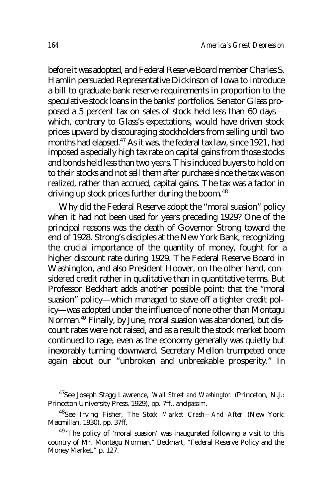before it was adopted, and Federal Reserve Board member Charles S. Hamlin persuaded Representative Dickinson of Iowa to introduce a bill to graduate bank reserve requirements in proportion to the speculative stock loans in the banks' portfolios. Senator Glass proposed a 5 percent tax on sales of stock held less than 60 days which, contrary to Glass's expectations, would have driven stock prices upward by discouraging stockholders from selling until two months had elapsed.<sup>47</sup> As it was, the federal tax law, since 1921, had imposed a specially high tax rate on capital gains from those stocks and bonds held less than two years. This induced buyers to hold on to their stocks and not sell them after purchase since the tax was on *realized*, rather than accrued, capital gains. The tax was a factor in driving up stock prices further during the boom.<sup>48</sup>

Why did the Federal Reserve adopt the "moral suasion" policy when it had not been used for years preceding 1929? One of the principal reasons was the death of Governor Strong toward the end of 1928. Strong's disciples at the New York Bank, recognizing the crucial importance of the quantity of money, fought for a higher discount rate during 1929. The Federal Reserve Board in Washington, and also President Hoover, on the other hand, considered credit rather in qualitative than in quantitative terms. But Professor Beckhart adds another possible point: that the "moral suasion" policy—which managed to stave off a tighter credit policy—was adopted under the influence of none other than Montagu Norman.<sup>49</sup> Finally, by June, moral suasion was abandoned, but discount rates were not raised, and as a result the stock market boom continued to rage, even as the economy generally was quietly but inexorably turning downward. Secretary Mellon trumpeted once again about our "unbroken and unbreakable prosperity." In

<sup>47</sup>See Joseph Stagg Lawrence, *Wall Street and Washington* (Princeton, N.J.: Princeton University Press, 1929), pp. 7ff., and *passim.* 

<sup>48</sup>See Irving Fisher, *The Stock Market Crash—And After* (New York: Macmillan, 1930), pp. 37ff.

<sup>49</sup>"The policy of 'moral suasion' was inaugurated following a visit to this country of Mr. Montagu Norman." Beckhart, "Federal Reserve Policy and the Money Market," p. 127.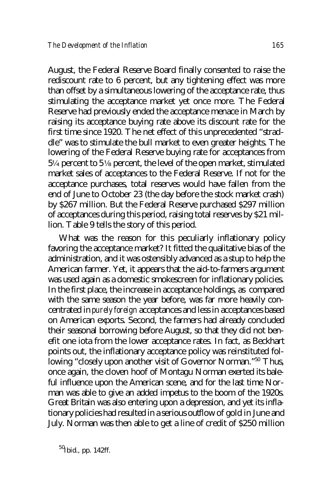August, the Federal Reserve Board finally consented to raise the rediscount rate to 6 percent, but any tightening effect was more than offset by a simultaneous lowering of the acceptance rate, thus stimulating the acceptance market yet once more. The Federal Reserve had previously ended the acceptance menace in March by raising its acceptance buying rate above its discount rate for the first time since 1920. The net effect of this unprecedented "straddle" was to stimulate the bull market to even greater heights. The lowering of the Federal Reserve buying rate for acceptances from  $5\frac{1}{4}$  percent to  $5\frac{1}{8}$  percent, the level of the open market, stimulated market sales of acceptances to the Federal Reserve. If not for the acceptance purchases, total reserves would have fallen from the end of June to October 23 (the day before the stock market crash) by \$267 million. But the Federal Reserve purchased \$297 million of acceptances during this period, raising total reserves by \$21 million. Table 9 tells the story of this period.

What was the reason for this peculiarly inflationary policy favoring the acceptance market? It fitted the qualitative bias of the administration, and it was ostensibly advanced as a stup to help the American farmer. Yet, it appears that the aid-to-farmers argument was used again as a domestic smokescreen for inflationary policies. In the first place, the increase in acceptance holdings, as compared with the same season the year before, was far more heavily concentrated in *purely foreign* acceptances and less in acceptances based on American exports. Second, the farmers had already concluded their seasonal borrowing before August, so that they did not benefit one iota from the lower acceptance rates. In fact, as Beckhart points out, the inflationary acceptance policy was reinstituted following "closely upon another visit of Governor Norman."<sup>50</sup> Thus, once again, the cloven hoof of Montagu Norman exerted its baleful influence upon the American scene, and for the last time Norman was able to give an added impetus to the boom of the 1920s. Great Britain was also entering upon a depression, and yet its inflationary policies had resulted in a serious outflow of gold in June and July. Norman was then able to get a line of credit of \$250 million

 $50$ Ibid., pp. 142ff.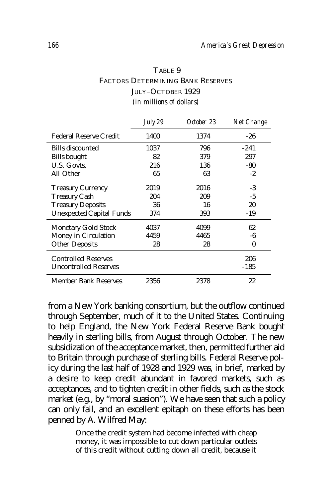## TABLE 9 FACTORS DETERMINING BANK RESERVES JULY-OCTOBER 1929 *(in millions of dollars)*

|                                 | July 29 | October 23 | <b>Net Change</b> |
|---------------------------------|---------|------------|-------------------|
| <b>Federal Reserve Credit</b>   | 1400    | 1374       | -26               |
| <b>Bills discounted</b>         | 1037    | 796        | $-241$            |
| <b>Bills bought</b>             | 82      | 379        | 297               |
| <b>U.S. Govts.</b>              | 216     | 136        | -80               |
| <b>All Other</b>                | 65      | 63         | -2                |
| <b>Treasury Currency</b>        | 2019    | 2016       | -3                |
| <b>Treasury Cash</b>            | 204     | 209        | -5                |
| <b>Treasury Deposits</b>        | 36      | 16         | 20                |
| <b>Unexpected Capital Funds</b> | 374     | 393        | -19               |
| <b>Monetary Gold Stock</b>      | 4037    | 4099       | 62                |
| Money in Circulation            | 4459    | 4465       | -6                |
| <b>Other Deposits</b>           | 28      | 28         | 0                 |
| <b>Controlled Reserves</b>      |         |            | 206               |
| <b>Uncontrolled Reserves</b>    |         |            | $-185$            |
| Member Bank Reserves            | 2356    | 2378       | 22                |

from a New York banking consortium, but the outflow continued through September, much of it to the United States. Continuing to help England, the New York Federal Reserve Bank bought heavily in sterling bills, from August through October. The new subsidization of the acceptance market, then, permitted further aid to Britain through purchase of sterling bills. Federal Reserve policy during the last half of 1928 and 1929 was, in brief, marked by a desire to keep credit abundant in favored markets, such as acceptances, and to tighten credit in other fields, such as the stock market (e.g., by "moral suasion"). We have seen that such a policy can only fail, and an excellent epitaph on these efforts has been penned by A. Wilfred May:

> Once the credit system had become infected with cheap money, it was impossible to cut down particular outlets of this credit without cutting down all credit, because it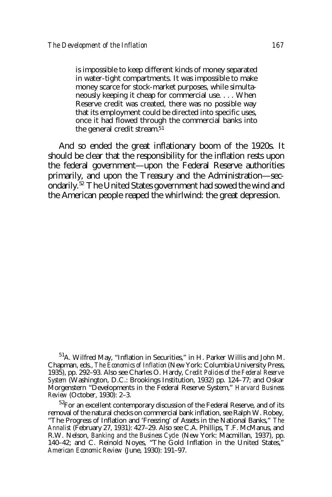is impossible to keep different kinds of money separated in water-tight compartments. It was impossible to make money scarce for stock-market purposes, while simultaneously keeping it cheap for commercial use. . . . When Reserve credit was created, there was no possible way that its employment could be directed into specific uses, once it had flowed through the commercial banks into the general credit stream.<sup>51</sup>

And so ended the great inflationary boom of the 1920s. It should be clear that the responsibility for the inflation rests upon the federal government—upon the Federal Reserve authorities primarily, and upon the Treasury and the Administration—secondarily.<sup>52</sup> The United States government had sowed the wind and the American people reaped the whirlwind: the great depression.

<sup>51</sup>A. Wilfred May, "Inflation in Securities," in H. Parker Willis and John M. Chapman, eds., *The Economics of Inflation* (New York: Columbia University Press, 1935), pp. 292–93. Also see Charles O. Hardy, *Credit Policies of the Federal Reserve System* (Washington, D.C.: Brookings Institution, 1932) pp. 124–77; and Oskar Morgenstern "Developments in the Federal Reserve System," *Harvard Business Review* (October, 1930): 2–3.

 $52$ For an excellent contemporary discussion of the Federal Reserve, and of its removal of the natural checks on commercial bank inflation, see Ralph W. Robey, "The Progress of Inflation and 'Freezing' of Assets in the National Banks," *The Annalist* (February 27, 1931): 427–29. Also see C.A. Phillips, T.F. McManus, and R.W. Nelson, *Banking and the Business Cycle* (New York: Macmillan, 1937), pp. 140–42; and C. Reinold Noyes, "The Gold Inflation in the United States," *American Economic Review* (June, 1930): 191–97.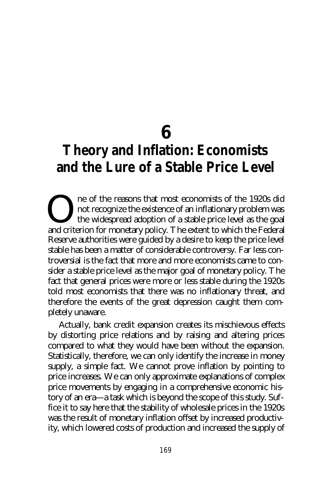**6**

## **Theory and Inflation: Economists and the Lure of a Stable Price Level**

The of the reasons that most economists of the 1920s did not recognize the existence of an inflationary problem was the widespread adoption of a stable price level as the goal and criterion for monetary policy. The extent ne of the reasons that most economists of the 1920s did not recognize the existence of an inflationary problem was the widespread adoption of a stable price level as the goal Reserve authorities were guided by a desire to keep the price level stable has been a matter of considerable controversy. Far less controversial is the fact that more and more economists came to consider a stable price level as the major goal of monetary policy. The fact that general prices were more or less stable during the 1920s told most economists that there was no inflationary threat, and therefore the events of the great depression caught them completely unaware.

Actually, bank credit expansion creates its mischievous effects by distorting price relations and by raising and altering prices compared to what they would have been without the expansion. Statistically, therefore, we can only identify the increase in money supply, a simple fact. We cannot prove inflation by pointing to price increases. We can only approximate explanations of complex price movements by engaging in a comprehensive economic history of an era—a task which is beyond the scope of this study. Suffice it to say here that the stability of wholesale prices in the 1920s was the result of monetary inflation offset by increased productivity, which lowered costs of production and increased the supply of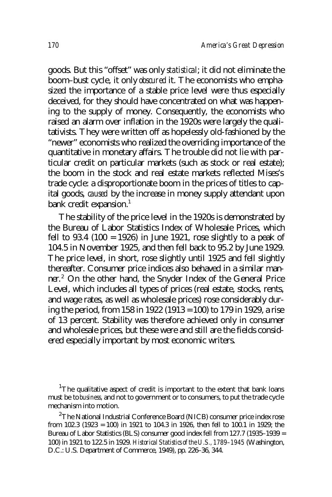goods. But this "offset" was only *statistical*; it did not eliminate the boom–bust cycle, it only *obscured* it. The economists who emphasized the importance of a stable price level were thus especially deceived, for they should have concentrated on what was happening to the supply of money. Consequently, the economists who raised an alarm over inflation in the 1920s were largely the qualitativists. They were written off as hopelessly old-fashioned by the "newer" economists who realized the overriding importance of the quantitative in monetary affairs. The trouble did not lie with particular credit on particular markets (such as stock or real estate); the boom in the stock and real estate markets reflected Mises's trade cycle: a disproportionate boom in the prices of titles to capital goods, *caused* by the increase in money supply attendant upon bank credit expansion.<sup>1</sup>

The stability of the price level in the 1920s is demonstrated by the Bureau of Labor Statistics Index of Wholesale Prices, which fell to  $93.4$  (100 = 1926) in June 1921, rose slightly to a peak of 104.5 in November 1925, and then fell back to 95.2 by June 1929. The price level, in short, rose slightly until 1925 and fell slightly thereafter. Consumer price indices also behaved in a similar manner.<sup>2</sup> On the other hand, the Snyder Index of the General Price Level, which includes all types of prices (real estate, stocks, rents, and wage rates, as well as wholesale prices) rose considerably during the period, from 158 in 1922 (1913 = 100) to 179 in 1929, a rise of 13 percent. Stability was therefore achieved only in consumer and wholesale prices, but these were and still are the fields considered especially important by most economic writers.

 $1$ <sup>1</sup>The qualitative aspect of credit is important to the extent that bank loans must be to *business,* and not to government or to consumers, to put the trade cycle mechanism into motion.

 $2^2$ The National Industrial Conference Board (NICB) consumer price index rose from 102.3 (1923 = 100) in 1921 to 104.3 in 1926, then fell to 100.1 in 1929; the Bureau of Labor Statistics (BLS) consumer good index fell from 127.7 (1935–1939 = 100) in 1921 to 122.5 in 1929. *Historical Statistics of the U.S., 1789–1945* (Washington, D.C.: U.S. Department of Commerce, 1949), pp. 226–36, 344.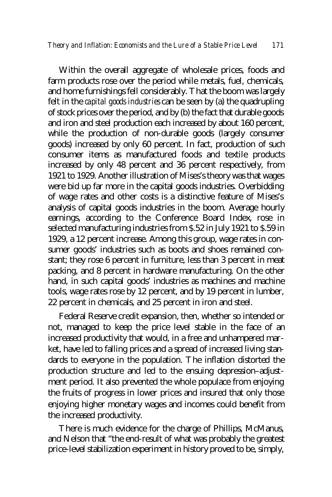Within the overall aggregate of wholesale prices, foods and farm products rose over the period while metals, fuel, chemicals, and home furnishings fell considerably. That the boom was largely felt in the *capital goods industries* can be seen by (a) the quadrupling of stock prices over the period, and by (b) the fact that durable goods and iron and steel production each increased by about 160 percent, while the production of non-durable goods (largely consumer goods) increased by only 60 percent. In fact, production of such consumer items as manufactured foods and textile products increased by only 48 percent and 36 percent respectively, from 1921 to 1929. Another illustration of Mises's theory was that wages were bid up far more in the capital goods industries. Overbidding of wage rates and other costs is a distinctive feature of Mises's analysis of capital goods industries in the boom. Average hourly earnings, according to the Conference Board Index, rose in selected manufacturing industries from \$.52 in July 1921 to \$.59 in 1929, a 12 percent increase. Among this group, wage rates in consumer goods' industries such as boots and shoes remained constant; they rose 6 percent in furniture, less than 3 percent in meat packing, and 8 percent in hardware manufacturing. On the other hand, in such capital goods' industries as machines and machine tools, wage rates rose by 12 percent, and by 19 percent in lumber, 22 percent in chemicals, and 25 percent in iron and steel.

Federal Reserve credit expansion, then, whether so intended or not, managed to keep the price level stable in the face of an increased productivity that would, in a free and unhampered market, have led to falling prices and a spread of increased living standards to everyone in the population. The inflation distorted the production structure and led to the ensuing depression–adjustment period. It also prevented the whole populace from enjoying the fruits of progress in lower prices and insured that only those enjoying higher monetary wages and incomes could benefit from the increased productivity.

There is much evidence for the charge of Phillips, McManus, and Nelson that "the end-result of what was probably the greatest price-level stabilization experiment in history proved to be, simply,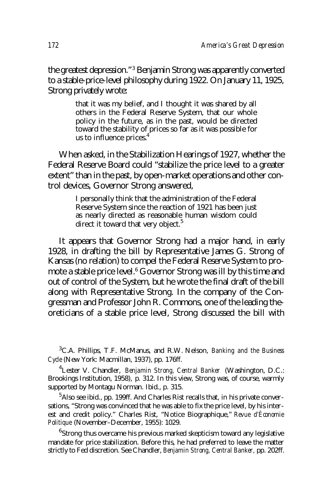the greatest depression."<sup>3</sup> Benjamin Strong was apparently converted to a stable-price-level philosophy during 1922. On January 11, 1925, Strong privately wrote:

> that it was my belief, and I thought it was shared by all others in the Federal Reserve System, that our whole policy in the future, as in the past, would be directed toward the stability of prices so far as it was possible for us to influence prices.<sup>4</sup>

When asked, in the Stabilization Hearings of 1927, whether the Federal Reserve Board could "stabilize the price level to a greater extent" than in the past, by open-market operations and other control devices, Governor Strong answered,

> I personally think that the administration of the Federal Reserve System since the reaction of 1921 has been just as nearly directed as reasonable human wisdom could direct it toward that very object.<sup>5</sup>

It appears that Governor Strong had a major hand, in early 1928, in drafting the bill by Representative James G. Strong of Kansas (no relation) to compel the Federal Reserve System to promote a stable price level.<sup>6</sup> Governor Strong was ill by this time and out of control of the System, but he wrote the final draft of the bill along with Representative Strong. In the company of the Congressman and Professor John R. Commons, one of the leading theoreticians of a stable price level, Strong discussed the bill with

<sup>3</sup>C.A. Phillips, T.F. McManus, and R.W. Nelson, *Banking and the Business Cycle* (New York: Macmillan, 1937), pp. 176ff.

<sup>4</sup>Lester V. Chandler, *Benjamin Strong, Central Banker* (Washington, D.C.: Brookings Institution, 1958), p. 312. In this view, Strong was, of course, warmly supported by Montagu Norman. Ibid., p. 315.

<sup>5</sup>Also see ibid., pp. 199ff. And Charles Rist recalls that, in his private conversations, "Strong was convinced that he was able to fix the price level, by his interest and credit policy." Charles Rist, "Notice Biographique," *Revue d'Èconomie Politique* (November–December, 1955): 1029.

 $^6$ Strong thus overcame his previous marked skepticism toward any legislative mandate for price stabilization. Before this, he had preferred to leave the matter strictly to Fed discretion. See Chandler, *Benjamin Strong, Central Banker,* pp. 202ff.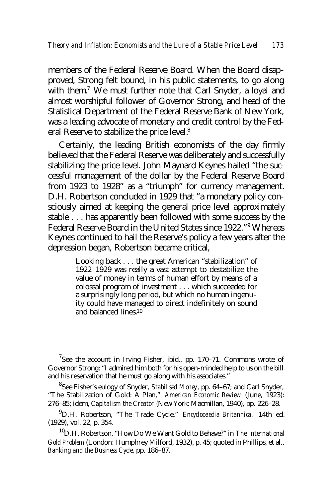members of the Federal Reserve Board. When the Board disapproved, Strong felt bound, in his public statements, to go along with them.<sup>7</sup> We must further note that Carl Snyder, a loyal and almost worshipful follower of Governor Strong, and head of the Statistical Department of the Federal Reserve Bank of New York, was a leading advocate of monetary and credit control by the Federal Reserve to stabilize the price level.<sup>8</sup>

Certainly, the leading British economists of the day firmly believed that the Federal Reserve was deliberately and successfully stabilizing the price level. John Maynard Keynes hailed "the successful management of the dollar by the Federal Reserve Board from 1923 to 1928" as a "triumph" for currency management. D.H. Robertson concluded in 1929 that "a monetary policy consciously aimed at keeping the general price level approximately stable . . . has apparently been followed with some success by the Federal Reserve Board in the United States since 1922."<sup>9</sup> Whereas Keynes continued to hail the Reserve's policy a few years after the depression began, Robertson became critical,

> Looking back . . . the great American "stabilization" of 1922–1929 was really a vast attempt to destabilize the value of money in terms of human effort by means of a colossal program of investment . . . which succeeded for a surprisingly long period, but which no human ingenuity could have managed to direct indefinitely on sound and balanced lines.<sup>10</sup>

 $7$ See the account in Irving Fisher, ibid., pp. 170–71. Commons wrote of Governor Strong: "I admired him both for his open-minded help to us on the bill and his reservation that he must go along with his associates."

8 See Fisher's eulogy of Snyder, *Stabilised Money*, pp. 64–67; and Carl Snyder, "The Stabilization of Gold: A Plan," *American Economic Review* (June, 1923): 276–85; idem, *Capitalism the Creator (*New York: Macmillan, 1940)*,* pp. 226–28.

<sup>9</sup>D.H. Robertson, "The Trade Cycle," *Encyclopaedia Britannica,* 14th ed. (1929), vol. 22, p. 354.

<sup>10</sup>D.H. Robertson, "How Do We Want Gold to Behave?" in *The International Gold Problem* (London: Humphrey Milford, 1932), p. 45; quoted in Phillips, et al., *Banking and the Business Cycle,* pp. 186–87.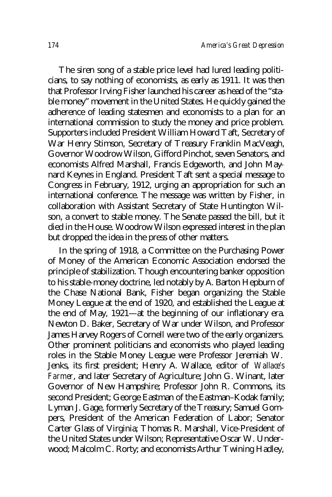The siren song of a stable price level had lured leading politicians, to say nothing of economists, as early as 1911. It was then that Professor Irving Fisher launched his career as head of the "stable money" movement in the United States. He quickly gained the adherence of leading statesmen and economists to a plan for an international commission to study the money and price problem. Supporters included President William Howard Taft, Secretary of War Henry Stimson, Secretary of Treasury Franklin MacVeagh, Governor Woodrow Wilson, Gifford Pinchot, seven Senators, and economists Alfred Marshall, Francis Edgeworth, and John Maynard Keynes in England. President Taft sent a special message to Congress in February, 1912, urging an appropriation for such an international conference. The message was written by Fisher, in collaboration with Assistant Secretary of State Huntington Wilson, a convert to stable money. The Senate passed the bill, but it died in the House. Woodrow Wilson expressed interest in the plan but dropped the idea in the press of other matters.

In the spring of 1918, a Committee on the Purchasing Power of Money of the American Economic Association endorsed the principle of stabilization. Though encountering banker opposition to his stable-money doctrine, led notably by A. Barton Hepburn of the Chase National Bank, Fisher began organizing the Stable Money League at the end of 1920, and established the League at the end of May, 1921—at the beginning of our inflationary era. Newton D. Baker, Secretary of War under Wilson, and Professor James Harvey Rogers of Cornell were two of the early organizers. Other prominent politicians and economists who played leading roles in the Stable Money League were Professor Jeremiah W. Jenks, its first president; Henry A. Wallace, editor of *Wallace's Farmer*, and later Secretary of Agriculture; John G. Winant, later Governor of New Hampshire; Professor John R. Commons, its second President; George Eastman of the Eastman–Kodak family; Lyman J. Gage, formerly Secretary of the Treasury; Samuel Gompers, President of the American Federation of Labor; Senator Carter Glass of Virginia; Thomas R. Marshall, Vice-President of the United States under Wilson; Representative Oscar W. Underwood; Malcolm C. Rorty; and economists Arthur Twining Hadley,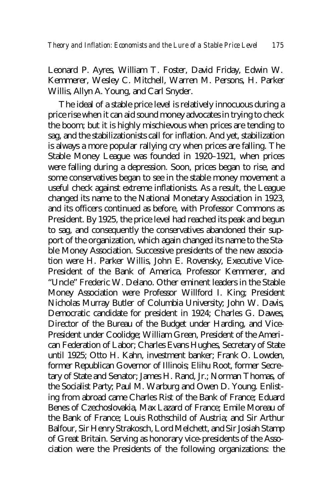Leonard P. Ayres, William T. Foster, David Friday, Edwin W. Kemmerer, Wesley C. Mitchell, Warren M. Persons, H. Parker Willis, Allyn A. Young, and Carl Snyder.

The ideal of a stable price level is relatively innocuous during a price rise when it can aid sound money advocates in trying to check the boom; but it is highly mischievous when prices are tending to sag, and the stabilizationists call for inflation. And yet, stabilization is always a more popular rallying cry when prices are falling. The Stable Money League was founded in 1920–1921, when prices were falling during a depression. Soon, prices began to rise, and some conservatives began to see in the stable money movement a useful check against extreme inflationists. As a result, the League changed its name to the National Monetary Association in 1923, and its officers continued as before, with Professor Commons as President. By 1925, the price level had reached its peak and begun to sag, and consequently the conservatives abandoned their support of the organization, which again changed its name to the Stable Money Association. Successive presidents of the new association were H. Parker Willis, John E. Rovensky, Executive Vice-President of the Bank of America, Professor Kemmerer, and "Uncle" Frederic W. Delano. Other eminent leaders in the Stable Money Association were Professor Willford I. King; President Nicholas Murray Butler of Columbia University; John W. Davis, Democratic candidate for president in 1924; Charles G. Dawes, Director of the Bureau of the Budget under Harding, and Vice-President under Coolidge; William Green, President of the American Federation of Labor; Charles Evans Hughes, Secretary of State until 1925; Otto H. Kahn, investment banker; Frank O. Lowden, former Republican Governor of Illinois; Elihu Root, former Secretary of State and Senator; James H. Rand, Jr.; Norman Thomas, of the Socialist Party; Paul M. Warburg and Owen D. Young. Enlisting from abroad came Charles Rist of the Bank of France; Eduard Benes of Czechoslovakia, Max Lazard of France; Emile Moreau of the Bank of France; Louis Rothschild of Austria; and Sir Arthur Balfour, Sir Henry Strakosch, Lord Melchett, and Sir Josiah Stamp of Great Britain. Serving as honorary vice-presidents of the Association were the Presidents of the following organizations: the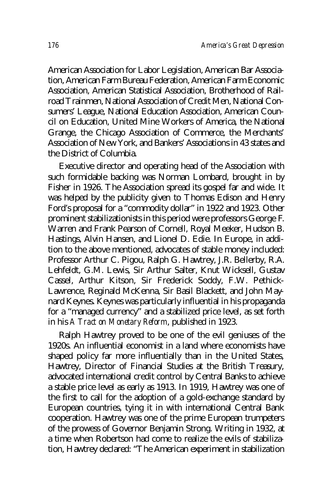American Association for Labor Legislation, American Bar Association, American Farm Bureau Federation, American Farm Economic Association, American Statistical Association, Brotherhood of Railroad Trainmen, National Association of Credit Men, National Consumers' League, National Education Association, American Council on Education, United Mine Workers of America, the National Grange, the Chicago Association of Commerce, the Merchants' Association of New York, and Bankers' Associations in 43 states and the District of Columbia.

Executive director and operating head of the Association with such formidable backing was Norman Lombard, brought in by Fisher in 1926. The Association spread its gospel far and wide. It was helped by the publicity given to Thomas Edison and Henry Ford's proposal for a "commodity dollar" in 1922 and 1923. Other prominent stabilizationists in this period were professors George F. Warren and Frank Pearson of Cornell, Royal Meeker, Hudson B. Hastings, Alvin Hansen, and Lionel D. Edie. In Europe, in addition to the above mentioned, advocates of stable money included: Professor Arthur C. Pigou, Ralph G. Hawtrey, J.R. Bellerby, R.A. Lehfeldt, G.M. Lewis, Sir Arthur Salter, Knut Wicksell, Gustav Cassel, Arthur Kitson, Sir Frederick Soddy, F.W. Pethick-Lawrence, Reginald McKenna, Sir Basil Blackett, and John Maynard Keynes. Keynes was particularly influential in his propaganda for a "managed currency" and a stabilized price level, as set forth in his *A Tract on Monetary Reform*, published in 1923.

Ralph Hawtrey proved to be one of the evil geniuses of the 1920s. An influential economist in a land where economists have shaped policy far more influentially than in the United States, Hawtrey, Director of Financial Studies at the British Treasury, advocated international credit control by Central Banks to achieve a stable price level as early as 1913. In 1919, Hawtrey was one of the first to call for the adoption of a gold-exchange standard by European countries, tying it in with international Central Bank cooperation. Hawtrey was one of the prime European trumpeters of the prowess of Governor Benjamin Strong. Writing in 1932, at a time when Robertson had come to realize the evils of stabilization, Hawtrey declared: "The American experiment in stabilization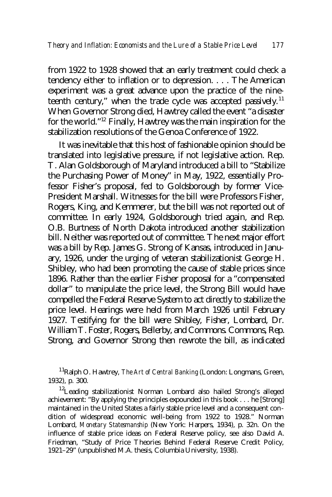from 1922 to 1928 showed that an early treatment could check a tendency either to inflation or to depression. . . . The American experiment was a great advance upon the practice of the nineteenth century," when the trade cycle was accepted passively. $11$ When Governor Strong died, Hawtrey called the event "a disaster for the world."<sup>12</sup> Finally, Hawtrey was the main inspiration for the stabilization resolutions of the Genoa Conference of 1922.

It was inevitable that this host of fashionable opinion should be translated into legislative pressure, if not legislative action. Rep. T. Alan Goldsborough of Maryland introduced a bill to "Stabilize the Purchasing Power of Money" in May, 1922, essentially Professor Fisher's proposal, fed to Goldsborough by former Vice-President Marshall. Witnesses for the bill were Professors Fisher, Rogers, King, and Kemmerer, but the bill was not reported out of committee. In early 1924, Goldsborough tried again, and Rep. O.B. Burtness of North Dakota introduced another stabilization bill. Neither was reported out of committee. The next major effort was a bill by Rep. James G. Strong of Kansas, introduced in January, 1926, under the urging of veteran stabilizationist George H. Shibley, who had been promoting the cause of stable prices since 1896. Rather than the earlier Fisher proposal for a "compensated dollar" to manipulate the price level, the Strong Bill would have compelled the Federal Reserve System to act directly to stabilize the price level. Hearings were held from March 1926 until February 1927. Testifying for the bill were Shibley, Fisher, Lombard, Dr. William T. Foster, Rogers, Bellerby, and Commons. Commons, Rep. Strong, and Governor Strong then rewrote the bill, as indicated

<sup>11</sup>Ralph O. Hawtrey, *The Art of Central Banking* (London: Longmans, Green, 1932), p. 300.

<sup>12</sup>Leading stabilizationist Norman Lombard also hailed Strong's alleged achievement: "By applying the principles expounded in this book . . . he [Strong] maintained in the United States a fairly stable price level and a consequent condition of widespread economic well-being from 1922 to 1928." Norman Lombard, *Monetary Statesmanship* (New York: Harpers, 1934), p. 32n. On the influence of stable price ideas on Federal Reserve policy, see also David A. Friedman, "Study of Price Theories Behind Federal Reserve Credit Policy, 1921–29" (unpublished M.A. thesis, Columbia University, 1938).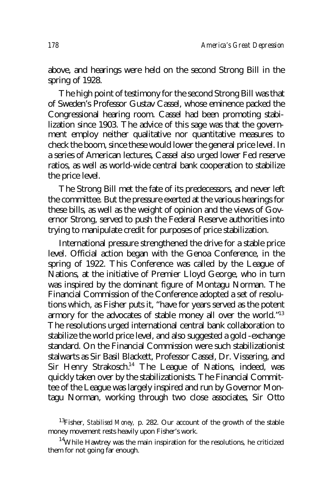above, and hearings were held on the second Strong Bill in the spring of 1928.

The high point of testimony for the second Strong Bill was that of Sweden's Professor Gustav Cassel, whose eminence packed the Congressional hearing room. Cassel had been promoting stabilization since 1903. The advice of this sage was that the government employ neither qualitative nor quantitative measures to check the boom, since these would lower the general price level. In a series of American lectures, Cassel also urged lower Fed reserve ratios, as well as world-wide central bank cooperation to stabilize the price level.

The Strong Bill met the fate of its predecessors, and never left the committee. But the pressure exerted at the various hearings for these bills, as well as the weight of opinion and the views of Governor Strong, served to push the Federal Reserve authorities into trying to manipulate credit for purposes of price stabilization.

International pressure strengthened the drive for a stable price level. Official action began with the Genoa Conference, in the spring of 1922. This Conference was called by the League of Nations, at the initiative of Premier Lloyd George, who in turn was inspired by the dominant figure of Montagu Norman. The Financial Commission of the Conference adopted a set of resolutions which, as Fisher puts it, "have for years served as the potent armory for the advocates of stable money all over the world."<sup>13</sup> The resolutions urged international central bank collaboration to stabilize the world price level, and also suggested a gold -exchange standard. On the Financial Commission were such stabilizationist stalwarts as Sir Basil Blackett, Professor Cassel, Dr. Vissering, and Sir Henry Strakosch.<sup>14</sup> The League of Nations, indeed, was quickly taken over by the stabilizationists. The Financial Committee of the League was largely inspired and run by Governor Montagu Norman, working through two close associates, Sir Otto

<sup>13</sup>Fisher, *Stabilised Money,* p. 282. Our account of the growth of the stable money movement rests heavily upon Fisher's work.

 $14$ While Hawtrey was the main inspiration for the resolutions, he criticized them for not going far enough.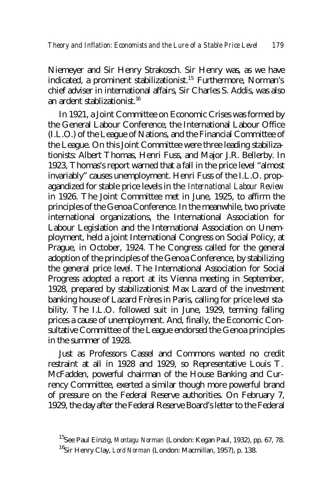Niemeyer and Sir Henry Strakosch. Sir Henry was, as we have indicated, a prominent stabilizationist.<sup>15</sup> Furthermore, Norman's chief adviser in international affairs, Sir Charles S. Addis, was also an ardent stablizationist.<sup>16</sup>

In 1921, a Joint Committee on Economic Crises was formed by the General Labour Conference, the International Labour Office (I.L.O.) of the League of Nations, and the Financial Committee of the League. On this Joint Committee were three leading stabilizationists: Albert Thomas, Henri Fuss, and Major J.R. Bellerby. In 1923, Thomas's report warned that a fall in the price level "almost invariably" causes unemployment. Henri Fuss of the I.L.O. propagandized for stable price levels in the *International Labour Review* in 1926. The Joint Committee met in June, 1925, to affirm the principles of the Genoa Conference. In the meanwhile, two private international organizations, the International Association for Labour Legislation and the International Association on Unemployment, held a joint International Congress on Social Policy, at Prague, in October, 1924. The Congress called for the general adoption of the principles of the Genoa Conference, by stabilizing the general price level. The International Association for Social Progress adopted a report at its Vienna meeting in September, 1928, prepared by stabilizationist Max Lazard of the investment banking house of Lazard Frères in Paris, calling for price level stability. The I.L.O. followed suit in June, 1929, terming falling prices a cause of unemployment. And, finally, the Economic Consultative Committee of the League endorsed the Genoa principles in the summer of 1928.

Just as Professors Cassel and Commons wanted no credit restraint at all in 1928 and 1929, so Representative Louis T. McFadden, powerful chairman of the House Banking and Currency Committee, exerted a similar though more powerful brand of pressure on the Federal Reserve authorities. On February 7, 1929, the day after the Federal Reserve Board's letter to the Federal

<sup>15</sup>See Paul Einzig, *Montagu Norman* (London: Kegan Paul, 1932), pp. 67, 78.

<sup>16</sup>Sir Henry Clay, *Lord Norman* (London: Macmillan, 1957), p. 138.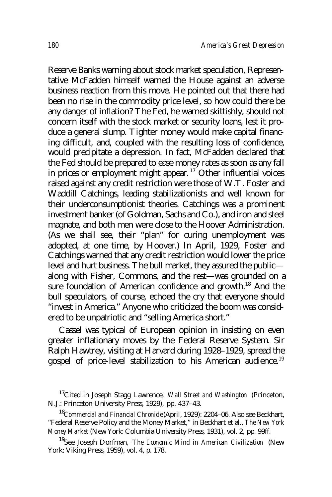Reserve Banks warning about stock market speculation, Representative McFadden himself warned the House against an adverse business reaction from this move. He pointed out that there had been no rise in the commodity price level, so how could there be any danger of inflation? The Fed, he warned skittishly, should not concern itself with the stock market or security loans, lest it produce a general slump. Tighter money would make capital financing difficult, and, coupled with the resulting loss of confidence, would precipitate a depression. In fact, McFadden declared that the Fed should be prepared to ease money rates as soon as any fall in prices or employment might appear. <sup>17</sup> Other influential voices raised against any credit restriction were those of W.T. Foster and Waddill Catchings, leading stabilizationists and well known for their underconsumptionist theories. Catchings was a prominent investment banker (of Goldman, Sachs and Co.), and iron and steel magnate, and both men were close to the Hoover Administration. (As we shall see, their "plan" for curing unemployment was adopted, at one time, by Hoover.) In April, 1929, Foster and Catchings warned that any credit restriction would lower the price level and hurt business. The bull market, they assured the public along with Fisher, Commons, and the rest—was grounded on a sure foundation of American confidence and growth.<sup>18</sup> And the bull speculators, of course, echoed the cry that everyone should "invest in America." Anyone who criticized the boom was considered to be unpatriotic and "selling America short."

Cassel was typical of European opinion in insisting on even greater inflationary moves by the Federal Reserve System. Sir Ralph Hawtrey, visiting at Harvard during 1928–1929, spread the gospel of price-level stabilization to his American audience.<sup>19</sup>

<sup>17</sup>Cited in Joseph Stagg Lawrence, *Wall Street and Washington* (Princeton, N.J.: Princeton University Press, 1929), pp. 437–43.

<sup>18</sup>*Commercial and Financial Chronicle* (April, 1929): 2204–06. Also see Beckhart, "Federal Reserve Policy and the Money Market," in Beckhart et al., *The New York Money Market* (New York: Columbia University Press, 1931), vol. 2, pp. 99ff.

<sup>19</sup>See Joseph Dorfman, *The Economic Mind in American Civilization* (New York: Viking Press, 1959), vol. 4, p. 178.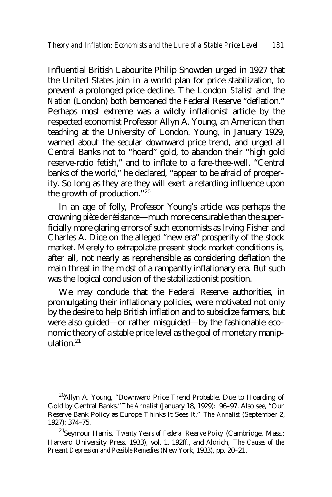Influential British Labourite Philip Snowden urged in 1927 that the United States join in a world plan for price stabilization, to prevent a prolonged price decline. The London *Statist* and the *Nation* (London) both bemoaned the Federal Reserve "deflation." Perhaps most extreme was a wildly inflationist article by the respected economist Professor Allyn A. Young, an American then teaching at the University of London. Young, in January 1929, warned about the secular downward price trend, and urged all Central Banks not to "hoard" gold, to abandon their "high gold reserve-ratio fetish," and to inflate to a fare-thee-well. "Central banks of the world," he declared, "appear to be afraid of prosperity. So long as they are they will exert a retarding influence upon the growth of production." $20$ 

In an age of folly, Professor Young's article was perhaps the crowning *pièce de résistance*—much more censurable than the superficially more glaring errors of such economists as Irving Fisher and Charles A. Dice on the alleged "new era" prosperity of the stock market. Merely to extrapolate present stock market conditions is, after all, not nearly as reprehensible as considering deflation the main threat in the midst of a rampantly inflationary era. But such was the logical conclusion of the stabilizationist position.

We may conclude that the Federal Reserve authorities, in promulgating their inflationary policies, were motivated not only by the desire to help British inflation and to subsidize farmers, but were also guided—or rather misguided—by the fashionable economic theory of a stable price level as the goal of monetary manipulation $21$ 

<sup>20</sup>Allyn A. Young, "Downward Price Trend Probable, Due to Hoarding of Gold by Central Banks," *The Annalist* (January 18, 1929): 96–97. Also see, "Our Reserve Bank Policy as Europe Thinks It Sees It," *The Annalist* (September 2, 1927): 374–75.

<sup>21</sup>Seymour Harris, *Twenty Years of Federal Reserve Policy* (Cambridge, Mass.: Harvard University Press, 1933), vol. 1, 192ff., and Aldrich, *The Causes of the Present Depression and Possible Remedies* (New York, 1933), pp. 20–21.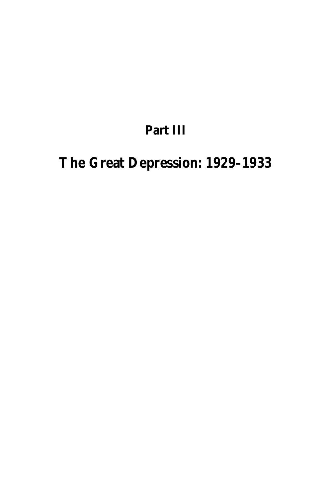### **Part III**

# **The Great Depression: 1929–1933**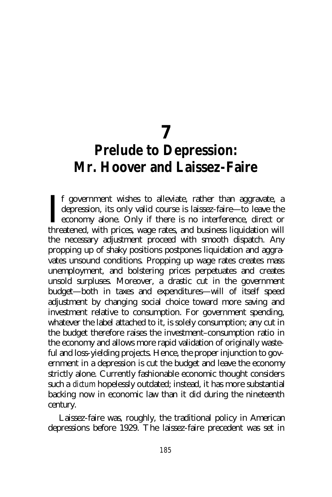**7**

# **Prelude to Depression: Mr. Hoover and Laissez-Faire**

If government wishes to alleviate, rather than aggravate, a depression, its only valid course is laissez-faire—to leave the economy alone. Only if there is no interference, direct or threatened, with prices, wage rates, an **F**f government wishes to alleviate, rather than aggravate, a depression, its only valid course is laissez-faire—to leave the economy alone. Only if there is no interference, direct or the necessary adjustment proceed with smooth dispatch. Any propping up of shaky positions postpones liquidation and aggravates unsound conditions. Propping up wage rates creates mass unemployment, and bolstering prices perpetuates and creates unsold surpluses. Moreover, a drastic cut in the government budget—both in taxes and expenditures—will of itself speed adjustment by changing social choice toward more saving and investment relative to consumption. For government spending, whatever the label attached to it, is solely consumption; any cut in the budget therefore raises the investment–consumption ratio in the economy and allows more rapid validation of originally wasteful and loss-yielding projects. Hence, the proper injunction to government in a depression is cut the budget and leave the economy strictly alone. Currently fashionable economic thought considers such a *dictum* hopelessly outdated; instead, it has more substantial backing now in economic law than it did during the nineteenth century.

Laissez-faire was, roughly, the traditional policy in American depressions before 1929. The laissez-faire precedent was set in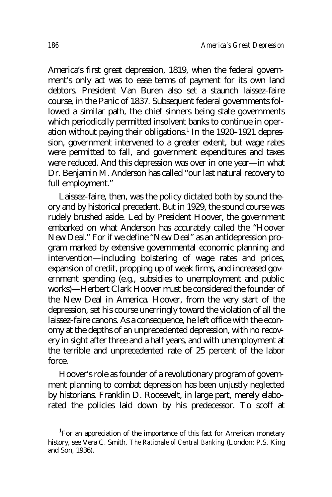America's first great depression, 1819, when the federal government's only act was to ease terms of payment for its own land debtors. President Van Buren also set a staunch laissez-faire course, in the Panic of 1837. Subsequent federal governments followed a similar path, the chief sinners being state governments which periodically permitted insolvent banks to continue in operation without paying their obligations.<sup>1</sup> In the 1920–1921 depression, government intervened to a greater extent, but wage rates were permitted to fall, and government expenditures and taxes were reduced. And this depression was over in one year—in what Dr. Benjamin M. Anderson has called "our last natural recovery to full employment."

Laissez-faire, then, was the policy dictated both by sound theory and by historical precedent. But in 1929, the sound course was rudely brushed aside. Led by President Hoover, the government embarked on what Anderson has accurately called the "Hoover New Deal." For if we define "New Deal" as an antidepression program marked by extensive governmental economic planning and intervention—including bolstering of wage rates and prices, expansion of credit, propping up of weak firms, and increased government spending (e.g., subsidies to unemployment and public works)—Herbert Clark Hoover must be considered the founder of the New Deal in America. Hoover, from the very start of the depression, set his course unerringly toward the violation of all the laissez-faire canons. As a consequence, he left office with the economy at the depths of an unprecedented depression, with no recovery in sight after three and a half years, and with unemployment at the terrible and unprecedented rate of 25 percent of the labor force.

Hoover's role as founder of a revolutionary program of government planning to combat depression has been unjustly neglected by historians. Franklin D. Roosevelt, in large part, merely elaborated the policies laid down by his predecessor. To scoff at

 $1$ For an appreciation of the importance of this fact for American monetary history, see Vera C. Smith, *The Rationale of Central Banking* (London: P.S. King and Son, 1936).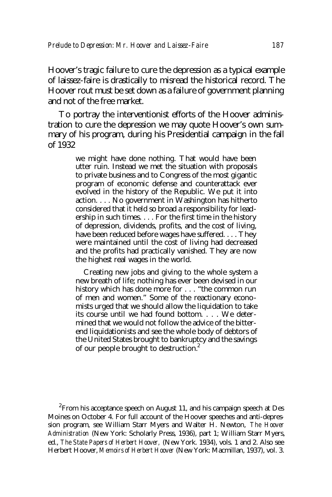Hoover's tragic failure to cure the depression as a typical example of laissez-faire is drastically to misread the historical record. The Hoover rout must be set down as a failure of government planning and not of the free market.

To portray the interventionist efforts of the Hoover administration to cure the depression we may quote Hoover's own summary of his program, during his Presidential campaign in the fall of 1932

> we might have done nothing. That would have been utter ruin. Instead we met the situation with proposals to private business and to Congress of the most gigantic program of economic defense and counterattack ever evolved in the history of the Republic. We put it into action. . . . No government in Washington has hitherto considered that it held so broad a responsibility for leadership in such times. . . . For the first time in the history of depression, dividends, profits, and the cost of living, have been reduced before wages have suffered. . . . They were maintained until the cost of living had decreased and the profits had practically vanished. They are now the highest real wages in the world.

> Creating new jobs and giving to the whole system a new breath of life; nothing has ever been devised in our history which has done more for . . . "the common run of men and women." Some of the reactionary economists urged that we should allow the liquidation to take its course until we had found bottom. . . . We determined that we would not follow the advice of the bitterend liquidationists and see the whole body of debtors of the United States brought to bankruptcy and the savings of our people brought to destruction.<sup>2</sup>

 $^{2}$ From his acceptance speech on August 11, and his campaign speech at Des Moines on October 4. For full account of the Hoover speeches and anti-depression program, see William Starr Myers and Walter H. Newton, *The Hoover Administration* (New York: Scholarly Press, 1936), part 1; William Starr Myers, ed., *The State Papers of Herbert Hoover,* (New York. 1934), vols. 1 and 2. Also see Herbert Hoover, *Memoirs of Herbert Hoover* (New York: Macmillan, 1937), vol. 3.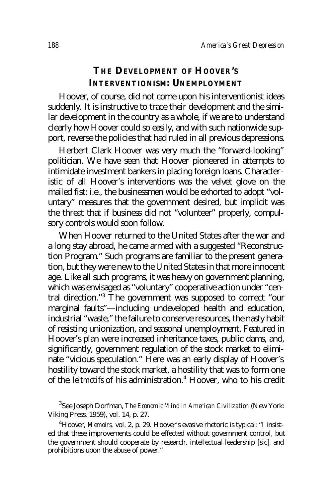### **THE DEVELOPMENT OF HOOVER'S INTERVENTIONISM: UNEMPLOYMENT**

Hoover, of course, did not come upon his interventionist ideas suddenly. It is instructive to trace their development and the similar development in the country as a whole, if we are to understand clearly how Hoover could so easily, and with such nationwide support, reverse the policies that had ruled in all previous depressions.

Herbert Clark Hoover was very much the "forward-looking" politician. We have seen that Hoover pioneered in attempts to intimidate investment bankers in placing foreign loans. Characteristic of all Hoover's interventions was the velvet glove on the mailed fist: i.e., the businessmen would be exhorted to adopt "voluntary" measures that the government desired, but implicit was the threat that if business did not "volunteer" properly, compulsory controls would soon follow.

When Hoover returned to the United States after the war and a long stay abroad, he came armed with a suggested "Reconstruction Program." Such programs are familiar to the present generation, but they were new to the United States in that more innocent age. Like all such programs, it was heavy on government planning, which was envisaged as "voluntary" cooperative action under "central direction."<sup>3</sup> The government was supposed to correct "our marginal faults"—including undeveloped health and education, industrial "waste," the failure to conserve resources, the nasty habit of resisting unionization, and seasonal unemployment. Featured in Hoover's plan were increased inheritance taxes, public dams, and, significantly, government regulation of the stock market to eliminate "vicious speculation." Here was an early display of Hoover's hostility toward the stock market, a hostility that was to form one of the *leitmotifs* of his administration.<sup>4</sup> Hoover, who to his credit

<sup>&</sup>lt;sup>3</sup>See Joseph Dorfman, *The Economic Mind in American Civilization (*New York: Viking Press, 1959), vol. 14, p. 27.

<sup>4</sup>Hoover, *Memoirs,* vol. 2, p. 29. Hoover's evasive rhetoric is typical: "I insisted that these improvements could be effected without government control, but the government should cooperate by research, intellectual leadership [sic]*,* and prohibitions upon the abuse of power."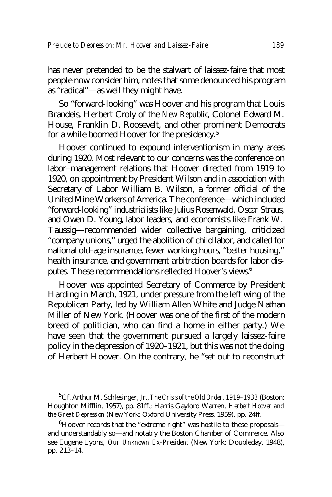has never pretended to be the stalwart of laissez-faire that most people now consider him, notes that some denounced his program as "radical"—as well they might have.

So "forward-looking" was Hoover and his program that Louis Brandeis, Herbert Croly of the *New Republic*, Colonel Edward M. House, Franklin D. Roosevelt, and other prominent Democrats for a while boomed Hoover for the presidency.<sup>5</sup>

Hoover continued to expound interventionism in many areas during 1920. Most relevant to our concerns was the conference on labor–management relations that Hoover directed from 1919 to 1920, on appointment by President Wilson and in association with Secretary of Labor William B. Wilson, a former official of the United Mine Workers of America. The conference—which included "forward-looking" industrialists like Julius Rosenwald, Oscar Straus, and Owen D. Young, labor leaders, and economists like Frank W. Taussig—recommended wider collective bargaining, criticized "company unions," urged the abolition of child labor, and called for national old-age insurance, fewer working hours, "better housing," health insurance, and government arbitration boards for labor disputes. These recommendations reflected Hoover's views.<sup>6</sup>

Hoover was appointed Secretary of Commerce by President Harding in March, 1921, under pressure from the left wing of the Republican Party, led by William Allen White and Judge Nathan Miller of New York. (Hoover was one of the first of the modern breed of politician, who can find a home in either party.) We have seen that the government pursued a largely laissez-faire policy in the depression of 1920–1921, but this was not the doing of Herbert Hoover. On the contrary, he "set out to reconstruct

<sup>5</sup>Cf. Arthur M. Schlesinger, Jr., *The Crisis of the Old Order, 1919–1933* (Boston: Houghton Mifflin, 1957), pp. 81ff.; Harris Gaylord Warren, *Herbert Hoover and the Great Depression* (New York: Oxford University Press, 1959), pp. 24ff.

 $6$ Hoover records that the "extreme right" was hostile to these proposals and understandably so—and notably the Boston Chamber of Commerce. Also see Eugene Lyons, *Our Unknown Ex-President* (New York: Doubleday, 1948), pp. 213–14.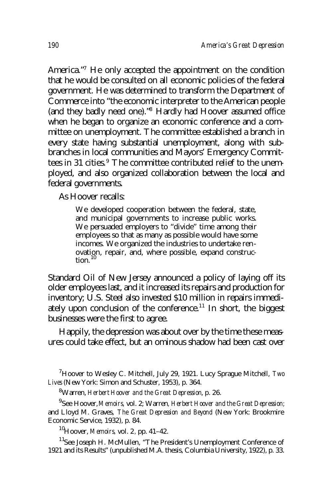America."<sup>7</sup> He only accepted the appointment on the condition that he would be consulted on all economic policies of the federal government. He was determined to transform the Department of Commerce into "the economic interpreter to the American people (and they badly need one)."<sup>8</sup> Hardly had Hoover assumed office when he began to organize an economic conference and a committee on unemployment. The committee established a branch in every state having substantial unemployment, along with subbranches in local communities and Mayors' Emergency Committees in 31 cities.<sup>9</sup> The committee contributed relief to the unemployed, and also organized collaboration between the local and federal governments.

As Hoover recalls:

We developed cooperation between the federal, state, and municipal governments to increase public works. We persuaded employers to "divide" time among their employees so that as many as possible would have some incomes. We organized the industries to undertake renovation, repair, and, where possible, expand construc $t$ <sub>ion</sub> $10$ 

Standard Oil of New Jersey announced a policy of laying off its older employees last, and it increased its repairs and production for inventory; U.S. Steel also invested \$10 million in repairs immediately upon conclusion of the conference.<sup>11</sup> In short, the biggest businesses were the first to agree.

Happily, the depression was about over by the time these measures could take effect, but an ominous shadow had been cast over

<sup>7</sup>Hoover to Wesley C. Mitchell, July 29, 1921. Lucy Sprague Mitchell, *Two Lives* (New York: Simon and Schuster, 1953), p. 364.

<sup>8</sup>Warren, *Herbert Hoover and the Great Depression*, p. 26.

9 See Hoover, *Memoirs,* vol. 2; Warren*, Herbert Hoover and the Great Depression;* and Lloyd M. Graves, *The Great Depression and Beyond* (New York: Brookmire Economic Service, 1932), p. 84.

<sup>10</sup>Hoover, *Memoirs,* vol. 2*,* pp. 41–42.

<sup>11</sup>See Joseph H. McMullen, "The President's Unemployment Conference of 1921 and its Results" (unpublished M.A. thesis, Columbia University, 1922), p. 33.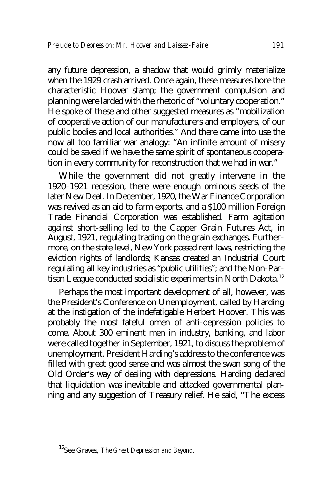any future depression, a shadow that would grimly materialize when the 1929 crash arrived. Once again, these measures bore the characteristic Hoover stamp; the government compulsion and planning were larded with the rhetoric of "voluntary cooperation." He spoke of these and other suggested measures as "mobilization of cooperative action of our manufacturers and employers, of our public bodies and local authorities." And there came into use the now all too familiar war analogy: "An infinite amount of misery could be saved if we have the same spirit of spontaneous cooperation in every community for reconstruction that we had in war."

While the government did not greatly intervene in the 1920–1921 recession, there were enough ominous seeds of the later New Deal. In December, 1920, the War Finance Corporation was revived as an aid to farm exports, and a \$100 million Foreign Trade Financial Corporation was established. Farm agitation against short-selling led to the Capper Grain Futures Act, in August, 1921, regulating trading on the grain exchanges. Furthermore, on the state level, New York passed rent laws, restricting the eviction rights of landlords; Kansas created an Industrial Court regulating all key industries as "public utilities"; and the Non-Partisan League conducted socialistic experiments in North Dakota.<sup>12</sup>

Perhaps the most important development of all, however, was the President's Conference on Unemployment, called by Harding at the instigation of the indefatigable Herbert Hoover. This was probably the most fateful omen of anti-depression policies to come. About 300 eminent men in industry, banking, and labor were called together in September, 1921, to discuss the problem of unemployment. President Harding's address to the conference was filled with great good sense and was almost the swan song of the Old Order's way of dealing with depressions. Harding declared that liquidation was inevitable and attacked governmental planning and any suggestion of Treasury relief. He said, "The excess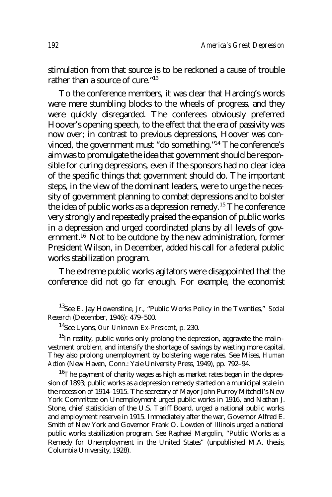stimulation from that source is to be reckoned a cause of trouble rather than a source of cure."<sup>13</sup>

To the conference members, it was clear that Harding's words were mere stumbling blocks to the wheels of progress, and they were quickly disregarded. The conferees obviously preferred Hoover's opening speech, to the effect that the era of passivity was now over; in contrast to previous depressions, Hoover was convinced, the government must "do something."<sup>14</sup> The conference's aim was to promulgate the idea that government should be responsible for curing depressions, even if the sponsors had no clear idea of the specific things that government should do. The important steps, in the view of the dominant leaders, were to urge the necessity of government planning to combat depressions and to bolster the idea of public works as a depression remedy.<sup>15</sup> The conference very strongly and repeatedly praised the expansion of public works in a depression and urged coordinated plans by all levels of government.<sup>16</sup> Not to be outdone by the new administration, former President Wilson, in December, added his call for a federal public works stabilization program.

The extreme public works agitators were disappointed that the conference did not go far enough. For example, the economist

<sup>13</sup>See E. Jay Howenstine, Jr., "Public Works Policy in the Twenties," *Social Research* (December, 1946): 479–500.

<sup>14</sup>See Lyons, *Our Unknown Ex-President,* p*.* 230.

 $15$ In reality, public works only prolong the depression, aggravate the malinvestment problem, and intensify the shortage of savings by wasting more capital. They also prolong unemployment by bolstering wage rates. See Mises, *Human Action* (New Haven, Conn.: Yale University Press, 1949), pp. 792–94.

<sup>16</sup>The payment of charity wages as high as market rates began in the depression of 1893; public works as a depression remedy started on a municipal scale in the recession of 1914–1915. The secretary of Mayor John Purroy Mitchell's New York Committee on Unemployment urged public works in 1916, and Nathan J. Stone, chief statistician of the U.S. Tariff Board, urged a national public works and employment reserve in 1915. Immediately after the war, Governor Alfred E. Smith of New York and Governor Frank O. Lowden of Illinois urged a national public works stabilization program. See Raphael Margolin, "Public Works as a Remedy for Unemployment in the United States" (unpublished M.A. thesis, Columbia University, 1928).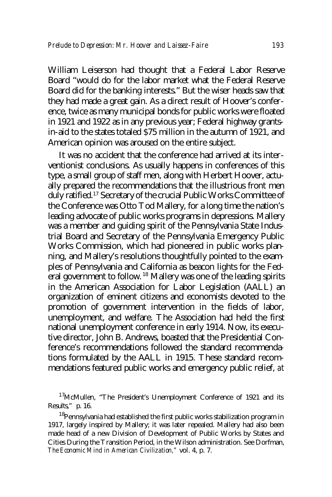William Leiserson had thought that a Federal Labor Reserve Board "would do for the labor market what the Federal Reserve Board did for the banking interests." But the wiser heads saw that they had made a great gain. As a direct result of Hoover's conference, twice as many municipal bonds for public works were floated in 1921 and 1922 as in any previous year; Federal highway grantsin-aid to the states totaled \$75 million in the autumn of 1921, and American opinion was aroused on the entire subject.

It was no accident that the conference had arrived at its interventionist conclusions. As usually happens in conferences of this type, a small group of staff men, along with Herbert Hoover, actually prepared the recommendations that the illustrious front men duly ratified.<sup>17</sup> Secretary of the crucial Public Works Committee of the Conference was Otto Tod Mallery, for a long time the nation's leading advocate of public works programs in depressions. Mallery was a member and guiding spirit of the Pennsylvania State Industrial Board and Secretary of the Pennsylvania Emergency Public Works Commission, which had pioneered in public works planning, and Mallery's resolutions thoughtfully pointed to the examples of Pennsylvania and California as beacon lights for the Federal government to follow. <sup>18</sup> Mallery was one of the leading spirits in the American Association for Labor Legislation (AALL) an organization of eminent citizens and economists devoted to the promotion of government intervention in the fields of labor, unemployment, and welfare. The Association had held the first national unemployment conference in early 1914. Now, its executive director, John B. Andrews, boasted that the Presidential Conference's recommendations followed the standard recommendations formulated by the AALL in 1915. These standard recommendations featured public works and emergency public relief, *at*

<sup>17</sup>McMullen, "The President's Unemployment Conference of 1921 and its Results," p. 16.

<sup>18</sup>Pennsylvania had established the first public works stabilization program in 1917, largely inspired by Mallery; it was later repealed. Mallery had also been made head of a new Division of Development of Public Works by States and Cities During the Transition Period, in the Wilson administration. See Dorfman, *The Economic Mind in American Civilization,"* vol. 4, p. 7.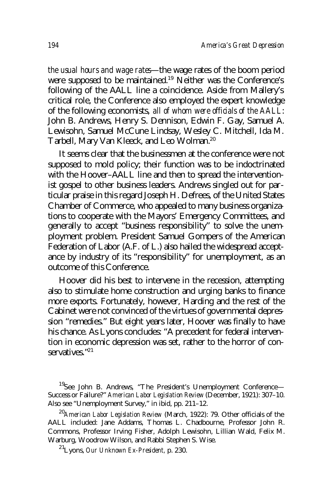*the usual hours and wage rates*—the wage rates of the boom period were supposed to be maintained.<sup>19</sup> Neither was the Conference's following of the AALL line a coincidence. Aside from Mallery's critical role, the Conference also employed the expert knowledge of the following economists, *all of whom were officials of the AALL*: John B. Andrews, Henry S. Dennison, Edwin F. Gay, Samuel A. Lewisohn, Samuel McCune Lindsay, Wesley C. Mitchell, Ida M. Tarbell, Mary Van Kleeck, and Leo Wolman.<sup>20</sup>

It seems clear that the businessmen at the conference were not supposed to mold policy; their function was to be indoctrinated with the Hoover–AALL line and then to spread the interventionist gospel to other business leaders. Andrews singled out for particular praise in this regard Joseph H. Defrees, of the United States Chamber of Commerce, who appealed to many business organizations to cooperate with the Mayors' Emergency Committees, and generally to accept "business responsibility" to solve the unemployment problem. President Samuel Gompers of the American Federation of Labor (A.F. of L.) also hailed the widespread acceptance by industry of its "responsibility" for unemployment, as an outcome of this Conference.

Hoover did his best to intervene in the recession, attempting also to stimulate home construction and urging banks to finance more exports. Fortunately, however, Harding and the rest of the Cabinet were not convinced of the virtues of governmental depression "remedies." But eight years later, Hoover was finally to have his chance. As Lyons concludes: "A precedent for federal intervention in economic depression was set, rather to the horror of conservatives."<sup>21</sup>

<sup>19</sup>See John B. Andrews, "The President's Unemployment Conference-Success or Failure?" *American Labor Legislation Review* (December, 1921): 307–10. Also see "Unemployment Survey," in ibid, pp. 211–12.

<sup>20</sup>*American Labor Legislation Review* (March, 1922): 79. Other officials of the AALL included: Jane Addams, Thomas L. Chadbourne, Professor John R. Commons, Professor Irving Fisher, Adolph Lewisohn, Lillian Wald, Felix M. Warburg, Woodrow Wilson, and Rabbi Stephen S. Wise.

<sup>21</sup>Lyons, *Our Unknown Ex-President,* p. 230.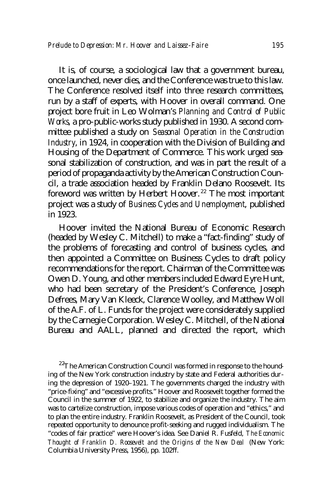It is, of course, a sociological law that a government bureau, once launched, never dies, and the Conference was true to this law. The Conference resolved itself into three research committees, run by a staff of experts, with Hoover in overall command. One project bore fruit in Leo Wolman's *Planning and Control of Public Works*, a pro-public-works study published in 1930. A second committee published a study on *Seasonal Operation in the Construction Industry*, in 1924, in cooperation with the Division of Building and Housing of the Department of Commerce. This work urged seasonal stabilization of construction, and was in part the result of a period of propaganda activity by the American Construction Council, a trade association headed by Franklin Delano Roosevelt. Its foreword was written by Herbert Hoover.<sup>22</sup> The most important project was a study of *Business Cycles and Unemployment*, published in 1923.

Hoover invited the National Bureau of Economic Research (headed by Wesley C. Mitchell) to make a "fact-finding" study of the problems of forecasting and control of business cycles, and then appointed a Committee on Business Cycles to draft policy recommendations for the report. Chairman of the Committee was Owen D. Young, and other members included Edward Eyre Hunt, who had been secretary of the President's Conference, Joseph Defrees, Mary Van Kleeck, Clarence Woolley, and Matthew Woll of the A.F. of L. Funds for the project were considerately supplied by the Carnegie Corporation. Wesley C. Mitchell, of the National Bureau and AALL, planned and directed the report, which

<sup>22</sup>The American Construction Council was formed in response to the hounding of the New York construction industry by state and Federal authorities during the depression of 1920–1921. The governments charged the industry with "price-fixing" and "excessive profits." Hoover and Roosevelt together formed the Council in the summer of 1922, to stabilize and organize the industry. The aim was to cartelize construction, impose various codes of operation and "ethics," and to plan the entire industry. Franklin Roosevelt, as President of the Council, took repeated opportunity to denounce profit-seeking and rugged individualism. The "codes of fair practice" were Hoover's idea. See Daniel R. Fusfeld, *The Economic Thought of Franklin D. Roosevelt and the Origins of the New Deal* (New York: Columbia University Press, 1956), pp. 102ff.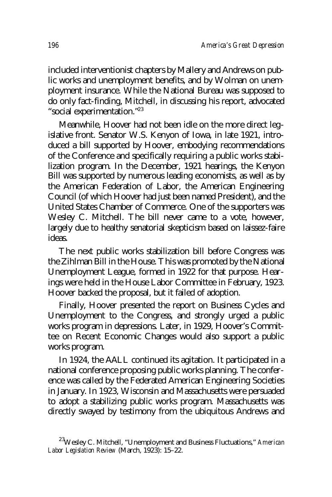included interventionist chapters by Mallery and Andrews on public works and unemployment benefits, and by Wolman on unemployment insurance. While the National Bureau was supposed to do only fact-finding, Mitchell, in discussing his report, advocated "social experimentation."<sup>23</sup>

Meanwhile, Hoover had not been idle on the more direct legislative front. Senator W.S. Kenyon of Iowa, in late 1921, introduced a bill supported by Hoover, embodying recommendations of the Conference and specifically requiring a public works stabilization program. In the December, 1921 hearings, the Kenyon Bill was supported by numerous leading economists, as well as by the American Federation of Labor, the American Engineering Council (of which Hoover had just been named President), and the United States Chamber of Commerce. One of the supporters was Wesley C. Mitchell. The bill never came to a vote, however, largely due to healthy senatorial skepticism based on laissez-faire ideas.

The next public works stabilization bill before Congress was the Zihlman Bill in the House. This was promoted by the National Unemployment League, formed in 1922 for that purpose. Hearings were held in the House Labor Committee in February, 1923. Hoover backed the proposal, but it failed of adoption.

Finally, Hoover presented the report on Business Cycles and Unemployment to the Congress, and strongly urged a public works program in depressions. Later, in 1929, Hoover's Committee on Recent Economic Changes would also support a public works program.

In 1924, the AALL continued its agitation. It participated in a national conference proposing public works planning. The conference was called by the Federated American Engineering Societies in January. In 1923, Wisconsin and Massachusetts were persuaded to adopt a stabilizing public works program. Massachusetts was directly swayed by testimony from the ubiquitous Andrews and

<sup>23</sup>Wesley C. Mitchell, "Unemployment and Business Fluctuations," *American Labor Legislation Review* (March, 1923): 15–22.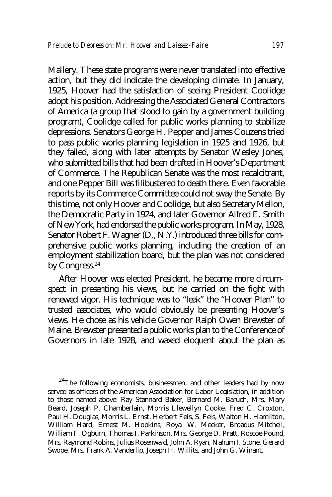Mallery. These state programs were never translated into effective action, but they did indicate the developing climate. In January, 1925, Hoover had the satisfaction of seeing President Coolidge adopt his position. Addressing the Associated General Contractors of America (a group that stood to gain by a government building program), Coolidge called for public works planning to stabilize depressions. Senators George H. Pepper and James Couzens tried to pass public works planning legislation in 1925 and 1926, but they failed, along with later attempts by Senator Wesley Jones, who submitted bills that had been drafted in Hoover's Department of Commerce. The Republican Senate was the most recalcitrant, and one Pepper Bill was filibustered to death there. Even favorable reports by its Commerce Committee could not sway the Senate. By this time, not only Hoover and Coolidge, but also Secretary Mellon, the Democratic Party in 1924, and later Governor Alfred E. Smith of New York, had endorsed the public works program. In May, 1928, Senator Robert F. Wagner (D., N.Y.) introduced three bills for comprehensive public works planning, including the creation of an employment stabilization board, but the plan was not considered by Congress.<sup>24</sup>

After Hoover was elected President, he became more circumspect in presenting his views, but he carried on the fight with renewed vigor. His technique was to "leak" the "Hoover Plan" to trusted associates, who would obviously be presenting Hoover's views. He chose as his vehicle Governor Ralph Owen Brewster of Maine. Brewster presented a public works plan to the Conference of Governors in late 1928, and waxed eloquent about the plan as

<sup>24</sup>The following economists, businessmen, and other leaders had by now served as officers of the American Association for Labor Legislation, in addition to those named above: Ray Stannard Baker, Bernard M. Baruch, Mrs. Mary Beard, Joseph P. Chamberlain, Morris Llewellyn Cooke, Fred C. Croxton, Paul H. Douglas, Morris L. Ernst, Herbert Feis, S. Fels, Walton H. Hamilton, William Hard, Ernest M. Hopkins, Royal W. Meeker, Broadus Mitchell, William F. Ogburn, Thomas I. Parkinson, Mrs. George D. Pratt, Roscoe Pound, Mrs. Raymond Robins, Julius Rosenwald, John A. Ryan, Nahum I. Stone, Gerard Swope, Mrs. Frank A. Vanderlip, Joseph H. Willits, and John G. Winant.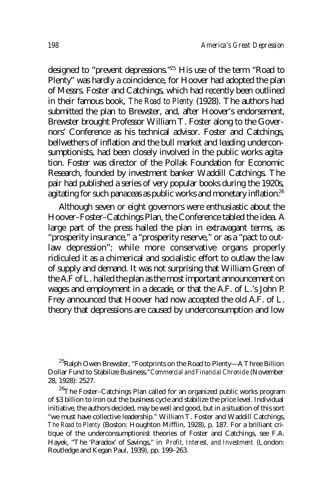designed to "prevent depressions."<sup>25</sup> His use of the term "Road to Plenty" was hardly a coincidence, for Hoover had adopted the plan of Messrs. Foster and Catchings, which had recently been outlined in their famous book, *The Road to Plenty* (1928). The authors had submitted the plan to Brewster, and, after Hoover's endorsement, Brewster brought Professor William T. Foster along to the Governors' Conference as his technical advisor. Foster and Catchings, bellwethers of inflation and the bull market and leading underconsumptionists, had been closely involved in the public works agitation. Foster was director of the Pollak Foundation for Economic Research, founded by investment banker Waddill Catchings. The pair had published a series of very popular books during the 1920s, agitating for such panaceas as public works and monetary inflation.<sup>26</sup>

Although seven or eight governors were enthusiastic about the Hoover–Foster–Catchings Plan, the Conference tabled the idea. A large part of the press hailed the plan in extravagant terms, as "prosperity insurance," a "prosperity reserve," or as a "pact to outlaw depression"; while more conservative organs properly ridiculed it as a chimerical and socialistic effort to outlaw the law of supply and demand. It was not surprising that William Green of the A.F of L. hailed the plan as the most important announcement on wages and employment in a decade, or that the A.F. of L.'s John P. Frey announced that Hoover had now accepted the old A.F. of L. theory that depressions are caused by underconsumption and low

<sup>25</sup>Ralph Owen Brewster, "Footprints on the Road to Plenty—A Three Billion Dollar Fund to Stabilize Business," *Commercial and Financial Chronicle* (November 28, 1928): 2527.

<sup>26</sup>The Foster–Catchings Plan called for an organized public works program of \$3 billion to iron out the business cycle and stabilize the price level. Individual initiative, the authors decided, may be well and good, but in a situation of this sort "we must have collective leadership." William T. Foster and Waddill Catchings, *The Road to Plenty* (Boston: Houghton Mifflin, 1928), p. 187. For a brilliant critique of the underconsumptionist theories of Foster and Catchings, see F.A. Hayek, "The 'Paradox' of Savings," in *Profit, Interest, and Investment* (London: Routledge and Kegan Paul, 1939), pp. 199–263.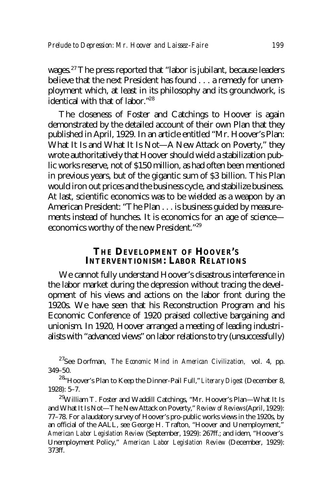wages.<sup>27</sup> The press reported that "labor is jubilant, because leaders believe that the next President has found . . . a remedy for unemployment which, at least in its philosophy and its groundwork, is identical with that of labor."<sup>28</sup>

The closeness of Foster and Catchings to Hoover is again demonstrated by the detailed account of their own Plan that they published in April, 1929. In an article entitled "Mr. Hoover's Plan: What It Is and What It Is Not—A New Attack on Poverty," they wrote authoritatively that Hoover should wield a stabilization public works reserve, not of \$150 million, as had often been mentioned in previous years, but of the gigantic sum of \$3 billion. This Plan would iron out prices and the business cycle, and stabilize business. At last, scientific economics was to be wielded as a weapon by an American President: "The Plan . . . is business guided by measurements instead of hunches. It is economics for an age of science economics worthy of the new President."<sup>29</sup>

### **THE DEVELOPMENT OF HOOVER'S INTERVENTIONISM: LABOR RELATIONS**

We cannot fully understand Hoover's disastrous interference in the labor market during the depression without tracing the development of his views and actions on the labor front during the 1920s. We have seen that his Reconstruction Program and his Economic Conference of 1920 praised collective bargaining and unionism. In 1920, Hoover arranged a meeting of leading industrialists with "advanced views" on labor relations to try (unsuccessfully)

<sup>27</sup>See Dorfman, *The Economic Mind in American Civilization,* vol. 4, pp. 349–50.

<sup>28</sup>"Hoover's Plan to Keep the Dinner-Pail Full," *Literary Digest* (December 8, 1928): 5–7.

<sup>29</sup>William T. Foster and Waddill Catchings, "Mr. Hoover's Plan—What It Is and What It Is Not—The New Attack on Poverty," *Review of Reviews* (April, 1929): 77–78. For a laudatory survey of Hoover's pro-public works views in the 1920s, by an official of the AALL, see George H. Trafton, "Hoover and Unemployment," *American Labor Legislation Review* (September, 1929): 267ff.; and idem, "Hoover's Unemployment Policy," *American Labor Legislation Review* (December, 1929): 373ff.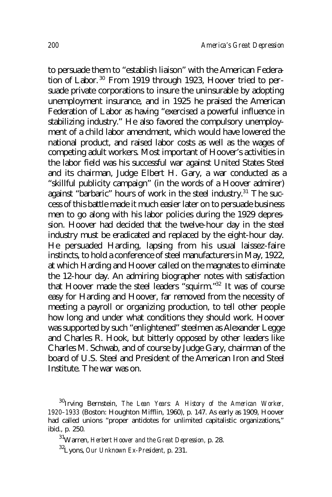to persuade them to "establish liaison" with the American Federation of Labor.<sup>30</sup> From 1919 through 1923, Hoover tried to persuade private corporations to insure the uninsurable by adopting unemployment insurance, and in 1925 he praised the American Federation of Labor as having "exercised a powerful influence in stabilizing industry." He also favored the compulsory unemployment of a child labor amendment, which would have lowered the national product, and raised labor costs as well as the wages of competing adult workers. Most important of Hoover's activities in the labor field was his successful war against United States Steel and its chairman, Judge Elbert H. Gary, a war conducted as a "skillful publicity campaign" (in the words of a Hoover admirer) against "barbaric" hours of work in the steel industry.<sup>31</sup> The success of this battle made it much easier later on to persuade business men to go along with his labor policies during the 1929 depression. Hoover had decided that the twelve-hour day in the steel industry must be eradicated and replaced by the eight-hour day. He persuaded Harding, lapsing from his usual laissez-faire instincts, to hold a conference of steel manufacturers in May, 1922, at which Harding and Hoover called on the magnates to eliminate the 12-hour day. An admiring biographer notes with satisfaction that Hoover made the steel leaders "squirm."<sup>32</sup> It was of course easy for Harding and Hoover, far removed from the necessity of meeting a payroll or organizing production, to tell other people how long and under what conditions they should work. Hoover was supported by such "enlightened" steelmen as Alexander Legge and Charles R. Hook, but bitterly opposed by other leaders like Charles M. Schwab, and of course by Judge Gary, chairman of the board of U.S. Steel and President of the American Iron and Steel Institute. The war was on.

<sup>30</sup>Irving Bernstein, *The Lean Years: A History of the American Worker, 1920–1933* (Boston: Houghton Mifflin, 1960), p. 147. As early as 1909, Hoover had called unions "proper antidotes for unlimited capitalistic organizations," ibid., p. 250.

<sup>31</sup>Warren, *Herbert Hoover and the Great Depression,* p. 28.

<sup>32</sup>Lyons, *Our Unknown Ex-President,* p. 231.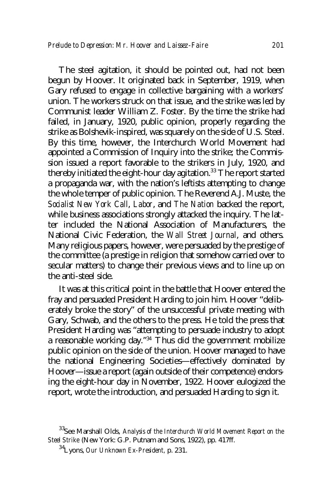The steel agitation, it should be pointed out, had not been begun by Hoover. It originated back in September, 1919, when Gary refused to engage in collective bargaining with a workers' union. The workers struck on that issue, and the strike was led by Communist leader William Z. Foster. By the time the strike had failed, in January, 1920, public opinion, properly regarding the strike as Bolshevik-inspired, was squarely on the side of U.S. Steel. By this time, however, the Interchurch World Movement had appointed a Commission of Inquiry into the strike; the Commission issued a report favorable to the strikers in July, 1920, and thereby initiated the eight-hour day agitation.<sup>33</sup> The report started a propaganda war, with the nation's leftists attempting to change the whole temper of public opinion. The Reverend A.J. Muste, the *Socialist New York Call*, *Labor*, and *The Nation* backed the report, while business associations strongly attacked the inquiry. The latter included the National Association of Manufacturers, the National Civic Federation, the *Wall Street Journal*, and others. Many religious papers, however, were persuaded by the prestige of the committee (a prestige in religion that somehow carried over to secular matters) to change their previous views and to line up on the anti-steel side.

It was at this critical point in the battle that Hoover entered the fray and persuaded President Harding to join him. Hoover "deliberately broke the story" of the unsuccessful private meeting with Gary, Schwab, and the others to the press. He told the press that President Harding was "attempting to persuade industry to adopt a reasonable working day."<sup>34</sup> Thus did the government mobilize public opinion on the side of the union. Hoover managed to have the national Engineering Societies—effectively dominated by Hoover—issue a report (again outside of their competence) endorsing the eight-hour day in November, 1922. Hoover eulogized the report, wrote the introduction, and persuaded Harding to sign it.

<sup>33</sup>See Marshall Olds, *Analysis of the Interchurch World Movement Report on the Steel Strike* (New York: G.P. Putnam and Sons, 1922), pp. 417ff.

<sup>34</sup>Lyons, *Our Unknown Ex-President,* p. 231.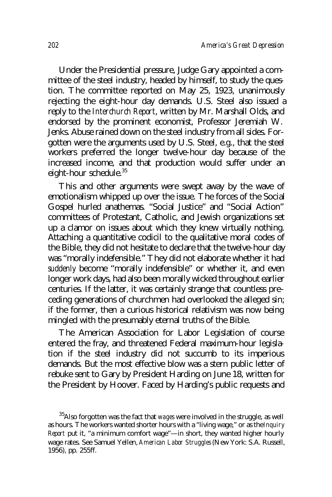Under the Presidential pressure, Judge Gary appointed a committee of the steel industry, headed by himself, to study the question. The committee reported on May 25, 1923, unanimously rejecting the eight-hour day demands. U.S. Steel also issued a reply to the *Interchurch Report*, written by Mr. Marshall Olds, and endorsed by the prominent economist, Professor Jeremiah W. Jenks. Abuse rained down on the steel industry from all sides. Forgotten were the arguments used by U.S. Steel, e.g., that the steel workers preferred the longer twelve-hour day because of the increased income, and that production would suffer under an eight-hour schedule.<sup>35</sup>

This and other arguments were swept away by the wave of emotionalism whipped up over the issue. The forces of the Social Gospel hurled anathemas. "Social Justice" and "Social Action" committees of Protestant, Catholic, and Jewish organizations set up a clamor on issues about which they knew virtually nothing. Attaching a quantitative codicil to the qualitative moral codes of the Bible, they did not hesitate to declare that the twelve-hour day was "morally indefensible." They did not elaborate whether it had *suddenly* become "morally indefensible" or whether it, and even longer work days, had also been morally wicked throughout earlier centuries. If the latter, it was certainly strange that countless preceding generations of churchmen had overlooked the alleged sin; if the former, then a curious historical relativism was now being mingled with the presumably eternal truths of the Bible.

The American Association for Labor Legislation of course entered the fray, and threatened Federal maximum-hour legislation if the steel industry did not succumb to its imperious demands. But the most effective blow was a stern public letter of rebuke sent to Gary by President Harding on June 18, written for the President by Hoover. Faced by Harding's public requests and

<sup>35</sup>Also forgotten was the fact that *wages* were involved in the struggle, as well as hours. The workers wanted shorter hours with a "living wage," or as the *Inquiry Report* put it, "a minimum comfort wage"—in short, they wanted higher hourly wage rates. See Samuel Yellen, *American Labor Struggles* (New York: S.A. Russell, 1956), pp. 255ff.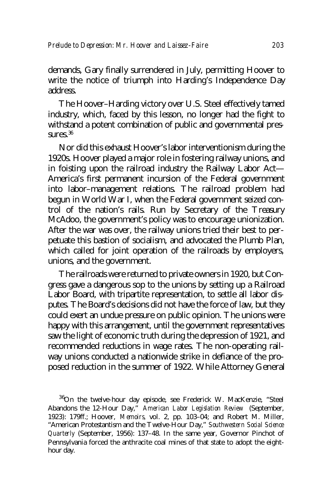demands, Gary finally surrendered in July, permitting Hoover to write the notice of triumph into Harding's Independence Day address.

The Hoover–Harding victory over U.S. Steel effectively tamed industry, which, faced by this lesson, no longer had the fight to withstand a potent combination of public and governmental pressures $36$ 

Nor did this exhaust Hoover's labor interventionism during the 1920s. Hoover played a major role in fostering railway unions, and in foisting upon the railroad industry the Railway Labor Act— America's first permanent incursion of the Federal government into labor–management relations. The railroad problem had begun in World War I, when the Federal government seized control of the nation's rails. Run by Secretary of the Treasury McAdoo, the government's policy was to encourage unionization. After the war was over, the railway unions tried their best to perpetuate this bastion of socialism, and advocated the Plumb Plan, which called for joint operation of the railroads by employers, unions, and the government.

The railroads were returned to private owners in 1920, but Congress gave a dangerous sop to the unions by setting up a Railroad Labor Board, with tripartite representation, to settle all labor disputes. The Board's decisions did not have the force of law, but they could exert an undue pressure on public opinion. The unions were happy with this arrangement, until the government representatives saw the light of economic truth during the depression of 1921, and recommended reductions in wage rates. The non-operating railway unions conducted a nationwide strike in defiance of the proposed reduction in the summer of 1922. While Attorney General

<sup>36</sup>On the twelve-hour day episode, see Frederick W. MacKenzie, "Steel Abandons the 12-Hour Day," *American Labor Legislation Review* (September, 1923): 179ff.; Hoover, *Memoirs,* vol. 2, pp. 103–04; and Robert M. Miller, "American Protestantism and the Twelve-Hour Day," *Southwestern Social Science Quarterly* (September, 1956): 137–48. In the same year, Governor Pinchot of Pennsylvania forced the anthracite coal mines of that state to adopt the eighthour day.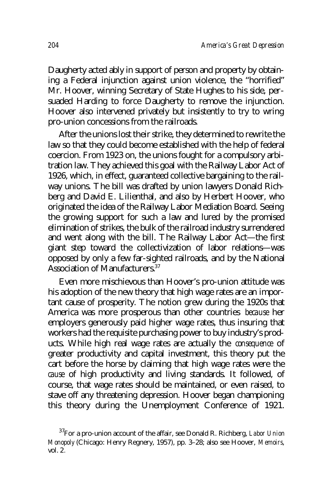Daugherty acted ably in support of person and property by obtaining a Federal injunction against union violence, the "horrified" Mr. Hoover, winning Secretary of State Hughes to his side, persuaded Harding to force Daugherty to remove the injunction. Hoover also intervened privately but insistently to try to wring pro-union concessions from the railroads.

After the unions lost their strike, they determined to rewrite the law so that they could become established with the help of federal coercion. From 1923 on, the unions fought for a compulsory arbitration law. They achieved this goal with the Railway Labor Act of 1926, which, in effect, guaranteed collective bargaining to the railway unions. The bill was drafted by union lawyers Donald Richberg and David E. Lilienthal, and also by Herbert Hoover, who originated the idea of the Railway Labor Mediation Board. Seeing the growing support for such a law and lured by the promised elimination of strikes, the bulk of the railroad industry surrendered and went along with the bill. The Railway Labor Act—the first giant step toward the collectivization of labor relations—was opposed by only a few far-sighted railroads, and by the National Association of Manufacturers.<sup>37</sup>

Even more mischievous than Hoover's pro-union attitude was his adoption of the new theory that high wage rates are an important cause of prosperity. The notion grew during the 1920s that America was more prosperous than other countries *because* her employers generously paid higher wage rates, thus insuring that workers had the requisite purchasing power to buy industry's products. While high real wage rates are actually the *consequence* of greater productivity and capital investment, this theory put the cart before the horse by claiming that high wage rates were the *cause* of high productivity and living standards. It followed, of course, that wage rates should be maintained, or even raised, to stave off any threatening depression. Hoover began championing this theory during the Unemployment Conference of 1921.

<sup>37</sup>For a pro-union account of the affair, see Donald R. Richberg, *Labor Union Monopoly* (Chicago: Henry Regnery, 1957), pp. 3–28; also see Hoover, *Memoirs*, vol. 2*.*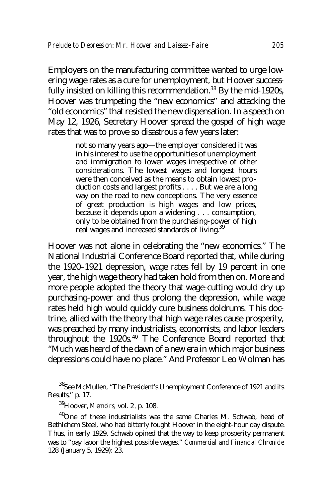Employers on the manufacturing committee wanted to urge lowering wage rates as a cure for unemployment, but Hoover successfully insisted on killing this recommendation.<sup>38</sup> By the mid-1920s, Hoover was trumpeting the "new economics" and attacking the "old economics" that resisted the new dispensation. In a speech on May 12, 1926, Secretary Hoover spread the gospel of high wage rates that was to prove so disastrous a few years later:

> not so many years ago—the employer considered it was in his interest to use the opportunities of unemployment and immigration to lower wages irrespective of other considerations. The lowest wages and longest hours were then conceived as the means to obtain lowest production costs and largest profits . . . . But we are a long way on the road to new conceptions. The very essence of great production is high wages and low prices, because it depends upon a widening . . . consumption, only to be obtained from the purchasing-power of high real wages and increased standards of living.<sup>39</sup>

Hoover was not alone in celebrating the "new economics." The National Industrial Conference Board reported that, while during the 1920–1921 depression, wage rates fell by 19 percent in one year, the high wage theory had taken hold from then on. More and more people adopted the theory that wage-cutting would dry up purchasing-power and thus prolong the depression, while wage rates held high would quickly cure business doldrums. This doctrine, allied with the theory that high wage rates cause prosperity, was preached by many industrialists, economists, and labor leaders throughout the 1920s.<sup>40</sup> The Conference Board reported that "Much was heard of the dawn of a new era in which major business depressions could have no place." And Professor Leo Wolman has

<sup>38</sup>See McMullen, "The President's Unemployment Conference of 1921 and its Results," p. 17.

<sup>40</sup>One of these industrialists was the same Charles M. Schwab, head of Bethlehem Steel, who had bitterly fought Hoover in the eight-hour day dispute. Thus, in early 1929, Schwab opined that the way to keep prosperity permanent was to "pay labor the highest possible wages." *Commercial and Financial Chronicle* 128 (January 5, 1929): 23.

<sup>39</sup>Hoover, *Memoirs,* vol. 2*,* p. 108.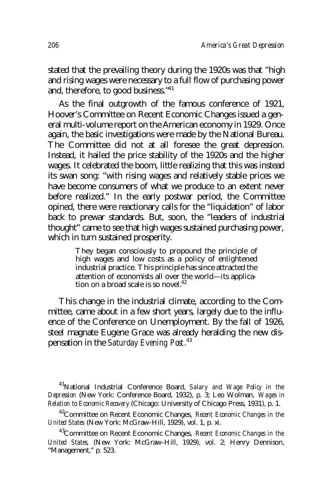stated that the prevailing theory during the 1920s was that "high and rising wages were necessary to a full flow of purchasing power and, therefore, to good business."<sup>41</sup>

As the final outgrowth of the famous conference of 1921, Hoover's Committee on Recent Economic Changes issued a general multi-volume report on the American economy in 1929. Once again, the basic investigations were made by the National Bureau. The Committee did not at all foresee the great depression. Instead, it hailed the price stability of the 1920s and the higher wages. It celebrated the boom, little realizing that this was instead its swan song: "with rising wages and relatively stable prices we have become consumers of what we produce to an extent never before realized." In the early postwar period, the Committee opined, there were reactionary calls for the "liquidation" of labor back to prewar standards. But, soon, the "leaders of industrial thought" came to see that high wages sustained purchasing power, which in turn sustained prosperity.

> They began consciously to propound the principle of high wages and low costs as a policy of enlightened industrial practice. This principle has since attracted the attention of economists all over the world—its application on a broad scale is so novel.<sup>42</sup>

This change in the industrial climate, according to the Committee, came about in a few short years, largely due to the influence of the Conference on Unemployment. By the fall of 1926, steel magnate Eugene Grace was already heralding the new dispensation in the *Saturday Evening Post*. 43

<sup>41</sup>National Industrial Conference Board, *Salary and Wage Policy in the Depression* (New York: Conference Board, 1932), p. 3; Leo Wolman, *Wages in Relation to Economic Recovery* (Chicago: University of Chicago Press, 1931), p. 1.

<sup>42</sup>Committee on Recent Economic Changes, *Recent Economic Changes in the United States* (New York: McGraw–Hill, 1929), vol. 1, p. xi.

<sup>43</sup>Committee on Recent Economic Changes, *Recent Economic Changes in the United States,* (New York: McGraw–Hill, 1929), vol. 2*;* Henry Dennison, "Management," p. 523.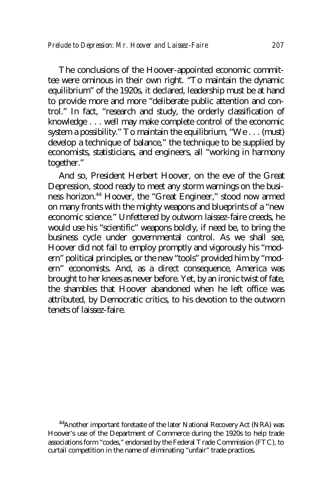The conclusions of the Hoover-appointed economic committee were ominous in their own right. "To maintain the dynamic equilibrium" of the 1920s, it declared, leadership must be at hand to provide more and more "deliberate public attention and control." In fact, "research and study, the orderly classification of knowledge . . . well may make complete control of the economic system a possibility." To maintain the equilibrium, "We . . . (must) develop a technique of balance," the technique to be supplied by economists, statisticians, and engineers, all "working in harmony together."

And so, President Herbert Hoover, on the eve of the Great Depression, stood ready to meet any storm warnings on the business horizon.<sup>44</sup> Hoover, the "Great Engineer," stood now armed on many fronts with the mighty weapons and blueprints of a "new economic science." Unfettered by outworn laissez-faire creeds, he would use his "scientific" weapons boldly, if need be, to bring the business cycle under governmental control. As we shall see, Hoover did not fail to employ promptly and vigorously his "modern" political principles, or the new "tools" provided him by "modern" economists. And, as a direct consequence, America was brought to her knees as never before. Yet, by an ironic twist of fate, the shambles that Hoover abandoned when he left office was attributed, by Democratic critics, to his devotion to the outworn tenets of laissez-faire.

<sup>&</sup>lt;sup>44</sup>Another important foretaste of the later National Recovery Act (NRA) was Hoover's use of the Department of Commerce during the 1920s to help trade associations form "codes," endorsed by the Federal Trade Commission (FTC), to curtail competition in the name of eliminating "unfair" trade practices.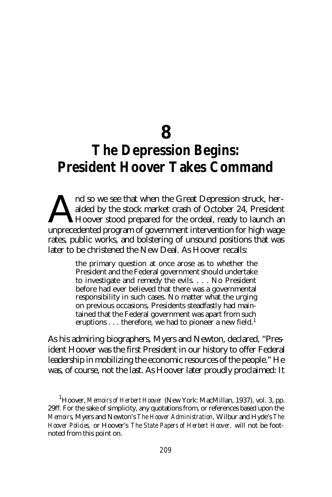**8**

## **The Depression Begins: President Hoover Takes Command**

nd so we see that when the Great Depression struck, heralded by the stock market crash of October 24, President<br>Hoover stood prepared for the ordeal, ready to launch and<br>unprecedented program of government intervention for nd so we see that when the Great Depression struck, heralded by the stock market crash of October 24, President Hoover stood prepared for the ordeal, ready to launch an rates, public works, and bolstering of unsound positions that was later to be christened the New Deal. As Hoover recalls:

> the primary question at once arose as to whether the President and the Federal government should undertake to investigate and remedy the evils. . . . No President before had ever believed that there was a governmental responsibility in such cases. No matter what the urging on previous occasions, Presidents steadfastly had maintained that the Federal government was apart from such eruptions  $\ldots$  therefore, we had to pioneer a new field.<sup>1</sup>

As his admiring biographers, Myers and Newton, declared, "President Hoover was the first President in our history to offer Federal leadership in mobilizing the economic resources of the people." He was, of course, not the last. As Hoover later proudly proclaimed: It

<sup>1</sup>Hoover, *Memoirs of Herbert Hoover* (New York: MacMillan, 1937), vol. 3, pp. 29ff*.* For the sake of simplicity, any quotations from, or references based upon the *Memoirs*, Myers and Newton's *The Hoover Administration,* Wilbur and Hyde's *The Hoover Policies,* or Hoover's *The State Papers of Herbert Hoover,* will not be footnoted from this point on.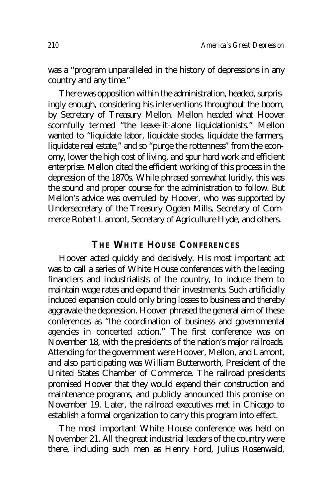was a "program unparalleled in the history of depressions in any country and any time."

There was opposition within the administration, headed, surprisingly enough, considering his interventions throughout the boom, by Secretary of Treasury Mellon. Mellon headed what Hoover scornfully termed "the leave-it-alone liquidationists." Mellon wanted to "liquidate labor, liquidate stocks, liquidate the farmers, liquidate real estate," and so "purge the rottenness" from the economy, lower the high cost of living, and spur hard work and efficient enterprise. Mellon cited the efficient working of this process in the depression of the 1870s. While phrased somewhat luridly, this was the sound and proper course for the administration to follow. But Mellon's advice was overruled by Hoover, who was supported by Undersecretary of the Treasury Ogden Mills, Secretary of Commerce Robert Lamont, Secretary of Agriculture Hyde, and others.

#### **THE WHITE HOUSE CONFERENCES**

Hoover acted quickly and decisively. His most important act was to call a series of White House conferences with the leading financiers and industrialists of the country, to induce them to maintain wage rates and expand their investments. Such artificially induced expansion could only bring losses to business and thereby aggravate the depression. Hoover phrased the general aim of these conferences as "the coordination of business and governmental agencies in concerted action." The first conference was on November 18, with the presidents of the nation's major railroads. Attending for the government were Hoover, Mellon, and Lamont, and also participating was William Butterworth, President of the United States Chamber of Commerce. The railroad presidents promised Hoover that they would expand their construction and maintenance programs, and publicly announced this promise on November 19. Later, the railroad executives met in Chicago to establish a formal organization to carry this program into effect.

The most important White House conference was held on November 21. All the great industrial leaders of the country were there, including such men as Henry Ford, Julius Rosenwald,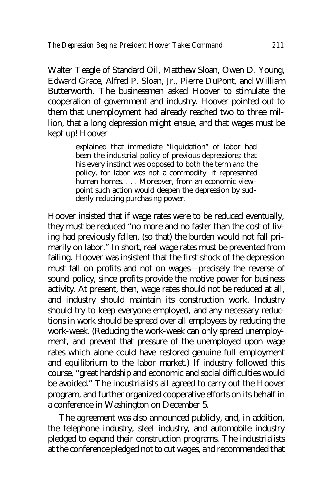Walter Teagle of Standard Oil, Matthew Sloan, Owen D. Young, Edward Grace, Alfred P. Sloan, Jr., Pierre DuPont, and William Butterworth. The businessmen asked Hoover to stimulate the cooperation of government and industry. Hoover pointed out to them that unemployment had already reached two to three million, that a long depression might ensue, and that wages must be kept up! Hoover

> explained that immediate "liquidation" of labor had been the industrial policy of previous depressions; that his every instinct was opposed to both the term and the policy, for labor was not a commodity: it represented human homes. . . . Moreover, from an economic viewpoint such action would deepen the depression by suddenly reducing purchasing power.

Hoover insisted that if wage rates were to be reduced eventually, they must be reduced "no more and no faster than the cost of living had previously fallen, (so that) the burden would not fall primarily on labor." In short, real wage rates must be prevented from failing. Hoover was insistent that the first shock of the depression must fall on profits and not on wages—precisely the reverse of sound policy, since profits provide the motive power for business activity. At present, then, wage rates should not be reduced at all, and industry should maintain its construction work. Industry should try to keep everyone employed, and any necessary reductions in work should be spread over all employees by reducing the work-week. (Reducing the work-week can only spread unemployment, and prevent that pressure of the unemployed upon wage rates which alone could have restored genuine full employment and equilibrium to the labor market.) If industry followed this course, "great hardship and economic and social difficulties would be avoided." The industrialists all agreed to carry out the Hoover program, and further organized cooperative efforts on its behalf in a conference in Washington on December 5.

The agreement was also announced publicly, and, in addition, the telephone industry, steel industry, and automobile industry pledged to expand their construction programs. The industrialists at the conference pledged not to cut wages, and recommended that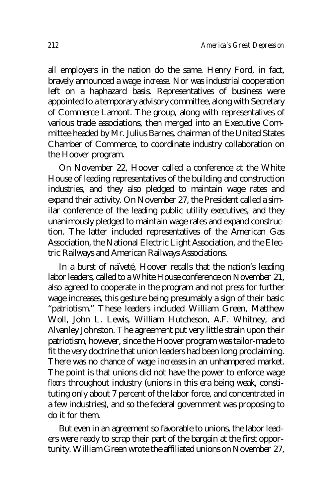all employers in the nation do the same. Henry Ford, in fact, bravely announced a wage *increase*. Nor was industrial cooperation left on a haphazard basis. Representatives of business were appointed to a temporary advisory committee, along with Secretary of Commerce Lamont. The group, along with representatives of various trade associations, then merged into an Executive Committee headed by Mr. Julius Barnes, chairman of the United States Chamber of Commerce, to coordinate industry collaboration on the Hoover program.

On November 22, Hoover called a conference at the White House of leading representatives of the building and construction industries, and they also pledged to maintain wage rates and expand their activity. On November 27, the President called a similar conference of the leading public utility executives, and they unanimously pledged to maintain wage rates and expand construction. The latter included representatives of the American Gas Association, the National Electric Light Association, and the Electric Railways and American Railways Associations.

In a burst of naïveté, Hoover recalls that the nation's leading labor leaders, called to a White House conference on November 21, also agreed to cooperate in the program and not press for further wage increases, this gesture being presumably a sign of their basic "patriotism." These leaders included William Green, Matthew Woll, John L. Lewis, William Hutcheson, A.F. Whitney, and Alvanley Johnston. The agreement put very little strain upon their patriotism, however, since the Hoover program was tailor-made to fit the very doctrine that union leaders had been long proclaiming. There was no chance of wage *increases* in an unhampered market. The point is that unions did not have the power to enforce wage *floors* throughout industry (unions in this era being weak, constituting only about 7 percent of the labor force, and concentrated in a few industries), and so the federal government was proposing to do it for them.

But even in an agreement so favorable to unions, the labor leaders were ready to scrap their part of the bargain at the first opportunity. William Green wrote the affiliated unions on November 27,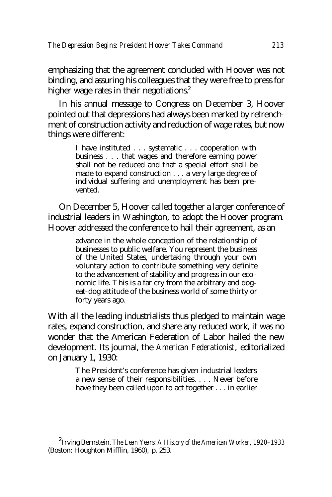emphasizing that the agreement concluded with Hoover was not binding, and assuring his colleagues that they were free to press for higher wage rates in their negotiations.<sup>2</sup>

In his annual message to Congress on December 3, Hoover pointed out that depressions had always been marked by retrenchment of construction activity and reduction of wage rates, but now things were different:

> I have instituted . . . systematic . . . cooperation with business . . . that wages and therefore earning power shall not be reduced and that a special effort shall be made to expand construction . . . a very large degree of individual suffering and unemployment has been prevented.

On December 5, Hoover called together a larger conference of industrial leaders in Washington, to adopt the Hoover program. Hoover addressed the conference to hail their agreement, as an

> advance in the whole conception of the relationship of businesses to public welfare. You represent the business of the United States, undertaking through your own voluntary action to contribute something very definite to the advancement of stability and progress in our economic life. This is a far cry from the arbitrary and dogeat-dog attitude of the business world of some thirty or forty years ago.

With all the leading industrialists thus pledged to maintain wage rates, expand construction, and share any reduced work, it was no wonder that the American Federation of Labor hailed the new development. Its journal, the *American Federationist*, editorialized on January 1, 1930:

> The President's conference has given industrial leaders a new sense of their responsibilities. . . . Never before have they been called upon to act together . . . in earlier

<sup>2</sup> Irving Bernstein, *The Lean Years: A History of the American Worker, 1920–1933* (Boston: Houghton Mifflin, 1960), p. 253.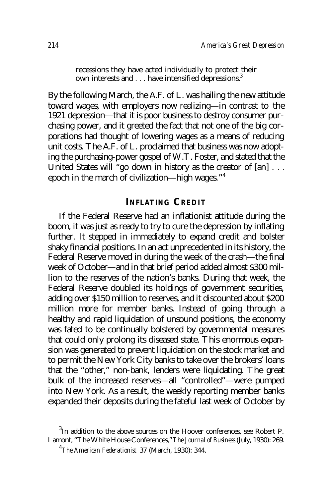recessions they have acted individually to protect their own interests and . . . have intensified depressions.<sup>3</sup>

By the following March, the A.F. of L. was hailing the new attitude toward wages, with employers now realizing—in contrast to the 1921 depression—that it is poor business to destroy consumer purchasing power, and it greeted the fact that not one of the big corporations had thought of lowering wages as a means of reducing unit costs. The A.F. of L. proclaimed that business was now adopting the purchasing-power gospel of W.T. Foster, and stated that the United States will "go down in history as the creator of [an] . . . epoch in the march of civilization—high wages." 4

## **INFLATING CREDIT**

If the Federal Reserve had an inflationist attitude during the boom, it was just as ready to try to cure the depression by inflating further. It stepped in immediately to expand credit and bolster shaky financial positions. In an act unprecedented in its history, the Federal Reserve moved in during the week of the crash—the final week of October—and in that brief period added almost \$300 million to the reserves of the nation's banks. During that week, the Federal Reserve doubled its holdings of government securities, adding over \$150 million to reserves, and it discounted about \$200 million more for member banks. Instead of going through a healthy and rapid liquidation of unsound positions, the economy was fated to be continually bolstered by governmental measures that could only prolong its diseased state. This enormous expansion was generated to prevent liquidation on the stock market and to permit the New York City banks to take over the brokers' loans that the "other," non-bank, lenders were liquidating. The great bulk of the increased reserves—all "controlled"—were pumped into New York. As a result, the weekly reporting member banks expanded their deposits during the fateful last week of October by

 ${}^{3}$ In addition to the above sources on the Hoover conferences, see Robert P. Lamont, "The White House Conferences," *The Journal of Business* (July, 1930): 269.

<sup>4</sup>*The American Federationist* 37 (March, 1930): 344.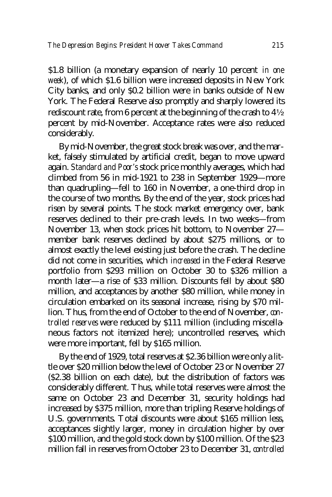\$1.8 billion (a monetary expansion of nearly 10 percent *in one week*), of which \$1.6 billion were increased deposits in New York City banks, and only \$0.2 billion were in banks outside of New York. The Federal Reserve also promptly and sharply lowered its rediscount rate, from 6 percent at the beginning of the crash to  $4\frac{1}{2}$ percent by mid-November. Acceptance rates were also reduced considerably.

By mid-November, the great stock break was over, and the market, falsely stimulated by artificial credit, began to move upward again. *Standard and Poor's* stock price monthly averages, which had climbed from 56 in mid-1921 to 238 in September 1929—more than quadrupling—fell to 160 in November, a one-third drop in the course of two months. By the end of the year, stock prices had risen by several points. The stock market emergency over, bank reserves declined to their pre-crash levels. In two weeks—from November 13, when stock prices hit bottom, to November 27 member bank reserves declined by about \$275 millions, or to almost exactly the level existing just before the crash. The decline did not come in securities, which *increased* in the Federal Reserve portfolio from \$293 million on October 30 to \$326 million a month later—a rise of \$33 million. Discounts fell by about \$80 million, and acceptances by another \$80 million, while money in circulation embarked on its seasonal increase, rising by \$70 million. Thus, from the end of October to the end of November, *controlled reserves* were reduced by \$111 million (including miscellaneous factors not itemized here); uncontrolled reserves, which were more important, fell by \$165 million.

By the end of 1929, total reserves at \$2.36 billion were only a little over \$20 million below the level of October 23 or November 27 (\$2.38 billion on each date), but the distribution of factors was considerably different. Thus, while total reserves were almost the same on October 23 and December 31, security holdings had increased by \$375 million, more than tripling Reserve holdings of U.S. governments. Total discounts were about \$165 million less, acceptances slightly larger, money in circulation higher by over \$100 million, and the gold stock down by \$100 million. Of the \$23 million fall in reserves from October 23 to December 31, *controlled*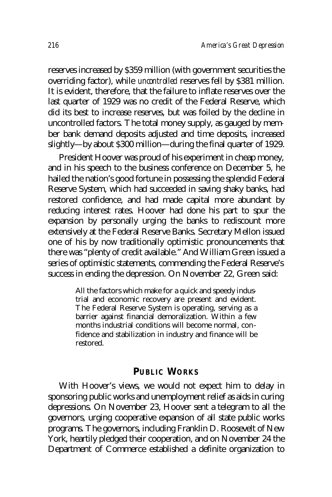reserves increased by \$359 million (with government securities the overriding factor), while *uncontrolled* reserves fell by \$381 million. It is evident, therefore, that the failure to inflate reserves over the last quarter of 1929 was no credit of the Federal Reserve, which did its best to increase reserves, but was foiled by the decline in uncontrolled factors. The total money supply, as gauged by member bank demand deposits adjusted and time deposits, increased slightly—by about \$300 million—during the final quarter of 1929.

President Hoover was proud of his experiment in cheap money, and in his speech to the business conference on December 5, he hailed the nation's good fortune in possessing the splendid Federal Reserve System, which had succeeded in saving shaky banks, had restored confidence, and had made capital more abundant by reducing interest rates. Hoover had done his part to spur the expansion by personally urging the banks to rediscount more extensively at the Federal Reserve Banks. Secretary Mellon issued one of his by now traditionally optimistic pronouncements that there was "plenty of credit available." And William Green issued a series of optimistic statements, commending the Federal Reserve's success in ending the depression. On November 22, Green said:

> All the factors which make for a quick and speedy industrial and economic recovery are present and evident. The Federal Reserve System is operating, serving as a barrier against financial demoralization. Within a few months industrial conditions will become normal, confidence and stabilization in industry and finance will be restored.

#### **PUBLIC WORKS**

With Hoover's views, we would not expect him to delay in sponsoring public works and unemployment relief as aids in curing depressions. On November 23, Hoover sent a telegram to all the governors, urging cooperative expansion of all state public works programs. The governors, including Franklin D. Roosevelt of New York, heartily pledged their cooperation, and on November 24 the Department of Commerce established a definite organization to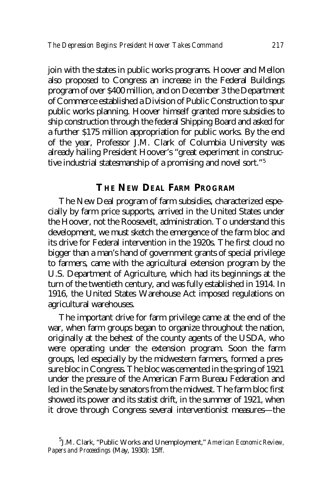join with the states in public works programs. Hoover and Mellon also proposed to Congress an increase in the Federal Buildings program of over \$400 million, and on December 3 the Department of Commerce established a Division of Public Construction to spur public works planning. Hoover himself granted more subsidies to ship construction through the federal Shipping Board and asked for a further \$175 million appropriation for public works. By the end of the year, Professor J.M. Clark of Columbia University was already hailing President Hoover's "great experiment in constructive industrial statesmanship of a promising and novel sort."<sup>5</sup>

### **THE NEW DEAL FARM PROGRAM**

The New Deal program of farm subsidies, characterized especially by farm price supports, arrived in the United States under the Hoover, not the Roosevelt, administration. To understand this development, we must sketch the emergence of the farm bloc and its drive for Federal intervention in the 1920s. The first cloud no bigger than a man's hand of government grants of special privilege to farmers, came with the agricultural extension program by the U.S. Department of Agriculture, which had its beginnings at the turn of the twentieth century, and was fully established in 1914. In 1916, the United States Warehouse Act imposed regulations on agricultural warehouses.

The important drive for farm privilege came at the end of the war, when farm groups began to organize throughout the nation, originally at the behest of the county agents of the USDA, who were operating under the extension program. Soon the farm groups, led especially by the midwestern farmers, formed a pressure bloc in Congress. The bloc was cemented in the spring of 1921 under the pressure of the American Farm Bureau Federation and led in the Senate by senators from the midwest. The farm bloc first showed its power and its statist drift, in the summer of 1921, when it drove through Congress several interventionist measures—the

<sup>5</sup> J.M. Clark, "Public Works and Unemployment," *American Economic Review, Papers and Proceedings* (May, 1930): 15ff.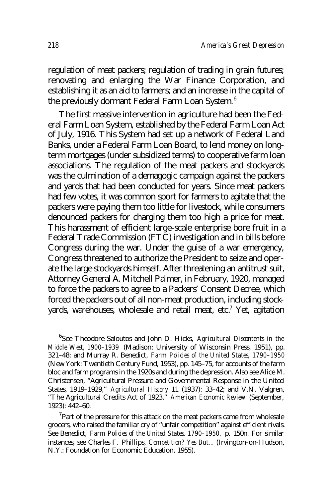regulation of meat packers; regulation of trading in grain futures; renovating and enlarging the War Finance Corporation, and establishing it as an aid to farmers; and an increase in the capital of the previously dormant Federal Farm Loan System.<sup>6</sup>

The first massive intervention in agriculture had been the Federal Farm Loan System, established by the Federal Farm Loan Act of July, 1916. This System had set up a network of Federal Land Banks, under a Federal Farm Loan Board, to lend money on longterm mortgages (under subsidized terms) to cooperative farm loan associations. The regulation of the meat packers and stockyards was the culmination of a demagogic campaign against the packers and yards that had been conducted for years. Since meat packers had few votes, it was common sport for farmers to agitate that the packers were paying them too little for livestock, while consumers denounced packers for charging them too high a price for meat. This harassment of efficient large-scale enterprise bore fruit in a Federal Trade Commission (FTC) investigation and in bills before Congress during the war. Under the guise of a war emergency, Congress threatened to authorize the President to seize and operate the large stockyards himself. After threatening an antitrust suit, Attorney General A. Mitchell Palmer, in February, 1920, managed to force the packers to agree to a Packers' Consent Decree, which forced the packers out of all non-meat production, including stockyards, warehouses, wholesale and retail meat, etc.<sup>7</sup> Yet, agitation

6 See Theodore Saloutos and John D. Hicks, *Agricultural Discontents in the Middle West, 1900–1939* (Madison: University of Wisconsin Press, 1951), pp. 321–48; and Murray R. Benedict, *Farm Policies of the United States, 1790–1950* (New York: Twentieth Century Fund, 1953), pp. 145–75, for accounts of the farm bloc and farm programs in the 1920s and during the depression. Also see Alice M. Christensen, "Agricultural Pressure and Governmental Response in the United States, 1919–1929," *Agricultural History* 11 (1937): 33–42; and V.N. Valgren, "The Agricultural Credits Act of 1923," *American Economic Review* (September, 1923): 442–60.

 $7$ Part of the pressure for this attack on the meat packers came from wholesale grocers, who raised the familiar cry of "unfair competition" against efficient rivals. See Benedict, *Farm Policies of the United States, 1790–1950,* p. 150n. For similar instances, see Charles F. Phillips, *Competition? Yes But...* (Irvington-on-Hudson, N.Y.: Foundation for Economic Education, 1955).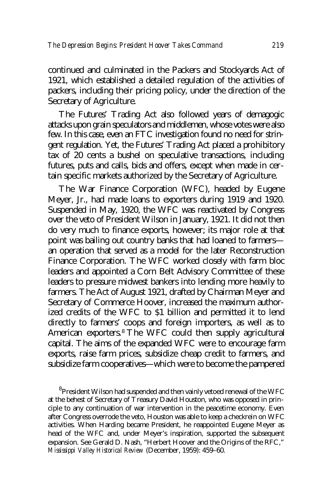continued and culminated in the Packers and Stockyards Act of 1921, which established a detailed regulation of the activities of packers, including their pricing policy, under the direction of the Secretary of Agriculture.

The Futures' Trading Act also followed years of demagogic attacks upon grain speculators and middlemen, whose votes were also few. In this case, even an FTC investigation found no need for stringent regulation. Yet, the Futures' Trading Act placed a prohibitory tax of 20 cents a bushel on speculative transactions, including futures, puts and calls, bids and offers, except when made in certain specific markets authorized by the Secretary of Agriculture.

The War Finance Corporation (WFC), headed by Eugene Meyer, Jr., had made loans to exporters during 1919 and 1920. Suspended in May, 1920, the WFC was reactivated by Congress over the veto of President Wilson in January, 1921. It did not then do very much to finance exports, however; its major role at that point was bailing out country banks that had loaned to farmers an operation that served as a model for the later Reconstruction Finance Corporation. The WFC worked closely with farm bloc leaders and appointed a Corn Belt Advisory Committee of these leaders to pressure midwest bankers into lending more heavily to farmers. The Act of August 1921, drafted by Chairman Meyer and Secretary of Commerce Hoover, increased the maximum authorized credits of the WFC to \$1 billion and permitted it to lend directly to farmers' coops and foreign importers, as well as to American exporters.<sup>8</sup> The WFC could then supply agricultural capital. The aims of the expanded WFC were to encourage farm exports, raise farm prices, subsidize cheap credit to farmers, and subsidize farm cooperatives—which were to become the pampered

 $^8\!{\rm President}$  Wilson had suspended and then vainly vetoed renewal of the WFC at the behest of Secretary of Treasury David Houston, who was opposed in principle to any continuation of war intervention in the peacetime economy. Even after Congress overrode the veto, Houston was able to keep a checkrein on WFC activities. When Harding became President, he reappointed Eugene Meyer as head of the WFC and, under Meyer's inspiration, supported the subsequent expansion. See Gerald D. Nash, "Herbert Hoover and the Origins of the RFC," *Mississippi Valley Historical Review* (December, 1959): 459–60.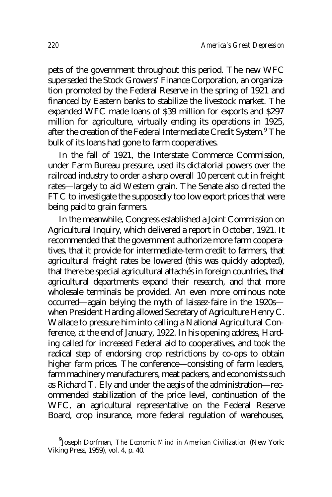pets of the government throughout this period. The new WFC superseded the Stock Growers' Finance Corporation, an organization promoted by the Federal Reserve in the spring of 1921 and financed by Eastern banks to stabilize the livestock market. The expanded WFC made loans of \$39 million for exports and \$297 million for agriculture, virtually ending its operations in 1925, after the creation of the Federal Intermediate Credit System.<sup>9</sup> The bulk of its loans had gone to farm cooperatives.

In the fall of 1921, the Interstate Commerce Commission, under Farm Bureau pressure, used its dictatorial powers over the railroad industry to order a sharp overall 10 percent cut in freight rates—largely to aid Western grain. The Senate also directed the FTC to investigate the supposedly too low export prices that were being paid to grain farmers.

In the meanwhile, Congress established a Joint Commission on Agricultural Inquiry, which delivered a report in October, 1921. It recommended that the government authorize more farm cooperatives, that it provide for intermediate-term credit to farmers, that agricultural freight rates be lowered (this was quickly adopted), that there be special agricultural attachés in foreign countries, that agricultural departments expand their research, and that more wholesale terminals be provided. An even more ominous note occurred—again belying the myth of laissez-faire in the 1920s when President Harding allowed Secretary of Agriculture Henry C. Wallace to pressure him into calling a National Agricultural Conference, at the end of January, 1922. In his opening address, Harding called for increased Federal aid to cooperatives, and took the radical step of endorsing crop restrictions by co-ops to obtain higher farm prices. The conference—consisting of farm leaders, farm machinery manufacturers, meat packers, and economists such as Richard T. Ely and under the aegis of the administration—recommended stabilization of the price level, continuation of the WFC, an agricultural representative on the Federal Reserve Board, crop insurance, more federal regulation of warehouses,

<sup>9</sup> Joseph Dorfman, *The Economic Mind in American Civilization* (New York: Viking Press, 1959), vol. 4, p. 40.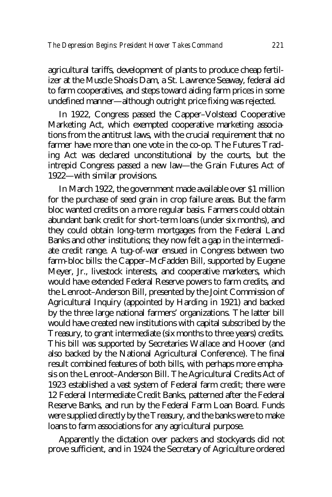agricultural tariffs, development of plants to produce cheap fertilizer at the Muscle Shoals Dam, a St. Lawrence Seaway, federal aid to farm cooperatives, and steps toward aiding farm prices in some undefined manner—although outright price fixing was rejected.

In 1922, Congress passed the Capper–Volstead Cooperative Marketing Act, which exempted cooperative marketing associations from the antitrust laws, with the crucial requirement that no farmer have more than one vote in the co-op. The Futures Trading Act was declared unconstitutional by the courts, but the intrepid Congress passed a new law—the Grain Futures Act of 1922—with similar provisions.

In March 1922, the government made available over \$1 million for the purchase of seed grain in crop failure areas. But the farm bloc wanted credits on a more regular basis. Farmers could obtain abundant bank credit for short-term loans (under six months), and they could obtain long-term mortgages from the Federal Land Banks and other institutions; they now felt a gap in the intermediate credit range. A tug-of-war ensued in Congress between two farm-bloc bills: the Capper–McFadden Bill, supported by Eugene Meyer, Jr., livestock interests, and cooperative marketers, which would have extended Federal Reserve powers to farm credits, and the Lenroot–Anderson Bill, presented by the Joint Commission of Agricultural Inquiry (appointed by Harding in 1921) and backed by the three large national farmers' organizations. The latter bill would have created new institutions with capital subscribed by the Treasury, to grant intermediate (six months to three years) credits. This bill was supported by Secretaries Wallace and Hoover (and also backed by the National Agricultural Conference). The final result combined features of both bills, with perhaps more emphasis on the Lenroot–Anderson Bill. The Agricultural Credits Act of 1923 established a vast system of Federal farm credit; there were 12 Federal Intermediate Credit Banks, patterned after the Federal Reserve Banks, and run by the Federal Farm Loan Board. Funds were supplied directly by the Treasury, and the banks were to make loans to farm associations for any agricultural purpose.

Apparently the dictation over packers and stockyards did not prove sufficient, and in 1924 the Secretary of Agriculture ordered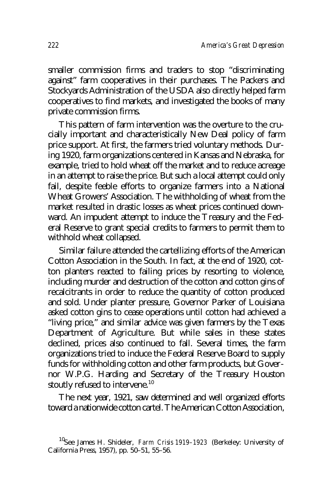smaller commission firms and traders to stop "discriminating against" farm cooperatives in their purchases. The Packers and Stockyards Administration of the USDA also directly helped farm cooperatives to find markets, and investigated the books of many private commission firms.

This pattern of farm intervention was the overture to the crucially important and characteristically New Deal policy of farm price support. At first, the farmers tried voluntary methods. During 1920, farm organizations centered in Kansas and Nebraska, for example, tried to hold wheat off the market and to reduce acreage in an attempt to raise the price. But such a local attempt could only fail, despite feeble efforts to organize farmers into a National Wheat Growers' Association. The withholding of wheat from the market resulted in drastic losses as wheat prices continued downward. An impudent attempt to induce the Treasury and the Federal Reserve to grant special credits to farmers to permit them to withhold wheat collapsed.

Similar failure attended the cartellizing efforts of the American Cotton Association in the South. In fact, at the end of 1920, cotton planters reacted to failing prices by resorting to violence, including murder and destruction of the cotton and cotton gins of recalcitrants in order to reduce the quantity of cotton produced and sold. Under planter pressure, Governor Parker of Louisiana asked cotton gins to cease operations until cotton had achieved a "living price," and similar advice was given farmers by the Texas Department of Agriculture. But while sales in these states declined, prices also continued to fall. Several times, the farm organizations tried to induce the Federal Reserve Board to supply funds for withholding cotton and other farm products, but Governor W.P.G. Harding and Secretary of the Treasury Houston stoutly refused to intervene.<sup>10</sup>

The next year, 1921, saw determined and well organized efforts toward a nationwide cotton cartel. The American Cotton Association,

<sup>10</sup>See James H. Shideler, *Farm Crisis 1919–1923* (Berkeley: University of California Press, 1957), pp. 50–51, 55–56.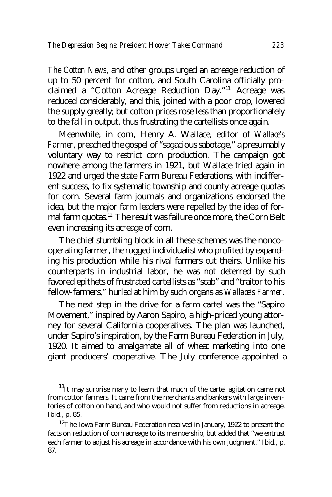*The Cotton News*, and other groups urged an acreage reduction of up to 50 percent for cotton, and South Carolina officially proclaimed a "Cotton Acreage Reduction Day."<sup>11</sup> Acreage was reduced considerably, and this, joined with a poor crop, lowered the supply greatly; but cotton prices rose less than proportionately to the fall in output, thus frustrating the cartellists once again.

Meanwhile, in corn, Henry A. Wallace, editor of *Wallace's Farmer*, preached the gospel of "sagacious sabotage," a presumably voluntary way to restrict corn production. The campaign got nowhere among the farmers in 1921, but Wallace tried again in 1922 and urged the state Farm Bureau Federations, with indifferent success, to fix systematic township and county acreage quotas for corn. Several farm journals and organizations endorsed the idea, but the major farm leaders were repelled by the idea of formal farm quotas.<sup>12</sup> The result was failure once more, the Corn Belt even increasing its acreage of corn.

The chief stumbling block in all these schemes was the noncooperating farmer, the rugged individualist who profited by expanding his production while his rival farmers cut theirs. Unlike his counterparts in industrial labor, he was not deterred by such favored epithets of frustrated cartellists as "scab" and "traitor to his fellow-farmers," hurled at him by such organs as *Wallace's Farmer*.

The next step in the drive for a farm cartel was the "Sapiro Movement," inspired by Aaron Sapiro, a high-priced young attorney for several California cooperatives. The plan was launched, under Sapiro's inspiration, by the Farm Bureau Federation in July, 1920. It aimed to amalgamate all of wheat marketing into one giant producers' cooperative. The July conference appointed a

 $11$ It may surprise many to learn that much of the cartel agitation came not from cotton farmers. It came from the merchants and bankers with large inventories of cotton on hand, and who would not suffer from reductions in acreage. Ibid., p. 85.

 $12$ The Iowa Farm Bureau Federation resolved in January, 1922 to present the facts on reduction of corn acreage to its membership, but added that "we entrust each farmer to adjust his acreage in accordance with his own judgment." Ibid., p. 87.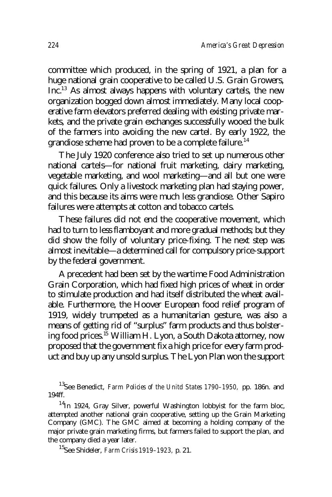committee which produced, in the spring of 1921, a plan for a huge national grain cooperative to be called U.S. Grain Growers, Inc.<sup>13</sup> As almost always happens with voluntary cartels, the new organization bogged down almost immediately. Many local cooperative farm elevators preferred dealing with existing private markets, and the private grain exchanges successfully wooed the bulk of the farmers into avoiding the new cartel. By early 1922, the grandiose scheme had proven to be a complete failure.<sup>14</sup>

The July 1920 conference also tried to set up numerous other national cartels—for national fruit marketing, dairy marketing, vegetable marketing, and wool marketing—and all but one were quick failures. Only a livestock marketing plan had staying power, and this because its aims were much less grandiose. Other Sapiro failures were attempts at cotton and tobacco cartels.

These failures did not end the cooperative movement, which had to turn to less flamboyant and more gradual methods; but they did show the folly of voluntary price-fixing. The next step was almost inevitable—a determined call for compulsory price-support by the federal government.

A precedent had been set by the wartime Food Administration Grain Corporation, which had fixed high prices of wheat in order to stimulate production and had itself distributed the wheat available. Furthermore, the Hoover European food relief program of 1919, widely trumpeted as a humanitarian gesture, was also a means of getting rid of "surplus" farm products and thus bolstering food prices.<sup>15</sup> William H. Lyon, a South Dakota attorney, now proposed that the government fix a high price for every farm product and buy up any unsold surplus. The Lyon Plan won the support

<sup>13</sup>See Benedict, *Farm Policies of the Unitd States 1790–1950,* pp. 186n. and 194ff.

<sup>14</sup>In 1924, Gray Silver, powerful Washington lobbyist for the farm bloc, attempted another national grain cooperative, setting up the Grain Marketing Company (GMC). The GMC aimed at becoming a holding company of the major private grain marketing firms, but farmers failed to support the plan, and the company died a year later.

<sup>15</sup>See Shideler, *Farm Crisis 1919–1923,* p. 21.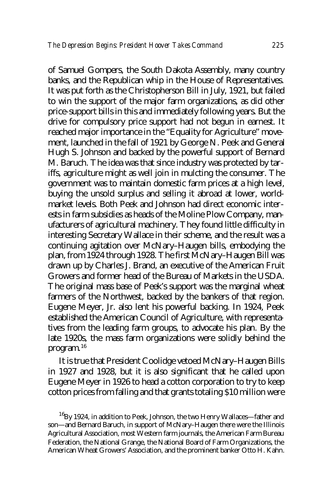of Samuel Gompers, the South Dakota Assembly, many country banks, and the Republican whip in the House of Representatives. It was put forth as the Christopherson Bill in July, 1921, but failed to win the support of the major farm organizations, as did other price-support bills in this and immediately following years. But the drive for compulsory price support had not begun in earnest. It reached major importance in the "Equality for Agriculture" movement, launched in the fall of 1921 by George N. Peek and General Hugh S. Johnson and backed by the powerful support of Bernard M. Baruch. The idea was that since industry was protected by tariffs, agriculture might as well join in mulcting the consumer. The government was to maintain domestic farm prices at a high level, buying the unsold surplus and selling it abroad at lower, worldmarket levels. Both Peek and Johnson had direct economic interests in farm subsidies as heads of the Moline Plow Company, manufacturers of agricultural machinery. They found little difficulty in interesting Secretary Wallace in their scheme, and the result was a continuing agitation over McNary–Haugen bills, embodying the plan, from 1924 through 1928. The first McNary–Haugen Bill was drawn up by Charles J. Brand, an executive of the American Fruit Growers and former head of the Bureau of Markets in the USDA. The original mass base of Peek's support was the marginal wheat farmers of the Northwest, backed by the bankers of that region. Eugene Meyer, Jr. also lent his powerful backing. In 1924, Peek established the American Council of Agriculture, with representatives from the leading farm groups, to advocate his plan. By the late 1920s, the mass farm organizations were solidly behind the program.<sup>16</sup>

It is true that President Coolidge vetoed McNary–Haugen Bills in 1927 and 1928, but it is also significant that he called upon Eugene Meyer in 1926 to head a cotton corporation to try to keep cotton prices from falling and that grants totaling \$10 million were

 $16By$  1924, in addition to Peek, Johnson, the two Henry Wallaces—father and son—and Bernard Baruch, in support of McNary–Haugen there were the Illinois Agricultural Association, most Western farm journals, the American Farm Bureau Federation, the National Grange, the National Board of Farm Organizations, the American Wheat Growers' Association, and the prominent banker Otto H. Kahn.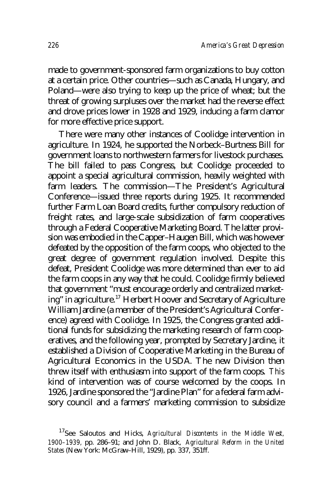made to government-sponsored farm organizations to buy cotton at a certain price. Other countries—such as Canada, Hungary, and Poland—were also trying to keep up the price of wheat; but the threat of growing surpluses over the market had the reverse effect and drove prices lower in 1928 and 1929, inducing a farm clamor for more effective price support.

There were many other instances of Coolidge intervention in agriculture. In 1924, he supported the Norbeck–Burtness Bill for government loans to northwestern farmers for livestock purchases. The bill failed to pass Congress, but Coolidge proceeded to appoint a special agricultural commission, heavily weighted with farm leaders. The commission—The President's Agricultural Conference—issued three reports during 1925. It recommended further Farm Loan Board credits, further compulsory reduction of freight rates, and large-scale subsidization of farm cooperatives through a Federal Cooperative Marketing Board. The latter provision was embodied in the Capper–Haugen Bill, which was however defeated by the opposition of the farm coops, who objected to the great degree of government regulation involved. Despite this defeat, President Coolidge was more determined than ever to aid the farm coops in any way that he could. Coolidge firmly believed that government "must encourage orderly and centralized marketing" in agriculture.<sup>17</sup> Herbert Hoover and Secretary of Agriculture William Jardine (a member of the President's Agricultural Conference) agreed with Coolidge. In 1925, the Congress granted additional funds for subsidizing the marketing research of farm cooperatives, and the following year, prompted by Secretary Jardine, it established a Division of Cooperative Marketing in the Bureau of Agricultural Economics in the USDA. The new Division then threw itself with enthusiasm into support of the farm coops. *This* kind of intervention was of course welcomed by the coops. In 1926, Jardine sponsored the "Jardine Plan" for a federal farm advisory council and a farmers' marketing commission to subsidize

<sup>17</sup>See Saloutos and Hicks, *Agricultural Discontents in the Middle West, 1900–1939,* pp. 286–91; and John D. Black, *Agricultural Reform in the United States* (New York: McGraw–Hill, 1929), pp. 337, 351ff.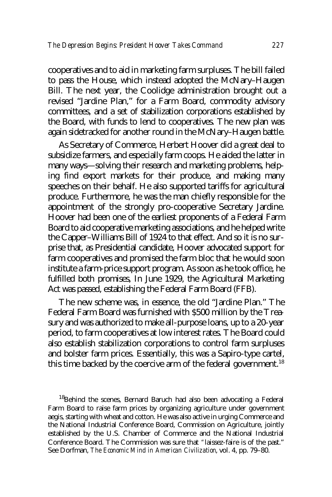cooperatives and to aid in marketing farm surpluses. The bill failed to pass the House, which instead adopted the McNary–Haugen Bill. The next year, the Coolidge administration brought out a revised "Jardine Plan," for a Farm Board, commodity advisory committees, and a set of stabilization corporations established by the Board, with funds to lend to cooperatives. The new plan was again sidetracked for another round in the McNary–Haugen battle.

As Secretary of Commerce, Herbert Hoover did a great deal to subsidize farmers, and especially farm coops. He aided the latter in many ways—solving their research and marketing problems, helping find export markets for their produce, and making many speeches on their behalf. He also supported tariffs for agricultural produce. Furthermore, he was the man chiefly responsible for the appointment of the strongly pro-cooperative Secretary Jardine. Hoover had been one of the earliest proponents of a Federal Farm Board to aid cooperative marketing associations, and he helped write the Capper–Williams Bill of 1924 to that effect. And so it is no surprise that, as Presidential candidate, Hoover advocated support for farm cooperatives and promised the farm bloc that he would soon institute a farm-price support program. As soon as he took office, he fulfilled both promises, In June 1929, the Agricultural Marketing Act was passed, establishing the Federal Farm Board (FFB).

The new scheme was, in essence, the old "Jardine Plan." The Federal Farm Board was furnished with \$500 million by the Treasury and was authorized to make all-purpose loans, up to a 20-year period, to farm cooperatives at low interest rates. The Board could also establish stabilization corporations to control farm surpluses and bolster farm prices. Essentially, this was a Sapiro-type cartel, this time backed by the coercive arm of the federal government.<sup>18</sup>

<sup>18</sup>Behind the scenes, Bernard Baruch had also been advocating a Federal Farm Board to raise farm prices by organizing agriculture under government aegis, starting with wheat and cotton. He was also active in urging Commerce and the National Industrial Conference Board, Commission on Agriculture, jointly established by the U.S. Chamber of Commerce and the National Industrial Conference Board. The Commission was sure that *"*laissez-faire is of the past." See Dorfman, *The Economic Mind in American Civilization*, vol. 4, pp. 79–80.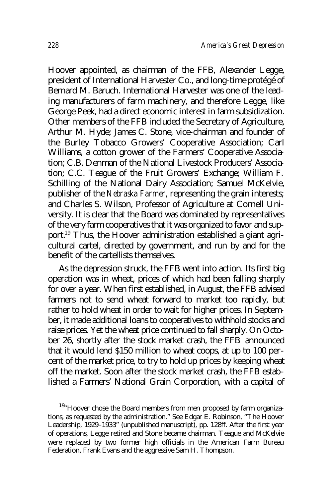Hoover appointed, as chairman of the FFB, Alexander Legge, president of International Harvester Co., and long-time protégé of Bernard M. Baruch. International Harvester was one of the leading manufacturers of farm machinery, and therefore Legge, like George Peek, had a direct economic interest in farm subsidization. Other members of the FFB included the Secretary of Agriculture, Arthur M. Hyde; James C. Stone, vice-chairman and founder of the Burley Tobacco Growers' Cooperative Association; Carl Williams, a cotton grower of the Farmers' Cooperative Association; C.B. Denman of the National Livestock Producers' Association; C.C. Teague of the Fruit Growers' Exchange; William F. Schilling of the National Dairy Association; Samuel McKelvie, publisher of the *Nebraska Farmer*, representing the grain interests; and Charles S. Wilson, Professor of Agriculture at Cornell University. It is clear that the Board was dominated by representatives of the very farm cooperatives that it was organized to favor and support.<sup>19</sup> Thus, the Hoover administration established a giant agricultural cartel, directed by government, and run by and for the benefit of the cartellists themselves.

As the depression struck, the FFB went into action. Its first big operation was in wheat, prices of which had been falling sharply for over a year. When first established, in August, the FFB advised farmers not to send wheat forward to market too rapidly, but rather to hold wheat in order to wait for higher prices. In September, it made additional loans to cooperatives to withhold stocks and raise prices. Yet the wheat price continued to fall sharply. On October 26, shortly after the stock market crash, the FFB announced that it would lend \$150 million to wheat coops, at up to 100 percent of the market price, to try to hold up prices by keeping wheat off the market. Soon after the stock market crash, the FFB established a Farmers' National Grain Corporation, with a capital of

<sup>19</sup>"Hoover chose the Board members from men proposed by farm organizations, as requested by the administration." See Edgar E. Robinson, "The Hoover Leadership, 1929–1933" (unpublished manuscript), pp. 128ff. After the first year of operations, Legge retired and Stone became chairman. Teague and McKelvie were replaced by two former high officials in the American Farm Bureau Federation, Frank Evans and the aggressive Sam H. Thompson.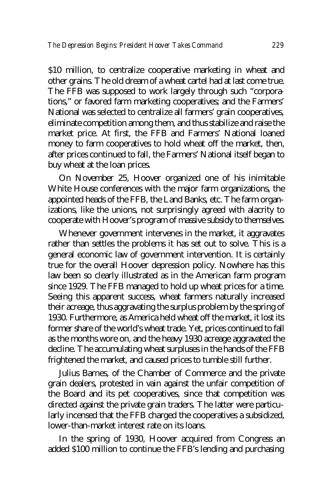\$10 million, to centralize cooperative marketing in wheat and other grains. The old dream of a wheat cartel had at last come true. The FFB was supposed to work largely through such "corporations," or favored farm marketing cooperatives; and the Farmers' National was selected to centralize all farmers' grain cooperatives, eliminate competition among them, and thus stabilize and raise the market price. At first, the FFB and Farmers' National loaned money to farm cooperatives to hold wheat off the market, then, after prices continued to fall, the Farmers' National itself began to buy wheat at the loan prices.

On November 25, Hoover organized one of his inimitable White House conferences with the major farm organizations, the appointed heads of the FFB, the Land Banks, etc. The farm organizations, like the unions, not surprisingly agreed with alacrity to cooperate with Hoover's program of massive subsidy to themselves.

Whenever government intervenes in the market, it aggravates rather than settles the problems it has set out to solve. This is a general economic law of government intervention. It is certainly true for the overall Hoover depression policy. Nowhere has this law been so clearly illustrated as in the American farm program since 1929. The FFB managed to hold up wheat prices for a time. Seeing this apparent success, wheat farmers naturally increased their acreage, thus aggravating the surplus problem by the spring of 1930. Furthermore, as America held wheat off the market, it lost its former share of the world's wheat trade. Yet, prices continued to fall as the months wore on, and the heavy 1930 acreage aggravated the decline. The accumulating wheat surpluses in the hands of the FFB frightened the market, and caused prices to tumble still further.

Julius Barnes, of the Chamber of Commerce and the private grain dealers, protested in vain against the unfair competition of the Board and its pet cooperatives, since that competition was directed against the private grain traders. The latter were particularly incensed that the FFB charged the cooperatives a subsidized, lower-than-market interest rate on its loans.

In the spring of 1930, Hoover acquired from Congress an added \$100 million to continue the FFB's lending and purchasing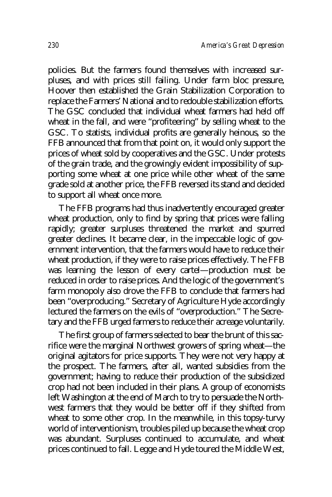policies. But the farmers found themselves with increased surpluses, and with prices still failing. Under farm bloc pressure, Hoover then established the Grain Stabilization Corporation to replace the Farmers' National and to redouble stabilization efforts. The GSC concluded that individual wheat farmers had held off wheat in the fall, and were "profiteering" by selling wheat to the GSC. To statists, individual profits are generally heinous, so the FFB announced that from that point on, it would only support the prices of wheat sold by cooperatives and the GSC. Under protests of the grain trade, and the growingly evident impossibility of supporting some wheat at one price while other wheat of the same grade sold at another price, the FFB reversed its stand and decided to support all wheat once more.

The FFB programs had thus inadvertently encouraged greater wheat production, only to find by spring that prices were falling rapidly; greater surpluses threatened the market and spurred greater declines. It became clear, in the impeccable logic of government intervention, that the farmers would have to reduce their wheat production, if they were to raise prices effectively. The FFB was learning the lesson of every cartel—production must be reduced in order to raise prices. And the logic of the government's farm monopoly also drove the FFB to conclude that farmers had been "overproducing." Secretary of Agriculture Hyde accordingly lectured the farmers on the evils of "overproduction." The Secretary and the FFB urged farmers to reduce their acreage voluntarily.

The first group of farmers selected to bear the brunt of this sacrifice were the marginal Northwest growers of spring wheat—the original agitators for price supports. They were not very happy at the prospect. The farmers, after all, wanted subsidies from the government; having to reduce their production of the subsidized crop had not been included in their plans. A group of economists left Washington at the end of March to try to persuade the Northwest farmers that they would be better off if they shifted from wheat to some other crop. In the meanwhile, in this topsy-turvy world of interventionism, troubles piled up because the wheat crop was abundant. Surpluses continued to accumulate, and wheat prices continued to fall. Legge and Hyde toured the Middle West,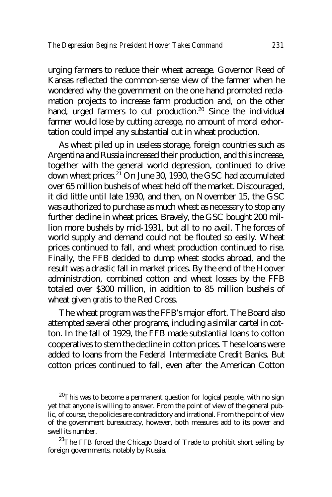urging farmers to reduce their wheat acreage. Governor Reed of Kansas reflected the common-sense view of the farmer when he wondered why the government on the one hand promoted reclamation projects to increase farm production and, on the other hand, urged farmers to cut production.<sup>20</sup> Since the individual farmer would lose by cutting acreage, no amount of moral exhortation could impel any substantial cut in wheat production.

As wheat piled up in useless storage, foreign countries such as Argentina and Russia increased their production, and this increase, together with the general world depression, continued to drive down wheat prices.<sup>21</sup> On June 30, 1930, the GSC had accumulated over 65 million bushels of wheat held off the market. Discouraged, it did little until late 1930, and then, on November 15, the GSC was authorized to purchase as much wheat as necessary to stop any further decline in wheat prices. Bravely, the GSC bought 200 million more bushels by mid-1931, but all to no avail. The forces of world supply and demand could not be flouted so easily. Wheat prices continued to fall, and wheat production continued to rise. Finally, the FFB decided to dump wheat stocks abroad, and the result was a drastic fall in market prices. By the end of the Hoover administration, combined cotton and wheat losses by the FFB totaled over \$300 million, in addition to 85 million bushels of wheat given *gratis* to the Red Cross.

The wheat program was the FFB's major effort. The Board also attempted several other programs, including a similar cartel in cotton. In the fall of 1929, the FFB made substantial loans to cotton cooperatives to stem the decline in cotton prices. These loans were added to loans from the Federal Intermediate Credit Banks. But cotton prices continued to fall, even after the American Cotton

 $20$ This was to become a permanent question for logical people, with no sign yet that anyone is willing to answer. From the point of view of the general public, of course, the policies are contradictory and irrational. From the point of view of the government bureaucracy, however, both measures add to its power and swell its number.

<sup>21</sup>The FFB forced the Chicago Board of Trade to prohibit short selling by foreign governments, notably by Russia.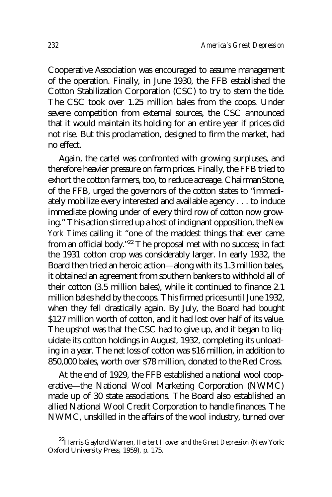Cooperative Association was encouraged to assume management of the operation. Finally, in June 1930, the FFB established the Cotton Stabilization Corporation (CSC) to try to stem the tide. The CSC took over 1.25 million bales from the coops. Under severe competition from external sources, the CSC announced that it would maintain its holding for an entire year if prices did not rise. But this proclamation, designed to firm the market, had no effect.

Again, the cartel was confronted with growing surpluses, and therefore heavier pressure on farm prices. Finally, the FFB tried to exhort the cotton farmers, too, to reduce acreage. Chairman Stone, of the FFB, urged the governors of the cotton states to "immediately mobilize every interested and available agency . . . to induce immediate plowing under of every third row of cotton now growing." This action stirred up a host of indignant opposition, the *New York Times* calling it "one of the maddest things that ever came from an official body."<sup>22</sup> The proposal met with no success; in fact the 1931 cotton crop was considerably larger. In early 1932, the Board then tried an heroic action—along with its 1.3 million bales, it obtained an agreement from southern bankers to withhold all of their cotton (3.5 million bales), while it continued to finance 2.1 million bales held by the coops. This firmed prices until June 1932, when they fell drastically again. By July, the Board had bought \$127 million worth of cotton, and it had lost over half of its value. The upshot was that the CSC had to give up, and it began to liquidate its cotton holdings in August, 1932, completing its unloading in a year. The net loss of cotton was \$16 million, in addition to 850,000 bales, worth over \$78 million, donated to the Red Cross.

At the end of 1929, the FFB established a national wool cooperative—the National Wool Marketing Corporation (NWMC) made up of 30 state associations. The Board also established an allied National Wool Credit Corporation to handle finances. The NWMC, unskilled in the affairs of the wool industry, turned over

<sup>22</sup>Harris Gaylord Warren, *Herbert Hoover and the Great Depression* (New York: Oxford University Press, 1959), p. 175.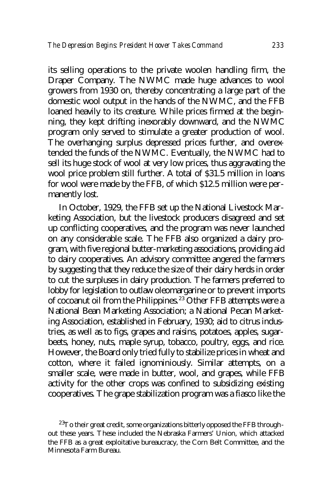its selling operations to the private woolen handling firm, the Draper Company. The NWMC made huge advances to wool growers from 1930 on, thereby concentrating a large part of the domestic wool output in the hands of the NWMC, and the FFB loaned heavily to its creature. While prices firmed at the beginning, they kept drifting inexorably downward, and the NWMC program only served to stimulate a greater production of wool. The overhanging surplus depressed prices further, and overextended the funds of the NWMC. Eventually, the NWMC had to sell its huge stock of wool at very low prices, thus aggravating the wool price problem still further. A total of \$31.5 million in loans for wool were made by the FFB, of which \$12.5 million were permanently lost.

In October, 1929, the FFB set up the National Livestock Marketing Association, but the livestock producers disagreed and set up conflicting cooperatives, and the program was never launched on any considerable scale. The FFB also organized a dairy program, with five regional butter-marketing associations, providing aid to dairy cooperatives. An advisory committee angered the farmers by suggesting that they reduce the size of their dairy herds in order to cut the surpluses in dairy production. The farmers preferred to lobby for legislation to outlaw oleomargarine or to prevent imports of cocoanut oil from the Philippines.<sup>23</sup> Other FFB attempts were a National Bean Marketing Association; a National Pecan Marketing Association, established in February, 1930; aid to citrus industries, as well as to figs, grapes and raisins, potatoes, apples, sugarbeets, honey, nuts, maple syrup, tobacco, poultry, eggs, and rice. However, the Board only tried fully to stabilize prices in wheat and cotton, where it failed ignominiously. Similar attempts, on a smaller scale, were made in butter, wool, and grapes, while FFB activity for the other crops was confined to subsidizing existing cooperatives. The grape stabilization program was a fiasco like the

 $^{23}$ To their great credit, some organizations bitterly opposed the FFB throughout these years. These included the Nebraska Farmers' Union, which attacked the FFB as a great exploitative bureaucracy, the Corn Belt Committee, and the Minnesota Farm Bureau.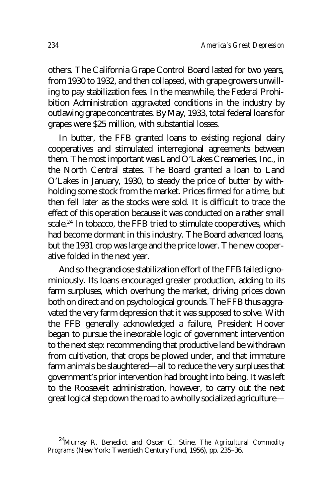others. The California Grape Control Board lasted for two years, from 1930 to 1932, and then collapsed, with grape growers unwilling to pay stabilization fees. In the meanwhile, the Federal Prohibition Administration aggravated conditions in the industry by outlawing grape concentrates. By May, 1933, total federal loans for grapes were \$25 million, with substantial losses.

In butter, the FFB granted loans to existing regional dairy cooperatives and stimulated interregional agreements between them. The most important was Land O'Lakes Creameries, Inc., in the North Central states. The Board granted a loan to Land O'Lakes in January, 1930, to steady the price of butter by withholding some stock from the market. Prices firmed for a time, but then fell later as the stocks were sold. It is difficult to trace the effect of this operation because it was conducted on a rather small scale.<sup>24</sup> In tobacco, the FFB tried to stimulate cooperatives, which had become dormant in this industry. The Board advanced loans, but the 1931 crop was large and the price lower. The new cooperative folded in the next year.

And so the grandiose stabilization effort of the FFB failed ignominiously. Its loans encouraged greater production, adding to its farm surpluses, which overhung the market, driving prices down both on direct and on psychological grounds. The FFB thus aggravated the very farm depression that it was supposed to solve. With the FFB generally acknowledged a failure, President Hoover began to pursue the inexorable logic of government intervention to the next step: recommending that productive land be withdrawn from cultivation, that crops be plowed under, and that immature farm animals be slaughtered—all to reduce the very surpluses that government's prior intervention had brought into being. It was left to the Roosevelt administration, however, to carry out the next great logical step down the road to a wholly socialized agriculture—

<sup>24</sup>Murray R. Benedict and Oscar C. Stine, *The Agricultural Commodity Programs* (New York: Twentieth Century Fund, 1956), pp. 235–36.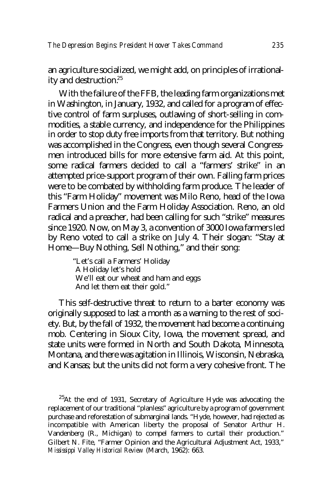an agriculture socialized, we might add, on principles of irrationality and destruction.<sup>25</sup>

With the failure of the FFB, the leading farm organizations met in Washington, in January, 1932, and called for a program of effective control of farm surpluses, outlawing of short-selling in commodities, a stable currency, and independence for the Philippines in order to stop duty free imports from that territory. But nothing was accomplished in the Congress, even though several Congressmen introduced bills for more extensive farm aid. At this point, some radical farmers decided to call a "farmers' strike" in an attempted price-support program of their own. Falling farm prices were to be combated by withholding farm produce. The leader of this "Farm Holiday" movement was Milo Reno, head of the Iowa Farmers Union and the Farm Holiday Association. Reno, an old radical and a preacher, had been calling for such "strike" measures since 1920. Now, on May 3, a convention of 3000 Iowa farmers led by Reno voted to call a strike on July 4. Their slogan: "Stay at Home—Buy Nothing, Sell Nothing," and their song:

> "Let's call a Farmers' Holiday A Holiday let's hold We'll eat our wheat and ham and eggs And let them eat their gold."

This self-destructive threat to return to a barter economy was originally supposed to last a month as a warning to the rest of society. But, by the fall of 1932, the movement had become a continuing mob. Centering in Sioux City, Iowa, the movement spread, and state units were formed in North and South Dakota, Minnesota, Montana, and there was agitation in Illinois, Wisconsin, Nebraska, and Kansas; but the units did not form a very cohesive front. The

<sup>&</sup>lt;sup>25</sup>At the end of 1931, Secretary of Agriculture Hyde was advocating the replacement of our traditional "planless" agriculture by a program of government purchase and reforestation of submarginal lands. "Hyde, however, had rejected as incompatible with American liberty the proposal of Senator Arthur H. Vandenberg (R., Michigan) to compel farmers to curtail their production." Gilbert N. Fite, "Farmer Opinion and the Agricultural Adjustment Act, 1933," *Mississippi Valley Historical Review* (March, 1962): 663.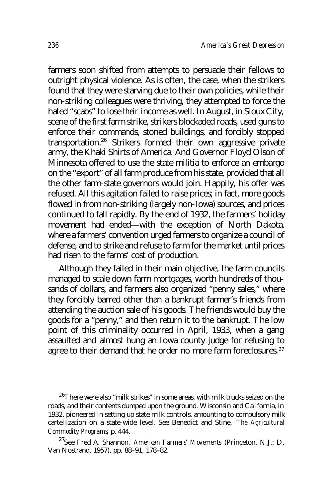farmers soon shifted from attempts to persuade their fellows to outright physical violence. As is often, the case, when the strikers found that they were starving due to their own policies, while their non-striking colleagues were thriving, they attempted to force the hated "scabs" to lose *their* income as well. In August, in Sioux City, scene of the first farm strike, strikers blockaded roads, used guns to enforce their commands, stoned buildings, and forcibly stopped transportation.<sup>26</sup> Strikers formed their own aggressive private army, the Khaki Shirts of America. And Governor Floyd Olson of Minnesota offered to use the state militia to enforce an embargo on the "export" of all farm produce from his state, provided that all the other farm-state governors would join. Happily, his offer was refused. All this agitation failed to raise prices; in fact, more goods flowed in from non-striking (largely non-Iowa) sources, and prices continued to fall rapidly. By the end of 1932, the farmers' holiday movement had ended—with the exception of North Dakota, where a farmers' convention urged farmers to organize a council of defense, and to strike and refuse to farm for the market until prices had risen to the farms' cost of production.

Although they failed in their main objective, the farm councils managed to scale down farm mortgages, worth hundreds of thousands of dollars, and farmers also organized "penny sales," where they forcibly barred other than a bankrupt farmer's friends from attending the auction sale of his goods. The friends would buy the goods for a "penny," and then return it to the bankrupt. The low point of this criminality occurred in April, 1933, when a gang assaulted and almost hung an Iowa county judge for refusing to agree to their demand that he order no more farm foreclosures.<sup>27</sup>

 $^{26}$ There were also "milk strikes" in some areas, with milk trucks seized on the roads, and their contents dumped upon the ground. Wisconsin and California, in 1932, pioneered in setting up state milk controls, amounting to compulsory milk cartellization on a state-wide level. See Benedict and Stine, *The Agricultural Commodity Programs*, p. 444.

<sup>27</sup>See Fred A. Shannon, *American Farmers' Movements* (Princeton, N.J.: D. Van Nostrand, 1957), pp. 88–91, 178–82.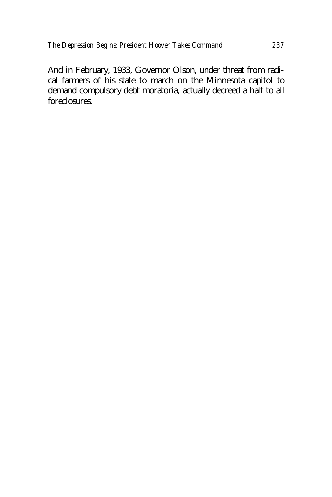And in February, 1933, Governor Olson, under threat from radical farmers of his state to march on the Minnesota capitol to demand compulsory debt moratoria, actually decreed a halt to all foreclosures.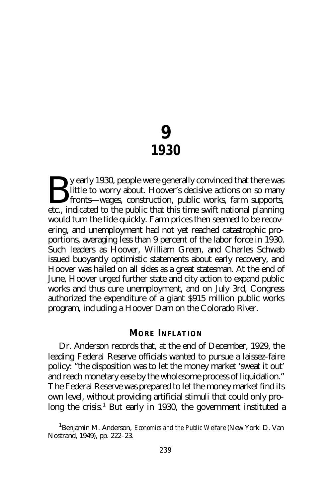**9 1930** 

By early 1930, people were generally convinced that there was<br>little to worry about. Hoover's decisive actions on so many<br>fronts—wages, construction, public works, farm supports,<br>atc. indicated to the public that this time y early 1930, people were generally convinced that there was little to worry about. Hoover's decisive actions on so many etc., indicated to the public that this time swift national planning would turn the tide quickly. Farm prices then seemed to be recovering, and unemployment had not yet reached catastrophic proportions, averaging less than 9 percent of the labor force in 1930. Such leaders as Hoover, William Green, and Charles Schwab issued buoyantly optimistic statements about early recovery, and Hoover was hailed on all sides as a great statesman. At the end of June, Hoover urged further state and city action to expand public works and thus cure unemployment, and on July 3rd, Congress authorized the expenditure of a giant \$915 million public works program, including a Hoover Dam on the Colorado River.

## **MORE INFLATION**

Dr. Anderson records that, at the end of December, 1929, the leading Federal Reserve officials wanted to pursue a laissez-faire policy: "the disposition was to let the money market 'sweat it out' and reach monetary ease by the wholesome process of liquidation." The Federal Reserve was prepared to let the money market find its own level, without providing artificial stimuli that could only prolong the crisis.<sup>1</sup> But early in 1930, the government instituted a

<sup>1</sup> Benjamin M. Anderson, *Economics and the Public Welfare* (New York: D. Van Nostrand, 1949), pp. 222–23.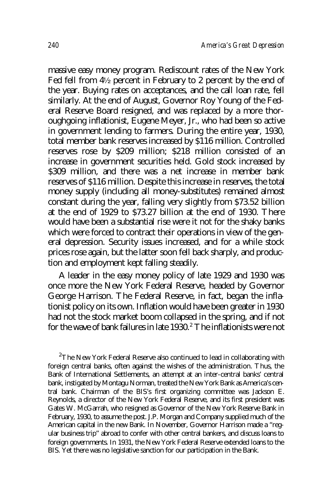massive easy money program. Rediscount rates of the New York Fed fell from  $4\frac{1}{2}$  percent in February to 2 percent by the end of the year. Buying rates on acceptances, and the call loan rate, fell similarly. At the end of August, Governor Roy Young of the Federal Reserve Board resigned, and was replaced by a more thoroughgoing inflationist, Eugene Meyer, Jr., who had been so active in government lending to farmers. During the entire year, 1930, total member bank reserves increased by \$116 million. Controlled reserves rose by \$209 million; \$218 million consisted of an increase in government securities held. Gold stock increased by \$309 million, and there was a net increase in member bank reserves of \$116 million. Despite this increase in reserves, the total money supply (including all money-substitutes) remained almost constant during the year, falling very slightly from \$73.52 billion at the end of 1929 to \$73.27 billion at the end of 1930. There would have been a substantial rise were it not for the shaky banks which were forced to contract their operations in view of the general depression. Security issues increased, and for a while stock prices rose again, but the latter soon fell back sharply, and production and employment kept falling steadily.

A leader in the easy money policy of late 1929 and 1930 was once more the New York Federal Reserve, headed by Governor George Harrison. The Federal Reserve, in fact, began the inflationist policy on its own. Inflation would have been greater in 1930 had not the stock market boom collapsed in the spring, and if not for the wave of bank failures in late  $1930<sup>2</sup>$  The inflationists were not

 $2$ The New York Federal Reserve also continued to lead in collaborating with foreign central banks, often against the wishes of the administration. Thus, the Bank of International Settlements, an attempt at an inter-central banks' central bank, instigated by Montagu Norman, treated the New York Bank as America's central bank. Chairman of the BIS's first organizing committee was Jackson E. Reynolds, a director of the New York Federal Reserve, and its first president was Gates W. McGarrah, who resigned as Governor of the New York Reserve Bank in February, 1930, to assume the post. J.P. Morgan and Company supplied much of the American capital in the new Bank. In November, Governor Harrison made a "regular business trip" abroad to confer with other central bankers, and discuss loans to foreign governments. In 1931, the New York Federal Reserve extended loans to the BIS. Yet there was no legislative sanction for our participation in the Bank.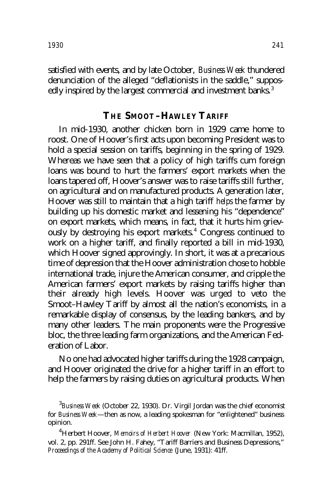satisfied with events, and by late October, *Business Week* thundered denunciation of the alleged "deflationists in the saddle," supposedly inspired by the largest commercial and investment banks.<sup>3</sup>

### **THE SMOOT–HAWLEY TARIFF**

In mid-1930, another chicken born in 1929 came home to roost. One of Hoover's first acts upon becoming President was to hold a special session on tariffs, beginning in the spring of 1929. Whereas we have seen that a policy of high tariffs cum foreign loans was bound to hurt the farmers' export markets when the loans tapered off, Hoover's answer was to raise tariffs still further, on agricultural and on manufactured products. A generation later, Hoover was still to maintain that a high tariff *helps* the farmer by building up his domestic market and lessening his "dependence" on export markets, which means, in fact, that it hurts him grievously by destroying his export markets.<sup>4</sup> Congress continued to work on a higher tariff, and finally reported a bill in mid-1930, which Hoover signed approvingly. In short, it was at a precarious time of depression that the Hoover administration chose to hobble international trade, injure the American consumer, and cripple the American farmers' export markets by raising tariffs higher than their already high levels. Hoover was urged to veto the Smoot–Hawley Tariff by almost all the nation's economists, in a remarkable display of consensus, by the leading bankers, and by many other leaders. The main proponents were the Progressive bloc, the three leading farm organizations, and the American Federation of Labor.

No one had advocated higher tariffs during the 1928 campaign, and Hoover originated the drive for a higher tariff in an effort to help the farmers by raising duties on agricultural products. When

<sup>3</sup> *Business Week* (October 22, 1930). Dr. Virgil Jordan was the chief economist for *Business Week*—then as now, a leading spokesman for "enlightened" business opinion.

<sup>&</sup>lt;sup>4</sup>Herbert Hoover, *Memoirs of Herbert Hoover* (New York: Macmillan, 1952), vol. 2, pp. 291ff. See John H. Fahey, "Tariff Barriers and Business Depressions," *Proceedings of the Academy of Political Science* (June, 1931): 41ff.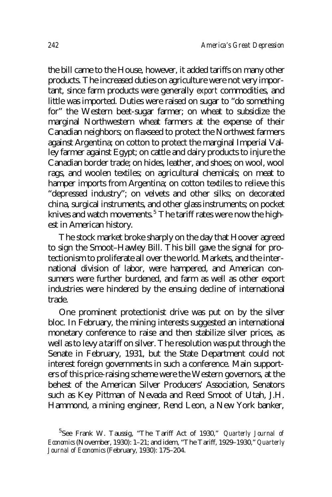the bill came to the House, however, it added tariffs on many other products. The increased duties on agriculture were not very important, since farm products were generally *export* commodities, and little was imported. Duties were raised on sugar to "do something for" the Western beet-sugar farmer; on wheat to subsidize the marginal Northwestern wheat farmers at the expense of their Canadian neighbors; on flaxseed to protect the Northwest farmers against Argentina; on cotton to protect the marginal Imperial Valley farmer against Egypt; on cattle and dairy products to injure the Canadian border trade; on hides, leather, and shoes; on wool, wool rags, and woolen textiles; on agricultural chemicals; on meat to hamper imports from Argentina; on cotton textiles to relieve this "depressed industry"; on velvets and other silks; on decorated china, surgical instruments, and other glass instruments; on pocket knives and watch movements.<sup>5</sup> The tariff rates were now the highest in American history.

The stock market broke sharply on the day that Hoover agreed to sign the Smoot–Hawley Bill. This bill gave the signal for protectionism to proliferate all over the world. Markets, and the international division of labor, were hampered, and American consumers were further burdened, and farm as well as other export industries were hindered by the ensuing decline of international trade.

One prominent protectionist drive was put on by the silver bloc. In February, the mining interests suggested an international monetary conference to raise and then stabilize silver prices, as well as to levy a tariff on silver. The resolution was put through the Senate in February, 1931, but the State Department could not interest foreign governments in such a conference. Main supporters of this price-raising scheme were the Western governors, at the behest of the American Silver Producers' Association, Senators such as Key Pittman of Nevada and Reed Smoot of Utah, J.H. Hammond, a mining engineer, Rend Leon, a New York banker,

<sup>5</sup> See Frank W. Taussig, "The Tariff Act of 1930," *Quarterly Journal of Economics* (November, 1930): 1–21; and idem, "The Tariff, 1929–1930," *Quarterly Journal of Economics* (February, 1930): 175–204.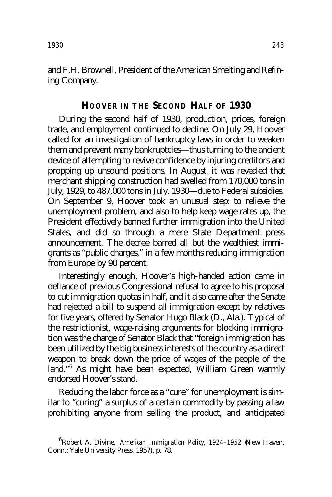and F.H. Brownell, President of the American Smelting and Refining Company.

### **HOOVER IN THE SECOND HALF OF 1930**

During the second half of 1930, production, prices, foreign trade, and employment continued to decline. On July 29, Hoover called for an investigation of bankruptcy laws in order to weaken them and prevent many bankruptcies—thus turning to the ancient device of attempting to revive confidence by injuring creditors and propping up unsound positions. In August, it was revealed that merchant shipping construction had swelled from 170,000 tons in July, 1929, to 487,000 tons in July, 1930—due to Federal subsidies. On September 9, Hoover took an unusual step: to relieve the unemployment problem, and also to help keep wage rates up, the President effectively banned further immigration into the United States, and did so through a mere State Department press announcement. The decree barred all but the wealthiest immigrants as "public charges," in a few months reducing immigration from Europe by 90 percent.

Interestingly enough, Hoover's high-handed action came in defiance of previous Congressional refusal to agree to his proposal to cut immigration quotas in half, and it also came after the Senate had rejected a bill to suspend all immigration except by relatives for five years, offered by Senator Hugo Black (D., Ala.). Typical of the restrictionist, wage-raising arguments for blocking immigration was the charge of Senator Black that "foreign immigration has been utilized by the big business interests of the country as a direct weapon to break down the price of wages of the people of the land."<sup>6</sup> As might have been expected, William Green warmly endorsed Hoover's stand.

Reducing the labor force as a "cure" for unemployment is similar to "curing" a surplus of a certain commodity by passing a law prohibiting anyone from selling the product, and anticipated

<sup>6</sup>Robert A. Divine, *American Immigration Policy, 1924–1952 (*New Haven, Conn.: Yale University Press, 1957), p. 78.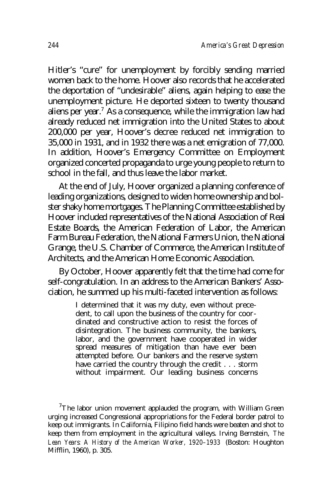Hitler's "cure" for unemployment by forcibly sending married women back to the home. Hoover also records that he accelerated the deportation of "undesirable" aliens, again helping to ease the unemployment picture. He deported sixteen to twenty thousand aliens per year.<sup> $7$ </sup> As a consequence, while the immigration law had already reduced net immigration into the United States to about 200,000 per year, Hoover's decree reduced net immigration to 35,000 in 1931, and in 1932 there was a net emigration of 77,000. In addition, Hoover's Emergency Committee on Employment organized concerted propaganda to urge young people to return to school in the fall, and thus leave the labor market.

At the end of July, Hoover organized a planning conference of leading organizations, designed to widen home ownership and bolster shaky home mortgages. The Planning Committee established by Hoover included representatives of the National Association of Real Estate Boards, the American Federation of Labor, the American Farm Bureau Federation, the National Farmers Union, the National Grange, the U.S. Chamber of Commerce, the American Institute of Architects, and the American Home Economic Association.

By October, Hoover apparently felt that the time had come for self-congratulation. In an address to the American Bankers' Association, he summed up his multi-faceted intervention as follows:

> I determined that it was my duty, even without precedent, to call upon the business of the country for coordinated and constructive action to resist the forces of disintegration. The business community, the bankers, labor, and the government have cooperated in wider spread measures of mitigation than have ever been attempted before. Our bankers and the reserve system have carried the country through the credit . . . storm without impairment. Our leading business concerns

 $7$ The labor union movement applauded the program, with William Green urging increased Congressional appropriations for the Federal border patrol to keep out immigrants. In California, Filipino field hands were beaten and shot to keep them from employment in the agricultural valleys. Irving Bernstein, *The Lean Years: A History of the American Worker, 1920–1933* (Boston: Houghton Mifflin, 1960), p. 305.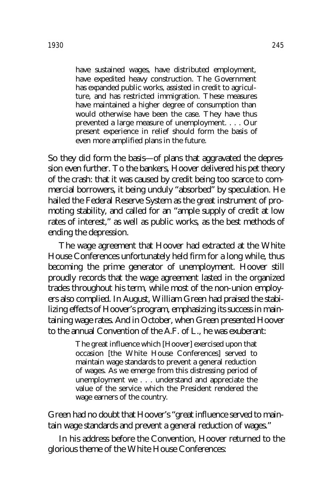have sustained wages, have distributed employment, have expedited heavy construction. The Government has expanded public works, assisted in credit to agriculture, and has restricted immigration. These measures have maintained a higher degree of consumption than would otherwise have been the case. They have thus prevented a large measure of unemployment. . . . Our present experience in relief should form the basis of even more amplified plans in the future.

So they did form the basis—of plans that aggravated the depression even further. To the bankers, Hoover delivered his pet theory of the crash: that it was caused by credit being too scarce to commercial borrowers, it being unduly "absorbed" by speculation. He hailed the Federal Reserve System as the great instrument of promoting stability, and called for an "ample supply of credit at low rates of interest," as well as public works, as the best methods of ending the depression.

The wage agreement that Hoover had extracted at the White House Conferences unfortunately held firm for a long while, thus becoming the prime generator of unemployment. Hoover still proudly records that the wage agreement lasted in the organized trades throughout his term, while most of the non-union employers also complied. In August, William Green had praised the stabilizing effects of Hoover's program, emphasizing its success in maintaining wage rates. And in October, when Green presented Hoover to the annual Convention of the A.F. of L., he was exuberant:

> The great influence which [Hoover] exercised upon that occasion [the White House Conferences] served to maintain wage standards to prevent a general reduction of wages. As we emerge from this distressing period of unemployment we . . . understand and appreciate the value of the service which the President rendered the wage earners of the country.

Green had no doubt that Hoover's "great influence served to maintain wage standards and prevent a general reduction of wages."

In his address before the Convention, Hoover returned to the glorious theme of the White House Conferences: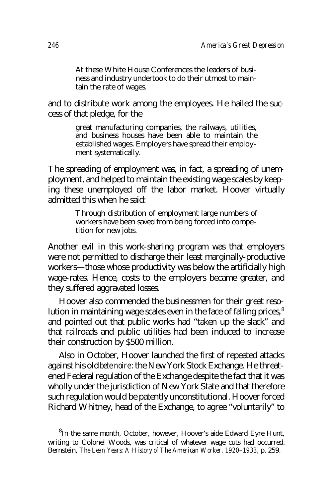At these White House Conferences the leaders of business and industry undertook to do their utmost to maintain the rate of wages.

and to distribute work among the employees. He hailed the success of that pledge, for the

> great manufacturing companies, the railways, utilities, and business houses have been able to maintain the established wages. Employers have spread their employment systematically.

The spreading of employment was, in fact, a spreading of unemployment, and helped to maintain the existing wage scales by keeping these unemployed off the labor market. Hoover virtually admitted this when he said:

> Through distribution of employment large numbers of workers have been saved from being forced into competition for new jobs.

Another evil in this work-sharing program was that employers were not permitted to discharge their least marginally-productive workers—those whose productivity was below the artificially high wage-rates. Hence, costs to the employers became greater, and they suffered aggravated losses.

Hoover also commended the businessmen for their great resolution in maintaining wage scales even in the face of falling prices, $8$ and pointed out that public works had "taken up the slack" and that railroads and public utilities had been induced to increase their construction by \$500 million.

Also in October, Hoover launched the first of repeated attacks against his old *bete noire*: the New York Stock Exchange. He threatened Federal regulation of the Exchange despite the fact that it was wholly under the jurisdiction of New York State and that therefore such regulation would be patently unconstitutional. Hoover forced Richard Whitney, head of the Exchange, to agree "voluntarily" to

 ${}^{8}$ In the same month, October, however, Hoover's aide Edward Eyre Hunt, writing to Colonel Woods, was critical of whatever wage cuts had occurred. Bernstein, *The Lean Years: A History of The American Worker, 1920–1933,* p. 259.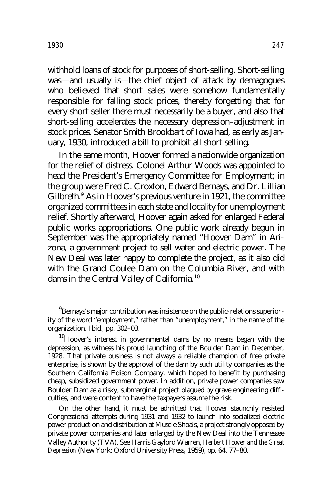withhold loans of stock for purposes of short-selling. Short-selling was—and usually is—the chief object of attack by demagogues who believed that short sales were somehow fundamentally responsible for falling stock prices, thereby forgetting that for every short seller there must necessarily be a buyer, and also that short-selling accelerates the necessary depression–adjustment in stock prices. Senator Smith Brookbart of Iowa had, as early as January, 1930, introduced a bill to prohibit all short selling.

In the same month, Hoover formed a nationwide organization for the relief of distress. Colonel Arthur Woods was appointed to head the President's Emergency Committee for Employment; in the group were Fred C. Croxton, Edward Bernays, and Dr. Lillian Gilbreth.<sup>9</sup> As in Hoover's previous venture in 1921, the committee organized committees in each state and locality for unemployment relief. Shortly afterward, Hoover again asked for enlarged Federal public works appropriations. One public work already begun in September was the appropriately named "Hoover Dam" in Arizona, a government project to sell water and electric power. The New Deal was later happy to complete the project, as it also did with the Grand Coulee Dam on the Columbia River, and with dams in the Central Valley of California.<sup>10</sup>

 $^9$ Bernays's major contribution was insistence on the public-relations superiority of the word "employment," rather than "unemployment," in the name of the organization. Ibid.*,* pp. 302–03.

 $10<sup>10</sup>$  Hoover's interest in governmental dams by no means began with the depression, as witness his proud launching of the Boulder Dam in December, 1928. That private business is not always a reliable champion of free private enterprise, is shown by the approval of the dam by such utility companies as the Southern California Edison Company, which hoped to benefit by purchasing cheap, subsidized government power. In addition, private power companies saw Boulder Dam as a risky, submarginal project plagued by grave engineering difficulties, and were content to have the taxpayers assume the risk.

On the other hand, it must be admitted that Hoover staunchly resisted Congressional attempts during 1931 and 1932 to launch into socialized electric power production and distribution at Muscle Shoals, a project strongly opposed by private power companies and later enlarged by the New Deal into the Tennessee Valley Authority (TVA). See Harris Gaylord Warren, *Herbert Hoover and the Great Depression* (New York: Oxford University Press, 1959), pp. 64, 77–80.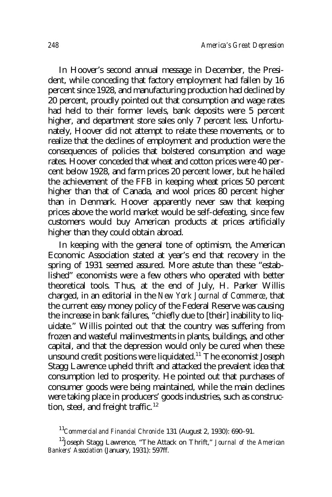In Hoover's second annual message in December, the President, while conceding that factory employment had fallen by 16 percent since 1928, and manufacturing production had declined by 20 percent, proudly pointed out that consumption and wage rates had held to their former levels, bank deposits were 5 percent higher, and department store sales only 7 percent less. Unfortunately, Hoover did not attempt to relate these movements, or to realize that the declines of employment and production were the consequences of policies that bolstered consumption and wage rates. Hoover conceded that wheat and cotton prices were 40 percent below 1928, and farm prices 20 percent lower, but he hailed the achievement of the FFB in keeping wheat prices 50 percent higher than that of Canada, and wool prices 80 percent higher than in Denmark. Hoover apparently never saw that keeping prices above the world market would be self-defeating, since few customers would buy American products at prices artificially higher than they could obtain abroad.

In keeping with the general tone of optimism, the American Economic Association stated at year's end that recovery in the spring of 1931 seemed assured. More astute than these "established" economists were a few others who operated with better theoretical tools. Thus, at the end of July, H. Parker Willis charged, in an editorial in the *New York Journal of Commerce*, that the current easy money policy of the Federal Reserve was causing the increase in bank failures, "chiefly due to [their] inability to liquidate." Willis pointed out that the country was suffering from frozen and wasteful malinvestments in plants, buildings, and other capital, and that the depression would only be cured when these unsound credit positions were liquidated.<sup>11</sup> The economist Joseph Stagg Lawrence upheld thrift and attacked the prevalent idea that consumption led to prosperity. He pointed out that purchases of consumer goods were being maintained, while the main declines were taking place in producers' goods industries, such as construction, steel, and freight traffic. $12$ 

<sup>11</sup>*Commercial and Financial Chronicle* 131 (August 2, 1930): 690–91.

<sup>12</sup>Joseph Stagg Lawrence, "The Attack on Thrift," *Journal of the American Bankers' Association* (January, 1931): 597ff.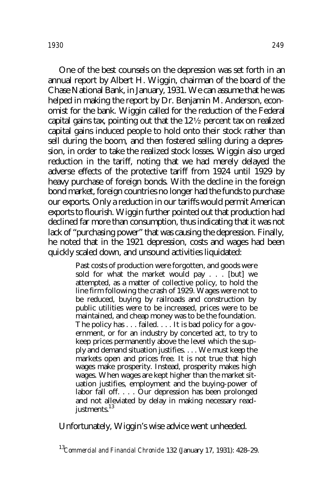One of the best counsels on the depression was set forth in an annual report by Albert H. Wiggin, chairman of the board of the Chase National Bank, in January, 1931. We can assume that he was helped in making the report by Dr. Benjamin M. Anderson, economist for the bank. Wiggin called for the reduction of the Federal capital gains tax, pointing out that the  $12\frac{1}{2}$  percent tax on realized capital gains induced people to hold onto their stock rather than sell during the boom, and then fostered selling during a depression, in order to take the realized stock losses. Wiggin also urged reduction in the tariff, noting that we had merely delayed the adverse effects of the protective tariff from 1924 until 1929 by heavy purchase of foreign bonds. With the decline in the foreign bond market, foreign countries no longer had the funds to purchase our exports. Only a reduction in our tariffs would permit American exports to flourish. Wiggin further pointed out that production had declined far more than consumption, thus indicating that it was not lack of "purchasing power" that was causing the depression. Finally, he noted that in the 1921 depression, costs and wages had been quickly scaled down, and unsound activities liquidated:

> Past costs of production were forgotten, and goods were sold for what the market would pay . . . [but] we attempted, as a matter of collective policy, to hold the line firm following the crash of 1929. Wages were not to be reduced, buying by railroads and construction by public utilities were to be increased, prices were to be maintained, and cheap money was to be the foundation. The policy has  $\ldots$  failed.  $\ldots$  It is bad policy for a government, or for an industry by concerted act, to try to keep prices permanently above the level which the supply and demand situation justifies. . . . We must keep the markets open and prices free. It is not true that high wages make prosperity. Instead, prosperity makes high wages. When wages are kept higher than the market situation justifies, employment and the buying-power of labor fall off. . . . Our depression has been prolonged and not alleviated by delay in making necessary readjustments.<sup>13</sup>

Unfortunately, Wiggin's wise advice went unheeded.

<sup>13</sup>*Commercial and Financial Chronicle* 132 (January 17, 1931): 428–29.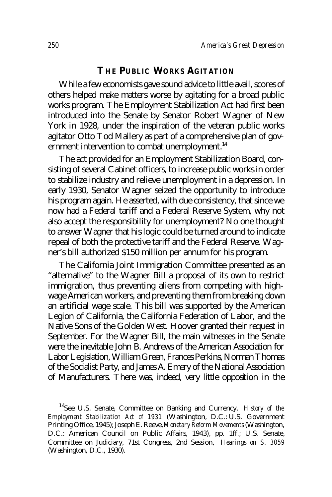# **THE PUBLIC WORKS AGITATION**

While a few economists gave sound advice to little avail, scores of others helped make matters worse by agitating for a broad public works program. The Employment Stabilization Act had first been introduced into the Senate by Senator Robert Wagner of New York in 1928, under the inspiration of the veteran public works agitator Otto Tod Mallery as part of a comprehensive plan of government intervention to combat unemployment.<sup>14</sup>

The act provided for an Employment Stabilization Board, consisting of several Cabinet officers, to increase public works in order to stabilize industry and relieve unemployment in a depression. In early 1930, Senator Wagner seized the opportunity to introduce his program again. He asserted, with due consistency, that since we now had a Federal tariff and a Federal Reserve System, why not also accept the responsibility for unemployment? No one thought to answer Wagner that his logic could be turned around to indicate repeal of both the protective tariff and the Federal Reserve. Wagner's bill authorized \$150 million per annum for his program.

The California Joint Immigration Committee presented as an "alternative" to the Wagner Bill a proposal of its own to restrict immigration, thus preventing aliens from competing with highwage American workers, and preventing them from breaking down an artificial wage scale. This bill was supported by the American Legion of California, the California Federation of Labor, and the Native Sons of the Golden West. Hoover granted their request in September. For the Wagner Bill, the main witnesses in the Senate were the inevitable John B. Andrews of the American Association for Labor Legislation, William Green, Frances Perkins, Norman Thomas of the Socialist Party, and James A. Emery of the National Association of Manufacturers. There was, indeed, very little opposition in the

<sup>14</sup>See U.S. Senate, Committee on Banking and Currency, *History of the Employment Stabilization Act of 1931* (Washington, D.C.: U.S. Government Printing Office, 1945); Joseph E. Reeve, *Monetary Reform Movements* (Washington, D.C.: American Council on Public Affairs, 1943), pp. 1ff.; U.S. Senate, Committee on Judiciary, 71st Congress, 2nd Session, *Hearings on S. 3059* (Washington, D.C., 1930).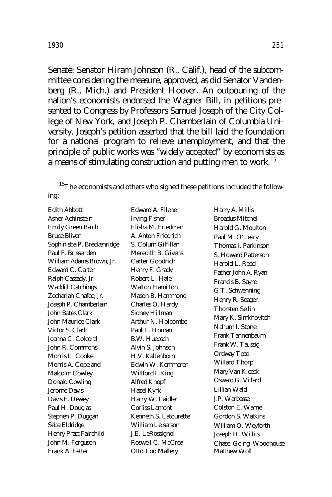Senate: Senator Hiram Johnson (R., Calif.), head of the subcommittee considering the measure, approved, as did Senator Vandenberg (R., Mich.) and President Hoover. An outpouring of the nation's economists endorsed the Wagner Bill, in petitions presented to Congress by Professors Samuel Joseph of the City College of New York, and Joseph P. Chamberlain of Columbia University. Joseph's petition asserted that the bill laid the foundation for a national program to relieve unemployment, and that the principle of public works was "widely accepted" by economists as a means of stimulating construction and putting men to work.<sup>15</sup>

<sup>15</sup>The economists and others who signed these petitions included the following:

| <b>Edith Abbott</b>          | <b>Edward A. Filene</b>   | Harry A. Millis              |
|------------------------------|---------------------------|------------------------------|
| Asher Achinstein             | <b>Irving Fisher</b>      | <b>Broadus Mitchell</b>      |
| <b>Emily Green Balch</b>     | Elisha M. Friedman        | Harold G. Moulton            |
| <b>Bruce Bliven</b>          | A. Anton Friedrich        | Paul M. O'Leary              |
| Sophinisba P. Breckenridge   | S. Colum Gilfillan        | Thomas I. Parkinson          |
| Paul F. Brissenden           | <b>Meredith B. Givens</b> | S. Howard Patterson          |
| William Adams Brown. Jr.     | <b>Carter Goodrich</b>    | Harold L. Reed               |
| Edward C. Carter             | Henry F. Grady            | Father John A. Ryan          |
| Ralph Cassady, Jr.           | Robert L. Hale            | Francis B. Sayre             |
| <b>Waddill Catchings</b>     | <b>Walton Hamilton</b>    | G.T. Schwenning              |
| Zechariah Chafee. Jr.        | Mason B. Hammond          | Henry R. Seager              |
| Joseph P. Chamberlain        | Charles O. Hardy          | <b>Thorsten Sellin</b>       |
| John Bates Clark             | <b>Sidney Hillman</b>     | Mary K. Simkhovitch          |
| John Maurice Clark           | Arthur N. Holcombe        | Nahum I. Stone               |
| Victor S. Clark              | Paul T. Homan             | <b>Frank Tannenbaum</b>      |
| Joanna C. Colcord            | <b>B.W. Huebsch</b>       | Frank W. Taussig             |
| John R. Commons              | Alvin S. Johnson          |                              |
| Morris L. Cooke              | H.V. Kaltenborn           | <b>Ordway Tead</b>           |
| Morris A. Copeland           | Edwin W. Kemmerer         | <b>Willard Thorp</b>         |
| <b>Malcolm Cowley</b>        | Willford I. King          | Mary Van Kleeck              |
| <b>Donald Cowling</b>        | <b>Alfred Knopf</b>       | Oswald G. Villard            |
| <b>Jerome Davis</b>          | <b>Hazel Kyrk</b>         | Lillian Wald                 |
| Davis F. Dewey               | Harry W. Laidler          | J.P. Warbasse                |
| Paul H. Douglas              | <b>Corliss Lamont</b>     | <b>Colston E. Warne</b>      |
| Stephen P. Duggan            | Kenneth S. Latourette     | <b>Gordon S. Watkins</b>     |
| Seba Eldridge                | William Leiserson         | William O. Weyforth          |
| <b>Henry Pratt Fairchild</b> | J.E. LeRossignol          | Joseph H. Willits            |
| John M. Ferguson             | Roswell C. McCrea         | <b>Chase Going Woodhouse</b> |
| Frank A. Fetter              | <b>Otto Tod Mallery</b>   | Matthew Woll                 |
|                              |                           |                              |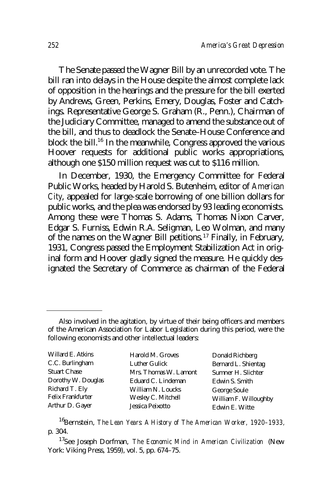The Senate passed the Wagner Bill by an unrecorded vote. The bill ran into delays in the House despite the almost complete lack of opposition in the hearings and the pressure for the bill exerted by Andrews, Green, Perkins, Emery, Douglas, Foster and Catchings. Representative George S. Graham (R., Penn.), Chairman of the Judiciary Committee, managed to amend the substance out of the bill, and thus to deadlock the Senate–House Conference and block the bill.<sup>16</sup> In the meanwhile, Congress approved the various Hoover requests for additional public works appropriations, although one \$150 million request was cut to \$116 million.

In December, 1930, the Emergency Committee for Federal Public Works, headed by Harold S. Butenheim, editor of *American City*, appealed for large-scale borrowing of one billion dollars for public works, and the plea was endorsed by 93 leading economists. Among these were Thomas S. Adams, Thomas Nixon Carver, Edgar S. Furniss, Edwin R.A. Seligman, Leo Wolman, and many of the names on the Wagner Bill petitions.<sup>17</sup> Finally, in February, 1931, Congress passed the Employment Stabilization Act in original form and Hoover gladly signed the measure. He quickly designated the Secretary of Commerce as chairman of the Federal

Also involved in the agitation, by virtue of their being officers and members of the American Association for Labor Legislation during this period, were the following economists and other intellectual leaders:

| Willard E. Atkins        |
|--------------------------|
| C.C. Burlingham          |
| <b>Stuart Chase</b>      |
| Dorothy W. Douglas       |
| Richard T. Ely           |
| <b>Felix Frankfurter</b> |
| Arthur D. Gayer          |

Harold M. Groves Luther Gulick Mrs. Thomas W. Lamont Eduard C. Lindeman William N. Loucks Wesley C. Mitchell Jessica Peixotto

Donald Richberg Bernard L. Shientag Sumner H. Slichter Edwin S. Smith George Soule William F. Willoughby Edwin E. Witte

<sup>16</sup>Bernstein, *The Lean Years: A History of The American Worker, 1920–1933,* p. 304.

<sup>17</sup>See Joseph Dorfman, *The Economic Mind in American Civilization* (New York: Viking Press, 1959), vol. 5, pp. 674–75.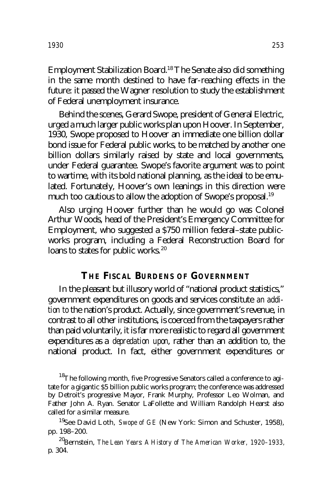Employment Stabilization Board.<sup>18</sup>The Senate also did something in the same month destined to have far-reaching effects in the future: it passed the Wagner resolution to study the establishment of Federal unemployment insurance.

Behind the scenes, Gerard Swope, president of General Electric, urged a much larger public works plan upon Hoover. In September, 1930, Swope proposed to Hoover an immediate one billion dollar bond issue for Federal public works, to be matched by another one billion dollars similarly raised by state and local governments, under Federal guarantee. Swope's favorite argument was to point to wartime, with its bold national planning, as the ideal to be emulated. Fortunately, Hoover's own leanings in this direction were much too cautious to allow the adoption of Swope's proposal.<sup>19</sup>

Also urging Hoover further than he would go was Colonel Arthur Woods, head of the President's Emergency Committee for Employment, who suggested a \$750 million federal–state publicworks program, including a Federal Reconstruction Board for loans to states for public works.<sup>20</sup>

#### **THE FISCAL BURDENS OF GOVERNMENT**

In the pleasant but illusory world of "national product statistics," government expenditures on goods and services constitute *an addition to* the nation's product. Actually, since government's revenue, in contrast to all other institutions, is coerced from the taxpayers rather than paid voluntarily, it is far more realistic to regard all government expenditures as a *depredation upon*, rather than an addition to, the national product. In fact, either government expenditures or

<sup>18</sup>The following month, five Progressive Senators called a conference to agitate for a gigantic \$5 billion public works program; the conference was addressed by Detroit's progressive Mayor, Frank Murphy, Professor Leo Wolman, and Father John A. Ryan. Senator LaFollette and William Randolph Hearst also called for a similar measure.

<sup>19</sup>See David Loth, *Swope of GE* (New York: Simon and Schuster, 1958), pp. 198–200.

<sup>20</sup>Bernstein, *The Lean Years: A History of The American Worker, 1920–1933,* p. 304.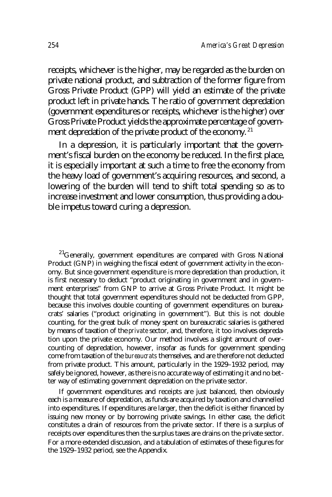receipts, whichever is the higher, may be regarded as the burden on private national product, and subtraction of the former figure from Gross Private Product (GPP) will yield an estimate of the private product left in private hands. The ratio of government depredation (government expenditures or receipts, whichever is the higher) over Gross Private Product yields the approximate percentage of government depredation of the private product of the economy.<sup>21</sup>

In a depression, it is particularly important that the government's fiscal burden on the economy be reduced. In the first place, it is especially important at such a time to free the economy from the heavy load of government's acquiring resources, and second, a lowering of the burden will tend to shift total spending so as to increase investment and lower consumption, thus providing a double impetus toward curing a depression.

 $21$ Generally, government expenditures are compared with Gross National Product (GNP) in weighing the fiscal extent of government activity in the economy. But since government expenditure is more depredation than production, it is first necessary to deduct "product originating in government and in government enterprises" from GNP to arrive at Gross Private Product. It might be thought that total government expenditures should not be deducted from GPP, because this involves double counting of government expenditures on bureaucrats' salaries ("product originating in government"). But this is not double counting, for the great bulk of money spent on bureaucratic salaries is gathered by means of taxation of the *private* sector, and, therefore, it too involves depredation upon the private economy. Our method involves a slight amount of overcounting of depredation, however, insofar as funds for government spending come from taxation of the *bureaucrats* themselves, and are therefore not deducted from private product. This amount, particularly in the 1929–1932 period, may safely be ignored, however, as there is no accurate way of estimating it and no better way of estimating government depredation on the private sector.

If government expenditures and receipts are just balanced, then obviously each is a measure of depredation, as funds are acquired by taxation and channelled into expenditures. If expenditures are larger, then the deficit is either financed by issuing new money or by borrowing private savings. In either case, the deficit constitutes a drain of resources from the private sector. If there is a surplus of receipts over expenditures then the surplus taxes are drains on the private sector. For a more extended discussion, and a tabulation of estimates of these figures for the 1929–1932 period, see the Appendix.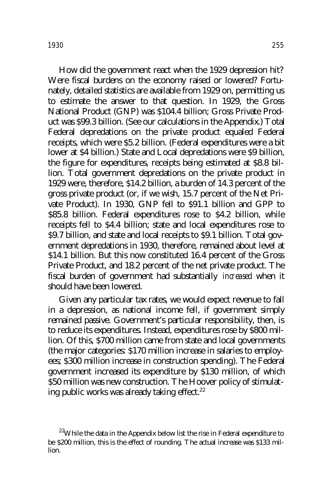How did the government react when the 1929 depression hit? Were fiscal burdens on the economy raised or lowered? Fortunately, detailed statistics are available from 1929 on, permitting us to estimate the answer to that question. In 1929, the Gross National Product (GNP) was \$104.4 billion; Gross Private Product was \$99.3 billion. (See our calculations in the Appendix.) Total Federal depredations on the private product equaled Federal receipts, which were \$5.2 billion. (Federal expenditures were a bit lower at \$4 billion.) State and Local depredations were \$9 billion, the figure for expenditures, receipts being estimated at \$8.8 billion. Total government depredations on the private product in 1929 were, therefore, \$14.2 billion, a burden of 14.3 percent of the gross private product (or, if we wish, 15.7 percent of the Net Private Product). In 1930, GNP fell to \$91.1 billion and GPP to \$85.8 billion. Federal expenditures rose to \$4.2 billion, while receipts fell to \$4.4 billion; state and local expenditures rose to \$9.7 billion, and state and local receipts to \$9.1 billion. Total government depredations in 1930, therefore, remained about level at \$14.1 billion. But this now constituted 16.4 percent of the Gross Private Product, and 18.2 percent of the net private product. The fiscal burden of government had substantially *increased* when it should have been lowered.

Given any particular tax rates, we would expect revenue to fall in a depression, as national income fell, if government simply remained passive. Government's particular responsibility, then, is to reduce its expenditures. Instead, expenditures rose by \$800 million. Of this, \$700 million came from state and local governments (the major categories: \$170 million increase in salaries to employees; \$300 million increase in construction spending). The Federal government increased its expenditure by \$130 million, of which \$50 million was new construction. The Hoover policy of stimulating public works was already taking effect. $22$ 

 $22$ While the data in the Appendix below list the rise in Federal expenditure to be \$200 million, this is the effect of rounding. The actual increase was \$133 million.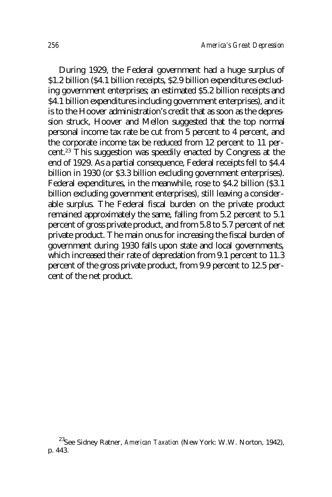During 1929, the Federal government had a huge surplus of \$1.2 billion (\$4.1 billion receipts, \$2.9 billion expenditures excluding government enterprises; an estimated \$5.2 billion receipts and \$4.1 billion expenditures including government enterprises), and it is to the Hoover administration's credit that as soon as the depression struck, Hoover and Mellon suggested that the top normal personal income tax rate be cut from 5 percent to 4 percent, and the corporate income tax be reduced from 12 percent to 11 percent.<sup>23</sup> This suggestion was speedily enacted by Congress at the end of 1929. As a partial consequence, Federal receipts fell to \$4.4 billion in 1930 (or \$3.3 billion excluding government enterprises). Federal expenditures, in the meanwhile, rose to \$4.2 billion (\$3.1 billion excluding government enterprises), still leaving a considerable surplus. The Federal fiscal burden on the private product remained approximately the same, falling from 5.2 percent to 5.1 percent of gross private product, and from 5.8 to 5.7 percent of net private product. The main onus for increasing the fiscal burden of government during 1930 falls upon state and local governments, which increased their rate of depredation from 9.1 percent to 11.3 percent of the gross private product, from 9.9 percent to 12.5 percent of the net product.

<sup>23</sup>See Sidney Ratner, *American Taxation* (New York: W.W. Norton, 1942), p. 443.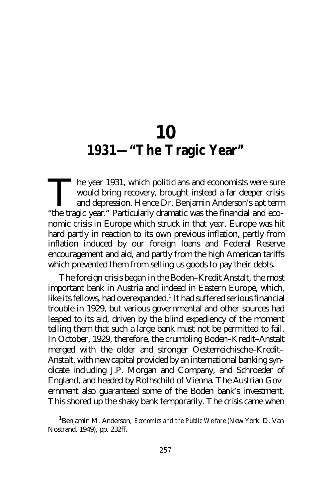# **10 1931—"The Tragic Year"**

The year 1931, which politicians and economists were sure<br>would bring recovery, brought instead a far deeper crisis<br>and depression. Hence Dr. Benjamin Anderson's apt term<br>"the tragic year." Particularly dramatic was the fi he year 1931, which politicians and economists were sure would bring recovery, brought instead a far deeper crisis and depression. Hence Dr. Benjamin Anderson's apt term nomic crisis in Europe which struck in that year. Europe was hit hard partly in reaction to its own previous inflation, partly from inflation induced by our foreign loans and Federal Reserve encouragement and aid, and partly from the high American tariffs which prevented them from selling us goods to pay their debts.

The foreign crisis began in the Boden–Kredit Anstalt, the most important bank in Austria and indeed in Eastern Europe, which, like its fellows, had overexpanded. $^{\rm 1}$  It had suffered serious financial trouble in 1929, but various governmental and other sources had leaped to its aid, driven by the blind expediency of the moment telling them that such a large bank must not be permitted to fail. In October, 1929, therefore, the crumbling Boden–Kredit–Anstalt merged with the older and stronger Oesterreichische–Kredit– Anstalt, with new capital provided by an international banking syndicate including J.P. Morgan and Company, and Schroeder of England, and headed by Rothschild of Vienna. The Austrian Government also guaranteed some of the Boden bank's investment. This shored up the shaky bank temporarily. The crisis came when

<sup>1</sup> Benjamin M. Anderson, *Economics and the Public Welfare* (New York: D. Van Nostrand, 1949), pp. 232ff.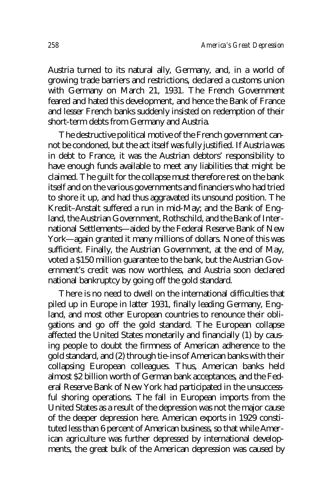Austria turned to its natural ally, Germany, and, in a world of growing trade barriers and restrictions, declared a customs union with Germany on March 21, 1931. The French Government feared and hated this development, and hence the Bank of France and lesser French banks suddenly insisted on redemption of their short-term debts from Germany and Austria.

The destructive political motive of the French government cannot be condoned, but the act itself was fully justified. If Austria was in debt to France, it was the Austrian debtors' responsibility to have enough funds available to meet any liabilities that might be claimed. The guilt for the collapse must therefore rest on the bank itself and on the various governments and financiers who had tried to shore it up, and had thus aggravated its unsound position. The Kredit–Anstalt suffered a run in mid-May; and the Bank of England, the Austrian Government, Rothschild, and the Bank of International Settlements—aided by the Federal Reserve Bank of New York—again granted it many millions of dollars. None of this was sufficient. Finally, the Austrian Government, at the end of May, voted a \$150 million guarantee to the bank, but the Austrian Government's credit was now worthless, and Austria soon declared national bankruptcy by going off the gold standard.

There is no need to dwell on the international difficulties that piled up in Europe in latter 1931, finally leading Germany, England, and most other European countries to renounce their obligations and go off the gold standard. The European collapse affected the United States monetarily and financially (1) by causing people to doubt the firmness of American adherence to the gold standard, and (2) through tie-ins of American banks with their collapsing European colleagues. Thus, American banks held almost \$2 billion worth of German bank acceptances, and the Federal Reserve Bank of New York had participated in the unsuccessful shoring operations. The fall in European imports from the United States as a result of the depression was not the major cause of the deeper depression here. American exports in 1929 constituted less than 6 percent of American business, so that while American agriculture was further depressed by international developments, the great bulk of the American depression was caused by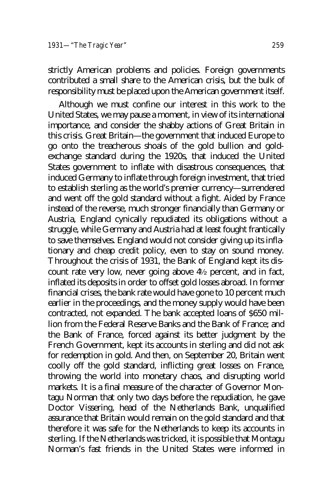strictly American problems and policies. Foreign governments contributed a small share to the American crisis, but the bulk of responsibility must be placed upon the American government itself.

Although we must confine our interest in this work to the United States, we may pause a moment, in view of its international importance, and consider the shabby actions of Great Britain in this crisis. Great Britain—the government that induced Europe to go onto the treacherous shoals of the gold bullion and goldexchange standard during the 1920s, that induced the United States government to inflate with disastrous consequences, that induced Germany to inflate through foreign investment, that tried to establish sterling as the world's premier currency—surrendered and went off the gold standard without a fight. Aided by France instead of the reverse, much stronger financially than Germany or Austria, England cynically repudiated its obligations without a struggle, while Germany and Austria had at least fought frantically to save themselves. England would not consider giving up its inflationary and cheap credit policy, even to stay on sound money. Throughout the crisis of 1931, the Bank of England kept its discount rate very low, never going above  $4\frac{1}{2}$  percent, and in fact, inflated its deposits in order to offset gold losses abroad. In former financial crises, the bank rate would have gone to 10 percent much earlier in the proceedings, and the money supply would have been contracted, not expanded. The bank accepted loans of \$650 million from the Federal Reserve Banks and the Bank of France; and the Bank of France, forced against its better judgment by the French Government, kept its accounts in sterling and did not ask for redemption in gold. And then, on September 20, Britain went coolly off the gold standard, inflicting great losses on France, throwing the world into monetary chaos, and disrupting world markets. It is a final measure of the character of Governor Montagu Norman that only two days before the repudiation, he gave Doctor Vissering, head of the Netherlands Bank, unqualified assurance that Britain would remain on the gold standard and that therefore it was safe for the Netherlands to keep its accounts in sterling. If the Netherlands was tricked, it is possible that Montagu Norman's fast friends in the United States were informed in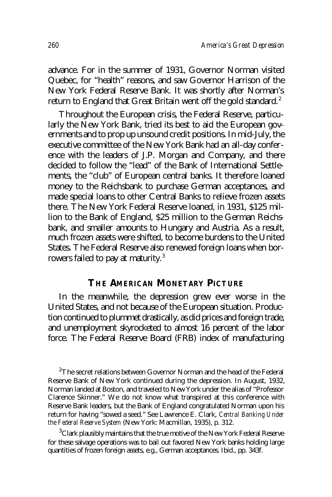advance. For in the summer of 1931, Governor Norman visited Quebec, for "health" reasons, and saw Governor Harrison of the New York Federal Reserve Bank. It was shortly after Norman's return to England that Great Britain went off the gold standard.<sup>2</sup>

Throughout the European crisis, the Federal Reserve, particularly the New York Bank, tried its best to aid the European governments and to prop up unsound credit positions. In mid-July, the executive committee of the New York Bank had an all-day conference with the leaders of J.P. Morgan and Company, and there decided to follow the "lead" of the Bank of International Settlements, the "club" of European central banks. It therefore loaned money to the Reichsbank to purchase German acceptances, and made special loans to other Central Banks to relieve frozen assets there. The New York Federal Reserve loaned, in 1931, \$125 million to the Bank of England, \$25 million to the German Reichsbank, and smaller amounts to Hungary and Austria. As a result, much frozen assets were shifted, to become burdens to the United States. The Federal Reserve also renewed foreign loans when borrowers failed to pay at maturity.<sup>3</sup>

#### **THE AMERICAN MONETARY PICTURE**

In the meanwhile, the depression grew ever worse in the United States, and not because of the European situation. Production continued to plummet drastically, as did prices and foreign trade, and unemployment skyrocketed to almost 16 percent of the labor force. The Federal Reserve Board (FRB) index of manufacturing

 $2$ The secret relations between Governor Norman and the head of the Federal Reserve Bank of New York continued during the depression. In August, 1932, Norman landed at Boston, and traveled to New York under the alias of "Professor Clarence Skinner." We do not know what transpired at this conference with Reserve Bank leaders, but the Bank of England congratulated Norman upon his return for having "sowed a seed." See Lawrence E. Clark, *Central Banking Under the Federal Reserve System* (New York: Macmillan, 1935), p. 312.

 $3$ Clark plausibly maintains that the true motive of the New York Federal Reserve for these salvage operations was to bail out favored New York banks holding large quantities of frozen foreign assets, e.g., German acceptances. Ibid., pp. 343f.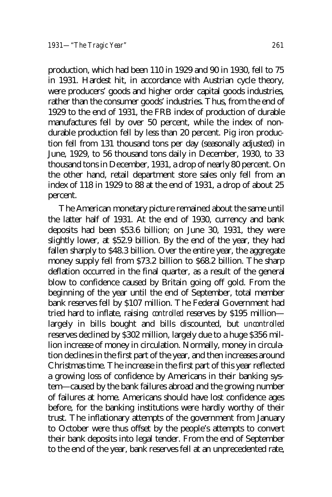production, which had been 110 in 1929 and 90 in 1930, fell to 75 in 1931. Hardest hit, in accordance with Austrian cycle theory, were producers' goods and higher order capital goods industries, rather than the consumer goods' industries. Thus, from the end of 1929 to the end of 1931, the FRB index of production of durable manufactures fell by over 50 percent, while the index of nondurable production fell by less than 20 percent. Pig iron production fell from 131 thousand tons per day (seasonally adjusted) in June, 1929, to 56 thousand tons daily in December, 1930, to 33 thousand tons in December, 1931, a drop of nearly 80 percent. On the other hand, retail department store sales only fell from an index of 118 in 1929 to 88 at the end of 1931, a drop of about 25 percent.

The American monetary picture remained about the same until the latter half of 1931. At the end of 1930, currency and bank deposits had been \$53.6 billion; on June 30, 1931, they were slightly lower, at \$52.9 billion. By the end of the year, they had fallen sharply to \$48.3 billion. Over the entire year, the aggregate money supply fell from \$73.2 billion to \$68.2 billion. The sharp deflation occurred in the final quarter, as a result of the general blow to confidence caused by Britain going off gold. From the beginning of the year until the end of September, total member bank reserves fell by \$107 million. The Federal Government had tried hard to inflate, raising *controlled* reserves by \$195 million largely in bills bought and bills discounted, but *uncontrolled* reserves declined by \$302 million, largely due to a huge \$356 million increase of money in circulation. Normally, money in circulation declines in the first part of the year, and then increases around Christmas time. The increase in the first part of this year reflected a growing loss of confidence by Americans in their banking system—caused by the bank failures abroad and the growing number of failures at home. Americans should have lost confidence ages before, for the banking institutions were hardly worthy of their trust. The inflationary attempts of the government from January to October were thus offset by the people's attempts to convert their bank deposits into legal tender. From the end of September to the end of the year, bank reserves fell at an unprecedented rate,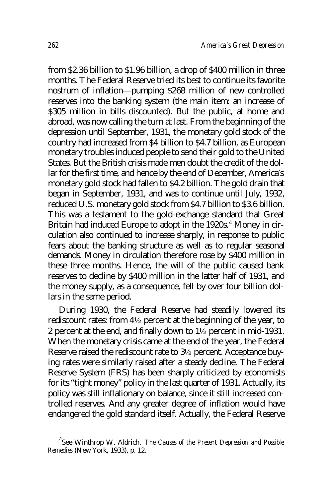from \$2.36 billion to \$1.96 billion, a drop of \$400 million in three months. The Federal Reserve tried its best to continue its favorite nostrum of inflation—pumping \$268 million of new controlled reserves into the banking system (the main item: an increase of \$305 million in bills discounted). But the public, at home and abroad, was now calling the turn at last. From the beginning of the depression until September, 1931, the monetary gold stock of the country had increased from \$4 billion to \$4.7 billion, as European monetary troubles induced people to send their gold to the United States. But the British crisis made men doubt the credit of the dollar for the first time, and hence by the end of December, America's monetary gold stock had fallen to \$4.2 billion. The gold drain that began in September, 1931, and was to continue until July, 1932, reduced U.S. monetary gold stock from \$4.7 billion to \$3.6 billion. This was a testament to the gold-exchange standard that Great Britain had induced Europe to adopt in the 1920s.<sup>4</sup> Money in circulation also continued to increase sharply, in response to public fears about the banking structure as well as to regular seasonal demands. Money in circulation therefore rose by \$400 million in these three months. Hence, the will of the public caused bank reserves to decline by \$400 million in the latter half of 1931, and the money supply, as a consequence, fell by over four billion dollars in the same period.

During 1930, the Federal Reserve had steadily lowered its rediscount rates: from  $4\frac{1}{2}$  percent at the beginning of the year, to 2 percent at the end, and finally down to  $1\frac{1}{2}$  percent in mid-1931. When the monetary crisis came at the end of the year, the Federal Reserve raised the rediscount rate to  $3\frac{1}{2}$  percent. Acceptance buying rates were similarly raised after a steady decline. The Federal Reserve System (FRS) has been sharply criticized by economists for its "tight money" policy in the last quarter of 1931. Actually, its policy was still inflationary on balance, since it still increased controlled reserves. And any greater degree of inflation would have endangered the gold standard itself. Actually, the Federal Reserve

<sup>4</sup> See Winthrop W. Aldrich, *The Causes of the Present Depression and Possible Remedies* (New York, 1933), p. 12.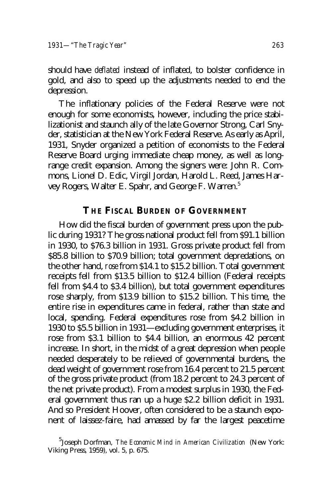should have *deflated* instead of inflated, to bolster confidence in gold, and also to speed up the adjustments needed to end the depression.

The inflationary policies of the Federal Reserve were not enough for some economists, however, including the price stabilizationist and staunch ally of the late Governor Strong, Carl Snyder, statistician at the New York Federal Reserve. As early as April, 1931, Snyder organized a petition of economists to the Federal Reserve Board urging immediate cheap money, as well as longrange credit expansion. Among the signers were: John R. Commons, Lionel D. Edic, Virgil Jordan, Harold L. Reed, James Harvey Rogers, Walter E. Spahr, and George F. Warren.<sup>5</sup>

#### **THE FISCAL BURDEN OF GOVERNMENT**

How did the fiscal burden of government press upon the public during 1931? The gross national product fell from \$91.1 billion in 1930, to \$76.3 billion in 1931. Gross private product fell from \$85.8 billion to \$70.9 billion; total government depredations, on the other hand, *rose* from \$14.1 to \$15.2 billion. Total government receipts fell from \$13.5 billion to \$12.4 billion (Federal receipts fell from \$4.4 to \$3.4 billion), but total government expenditures rose sharply, from \$13.9 billion to \$15.2 billion. This time, the entire rise in expenditures came in federal, rather than state and local, spending. Federal expenditures rose from \$4.2 billion in 1930 to \$5.5 billion in 1931—excluding government enterprises, it rose from \$3.1 billion to \$4.4 billion, an enormous 42 percent increase. In short, in the midst of a great depression when people needed desperately to be relieved of governmental burdens, the dead weight of government rose from 16.4 percent to 21.5 percent of the gross private product (from 18.2 percent to 24.3 percent of the net private product). From a modest surplus in 1930, the Federal government thus ran up a huge \$2.2 billion deficit in 1931. And so President Hoover, often considered to be a staunch exponent of laissez-faire, had amassed by far the largest peacetime

<sup>5</sup> Joseph Dorfman, *The Economic Mind in American Civilization* (New York: Viking Press, 1959), vol. 5, p. 675.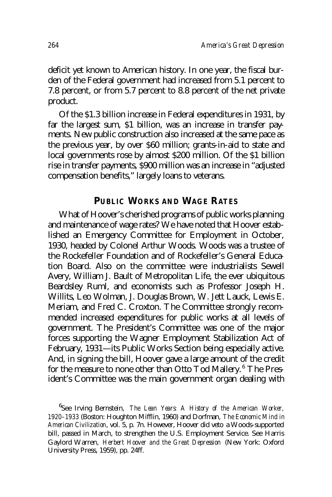deficit yet known to American history. In one year, the fiscal burden of the Federal government had increased from 5.1 percent to 7.8 percent, or from 5.7 percent to 8.8 percent of the net private product.

Of the \$1.3 billion increase in Federal expenditures in 1931, by far the largest sum, \$1 billion, was an increase in transfer payments. New public construction also increased at the same pace as the previous year, by over \$60 million; grants-in-aid to state and local governments rose by almost \$200 million. Of the \$1 billion rise in transfer payments, \$900 million was an increase in "adjusted compensation benefits," largely loans to veterans.

## **PUBLIC WORKS AND WAGE RATES**

What of Hoover's cherished programs of public works planning and maintenance of wage rates? We have noted that Hoover established an Emergency Committee for Employment in October, 1930, headed by Colonel Arthur Woods. Woods was a trustee of the Rockefeller Foundation and of Rockefeller's General Education Board. Also on the committee were industrialists Sewell Avery, William J. Bault of Metropolitan Life, the ever ubiquitous Beardsley Ruml, and economists such as Professor Joseph H. Willits, Leo Wolman, J. Douglas Brown, W. Jett Lauck, Lewis E. Meriam, and Fred C. Croxton. The Committee strongly recommended increased expenditures for public works at all levels of government. The President's Committee was one of the major forces supporting the Wagner Employment Stabilization Act of February, 1931—its Public Works Section being especially active. And, in signing the bill, Hoover gave a large amount of the credit for the measure to none other than Otto Tod Mallery. <sup>6</sup> The President's Committee was the main government organ dealing with

6 See Irving Bernstein, *The Lean Years: A History of the American Worker, 1920–1933* (Boston: Houghton Mifflin, 1960) and Dorfman, *The Economic Mind in American Civilization*, vol. 5, p. 7n. However, Hoover did veto a Woods-supported bill, passed in March, to strengthen the U.S. Employment Service. See Harris Gaylord Warren, *Herbert Hoover and the Great Depression* (New York: Oxford University Press, 1959), pp. 24ff.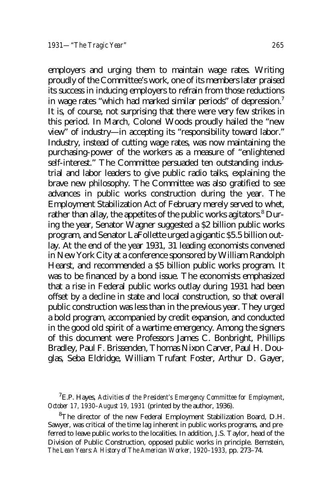employers and urging them to maintain wage rates. Writing proudly of the Committee's work, one of its members later praised its success in inducing employers to refrain from those reductions in wage rates "which had marked similar periods" of depression.<sup>7</sup> It is, of course, not surprising that there were very few strikes in this period. In March, Colonel Woods proudly hailed the "new view" of industry—in accepting its "responsibility toward labor." Industry, instead of cutting wage rates, was now maintaining the purchasing-power of the workers as a measure of "enlightened self-interest." The Committee persuaded ten outstanding industrial and labor leaders to give public radio talks, explaining the brave new philosophy. The Committee was also gratified to see advances in public works construction during the year. The Employment Stabilization Act of February merely served to whet, rather than allay, the appetites of the public works agitators.<sup>8</sup> During the year, Senator Wagner suggested a \$2 billion public works program, and Senator LaFollette urged a gigantic \$5.5 billion outlay. At the end of the year 1931, 31 leading economists convened in New York City at a conference sponsored by William Randolph Hearst, and recommended a \$5 billion public works program. It was to be financed by a bond issue. The economists emphasized that a rise in Federal public works outlay during 1931 had been offset by a decline in state and local construction, so that overall public construction was less than in the previous year. They urged a bold program, accompanied by credit expansion, and conducted in the good old spirit of a wartime emergency. Among the signers of this document were Professors James C. Bonbright, Phillips Bradley, Paul F. Brissenden, Thomas Nixon Carver, Paul H. Douglas, Seba Eldridge, William Trufant Foster, Arthur D. Gayer,

<sup>8</sup>The director of the new Federal Employment Stabilization Board, D.H. Sawyer, was critical of the time lag inherent in public works programs, and preferred to leave public works to the localities. In addition, J.S. Taylor, head of the Division of Public Construction, opposed public works in principle. Bernstein, *The Lean Years:A History of The American Worker, 1920–1933,* pp. 273–74.

<sup>7</sup>E.P. Hayes, *Activities of the President's Emergency Committee for Employment*, *October 17, 1930–August 19, 1931* (printed by the author, 1936).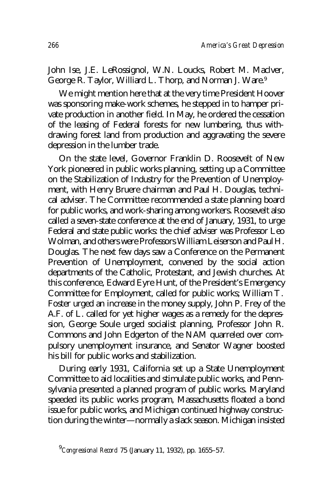John Ise, J.E. LeRossignol, W.N. Loucks, Robert M. Maclver, George R. Taylor, Williard L. Thorp, and Norman J. Ware.<sup>9</sup>

We might mention here that at the very time President Hoover was sponsoring make-work schemes, he stepped in to hamper private production in another field. In May, he ordered the cessation of the leasing of Federal forests for new lumbering, thus withdrawing forest land from production and aggravating the severe depression in the lumber trade.

On the state level, Governor Franklin D. Roosevelt of New York pioneered in public works planning, setting up a Committee on the Stabilization of Industry for the Prevention of Unemployment, with Henry Bruere chairman and Paul H. Douglas, technical adviser. The Committee recommended a state planning board for public works, and work-sharing among workers. Roosevelt also called a seven-state conference at the end of January, 1931, to urge Federal and state public works: the chief adviser was Professor Leo Wolman, and others were Professors William Leiserson and Paul H. Douglas. The next few days saw a Conference on the Permanent Prevention of Unemployment, convened by the social action departments of the Catholic, Protestant, and Jewish churches. At this conference, Edward Eyre Hunt, of the President's Emergency Committee for Employment, called for public works; William T. Foster urged an increase in the money supply, John P. Frey of the A.F. of L. called for yet higher wages as a remedy for the depression, George Soule urged socialist planning, Professor John R. Commons and John Edgerton of the NAM quarreled over compulsory unemployment insurance, and Senator Wagner boosted his bill for public works and stabilization.

During early 1931, California set up a State Unemployment Committee to aid localities and stimulate public works, and Pennsylvania presented a planned program of public works. Maryland speeded its public works program, Massachusetts floated a bond issue for public works, and Michigan continued highway construction during the winter—normally a slack season. Michigan insisted

<sup>9</sup>*Congressional Record* 75 (January 11, 1932), pp. 1655–57.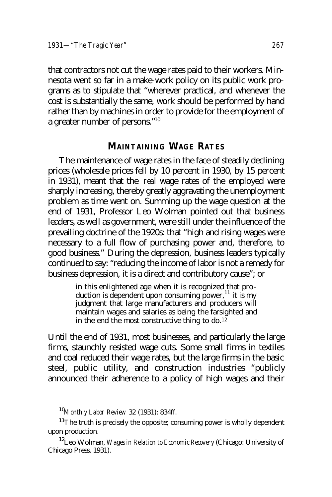that contractors not cut the wage rates paid to their workers. Minnesota went so far in a make-work policy on its public work programs as to stipulate that "wherever practical, and whenever the cost is substantially the same, work should be performed by hand rather than by machines in order to provide for the employment of a greater number of persons."<sup>10</sup>

#### **MAINTAINING WAGE RATES**

The maintenance of wage rates in the face of steadily declining prices (wholesale prices fell by 10 percent in 1930, by 15 percent in 1931), meant that the *real* wage rates of the employed were sharply increasing, thereby greatly aggravating the unemployment problem as time went on. Summing up the wage question at the end of 1931, Professor Leo Wolman pointed out that business leaders, as well as government, were still under the influence of the prevailing doctrine of the 1920s: that "high and rising wages were necessary to a full flow of purchasing power and, therefore, to good business." During the depression, business leaders typically continued to say: "reducing the income of labor is not a remedy for business depression, it is a direct and contributory cause"; or

> in this enlightened age when it is recognized that production is dependent upon consuming power,  $\frac{1}{1}$  it is my judgment that large manufacturers and producers will maintain wages and salaries as being the farsighted and in the end the most constructive thing to  $d_0$ .<sup>12</sup>

Until the end of 1931, most businesses, and particularly the large firms, staunchly resisted wage cuts. Some small firms in textiles and coal reduced their wage rates, but the large firms in the basic steel, public utility, and construction industries "publicly announced their adherence to a policy of high wages and their

<sup>10</sup>*Monthly Labor Review* 32 (1931): 834ff.

 $11$ The truth is precisely the opposite; consuming power is wholly dependent upon production.

<sup>12</sup>Leo Wolman, *Wages in Relation to Economic Recovery* (Chicago: University of Chicago Press, 1931).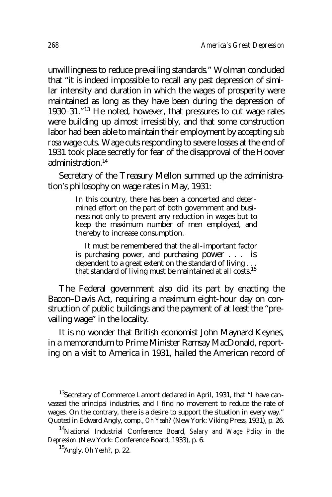unwillingness to reduce prevailing standards." Wolman concluded that "it is indeed impossible to recall any past depression of similar intensity and duration in which the wages of prosperity were maintained as long as they have been during the depression of 1930–31."<sup>13</sup> He noted, however, that pressures to cut wage rates were building up almost irresistibly, and that some construction labor had been able to maintain their employment by accepting *sub rosa* wage cuts. Wage cuts responding to severe losses at the end of 1931 took place secretly for fear of the disapproval of the Hoover administration.<sup>14</sup>

Secretary of the Treasury Mellon summed up the administration's philosophy on wage rates in May, 1931:

> In this country, there has been a concerted and determined effort on the part of both government and business not only to prevent any reduction in wages but to keep the maximum number of men employed, and thereby to increase consumption.

> It must be remembered that the all-important factor is purchasing power, and purchasing power . . . is dependent to a great extent on the standard of living . . . that standard of living must be maintained at all costs.<sup>15</sup>

The Federal government also did its part by enacting the Bacon–Davis Act, requiring a maximum eight-hour day on construction of public buildings and the payment of at least the "prevailing wage" in the locality.

It is no wonder that British economist John Maynard Keynes, in a memorandum to Prime Minister Ramsay MacDonald, reporting on a visit to America in 1931, hailed the American record of

<sup>13</sup>Secretary of Commerce Lamont declared in April, 1931, that "I have canvassed the principal industries, and I find no movement to reduce the rate of wages. On the contrary, there is a desire to support the situation in every way." Quoted in Edward Angly, comp., *Oh Yeah?* (New York: Viking Press, 1931), p. 26.

<sup>14</sup>National Industrial Conference Board, *Salary and Wage Policy in the Depression* (New York: Conference Board, 1933), p. 6.

<sup>15</sup>Angly, *Oh Yeah?,* p. 22.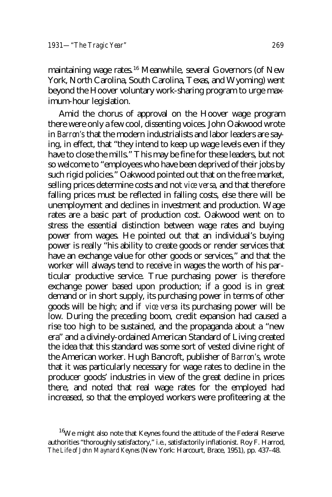maintaining wage rates.<sup>16</sup> Meanwhile, several Governors (of New York, North Carolina, South Carolina, Texas, and Wyoming) went beyond the Hoover voluntary work-sharing program to urge maximum-hour legislation.

Amid the chorus of approval on the Hoover wage program there were only a few cool, dissenting voices. John Oakwood wrote in *Barron's* that the modern industrialists and labor leaders are saying, in effect, that "they intend to keep up wage levels even if they have to close the mills." This may be fine for these leaders, but not so welcome to "employees who have been deprived of their jobs by such rigid policies." Oakwood pointed out that on the free market, selling prices determine costs and not *vice versa*, and that therefore falling prices must be reflected in falling costs, else there will be unemployment and declines in investment and production. Wage rates are a basic part of production cost. Oakwood went on to stress the essential distinction between wage rates and buying power from wages. He pointed out that an individual's buying power is really "his ability to create goods or render services that have an exchange value for other goods or services," and that the worker will always tend to receive in wages the worth of his particular productive service. True purchasing power is therefore exchange power based upon production; if a good is in great demand or in short supply, its purchasing power in terms of other goods will be high; and if *vice versa* its purchasing power will be low. During the preceding boom, credit expansion had caused a rise too high to be sustained, and the propaganda about a "new era" and a divinely-ordained American Standard of Living created the idea that this standard was some sort of vested divine right of the American worker. Hugh Bancroft, publisher of *Barron's*, wrote that it was particularly necessary for wage rates to decline in the producer goods' industries in view of the great decline in prices there, and noted that real wage rates for the employed had increased, so that the employed workers were profiteering at the

<sup>&</sup>lt;sup>16</sup>We might also note that Keynes found the attitude of the Federal Reserve authorities "thoroughly satisfactory," i.e., satisfactorily inflationist. Roy F. Harrod, *The Life of John Maynard Keynes* (New York: Harcourt, Brace, 1951), pp. 437–48.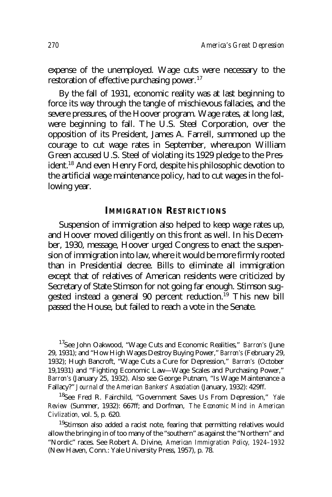expense of the unemployed. Wage cuts were necessary to the restoration of effective purchasing power.<sup>17</sup>

By the fall of 1931, economic reality was at last beginning to force its way through the tangle of mischievous fallacies, and the severe pressures, of the Hoover program. Wage rates, at long last, were beginning to fall. The U.S. Steel Corporation, over the opposition of its President, James A. Farrell, summoned up the courage to cut wage rates in September, whereupon William Green accused U.S. Steel of violating its 1929 pledge to the President.<sup>18</sup> And even Henry Ford, despite his philosophic devotion to the artificial wage maintenance policy, had to cut wages in the following year.

#### **IMMIGRATION RESTRICTIONS**

Suspension of immigration also helped to keep wage rates up, and Hoover moved diligently on this front as well. In his December, 1930, message, Hoover urged Congress to enact the suspension of immigration into law, where it would be more firmly rooted than in Presidential decree. Bills to eliminate all immigration except that of relatives of American residents were criticized by Secretary of State Stimson for not going far enough. Stimson suggested instead a general 90 percent reduction.<sup>19</sup> This new bill passed the House, but failed to reach a vote in the Senate.

<sup>17</sup>See John Oakwood, "Wage Cuts and Economic Realities," *Barron's* (June 29, 1931); and "How High Wages Destroy Buying Power," *Barron's* (February 29, 1932); Hugh Bancroft, "Wage Cuts a Cure for Depression," *Barron's* (October 19,1931) and "Fighting Economic Law—Wage Scales and Purchasing Power," *Barron's* (January 25, 1932). Also see George Putnam, "Is Wage Maintenance a Fallacy?" *Journalof the American Bankers' Association* (January, 1932): 429ff.

<sup>18</sup>See Fred R. Fairchild, "Government Saves Us From Depression," *Yale Review* (Summer, 1932): 667ff; and Dorfman, *The Economic Mind in American Civlization,* vol. 5, p. 620.

<sup>19</sup>Stimson also added a racist note, fearing that permitting relatives would allow the bringing in of too many of the "southern" as against the "Northern" and "Nordic" races. See Robert A. Divine, *American Immigration Policy, 1924–1932* (New Haven, Conn.: Yale University Press, 1957), p. 78.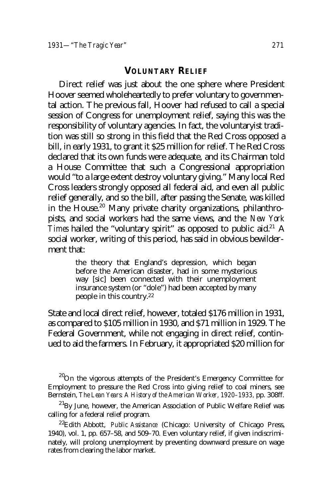### **VOLUNTARY RELIEF**

Direct relief was just about the one sphere where President Hoover seemed wholeheartedly to prefer voluntary to governmental action. The previous fall, Hoover had refused to call a special session of Congress for unemployment relief, saying this was the responsibility of voluntary agencies. In fact, the voluntaryist tradition was still so strong in this field that the Red Cross opposed a bill, in early 1931, to grant it \$25 million for relief. The Red Cross declared that its own funds were adequate, and its Chairman told a House Committee that such a Congressional appropriation would "to a large extent destroy voluntary giving." Many local Red Cross leaders strongly opposed all federal aid, and even all public relief generally, and so the bill, after passing the Senate, was killed in the House.<sup>20</sup> Many private charity organizations, philanthropists, and social workers had the same views, and the *New York Times* hailed the "voluntary spirit" as opposed to public aid.<sup>21</sup> A social worker, writing of this period, has said in obvious bewilderment that:

> the theory that England's depression, which began before the American disaster, had in some mysterious way [sic] been connected with their unemployment insurance system (or "dole") had been accepted by many people in this country.<sup>22</sup>

State and local direct relief, however, totaled \$176 million in 1931, as compared to \$105 million in 1930, and \$71 million in 1929. The Federal Government, while not engaging in direct relief, continued to aid the farmers. In February, it appropriated \$20 million for

<sup>20</sup>On the vigorous attempts of the President's Emergency Committee for Employment to pressure the Red Cross into giving relief to coal miners, see Bernstein, *The Lean Years: A History of the American Worker, 1920–1933,* pp. 308ff.

<sup>21</sup>By June, however, the American Association of Public Welfare Relief was calling for a federal relief program.

<sup>22</sup>Edith Abbott, *Public Assistance* (Chicago: University of Chicago Press, 1940), vol. 1, pp. 657–58, and 509–70. Even voluntary relief, if given indiscriminately, will prolong unemployment by preventing downward pressure on wage rates from clearing the labor market.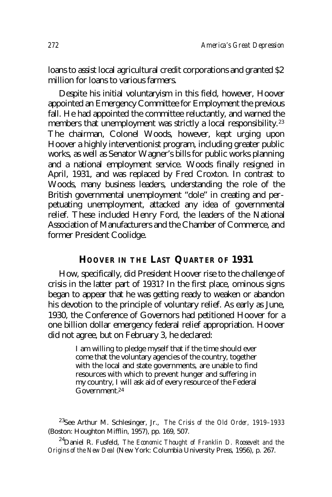loans to assist local agricultural credit corporations and granted \$2 million for loans to various farmers.

Despite his initial voluntaryism in this field, however, Hoover appointed an Emergency Committee for Employment the previous fall. He had appointed the committee reluctantly, and warned the members that unemployment was strictly a local responsibility.<sup>23</sup> The chairman, Colonel Woods, however, kept urging upon Hoover a highly interventionist program, including greater public works, as well as Senator Wagner's bills for public works planning and a national employment service. Woods finally resigned in April, 1931, and was replaced by Fred Croxton. In contrast to Woods, many business leaders, understanding the role of the British governmental unemployment "dole" in creating and perpetuating unemployment, attacked any idea of governmental relief. These included Henry Ford, the leaders of the National Association of Manufacturers and the Chamber of Commerce, and former President Coolidge.

## **HOOVER IN THE LAST QUARTER OF 1931**

How, specifically, did President Hoover rise to the challenge of crisis in the latter part of 1931? In the first place, ominous signs began to appear that he was getting ready to weaken or abandon his devotion to the principle of voluntary relief. As early as June, 1930, the Conference of Governors had petitioned Hoover for a one billion dollar emergency federal relief appropriation. Hoover did not agree, but on February 3, he declared:

> I am willing to pledge myself that if the time should ever come that the voluntary agencies of the country, together with the local and state governments, are unable to find resources with which to prevent hunger and suffering in my country, I will ask aid of every resource of the Federal Government.<sup>24</sup>

<sup>23</sup>See Arthur M. Schlesinger, Jr., *The Crisis of the Old Order, 1919–1933* (Boston: Houghton Mifflin, 1957), pp. 169, 507.

<sup>24</sup>Daniel R. Fusfeld, *The Economic Thought of Franklin D. Roosevelt and the Origins of the New Deal* (New York: Columbia University Press, 1956), p. 267.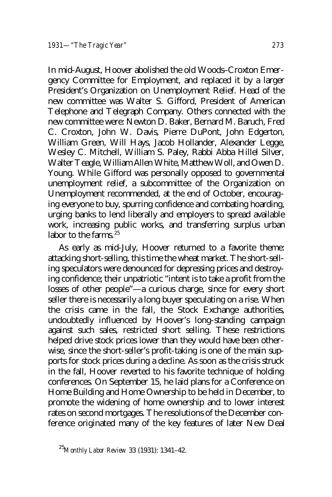In mid-August, Hoover abolished the old Woods–Croxton Emergency Committee for Employment, and replaced it by a larger President's Organization on Unemployment Relief. Head of the new committee was Walter S. Gifford, President of American Telephone and Telegraph Company. Others connected with the new committee were: Newton D. Baker, Bernard M. Baruch, Fred C. Croxton, John W. Davis, Pierre DuPont, John Edgerton, William Green, Will Hays, Jacob Hollander, Alexander Legge, Wesley C. Mitchell, William S. Paley, Rabbi Abba Hillel Silver, Walter Teagle, William Allen White, Matthew Woll, and Owen D. Young. While Gifford was personally opposed to governmental unemployment relief, a subcommittee of the Organization on Unemployment recommended, at the end of October, encouraging everyone to buy, spurring confidence and combating hoarding, urging banks to lend liberally and employers to spread available work, increasing public works, and transferring surplus urban labor to the farms.<sup>25</sup>

As early as mid-July, Hoover returned to a favorite theme: attacking short-selling, this time the wheat market. The short-selling speculators were denounced for depressing prices and destroying confidence; their unpatriotic "intent is to take a profit from the losses of other people"—a curious charge, since for every short seller there is necessarily a long buyer speculating on a rise. When the crisis came in the fall, the Stock Exchange authorities, undoubtedly influenced by Hoover's long-standing campaign against such sales, restricted short selling. These restrictions helped drive stock prices lower than they would have been otherwise, since the short-seller's profit-taking is one of the main supports for stock prices during a decline. As soon as the crisis struck in the fall, Hoover reverted to his favorite technique of holding conferences. On September 15, he laid plans for a Conference on Home Building and Home Ownership to be held in December, to promote the widening of home ownership and to lower interest rates on second mortgages. The resolutions of the December conference originated many of the key features of later New Deal

<sup>25</sup>*Monthly Labor Review* 33 (1931): 1341–42.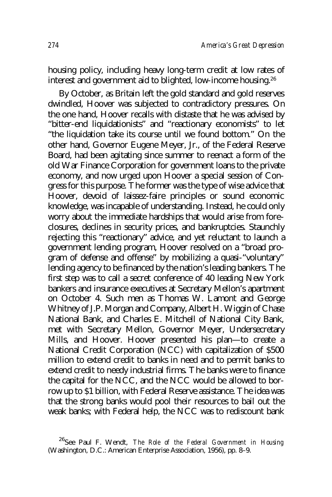housing policy, including heavy long-term credit at low rates of interest and government aid to blighted, low-income housing.<sup>26</sup>

By October, as Britain left the gold standard and gold reserves dwindled, Hoover was subjected to contradictory pressures. On the one hand, Hoover recalls with distaste that he was advised by "bitter-end liquidationists" and "reactionary economists" to let "the liquidation take its course until we found bottom." On the other hand, Governor Eugene Meyer, Jr., of the Federal Reserve Board, had been agitating since summer to reenact a form of the old War Finance Corporation for government loans to the private economy, and now urged upon Hoover a special session of Congress for this purpose. The former was the type of wise advice that Hoover, devoid of laissez-faire principles or sound economic knowledge, was incapable of understanding. Instead, he could only worry about the immediate hardships that would arise from foreclosures, declines in security prices, and bankruptcies. Staunchly rejecting this "reactionary" advice, and yet reluctant to launch a government lending program, Hoover resolved on a "broad program of defense and offense" by mobilizing a quasi-"voluntary" lending agency to be financed by the nation's leading bankers. The first step was to call a secret conference of 40 leading New York bankers and insurance executives at Secretary Mellon's apartment on October 4. Such men as Thomas W. Lamont and George Whitney of J.P. Morgan and Company, Albert H. Wiggin of Chase National Bank, and Charles E. Mitchell of National City Bank, met with Secretary Mellon, Governor Meyer, Undersecretary Mills, and Hoover. Hoover presented his plan—to create a National Credit Corporation (NCC) with capitalization of \$500 million to extend credit to banks in need and to permit banks to extend credit to needy industrial firms. The banks were to finance the capital for the NCC, and the NCC would be allowed to borrow up to \$1 billion, with Federal Reserve assistance. The idea was that the strong banks would pool their resources to bail out the weak banks; with Federal help, the NCC was to rediscount bank

<sup>26</sup>See Paul F. Wendt, *The Role of the Federal Government in Housing* (Washington, D.C.: American Enterprise Association, 1956), pp. 8–9.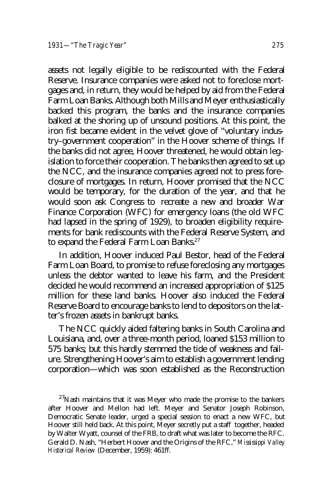assets not legally eligible to be rediscounted with the Federal Reserve. Insurance companies were asked not to foreclose mortgages and, in return, they would be helped by aid from the Federal Farm Loan Banks. Although both Mills and Meyer enthusiastically backed this program, the banks and the insurance companies balked at the shoring up of unsound positions. At this point, the iron fist became evident in the velvet glove of "voluntary industry–government cooperation" in the Hoover scheme of things. If the banks did not agree, Hoover threatened, he would obtain legislation to force their cooperation. The banks then agreed to set up the NCC, and the insurance companies agreed not to press foreclosure of mortgages. In return, Hoover promised that the NCC would be temporary, for the duration of the year, and that he would soon ask Congress to recreate a new and broader War Finance Corporation (WFC) for emergency loans (the old WFC had lapsed in the spring of 1929), to broaden eligibility requirements for bank rediscounts with the Federal Reserve System, and to expand the Federal Farm Loan Banks.<sup>27</sup>

In addition, Hoover induced Paul Bestor, head of the Federal Farm Loan Board, to promise to refuse foreclosing any mortgages unless the debtor wanted to leave his farm, and the President decided he would recommend an increased appropriation of \$125 million for these land banks. Hoover also induced the Federal Reserve Board to encourage banks to lend to depositors on the latter's frozen assets in bankrupt banks.

The NCC quickly aided faltering banks in South Carolina and Louisiana, and, over a three-month period, loaned \$153 million to 575 banks; but this hardly stemmed the tide of weakness and failure. Strengthening Hoover's aim to establish a government lending corporation—which was soon established as the Reconstruction

 $27$ Nash maintains that it was Meyer who made the promise to the bankers after Hoover and Mellon had left. Meyer and Senator Joseph Robinson, Democratic Senate leader, urged a special session to enact a new WFC, but Hoover still held back. At this point, Meyer secretly put a staff together, headed by Walter Wyatt, counsel of the FRB, to draft what was later to become the RFC. Gerald D. Nash, "Herbert Hoover and the Origins of the RFC," *Mississippi Valley Historical Review* (December, 1959): 461ff.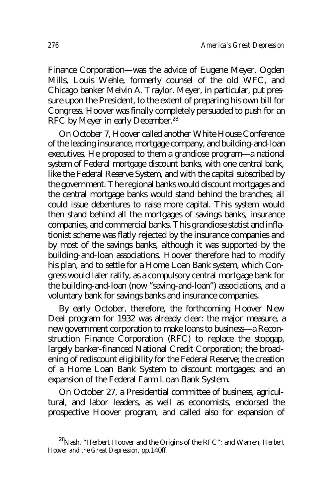Finance Corporation—was the advice of Eugene Meyer, Ogden Mills, Louis Wehle, formerly counsel of the old WFC, and Chicago banker Melvin A. Traylor. Meyer, in particular, put pressure upon the President, to the extent of preparing his own bill for Congress. Hoover was finally completely persuaded to push for an RFC by Meyer in early December.<sup>28</sup>

On October 7, Hoover called another White House Conference of the leading insurance, mortgage company, and building-and-loan executives. He proposed to them a grandiose program—a national system of Federal mortgage discount banks, with one central bank, like the Federal Reserve System, and with the capital subscribed by the government. The regional banks would discount mortgages and the central mortgage banks would stand behind the branches; all could issue debentures to raise more capital. This system would then stand behind all the mortgages of savings banks, insurance companies, and commercial banks. This grandiose statist and inflationist scheme was flatly rejected by the insurance companies and by most of the savings banks, although it was supported by the building-and-loan associations. Hoover therefore had to modify his plan, and to settle for a Home Loan Bank system, which Congress would later ratify, as a compulsory central mortgage bank for the building-and-loan (now "saving-and-loan") associations, and a voluntary bank for savings banks and insurance companies.

By early October, therefore, the forthcoming Hoover New Deal program for 1932 was already clear: the major measure, a new government corporation to make loans to business—a Reconstruction Finance Corporation (RFC) to replace the stopgap, largely banker-financed National Credit Corporation; the broadening of rediscount eligibility for the Federal Reserve; the creation of a Home Loan Bank System to discount mortgages; and an expansion of the Federal Farm Loan Bank System.

On October 27, a Presidential committee of business, agricultural, and labor leaders, as well as economists, endorsed the prospective Hoover program, and called also for expansion of

<sup>28</sup>Nash, "Herbert Hoover and the Origins of the RFC"; and Warren, *Herbert Hoover and the Great Depression,* pp.140ff.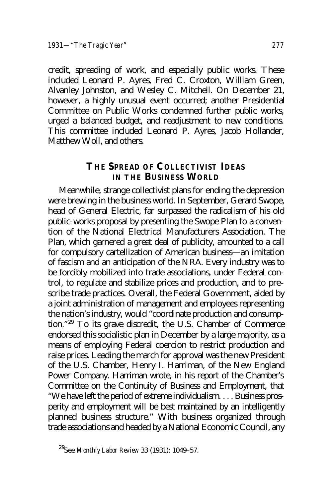credit, spreading of work, and especially public works. These included Leonard P. Ayres, Fred C. Croxton, William Green, Alvanley Johnston, and Wesley C. Mitchell. On December 21, however, a highly unusual event occurred; another Presidential Committee on Public Works condemned further public works, urged a balanced budget, and readjustment to new conditions. This committee included Leonard P. Ayres, Jacob Hollander, Matthew Woll, and others.

## **THE SPREAD OF COLLECTIVIST IDEAS IN THE BUSINESS WORLD**

Meanwhile, strange collectivist plans for ending the depression were brewing in the business world. In September, Gerard Swope, head of General Electric, far surpassed the radicalism of his old public-works proposal by presenting the Swope Plan to a convention of the National Electrical Manufacturers Association. The Plan, which garnered a great deal of publicity, amounted to a call for compulsory cartellization of American business—an imitation of fascism and an anticipation of the NRA. Every industry was to be forcibly mobilized into trade associations, under Federal control, to regulate and stabilize prices and production, and to prescribe trade practices. Overall, the Federal Government, aided by a joint administration of management and employees representing the nation's industry, would "coordinate production and consumption."<sup>29</sup> To its grave discredit, the U.S. Chamber of Commerce endorsed this socialistic plan in December by a large majority, as a means of employing Federal coercion to restrict production and raise prices. Leading the march for approval was the new President of the U.S. Chamber, Henry I. Harriman, of the New England Power Company. Harriman wrote, in his report of the Chamber's Committee on the Continuity of Business and Employment, that "We have left the period of extreme individualism. . . . Business prosperity and employment will be best maintained by an intelligently planned business structure." With business organized through trade associations and headed by a National Economic Council, any

<sup>29</sup>See *Monthly Labor Review* 33 (1931): 1049–57.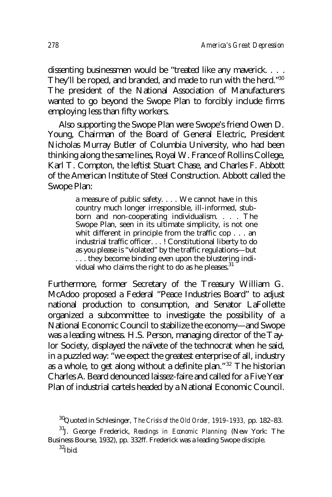dissenting businessmen would be "treated like any maverick. . . . They'll be roped, and branded, and made to run with the herd."<sup>30</sup> The president of the National Association of Manufacturers wanted to go beyond the Swope Plan to forcibly include firms employing less than fifty workers.

Also supporting the Swope Plan were Swope's friend Owen D. Young, Chairman of the Board of General Electric, President Nicholas Murray Butler of Columbia University, who had been thinking along the same lines, Royal W. France of Rollins College, Karl T. Compton, the leftist Stuart Chase, and Charles F. Abbott of the American Institute of Steel Construction. Abbott called the Swope Plan:

> a measure of public safety. . . . We cannot have in this country much longer irresponsible, ill-informed, stubborn and non-cooperating individualism. . . . The Swope Plan, seen in its ultimate simplicity, is not one whit different in principle from the traffic cop . . . an industrial traffic officer. . . ! Constitutional liberty to do as you please is "violated" by the traffic regulations—but . . . they become binding even upon the blustering individual who claims the right to do as he pleases. $31$

Furthermore, former Secretary of the Treasury William G. McAdoo proposed a Federal "Peace Industries Board" to adjust national production to consumption, and Senator LaFollette organized a subcommittee to investigate the possibility of a National Economic Council to stabilize the economy—and Swope was a leading witness. H.S. Person, managing director of the Taylor Society, displayed the naïvete of the technocrat when he said, in a puzzled way: "we expect the greatest enterprise of all, industry as a whole, to get along without a definite plan."<sup>32</sup> The historian Charles A. Beard denounced laissez-faire and called for a Five Year Plan of industrial cartels headed by a National Economic Council.

<sup>31</sup>J. George Frederick, *Readings in Economic Planning* (New York: The Business Bourse, 1932), pp. 332ff. Frederick was a leading Swope disciple.

<sup>32</sup>Ibid*.*

<sup>30</sup>Quoted in Schlesinger, *The Crisis of the Old Order, 1919–1933,* pp. 182–83.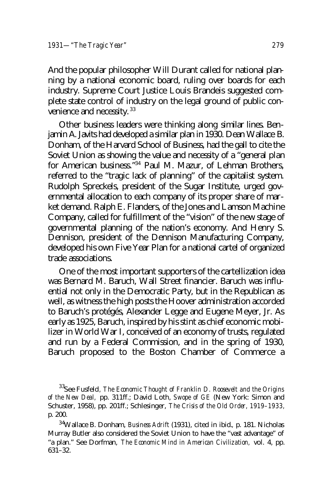And the popular philosopher Will Durant called for national planning by a national economic board, ruling over boards for each industry. Supreme Court Justice Louis Brandeis suggested complete state control of industry on the legal ground of public convenience and necessity.<sup>33</sup>

Other business leaders were thinking along similar lines. Benjamin A. Javits had developed a similar plan in 1930. Dean Wallace B. Donham, of the Harvard School of Business, had the gall to cite the Soviet Union as showing the value and necessity of a "general plan for American business."<sup>34</sup> Paul M. Mazur, of Lehman Brothers, referred to the "tragic lack of planning" of the capitalist system. Rudolph Spreckels, president of the Sugar Institute, urged governmental allocation to each company of its proper share of market demand. Ralph E. Flanders, of the Jones and Lamson Machine Company, called for fulfillment of the "vision" of the new stage of governmental planning of the nation's economy. And Henry S. Dennison, president of the Dennison Manufacturing Company, developed his own Five Year Plan for a national cartel of organized trade associations.

One of the most important supporters of the cartellization idea was Bernard M. Baruch, Wall Street financier. Baruch was influential not only in the Democratic Party, but in the Republican as well, as witness the high posts the Hoover administration accorded to Baruch's protégés, Alexander Legge and Eugene Meyer, Jr. As early as 1925, Baruch, inspired by his stint as chief economic mobilizer in World War I, conceived of an economy of trusts, regulated and run by a Federal Commission, and in the spring of 1930, Baruch proposed to the Boston Chamber of Commerce a

<sup>33</sup>See Fusfeld*, The Economic Thought of Franklin D. Roosevelt and the Origins of the New Deal,* pp. 311ff.; David Loth, *Swope of GE* (New York: Simon and Schuster, 1958), pp. 201ff.; Schlesinger, *The Crisis of the Old Order, 1919–1933,* p. 200.

<sup>34</sup>Wallace B. Donham, *Business Adrift* (1931), cited in ibid.*,* p. 181. Nicholas Murray Butler also considered the Soviet Union to have the "vast advantage" of "a plan." See Dorfman, *The Economic Mind in American Civilization,* vol. 4, pp. 631–32.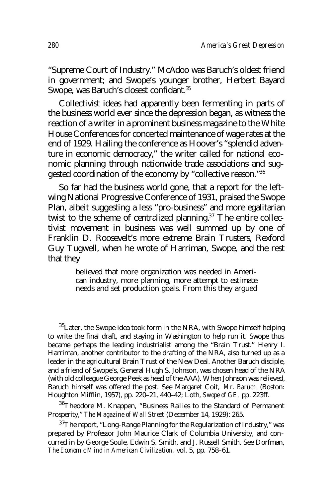"Supreme Court of Industry." McAdoo was Baruch's oldest friend in government; and Swope's younger brother, Herbert Bayard Swope, was Baruch's closest confidant.<sup>35</sup>

Collectivist ideas had apparently been fermenting in parts of the business world ever since the depression began, as witness the reaction of a writer in a prominent business magazine to the White House Conferences for concerted maintenance of wage rates at the end of 1929. Hailing the conference as Hoover's "splendid adventure in economic democracy," the writer called for national economic planning through nationwide trade associations and suggested coordination of the economy by "collective reason."<sup>36</sup>

So far had the business world gone, that a report for the leftwing National Progressive Conference of 1931, praised the Swope Plan, albeit suggesting a less "pro-business" and more egalitarian twist to the scheme of centralized planning.<sup>37</sup> The entire collectivist movement in business was well summed up by one of Franklin D. Roosevelt's more extreme Brain Trusters, Rexford Guy Tugwell, when he wrote of Harriman, Swope, and the rest that they

> believed that more organization was needed in American industry, more planning, more attempt to estimate needs and set production goals. From this they argued

 $35$ Later, the Swope idea took form in the NRA, with Swope himself helping to write the final draft, and staying in Washington to help run it. Swope thus became perhaps the leading industrialist among the "Brain Trust." Henry I. Harriman, another contributor to the drafting of the NRA, also turned up as a leader in the agricultural Brain Trust of the New Deal. Another Baruch disciple, and a friend of Swope's, General Hugh S. Johnson, was chosen head of the NRA (with old colleague George Peek as head of the AAA). When Johnson was relieved, Baruch himself was offered the post. See Margaret Coit, *Mr. Baruch* (Boston: Houghton Mifflin, 1957), pp. 220–21, 440–42; Loth, *Swope of GE,* pp. 223ff.

<sup>36</sup>Theodore M. Knappen, "Business Rallies to the Standard of Permanent Prosperity," *The Magazine of Wall Street* (December 14, 1929): 265.

<sup>37</sup>The report, "Long-Range Planning for the Regularization of Industry," was prepared by Professor John Maurice Clark of Columbia University, and concurred in by George Soule, Edwin S. Smith, and J. Russell Smith. See Dorfman, *The Economic Mind in American Civilization,* vol. 5, pp. 758–61.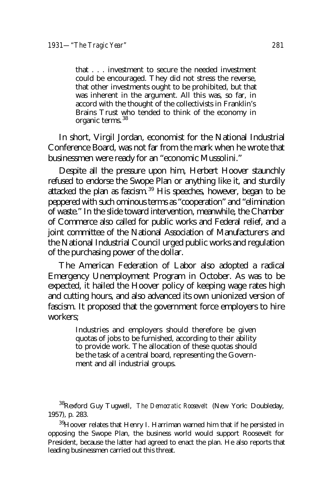that . . . investment to secure the needed investment could be encouraged. They did not stress the reverse, that other investments ought to be prohibited, but that was inherent in the argument. All this was, so far, in accord with the thought of the collectivists in Franklin's Brains Trust who tended to think of the economy in organic terms.<sup>38</sup>

In short, Virgil Jordan, economist for the National Industrial Conference Board, was not far from the mark when he wrote that businessmen were ready for an "economic Mussolini."

Despite all the pressure upon him, Herbert Hoover staunchly refused to endorse the Swope Plan or anything like it, and sturdily attacked the plan as fascism. <sup>39</sup> His speeches, however, began to be peppered with such ominous terms as "cooperation" and "elimination of waste." In the slide toward intervention, meanwhile, the Chamber of Commerce also called for public works and Federal relief, and a joint committee of the National Association of Manufacturers and the National Industrial Council urged public works and regulation of the purchasing power of the dollar.

The American Federation of Labor also adopted a radical Emergency Unemployment Program in October. As was to be expected, it hailed the Hoover policy of keeping wage rates high and cutting hours, and also advanced its own unionized version of fascism. It proposed that the government force employers to hire workers;

> Industries and employers should therefore be given quotas of jobs to be furnished, according to their ability to provide work. The allocation of these quotas should be the task of a central board, representing the Government and all industrial groups.

<sup>38</sup>Rexford Guy Tugwell, *The Democratic Roosevelt* (New York: Doubleday, 1957), p. 283.

 $39$ Hoover relates that Henry I. Harriman warned him that if he persisted in opposing the Swope Plan, the business world would support Roosevelt for President, because the latter had agreed to enact the plan. He also reports that leading businessmen carried out this threat.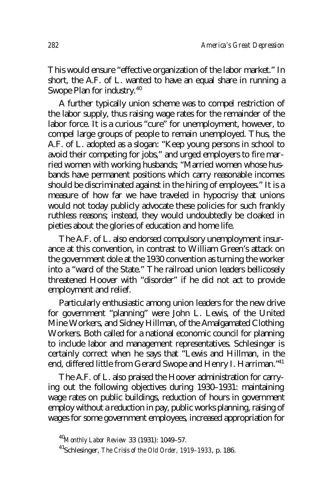This would ensure "effective organization of the labor market." In short, the A.F. of L. wanted to have an equal share in running a Swope Plan for industry.<sup>40</sup>

A further typically union scheme was to compel restriction of the labor supply, thus raising wage rates for the remainder of the labor force. It is a curious "cure" for unemployment, however, to compel large groups of people to remain unemployed. Thus, the A.F. of L. adopted as a slogan: "Keep young persons in school to avoid their competing for jobs," and urged employers to fire married women with working husbands; "Married women whose husbands have permanent positions which carry reasonable incomes should be discriminated against in the hiring of employees." It is a measure of how far we have traveled in hypocrisy that unions would not today publicly advocate these policies for such frankly ruthless reasons; instead, they would undoubtedly be cloaked in pieties about the glories of education and home life.

The A.F. of L. also endorsed compulsory unemployment insurance at this convention, in contrast to William Green's attack on the government dole at the 1930 convention as turning the worker into a "ward of the State." The railroad union leaders bellicosely threatened Hoover with "disorder" if he did not act to provide employment and relief.

Particularly enthusiastic among union leaders for the new drive for government "planning" were John L. Lewis, of the United Mine Workers, and Sidney Hillman, of the Amalgamated Clothing Workers. Both called for a national economic council for planning to include labor and management representatives. Schlesinger is certainly correct when he says that "Lewis and Hillman, in the end, differed little from Gerard Swope and Henry I. Harriman."<sup>41</sup>

The A.F. of L. also praised the Hoover administration for carrying out the following objectives during 1930–1931: maintaining wage rates on public buildings, reduction of hours in government employ without a reduction in pay, public works planning, raising of wages for some government employees, increased appropriation for

<sup>40</sup>*Monthly Labor Review* 33 (1931): 1049–57.

<sup>41</sup>Schlesinger, *The Crisis of the Old Order, 1919–1933*, p. 186.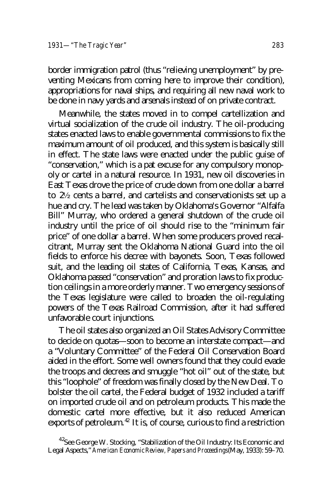border immigration patrol (thus "relieving unemployment" by preventing Mexicans from coming here to improve their condition), appropriations for naval ships, and requiring all new naval work to be done in navy yards and arsenals instead of on private contract.

Meanwhile, the states moved in to compel cartellization and virtual socialization of the crude oil industry. The oil-producing states enacted laws to enable governmental commissions to fix the maximum amount of oil produced, and this system is basically still in effect. The state laws were enacted under the public guise of "conservation," which is a pat excuse for any compulsory monopoly or cartel in a natural resource. In 1931, new oil discoveries in East Texas drove the price of crude down from one dollar a barrel to 2½ cents a barrel, and cartelists and conservationists set up a hue and cry. The lead was taken by Oklahoma's Governor "Alfalfa Bill" Murray, who ordered a general shutdown of the crude oil industry until the price of oil should rise to the "minimum fair price" of one dollar a barrel. When some producers proved recalcitrant, Murray sent the Oklahoma National Guard into the oil fields to enforce his decree with bayonets. Soon, Texas followed suit, and the leading oil states of California, Texas, Kansas, and Oklahoma passed "conservation" and proration laws to fix production ceilings in a more orderly manner. Two emergency sessions of the Texas legislature were called to broaden the oil-regulating powers of the Texas Railroad Commission, after it had suffered unfavorable court injunctions.

The oil states also organized an Oil States Advisory Committee to decide on quotas—soon to become an interstate compact—and a "Voluntary Committee" of the Federal Oil Conservation Board aided in the effort. Some well owners found that they could evade the troops and decrees and smuggle "hot oil" out of the state, but this "loophole" of freedom was finally closed by the New Deal. To bolster the oil cartel, the Federal budget of 1932 included a tariff on imported crude oil and on petroleum products. This made the domestic cartel more effective, but it also reduced American exports of petroleum. $42$  It is, of course, curious to find a restriction

<sup>&</sup>lt;sup>42</sup>See George W. Stocking, "Stabilization of the Oil Industry: Its Economic and Legal Aspects," *American Economic Review, Papers and Proceedings* (May, 1933): 59–70.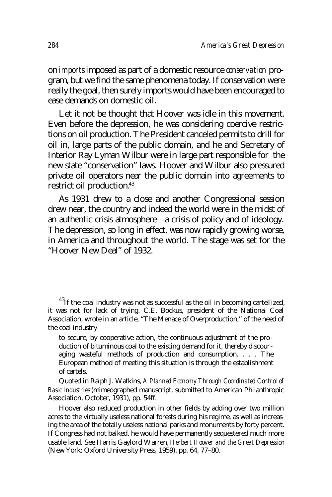on *imports* imposed as part of a domestic resource *conservation* program, but we find the same phenomena today. If conservation were really the goal, then surely imports would have been encouraged to ease demands on domestic oil.

Let it not be thought that Hoover was idle in this movement. Even before the depression, he was considering coercive restrictions on oil production. The President canceled permits to drill for oil in, large parts of the public domain, and he and Secretary of Interior Ray Lyman Wilbur were in large part responsible for the new state "conservation" laws. Hoover and Wilbur also pressured private oil operators near the public domain into agreements to restrict oil production.<sup>43</sup>

As 1931 drew to a close and another Congressional session drew near, the country and indeed the world were in the midst of an authentic crisis atmosphere—a crisis of policy and of ideology. The depression, so long in effect, was now rapidly growing worse, in America and throughout the world. The stage was set for the "Hoover New Deal" of 1932.

 $43$ If the coal industry was not as successful as the oil in becoming cartellized, it was not for lack of trying. C.E. Bockus, president of the National Coal Association, wrote in an article, "The Menace of Overproduction," of the need of the coal industry

to secure, by cooperative action, the continuous adjustment of the production of bituminous coal to the existing demand for it, thereby discouraging wasteful methods of production and consumption. . . . The European method of meeting this situation is through the establishment of cartels.

Quoted in Ralph J. Watkins, *A Planned Economy Through Coordinated Control of Basic Industries* (mimeographed manuscript, submitted to American Philanthropic Association, October, 1931), pp. 54ff.

Hoover also reduced production in other fields by adding over two million acres to the virtually useless national forests during his regime, as well as increasing the area of the totally useless national parks and monuments by forty percent. If Congress had not balked, he would have permanently sequestered much more usable land. See Harris Gaylord Warren, *Herbert Hoover and the Great Depression* (New York: Oxford University Press, 1959), pp. 64, 77–80.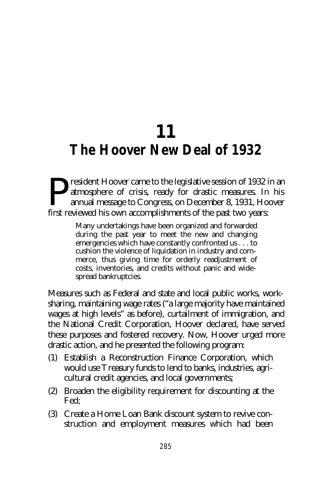# **11 The Hoover New Deal of 1932**

**PERICULE 1999** Tresident Hoover came to the legislative session of 1932 is atmosphere of crisis, ready for drastic measures. In annual message to Congress, on December 8, 1931, Hoofirst reviewed his own accomplishments of resident Hoover came to the legislative session of 1932 in an atmosphere of crisis, ready for drastic measures. In his annual message to Congress, on December 8, 1931, Hoover

> Many undertakings have been organized and forwarded during the past year to meet the new and changing emergencies which have constantly confronted us . . . to cushion the violence of liquidation in industry and commerce, thus giving time for orderly readjustment of costs, inventories, and credits without panic and widespread bankruptcies.

Measures such as Federal and state and local public works, worksharing, maintaining wage rates ("a large majority have maintained wages at high levels" as before), curtailment of immigration, and the National Credit Corporation, Hoover declared, have served these purposes and fostered recovery. Now, Hoover urged more drastic action, and he presented the following program:

- (1) Establish a Reconstruction Finance Corporation, which would use Treasury funds to lend to banks, industries, agricultural credit agencies, and local governments;
- (2) Broaden the eligibility requirement for discounting at the Fed;
- (3) Create a Home Loan Bank discount system to revive construction and employment measures which had been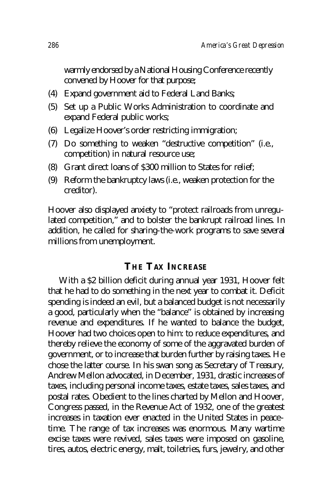warmly endorsed by a National Housing Conference recently convened by Hoover for that purpose;

- (4) Expand government aid to Federal Land Banks;
- (5) Set up a Public Works Administration to coordinate and expand Federal public works;
- (6) Legalize Hoover's order restricting immigration;
- (7) Do something to weaken "destructive competition" (i.e., competition) in natural resource use;
- (8) Grant direct loans of \$300 million to States for relief;
- (9) Reform the bankruptcy laws (i.e., weaken protection for the creditor).

Hoover also displayed anxiety to "protect railroads from unregulated competition," and to bolster the bankrupt railroad lines. In addition, he called for sharing-the-work programs to save several millions from unemployment.

## **THE TAX INCREASE**

With a \$2 billion deficit during annual year 1931, Hoover felt that he had to do something in the next year to combat it. Deficit spending is indeed an evil, but a balanced budget is not necessarily a good, particularly when the "balance" is obtained by increasing revenue and expenditures. If he wanted to balance the budget, Hoover had two choices open to him: to reduce expenditures, and thereby relieve the economy of some of the aggravated burden of government, or to increase that burden further by raising taxes. He chose the latter course. In his swan song as Secretary of Treasury, Andrew Mellon advocated, in December, 1931, drastic increases of taxes, including personal income taxes, estate taxes, sales taxes, and postal rates. Obedient to the lines charted by Mellon and Hoover, Congress passed, in the Revenue Act of 1932, one of the greatest increases in taxation ever enacted in the United States in peacetime. The range of tax increases was enormous. Many wartime excise taxes were revived, sales taxes were imposed on gasoline, tires, autos, electric energy, malt, toiletries, furs, jewelry, and other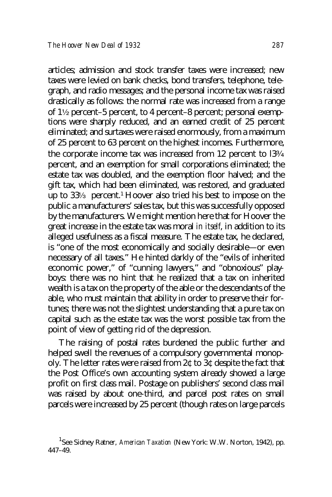articles; admission and stock transfer taxes were increased; new taxes were levied on bank checks, bond transfers, telephone, telegraph, and radio messages; and the personal income tax was raised drastically as follows: the normal rate was increased from a range of  $1\frac{1}{2}$  percent–5 percent, to 4 percent–8 percent; personal exemptions were sharply reduced, and an earned credit of 25 percent eliminated; and surtaxes were raised enormously, from a maximum of 25 percent to 63 percent on the highest incomes. Furthermore, the corporate income tax was increased from 12 percent to  $13\frac{3}{4}$ percent, and an exemption for small corporations eliminated; the estate tax was doubled, and the exemption floor halved; and the gift tax, which had been eliminated, was restored, and graduated up to 33% percent.<sup>1</sup> Hoover also tried his best to impose on the public a manufacturers' sales tax, but this was successfully opposed by the manufacturers. We might mention here that for Hoover the great increase in the estate tax was moral *in itself*, in addition to its alleged usefulness as a fiscal measure. The estate tax, he declared, is "one of the most economically and socially desirable—or even necessary of all taxes." He hinted darkly of the "evils of inherited economic power," of "cunning lawyers," and "obnoxious" playboys: there was no hint that he realized that a tax on inherited wealth is a tax on the property of the able or the descendants of the able, who must maintain that ability in order to preserve their fortunes; there was not the slightest understanding that a pure tax on capital such as the estate tax was the worst possible tax from the point of view of getting rid of the depression.

The raising of postal rates burdened the public further and helped swell the revenues of a compulsory governmental monopoly. The letter rates were raised from 2¢ to 3¢ despite the fact that the Post Office's own accounting system already showed a large profit on first class mail. Postage on publishers' second class mail was raised by about one-third, and parcel post rates on small parcels were increased by 25 percent (though rates on large parcels

<sup>&</sup>lt;sup>1</sup>See Sidney Ratner, American Taxation (New York: W.W. Norton, 1942), pp. 447–49.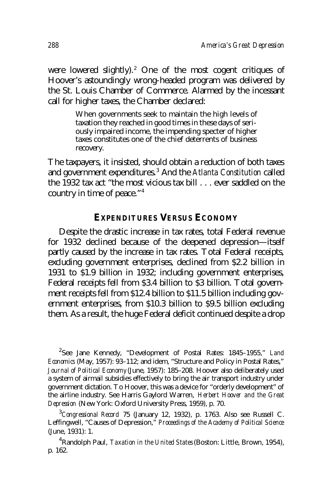were lowered slightly).<sup>2</sup> One of the most cogent critiques of Hoover's astoundingly wrong-headed program was delivered by the St. Louis Chamber of Commerce. Alarmed by the incessant call for higher taxes, the Chamber declared:

> When governments seek to maintain the high levels of taxation they reached in good times in these days of seriously impaired income, the impending specter of higher taxes constitutes one of the chief deterrents of business recovery.

The taxpayers, it insisted, should obtain a reduction of both taxes and government expenditures.<sup>3</sup> And the *Atlanta Constitution* called the 1932 tax act "the most vicious tax bill . . . ever saddled on the country in time of peace."<sup>4</sup>

## **EXPENDITURES VERSUS ECONOMY**

Despite the drastic increase in tax rates, total Federal revenue for 1932 declined because of the deepened depression—itself partly caused by the increase in tax rates. Total Federal receipts, excluding government enterprises, declined from \$2.2 billion in 1931 to \$1.9 billion in 1932; including government enterprises, Federal receipts fell from \$3.4 billion to \$3 billion. Total government receipts fell from \$12.4 billion to \$11.5 billion including government enterprises, from \$10.3 billion to \$9.5 billion excluding them. As a result, the huge Federal deficit continued despite a drop

2 See Jane Kennedy, "Development of Postal Rates: 1845–1955," *Land Economics* (May, 1957): 93–112; and idem, "Structure and Policy in Postal Rates," *Journal of Political Economy* (June, 1957): 185–208. Hoover also deliberately used a system of airmail subsidies effectively to bring the air transport industry under government dictation. To Hoover, this was a device for "orderly development" of the airline industry. See Harris Gaylord Warren, *Herbert Hoover and the Great Depression* (New York: Oxford University Press, 1959), p. 70.

<sup>3</sup>*Congressional Record* 75 (January 12, 1932), p. 1763. Also see Russell C. Leffingwell, "Causes of Depression," *Proceedings of the Academy of Political Science* (June, 1931): 1.

<sup>4</sup>Randolph Paul, *Taxation in the United States* (Boston: Little, Brown, 1954), p. 162.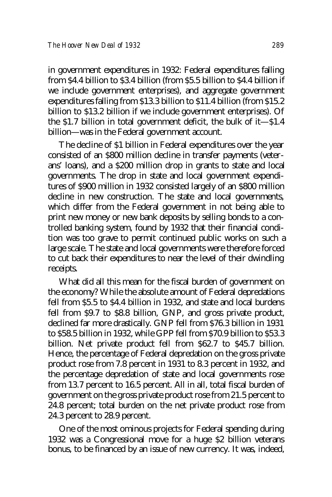in government expenditures in 1932: Federal expenditures falling from \$4.4 billion to \$3.4 billion (from \$5.5 billion to \$4.4 billion if we include government enterprises), and aggregate government expenditures falling from \$13.3 billion to \$11.4 billion (from \$15.2 billion to \$13.2 billion if we include government enterprises). Of the \$1.7 billion in total government deficit, the bulk of it—\$1.4 billion—was in the Federal government account.

The decline of \$1 billion in Federal expenditures over the year consisted of an \$800 million decline in transfer payments (veterans' loans), and a \$200 million drop in grants to state and local governments. The drop in state and local government expenditures of \$900 million in 1932 consisted largely of an \$800 million decline in new construction. The state and local governments, which differ from the Federal government in not being able to print new money or new bank deposits by selling bonds to a controlled banking system, found by 1932 that their financial condition was too grave to permit continued public works on such a large scale. The state and local governments were therefore forced to cut back their expenditures to near the level of their dwindling receipts.

What did all this mean for the fiscal burden of government on the economy? While the absolute amount of Federal depredations fell from \$5.5 to \$4.4 billion in 1932, and state and local burdens fell from \$9.7 to \$8.8 billion, GNP, and gross private product, declined far more drastically. GNP fell from \$76.3 billion in 1931 to \$58.5 billion in 1932, while GPP fell from \$70.9 billion to \$53.3 billion. Net private product fell from \$62.7 to \$45.7 billion. Hence, the percentage of Federal depredation on the gross private product rose from 7.8 percent in 1931 to 8.3 percent in 1932, and the percentage depredation of state and local governments rose from 13.7 percent to 16.5 percent. All in all, total fiscal burden of government on the gross private product rose from 21.5 percent to 24.8 percent; total burden on the net private product rose from 24.3 percent to 28.9 percent.

One of the most ominous projects for Federal spending during 1932 was a Congressional move for a huge \$2 billion veterans bonus, to be financed by an issue of new currency. It was, indeed,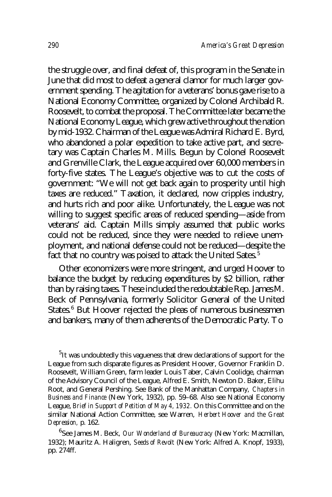the struggle over, and final defeat of, this program in the Senate in June that did most to defeat a general clamor for much larger government spending. The agitation for a veterans' bonus gave rise to a National Economy Committee, organized by Colonel Archibald R. Roosevelt, to combat the proposal. The Committee later became the National Economy League, which grew active throughout the nation by mid-1932. Chairman of the League was Admiral Richard E. Byrd, who abandoned a polar expedition to take active part, and secretary was Captain Charles M. Mills. Begun by Colonel Roosevelt and Grenville Clark, the League acquired over 60,000 members in forty-five states. The League's objective was to cut the costs of government: "We will not get back again to prosperity until high taxes are reduced." Taxation, it declared, now cripples industry, and hurts rich and poor alike. Unfortunately, the League was not willing to suggest specific areas of reduced spending—aside from veterans' aid. Captain Mills simply assumed that public works could not be reduced, since they were needed to relieve unemployment, and national defense could not be reduced—despite the fact that no country was poised to attack the United Sates.<sup>5</sup>

Other economizers were more stringent, and urged Hoover to balance the budget by reducing expenditures by \$2 billion, rather than by raising taxes. These included the redoubtable Rep. James M. Beck of Pennsylvania, formerly Solicitor General of the United States.<sup>6</sup> But Hoover rejected the pleas of numerous businessmen and bankers, many of them adherents of the Democratic Party. To

 $^5$ It was undoubtedly this vagueness that drew declarations of support for the League from such disparate figures as President Hoover, Governor Franklin D. Roosevelt, William Green, farm leader Louis Taber, Calvin Coolidge, chairman of the Advisory Council of the League, Alfred E. Smith, Newton D. Baker, Elihu Root, and General Pershing. See Bank of the Manhattan Company, *Chapters in Business and Finance* (New York, 1932), pp. 59–68. Also see National Economy League, *Brief in Support of Petition of May 4, 1932.* On this Committee and on the similar National Action Committee, see Warren, *Herbert Hoover and the Great Depression,* p. 162.

6 See James M. Beck, *Our Wonderland of Bureaucracy* (New York: Macmillan, 1932); Mauritz A. Haligren, *Seeds of Revolt* (New York: Alfred A. Knopf, 1933), pp. 274ff.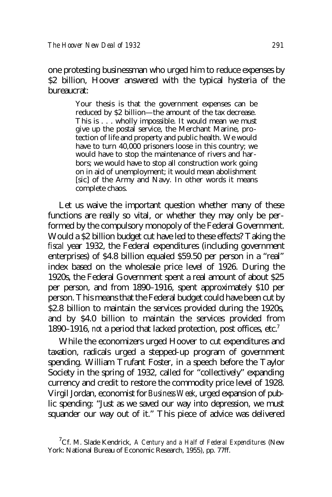one protesting businessman who urged him to reduce expenses by \$2 billion, Hoover answered with the typical hysteria of the bureaucrat:

> Your thesis is that the government expenses can be reduced by \$2 billion—the amount of the tax decrease. This is . . . wholly impossible. It would mean we must give up the postal service, the Merchant Marine, protection of life and property and public health. We would have to turn 40,000 prisoners loose in this country; we would have to stop the maintenance of rivers and harbors; we would have to stop all construction work going on in aid of unemployment; it would mean abolishment [sic] of the Army and Navy. In other words it means complete chaos.

Let us waive the important question whether many of these functions are really so vital, or whether they may only be performed by the compulsory monopoly of the Federal Government. Would a \$2 billion budget cut have led to these effects? Taking the *fiscal* year 1932, the Federal expenditures (including government enterprises) of \$4.8 billion equaled \$59.50 per person in a "real" index based on the wholesale price level of 1926. During the 1920s, the Federal Government spent a real amount of about \$25 per person, and from 1890–1916, spent approximately \$10 per person. This means that the Federal budget could have been cut by \$2.8 billion to maintain the services provided during the 1920s, and by \$4.0 billion to maintain the services provided from 1890–1916, *not* a period that lacked protection, post offices, etc.<sup>7</sup>

While the economizers urged Hoover to cut expenditures and taxation, radicals urged a stepped-up program of government spending. William Trufant Foster, in a speech before the Taylor Society in the spring of 1932, called for "collectively" expanding currency and credit to restore the commodity price level of 1928. Virgil Jordan, economist for *Business Week*, urged expansion of public spending: "Just as we saved our way into depression, we must squander our way out of it." This piece of advice was delivered

<sup>7</sup>Cf. M. Slade Kendrick, *A Century and a Half of Federal Expenditures* (New York: National Bureau of Economic Research, 1955), pp. 77ff.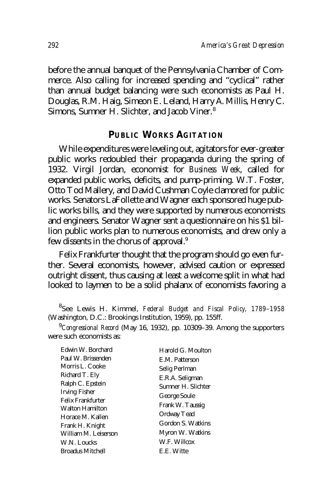before the annual banquet of the Pennsylvania Chamber of Commerce. Also calling for increased spending and "cyclical" rather than annual budget balancing were such economists as Paul H. Douglas, R.M. Haig, Simeon E. Leland, Harry A. Millis, Henry C. Simons, Sumner H. Slichter, and Jacob Viner.<sup>8</sup>

## **PUBLIC WORKS AGITATION**

While expenditures were leveling out, agitators for ever-greater public works redoubled their propaganda during the spring of 1932. Virgil Jordan, economist for *Business Week*, called for expanded public works, deficits, and pump-priming. W.T. Foster, Otto Tod Mallery, and David Cushman Coyle clamored for public works. Senators LaFollette and Wagner each sponsored huge public works bills, and they were supported by numerous economists and engineers. Senator Wagner sent a questionnaire on his \$1 billion public works plan to numerous economists, and drew only a few dissents in the chorus of approval.<sup>9</sup>

Felix Frankfurter thought that the program should go even further. Several economists, however, advised caution or expressed outright dissent, thus causing at least a welcome split in what had looked to laymen to be a solid phalanx of economists favoring a

8 See Lewis H. Kimmel, *Federal Budget and Fiscal Policy, 1789–1958* (Washington, D.C.: Brookings Institution, 1959), pp. 155ff.

<sup>9</sup>*Congressional Record* (May 16, 1932), pp. 10309–39. Among the supporters were such economists as:

| Edwin W. Borchard       | Harold G. Moulton        |
|-------------------------|--------------------------|
| Paul W. Brissenden      | E.M. Patterson           |
| Morris L. Cooke         | Selig Perlman            |
| Richard T. Ely          | E.R.A. Seligman          |
| Ralph C. Epstein        | Sumner H. Slichter       |
| <b>Irving Fisher</b>    | <b>George Soule</b>      |
| Felix Frankfurter       | Frank W. Taussig         |
| Walton Hamilton         | Ordway Tead              |
| Horace M. Kallen        |                          |
| Frank H. Knight         | <b>Gordon S. Watkins</b> |
| William M. Leiserson    | Myron W. Watkins         |
| W.N. Loucks             | W.F. Willcox             |
| <b>Broadus Mitchell</b> | E.E. Witte               |
|                         |                          |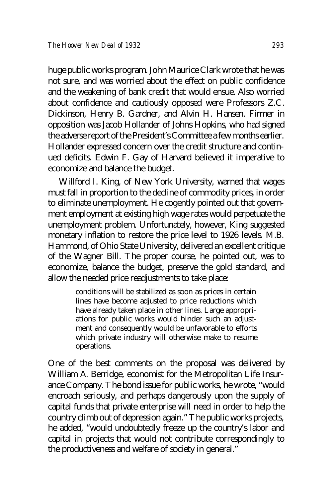huge public works program. John Maurice Clark wrote that he was not sure, and was worried about the effect on public confidence and the weakening of bank credit that would ensue. Also worried about confidence and cautiously opposed were Professors Z.C. Dickinson, Henry B. Gardner, and Alvin H. Hansen. Firmer in opposition was Jacob Hollander of Johns Hopkins, who had signed the adverse report of the President's Committee a few months earlier. Hollander expressed concern over the credit structure and continued deficits. Edwin F. Gay of Harvard believed it imperative to economize and balance the budget.

Willford I. King, of New York University, warned that wages must fall in proportion to the decline of commodity prices, in order to eliminate unemployment. He cogently pointed out that government employment at existing high wage rates would perpetuate the unemployment problem. Unfortunately, however, King suggested monetary inflation to restore the price level to 1926 levels. M.B. Hammond, of Ohio State University, delivered an excellent critique of the Wagner Bill. The proper course, he pointed out, was to economize, balance the budget, preserve the gold standard, and allow the needed price readjustments to take place:

> conditions will be stabilized as soon as prices in certain lines have become adjusted to price reductions which have already taken place in other lines. Large appropriations for public works would hinder such an adjustment and consequently would be unfavorable to efforts which private industry will otherwise make to resume operations.

One of the best comments on the proposal was delivered by William A. Berridge, economist for the Metropolitan Life Insurance Company. The bond issue for public works, he wrote, "would encroach seriously, and perhaps dangerously upon the supply of capital funds that private enterprise will need in order to help the country climb out of depression again." The public works projects, he added, "would undoubtedly freeze up the country's labor and capital in projects that would not contribute correspondingly to the productiveness and welfare of society in general."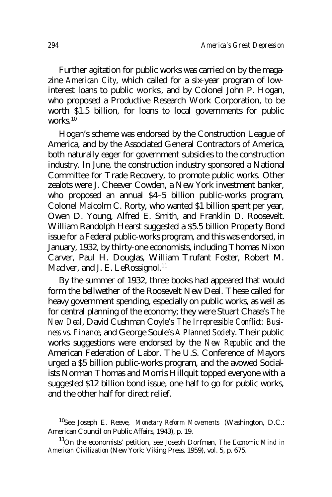Further agitation for public works was carried on by the magazine *American City*, which called for a six-year program of lowinterest loans to public works, and by Colonel John P. Hogan, who proposed a Productive Research Work Corporation, to be worth \$1.5 billion, for loans to local governments for public works<sup>10</sup>

Hogan's scheme was endorsed by the Construction League of America, and by the Associated General Contractors of America, both naturally eager for government subsidies to the construction industry. In June, the construction industry sponsored a National Committee for Trade Recovery, to promote public works. Other zealots were J. Cheever Cowden, a New York investment banker, who proposed an annual \$4–5 billion public-works program, Colonel Malcolm C. Rorty, who wanted \$1 billion spent per year, Owen D. Young, Alfred E. Smith, and Franklin D. Roosevelt. William Randolph Hearst suggested a \$5.5 billion Property Bond issue for a Federal public-works program, and this was endorsed, in January, 1932, by thirty-one economists, including Thomas Nixon Carver, Paul H. Douglas, William Trufant Foster, Robert M. Maclver, and J. E. LeRossignol.<sup>11</sup>

By the summer of 1932, three books had appeared that would form the bellwether of the Roosevelt New Deal. These called for heavy government spending, especially on public works, as well as for central planning of the economy; they were Stuart Chase's *The New Deal*, David Cushman Coyle's *The Irrepressible Conflict: Business vs. Finance*, and George Soule's *A Planned Society*. Their public works suggestions were endorsed by the *New Republic* and the American Federation of Labor. The U.S. Conference of Mayors urged a \$5 billion public-works program, and the avowed Socialists Norman Thomas and Morris Hillquit topped everyone with a suggested \$12 billion bond issue, one half to go for public works, and the other half for direct relief.

<sup>10</sup>See Joseph E. Reeve, *Monetary Reform Movements* (Washington, D.C.: American Council on Public Affairs, 1943), p. 19.

<sup>11</sup>On the economists' petition, see Joseph Dorfman, *The Economic Mind in American Civilization* (New York: Viking Press, 1959), vol. 5, p. 675.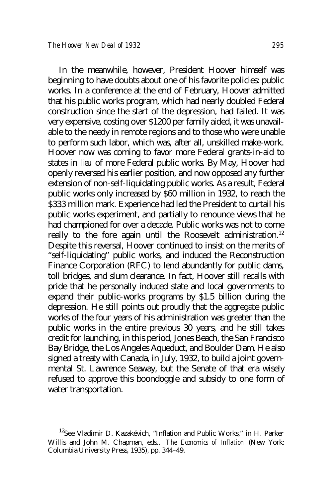In the meanwhile, however, President Hoover himself was beginning to have doubts about one of his favorite policies: public works. In a conference at the end of February, Hoover admitted that his public works program, which had nearly doubled Federal construction since the start of the depression, had failed. It was very expensive, costing over \$1200 per family aided, it was unavailable to the needy in remote regions and to those who were unable to perform such labor, which was, after all, unskilled make-work. Hoover now was coming to favor more Federal grants-in-aid to states in *lieu* of more Federal public works. By May, Hoover had openly reversed his earlier position, and now opposed any further extension of non-self-liquidating public works. As a result, Federal public works only increased by \$60 million in 1932, to reach the \$333 million mark. Experience had led the President to curtail his public works experiment, and partially to renounce views that he had championed for over a decade. Public works was not to come really to the fore again until the Roosevelt administration.<sup>12</sup> Despite this reversal, Hoover continued to insist on the merits of "self-liquidating" public works, and induced the Reconstruction Finance Corporation (RFC) to lend abundantly for public dams, toll bridges, and slum clearance. In fact, Hoover still recalls with pride that he personally induced state and local governments to expand their public-works programs by \$1.5 billion during the depression. He still points out proudly that the aggregate public works of the four years of his administration was greater than the public works in the entire previous 30 years, and he still takes credit for launching, in this period, Jones Beach, the San Francisco Bay Bridge, the Los Angeles Aqueduct, and Boulder Dam. He also signed a treaty with Canada, in July, 1932, to build a joint governmental St. Lawrence Seaway, but the Senate of that era wisely refused to approve this boondoggle and subsidy to one form of water transportation.

<sup>&</sup>lt;sup>12</sup>See Vladimir D. Kazakévich, "Inflation and Public Works," in H. Parker Willis and John M. Chapman, eds., *The Economics of Inflation* (New York: Columbia University Press, 1935), pp. 344–49.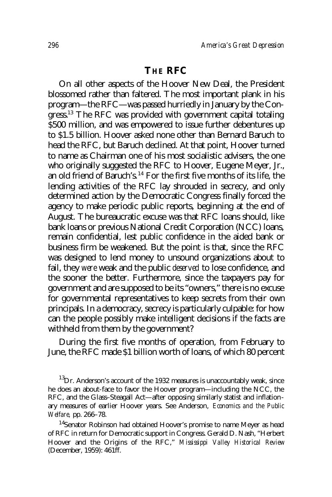## **THE RFC**

On all other aspects of the Hoover New Deal, the President blossomed rather than faltered. The most important plank in his program—the RFC—was passed hurriedly in January by the Congress.<sup>13</sup> The RFC was provided with government capital totaling \$500 million, and was empowered to issue further debentures up to \$1.5 billion. Hoover asked none other than Bernard Baruch to head the RFC, but Baruch declined. At that point, Hoover turned to name as Chairman one of his most socialistic advisers, the one who originally suggested the RFC to Hoover, Eugene Meyer, Jr., an old friend of Baruch's.<sup>14</sup> For the first five months of its life, the lending activities of the RFC lay shrouded in secrecy, and only determined action by the Democratic Congress finally forced the agency to make periodic public reports, beginning at the end of August. The bureaucratic excuse was that RFC loans should, like bank loans or previous National Credit Corporation (NCC) loans, remain confidential, lest public confidence in the aided bank or business firm be weakened. But the point is that, since the RFC was designed to lend money to unsound organizations about to fail, they *were* weak and the public *deserved* to lose confidence, and the sooner the better. Furthermore, since the taxpayers pay for government and are supposed to be its "owners," there is no excuse for governmental representatives to keep secrets from their own principals. In a democracy, secrecy is particularly culpable: for how can the people possibly make intelligent decisions if the facts are withheld from them by the government?

During the first five months of operation, from February to June, the RFC made \$1 billion worth of loans, of which 80 percent

 $13$ Dr. Anderson's account of the 1932 measures is unaccountably weak, since he does an about-face to favor the Hoover program—including the NCC, the RFC, and the Glass–Steagall Act—after opposing similarly statist and inflationary measures of earlier Hoover years. See Anderson, *Economics and the Public Welfare,* pp. 266–78.

<sup>14</sup>Senator Robinson had obtained Hoover's promise to name Meyer as head of RFC in return for Democratic support in Congress. Gerald D. Nash, "Herbert Hoover and the Origins of the RFC," *Mississippi Valley Historical Review* (December, 1959): 461ff.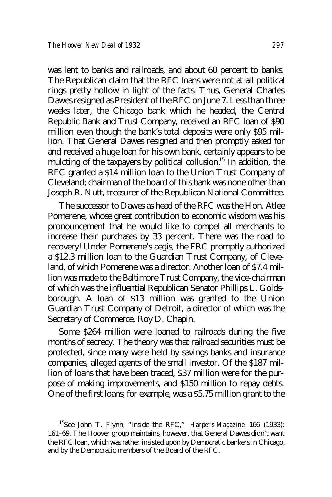was lent to banks and railroads, and about 60 percent to banks. The Republican claim that the RFC loans were not at all political rings pretty hollow in light of the facts. Thus, General Charles Dawes resigned as President of the RFC on June 7. Less than three weeks later, the Chicago bank which he headed, the Central Republic Bank and Trust Company, received an RFC loan of \$90 million even though the bank's total deposits were only \$95 million. That General Dawes resigned and then promptly asked for and received a huge loan for his own bank, certainly appears to be mulcting of the taxpayers by political collusion.<sup>15</sup> In addition, the RFC granted a \$14 million loan to the Union Trust Company of Cleveland; chairman of the board of this bank was none other than Joseph R. Nutt, treasurer of the Republican National Committee.

The successor to Dawes as head of the RFC was the Hon. Atlee Pomerene, whose great contribution to economic wisdom was his pronouncement that he would like to compel all merchants to increase their purchases by 33 percent. There was the road to recovery! Under Pomerene's aegis, the FRC promptly authorized a \$12.3 million loan to the Guardian Trust Company, of Cleveland, of which Pomerene was a director. Another loan of \$7.4 million was made to the Baltimore Trust Company, the vice-chairman of which was the influential Republican Senator Phillips L. Goldsborough. A loan of \$13 million was granted to the Union Guardian Trust Company of Detroit, a director of which was the Secretary of Commerce, Roy D. Chapin.

Some \$264 million were loaned to railroads during the five months of secrecy. The theory was that railroad securities must be protected, since many were held by savings banks and insurance companies, alleged agents of the small investor. Of the \$187 million of loans that have been traced, \$37 million were for the purpose of making improvements, and \$150 million to repay debts. One of the first loans, for example, was a \$5.75 million grant to the

<sup>15</sup>See John T. Flynn, "Inside the RFC," *Harper's Magazine* 166 (1933): 161–69. The Hoover group maintains, however, that General Dawes didn't want the RFC loan, which was rather insisted upon by Democratic bankers in Chicago, and by the Democratic members of the Board of the RFC.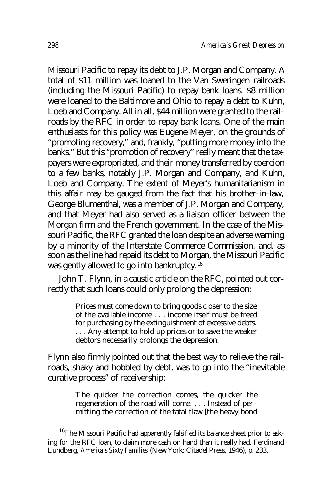Missouri Pacific to repay its debt to J.P. Morgan and Company. A total of \$11 million was loaned to the Van Sweringen railroads (including the Missouri Pacific) to repay bank loans. \$8 million were loaned to the Baltimore and Ohio to repay a debt to Kuhn, Loeb and Company. All in all, \$44 million were granted to the railroads by the RFC in order to repay bank loans. One of the main enthusiasts for this policy was Eugene Meyer, on the grounds of "promoting recovery," and, frankly, "putting more money into the banks." But this "promotion of recovery" really meant that the taxpayers were expropriated, and their money transferred by coercion to a few banks, notably J.P. Morgan and Company, and Kuhn, Loeb and Company. The extent of Meyer's humanitarianism in this affair may be gauged from the fact that his brother-in-law, George Blumenthal, was a member of J.P. Morgan and Company, and that Meyer had also served as a liaison officer between the Morgan firm and the French government. In the case of the Missouri Pacific, the RFC granted the loan despite an adverse warning by a minority of the Interstate Commerce Commission, and, as soon as the line had repaid its debt to Morgan, the Missouri Pacific was gently allowed to go into bankruptcy.<sup>16</sup>

John T. Flynn, in a caustic article on the RFC, pointed out correctly that such loans could only prolong the depression:

> Prices must come down to bring goods closer to the size of the available income . . . income itself must be freed for purchasing by the extinguishment of excessive debts. . . . Any attempt to hold up prices or to save the weaker debtors necessarily prolongs the depression.

Flynn also firmly pointed out that the best way to relieve the railroads, shaky and hobbled by debt, was to go into the "inevitable curative process" of receivership:

> The quicker the correction comes, the quicker the regeneration of the road will come. . . . Instead of permitting the correction of the fatal flaw [the heavy bond

<sup>16</sup>The Missouri Pacific had apparently falsified its balance sheet prior to asking for the RFC loan, to claim more cash on hand than it really had. Ferdinand Lundberg, *America's Sixty Families* (New York: Citadel Press, 1946), p. 233.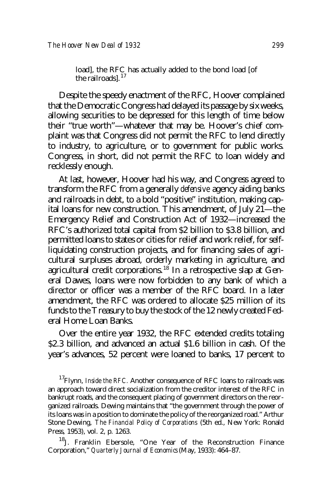load], the RFC has actually added to the bond load [of the railroadsl.<sup>17</sup>

Despite the speedy enactment of the RFC, Hoover complained that the Democratic Congress had delayed its passage by six weeks, allowing securities to be depressed for this length of time below their "true worth"—whatever that may be. Hoover's chief complaint was that Congress did not permit the RFC to lend directly to industry, to agriculture, or to government for public works. Congress, in short, did not permit the RFC to loan widely and recklessly enough.

At last, however, Hoover had his way, and Congress agreed to transform the RFC from a generally *defensive* agency aiding banks and railroads in debt, to a bold "positive" institution, making capital loans for new construction. This amendment, of July 21—the Emergency Relief and Construction Act of 1932—increased the RFC's authorized total capital from \$2 billion to \$3.8 billion, and permitted loans to states or cities for relief and work relief, for selfliquidating construction projects, and for financing sales of agricultural surpluses abroad, orderly marketing in agriculture, and agricultural credit corporations.<sup>18</sup> In a retrospective slap at General Dawes, loans were now forbidden to any bank of which a director or officer was a member of the RFC board. In a later amendment, the RFC was ordered to allocate \$25 million of its funds to the Treasury to buy the stock of the 12 newly created Federal Home Loan Banks.

Over the entire year 1932, the RFC extended credits totaling \$2.3 billion, and advanced an actual \$1.6 billion in cash. Of the year's advances, 52 percent were loaned to banks, 17 percent to

<sup>17</sup>Flynn, *Inside the RFC*. Another consequence of RFC loans to railroads was an approach toward direct socialization from the creditor interest of the RFC in bankrupt roads, and the consequent placing of government directors on the reorganized railroads. Dewing maintains that "the government through the power of its loans was in a position to dominate the policy of the reorganized road." Arthur Stone Dewing, *The Financial Policy of Corporations* (5th ed., New York: Ronald Press, 1953), vol. 2, p. 1263.

<sup>18</sup>J. Franklin Ebersole, "One Year of the Reconstruction Finance Corporation," *Quarterly Journal of Economics* (May, 1933): 464–87.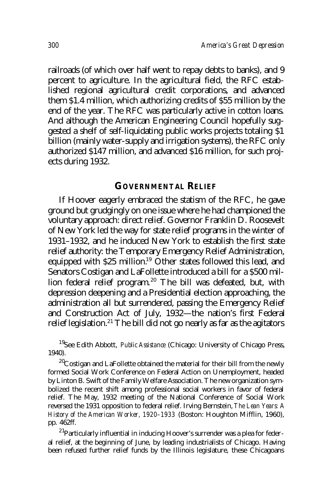railroads (of which over half went to repay debts to banks), and 9 percent to agriculture. In the agricultural field, the RFC established regional agricultural credit corporations, and advanced them \$1.4 million, which authorizing credits of \$55 million by the end of the year. The RFC was particularly active in cotton loans. And although the American Engineering Council hopefully suggested a shelf of self-liquidating public works projects totaling \$1 billion (mainly water-supply and irrigation systems), the RFC only authorized \$147 million, and advanced \$16 million, for such projects during 1932.

## **GOVERNMENTAL RELIEF**

If Hoover eagerly embraced the statism of the RFC, he gave ground but grudgingly on one issue where he had championed the voluntary approach: direct relief. Governor Franklin D. Roosevelt of New York led the way for state relief programs in the winter of 1931–1932, and he induced New York to establish the first state relief authority: the Temporary Emergency Relief Administration, equipped with \$25 million.<sup>19</sup> Other states followed this lead, and Senators Costigan and LaFollette introduced a bill for a \$500 million federal relief program.<sup>20</sup> The bill was defeated, but, with depression deepening and a Presidential election approaching, the administration all but surrendered, passing the Emergency Relief and Construction Act of July, 1932—the nation's first Federal relief legislation.<sup>21</sup> The bill did not go nearly as far as the agitators

<sup>19</sup>See Edith Abbott, *Public Assistance* (Chicago: University of Chicago Press, 1940).

 $^{20}$ Costigan and LaFollette obtained the material for their bill from the newly formed Social Work Conference on Federal Action on Unemployment, headed by Linton B. Swift of the Family Welfare Association. The new organization symbolized the recent shift among professional social workers in favor of federal relief. The May, 1932 meeting of the National Conference of Social Work reversed the 1931 opposition to federal relief. Irving Bernstein, *The Lean Years: A History of the American Worker, 1920–1933* (Boston: Houghton Mifflin, 1960), pp. 462ff.

<sup>21</sup>Particularly influential in inducing Hoover's surrender was a plea for federal relief, at the beginning of June, by leading industrialists of Chicago. Having been refused further relief funds by the Illinois legislature, these Chicagoans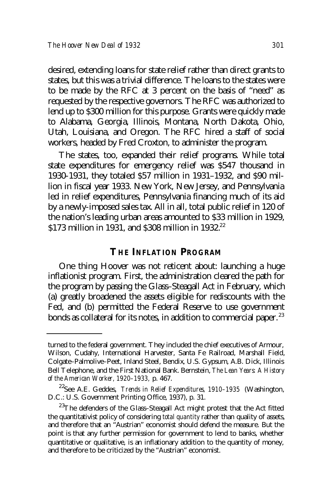desired, extending loans for state relief rather than direct grants to states, but this was a trivial difference. The loans to the states were to be made by the RFC at 3 percent on the basis of "need" as requested by the respective governors. The RFC was authorized to lend up to \$300 million for this purpose. Grants were quickly made to Alabama, Georgia, Illinois, Montana, North Dakota, Ohio, Utah, Louisiana, and Oregon. The RFC hired a staff of social workers, headed by Fred Croxton, to administer the program.

The states, too, expanded their relief programs. While total state expenditures for emergency relief was \$547 thousand in 1930-1931, they totaled \$57 million in 1931–1932, and \$90 million in fiscal year 1933. New York, New Jersey, and Pennsylvania led in relief expenditures, Pennsylvania financing much of its aid by a newly-imposed sales tax. All in all, total public relief in 120 of the nation's leading urban areas amounted to \$33 million in 1929, \$173 million in 1931, and \$308 million in 1932.<sup>22</sup>

## **THE INFLATION PROGRAM**

One thing Hoover was not reticent about: launching a huge inflationist program. First, the administration cleared the path for the program by passing the Glass–Steagall Act in February, which (a) greatly broadened the assets eligible for rediscounts with the Fed, and (b) permitted the Federal Reserve to use government bonds as collateral for its notes, in addition to commercial paper.<sup>23</sup>

turned to the federal government. They included the chief executives of Armour, Wilson, Cudahy, International Harvester, Santa Fe Railroad, Marshall Field, Colgate–Palmolive–Peet, Inland Steel, Bendix, U.S. Gypsum, A.B. Dick, Illinois Bell Telephone, and the First National Bank. Bernstein, *The Lean Years: A History of the American Worker, 1920–1933,* p. 467.

<sup>22</sup>See A.E. Geddes, *Trends in Relief Expenditures, 1910–1935* (Washington, D.C.: U.S. Government Printing Office, 1937), p. 31.

 $23$ The defenders of the Glass-Steagall Act might protest that the Act fitted the quantitativist policy of considering *total quantity* rather than quality of assets, and therefore that an "Austrian" economist should defend the measure. But the point is that any further permission for government to lend to banks, whether quantitative or qualitative, is an inflationary addition to the quantity of money, and therefore to be criticized by the "Austrian" economist.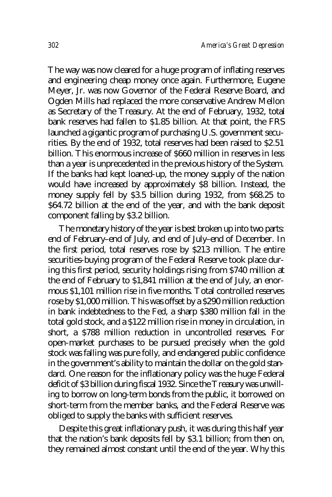The way was now cleared for a huge program of inflating reserves and engineering cheap money once again. Furthermore, Eugene Meyer, Jr. was now Governor of the Federal Reserve Board, and Ogden Mills had replaced the more conservative Andrew Mellon as Secretary of the Treasury. At the end of February, 1932, total bank reserves had fallen to \$1.85 billion. At that point, the FRS launched a gigantic program of purchasing U.S. government securities. By the end of 1932, total reserves had been raised to \$2.51 billion. This enormous increase of \$660 million in reserves in less than a year is unprecedented in the previous history of the System. If the banks had kept loaned-up, the money supply of the nation would have increased by approximately \$8 billion. Instead, the money supply fell by \$3.5 billion during 1932, from \$68.25 to \$64.72 billion at the end of the year, and with the bank deposit component falling by \$3.2 billion.

The monetary history of the year is best broken up into two parts: end of February–end of July, and end of July–end of December. In the first period, total reserves rose by \$213 million. The entire securities-buying program of the Federal Reserve took place during this first period, security holdings rising from \$740 million at the end of February to \$1,841 million at the end of July, an enormous \$1,101 million rise in five months. Total controlled reserves rose by \$1,000 million. This was offset by a \$290 million reduction in bank indebtedness to the Fed, a sharp \$380 million fall in the total gold stock, and a \$122 million rise in money in circulation, in short, a \$788 million reduction in uncontrolled reserves. For open-market purchases to be pursued precisely when the gold stock was falling was pure folly, and endangered public confidence in the government's ability to maintain the dollar on the gold standard. One reason for the inflationary policy was the huge Federal deficit of \$3 billion during fiscal 1932. Since the Treasury was unwilling to borrow on long-term bonds from the public, it borrowed on short-term from the member banks, and the Federal Reserve was obliged to supply the banks with sufficient reserves.

Despite this great inflationary push, it was during this half year that the nation's bank deposits fell by \$3.1 billion; from then on, they remained almost constant until the end of the year. Why this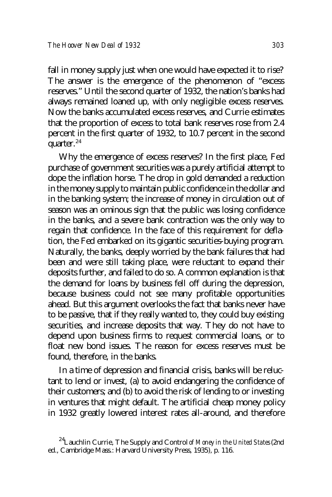fall in money supply just when one would have expected it to rise? The answer is the emergence of the phenomenon of "excess reserves." Until the second quarter of 1932, the nation's banks had always remained loaned up, with only negligible excess reserves. Now the banks accumulated excess reserves, and Currie estimates that the proportion of excess to total bank reserves rose from 2.4 percent in the first quarter of 1932, to 10.7 percent in the second quarter.<sup>24</sup>

Why the emergence of excess reserves? In the first place, Fed purchase of government securities was a purely artificial attempt to dope the inflation horse. The drop in gold demanded a reduction in the money supply to maintain public confidence in the dollar and in the banking system; the increase of money in circulation out of season was an ominous sign that the public was losing confidence in the banks, and a severe bank contraction was the only way to regain that confidence. In the face of this requirement for deflation, the Fed embarked on its gigantic securities-buying program. Naturally, the banks, deeply worried by the bank failures that had been and were still taking place, were reluctant to expand their deposits further, and failed to do so. A common explanation is that the demand for loans by business fell off during the depression, because business could not see many profitable opportunities ahead. But this argument overlooks the fact that banks never have to be passive, that if they really wanted to, they could buy existing securities, and increase deposits that way. They do not have to depend upon business firms to request commercial loans, or to float new bond issues. The reason for excess reserves must be found, therefore, in the banks.

In a time of depression and financial crisis, banks will be reluctant to lend or invest, (a) to avoid endangering the confidence of their customers; and (b) to avoid the risk of lending to or investing in ventures that might default. The artificial cheap money policy in 1932 greatly lowered interest rates all-around, and therefore

<sup>24</sup>Lauchlin Currie, The Supply and Control *of Money in the United States* (2nd ed., Cambridge Mass.: Harvard University Press, 1935), p. 116.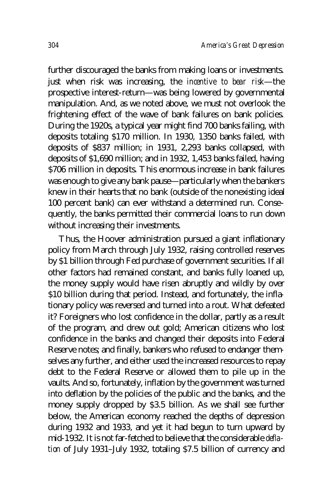further discouraged the banks from making loans or investments. just when risk was increasing, the *incentive to bear risk*—the prospective interest-return—was being lowered by governmental manipulation. And, as we noted above, we must not overlook the frightening effect of the wave of bank failures on bank policies. During the 1920s, a typical year might find 700 banks failing, with deposits totaling \$170 million. In 1930, 1350 banks failed, with deposits of \$837 million; in 1931, 2,293 banks collapsed, with deposits of \$1,690 million; and in 1932, 1,453 banks failed, having \$706 million in deposits. This enormous increase in bank failures was enough to give any bank pause—particularly when the bankers knew in their hearts that no bank (outside of the nonexisting ideal 100 percent bank) can ever withstand a determined run. Consequently, the banks permitted their commercial loans to run down without increasing their investments.

Thus, the Hoover administration pursued a giant inflationary policy from March through July 1932, raising controlled reserves by \$1 billion through Fed purchase of government securities. If all other factors had remained constant, and banks fully loaned up, the money supply would have risen abruptly and wildly by over \$10 billion during that period. Instead, and fortunately, the inflationary policy was reversed and turned into a rout. What defeated it? Foreigners who lost confidence in the dollar, partly as a result of the program, and drew out gold; American citizens who lost confidence in the banks and changed their deposits into Federal Reserve notes; and finally, bankers who refused to endanger themselves any further, and either used the increased resources to repay debt to the Federal Reserve or allowed them to pile up in the vaults. And so, fortunately, inflation by the government was turned into deflation by the policies of the public and the banks, and the money supply dropped by \$3.5 billion. As we shall see further below, the American economy reached the depths of depression during 1932 and 1933, and yet it had begun to turn upward by mid-1932. It is not far-fetched to believe that the considerable *deflation* of July 1931–July 1932, totaling \$7.5 billion of currency and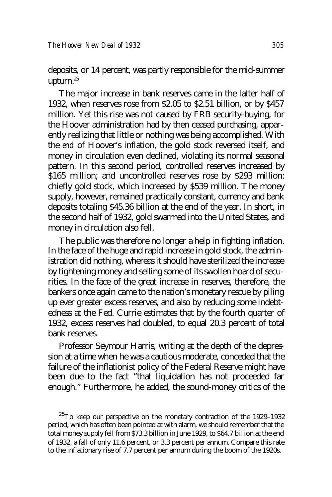deposits, or 14 percent, was partly responsible for the mid-summer upturn.<sup>25</sup>

The major increase in bank reserves came in the latter half of 1932, when reserves rose from \$2.05 to \$2.51 billion, or by \$457 million. Yet this rise was not caused by FRB security-buying, for the Hoover administration had by then ceased purchasing, apparently realizing that little or nothing was being accomplished. With the *end* of Hoover's inflation, the gold stock reversed itself, and money in circulation even declined, violating its normal seasonal pattern. In this second period, controlled reserves increased by \$165 million; and uncontrolled reserves rose by \$293 million: chiefly gold stock, which increased by \$539 million. The money supply, however, remained practically constant, currency and bank deposits totaling \$45.36 billion at the end of the year. In short, in the second half of 1932, gold swarmed into the United States, and money in circulation also fell.

The public was therefore no longer a help in fighting inflation. In the face of the huge and rapid increase in gold stock, the administration did nothing, whereas it should have sterilized the increase by tightening money and selling some of its swollen hoard of securities. In the face of the great increase in reserves, therefore, the bankers once again came to the nation's monetary rescue by piling up ever greater excess reserves, and also by reducing some indebtedness at the Fed. Currie estimates that by the fourth quarter of 1932, excess reserves had doubled, to equal 20.3 percent of total bank reserves.

Professor Seymour Harris, writing at the depth of the depression at a time when he was a cautious moderate, conceded that the failure of the inflationist policy of the Federal Reserve might have been due to the fact "that liquidation has not proceeded far enough." Furthermore, he added, the sound-money critics of the

 $25$ To keep our perspective on the monetary contraction of the 1929–1932 period, which has often been pointed at with alarm, we should remember that the total money supply fell from \$73.3 billion in June 1929, to \$64.7 billion at the end of 1932, a fall of only 11.6 percent, or 3.3 percent per annum. Compare this rate to the inflationary rise of 7.7 percent per annum during the boom of the 1920s.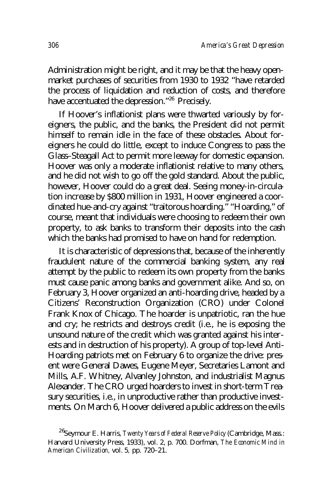Administration might be right, and it may be that the heavy openmarket purchases of securities from 1930 to 1932 "have retarded the process of liquidation and reduction of costs, and therefore have accentuated the depression." $26$  Precisely.

If Hoover's inflationist plans were thwarted variously by foreigners, the public, and the banks, the President did not permit himself to remain idle in the face of these obstacles. About foreigners he could do little, except to induce Congress to pass the Glass–Steagall Act to permit more leeway for domestic expansion. Hoover was only a moderate inflationist relative to many others, and he did not wish to go off the gold standard. About the public, however, Hoover could do a great deal. Seeing money-in-circulation increase by \$800 million in 1931, Hoover engineered a coordinated hue-and-cry against "traitorous hoarding." "Hoarding," of course, meant that individuals were choosing to redeem their own property, to ask banks to transform their deposits into the cash which the banks had promised to have on hand for redemption.

It is characteristic of depressions that, because of the inherently fraudulent nature of the commercial banking system, any real attempt by the public to redeem its own property from the banks must cause panic among banks and government alike. And so, on February 3, Hoover organized an anti-hoarding drive, headed by a Citizens' Reconstruction Organization (CRO) under Colonel Frank Knox of Chicago. The hoarder is unpatriotic, ran the hue and cry; he restricts and destroys credit (i.e., he is exposing the unsound nature of the credit which was granted against his interests and in destruction of his property). A group of top-level Anti-Hoarding patriots met on February 6 to organize the drive: present were General Dawes, Eugene Meyer, Secretaries Lamont and Mills, A.F. Whitney, Alvanley Johnston, and industrialist Magnus Alexander. The CRO urged hoarders to invest in short-term Treasury securities, i.e., in unproductive rather than productive investments. On March 6, Hoover delivered a public address on the evils

<sup>26</sup>Seymour E. Harris, *Twenty Years of Federal Reserve Policy* (Cambridge, Mass.: Harvard University Press, 1933), vol. 2, p. 700. Dorfman, *The Economic Mind in American Civilization,* vol. 5*,* pp. 720–21.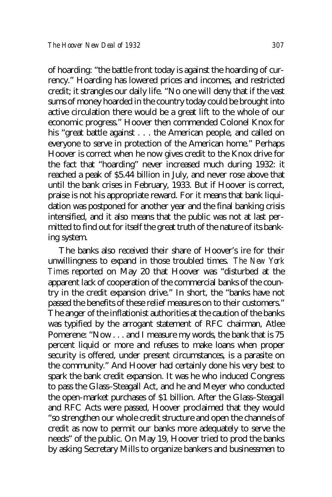of hoarding: "the battle front today is against the hoarding of currency." Hoarding has lowered prices and incomes, and restricted credit; it strangles our daily life. "No one will deny that if the vast sums of money hoarded in the country today could be brought into active circulation there would be a great lift to the whole of our economic progress." Hoover then commended Colonel Knox for his "great battle against . . . the American people, and called on everyone to serve in protection of the American home." Perhaps Hoover is correct when he now gives credit to the Knox drive for the fact that "hoarding" never increased much during 1932: it reached a peak of \$5.44 billion in July, and never rose above that until the bank crises in February, 1933. But if Hoover is correct, praise is not his appropriate reward. For it means that bank liquidation was postponed for another year and the final banking crisis intensified, and it also means that the public was not at last permitted to find out for itself the great truth of the nature of its banking system.

The banks also received their share of Hoover's ire for their unwillingness to expand in those troubled times. *The New York Times* reported on May 20 that Hoover was "disturbed at the apparent lack of cooperation of the commercial banks of the country in the credit expansion drive." In short, the "banks have not passed the benefits of these relief measures on to their customers." The anger of the inflationist authorities at the caution of the banks was typified by the arrogant statement of RFC chairman, Atlee Pomerene: "Now . . . and I measure my words, the bank that is 75 percent liquid or more and refuses to make loans when proper security is offered, under present circumstances, is a parasite on the community." And Hoover had certainly done his very best to spark the bank credit expansion. It was he who induced Congress to pass the Glass–Steagall Act, and he and Meyer who conducted the open-market purchases of \$1 billion. After the Glass–Steagall and RFC Acts were passed, Hoover proclaimed that they would "so strengthen our whole credit structure and open the channels of credit as now to permit our banks more adequately to serve the needs" of the public. On May 19, Hoover tried to prod the banks by asking Secretary Mills to organize bankers and businessmen to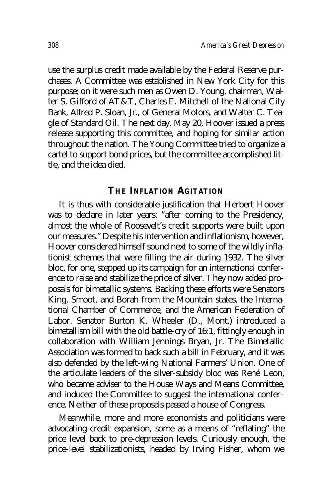use the surplus credit made available by the Federal Reserve purchases. A Committee was established in New York City for this purpose; on it were such men as Owen D. Young, chairman, Walter S. Gifford of AT&T, Charles E. Mitchell of the National City Bank, Alfred P. Sloan, Jr., of General Motors, and Walter C. Teagle of Standard Oil. The next day, May 20, Hoover issued a press release supporting this committee, and hoping for similar action throughout the nation. The Young Committee tried to organize a cartel to support bond prices, but the committee accomplished little, and the idea died.

## **THE INFLATION AGITATION**

It is thus with considerable justification that Herbert Hoover was to declare in later years: "after coming to the Presidency, almost the whole of Roosevelt's credit supports were built upon our measures." Despite his intervention and inflationism, however, Hoover considered himself sound next to some of the wildly inflationist schemes that were filling the air during 1932. The silver bloc, for one, stepped up its campaign for an international conference to raise and stabilize the price of silver. They now added proposals for bimetallic systems. Backing these efforts were Senators King, Smoot, and Borah from the Mountain states, the International Chamber of Commerce, and the American Federation of Labor. Senator Burton K. Wheeler (D., Mont.) introduced a bimetallism bill with the old battle-cry of 16:1, fittingly enough in collaboration with William Jennings Bryan, Jr. The Bimetallic Association was formed to back such a bill in February, and it was also defended by the left-wing National Farmers' Union. One of the articulate leaders of the silver-subsidy bloc was René Leon, who became adviser to the House Ways and Means Committee, and induced the Committee to suggest the international conference. Neither of these proposals passed a house of Congress.

Meanwhile, more and more economists and politicians were advocating credit expansion, some as a means of "reflating" the price level back to pre-depression levels. Curiously enough, the price-level stabilizationists, headed by Irving Fisher, whom we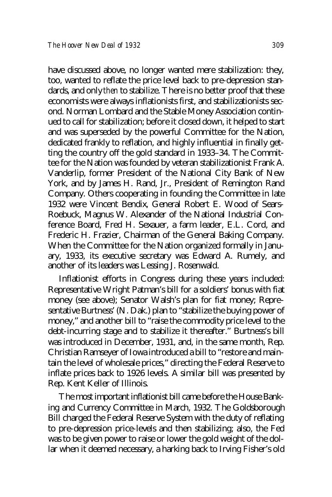have discussed above, no longer wanted mere stabilization: they, too, wanted to reflate the price level back to pre-depression standards, and only *then* to stabilize. There is no better proof that these economists were always inflationists first, and stabilizationists second. Norman Lombard and the Stable Money Association continued to call for stabilization; before it closed down, it helped to start and was superseded by the powerful Committee for the Nation, dedicated frankly to reflation, and highly influential in finally getting the country off the gold standard in 1933–34. The Committee for the Nation was founded by veteran stabilizationist Frank A. Vanderlip, former President of the National City Bank of New York, and by James H. Rand, Jr., President of Remington Rand Company. Others cooperating in founding the Committee in late 1932 were Vincent Bendix, General Robert E. Wood of Sears-Roebuck, Magnus W. Alexander of the National Industrial Conference Board, Fred H. Sexauer, a farm leader, E.L. Cord, and Frederic H. Frazier, Chairman of the General Baking Company. When the Committee for the Nation organized formally in January, 1933, its executive secretary was Edward A. Rumely, and another of its leaders was Lessing J. Rosenwald.

Inflationist efforts in Congress during these years included: Representative Wright Patman's bill for a soldiers' bonus with fiat money (see above); Senator Walsh's plan for fiat money; Representative Burtness' (N. Dak.) plan to "stabilize the buying power of money," and another bill to "raise the commodity price level to the debt-incurring stage and to stabilize it thereafter." Burtness's bill was introduced in December, 1931, and, in the same month, Rep. Christian Ramseyer of Iowa introduced a bill to "restore and maintain the level of wholesale prices," directing the Federal Reserve to inflate prices back to 1926 levels. A similar bill was presented by Rep. Kent Keller of Illinois.

The most important inflationist bill came before the House Banking and Currency Committee in March, 1932. The Goldsborough Bill charged the Federal Reserve System with the duty of reflating to pre-depression price-levels and then stabilizing; also, the Fed was to be given power to raise or lower the gold weight of the dollar when it deemed necessary, a harking back to Irving Fisher's old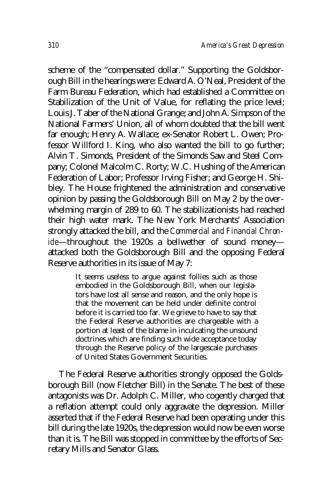scheme of the "compensated dollar." Supporting the Goldsborough Bill in the hearings were: Edward A. O'Neal, President of the Farm Bureau Federation, which had established a Committee on Stabilization of the Unit of Value, for reflating the price level; Louis J. Taber of the National Grange; and John A. Simpson of the National Farmers' Union, all of whom doubted that the bill went far enough; Henry A. Wallace; ex-Senator Robert L. Owen; Professor Willford I. King, who also wanted the bill to go further; Alvin T. Simonds, President of the Simonds Saw and Steel Company; Colonel Malcolm C. Rorty; W.C. Hushing of the American Federation of Labor; Professor Irving Fisher; and George H. Shibley. The House frightened the administration and conservative opinion by passing the Goldsborough Bill on May 2 by the overwhelming margin of 289 to 60. The stabilizationists had reached their high water mark. The New York Merchants' Association strongly attacked the bill, and the *Commercial and Financial Chronicle*—throughout the 1920s a bellwether of sound money attacked both the Goldsborough Bill and the opposing Federal Reserve authorities in its issue of May 7:

> It seems useless to argue against follies such as those embodied in the Goldsborough Bill, when our legislators have lost all sense and reason, and the only hope is that the movement can be held under definite control before it is carried too far. We grieve to have to say that the Federal Reserve authorities are chargeable with a portion at least of the blame in inculcating the unsound doctrines which are finding such wide acceptance today through the Reserve policy of the largescale purchases of United States Government Securities.

The Federal Reserve authorities strongly opposed the Goldsborough Bill (now Fletcher Bill) in the Senate. The best of these antagonists was Dr. Adolph C. Miller, who cogently charged that a reflation attempt could only aggravate the depression. Miller asserted that if the Federal Reserve had been operating under this bill during the late 1920s, the depression would now be even worse than it is. The Bill was stopped in committee by the efforts of Secretary Mills and Senator Glass.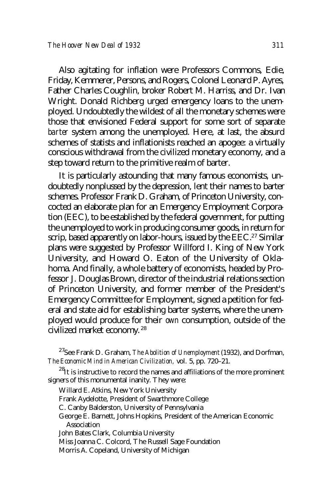Also agitating for inflation were Professors Commons, Edie, Friday, Kemmerer, Persons, and Rogers, Colonel Leonard P. Ayres, Father Charles Coughlin, broker Robert M. Harriss, and Dr. Ivan Wright. Donald Richberg urged emergency loans to the unemployed. Undoubtedly the wildest of all the monetary schemes were those that envisioned Federal support for some sort of separate *barter* system among the unemployed. Here, at last, the absurd schemes of statists and inflationists reached an apogee: a virtually conscious withdrawal from the civilized monetary economy, and a step toward return to the primitive realm of barter.

It is particularly astounding that many famous economists, undoubtedly nonplussed by the depression, lent their names to barter schemes. Professor Frank D. Graham, of Princeton University, concocted an elaborate plan for an Emergency Employment Corporation (EEC), to be established by the federal government, for putting the unemployed to work in producing consumer goods, in return for scrip, based apparently on labor-hours, issued by the EEC.<sup>27</sup> Similar plans were suggested by Professor Willford I. King of New York University, and Howard O. Eaton of the University of Oklahoma. And finally, a whole battery of economists, headed by Professor J. Douglas Brown, director of the industrial relations section of Princeton University, and former member of the President's Emergency Committee for Employment, signed a petition for federal and state aid for establishing barter systems, where the unemployed would produce for their *own* consumption, outside of the civilized market economy. <sup>28</sup>

 $^{28}$ It is instructive to record the names and affiliations of the more prominent signers of this monumental inanity. They were:

Willard E. Atkins, New York University Frank Aydelotte, President of Swarthmore College C. Canby Balderston, University of Pennsylvania George E. Barnett, Johns Hopkins, President of the American Economic Association John Bates Clark, Columbia University Miss Joanna C. Colcord, The Russell Sage Foundation Morris A. Copeland, University of Michigan

<sup>27</sup>See Frank D. Graham, *The Abolition of Unemployment* (1932), and Dorfman, *The Economic Mind in American Civilization,* vol. 5, pp. 720–21.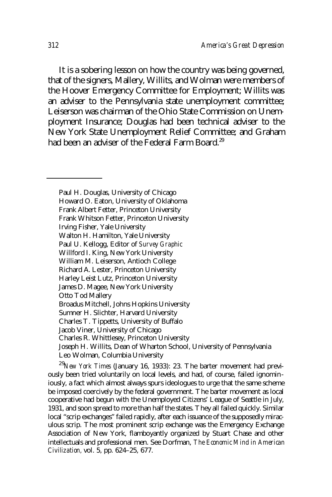It is a sobering lesson on how the country was being governed, that of the signers, Mallery, Willits, and Wolman were members of the Hoover Emergency Committee for Employment; Willits was an adviser to the Pennsylvania state unemployment committee; Leiserson was chairman of the Ohio State Commission on Unemployment Insurance; Douglas had been technical adviser to the New York State Unemployment Relief Committee; and Graham had been an adviser of the Federal Farm Board.<sup>29</sup>

Paul H. Douglas, University of Chicago Howard O. Eaton, University of Oklahoma Frank Albert Fetter, Princeton University Frank Whitson Fetter, Princeton University Irving Fisher, Yale University Walton H. Hamilton, Yale University Paul U. Kellogg, Editor of *Survey Graphic*  Willford I. King, New York University William M. Leiserson, Antioch College Richard A. Lester, Princeton University Harley Leist Lutz, Princeton University James D. Magee, New York University Otto Tod Mallery Broadus Mitchell, Johns Hopkins University Sumner H. Slichter, Harvard University Charles T. Tippetts, University of Buffalo Jacob Viner, University of Chicago Charles R. Whittlesey, Princeton University Joseph H. Willits, Dean of Wharton School, University of Pennsylvania Leo Wolman, Columbia University

<sup>29</sup>*New York Times* (January 16, 1933): 23. The barter movement had previously been tried voluntarily on local levels, and had, of course, failed ignominiously, a fact which almost always spurs ideologues to urge that the same scheme be imposed coercively by the federal government. The barter movement as local cooperative had begun with the Unemployed Citizens' League of Seattle in July, 1931, and soon spread to more than half the states. They all failed quickly. Similar local "scrip exchanges" failed rapidly, after each issuance of the supposedly miraculous scrip. The most prominent scrip exchange was the Emergency Exchange Association of New York, flamboyantly organized by Stuart Chase and other intellectuals and professional men. See Dorfman, *The Economic Mind in American Civilization,* vol. 5, pp. 624–25, 677.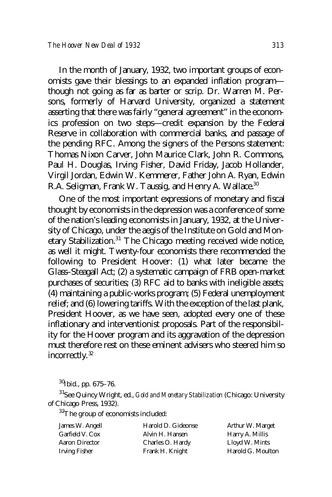In the month of January, 1932, two important groups of economists gave their blessings to an expanded inflation program though not going as far as barter or scrip. Dr. Warren M. Persons, formerly of Harvard University, organized a statement asserting that there was fairly "general agreement" in the economics profession on two steps—credit expansion by the Federal Reserve in collaboration with commercial banks, and passage of the pending RFC. Among the signers of the Persons statement: Thomas Nixon Carver, John Maurice Clark, John R. Commons, Paul H. Douglas, Irving Fisher, David Friday, Jacob Hollander, Virgil Jordan, Edwin W. Kemmerer, Father John A. Ryan, Edwin R.A. Seligman, Frank W. Taussig, and Henry A. Wallace.<sup>30</sup>

One of the most important expressions of monetary and fiscal thought by economists in the depression was a conference of some of the nation's leading economists in January, 1932, at the University of Chicago, under the aegis of the Institute on Gold and Monetary Stabilization.<sup>31</sup> The Chicago meeting received wide notice, as well it might. Twenty-four economists there recommended the following to President Hoover: (1) what later became the Glass–Steagall Act; (2) a systematic campaign of FRB open-market purchases of securities; (3) RFC aid to banks with ineligible assets; (4) maintaining a public-works program; (5) Federal unemployment relief; and (6) lowering tariffs. With the exception of the last plank, President Hoover, as we have seen, adopted every one of these inflationary and interventionist proposals. Part of the responsibility for the Hoover program and its aggravation of the depression must therefore rest on these eminent advisers who steered him so incorrectly.<sup>32</sup>

 $30$ Ibid., pp. 675–76.

<sup>31</sup>See Quincy Wright, ed., *Gold and Monetary Stabilization* (Chicago: University of Chicago Press, 1932).

 $32$ The group of economists included:

| James W. Angell        | <b>Harold D. Gideonse</b> | Arthur W. Marget  |
|------------------------|---------------------------|-------------------|
| <b>Garfield V. Cox</b> | Alvin H. Hansen           | Harry A. Millis   |
| <b>Aaron Director</b>  | Charles O. Hardy          | Lloyd W. Mints    |
| <b>Irving Fisher</b>   | Frank H. Knight           | Harold G. Moulton |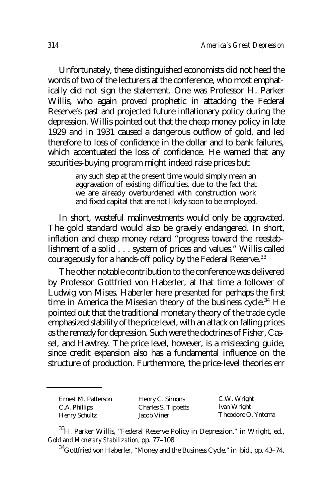Unfortunately, these distinguished economists did not heed the words of two of the lecturers at the conference, who most emphatically did not sign the statement. One was Professor H. Parker Willis, who again proved prophetic in attacking the Federal Reserve's past and projected future inflationary policy during the depression. Willis pointed out that the cheap money policy in late 1929 and in 1931 caused a dangerous outflow of gold, and led therefore to loss of confidence in the dollar and to bank failures, which accentuated the loss of confidence. He warned that any securities-buying program might indeed raise prices but:

> any such step at the present time would simply mean an aggravation of existing difficulties, due to the fact that we are already overburdened with construction work and fixed capital that are not likely soon to be employed.

In short, wasteful malinvestments would only be aggravated. The gold standard would also be gravely endangered. In short, inflation and cheap money retard "progress toward the reestablishment of a solid . . . system of prices and values." Willis called courageously for a hands-off policy by the Federal Reserve.<sup>33</sup>

The other notable contribution to the conference was delivered by Professor Gottfried von Haberler, at that time a follower of Ludwig von Mises. Haberler here presented for perhaps the first time in America the Misesian theory of the business cycle.<sup>34</sup> He pointed out that the traditional monetary theory of the trade cycle emphasized stability of the price level, with an attack on falling prices as the remedy for depression. Such were the doctrines of Fisher, Cassel, and Hawtrey. The price level, however, is a misleading guide, since credit expansion also has a fundamental influence on the structure of production. Furthermore, the price-level theories err

| Ernest M. Patterson  | Henry C. Simons            | C.W. Wright        |
|----------------------|----------------------------|--------------------|
| C.A. Phillips        | <b>Charles S. Tippetts</b> | Ivan Wright        |
| <b>Henry Schultz</b> | <b>Jacob Viner</b>         | Theodore O. Yntema |

<sup>33</sup>H. Parker Willis, "Federal Reserve Policy in Depression," in Wright, ed., *Gold and Monetary Stabilization,* pp. 77–108.

<sup>34</sup>Gottfried von Haberler, "Money and the Business Cycle," in ibid.*,* pp. 43–74.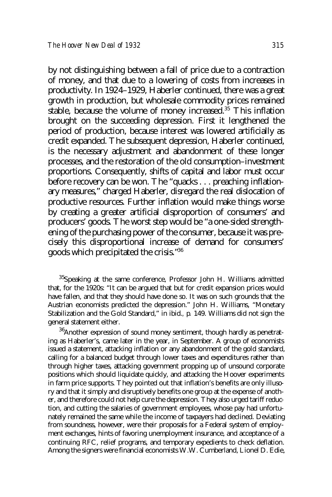by not distinguishing between a fall of price due to a contraction of money, and that due to a lowering of costs from increases in productivity. In 1924–1929, Haberler continued, there was a great growth in production, but wholesale commodity prices remained stable, because the volume of money increased.<sup>35</sup> This inflation brought on the succeeding depression. First it lengthened the period of production, because interest was lowered artificially as credit expanded. The subsequent depression, Haberler continued, is the necessary adjustment and abandonment of these longer processes, and the restoration of the old consumption–investment proportions. Consequently, shifts of capital and labor must occur before recovery can be won. The "quacks . . . preaching inflationary measures," charged Haberler, disregard the real dislocation of productive resources. Further inflation would make things worse by creating a greater artificial disproportion of consumers' and producers' goods. The worst step would be "a one-sided strengthening of the purchasing power of the consumer, because it was precisely this disproportional increase of demand for consumers' goods which precipitated the crisis."<sup>36</sup>

<sup>35</sup>Speaking at the same conference, Professor John H. Williams admitted that, for the 1920s: "It can be argued that but for credit expansion prices would have fallen, and that they should have done so. It was on such grounds that the Austrian economists predicted the depression." John H. Williams, "Monetary Stabilization and the Gold Standard," in ibid.*,* p*.* 149. Williams did not sign the general statement either.

<sup>36</sup>Another expression of sound money sentiment, though hardly as penetrating as Haberler's, came later in the year, in September. A group of economists issued a statement, attacking inflation or any abandonment of the gold standard, calling for a balanced budget through lower taxes and expenditures rather than through higher taxes, attacking government propping up of unsound corporate positions which should liquidate quickly, and attacking the Hoover experiments in farm price supports. They pointed out that inflation's benefits are only illusory and that it simply and disruptively benefits one group at the expense of another, and therefore could not help cure the depression. They also urged tariff reduction, and cutting the salaries of government employees, whose pay had unfortunately remained the same while the income of taxpayers had declined. Deviating from soundness, however, were their proposals for a Federal system of employment exchanges, hints of favoring unemployment insurance, and acceptance of a continuing RFC, relief programs, and temporary expedients to check deflation. Among the signers were financial economists W.W. Cumberland, Lionel D. Edie,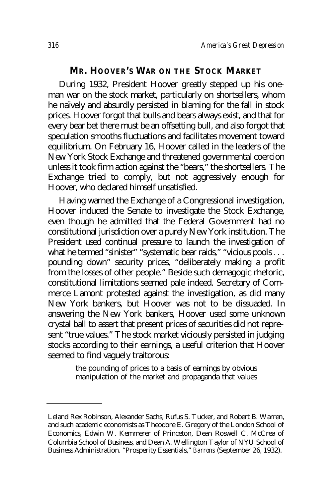## **MR. HOOVER'S WAR ON THE STOCK MARKET**

During 1932, President Hoover greatly stepped up his oneman war on the stock market, particularly on shortsellers, whom he naïvely and absurdly persisted in blaming for the fall in stock prices. Hoover forgot that bulls and bears always exist, and that for every bear bet there must be an offsetting bull, and also forgot that speculation smooths fluctuations and facilitates movement toward equilibrium. On February 16, Hoover called in the leaders of the New York Stock Exchange and threatened governmental coercion unless it took firm action against the "bears," the shortsellers. The Exchange tried to comply, but not aggressively enough for Hoover, who declared himself unsatisfied.

Having warned the Exchange of a Congressional investigation, Hoover induced the Senate to investigate the Stock Exchange, even though he admitted that the Federal Government had no constitutional jurisdiction over a purely New York institution. The President used continual pressure to launch the investigation of what he termed "sinister" "systematic bear raids," "vicious pools . . . pounding down" security prices, "deliberately making a profit from the losses of other people." Beside such demagogic rhetoric, constitutional limitations seemed pale indeed. Secretary of Commerce Lamont protested against the investigation, as did many New York bankers, but Hoover was not to be dissuaded. In answering the New York bankers, Hoover used some unknown crystal ball to assert that present prices of securities did not represent "true values." The stock market viciously persisted in judging stocks according to their earnings, a useful criterion that Hoover seemed to find vaguely traitorous:

> the pounding of prices to a basis of earnings by obvious manipulation of the market and propaganda that values

Leland Rex Robinson, Alexander Sachs, Rufus S. Tucker, and Robert B. Warren, and such academic economists as Theodore E. Gregory of the London School of Economics, Edwin W. Kemmerer of Princeton, Dean Roswell C. McCrea of Columbia School of Business, and Dean A. Wellington Taylor of NYU School of Business Administration. "Prosperity Essentials," *Barrons* (September 26, 1932).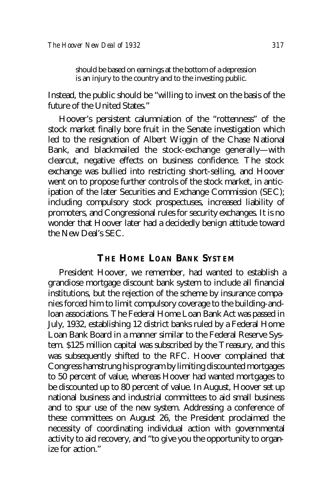should be based on earnings at the bottom of a depression is an injury to the country and to the investing public.

Instead, the public should be "willing to invest on the basis of the future of the United States."

Hoover's persistent calumniation of the "rottenness" of the stock market finally bore fruit in the Senate investigation which led to the resignation of Albert Wiggin of the Chase National Bank, and blackmailed the stock-exchange generally—with clearcut, negative effects on business confidence. The stock exchange was bullied into restricting short-selling, and Hoover went on to propose further controls of the stock market, in anticipation of the later Securities and Exchange Commission (SEC); including compulsory stock prospectuses, increased liability of promoters, and Congressional rules for security exchanges. It is no wonder that Hoover later had a decidedly benign attitude toward the New Deal's SEC.

## **THE HOME LOAN BANK SYSTEM**

President Hoover, we remember, had wanted to establish a grandiose mortgage discount bank system to include all financial institutions, but the rejection of the scheme by insurance companies forced him to limit compulsory coverage to the building-andloan associations. The Federal Home Loan Bank Act was passed in July, 1932, establishing 12 district banks ruled by a Federal Home Loan Bank Board in a manner similar to the Federal Reserve System. \$125 million capital was subscribed by the Treasury, and this was subsequently shifted to the RFC. Hoover complained that Congress hamstrung his program by limiting discounted mortgages to 50 percent of value, whereas Hoover had wanted mortgages to be discounted up to 80 percent of value. In August, Hoover set up national business and industrial committees to aid small business and to spur use of the new system. Addressing a conference of these committees on August 26, the President proclaimed the necessity of coordinating individual action with governmental activity to aid recovery, and "to give you the opportunity to organize for action."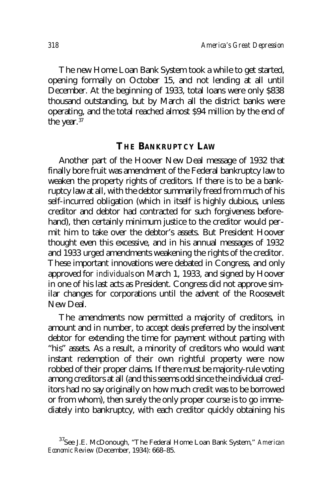The new Home Loan Bank System took a while to get started, opening formally on October 15, and not lending at all until December. At the beginning of 1933, total loans were only \$838 thousand outstanding, but by March all the district banks were operating, and the total reached almost \$94 million by the end of the year.<sup>37</sup>

#### **THE BANKRUPTCY LAW**

Another part of the Hoover New Deal message of 1932 that finally bore fruit was amendment of the Federal bankruptcy law to weaken the property rights of creditors. If there is to be a bankruptcy law at all, with the debtor summarily freed from much of his self-incurred obligation (which in itself is highly dubious, unless creditor and debtor had contracted for such forgiveness beforehand), then certainly minimum justice to the creditor would permit him to take over the debtor's assets. But President Hoover thought even this excessive, and in his annual messages of 1932 and 1933 urged amendments weakening the rights of the creditor. These important innovations were debated in Congress, and only approved for *individuals* on March 1, 1933, and signed by Hoover in one of his last acts as President. Congress did not approve similar changes for corporations until the advent of the Roosevelt New Deal.

The amendments now permitted a majority of creditors, in amount and in number, to accept deals preferred by the insolvent debtor for extending the time for payment without parting with "his" assets. As a result, a minority of creditors who would want instant redemption of their own rightful property were now robbed of their proper claims. If there must be majority-rule voting among creditors at all (and this seems odd since the individual creditors had no say originally on how much credit was to be borrowed or from whom), then surely the only proper course is to go immediately into bankruptcy, with each creditor quickly obtaining his

<sup>37</sup>See J.E. McDonough, "The Federal Home Loan Bank System," *American Economic Review* (December, 1934): 668–85.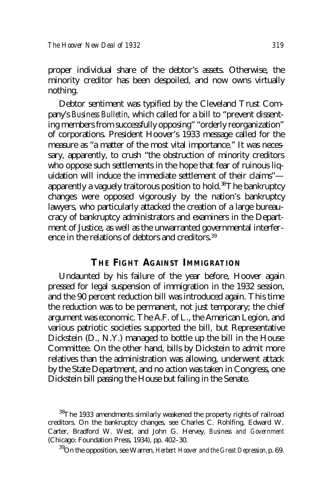proper individual share of the debtor's assets. Otherwise, the minority creditor has been despoiled, and now owns virtually nothing.

Debtor sentiment was typified by the Cleveland Trust Company's *Business Bulletin*, which called for a bill to "prevent dissenting members from successfully opposing" "orderly reorganization" of corporations. President Hoover's 1933 message called for the measure as "a matter of the most vital importance." It was necessary, apparently, to crush "the obstruction of minority creditors who oppose such settlements in the hope that fear of ruinous liquidation will induce the immediate settlement of their claims" apparently a vaguely traitorous position to hold.<sup>38</sup>The bankruptcy changes were opposed vigorously by the nation's bankruptcy lawyers, who particularly attacked the creation of a large bureaucracy of bankruptcy administrators and examiners in the Department of Justice, as well as the unwarranted governmental interference in the relations of debtors and creditors.<sup>39</sup>

#### **THE FIGHT AGAINST IMMIGRATION**

Undaunted by his failure of the year before, Hoover again pressed for legal suspension of immigration in the 1932 session, and the 90 percent reduction bill was introduced again. This time the reduction was to be permanent, not just temporary; the chief argument was economic. The A.F. of L., the American Legion, and various patriotic societies supported the bill, but Representative Dickstein (D., N.Y.) managed to bottle up the bill in the House Committee. On the other hand, bills by Dickstein to admit more relatives than the administration was allowing, underwent attack by the State Department, and no action was taken in Congress, one Dickstein bill passing the House but failing in the Senate.

<sup>38</sup>The 1933 amendments similarly weakened the property rights of railroad creditors. On the bankruptcy changes, see Charles C. Rohlfing, Edward W. Carter, Bradford W. West, and John G. Hervey, *Business and Government* (Chicago: Foundation Press, 1934), pp. 402–30.

<sup>39</sup>On the opposition, see Warren, *Herbert Hoover and the Great Depression,*p. 69.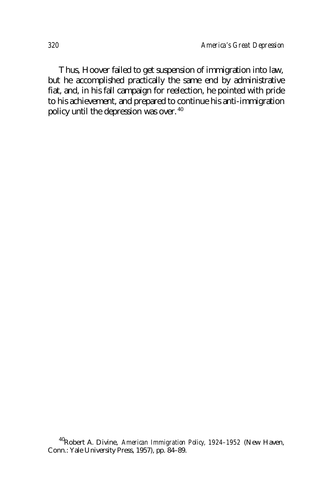Thus, Hoover failed to get suspension of immigration into law, but he accomplished practically the same end by administrative fiat, and, in his fall campaign for reelection, he pointed with pride to his achievement, and prepared to continue his anti-immigration policy until the depression was over. <sup>40</sup>

<sup>40</sup>Robert A. Divine, *American Immigration Policy, 1924–1952* (New Haven, Conn.: Yale University Press, 1957), pp. 84–89.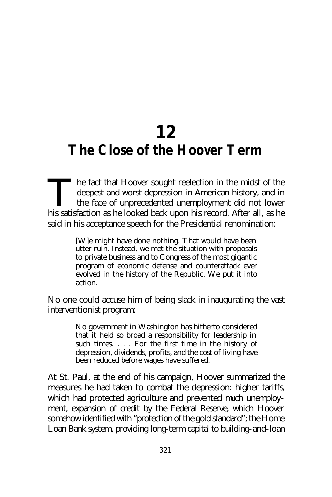# **12 The Close of the Hoover Term**

The fact that Hoover sought reelection in the midst of the deepest and worst depression in American history, and in the face of unprecedented unemployment did not lower his satisfaction as he looked back upon his record. A The fact that Hoover sought reelection in the midst of the deepest and worst depression in American history, and in the face of unprecedented unemployment did not lower said in his acceptance speech for the Presidential renomination:

> [W]e might have done nothing. That would have been utter ruin. Instead, we met the situation with proposals to private business and to Congress of the most gigantic program of economic defense and counterattack ever evolved in the history of the Republic. We put it into action.

No one could accuse him of being slack in inaugurating the vast interventionist program:

> No government in Washington has hitherto considered that it held so broad a responsibility for leadership in such times. . . . For the first time in the history of depression, dividends, profits, and the cost of living have been reduced before wages have suffered.

At St. Paul, at the end of his campaign, Hoover summarized the measures he had taken to combat the depression: higher tariffs, which had protected agriculture and prevented much unemployment, expansion of credit by the Federal Reserve, which Hoover somehow identified with "protection of the gold standard"; the Home Loan Bank system, providing long-term capital to building-and-loan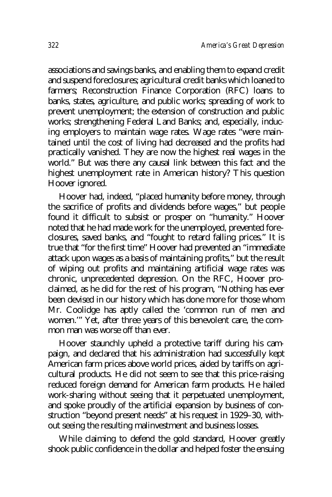associations and savings banks, and enabling them to expand credit and suspend foreclosures; agricultural credit banks which loaned to farmers; Reconstruction Finance Corporation (RFC) loans to banks, states, agriculture, and public works; spreading of work to prevent unemployment; the extension of construction and public works; strengthening Federal Land Banks; and, especially, inducing employers to maintain wage rates. Wage rates "were maintained until the cost of living had decreased and the profits had practically vanished. They are now the highest real wages in the world." But was there any causal link between this fact and the highest unemployment rate in American history? This question Hoover ignored.

Hoover had, indeed, "placed humanity before money, through the sacrifice of profits and dividends before wages," but people found it difficult to subsist or prosper on "humanity." Hoover noted that he had made work for the unemployed, prevented foreclosures, saved banks, and "fought to retard falling prices." It is true that "for the first time" Hoover had prevented an "immediate attack upon wages as a basis of maintaining profits," but the result of wiping out profits and maintaining artificial wage rates was chronic, unprecedented depression. On the RFC, Hoover proclaimed, as he did for the rest of his program, "Nothing has ever been devised in our history which has done more for those whom Mr. Coolidge has aptly called the 'common run of men and women.'" Yet, after three years of this benevolent care, the common man was worse off than ever.

Hoover staunchly upheld a protective tariff during his campaign, and declared that his administration had successfully kept American farm prices above world prices, aided by tariffs on agricultural products. He did not seem to see that this price-raising reduced foreign demand for American farm products. He hailed work-sharing without seeing that it perpetuated unemployment, and spoke proudly of the artificial expansion by business of construction "beyond present needs" at his request in 1929–30, without seeing the resulting malinvestment and business losses.

While claiming to defend the gold standard, Hoover greatly shook public confidence in the dollar and helped foster the ensuing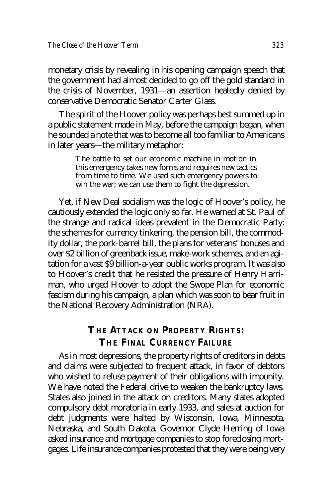monetary crisis by revealing in his opening campaign speech that the government had almost decided to go off the gold standard in the crisis of November, 1931—an assertion heatedly denied by conservative Democratic Senator Carter Glass.

The spirit of the Hoover policy was perhaps best summed up in a public statement made in May, before the campaign began, when he sounded a note that was to become all too familiar to Americans in later years—the military metaphor:

> The battle to set our economic machine in motion in this emergency takes new forms and requires new tactics from time to time. We used such emergency powers to win the war; we can use them to fight the depression.

Yet, if New Deal socialism was the logic of Hoover's policy, he cautiously extended the logic only so far. He warned at St. Paul of the strange and radical ideas prevalent in the Democratic Party: the schemes for currency tinkering, the pension bill, the commodity dollar, the pork-barrel bill, the plans for veterans' bonuses and over \$2 billion of greenback issue, make-work schemes, and an agitation for a vast \$9 billion-a-year public works program. It was also to Hoover's credit that he resisted the pressure of Henry Harriman, who urged Hoover to adopt the Swope Plan for economic fascism during his campaign, a plan which was soon to bear fruit in the National Recovery Administration (NRA).

#### **THE ATTACK ON PROPERTY RIGHTS: THE FINAL CURRENCY FAILURE**

As in most depressions, the property rights of creditors in debts and claims were subjected to frequent attack, in favor of debtors who wished to refuse payment of their obligations with impunity. We have noted the Federal drive to weaken the bankruptcy laws. States also joined in the attack on creditors. Many states adopted compulsory debt moratoria in early 1933, and sales at auction for debt judgments were halted by Wisconsin, Iowa, Minnesota, Nebraska, and South Dakota. Governor Clyde Herring of Iowa asked insurance and mortgage companies to stop foreclosing mortgages. Life insurance companies protested that they were being very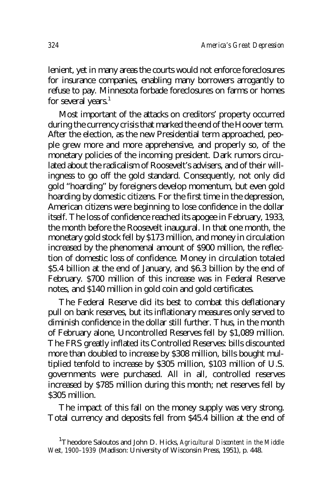lenient, yet in many areas the courts would not enforce foreclosures for insurance companies, enabling many borrowers arrogantly to refuse to pay. Minnesota forbade foreclosures on farms or homes for several years.<sup>1</sup>

Most important of the attacks on creditors' property occurred during the currency crisis that marked the end of the Hoover term. After the election, as the new Presidential term approached, people grew more and more apprehensive, and properly so, of the monetary policies of the incoming president. Dark rumors circulated about the radicalism of Roosevelt's advisers, and of their willingness to go off the gold standard. Consequently, not only did gold "hoarding" by foreigners develop momentum, but even gold hoarding by domestic citizens. For the first time in the depression, American citizens were beginning to lose confidence in the dollar itself. The loss of confidence reached its apogee in February, 1933, the month before the Roosevelt inaugural. In that one month, the monetary gold stock fell by \$173 million, and money in circulation increased by the phenomenal amount of \$900 million, the reflection of domestic loss of confidence. Money in circulation totaled \$5.4 billion at the end of January, and \$6.3 billion by the end of February. \$700 million of this increase was in Federal Reserve notes, and \$140 million in gold coin and gold certificates.

The Federal Reserve did its best to combat this deflationary pull on bank reserves, but its inflationary measures only served to diminish confidence in the dollar still further. Thus, in the month of February alone, Uncontrolled Reserves fell by \$1,089 million. The FRS greatly inflated its Controlled Reserves: bills discounted more than doubled to increase by \$308 million, bills bought multiplied tenfold to increase by \$305 million, \$103 million of U.S. governments were purchased. All in all, controlled reserves increased by \$785 million during this month; net reserves fell by \$305 million.

The impact of this fall on the money supply was very strong. Total currency and deposits fell from \$45.4 billion at the end of

<sup>1</sup>Theodore Saloutos and John D. Hicks, *Agricultural Discontent in the Middle West, 1900–1939* (Madison: University of Wisconsin Press, 1951), p. 448.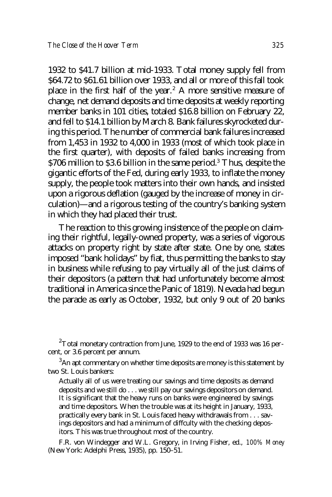1932 to \$41.7 billion at mid-1933. Total money supply fell from \$64.72 to \$61.61 billion over 1933, and all or more of this fall took place in the first half of the year.<sup>2</sup> A more sensitive measure of change, net demand deposits and time deposits at weekly reporting member banks in 101 cities, totaled \$16.8 billion on February 22, and fell to \$14.1 billion by March 8. Bank failures skyrocketed during this period. The number of commercial bank failures increased from 1,453 in 1932 to 4,000 in 1933 (most of which took place in the first quarter), with deposits of failed banks increasing from \$706 million to \$3.6 billion in the same period.<sup>3</sup> Thus, despite the gigantic efforts of the Fed, during early 1933, to inflate the money supply, the people took matters into their own hands, and insisted upon a rigorous deflation (gauged by the increase of money in circulation)—and a rigorous testing of the country's banking system in which they had placed their trust.

The reaction to this growing insistence of the people on claiming their rightful, legally-owned property, was a series of vigorous attacks on property right by state after state. One by one, states imposed "bank holidays" by fiat, thus permitting the banks to stay in business while refusing to pay virtually all of the just claims of their depositors (a pattern that had unfortunately become almost traditional in America since the Panic of 1819). Nevada had begun the parade as early as October, 1932, but only 9 out of 20 banks

 $2$ Total monetary contraction from June, 1929 to the end of 1933 was 16 percent, or 3.6 percent per annum.

 $3$ An apt commentary on whether time deposits are money is this statement by two St. Louis bankers:

Actually all of us were treating our savings and time deposits as demand deposits and we still do . . . we still pay our savings depositors on demand. It is significant that the heavy runs on banks were engineered by savings and time depositors. When the trouble was at its height in January, 1933, practically every bank in St. Louis faced heavy withdrawals from . . . savings depositors and had a minimum of diffculty with the checking depositors. This was true throughout most of the country.

F.R. von Windegger and W.L. Gregory, in Irving Fisher, ed., *100% Money* (New York: Adelphi Press, 1935), pp. 150–51.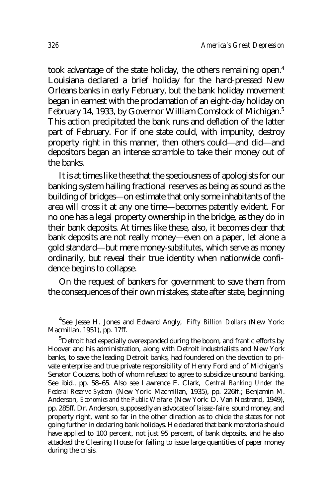took advantage of the state holiday, the others remaining open.<sup>4</sup> Louisiana declared a brief holiday for the hard-pressed New Orleans banks in early February, but the bank holiday movement began in earnest with the proclamation of an eight-day holiday on February 14, 1933, by Governor William Comstock of Michigan.<sup>5</sup> This action precipitated the bank runs and deflation of the latter part of February. For if one state could, with impunity, destroy property right in this manner, then others could—and did—and depositors began an intense scramble to take their money out of the banks.

It is at times like *these*that the speciousness of apologists for our banking system hailing fractional reserves as being as sound as the building of bridges—on estimate that only some inhabitants of the area will cross it at any one time—becomes patently evident. For no one has a legal property ownership in the bridge, as they do in their bank deposits. At times like these, also, it becomes clear that bank deposits are not really money—even on a paper, let alone a gold standard—but mere money-*substitutes*, which serve as money ordinarily, but reveal their true identity when nationwide confidence begins to collapse.

On the request of bankers for government to save them from the consequences of their own mistakes, state after state, beginning

4 See Jesse H. Jones and Edward Angly, *Fifty Billion Dollars* (New York: Macmillan, 1951), pp. 17ff.

 $5$ Detroit had especially overexpanded during the boom, and frantic efforts by Hoover and his administration, along with Detroit industrialists and New York banks, to save the leading Detroit banks, had foundered on the devotion to private enterprise and true private responsibility of Henry Ford and of Michigan's Senator Couzens, both of whom refused to agree to subsidize unsound banking. See ibid.*,* pp. 58–65. Also see Lawrence E. Clark, *Central Banking Under the Federal Reserve System* (New York: Macmillan, 1935), pp. 226ff.; Benjamin M. Anderson, *Economics and the Public Welfare* (New York: D. Van Nostrand, 1949), pp. 285ff. Dr. Anderson, supposedly an advocate of *laissez-faire,* sound money, and property right, went so far in the other direction as to chide the states for not going further in declaring bank holidays. He declared that bank moratoria should have applied to 100 percent, not just 95 percent, of bank deposits, and he also attacked the Clearing House for failing to issue large quantities of paper money during the crisis.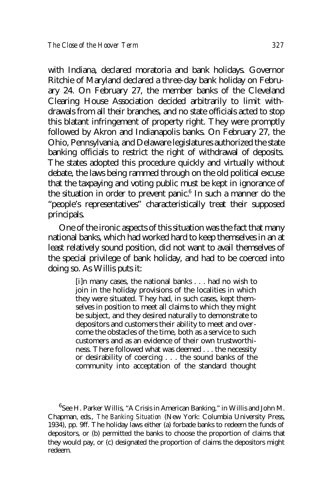with Indiana, declared moratoria and bank holidays. Governor Ritchie of Maryland declared a three-day bank holiday on February 24. On February 27, the member banks of the Cleveland Clearing House Association decided arbitrarily to limit withdrawals from all their branches, and no state officials acted to stop this blatant infringement of property right. They were promptly followed by Akron and Indianapolis banks. On February 27, the Ohio, Pennsylvania, and Delaware legislatures authorized the state banking officials to restrict the right of withdrawal of deposits. The states adopted this procedure quickly and virtually without debate, the laws being rammed through on the old political excuse that the taxpaying and voting public must be kept in ignorance of the situation in order to prevent panic.<sup>6</sup> In such a manner do the "people's representatives" characteristically treat their supposed principals.

One of the ironic aspects of this situation was the fact that many national banks, which had worked hard to keep themselves in an at least relatively sound position, did not want to avail themselves of the special privilege of bank holiday, and had to be coerced into doing so. As Willis puts it:

> [i]n many cases, the national banks . . . had no wish to join in the holiday provisions of the localities in which they were situated. They had, in such cases, kept themselves in position to meet all claims to which they might be subject, and they desired naturally to demonstrate to depositors and customers their ability to meet and overcome the obstacles of the time, both as a service to such customers and as an evidence of their own trustworthiness. There followed what was deemed . . . the necessity or desirability of coercing . . . the sound banks of the community into acceptation of the standard thought

 $^6$ See H. Parker Willis, "A Crisis in American Banking," in Willis and John M. Chapman, eds., *The Banking Situation* (New York: Columbia University Press, 1934), pp. 9ff. The holiday laws either (a) forbade banks to redeem the funds of depositors, or (b) permitted the banks to choose the proportion of claims that they would pay, or (c) designated the proportion of claims the depositors might redeem.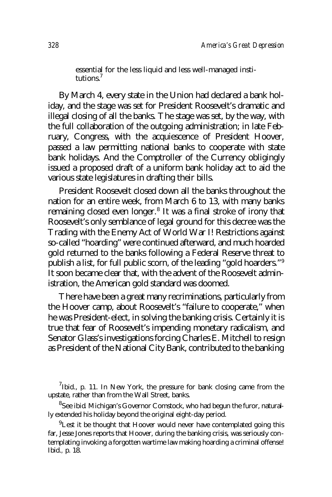essential for the less liquid and less well-managed institutions.<sup>7</sup>

By March 4, every state in the Union had declared a bank holiday, and the stage was set for President Roosevelt's dramatic and illegal closing of all the banks. The stage was set, by the way, with the full collaboration of the outgoing administration; in late February, Congress, with the acquiescence of President Hoover, passed a law permitting national banks to cooperate with state bank holidays. And the Comptroller of the Currency obligingly issued a proposed draft of a uniform bank holiday act to aid the various state legislatures in drafting their bills.

President Roosevelt closed down all the banks throughout the nation for an entire week, from March 6 to 13, with many banks remaining closed even longer.<sup>8</sup> It was a final stroke of irony that Roosevelt's only semblance of legal ground for this decree was the Trading with the Enemy Act of World War I! Restrictions against so-called "hoarding" were continued afterward, and much hoarded gold returned to the banks following a Federal Reserve threat to publish a list, for full public scorn, of the leading "gold hoarders."<sup>9</sup> It soon became clear that, with the advent of the Roosevelt administration, the American gold standard was doomed.

There have been a great many recriminations, particularly from the Hoover camp, about Roosevelt's "failure to cooperate," when he was President-elect, in solving the banking crisis. Certainly it is true that fear of Roosevelt's impending monetary radicalism, and Senator Glass's investigations forcing Charles E. Mitchell to resign as President of the National City Bank, contributed to the banking

 $^{7}$ Ibid., p. 11. In New York, the pressure for bank closing came from the upstate, rather than from the Wall Street, banks.

<sup>8</sup>See ibid. Michigan's Governor Comstock, who had begun the furor, naturally extended his holiday beyond the original eight-day period.

 $<sup>9</sup>$  Lest it be thought that Hoover would never have contemplated going this</sup> far, Jesse Jones reports that Hoover, during the banking crisis, was seriously contemplating invoking a forgotten wartime law making hoarding a criminal offense! Ibid.*,* p. 18.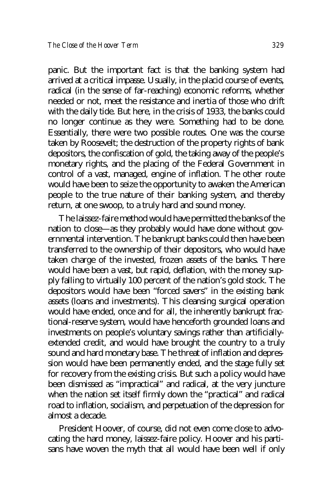panic. But the important fact is that the banking system had arrived at a critical impasse. Usually, in the placid course of events, radical (in the sense of far-reaching) economic reforms, whether needed or not, meet the resistance and inertia of those who drift with the daily tide. But here, in the crisis of 1933, the banks could no longer continue as they were. Something had to be done. Essentially, there were two possible routes. One was the course taken by Roosevelt; the destruction of the property rights of bank depositors, the confiscation of gold, the taking away of the people's monetary rights, and the placing of the Federal Government in control of a vast, managed, engine of inflation. The other route would have been to seize the opportunity to awaken the American people to the true nature of their banking system, and thereby return, at one swoop, to a truly hard and sound money.

The laissez-faire method would have permitted the banks of the nation to close—as they probably would have done without governmental intervention. The bankrupt banks could then have been transferred to the ownership of their depositors, who would have taken charge of the invested, frozen assets of the banks. There would have been a vast, but rapid, deflation, with the money supply falling to virtually 100 percent of the nation's gold stock. The depositors would have been "forced savers" in the existing bank assets (loans and investments). This cleansing surgical operation would have ended, once and for all, the inherently bankrupt fractional-reserve system, would have henceforth grounded loans and investments on people's voluntary savings rather than artificiallyextended credit, and would have brought the country to a truly sound and hard monetary base. The threat of inflation and depression would have been permanently ended, and the stage fully set for recovery from the existing crisis. But such a policy would have been dismissed as "impractical" and radical, at the very juncture when the nation set itself firmly down the "practical" and radical road to inflation, socialism, and perpetuation of the depression for almost a decade.

President Hoover, of course, did not even come close to advocating the hard money, laissez-faire policy. Hoover and his partisans have woven the myth that all would have been well if only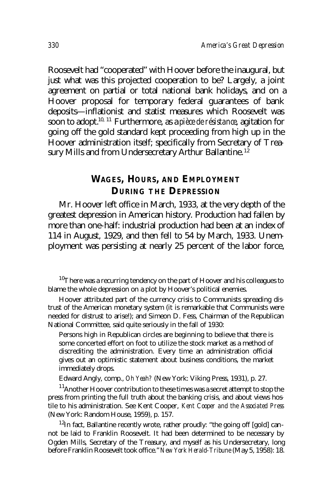Roosevelt had "cooperated" with Hoover before the inaugural, but just what was this projected cooperation to be? Largely, a joint agreement on partial or total national bank holidays, and on a Hoover proposal for temporary federal guarantees of bank deposits—inflationist and statist measures which Roosevelt was soon to adopt.10, 11 Furthermore, as a *pièce de résistance*, agitation for going off the gold standard kept proceeding from high up in the Hoover administration itself; specifically from Secretary of Treasury Mills and from Undersecretary Arthur Ballantine.<sup>12</sup>

### **WAGES, HOURS, AND EMPLOYMENT DURING THE DEPRESSION**

Mr. Hoover left office in March, 1933, at the very depth of the greatest depression in American history. Production had fallen by more than one-half: industrial production had been at an index of 114 in August, 1929, and then fell to 54 by March, 1933. Unemployment was persisting at nearly 25 percent of the labor force,

<sup>10</sup>There was a recurring tendency on the part of Hoover and his colleagues to blame the whole depression on a plot by Hoover's political enemies.

Hoover attributed part of the currency crisis to Communists spreading distrust of the American monetary system (it is remarkable that Communists were needed for distrust to arise!); and Simeon D. Fess, Chairman of the Republican National Committee, said quite seriously in the fall of 1930:

Persons high in Republican circles are beginning to believe that there is some concerted effort on foot to utilize the stock market as a method of discrediting the administration. Every time an administration official gives out an optimistic statement about business conditions, the market immediately drops.

Edward Angly, comp., *Oh Yeah?* (New York: Viking Press, 1931), p. 27.

<sup>11</sup> Another Hoover contribution to these times was a secret attempt to stop the press from printing the full truth about the banking crisis, and about views hostile to his administration. See Kent Cooper, *Kent Cooper and the Associated Press* (New York: Random House, 1959), p. 157.

 $12$ In fact, Ballantine recently wrote, rather proudly: "the going off [gold] cannot be laid to Franklin Roosevelt. It had been determined to be necessary by Ogden Mills, Secretary of the Treasury, and myself as his Undersecretary, long before Franklin Roosevelt took office." *New York Herald-Tribune* (May 5, 1958): 18.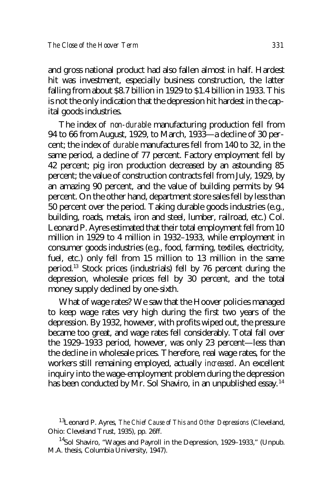and gross national product had also fallen almost in half. Hardest hit was investment, especially business construction, the latter falling from about \$8.7 billion in 1929 to \$1.4 billion in 1933. This is not the only indication that the depression hit hardest in the capital goods industries.

The index of *non-durable* manufacturing production fell from 94 to 66 from August, 1929, to March, 1933—a decline of 30 percent; the index of *durable* manufactures fell from 140 to 32, in the same period, a decline of 77 percent. Factory employment fell by 42 percent; pig iron production decreased by an astounding 85 percent; the value of construction contracts fell from July, 1929, by an amazing 90 percent, and the value of building permits by 94 percent. On the other hand, department store sales fell by less than 50 percent over the period. Taking durable goods industries (e.g., building, roads, metals, iron and steel, lumber, railroad, etc.) Col. Leonard P. Ayres estimated that their total employment fell from 10 million in 1929 to 4 million in 1932–1933, while employment in consumer goods industries (e.g., food, farming, textiles, electricity, fuel, etc.) only fell from 15 million to 13 million in the same period.<sup>13</sup> Stock prices (industrials) fell by 76 percent during the depression, wholesale prices fell by 30 percent, and the total money supply declined by one-sixth.

What of wage rates? We saw that the Hoover policies managed to keep wage rates very high during the first two years of the depression. By 1932, however, with profits wiped out, the pressure became too great, and wage rates fell considerably. Total fall over the 1929–1933 period, however, was only 23 percent—less than the decline in wholesale prices. Therefore, real wage rates, for the workers still remaining employed, actually *increased*. An excellent inquiry into the wage-employment problem during the depression has been conducted by Mr. Sol Shaviro, in an unpublished essay.<sup>14</sup>

<sup>13</sup>Leonard P. Ayres, *The Chief Cause of This and Other Depressions* (Cleveland, Ohio: Cleveland Trust, 1935), pp. 26ff.

<sup>&</sup>lt;sup>14</sup>Sol Shaviro, "Wages and Payroll in the Depression, 1929–1933," (Unpub. M.A. thesis, Columbia University, 1947).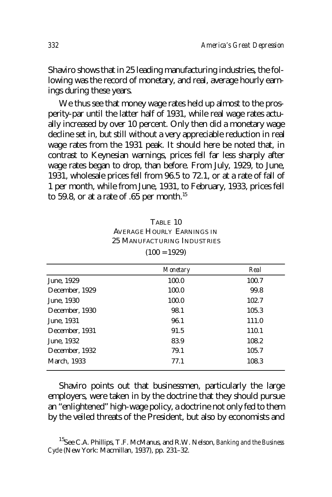Shaviro shows that in 25 leading manufacturing industries, the following was the record of monetary, and real, average hourly earnings during these years.

We thus see that money wage rates held up almost to the prosperity-par until the latter half of 1931, while real wage rates actually increased by over 10 percent. Only then did a monetary wage decline set in, but still without a very appreciable reduction in real wage rates from the 1931 peak. It should here be noted that, in contrast to Keynesian warnings, prices fell far less sharply after wage rates began to drop, than before. From July, 1929, to June, 1931, wholesale prices fell from 96.5 to 72.1, or at a rate of fall of 1 per month, while from June, 1931, to February, 1933, prices fell to 59.8, or at a rate of  $.65$  per month.<sup>15</sup>

|                    | <b>Monetary</b> | Real  |
|--------------------|-----------------|-------|
| <b>June, 1929</b>  | 100.0           | 100.7 |
| December, 1929     | 100.0           | 99.8  |
| <b>June, 1930</b>  | 100.0           | 102.7 |
| December, 1930     | 98.1            | 105.3 |
| <b>June, 1931</b>  | 96.1            | 111.0 |
| December, 1931     | 91.5            | 110.1 |
| <b>June, 1932</b>  | 83.9            | 108.2 |
| December, 1932     | 79.1            | 105.7 |
| <b>March, 1933</b> | 77.1            | 108.3 |

| TABLE 10                    |  |
|-----------------------------|--|
| AVERAGE HOURLY EARNINGS IN  |  |
| 25 Manufacturing Industries |  |

 $(100 = 1929)$ 

Shaviro points out that businessmen, particularly the large employers, were taken in by the doctrine that they should pursue an "enlightened" high-wage policy, a doctrine not only fed to them by the veiled threats of the President, but also by economists and

<sup>15</sup>See C.A. Phillips, T.F. McManus, and R.W. Nelson, *Banking and the Business Cycle* (New York: Macmillan, 1937), pp. 231–32.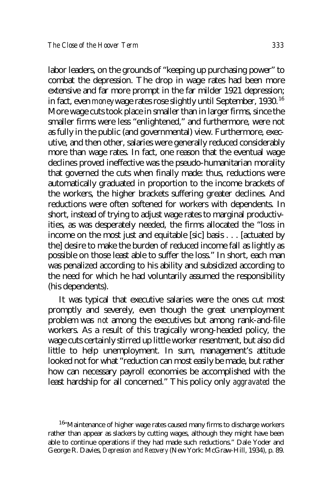labor leaders, on the grounds of "keeping up purchasing power" to combat the depression. The drop in wage rates had been more extensive and far more prompt in the far milder 1921 depression; in fact, even *money* wage rates rose slightly until September, 1930.<sup>16</sup> More wage cuts took place in smaller than in larger firms, since the smaller firms were less "enlightened," and furthermore, were not as fully in the public (and governmental) view. Furthermore, executive, and then other, salaries were generally reduced considerably more than wage rates. In fact, one reason that the eventual wage declines proved ineffective was the pseudo-humanitarian morality that governed the cuts when finally made: thus, reductions were automatically graduated in proportion to the income brackets of the workers, the higher brackets suffering greater declines. And reductions were often softened for workers with dependents. In short, instead of trying to adjust wage rates to marginal productivities, as was desperately needed, the firms allocated the "loss in income on the most just and equitable [sic] basis . . . [actuated by the] desire to make the burden of reduced income fall as lightly as possible on those least able to suffer the loss." In short, each man was penalized according to his ability and subsidized according to the need for which he had voluntarily assumed the responsibility (his dependents).

It was typical that executive salaries were the ones cut most promptly and severely, even though the great unemployment problem was *not* among the executives but among rank-and-file workers. As a result of this tragically wrong-headed policy, the wage cuts certainly stirred up little worker resentment, but also did little to help unemployment. In sum, management's attitude looked not for what "reduction can most easily be made, but rather how can necessary payroll economies be accomplished with the least hardship for all concerned." This policy only *aggravated* the

<sup>16</sup>"Maintenance of higher wage rates caused many firms to discharge workers rather than appear as slackers by cutting wages, although they might have been able to continue operations if they had made such reductions." Dale Yoder and George R. Davies, *Depression and Recovery* (New York: McGraw-Hill, 1934), p. 89.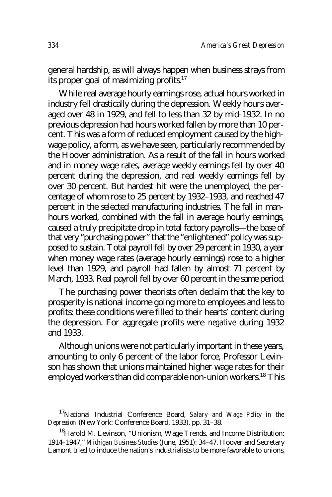general hardship, as will always happen when business strays from its proper goal of maximizing profits.<sup>17</sup>

While real average hourly earnings rose, actual hours worked in industry fell drastically during the depression. Weekly hours averaged over 48 in 1929, and fell to less than 32 by mid-1932. In no previous depression had hours worked fallen by more than 10 percent. This was a form of reduced employment caused by the highwage policy, a form, as we have seen, particularly recommended by the Hoover administration. As a result of the fall in hours worked and in money wage rates, average weekly earnings fell by over 40 percent during the depression, and real weekly earnings fell by over 30 percent. But hardest hit were the unemployed, the percentage of whom rose to 25 percent by 1932–1933, and reached 47 percent in the selected manufacturing industries. The fall in manhours worked, combined with the fall in average hourly earnings, caused a truly precipitate drop in total factory payrolls—the base of that very "purchasing power" that the "enlightened" policy was supposed to sustain. Total payroll fell by over 29 percent in 1930, a year when money wage rates (average hourly earnings) rose to a higher level than 1929, and payroll had fallen by almost 71 percent by March, 1933. Real payroll fell by over 60 percent in the same period.

The purchasing power theorists often declaim that the key to prosperity is national income going more to employees and less to profits: these conditions were filled to their hearts' content during the depression. For aggregate profits were *negative* during 1932 and 1933.

Although unions were not particularly important in these years, amounting to only 6 percent of the labor force, Professor Levinson has shown that unions maintained higher wage rates for their employed workers than did comparable non-union workers.<sup>18</sup> This

<sup>17</sup>National Industrial Conference Board, *Salary and Wage Policy in the Depression* (New York: Conference Board, 1933), pp. 31–38.

<sup>&</sup>lt;sup>18</sup>Harold M. Levinson, "Unionism, Wage Trends, and Income Distribution: 1914–1947," *Michigan Business Studies* (June, 1951): 34–47. Hoover and Secretary Lamont tried to induce the nation's industrialists to be more favorable to unions,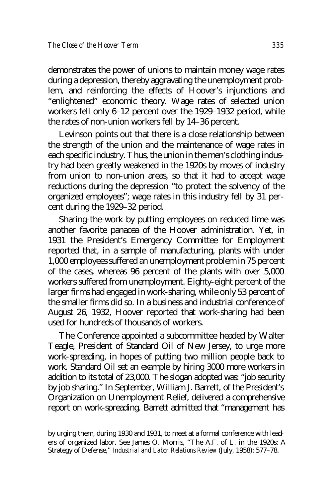demonstrates the power of unions to maintain money wage rates during a depression, thereby aggravating the unemployment problem, and reinforcing the effects of Hoover's injunctions and "enlightened" economic theory. Wage rates of selected union workers fell only 6–12 percent over the 1929–1932 period, while the rates of non-union workers fell by 14–36 percent.

Levinson points out that there is a close relationship between the strength of the union and the maintenance of wage rates in each specific industry. Thus, the union in the men's clothing industry had been greatly weakened in the 1920s by moves of industry from union to non-union areas, so that it had to accept wage reductions during the depression "to protect the solvency of the organized employees"; wage rates in this industry fell by 31 percent during the 1929–32 period.

Sharing-the-work by putting employees on reduced time was another favorite panacea of the Hoover administration. Yet, in 1931 the President's Emergency Committee for Employment reported that, in a sample of manufacturing, plants with under 1,000 employees suffered an unemployment problem in 75 percent of the cases, whereas 96 percent of the plants with over 5,000 workers suffered from unemployment. Eighty-eight percent of the larger firms had engaged in work-sharing, while only 53 percent of the smaller firms did so. In a business and industrial conference of August 26, 1932, Hoover reported that work-sharing had been used for hundreds of thousands of workers.

The Conference appointed a subcommittee headed by Walter Teagle, President of Standard Oil of New Jersey, to urge more work-spreading, in hopes of putting two million people back to work. Standard Oil set an example by hiring 3000 more workers in addition to its total of 23,000. The slogan adopted was: "job security by job sharing." In September, William J. Barrett, of the President's Organization on Unemployment Relief, delivered a comprehensive report on work-spreading. Barrett admitted that "management has

by urging them, during 1930 and 1931, to meet at a formal conference with leaders of organized labor. See James O. Morris, "The A.F. of L. in the 1920s: A Strategy of Defense," *Industrial and Labor Relations Review* (July, 1958): 577–78.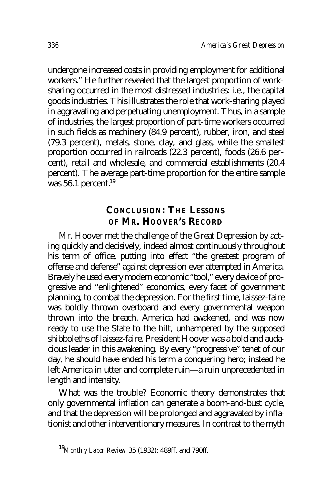undergone increased costs in providing employment for additional workers." He further revealed that the largest proportion of worksharing occurred in the most distressed industries: i.e., the capital goods industries. This illustrates the role that work-sharing played in aggravating and perpetuating unemployment. Thus, in a sample of industries, the largest proportion of part-time workers occurred in such fields as machinery (84.9 percent), rubber, iron, and steel (79.3 percent), metals, stone, clay, and glass, while the smallest proportion occurred in railroads (22.3 percent), foods (26.6 percent), retail and wholesale, and commercial establishments (20.4 percent). The average part-time proportion for the entire sample was 56.1 percent.<sup>19</sup>

#### **CONCLUSION: THE LESSONS OF MR. HOOVER'S RECORD**

Mr. Hoover met the challenge of the Great Depression by acting quickly and decisively, indeed almost continuously throughout his term of office, putting into effect "the greatest program of offense and defense" against depression ever attempted in America. Bravely he used every modern economic "tool," every device of progressive and "enlightened" economics, every facet of government planning, to combat the depression. For the first time, laissez-faire was boldly thrown overboard and every governmental weapon thrown into the breach. America had awakened, and was now ready to use the State to the hilt, unhampered by the supposed shibboleths of laissez-faire. President Hoover was a bold and audacious leader in this awakening. By every "progressive" tenet of our day, he should have ended his term a conquering hero; instead he left America in utter and complete ruin—a ruin unprecedented in length and intensity.

What was the trouble? Economic theory demonstrates that only governmental inflation can generate a boom-and-bust cycle, and that the depression will be prolonged and aggravated by inflationist and other interventionary measures. In contrast to the myth

<sup>19</sup>*Monthly Labor Review* 35 (1932): 489ff. and 790ff.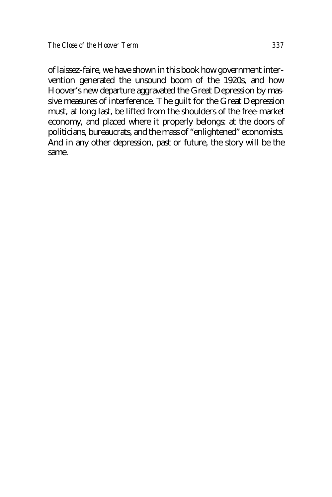of laissez-faire, we have shown in this book how government intervention generated the unsound boom of the 1920s, and how Hoover's new departure aggravated the Great Depression by massive measures of interference. The guilt for the Great Depression must, at long last, be lifted from the shoulders of the free-market economy, and placed where it properly belongs: at the doors of politicians, bureaucrats, and the mass of "enlightened" economists. And in any other depression, past or future, the story will be the same.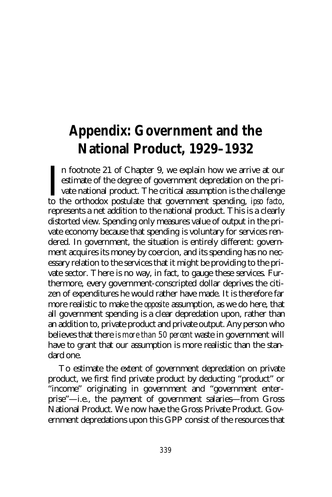## **Appendix: Government and the National Product, 1929–1932**

In footnote 21 of Chapter 9, we explain how we arrive at our estimate of the degree of government depredation on the private national product. The critical assumption is the challenge to the orthodox postulate that governm n footnote 21 of Chapter 9, we explain how we arrive at our estimate of the degree of government depredation on the private national product. The critical assumption is the challenge represents a net addition to the national product. This is a clearly distorted view. Spending only measures value of output in the private economy because that spending is voluntary for services rendered. In government, the situation is entirely different: government acquires its money by coercion, and its spending has no necessary relation to the services that it might be providing to the private sector. There is no way, in fact, to gauge these services. Furthermore, every government-conscripted dollar deprives the citizen of expenditures he would rather have made. It is therefore far more realistic to make the *opposite* assumption, as we do here, that all government spending is a clear depredation upon, rather than an addition to, private product and private output. Any person who believes that there *is more than 50 percent* waste in government will have to grant that our assumption is more realistic than the standard one.

To estimate the extent of government depredation on private product, we first find private product by deducting "product" or "income" originating in government and "government enterprise"—i.e., the payment of government salaries—from Gross National Product. We now have the Gross Private Product. Government depredations upon this GPP consist of the resources that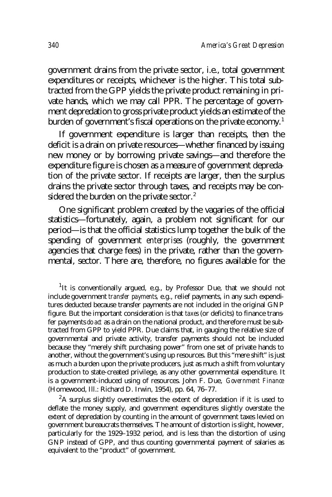government drains from the private sector, i.e., total government expenditures or receipts, whichever is the higher. This total subtracted from the GPP yields the private product remaining in private hands, which we may call PPR. The percentage of government depredation to gross private product yields an estimate of the burden of government's fiscal operations on the private economy.<sup>1</sup>

If government expenditure is larger than receipts, then the deficit is a drain on private resources—whether financed by issuing new money or by borrowing private savings—and therefore the expenditure figure is chosen as a measure of government depredation of the private sector. If receipts are larger, then the surplus drains the private sector through taxes, and receipts may be considered the burden on the private sector.<sup>2</sup>

One significant problem created by the vagaries of the official statistics—fortunately, again, a problem not significant for our period—is that the official statistics lump together the bulk of the spending of government *enterprises* (roughly, the government agencies that charge fees) in the private, rather than the governmental, sector. There are, therefore, no figures available for the

<sup>1</sup>It is conventionally argued, e.g., by Professor Due, that we should not include government *transfer payments,* e.g., relief payments, in any such expenditures deducted because transfer payments are not included in the original GNP figure. But the important consideration is that *taxes* (or deficits) to finance transfer payments *do act* as a drain on the national product, and therefore must be subtracted from GPP to yield PPR. Due claims that, in gauging the relative size of governmental and private activity, transfer payments should not be included because they "merely shift purchasing power" from one set of private hands to another, without the government's using up resources. But this "mere shift" is just as much a burden upon the private producers, just as much a shift from voluntary production to state-created privilege, as any other governmental expenditure. It is a government-induced using of resources. John F. Due, *Government Finance* (Homewood, Ill.: Richard D. Irwin, 1954), pp. 64, 76–77.

 ${}^{2}$ A surplus slightly overestimates the extent of depredation if it is used to deflate the money supply, and government expenditures slightly overstate the extent of depredation by counting in the amount of government taxes levied on government bureaucrats themselves. The amount of distortion is slight, however, particularly for the 1929–1932 period, and is less than the distortion of using GNP instead of GPP, and thus counting governmental payment of salaries as equivalent to the "product" of government.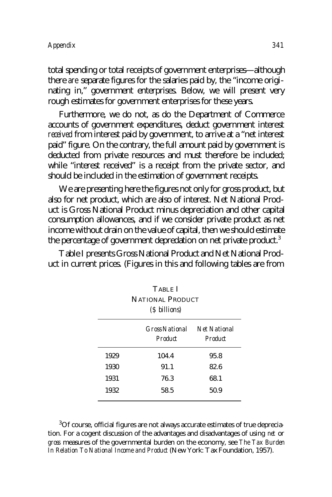total spending or total receipts of government enterprises—although there *are* separate figures for the salaries paid by, the "income originating in," government enterprises. Below, we will present very rough estimates for government enterprises for these years.

Furthermore, we do not, as do the Department of Commerce accounts of government expenditures, deduct government interest *received* from interest paid by government, to arrive at a "net interest paid" figure. On the contrary, the full amount paid by government is deducted from private resources and must therefore be included; while "interest received" is a receipt from the private sector, and should be included in the estimation of government receipts.

We are presenting here the figures not only for gross product, but also for net product, which are also of interest. Net National Product is Gross National Product minus depreciation and other capital consumption allowances, and if we consider private product as net income without drain on the value of capital, then we should estimate the percentage of government depredation on net private product.<sup>3</sup>

Table I presents Gross National Product and Net National Product in current prices. (Figures in this and following tables are from

|      | <b>TABLE</b> I                                       |                |
|------|------------------------------------------------------|----------------|
|      | <b>NATIONAL PRODUCT</b>                              |                |
|      | (S billions)                                         |                |
|      | <b>Gross National</b> Net National<br><b>Product</b> | <b>Product</b> |
| 1929 | 104.4                                                | 95.8           |
| 1930 | 91.1                                                 | 82.6           |
| 1931 | 76.3                                                 | 68.1           |
| 1932 | 58.5                                                 | 50.9           |

 $3$ Of course, official figures are not always accurate estimates of true depreciation. For a cogent discussion of the advantages and disadvantages of using *net* or *gross* measures of the governmental burden on the economy, see *The Tax Burden In Relation To National Income and Product* (New York: Tax Foundation, 1957).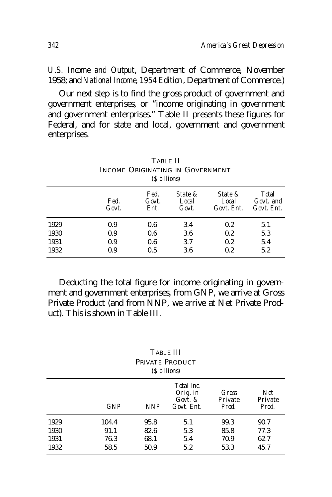*U.S. Income and Output*, Department of Commerce, November 1958; and *National Income, 1954 Edition*, Department of Commerce.)

Our next step is to find the gross product of government and government enterprises, or "income originating in government and government enterprises." Table II presents these figures for Federal, and for state and local, government and government enterprises.

TABLE II

| INCOME ORIGINATING IN GOVERNMENT<br>(S billions) |               |                       |                           |                                |                                         |
|--------------------------------------------------|---------------|-----------------------|---------------------------|--------------------------------|-----------------------------------------|
|                                                  | Fed.<br>Govt. | Fed.<br>Govt.<br>Ent. | State &<br>Local<br>Govt. | State &<br>Local<br>Govt. Ent. | <b>Total</b><br>Govt. and<br>Govt. Ent. |
| 1929                                             | 0.9           | 0.6                   | 3.4                       | 0.2                            | 5.1                                     |
| 1930                                             | 0.9           | 0.6                   | 3.6                       | 0.2                            | 5.3                                     |
| 1931                                             | 0.9           | 0.6                   | 3.7                       | 0.2                            | 5.4                                     |
| 1932                                             | 0.9           | 0.5                   | 3.6                       | 0.2                            | 5.2                                     |

Deducting the total figure for income originating in government and government enterprises, from GNP, we arrive at Gross Private Product (and from NNP, we arrive at Net Private Product). This is shown in Table III.

| <b>GNP</b> | NNP  | <b>Total Inc.</b><br>Orig. in<br>Govt. &<br>Govt. Ent. | <b>Gross</b><br><b>Private</b><br>Prod.              | <b>Net</b><br><b>Private</b><br>Prod. |
|------------|------|--------------------------------------------------------|------------------------------------------------------|---------------------------------------|
| 104.4      | 95.8 | 5.1                                                    | 99.3                                                 | 90.7                                  |
| 91.1       | 82.6 | 5.3                                                    | 85.8                                                 | 77.3                                  |
| 76.3       | 68.1 | 5.4                                                    | 70.9                                                 | 62.7                                  |
| 58.5       | 50.9 | 5.2                                                    | 53.3                                                 | 45.7                                  |
|            |      |                                                        | <b>TABLE III</b><br>PRIVATE PRODUCT<br>(\$ billions) |                                       |

## TABLE III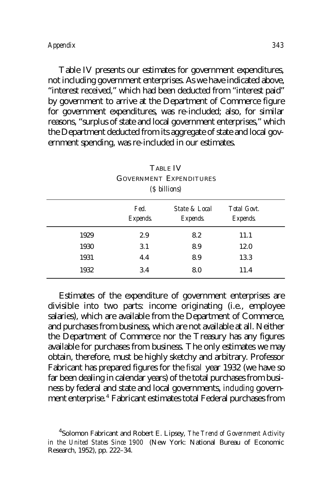Table IV presents our estimates for government expenditures, not including government enterprises. As we have indicated above, "interest received," which had been deducted from "interest paid" by government to arrive at the Department of Commerce figure for government expenditures, was re-included; also, for similar reasons, "surplus of state and local government enterprises," which the Department deducted from its aggregate of state and local government spending, was re-included in our estimates.

|      |                  | <b>GOVERNMENT EXPENDITURES</b><br>(\$ billions) |                                       |
|------|------------------|-------------------------------------------------|---------------------------------------|
|      | Fed.<br>Expends. | State & Local<br><b>Expends.</b>                | <b>Total Govt.</b><br><b>Expends.</b> |
| 1929 | 2.9              | 8.2                                             | 11.1                                  |
| 1930 | 3.1              | 8.9                                             | 12.0                                  |
| 1931 | 4.4              | 8.9                                             | 13.3                                  |
| 1932 | 3.4              | 8.0                                             | 11.4                                  |

# TABLE IV

Estimates of the expenditure of government enterprises are divisible into two parts: income originating (i.e., employee salaries), which are available from the Department of Commerce, and purchases from business, which are not available at all. Neither the Department of Commerce nor the Treasury has any figures available for purchases from business. The only estimates we may obtain, therefore, must be highly sketchy and arbitrary. Professor Fabricant has prepared figures for the *fiscal* year 1932 (we have so far been dealing in calendar years) of the total purchases from business by federal and state and local governments, *including* government enterprise.<sup>4</sup> Fabricant estimates total Federal purchases from

<sup>4</sup> Solomon Fabricant and Robert E. Lipsey, *The Trend of Government Activity in the United States Since 1900* (New York: National Bureau of Economic Research, 1952), pp. 222–34.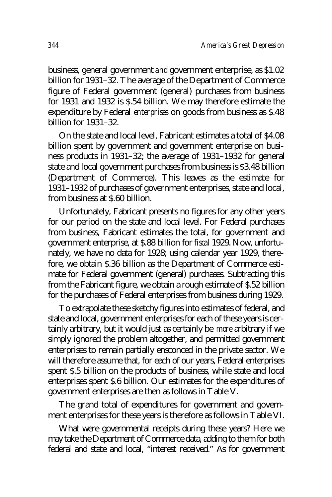business, general government *and* government enterprise, as \$1.02 billion for 1931–32. The average of the Department of Commerce figure of Federal government (general) purchases from business for 1931 and 1932 is \$.54 billion. We may therefore estimate the expenditure by Federal *enterprises* on goods from business as \$.48 billion for 1931–32.

On the state and local level, Fabricant estimates a total of \$4.08 billion spent by government and government enterprise on business products in 1931–32; the average of 1931–1932 for general state and local government purchases from business is \$3.48 billion (Department of Commerce). This leaves as the estimate for 1931–1932 of purchases of government enterprises, state and local, from business at \$.60 billion.

Unfortunately, Fabricant presents no figures for any other years for our period on the state and local level. For Federal purchases from business, Fabricant estimates the total, for government and government enterprise, at \$.88 billion for *fiscal* 1929. Now, unfortunately, we have no data for 1928; using calendar year 1929, therefore, we obtain \$.36 billion as the Department of Commerce estimate for Federal government (general) purchases. Subtracting this from the Fabricant figure, we obtain a rough estimate of \$.52 billion for the purchases of Federal enterprises from business during 1929.

To extrapolate these sketchy figures into estimates of federal, and state and local, government enterprises for each of these years is certainly arbitrary, but it would just as certainly be *more* arbitrary if we simply ignored the problem altogether, and permitted government enterprises to remain partially ensconced in the private sector. We will therefore assume that, for each of our years, Federal enterprises spent \$.5 billion on the products of business, while state and local enterprises spent \$.6 billion. Our estimates for the expenditures of government enterprises are then as follows in Table V.

The grand total of expenditures for government and government enterprises for these years is therefore as follows in Table VI.

What were governmental receipts during these years? Here we may take the Department of Commerce data, adding to them for both federal and state and local, "interest received." As for government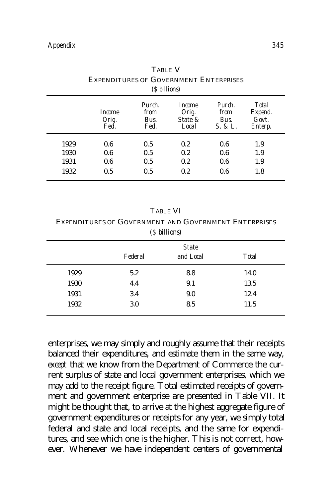|      | (\$ billions)                  |                                |                                     |                                   |                                             |
|------|--------------------------------|--------------------------------|-------------------------------------|-----------------------------------|---------------------------------------------|
|      | <i>Income</i><br>Orig.<br>Fed. | Purch.<br>from<br>Bus.<br>Fed. | Income<br>Orig.<br>State &<br>Local | Purch.<br>from<br>Bus.<br>S. & L. | <b>Total</b><br>Expend.<br>Govt.<br>Enterp. |
| 1929 | 0.6                            | 0.5                            | 0.2                                 | 0.6                               | 1.9                                         |
| 1930 | 0.6                            | 0.5                            | 0.2                                 | 0.6                               | 1.9                                         |
| 1931 | 0.6                            | 0.5                            | 0.2                                 | 0.6                               | 1.9                                         |
| 1932 | 0.5                            | 0.5                            | 0.2                                 | 0.6                               | 1.8                                         |

| TABLE V                                |
|----------------------------------------|
| EXPENDITURES OF GOVERNMENT ENTERPRISES |
| (S billions)                           |

| LABLE. |  |
|--------|--|
|--------|--|

EXPENDITURES OF GOVERNMENT AND GOVERNMENT ENTERPRISES *(\$ billions)*

|      | <b>Federal</b> | <b>State</b><br>and Local | <b>Total</b> |
|------|----------------|---------------------------|--------------|
| 1929 | 5.2            | 8.8                       | 14.0         |
| 1930 | 4.4            | 9.1                       | 13.5         |
| 1931 | 3.4            | 9.0                       | 12.4         |
| 1932 | 3.0            | 8.5                       | 11.5         |

enterprises, we may simply and roughly assume that their receipts balanced their expenditures, and estimate them in the same way, *except* that we know from the Department of Commerce the current surplus of state and local government enterprises, which we may add to the receipt figure. Total estimated receipts of government and government enterprise are presented in Table VII. It might be thought that, to arrive at the highest aggregate figure of government expenditures or receipts for any year, we simply total federal and state and local receipts, and the same for expenditures, and see which one is the higher. This is not correct, however. Whenever we have independent centers of governmental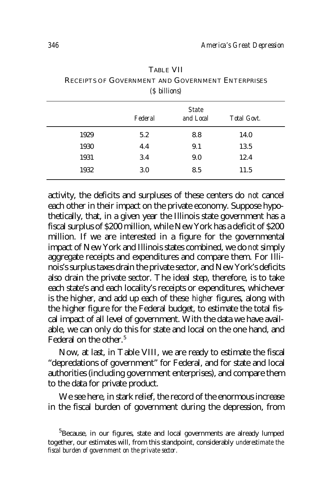|      | $\cdot$ | $\overline{\phantom{a}}$<br><b>State</b> |                    |  |
|------|---------|------------------------------------------|--------------------|--|
|      | Federal | and Local                                | <b>Total Govt.</b> |  |
| 1929 | 5.2     | 8.8                                      | 14.0               |  |
| 1930 | 4.4     | 9.1                                      | 13.5               |  |
| 1931 | 3.4     | 9.0                                      | 12.4               |  |
| 1932 | 3.0     | 8.5                                      | 11.5               |  |

TABLE VII RECEIPTS OF GOVERNMENT AND GOVERNMENT ENTERPRISES *(\$ billions)*

activity, the deficits and surpluses of these centers do *not* cancel each other in their impact on the private economy. Suppose hypothetically, that, in a given year the Illinois state government has a fiscal surplus of \$200 million, while New York has a deficit of \$200 million. If we are interested in a figure for the governmental impact of New York and Illinois states combined, we do *not* simply aggregate receipts and expenditures and compare them. For Illinois's surplus taxes drain the private sector, and New York's deficits also drain the private sector. The ideal step, therefore, is to take each state's and each locality's receipts or expenditures, whichever is the higher, and add up each of these *higher* figures, along with the higher figure for the Federal budget, to estimate the total fiscal impact of all level of government. With the data we have available, we can only do this for state and local on the one hand, and Federal on the other.<sup>5</sup>

Now, at last, in Table VIII, we are ready to estimate the fiscal "depredations of government" for Federal, and for state and local authorities (including government enterprises), and compare them to the data for private product.

We see here, in stark relief, the record of the enormous increase in the fiscal burden of government during the depression, from

 $^5$ Because, in our figures, state and local governments are already lumped together, our estimates will, from this standpoint, considerably *underestimate the fiscal burden of government on the private sector.*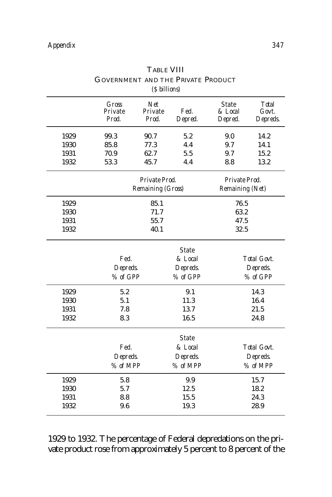| (Ə DIIIIONS) |                                         |                                |                 |                                    |                                   |
|--------------|-----------------------------------------|--------------------------------|-----------------|------------------------------------|-----------------------------------|
|              | <b>Gross</b><br><b>Private</b><br>Prod. | <b>Net</b><br>Private<br>Prod. | Fed.<br>Depred. | <b>State</b><br>& Local<br>Depred. | <b>Total</b><br>Govt.<br>Depreds. |
| 1929         | 99.3                                    | 90.7                           | 5.2             | 9.0                                | 14.2                              |
| 1930         | 85.8                                    | 77.3                           | 4.4             | 9.7                                | 14.1                              |
| 1931         | 70.9                                    | 62.7                           | 5.5             | 9.7                                | 15.2                              |
| 1932         | 53.3                                    | 45.7                           | 4.4             | 8.8                                | 13.2                              |
|              |                                         | Private Prod.                  |                 | Private Prod.                      |                                   |
|              |                                         | <b>Remaining (Gross)</b>       |                 | <b>Remaining (Net)</b>             |                                   |
| 1929         |                                         | 85.1                           |                 | 76.5                               |                                   |
| 1930         |                                         | 71.7                           |                 | 63.2                               |                                   |
| 1931         |                                         | 55.7                           |                 | 47.5                               |                                   |
| 1932         |                                         | 40.1                           |                 | 32.5                               |                                   |
|              |                                         |                                | <b>State</b>    |                                    |                                   |
|              | Fed.                                    |                                | & Local         |                                    | <b>Total Govt.</b>                |
|              | Depreds.                                |                                | Depreds.        |                                    | Depreds.                          |
|              | % of GPP                                |                                | $%$ of GPP      |                                    | $%$ of GPP                        |
| 1929         | 5.2                                     |                                | 9.1             | 14.3                               |                                   |
| 1930         | 5.1                                     |                                | 11.3            |                                    | 16.4                              |
| 1931         | 7.8                                     |                                | 13.7            |                                    | 21.5                              |
| 1932         | 8.3                                     |                                | 16.5            |                                    | 24.8                              |
|              |                                         |                                | <b>State</b>    |                                    |                                   |
|              | Fed.                                    |                                | & Local         |                                    | <b>Total Govt.</b>                |
|              | Depreds.                                |                                | Depreds.        |                                    | Depreds.                          |
|              | $%$ of MPP                              |                                | $%$ of MPP      |                                    | $%$ of MPP                        |
| 1929         | 5.8                                     |                                | 9.9             |                                    | 15.7                              |
| 1930         | 5.7                                     |                                | 12.5            |                                    | 18.2                              |
| 1931         | 8.8                                     |                                | 15.5            | 24.3                               |                                   |
| 1932         | 19.3<br>9.6                             |                                |                 | 28.9                               |                                   |

| TABLE VIII                         |
|------------------------------------|
| GOVERNMENT AND THE PRIVATE PRODUCT |
| (S billions)                       |

1929 to 1932. The percentage of Federal depredations on the private product rose from approximately 5 percent to 8 percent of the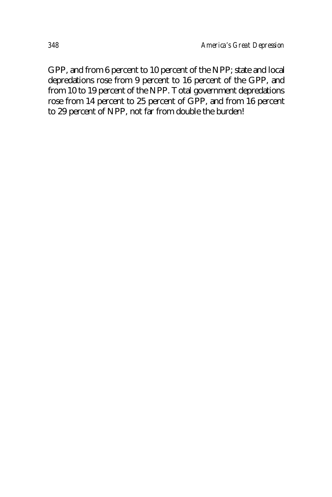GPP, and from 6 percent to 10 percent of the NPP; state and local depredations rose from 9 percent to 16 percent of the GPP, and from 10 to 19 percent of the NPP. Total government depredations rose from 14 percent to 25 percent of GPP, and from 16 percent to 29 percent of NPP, not far from double the burden!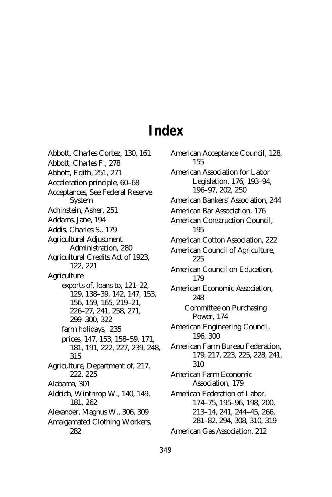## **Index**

Abbott, Charles Cortez, 130, 161 Abbott, Charles F., 278 Abbott, Edith, 251, 271 Acceleration principle, 60–68 Acceptances, See Federal Reserve System Achinstein, Asher, 251 Addams, Jane, 194 Addis, Charles S., 179 Agricultural Adjustment Administration, 280 Agricultural Credits Act of 1923, 122, 221 **Agriculture** exports of, loans to, 121–22, 129, 138–39, 142, 147, 153, 156, 159, 165, 219–21, 226–27, 241, 258, 271, 299–300, 322 farm holidays, 235 prices, 147, 153, 158–59, 171, 181, 191, 222, 227, 239, 248, 315 Agriculture, Department of, 217, 222, 225 Alabama, 301 Aldrich, Winthrop W., 140, 149, 181, 262 Alexander, Magnus W., 306, 309 Amalgamated Clothing Workers, 282

American Acceptance Council, 128, 155 American Association for Labor Legislation, 176, 193–94, 196–97, 202, 250 American Bankers' Association, 244 American Bar Association, 176 American Construction Council, 195 American Cotton Association, 222 American Council of Agriculture, 225 American Council on Education, 179 American Economic Association, 248 Committee on Purchasing Power, 174 American Engineering Council, 196, 300 American Farm Bureau Federation, 179, 217, 223, 225, 228, 241, 310 American Farm Economic Association, 179 American Federation of Labor, 174–75, 195–96, 198, 200, 213–14, 241, 244–45, 266, 281–82, 294, 308, 310, 319 American Gas Association, 212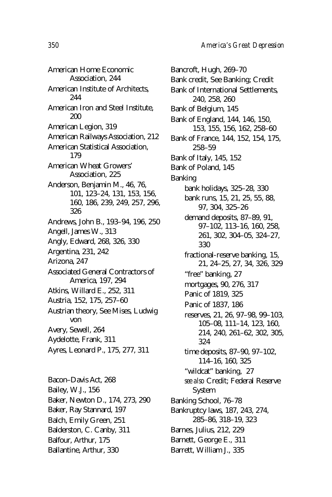American Home Economic Association, 244 American Institute of Architects, 244 American Iron and Steel Institute, 200 American Legion, 319 American Railways Association, 212 American Statistical Association, 179 American Wheat Growers' Association, 225 Anderson, Benjamin M., 46, 76, 101, 123–24, 131, 153, 156, 160, 186, 239, 249, 257, 296, 326 Andrews, John B., 193–94, 196, 250 Angell, James W., 313 Angly, Edward, 268, 326, 330 Argentina, 231, 242 Arizona, 247 Associated General Contractors of America, 197, 294 Atkins, Willard E., 252, 311 Austria, 152, 175, 257–60 Austrian theory, See Mises, Ludwig von Avery, Sewell, 264 Aydelotte, Frank, 311 Ayres, Leonard P., 175, 277, 311

Bacon–Davis Act, 268 Bailey, W.J., 156 Baker, Newton D., 174, 273, 290 Baker, Ray Stannard, 197 Balch, Emily Green, 251 Balderston, C. Canby, 311 Balfour, Arthur, 175 Ballantine, Arthur, 330

Bancroft, Hugh, 269–70 Bank credit, See Banking; Credit Bank of International Settlements, 240, 258, 260 Bank of Belgium, 145 Bank of England, 144, 146, 150, 153, 155, 156, 162, 258–60 Bank of France, 144, 152, 154, 175, 258–59 Bank of Italy, 145, 152 Bank of Poland, 145 **Banking** bank holidays, 325–28, 330 bank runs, 15, 21, 25, 55, 88, 97, 304, 325–26 demand deposits, 87–89, 91, 97–102, 113–16, 160, 258, 261, 302, 304–05, 324–27, 330 fractional-reserve banking, 15, 21, 24–25, 27, 34, 326, 329 "free" banking, 27 mortgages, 90, 276, 317 Panic of 1819, 325 Panic of 1837, 186 reserves, 21, 26, 97–98, 99–103, 105–08, 111–14, 123, 160, 214, 240, 261–62, 302, 305, 324 time deposits, 87–90, 97–102, 114–16, 160, 325 "wildcat" banking, 27 *see also* Credit; Federal Reserve System Banking School, 76–78 Bankruptcy laws, 187, 243, 274, 285–86, 318–19, 323 Barnes, Julius, 212, 229 Barnett, George E., 311 Barrett, William J., 335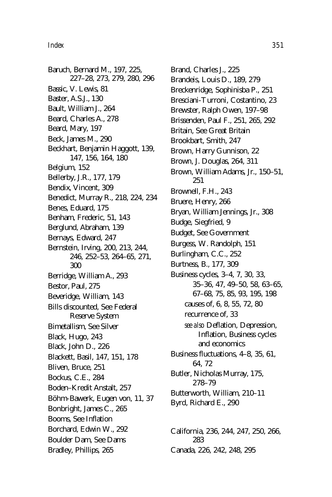Baruch, Bernard M., 197, 225, 227–28, 273, 279, 280, 296 Bassic, V. Lewis, 81 Baster, A.S.J., 130 Bault, William J., 264 Beard, Charles A., 278 Beard, Mary, 197 Beck, James M., 290 Beckhart, Benjamin Haggott, 139, 147, 156, 164, 180 Belgium, 152 Bellerby, J.R., 177, 179 Bendix, Vincent, 309 Benedict, Murray R., 218, 224, 234 Benes, Eduard, 175 Benham, Frederic, 51, 143 Berglund, Abraham, 139 Bernays, Edward, 247 Bernstein, Irving, 200, 213, 244, 246, 252–53, 264–65, 271, 300 Berridge, William A., 293 Bestor, Paul, 275 Beveridge, William, 143 Bills discounted, See Federal Reserve System Bimetallism, See Silver Black, Hugo, 243 Black, John D., 226 Blackett, Basil, 147, 151, 178 Bliven, Bruce, 251 Bockus, C.E., 284 Boden–Kredit Anstalt, 257 Böhm-Bawerk, Eugen von, 11, 37 Bonbright, James C., 265 Booms, See Inflation Borchard, Edwin W., 292 Boulder Dam, See Dams Bradley, Phillips, 265

Brand, Charles J., 225 Brandeis, Louis D., 189, 279 Breckenridge, Sophinisba P., 251 Bresciani-Turroni, Costantino, 23 Brewster, Ralph Owen, 197–98 Brissenden, Paul F., 251, 265, 292 Britain, See Great Britain Brookbart, Smith, 247 Brown, Harry Gunnison, 22 Brown, J. Douglas, 264, 311 Brown, William Adams, Jr., 150–51, 251 Brownell, F.H., 243 Bruere, Henry, 266 Bryan, William Jennings, Jr., 308 Budge, Siegfried, 9 Budget, See Government Burgess, W. Randolph, 151 Burlingham, C.C., 252 Burtness, B., 177, 309 Business cycles, 3–4, 7, 30, 33, 35–36, 47, 49–50, 58, 63–65, 67–68, 75, 85, 93, 195, 198 causes of, 6, 8, 55, 72, 80 recurrence of, 33 *see also* Deflation, Depression, Inflation, Business cycles and economics Business fluctuations, 4–8, 35, 61, 64, 72 Butler, Nicholas Murray, 175, 278–79 Butterworth, William, 210–11 Byrd, Richard E., 290

California, 236, 244, 247, 250, 266, 283 Canada, 226, 242, 248, 295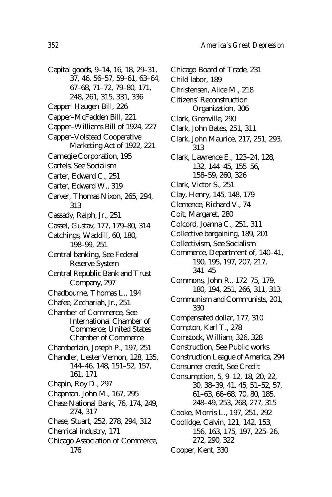Capital goods, 9–14, 16, 18, 29–31, 37, 46, 56–57, 59–61, 63–64, 67–68, 71–72, 79–80, 171, 248, 261, 315, 331, 336 Capper–Haugen Bill, 226 Capper–McFadden Bill, 221 Capper–Williams Bill of 1924, 227 Capper–Volstead Cooperative Marketing Act of 1922, 221 Carnegie Corporation, 195 Cartels, See Socialism Carter, Edward C., 251 Carter, Edward W., 319 Carver, Thomas Nixon, 265, 294, 313 Cassady, Ralph, Jr., 251 Cassel, Gustav, 177, 179–80, 314 Catchings, Waddill, 60, 180, 198–99, 251 Central banking, See Federal Reserve System Central Republic Bank and Trust Company, 297 Chadbourne, Thomas L., 194 Chafee, Zechariah, Jr., 251 Chamber of Commerce, See International Chamber of Commerce; United States Chamber of Commerce Chamberlain, Joseph P., 197, 251 Chandler, Lester Vernon, 128, 135, 144–46, 148, 151–52, 157, 161, 171 Chapin, Roy D., 297 Chapman, John M., 167, 295 Chase National Bank, 76, 174, 249, 274, 317 Chase, Stuart, 252, 278, 294, 312 Chemical industry, 171 Chicago Association of Commerce, 176

Chicago Board of Trade, 231 Child labor, 189 Christensen, Alice M., 218 Citizens' Reconstruction Organization, 306 Clark, Grenville, 290 Clark, John Bates, 251, 311 Clark, John Maurice, 217, 251, 293, 313 Clark, Lawrence E., 123–24, 128, 132, 144–45, 155–56, 158–59, 260, 326 Clark, Victor S., 251 Clay, Henry, 145, 148, 179 Clemence, Richard V., 74 Coit, Margaret, 280 Colcord, Joanna C., 251, 311 Collective bargaining, 189, 201 Collectivism, See Socialism Commerce, Department of, 140–41, 190, 195, 197, 207, 217, 341–45 Commons, John R., 172–75, 179, 180, 194, 251, 266, 311, 313 Communism and Communists, 201, 330 Compensated dollar, 177, 310 Compton, Karl T., 278 Comstock, William, 326, 328 Construction, See Public works Construction League of America, 294 Consumer credit, See Credit Consumption, 5, 9–12, 18, 20, 22, 30, 38–39, 41, 45, 51–52, 57, 61–63, 66–68, 70, 80, 185, 248–49, 253, 268, 277, 315 Cooke, Morris L., 197, 251, 292 Coolidge, Calvin, 121, 142, 153, 156, 163, 175, 197, 225–26, 272, 290, 322 Cooper, Kent, 330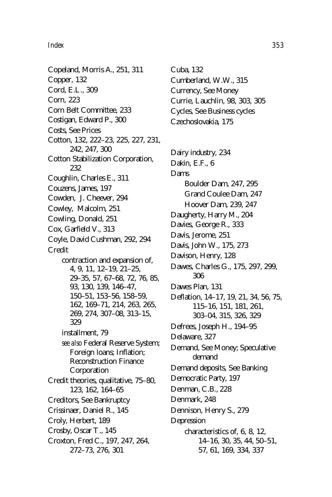Copeland, Morris A., 251, 311 Copper, 132 Cord, E.L., 309 Corn, 223 Corn Belt Committee, 233 Costigan, Edward P., 300 Costs, See Prices Cotton, 132, 222–23, 225, 227, 231, 242, 247, 300 Cotton Stabilization Corporation, 232 Coughlin, Charles E., 311 Couzens, James, 197 Cowden, J. Cheever, 294 Cowley, Malcolm, 251 Cowling, Donald, 251 Cox, Garfield V., 313 Coyle, David Cushman, 292, 294 Credit contraction and expansion of, 4, 9, 11, 12–19, 21–25, 29–35, 57, 67–68, 72, 76, 85, 93, 130, 139, 146–47, 150–51, 153–56, 158–59, 162, 169–71, 214, 263, 265, 269, 274, 307–08, 313–15, 329 installment, 79 *see also* Federal Reserve System; Foreign loans; Inflation; Reconstruction Finance Corporation Credit theories, qualitative, 75–80, 123, 162, 164–65 Creditors, See Bankruptcy Crissinaer, Daniel R., 145 Croly, Herbert, 189 Crosby, Oscar T., 145 Croxton, Fred C., 197, 247, 264, 272–73, 276, 301

Cuba, 132 Cumberland, W.W., 315 Currency, See Money Currie, Lauchlin, 98, 303, 305 Cycles, See Business cycles Czechoslovakia, 175

Dairy industry, 234 Dakin, E.F., 6 Dams Boulder Dam, 247, 295 Grand Coulee Dam, 247 Hoover Dam, 239, 247 Daugherty, Harry M., 204 Davies, George R., 333 Davis, Jerome, 251 Davis, John W., 175, 273 Davison, Henry, 128 Dawes, Charles G., 175, 297, 299, 306 Dawes Plan, 131 Deflation, 14–17, 19, 21, 34, 56, 75, 115–16, 151, 181, 261, 303–04, 315, 326, 329 Defrees, Joseph H., 194–95 Delaware, 327 Demand, See Money; Speculative demand Demand deposits, See Banking Democratic Party, 197 Denman, C.B., 228 Denmark, 248 Dennison, Henry S., 279 Depression characteristics of, 6, 8, 12, 14–16, 30, 35, 44, 50–51, 57, 61, 169, 334, 337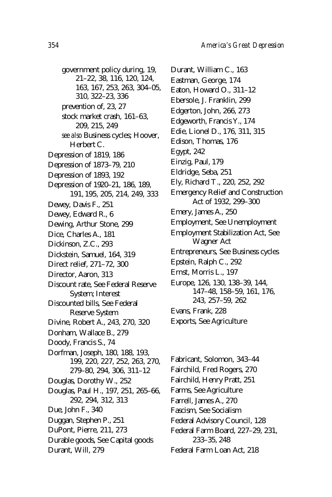government policy during, 19, 21–22, 38, 116, 120, 124, 163, 167, 253, 263, 304–05, 310, 322–23, 336 prevention of, 23, 27 stock market crash, 161–63, 209, 215, 249 *see also* Business cycles; Hoover, Herbert C. Depression of 1819, 186 Depression of 1873–79, 210 Depression of 1893, 192 Depression of 1920–21, 186, 189, 191, 195, 205, 214, 249, 333 Dewey, Davis F., 251 Dewey, Edward R., 6 Dewing, Arthur Stone, 299 Dice, Charles A., 181 Dickinson, Z.C., 293 Dickstein, Samuel, 164, 319 Direct relief, 271–72, 300 Director, Aaron, 313 Discount rate, See Federal Reserve System; Interest Discounted bills, See Federal Reserve System Divine, Robert A., 243, 270, 320 Donham, Wallace B., 279 Doody, Francis S., 74 Dorfman, Joseph, 180, 188, 193, 199, 220, 227, 252, 263, 270, 279–80, 294, 306, 311–12 Douglas, Dorothy W., 252 Douglas, Paul H., 197, 251, 265–66, 292, 294, 312, 313 Due, John F., 340 Duggan, Stephen P., 251 DuPont, Pierre, 211, 273 Durable goods, See Capital goods Durant, Will, 279

Durant, William C., 163 Eastman, George, 174 Eaton, Howard O., 311–12 Ebersole, J. Franklin, 299 Edgerton, John, 266, 273 Edgeworth, Francis Y., 174 Edie, Lionel D., 176, 311, 315 Edison, Thomas, 176 Egypt, 242 Einzig, Paul, 179 Eldridge, Seba, 251 Ely, Richard T., 220, 252, 292 Emergency Relief and Construction Act of 1932, 299–300 Emery, James A., 250 Employment, See Unemployment Employment Stabilization Act, See Wagner Act Entrepreneurs, See Business cycles Epstein, Ralph C., 292 Ernst, Morris L., 197 Europe, 126, 130, 138–39, 144, 147–48, 158–59, 161, 176, 243, 257–59, 262 Evans, Frank, 228 Exports, See Agriculture

Fabricant, Solomon, 343–44 Fairchild, Fred Rogers, 270 Fairchild, Henry Pratt, 251 Farms, See Agriculture Farrell, James A., 270 Fascism, See Socialism Federal Advisory Council, 128 Federal Farm Board, 227–29, 231, 233–35, 248 Federal Farm Loan Act, 218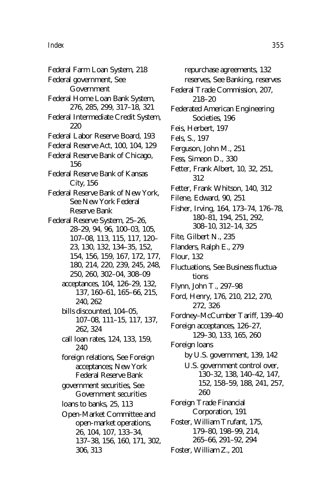Federal Farm Loan System, 218 Federal government, See Government Federal Home Loan Bank System, 276, 285, 299, 317–18, 321 Federal Intermediate Credit System, 220 Federal Labor Reserve Board, 193 Federal Reserve Act, 100, 104, 129 Federal Reserve Bank of Chicago, 156 Federal Reserve Bank of Kansas City, 156 Federal Reserve Bank of New York, See New York Federal Reserve Bank Federal Reserve System, 25–26, 28–29, 94, 96, 100–03, 105, 107–08, 113, 115, 117, 120– 23, 130, 132, 134–35, 152, 154, 156, 159, 167, 172, 177, 180, 214, 220, 239, 245, 248, 250, 260, 302–04, 308–09 acceptances, 104, 126–29, 132, 137, 160–61, 165–66, 215, 240, 262 bills discounted, 104–05, 107–08, 111–15, 117, 137, 262, 324 call loan rates, 124, 133, 159, 240 foreign relations, See Foreign acceptances; New York Federal Reserve Bank government securities, See Government securities loans to banks, 25, 113 Open-Market Committee and open-market operations, 26, 104, 107, 133–34, 137–38, 156, 160, 171, 302, 306, 313

repurchase agreements, 132 reserves, See Banking, reserves Federal Trade Commission, 207, 218–20 Federated American Engineering Societies, 196 Feis, Herbert, 197 Fels, S., 197 Ferguson, John M., 251 Fess, Simeon D., 330 Fetter, Frank Albert, 10, 32, 251, 312 Fetter, Frank Whitson, 140, 312 Filene, Edward, 90, 251 Fisher, Irving, 164, 173–74, 176–78, 180–81, 194, 251, 292, 308–10, 312–14, 325 Fite, Gilbert N., 235 Flanders, Ralph E., 279 Flour, 132 Fluctuations, See Business fluctuations Flynn, John T., 297–98 Ford, Henry, 176, 210, 212, 270, 272, 326 Fordney–McCumber Tariff, 139–40 Foreign acceptances, 126–27, 129–30, 133, 165, 260 Foreign loans by U.S. government, 139, 142 U.S. government control over, 130–32, 138, 140–42, 147, 152, 158–59, 188, 241, 257, 260 Foreign Trade Financial Corporation, 191 Foster, William Trufant, 175, 179–80, 198–99, 214, 265–66, 291–92, 294 Foster, William Z., 201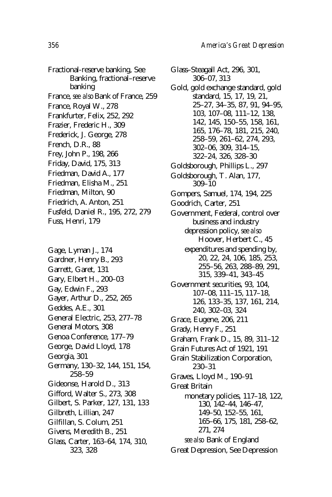Fractional-reserve banking, See Banking, fractional–reserve banking France, *see also* Bank of France, 259 France, Royal W., 278 Frankfurter, Felix, 252, 292 Frazier, Frederic H., 309 Frederick, J. George, 278 French, D.R., 88 Frey, John P., 198, 266 Friday, David, 175, 313 Friedman, David A., 177 Friedman, Elisha M., 251 Friedman, Milton, 90 Friedrich, A. Anton, 251 Fusfeld, Daniel R., 195, 272, 279 Fuss, Henri, 179

Gage, Lyman J., 174 Gardner, Henry B., 293 Garrett, Garet, 131 Gary, Elbert H., 200–03 Gay, Edwin F., 293 Gayer, Arthur D., 252, 265 Geddes, A.E., 301 General Electric, 253, 277–78 General Motors, 308 Genoa Conference, 177–79 George, David Lloyd, 178 Georgia, 301 Germany, 130–32, 144, 151, 154, 258–59 Gideonse, Harold D., 313 Gifford, Walter S., 273, 308 Gilbert, S. Parker, 127, 131, 133 Gilbreth, Lillian, 247 Gilfillan, S. Colum, 251 Givens, Meredith B., 251 Glass, Carter, 163–64, 174, 310, 323, 328

Glass–Steagall Act, 296, 301, 306–07, 313 Gold, gold exchange standard, gold standard, 15, 17, 19, 21, 25–27, 34–35, 87, 91, 94–95, 103, 107–08, 111–12, 138, 142, 145, 150–55, 158, 161, 165, 176–78, 181, 215, 240, 258–59, 261–62, 274, 293, 302–06, 309, 314–15, 322–24, 326, 328–30 Goldsborough, Phillips L., 297 Goldsborough, T. Alan, 177, 309–10 Gompers, Samuel, 174, 194, 225 Goodrich, Carter, 251 Government, Federal, control over business and industry depression policy, *see also* Hoover, Herbert C., 45 expenditures and spending by, 20, 22, 24, 106, 185, 253, 255–56, 263, 288–89, 291, 315, 339–41, 343–45 Government securities, 93, 104, 107–08, 111–15, 117–18, 126, 133–35, 137, 161, 214, 240, 302–03, 324 Grace, Eugene, 206, 211 Grady, Henry F., 251 Graham, Frank D., 15, 89, 311–12 Grain Futures Act of 1921, 191 Grain Stabilization Corporation, 230–31 Graves, Lloyd M., 190–91 Great Britain monetary policies, 117–18, 122, 130, 142–44, 146–47, 149–50, 152–55, 161, 165–66, 175, 181, 258–62, 271, 274 *see also* Bank of England Great Depression, See Depression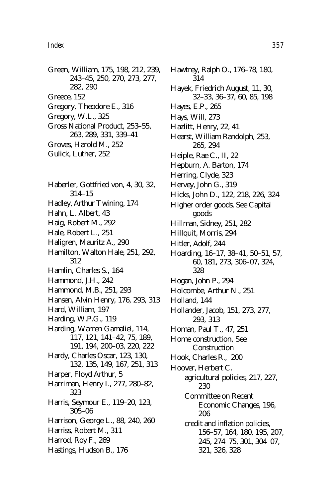- Green, William, 175, 198, 212, 239, 243–45, 250, 270, 273, 277, 282, 290 Greece, 152 Gregory, Theodore E., 316 Gregory, W.L., 325 Gross National Product, 253–55, 263, 289, 331, 339–41 Groves, Harold M., 252 Gulick, Luther, 252
- Haberler, Gottfried von, 4, 30, 32, 314–15 Hadley, Arthur Twining, 174 Hahn, L. Albert, 43 Haig, Robert M., 292 Hale, Robert L., 251 Haligren, Mauritz A., 290 Hamilton, Walton Hale, 251, 292, 312 Hamlin, Charles S., 164 Hammond, J.H., 242 Hammond, M.B., 251, 293 Hansen, Alvin Henry, 176, 293, 313 Hard, William, 197 Harding, W.P.G., 119 Harding, Warren Gamaliel, 114, 117, 121, 141–42, 75, 189, 191, 194, 200–03, 220, 222 Hardy, Charles Oscar, 123, 130, 132, 135, 149, 167, 251, 313 Harper, Floyd Arthur, 5 Harriman, Henry I., 277, 280–82, 323 Harris, Seymour E., 119–20, 123, 305–06 Harrison, George L., 88, 240, 260 Harriss, Robert M., 311 Harrod, Roy F., 269 Hastings, Hudson B., 176

Hawtrey, Ralph O., 176–78, 180, 314 Hayek, Friedrich August, 11, 30, 32–33, 36–37, 60, 85, 198 Hayes, E.P., 265 Hays, Will, 273 Hazlitt, Henry, 22, 41 Hearst, William Randolph, 253, 265, 294 Heiple, Rae C., II, 22 Hepburn, A. Barton, 174 Herring, Clyde, 323 Hervey, John G., 319 Hicks, John D., 122, 218, 226, 324 Higher order goods, See Capital goods Hillman, Sidney, 251, 282 Hillquit, Morris, 294 Hitler, Adolf, 244 Hoarding, 16–17, 38–41, 50–51, 57, 60, 181, 273, 306–07, 324, 328 Hogan, John P., 294 Holcombe, Arthur N., 251 Holland, 144 Hollander, Jacob, 151, 273, 277, 293, 313 Homan, Paul T., 47, 251 Home construction, See **Construction** Hook, Charles R., 200 Hoover, Herbert C. agricultural policies, 217, 227, 230 Committee on Recent Economic Changes, 196, 206 credit and inflation policies, 156–57, 164, 180, 195, 207, 245, 274–75, 301, 304–07, 321, 326, 328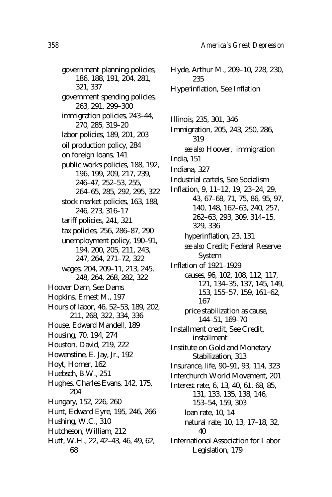government planning policies, 186, 188, 191, 204, 281, 321, 337 government spending policies, 263, 291, 299–300 immigration policies, 243–44, 270, 285, 319–20 labor policies, 189, 201, 203 oil production policy, 284 on foreign loans, 141 public works policies, 188, 192, 196, 199, 209, 217, 239, 246–47, 252–53, 255, 264–65, 285, 292, 295, 322 stock market policies, 163, 188, 246, 273, 316–17 tariff policies, 241, 321 tax policies, 256, 286–87, 290 unemployment policy, 190–91, 194, 200, 205, 211, 243, 247, 264, 271–72, 322 wages, 204, 209–11, 213, 245, 248, 264, 268, 282, 322 Hoover Dam, See Dams Hopkins, Ernest M., 197 Hours of labor, 46, 52–53, 189, 202, 211, 268, 322, 334, 336 House, Edward Mandell, 189 Housing, 70, 194, 274 Houston, David, 219, 222 Howenstine, E. Jay, Jr., 192 Hoyt, Homer, 162 Huebsch, B.W., 251 Hughes, Charles Evans, 142, 175, 204 Hungary, 152, 226, 260 Hunt, Edward Eyre, 195, 246, 266 Hushing, W.C., 310 Hutcheson, William, 212 Hutt, W.H., 22, 42–43, 46, 49, 62,

68

Hyde, Arthur M., 209–10, 228, 230, 235 Hyperinflation, See Inflation Illinois, 235, 301, 346 Immigration, 205, 243, 250, 286, 319 *see also* Hoover, immigration India, 151 Indiana, 327 Industrial cartels, See Socialism Inflation, 9, 11–12, 19, 23–24, 29, 43, 67–68, 71, 75, 86, 95, 97, 140, 148, 162–63, 240, 257, 262–63, 293, 309, 314–15, 329, 336 hyperinflation, 23, 131 *see also* Credit; Federal Reserve System Inflation of 1921–1929 causes, 96, 102, 108, 112, 117, 121, 134–35, 137, 145, 149, 153, 155–57, 159, 161–62, 167 price stabilization as cause, 144–51, 169–70 Installment credit, See Credit, installment Institute on Gold and Monetary Stabilization, 313 Insurance, life, 90–91, 93, 114, 323 Interchurch World Movement, 201 Interest rate, 6, 13, 40, 61, 68, 85, 131, 133, 135, 138, 146, 153–54, 159, 303 loan rate, 10, 14 natural rate, 10, 13, 17–18, 32, 40 International Association for Labor Legislation, 179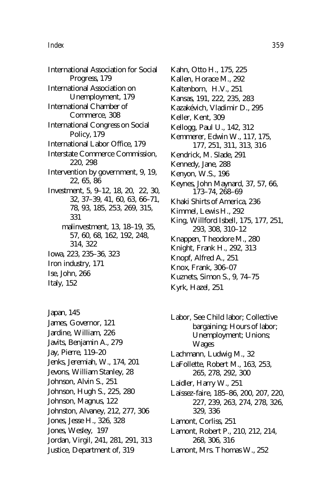International Association for Social Progress, 179 International Association on Unemployment, 179 International Chamber of Commerce, 308 International Congress on Social Policy, 179 International Labor Office, 179 Interstate Commerce Commission, 220, 298 Intervention by government, 9, 19, 22, 65, 86 Investment, 5, 9–12, 18, 20, 22, 30, 32, 37–39, 41, 60, 63, 66–71, 78, 93, 185, 253, 269, 315, 331 malinvestment, 13, 18–19, 35, 57, 60, 68, 162, 192, 248, 314, 322 Iowa, 223, 235–36, 323 Iron industry, 171 Ise, John, 266 Italy, 152

Japan, 145 James, Governor, 121 Jardine, William, 226 Javits, Benjamin A., 279 Jay, Pierre, 119–20 Jenks, Jeremiah, W., 174, 201 Jevons, William Stanley, 28 Johnson, Alvin S., 251 Johnson, Hugh S., 225, 280 Johnson, Magnus, 122 Johnston, Alvaney, 212, 277, 306 Jones, Jesse H., 326, 328 Jones, Wesley, 197 Jordan, Virgil, 241, 281, 291, 313 Justice, Department of, 319

Kahn, Otto H., 175, 225 Kallen, Horace M., 292 Kaltenborn, H.V., 251 Kansas, 191, 222, 235, 283 Kazakévich, Vladimir D., 295 Keller, Kent, 309 Kellogg, Paul U., 142, 312 Kemmerer, Edwin W., 117, 175, 177, 251, 311, 313, 316 Kendrick, M. Slade, 291 Kennedy, Jane, 288 Kenyon, W.S., 196 Keynes, John Maynard, 37, 57, 66, 173–74, 268–69 Khaki Shirts of America, 236 Kimmel, Lewis H., 292 King, Willford Isbell, 175, 177, 251, 293, 308, 310–12 Knappen, Theodore M., 280 Knight, Frank H., 292, 313 Knopf, Alfred A., 251 Knox, Frank, 306–07 Kuznets, Simon S., 9, 74–75 Kyrk, Hazel, 251

Labor, See Child labor; Collective bargaining; Hours of labor; Unemployment; Unions; Wages Lachmann, Ludwig M., 32 LaFollette, Robert M., 163, 253, 265, 278, 292, 300 Laidler, Harry W., 251 Laissez-faire, 185–86, 200, 207, 220, 227, 239, 263, 274, 278, 326, 329, 336 Lamont, Corliss, 251 Lamont, Robert P., 210, 212, 214, 268, 306, 316 Lamont, Mrs. Thomas W., 252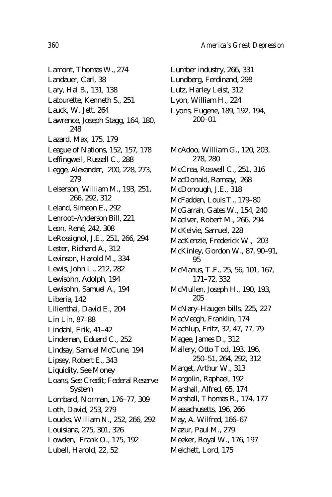Lumber industry, 266, 331 Lundberg, Ferdinand, 298 Lutz, Harley Leist, 312 Lyon, William H., 224

Lyons, Eugene, 189, 192, 194,

200–01

Lamont, Thomas W., 274 Landauer, Carl, 38 Lary, Hal B., 131, 138 Latourette, Kenneth S., 251 Lauck, W. Jett, 264 Lawrence, Joseph Stagg, 164, 180, 248 Lazard, Max, 175, 179 League of Nations, 152, 157, 178 Leffingwell, Russell C., 288 Legge, Alexander, 200, 228, 273, 279 Leiserson, William M., 193, 251, 266, 292, 312 Leland, Simeon E., 292 Lenroot–Anderson Bill, 221 Leon, René, 242, 308 LeRossignol, J.E., 251, 266, 294 Lester, Richard A., 312 Levinson, Harold M., 334 Lewis, John L., 212, 282 Lewisohn, Adolph, 194 Lewisohn, Samuel A., 194 Liberia, 142 Lilienthal, David E., 204 Lin Lin, 87–88 Lindahl, Erik, 41–42 Lindeman, Eduard C., 252 Lindsay, Samuel McCune, 194 Lipsey, Robert E., 343 Liquidity, See Money Loans, See Credit; Federal Reserve System Lombard, Norman, 176–77, 309 Loth, David, 253, 279 Loucks, William N., 252, 266, 292 Louisiana, 275, 301, 326 Lowden, Frank O., 175, 192 Lubell, Harold, 22, 52

McAdoo, William G., 120, 203, 278, 280 McCrea, Roswell C., 251, 316 MacDonald, Ramsay, 268 McDonough, J.E., 318 McFadden, Louis T., 179–80 McGarrah, Gates W., 154, 240 MacIver, Robert M., 266, 294 McKelvie, Samuel, 228 MacKenzie, Frederick W., 203 McKinley, Gordon W., 87, 90–91, 95 McManus, T.F., 25, 56, 101, 167, 171–72, 332 McMullen, Joseph H., 190, 193, 205 McNary–Haugen bills, 225, 227 MacVeagh, Franklin, 174 Machlup, Fritz, 32, 47, 77, 79 Magee, James D., 312 Mallery, Otto Tod, 193, 196, 250–51, 264, 292, 312 Marget, Arthur W., 313 Margolin, Raphael, 192 Marshall, Alfred, 65, 174 Marshall, Thomas R., 174, 177 Massachusetts, 196, 266 May, A. Wilfred, 166–67 Mazur, Paul M., 279 Meeker, Royal W., 176, 197 Melchett, Lord, 175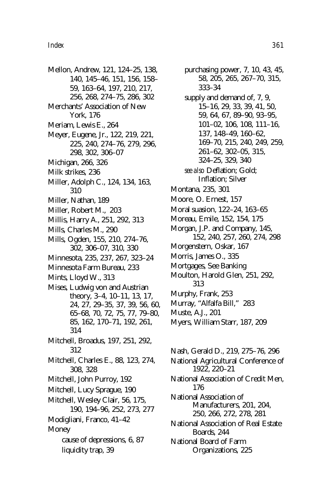- Mellon, Andrew, 121, 124–25, 138, 140, 145–46, 151, 156, 158– 59, 163–64, 197, 210, 217, 256, 268, 274–75, 286, 302
- Merchants' Association of New York, 176
- Meriam, Lewis E., 264
- Meyer, Eugene, Jr., 122, 219, 221, 225, 240, 274–76, 279, 296, 298, 302, 306–07
- Michigan, 266, 326
- Milk strikes, 236
- Miller, Adolph C., 124, 134, 163, 310
- Miller, Nathan, 189
- Miller, Robert M., 203
- Millis, Harry A., 251, 292, 313
- Mills, Charles M., 290
- Mills, Ogden, 155, 210, 274–76, 302, 306–07, 310, 330
- Minnesota, 235, 237, 267, 323–24
- Minnesota Farm Bureau, 233
- Mints, Lloyd W., 313
- Mises, Ludwig von and Austrian theory, 3–4, 10–11, 13, 17, 24, 27, 29–35, 37, 39, 56, 60, 65–68, 70, 72, 75, 77, 79–80, 85, 162, 170–71, 192, 261, 314
- Mitchell, Broadus, 197, 251, 292, 312
- Mitchell, Charles E., 88, 123, 274, 308, 328
- Mitchell, John Purroy, 192
- Mitchell, Lucy Sprague, 190
- Mitchell, Wesley Clair, 56, 175, 190, 194–96, 252, 273, 277 Modigliani, Franco, 41–42
- **Money** 
	- cause of depressions, 6, 87 liquidity trap, 39

purchasing power, 7, 10, 43, 45, 58, 205, 265, 267–70, 315, 333–34 supply and demand of, 7, 9, 15–16, 29, 33, 39, 41, 50, 59, 64, 67, 89–90, 93–95, 101–02, 106, 108, 111–16, 137, 148–49, 160–62, 169–70, 215, 240, 249, 259, 261–62, 302–05, 315, 324–25, 329, 340 *see also* Deflation; Gold; Inflation; Silver Montana, 235, 301 Moore, O. Ernest, 157 Moral suasion, 122–24, 163–65 Moreau, Emile, 152, 154, 175 Morgan, J.P. and Company, 145, 152, 240, 257, 260, 274, 298 Morgenstern, Oskar, 167 Morris, James O., 335 Mortgages, See Banking Moulton, Harold Glen, 251, 292, 313 Murphy, Frank, 253 Murray, "Alfalfa Bill," 283 Muste, A.J., 201

Myers, William Starr, 187, 209

Nash, Gerald D., 219, 275–76, 296 National Agricultural Conference of 1922, 220–21 National Association of Credit Men, 176 National Association of Manufacturers, 201, 204, 250, 266, 272, 278, 281 National Association of Real Estate Boards, 244 National Board of Farm Organizations, 225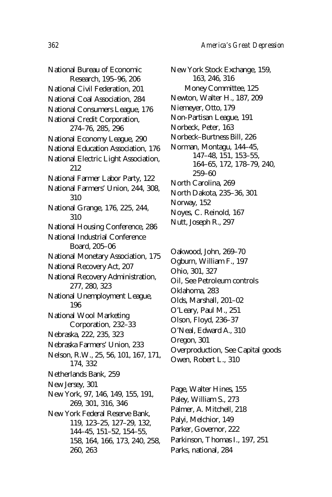National Bureau of Economic Research, 195–96, 206 National Civil Federation, 201 National Coal Association, 284 National Consumers League, 176 National Credit Corporation, 274–76, 285, 296 National Economy League, 290 National Education Association, 176 National Electric Light Association, 212 National Farmer Labor Party, 122 National Farmers' Union, 244, 308, 310 National Grange, 176, 225, 244, 310 National Housing Conference, 286 National Industrial Conference Board, 205–06 National Monetary Association, 175 National Recovery Act, 207 National Recovery Administration, 277, 280, 323 National Unemployment League, 196 National Wool Marketing Corporation, 232–33 Nebraska, 222, 235, 323 Nebraska Farmers' Union, 233 Nelson, R.W., 25, 56, 101, 167, 171, 174, 332 Netherlands Bank, 259 New Jersey, 301 New York, 97, 146, 149, 155, 191, 269, 301, 316, 346 New York Federal Reserve Bank, 119, 123–25, 127–29, 132, 144–45, 151–52, 154–55, 158, 164, 166, 173, 240, 258, 260, 263

New York Stock Exchange, 159, 163, 246, 316 Money Committee, 125 Newton, Walter H., 187, 209 Niemeyer, Otto, 179 Non-Partisan League, 191 Norbeck, Peter, 163 Norbeck–Burtness Bill, 226 Norman, Montagu, 144–45, 147–48, 151, 153–55, 164–65, 172, 178–79, 240, 259–60 North Carolina, 269 North Dakota, 235–36, 301 Norway, 152 Noyes, C. Reinold, 167 Nutt, Joseph R., 297

Oakwood, John, 269–70 Ogburn, William F., 197 Ohio, 301, 327 Oil, See Petroleum controls Oklahoma, 283 Olds, Marshall, 201–02 O'Leary, Paul M., 251 Olson, Floyd, 236–37 O'Neal, Edward A., 310 Oregon, 301 Overproduction, See Capital goods Owen, Robert L., 310

Page, Walter Hines, 155 Paley, William S., 273 Palmer, A. Mitchell, 218 Palyi, Melchior, 149 Parker, Governor, 222 Parkinson, Thomas I., 197, 251 Parks, national, 284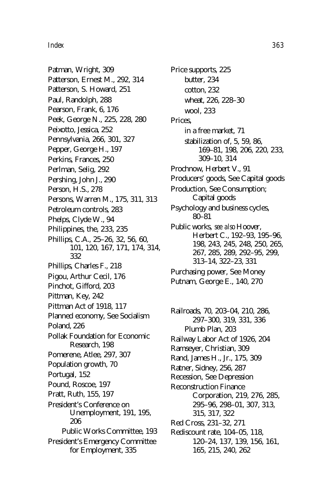Patman, Wright, 309 Patterson, Ernest M., 292, 314 Patterson, S. Howard, 251 Paul, Randolph, 288 Pearson, Frank, 6, 176 Peek, George N., 225, 228, 280 Peixotto, Jessica, 252 Pennsylvania, 266, 301, 327 Pepper, George H., 197 Perkins, Frances, 250 Perlman, Selig, 292 Pershing, John J., 290 Person, H.S., 278 Persons, Warren M., 175, 311, 313 Petroleum controls, 283 Phelps, Clyde W., 94 Philippines, the, 233, 235 Phillips, C.A., 25–26, 32, 56, 60, 101, 120, 167, 171, 174, 314, 332 Phillips, Charles F., 218 Pigou, Arthur Cecil, 176 Pinchot, Gifford, 203 Pittman, Key, 242 Pittman Act of 1918, 117 Planned economy, See Socialism Poland, 226 Pollak Foundation for Economic Research, 198 Pomerene, Atlee, 297, 307 Population growth, 70 Portugal, 152 Pound, Roscoe, 197 Pratt, Ruth, 155, 197 President's Conference on Unemployment, 191, 195, 206 Public Works Committee, 193 President's Emergency Committee for Employment, 335

Price supports, 225 butter, 234 cotton, 232 wheat, 226, 228–30 wool, 233 Prices, in a free market, 71 stabilization of, 5, 59, 86, 169–81, 198, 206, 220, 233, 309–10, 314 Prochnow, Herbert V., 91 Producers' goods, See Capital goods Production, See Consumption; Capital goods Psychology and business cycles, 80–81 Public works, *see also* Hoover, Herbert C., 192–93, 195–96, 198, 243, 245, 248, 250, 265, 267, 285, 289, 292–95, 299, 313–14, 322–23, 331 Purchasing power, See Money Putnam, George E., 140, 270 Railroads, 70, 203–04, 210, 286, 297–300, 319, 331, 336 Plumb Plan, 203 Railway Labor Act of 1926, 204 Ramseyer, Christian, 309 Rand, James H., Jr., 175, 309 Ratner, Sidney, 256, 287 Recession, See Depression Reconstruction Finance Corporation, 219, 276, 285, 295–96, 298–01, 307, 313, 315, 317, 322 Red Cross, 231–32, 271 Rediscount rate, 104–05, 118, 120–24, 137, 139, 156, 161, 165, 215, 240, 262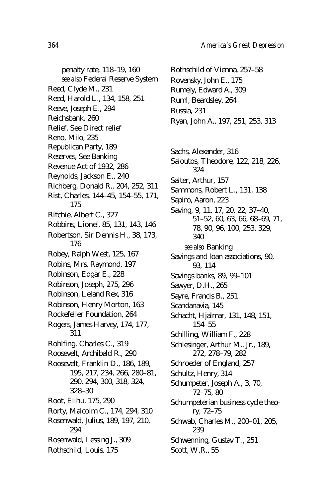Rothschild of Vienna, 257–58 Rovensky, John E., 175 Rumely, Edward A., 309 Ruml, Beardsley, 264

penalty rate, 118–19, 160 *see also* Federal Reserve System Reed, Clyde M., 231 Reed, Harold L., 134, 158, 251 Reeve, Joseph E., 294 Reichsbank, 260 Relief, See Direct relief Reno, Milo, 235 Republican Party, 189 Reserves, See Banking Revenue Act of 1932, 286 Reynolds, Jackson E., 240 Richberg, Donald R., 204, 252, 311 Rist, Charles, 144–45, 154–55, 171, 175 Ritchie, Albert C., 327 Robbins, Lionel, 85, 131, 143, 146 Robertson, Sir Dennis H., 38, 173, 176 Robey, Ralph West, 125, 167 Robins, Mrs. Raymond, 197 Robinson, Edgar E., 228 Robinson, Joseph, 275, 296 Robinson, Leland Rex, 316 Robinson, Henry Morton, 163 Rockefeller Foundation, 264 Rogers, James Harvey, 174, 177, 311 Rohlfing, Charles C., 319 Roosevelt, Archibald R., 290 Roosevelt, Franklin D., 186, 189, 195, 217, 234, 266, 280–81, 290, 294, 300, 318, 324, 328–30 Root, Elihu, 175, 290 Rorty, Malcolm C., 174, 294, 310 Rosenwald, Julius, 189, 197, 210, 294 Rosenwald, Lessing J., 309 Rothschild, Louis, 175

Russia, 231 Ryan, John A., 197, 251, 253, 313 Sachs, Alexander, 316 Saloutos, Theodore, 122, 218, 226, 324 Salter, Arthur, 157 Sammons, Robert L., 131, 138 Sapiro, Aaron, 223 Saving, 9, 11, 17, 20, 22, 37–40, 51–52, 60, 63, 66, 68–69, 71, 78, 90, 96, 100, 253, 329, 340 *see also* Banking Savings and loan associations, 90, 93, 114 Savings banks, 89, 99–101 Sawyer, D.H., 265 Sayre, Francis B., 251 Scandanavia, 145 Schacht, Hjalmar, 131, 148, 151, 154–55 Schilling, William F., 228 Schlesinger, Arthur M., Jr., 189, 272, 278–79, 282 Schroeder of England, 257 Schultz, Henry, 314 Schumpeter, Joseph A., 3, 70, 72–75, 80 Schumpeterian business cycle theory, 72–75 Schwab, Charles M., 200–01, 205, 239 Schwenning, Gustav T., 251 Scott, W.R., 55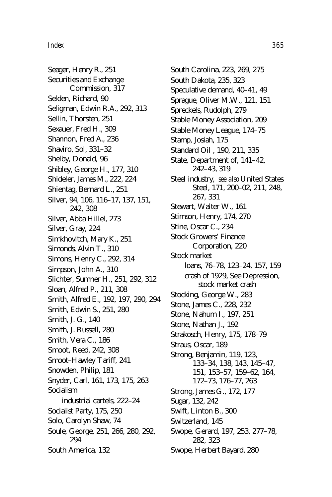Seager, Henry R., 251 Securities and Exchange Commission, 317 Selden, Richard, 90 Seligman, Edwin R.A., 292, 313 Sellin, Thorsten, 251 Sexauer, Fred H., 309 Shannon, Fred A., 236 Shaviro, Sol, 331–32 Shelby, Donald, 96 Shibley, George H., 177, 310 Shideler, James M., 222, 224 Shientag, Bernard L., 251 Silver, 94, 106, 116–17, 137, 151, 242, 308 Silver, Abba Hillel, 273 Silver, Gray, 224 Simkhovitch, Mary K., 251 Simonds, Alvin T., 310 Simons, Henry C., 292, 314 Simpson, John A., 310 Slichter, Sumner H., 251, 292, 312 Sloan, Alfred P., 211, 308 Smith, Alfred E., 192, 197, 290, 294 Smith, Edwin S., 251, 280 Smith, J. G., 140 Smith, J. Russell, 280 Smith, Vera C., 186 Smoot, Reed, 242, 308 Smoot–Hawley Tariff, 241 Snowden, Philip, 181 Snyder, Carl, 161, 173, 175, 263 Socialism industrial cartels, 222–24 Socialist Party, 175, 250 Solo, Carolyn Shaw, 74 Soule, George, 251, 266, 280, 292, 294 South America, 132

South Carolina, 223, 269, 275 South Dakota, 235, 323 Speculative demand, 40–41, 49 Sprague, Oliver M.W., 121, 151 Spreckels, Rudolph, 279 Stable Money Association, 209 Stable Money League, 174–75 Stamp, Josiah, 175 Standard Oil , 190, 211, 335 State, Department of, 141–42, 242–43, 319 Steel industry, *see also* United States Steel, 171, 200–02, 211, 248, 267, 331 Stewart, Walter W., 161 Stimson, Henry, 174, 270 Stine, Oscar C., 234 Stock Growers' Finance Corporation, 220 Stock market loans, 76–78, 123–24, 157, 159 crash of 1929, See Depression, stock market crash Stocking, George W., 283 Stone, James C., 228, 232 Stone, Nahum I., 197, 251 Stone, Nathan J., 192 Strakosch, Henry, 175, 178–79 Straus, Oscar, 189 Strong, Benjamin, 119, 123, 133–34, 138, 143, 145–47, 151, 153–57, 159–62, 164, 172–73, 176–77, 263 Strong, James G., 172, 177 Sugar, 132, 242 Swift, Linton B., 300 Switzerland, 145 Swope, Gerard, 197, 253, 277–78, 282, 323 Swope, Herbert Bayard, 280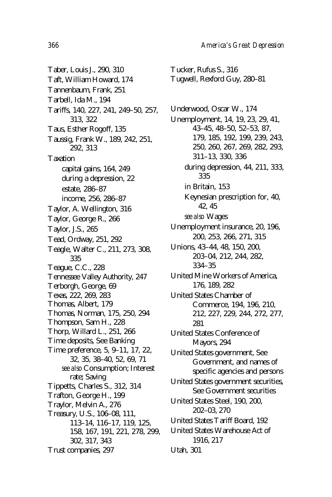Taber, Louis J., 290, 310 Taft, William Howard, 174 Tannenbaum, Frank, 251 Tarbell, Ida M., 194 Tariffs, 140, 227, 241, 249–50, 257, 313, 322 Taus, Esther Rogoff, 135 Taussig, Frank W., 189, 242, 251, 292, 313 Taxation capital gains, 164, 249 during a depression, 22 estate, 286–87 income, 256, 286–87 Taylor, A. Wellington, 316 Taylor, George R., 266 Taylor, J.S., 265 Tead, Ordway, 251, 292 Teagle, Walter C., 211, 273, 308, 335 Teague, C.C., 228 Tennessee Valley Authority, 247 Terborgh, George, 69 Texas, 222, 269, 283 Thomas, Albert, 179 Thomas, Norman, 175, 250, 294 Thompson, Sam H., 228 Thorp, Willard L., 251, 266 Time deposits, See Banking Time preference, 5, 9–11, 17, 22, 32, 35, 38–40, 52, 69, 71 *see also* Consumption; Interest rate; Saving Tippetts, Charles S., 312, 314 Trafton, George H., 199 Traylor, Melvin A., 276 Treasury, U.S., 106–08, 111, 113–14, 116–17, 119, 125, 158, 167, 191, 221, 278, 299, 302, 317, 343 Trust companies, 297

Tucker, Rufus S., 316 Tugwell, Rexford Guy, 280–81

Underwood, Oscar W., 174 Unemployment, 14, 19, 23, 29, 41, 43–45, 48–50, 52–53, 87, 179, 185, 192, 199, 239, 243, 250, 260, 267, 269, 282, 293, 311–13, 330, 336 during depression, 44, 211, 333, 335 in Britain, 153 Keynesian prescription for, 40, 42, 45 *see also* Wages Unemployment insurance, 20, 196, 200, 253, 266, 271, 315 Unions, 43–44, 48, 150, 200, 203–04, 212, 244, 282, 334–35 United Mine Workers of America, 176, 189, 282 United States Chamber of Commerce, 194, 196, 210, 212, 227, 229, 244, 272, 277, 281 United States Conference of Mayors, 294 United States government, See Government, and names of specific agencies and persons United States government securities, See Government securities United States Steel, 190, 200, 202–03, 270 United States Tariff Board, 192 United States Warehouse Act of 1916, 217 Utah, 301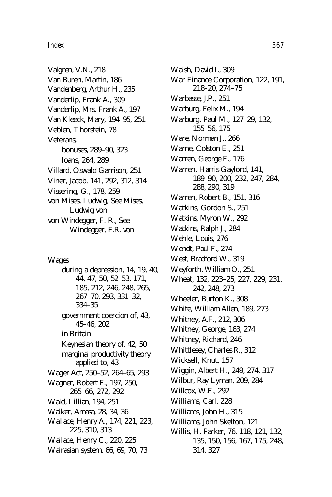Valgren, V.N., 218 Van Buren, Martin, 186 Vandenberg, Arthur H., 235 Vanderlip, Frank A., 309 Vanderlip, Mrs. Frank A., 197 Van Kleeck, Mary, 194–95, 251 Veblen, Thorstein, 78 Veterans, bonuses, 289–90, 323 loans, 264, 289 Villard, Oswald Garrison, 251 Viner, Jacob, 141, 292, 312, 314 Vissering, G., 178, 259 von Mises, Ludwig, See Mises, Ludwig von von Windegger, F. R., See Windegger, F.R. von

**Wages** during a depression, 14, 19, 40, 44, 47, 50, 52–53, 171, 185, 212, 246, 248, 265, 267–70, 293, 331–32, 334–35 government coercion of, 43, 45–46, 202 in Britain Keynesian theory of, 42, 50 marginal productivity theory applied to, 43 Wager Act, 250–52, 264–65, 293 Wagner, Robert F., 197, 250, 265–66, 272, 292 Wald, Lillian, 194, 251 Walker, Amasa, 28, 34, 36 Wallace, Henry A., 174, 221, 223, 225, 310, 313 Wallace, Henry C., 220, 225 Walrasian system, 66, 69, 70, 73

Walsh, David I., 309 War Finance Corporation, 122, 191, 218–20, 274–75 Warbasse, J.P., 251 Warburg, Felix M., 194 Warburg, Paul M., 127–29, 132, 155–56, 175 Ware, Norman J., 266 Warne, Colston E., 251 Warren, George F., 176 Warren, Harris Gaylord, 141, 189–90, 200, 232, 247, 284, 288, 290, 319 Warren, Robert B., 151, 316 Watkins, Gordon S., 251 Watkins, Myron W., 292 Watkins, Ralph J., 284 Wehle, Louis, 276 Wendt, Paul F., 274 West, Bradford W., 319 Weyforth, William O., 251 Wheat, 132, 223–25, 227, 229, 231, 242, 248, 273 Wheeler, Burton K., 308 White, William Allen, 189, 273 Whitney, A.F., 212, 306 Whitney, George, 163, 274 Whitney, Richard, 246 Whittlesey, Charles R., 312 Wicksell, Knut, 157 Wiggin, Albert H., 249, 274, 317 Wilbur, Ray Lyman, 209, 284 Willcox, W.F., 292 Williams, Carl, 228 Williams, John H., 315 Williams, John Skelton, 121 Willis, H. Parker, 76, 118, 121, 132, 135, 150, 156, 167, 175, 248, 314, 327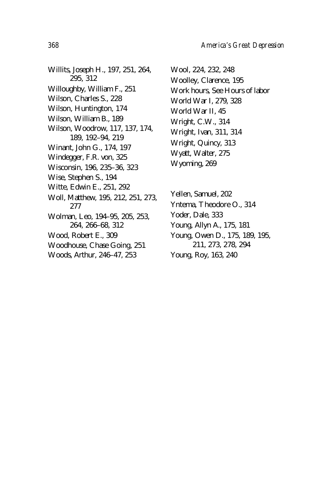Willits, Joseph H., 197, 251, 264, 295, 312 Willoughby, William F., 251 Wilson, Charles S., 228 Wilson, Huntington, 174 Wilson, William B., 189 Wilson, Woodrow, 117, 137, 174, 189, 192–94, 219 Winant, John G., 174, 197 Windegger, F.R. von, 325 Wisconsin, 196, 235–36, 323 Wise, Stephen S., 194 Witte, Edwin E., 251, 292 Woll, Matthew, 195, 212, 251, 273, 277 Wolman, Leo, 194–95, 205, 253, 264, 266–68, 312 Wood, Robert E., 309 Woodhouse, Chase Going, 251 Woods, Arthur, 246–47, 253

Wool, 224, 232, 248 Woolley, Clarence, 195 Work hours, See Hours of labor World War I, 279, 328 World War II, 45 Wright, C.W., 314 Wright, Ivan, 311, 314 Wright, Quincy, 313 Wyatt, Walter, 275 Wyoming, 269

Yellen, Samuel, 202 Yntema, Theodore O., 314 Yoder, Dale, 333 Young, Allyn A., 175, 181 Young, Owen D., 175, 189, 195, 211, 273, 278, 294 Young, Roy, 163, 240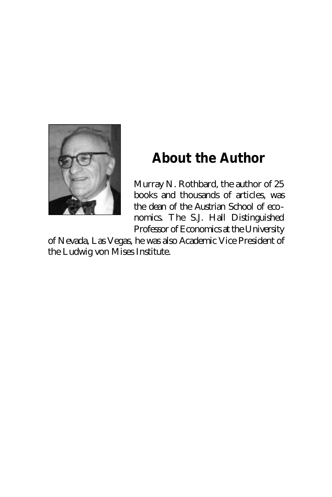

## **About the Author**

Murray N. Rothbard, the author of 25 books and thousands of articles, was the dean of the Austrian School of economics. The S.J. Hall Distinguished Professor of Economics at the University

of Nevada, Las Vegas, he was also Academic Vice President of the Ludwig von Mises Institute.